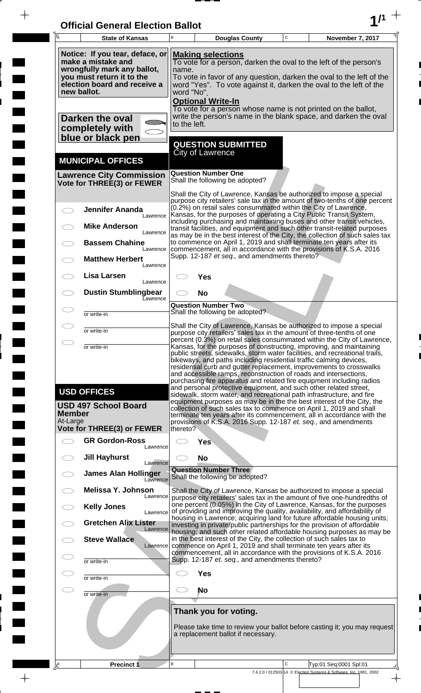| <b>Official General Election Ballot</b> |  |
|-----------------------------------------|--|
|                                         |  |

 $\bar{\phantom{a}}$ 

 $\overline{\phantom{a}}$ 

 $\Box$ 

 $\blacksquare$ 

 $\blacksquare$ 

 $\blacksquare$ 

 $\frac{1}{2}$ 

 $\frac{1}{\sqrt{2\pi}}$ 

| $\overline{\mathsf{A}}$   | <b>State of Kansas</b>                                                                                                                                           | B                   |                                                      | <b>Douglas County</b>                                           | $\mathbf C$ | November 7, 2017                                                                                                                                                                                                                                                                                                                                                                                                                                                                                                                                                                              |
|---------------------------|------------------------------------------------------------------------------------------------------------------------------------------------------------------|---------------------|------------------------------------------------------|-----------------------------------------------------------------|-------------|-----------------------------------------------------------------------------------------------------------------------------------------------------------------------------------------------------------------------------------------------------------------------------------------------------------------------------------------------------------------------------------------------------------------------------------------------------------------------------------------------------------------------------------------------------------------------------------------------|
|                           | Notice: If you tear, deface, or<br>make a mistake and<br>wrongfully mark any ballot,<br>you must return it to the<br>election board and receive a<br>new ballot. | name.<br>word "No". | <b>Making selections</b><br><b>Optional Write-In</b> |                                                                 |             | To vote for a person, darken the oval to the left of the person's<br>To vote in favor of any question, darken the oval to the left of the<br>word "Yes". To vote against it, darken the oval to the left of the                                                                                                                                                                                                                                                                                                                                                                               |
|                           | Darken the oval<br>completely with<br>blue or black pen                                                                                                          | to the left.        |                                                      |                                                                 |             | To vote for a person whose name is not printed on the ballot,<br>write the person's name in the blank space, and darken the oval                                                                                                                                                                                                                                                                                                                                                                                                                                                              |
|                           | <b>MUNICIPAL OFFICES</b>                                                                                                                                         |                     | <b>City of Lawrence</b>                              | <b>QUESTION SUBMITTED</b>                                       |             |                                                                                                                                                                                                                                                                                                                                                                                                                                                                                                                                                                                               |
|                           | <b>Lawrence City Commission</b><br>Vote for THREE(3) or FEWER                                                                                                    |                     | <b>Question Number One</b>                           | Shall the following be adopted?                                 |             |                                                                                                                                                                                                                                                                                                                                                                                                                                                                                                                                                                                               |
|                           | <b>Jennifer Ananda</b><br>Lawrence                                                                                                                               |                     |                                                      |                                                                 |             | Shall the City of Lawrence, Kansas be authorized to impose a special<br>purpose city retailers' sale tax in the amount of two-tenths of one percent<br>(0.2%) on retail sales consummated within the City of Lawrence,<br>Kansas, for the purposes of operating a City Public Transit System,<br>including purchasing and maintaining buses and other transit vehicles,                                                                                                                                                                                                                       |
|                           | <b>Mike Anderson</b><br>Lawrence<br><b>Bassem Chahine</b><br>Lawrence                                                                                            |                     |                                                      |                                                                 |             | transit facilities, and equipment and such other transit-related purposes<br>as may be in the best interest of the City, the collection of such sales tax<br>to commence on April 1, 2019 and shall terminate ten years after its<br>commencement, all in accordance with the provisions of K.S.A. 2016                                                                                                                                                                                                                                                                                       |
|                           | <b>Matthew Herbert</b><br>Lawrence<br>Lisa Larsen                                                                                                                |                     |                                                      | Supp. 12-187 et seq., and amendments thereto?                   |             |                                                                                                                                                                                                                                                                                                                                                                                                                                                                                                                                                                                               |
|                           | Lawrence<br><b>Dustin Stumblingbear</b><br>Eawrence                                                                                                              |                     | Yes<br><b>No</b>                                     |                                                                 |             |                                                                                                                                                                                                                                                                                                                                                                                                                                                                                                                                                                                               |
|                           | or write-in                                                                                                                                                      |                     | <b>Question Number Two</b>                           | Shall the following be adopted?                                 |             |                                                                                                                                                                                                                                                                                                                                                                                                                                                                                                                                                                                               |
|                           | or write-in                                                                                                                                                      |                     |                                                      |                                                                 |             | Shall the City of Lawrence, Kansas be authorized to impose a special<br>purpose city retailers' sales tax in the amount of three-tenths of one                                                                                                                                                                                                                                                                                                                                                                                                                                                |
| $\bigcirc$                | or write-in<br><b>USD OFFICES</b>                                                                                                                                |                     |                                                      |                                                                 |             | percent (0.3%) on retail sales consummated within the City of Lawrence,<br>Kansas, for the purposes of constructing, improving, and maintaining<br>public streets, sidewalks, storm water facilities, and recreational trails,<br>bikeways, and paths including residential traffic calming devices,<br>residential curb and gutter replacement, improvements to crosswalks<br>and accessible ramps, reconstruction of roads and intersections,<br>purchasing fire apparatus and related fire equipment including radios<br>and personal protective equipment, and such other related street, |
| <b>Member</b><br>At-Large | <b>USD 497 School Board</b>                                                                                                                                      |                     |                                                      |                                                                 |             | sidewalk, storm water, and recreational path infrastructure, and fire<br>equipment purposes as may be in the the best interest of the City, the<br>collection of such sales tax to commence on April 1, 2019 and shall<br>terminate ten years after its commencement, all in accordance with the<br>provisions of K.S.A. 2016 Supp. 12-187 et. seq., and amendments                                                                                                                                                                                                                           |
|                           | <b>Vote for THREE(3) or FEWER</b><br><b>GR Gordon-Ross</b>                                                                                                       | thereto?            | <b>Yes</b>                                           |                                                                 |             |                                                                                                                                                                                                                                                                                                                                                                                                                                                                                                                                                                                               |
|                           | Lawrence<br><b>Jill Hayhurst</b><br>Lawrence                                                                                                                     |                     | <b>No</b>                                            |                                                                 |             |                                                                                                                                                                                                                                                                                                                                                                                                                                                                                                                                                                                               |
|                           | <b>James Alan Hollinger</b><br>Lawrence                                                                                                                          |                     |                                                      | <b>Question Number Three</b><br>Shall the following be adopted? |             |                                                                                                                                                                                                                                                                                                                                                                                                                                                                                                                                                                                               |
|                           | Melissa Y. Johnson<br>Lawrence                                                                                                                                   |                     |                                                      |                                                                 |             | Shall the City of Lawrence, Kansas be authorized to impose a special<br>purpose city retailers' sales tax in the amount of five one-hundredths of                                                                                                                                                                                                                                                                                                                                                                                                                                             |
|                           | <b>Kelly Jones</b><br>Lawrence<br><b>Gretchen Alix Lister</b>                                                                                                    |                     |                                                      |                                                                 |             | one percent (0.05%) in the City of Lawrence, Kansas, for the purposes<br>of providing and improving the quality, availability, and affordability of<br>housing in Lawrence; acquiring land for future affordable housing units;<br>investing in private/public partnerships for the provision of affordable                                                                                                                                                                                                                                                                                   |
|                           | Lawrence<br><b>Steve Wallace</b><br>Lawrence                                                                                                                     |                     |                                                      |                                                                 |             | housing; and such other related affordable housing purposes as may be<br>in the best interest of the City, the collection of such sales tax to<br>commence on April 1, 2019 and shall terminate ten years after its                                                                                                                                                                                                                                                                                                                                                                           |
|                           | or write-in                                                                                                                                                      |                     |                                                      | Supp. 12-187 et. seq., and amendments thereto?                  |             | commencement, all in accordance with the provisions of K.S.A. 2016                                                                                                                                                                                                                                                                                                                                                                                                                                                                                                                            |
|                           | or write-in                                                                                                                                                      |                     | <b>Yes</b>                                           |                                                                 |             |                                                                                                                                                                                                                                                                                                                                                                                                                                                                                                                                                                                               |
| CD                        | or write-in                                                                                                                                                      |                     | No                                                   |                                                                 |             |                                                                                                                                                                                                                                                                                                                                                                                                                                                                                                                                                                                               |
|                           |                                                                                                                                                                  |                     |                                                      | Thank you for voting.<br>a replacement ballot if necessary.     |             | Please take time to review your ballot before casting it; you may request                                                                                                                                                                                                                                                                                                                                                                                                                                                                                                                     |
| ¦LA                       | <b>Precinct 1</b>                                                                                                                                                | B                   |                                                      |                                                                 | C           | Typ:01 Seq:0001 Spl:01                                                                                                                                                                                                                                                                                                                                                                                                                                                                                                                                                                        |
|                           |                                                                                                                                                                  |                     |                                                      |                                                                 |             | 7.4.2.0 / 012503-14 © Election Systems & Software, Inc. 1981, 2002                                                                                                                                                                                                                                                                                                                                                                                                                                                                                                                            |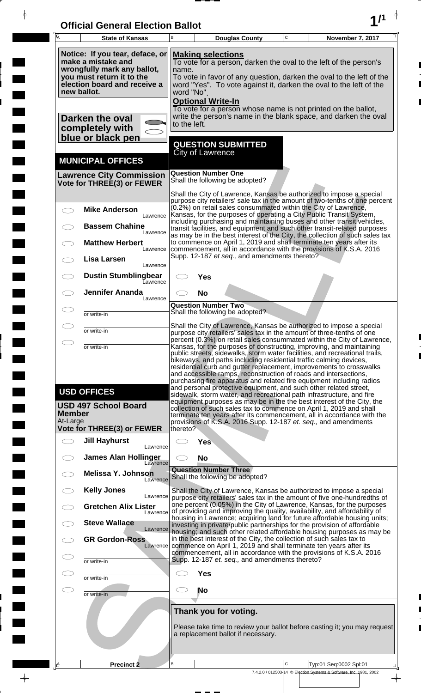| <b>Official General Election Ballot</b> |  |
|-----------------------------------------|--|
|                                         |  |

 $\bar{\phantom{a}}$ 

 $\overline{\phantom{a}}$ 

 $\Box$ 

 $\blacksquare$ 

 $\blacksquare$ 

 $\blacksquare$ 

 $\frac{1}{2}$ 

 $\frac{1}{\sqrt{2\pi}}$ 

| Ā             | <b>State of Kansas</b>                                                                                                                                           | B                   |                                         | <b>Douglas County</b>                                           | $\mathbf C$ | November 7, 2017                                                                                                                                                                                                                                                                                                                                                                                                                                                                                                                                                                                                                                                                                                                                                                                                       |
|---------------|------------------------------------------------------------------------------------------------------------------------------------------------------------------|---------------------|-----------------------------------------|-----------------------------------------------------------------|-------------|------------------------------------------------------------------------------------------------------------------------------------------------------------------------------------------------------------------------------------------------------------------------------------------------------------------------------------------------------------------------------------------------------------------------------------------------------------------------------------------------------------------------------------------------------------------------------------------------------------------------------------------------------------------------------------------------------------------------------------------------------------------------------------------------------------------------|
|               | Notice: If you tear, deface, or<br>make a mistake and<br>wrongfully mark any ballot,<br>you must return it to the<br>election board and receive a<br>new ballot. | name.<br>word "No". | <b>Making selections</b>                |                                                                 |             | To vote for a person, darken the oval to the left of the person's<br>To vote in favor of any question, darken the oval to the left of the<br>word "Yes". To vote against it, darken the oval to the left of the                                                                                                                                                                                                                                                                                                                                                                                                                                                                                                                                                                                                        |
|               | Darken the oval<br>completely with<br>blue or black pen                                                                                                          | to the left.        | <b>Optional Write-In</b>                |                                                                 |             | To vote for a person whose name is not printed on the ballot,<br>write the person's name in the blank space, and darken the oval                                                                                                                                                                                                                                                                                                                                                                                                                                                                                                                                                                                                                                                                                       |
|               | <b>MUNICIPAL OFFICES</b>                                                                                                                                         |                     | <b>City of Lawrence</b>                 | <b>QUESTION SUBMITTED</b>                                       |             |                                                                                                                                                                                                                                                                                                                                                                                                                                                                                                                                                                                                                                                                                                                                                                                                                        |
|               | <b>Lawrence City Commission</b><br>Vote for THREE(3) or FEWER                                                                                                    |                     | <b>Question Number One</b>              | Shall the following be adopted?                                 |             |                                                                                                                                                                                                                                                                                                                                                                                                                                                                                                                                                                                                                                                                                                                                                                                                                        |
|               | <b>Mike Anderson</b><br>Lawrence                                                                                                                                 |                     |                                         |                                                                 |             | Shall the City of Lawrence, Kansas be authorized to impose a special<br>purpose city retailers' sale tax in the amount of two-tenths of one percent<br>(0.2%) on retail sales consummated within the City of Lawrence,<br>Kansas, for the purposes of operating a City Public Transit System,                                                                                                                                                                                                                                                                                                                                                                                                                                                                                                                          |
|               | <b>Bassem Chahine</b><br>Lawrence                                                                                                                                |                     |                                         |                                                                 |             | including purchasing and maintaining buses and other transit vehicles,<br>transit facilities, and equipment and such other transit-related purposes<br>as may be in the best interest of the City, the collection of such sales tax<br>to commence on April 1, 2019 and shall terminate ten years after its                                                                                                                                                                                                                                                                                                                                                                                                                                                                                                            |
|               | <b>Matthew Herbert</b><br>Lawrence<br>Lisa Larsen<br>Lawrence                                                                                                    |                     |                                         | Supp. 12-187 et seq., and amendments thereto?                   |             | commencement, all in accordance with the provisions of K.S.A. 2016                                                                                                                                                                                                                                                                                                                                                                                                                                                                                                                                                                                                                                                                                                                                                     |
|               | <b>Dustin Stumblingbear</b><br>Eawrence                                                                                                                          |                     | Yes                                     |                                                                 |             |                                                                                                                                                                                                                                                                                                                                                                                                                                                                                                                                                                                                                                                                                                                                                                                                                        |
|               | <b>Jennifer Ananda</b><br>Lawrence                                                                                                                               |                     | <b>No</b><br><b>Question Number Two</b> |                                                                 |             |                                                                                                                                                                                                                                                                                                                                                                                                                                                                                                                                                                                                                                                                                                                                                                                                                        |
|               | or write-in                                                                                                                                                      |                     |                                         | Shall the following be adopted?                                 |             | Shall the City of Lawrence, Kansas be authorized to impose a special                                                                                                                                                                                                                                                                                                                                                                                                                                                                                                                                                                                                                                                                                                                                                   |
|               | or write-in                                                                                                                                                      |                     |                                         |                                                                 |             | purpose city retailers' sales tax in the amount of three-tenths of one<br>percent (0.3%) on retail sales consummated within the City of Lawrence,                                                                                                                                                                                                                                                                                                                                                                                                                                                                                                                                                                                                                                                                      |
| <b>Member</b> | or write-in<br><b>USD OFFICES</b><br><b>USD 497 School Board</b>                                                                                                 |                     |                                         |                                                                 |             | Kansas, for the purposes of constructing, improving, and maintaining<br>public streets, sidewalks, storm water facilities, and recreational trails,<br>bikeways, and paths including residential traffic calming devices,<br>residential curb and gutter replacement, improvements to crosswalks<br>and accessible ramps, reconstruction of roads and intersections,<br>purchasing fire apparatus and related fire equipment including radios<br>and personal protective equipment, and such other related street,<br>sidewalk, storm water, and recreational path infrastructure, and fire<br>equipment purposes as may be in the the best interest of the City, the<br>collection of such sales tax to commence on April 1, 2019 and shall<br>terminate ten years after its commencement, all in accordance with the |
| At-Large      | <b>Vote for THREE(3) or FEWER</b>                                                                                                                                | thereto?            |                                         |                                                                 |             | provisions of K.S.A. 2016 Supp. 12-187 et. seq., and amendments                                                                                                                                                                                                                                                                                                                                                                                                                                                                                                                                                                                                                                                                                                                                                        |
|               | <b>Jill Hayhurst</b><br>Lawrence                                                                                                                                 |                     | <b>Yes</b>                              |                                                                 |             |                                                                                                                                                                                                                                                                                                                                                                                                                                                                                                                                                                                                                                                                                                                                                                                                                        |
|               | <b>James Alan Hollinger</b><br>Lawrence                                                                                                                          |                     | <b>No</b>                               |                                                                 |             |                                                                                                                                                                                                                                                                                                                                                                                                                                                                                                                                                                                                                                                                                                                                                                                                                        |
|               | <b>Melissa Y. Johnson</b><br>Lawrence                                                                                                                            |                     |                                         | <b>Question Number Three</b><br>Shall the following be adopted? |             |                                                                                                                                                                                                                                                                                                                                                                                                                                                                                                                                                                                                                                                                                                                                                                                                                        |
|               | <b>Kelly Jones</b><br>Lawrence                                                                                                                                   |                     |                                         |                                                                 |             | Shall the City of Lawrence, Kansas be authorized to impose a special<br>purpose city retailers' sales tax in the amount of five one-hundredths of                                                                                                                                                                                                                                                                                                                                                                                                                                                                                                                                                                                                                                                                      |
|               | <b>Gretchen Alix Lister</b><br>Lawrence                                                                                                                          |                     |                                         |                                                                 |             | one percent (0.05%) in the City of Lawrence, Kansas, for the purposes<br>of providing and improving the quality, availability, and affordability of<br>housing in Lawrence; acquiring land for future affordable housing units;                                                                                                                                                                                                                                                                                                                                                                                                                                                                                                                                                                                        |
|               | <b>Steve Wallace</b><br>Lawrence                                                                                                                                 |                     |                                         |                                                                 |             | investing in private/public partnerships for the provision of affordable<br>housing; and such other related affordable housing purposes as may be                                                                                                                                                                                                                                                                                                                                                                                                                                                                                                                                                                                                                                                                      |
|               | <b>GR Gordon-Ross</b><br>Lawrence                                                                                                                                |                     |                                         |                                                                 |             | in the best interest of the City, the collection of such sales tax to<br>commence on April 1, 2019 and shall terminate ten years after its<br>commencement, all in accordance with the provisions of K.S.A. 2016                                                                                                                                                                                                                                                                                                                                                                                                                                                                                                                                                                                                       |
|               | or write-in                                                                                                                                                      |                     |                                         | Supp. 12-187 et. seq., and amendments thereto?                  |             |                                                                                                                                                                                                                                                                                                                                                                                                                                                                                                                                                                                                                                                                                                                                                                                                                        |
|               | or write-in                                                                                                                                                      |                     | <b>Yes</b>                              |                                                                 |             |                                                                                                                                                                                                                                                                                                                                                                                                                                                                                                                                                                                                                                                                                                                                                                                                                        |
|               | or write-in                                                                                                                                                      |                     | <b>No</b>                               |                                                                 |             |                                                                                                                                                                                                                                                                                                                                                                                                                                                                                                                                                                                                                                                                                                                                                                                                                        |
|               |                                                                                                                                                                  |                     |                                         | Thank you for voting.<br>a replacement ballot if necessary.     |             | Please take time to review your ballot before casting it; you may request                                                                                                                                                                                                                                                                                                                                                                                                                                                                                                                                                                                                                                                                                                                                              |
| ΙÊ            | <b>Precinct 2</b>                                                                                                                                                | B                   |                                         |                                                                 | C           | Typ:01 Seq:0002 Spl:01                                                                                                                                                                                                                                                                                                                                                                                                                                                                                                                                                                                                                                                                                                                                                                                                 |
|               |                                                                                                                                                                  |                     |                                         |                                                                 |             | 7.4.2.0 / 012503-14 © Election Systems & Software, Inc. 1981, 2002                                                                                                                                                                                                                                                                                                                                                                                                                                                                                                                                                                                                                                                                                                                                                     |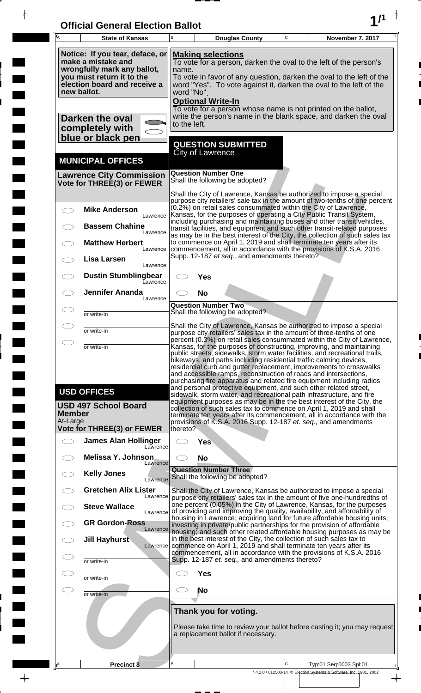| <b>Official General Election Ballot</b> |  |
|-----------------------------------------|--|
|                                         |  |

 $\bar{\phantom{a}}$ 

 $\overline{\phantom{a}}$ 

 $\Box$ 

 $\blacksquare$ 

 $\blacksquare$ 

 $\blacksquare$ 

 $\frac{1}{2}$ 

 $\frac{1}{\sqrt{2\pi}}$ 

| $\overline{\mathsf{A}}$   | <b>State of Kansas</b>                                                                                                                                           | B                   |                                                      | <b>Douglas County</b>                                           | $\mathbf C$ | November 7, 2017                                                                                                                                                                                                                                                                                                                                                                                                                                                                                                                                                                                                                                                                                                                                                                                                       |
|---------------------------|------------------------------------------------------------------------------------------------------------------------------------------------------------------|---------------------|------------------------------------------------------|-----------------------------------------------------------------|-------------|------------------------------------------------------------------------------------------------------------------------------------------------------------------------------------------------------------------------------------------------------------------------------------------------------------------------------------------------------------------------------------------------------------------------------------------------------------------------------------------------------------------------------------------------------------------------------------------------------------------------------------------------------------------------------------------------------------------------------------------------------------------------------------------------------------------------|
|                           | Notice: If you tear, deface, or<br>make a mistake and<br>wrongfully mark any ballot,<br>you must return it to the<br>election board and receive a<br>new ballot. | name.<br>word "No". | <b>Making selections</b><br><b>Optional Write-In</b> |                                                                 |             | To vote for a person, darken the oval to the left of the person's<br>To vote in favor of any question, darken the oval to the left of the<br>word "Yes". To vote against it, darken the oval to the left of the                                                                                                                                                                                                                                                                                                                                                                                                                                                                                                                                                                                                        |
|                           | Darken the oval<br>completely with<br>blue or black pen                                                                                                          | to the left.        |                                                      |                                                                 |             | To vote for a person whose name is not printed on the ballot,<br>write the person's name in the blank space, and darken the oval                                                                                                                                                                                                                                                                                                                                                                                                                                                                                                                                                                                                                                                                                       |
|                           | <b>MUNICIPAL OFFICES</b>                                                                                                                                         |                     | <b>City of Lawrence</b>                              | <b>QUESTION SUBMITTED</b>                                       |             |                                                                                                                                                                                                                                                                                                                                                                                                                                                                                                                                                                                                                                                                                                                                                                                                                        |
|                           | <b>Lawrence City Commission</b><br>Vote for THREE(3) or FEWER                                                                                                    |                     | <b>Question Number One</b>                           | Shall the following be adopted?                                 |             |                                                                                                                                                                                                                                                                                                                                                                                                                                                                                                                                                                                                                                                                                                                                                                                                                        |
|                           | <b>Mike Anderson</b><br>Lawrence                                                                                                                                 |                     |                                                      |                                                                 |             | Shall the City of Lawrence, Kansas be authorized to impose a special<br>purpose city retailers' sale tax in the amount of two-tenths of one percent<br>(0.2%) on retail sales consummated within the City of Lawrence,<br>Kansas, for the purposes of operating a City Public Transit System,<br>including purchasing and maintaining buses and other transit vehicles,                                                                                                                                                                                                                                                                                                                                                                                                                                                |
|                           | <b>Bassem Chahine</b><br>Lawrence<br><b>Matthew Herbert</b><br>Lawrence                                                                                          |                     |                                                      |                                                                 |             | transit facilities, and equipment and such other transit-related purposes<br>as may be in the best interest of the City, the collection of such sales tax<br>to commence on April 1, 2019 and shall terminate ten years after its<br>commencement, all in accordance with the provisions of K.S.A. 2016                                                                                                                                                                                                                                                                                                                                                                                                                                                                                                                |
|                           | Lisa Larsen<br>Lawrence<br><b>Dustin Stumblingbear</b>                                                                                                           |                     |                                                      | Supp. 12-187 et seq., and amendments thereto?                   |             |                                                                                                                                                                                                                                                                                                                                                                                                                                                                                                                                                                                                                                                                                                                                                                                                                        |
|                           | Eawrence<br><b>Jennifer Ananda</b><br>Lawrence                                                                                                                   |                     | Yes<br><b>No</b>                                     |                                                                 |             |                                                                                                                                                                                                                                                                                                                                                                                                                                                                                                                                                                                                                                                                                                                                                                                                                        |
|                           | or write-in                                                                                                                                                      |                     | <b>Question Number Two</b>                           | Shall the following be adopted?                                 |             |                                                                                                                                                                                                                                                                                                                                                                                                                                                                                                                                                                                                                                                                                                                                                                                                                        |
| $\bigcirc$                | or write-in                                                                                                                                                      |                     |                                                      |                                                                 |             | Shall the City of Lawrence, Kansas be authorized to impose a special<br>purpose city retailers' sales tax in the amount of three-tenths of one<br>percent (0.3%) on retail sales consummated within the City of Lawrence,                                                                                                                                                                                                                                                                                                                                                                                                                                                                                                                                                                                              |
| <b>Member</b><br>At-Large | or write-in<br><b>USD OFFICES</b><br><b>USD 497 School Board</b>                                                                                                 |                     |                                                      |                                                                 |             | Kansas, for the purposes of constructing, improving, and maintaining<br>public streets, sidewalks, storm water facilities, and recreational trails,<br>bikeways, and paths including residential traffic calming devices,<br>residential curb and gutter replacement, improvements to crosswalks<br>and accessible ramps, reconstruction of roads and intersections,<br>purchasing fire apparatus and related fire equipment including radios<br>and personal protective equipment, and such other related street,<br>sidewalk, storm water, and recreational path infrastructure, and fire<br>equipment purposes as may be in the the best interest of the City, the<br>collection of such sales tax to commence on April 1, 2019 and shall<br>terminate ten years after its commencement, all in accordance with the |
|                           | <b>Vote for THREE(3) or FEWER</b><br><b>James Alan Hollinger</b>                                                                                                 | thereto?            | <b>Yes</b>                                           |                                                                 |             | provisions of K.S.A. 2016 Supp. 12-187 et. seq., and amendments                                                                                                                                                                                                                                                                                                                                                                                                                                                                                                                                                                                                                                                                                                                                                        |
|                           | Lawrence<br>Melissa Y. Johnson                                                                                                                                   |                     | <b>No</b>                                            |                                                                 |             |                                                                                                                                                                                                                                                                                                                                                                                                                                                                                                                                                                                                                                                                                                                                                                                                                        |
|                           | Lawrence<br><b>Kelly Jones</b><br>Lawrence                                                                                                                       |                     |                                                      | <b>Question Number Three</b><br>Shall the following be adopted? |             |                                                                                                                                                                                                                                                                                                                                                                                                                                                                                                                                                                                                                                                                                                                                                                                                                        |
|                           | <b>Gretchen Alix Lister</b><br>Lawrence<br><b>Steve Wallace</b>                                                                                                  |                     |                                                      |                                                                 |             | Shall the City of Lawrence, Kansas be authorized to impose a special<br>purpose city retailers' sales tax in the amount of five one-hundredths of<br>one percent (0.05%) in the City of Lawrence, Kansas, for the purposes<br>of providing and improving the quality, availability, and affordability of                                                                                                                                                                                                                                                                                                                                                                                                                                                                                                               |
|                           | Lawrence<br><b>GR Gordon-Ross</b><br>Lawrence                                                                                                                    |                     |                                                      |                                                                 |             | housing in Lawrence; acquiring land for future affordable housing units;<br>investing in private/public partnerships for the provision of affordable                                                                                                                                                                                                                                                                                                                                                                                                                                                                                                                                                                                                                                                                   |
|                           | Jill Hayhurst<br>Lawrence                                                                                                                                        |                     |                                                      |                                                                 |             | housing; and such other related affordable housing purposes as may be<br>in the best interest of the City, the collection of such sales tax to<br>commence on April 1, 2019 and shall terminate ten years after its<br>commencement, all in accordance with the provisions of K.S.A. 2016                                                                                                                                                                                                                                                                                                                                                                                                                                                                                                                              |
|                           | or write-in                                                                                                                                                      |                     |                                                      | Supp. 12-187 et. seq., and amendments thereto?                  |             |                                                                                                                                                                                                                                                                                                                                                                                                                                                                                                                                                                                                                                                                                                                                                                                                                        |
| $\subset$                 | or write-in                                                                                                                                                      |                     | <b>Yes</b><br>No                                     |                                                                 |             |                                                                                                                                                                                                                                                                                                                                                                                                                                                                                                                                                                                                                                                                                                                                                                                                                        |
|                           | or write-in                                                                                                                                                      |                     |                                                      | Thank you for voting.                                           |             |                                                                                                                                                                                                                                                                                                                                                                                                                                                                                                                                                                                                                                                                                                                                                                                                                        |
|                           |                                                                                                                                                                  |                     |                                                      | a replacement ballot if necessary.                              |             | Please take time to review your ballot before casting it; you may request                                                                                                                                                                                                                                                                                                                                                                                                                                                                                                                                                                                                                                                                                                                                              |
| ¦LA                       | Precinct <sub>3</sub>                                                                                                                                            | B                   |                                                      |                                                                 | C           | Typ:01 Seq:0003 Spl:01                                                                                                                                                                                                                                                                                                                                                                                                                                                                                                                                                                                                                                                                                                                                                                                                 |
|                           |                                                                                                                                                                  |                     |                                                      |                                                                 |             | 7.4.2.0 / 012503-14 © Election Systems & Software, Inc. 1981, 2002                                                                                                                                                                                                                                                                                                                                                                                                                                                                                                                                                                                                                                                                                                                                                     |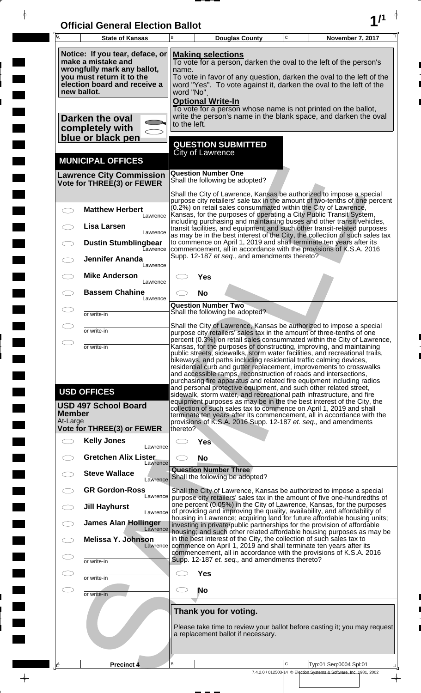| <b>Official General Election Ballot</b> |  |
|-----------------------------------------|--|
|                                         |  |

 $\overline{\phantom{a}}$ 

 $\Box$ 

 $\blacksquare$ 

 $\overline{\phantom{a}}$ 

 $\blacksquare$ 

 $\frac{1}{2}$ 

 $\frac{1}{\sqrt{2\pi}}$ 

| Ā                         | <b>State of Kansas</b>                                                                                                                            | B        |                                                                                                                                                                                                                                                      | <b>Douglas County</b>                          | C | November 7, 2017                                                                                                                                                                                                                                                                                                                                                    |  |  |  |
|---------------------------|---------------------------------------------------------------------------------------------------------------------------------------------------|----------|------------------------------------------------------------------------------------------------------------------------------------------------------------------------------------------------------------------------------------------------------|------------------------------------------------|---|---------------------------------------------------------------------------------------------------------------------------------------------------------------------------------------------------------------------------------------------------------------------------------------------------------------------------------------------------------------------|--|--|--|
| new ballot.               | Notice: If you tear, deface, or<br>make a mistake and<br>wrongfully mark any ballot,<br>you must return it to the<br>election board and receive a |          | <b>Making selections</b><br>To vote for a person, darken the oval to the left of the person's<br>name.<br>To vote in favor of any question, darken the oval to the left of the<br>word "Yes". To vote against it, darken the oval to the left of the |                                                |   |                                                                                                                                                                                                                                                                                                                                                                     |  |  |  |
|                           | Darken the oval<br>completely with<br>blue or black pen                                                                                           |          | word "No".<br><b>Optional Write-In</b><br>To vote for a person whose name is not printed on the ballot,<br>write the person's name in the blank space, and darken the oval<br>to the left.                                                           |                                                |   |                                                                                                                                                                                                                                                                                                                                                                     |  |  |  |
|                           | <b>MUNICIPAL OFFICES</b>                                                                                                                          |          | <b>QUESTION SUBMITTED</b><br>City of Lawrence                                                                                                                                                                                                        |                                                |   |                                                                                                                                                                                                                                                                                                                                                                     |  |  |  |
|                           | <b>Lawrence City Commission</b><br>Vote for THREE(3) or FEWER                                                                                     |          | <b>Question Number One</b><br>Shall the following be adopted?                                                                                                                                                                                        |                                                |   |                                                                                                                                                                                                                                                                                                                                                                     |  |  |  |
| $\bigcirc$                | <b>Matthew Herbert</b>                                                                                                                            |          |                                                                                                                                                                                                                                                      |                                                |   | Shall the City of Lawrence, Kansas be authorized to impose a special<br>purpose city retailers' sale tax in the amount of two-tenths of one percent<br>(0.2%) on retail sales consummated within the City of Lawrence,                                                                                                                                              |  |  |  |
|                           | Lawrence<br>Lisa Larsen                                                                                                                           |          |                                                                                                                                                                                                                                                      |                                                |   | Kansas, for the purposes of operating a City Public Transit System,<br>including purchasing and maintaining buses and other transit vehicles,<br>transit facilities, and equipment and such other transit-related purposes                                                                                                                                          |  |  |  |
|                           | Lawrence<br><b>Dustin Stumblingbear</b><br>Lawrence                                                                                               |          |                                                                                                                                                                                                                                                      |                                                |   | as may be in the best interest of the City, the collection of such sales tax<br>to commence on April 1, 2019 and shall terminate ten years after its<br>commencement, all in accordance with the provisions of K.S.A. 2016                                                                                                                                          |  |  |  |
|                           | <b>Jennifer Ananda</b><br>Lawrence                                                                                                                |          |                                                                                                                                                                                                                                                      | Supp. 12-187 et seq., and amendments thereto?  |   |                                                                                                                                                                                                                                                                                                                                                                     |  |  |  |
|                           | <b>Mike Anderson</b><br>Lawrence                                                                                                                  |          | Yes                                                                                                                                                                                                                                                  |                                                |   |                                                                                                                                                                                                                                                                                                                                                                     |  |  |  |
|                           | <b>Bassem Chahine</b><br>Lawrence                                                                                                                 |          | <b>No</b><br><b>Question Number Two</b>                                                                                                                                                                                                              |                                                |   |                                                                                                                                                                                                                                                                                                                                                                     |  |  |  |
|                           | or write-in                                                                                                                                       |          | Shall the following be adopted?                                                                                                                                                                                                                      |                                                |   |                                                                                                                                                                                                                                                                                                                                                                     |  |  |  |
|                           | or write-in                                                                                                                                       |          |                                                                                                                                                                                                                                                      |                                                |   | Shall the City of Lawrence, Kansas be authorized to impose a special<br>purpose city retailers' sales tax in the amount of three-tenths of one                                                                                                                                                                                                                      |  |  |  |
| $\bigcirc$                | or write-in                                                                                                                                       |          |                                                                                                                                                                                                                                                      |                                                |   | percent (0.3%) on retail sales consummated within the City of Lawrence,<br>Kansas, for the purposes of constructing, improving, and maintaining<br>public streets, sidewalks, storm water facilities, and recreational trails,                                                                                                                                      |  |  |  |
|                           | <b>USD OFFICES</b>                                                                                                                                |          |                                                                                                                                                                                                                                                      |                                                |   | bikeways, and paths including residential traffic calming devices,<br>residential curb and gutter replacement, improvements to crosswalks<br>and accessible ramps, reconstruction of roads and intersections,<br>purchasing fire apparatus and related fire equipment including radios<br>and personal protective equipment, and such other related street,         |  |  |  |
| <b>Member</b><br>At-Large | <b>USD 497 School Board</b>                                                                                                                       |          |                                                                                                                                                                                                                                                      |                                                |   | sidewalk, storm water, and recreational path infrastructure, and fire<br>equipment purposes as may be in the the best interest of the City, the<br>collection of such sales tax to commence on April 1, 2019 and shall<br>terminate ten years after its commencement, all in accordance with the<br>provisions of K.S.A. 2016 Supp. 12-187 et. seq., and amendments |  |  |  |
|                           | Vote for THREE(3) or FEWER                                                                                                                        | thereto? |                                                                                                                                                                                                                                                      |                                                |   |                                                                                                                                                                                                                                                                                                                                                                     |  |  |  |
| $\overline{\phantom{m}}$  | <b>Kelly Jones</b><br>Lawrence<br><b>Gretchen Alix Lister</b>                                                                                     |          | Yes<br><b>No</b>                                                                                                                                                                                                                                     |                                                |   |                                                                                                                                                                                                                                                                                                                                                                     |  |  |  |
|                           | Lawrence<br><b>Steve Wallace</b><br>Lawrence                                                                                                      |          | <b>Question Number Three</b><br>Shall the following be adopted?                                                                                                                                                                                      |                                                |   |                                                                                                                                                                                                                                                                                                                                                                     |  |  |  |
|                           | <b>GR Gordon-Ross</b><br>Lawrence                                                                                                                 |          |                                                                                                                                                                                                                                                      |                                                |   | Shall the City of Lawrence, Kansas be authorized to impose a special<br>purpose city retailers' sales tax in the amount of five one-hundredths of                                                                                                                                                                                                                   |  |  |  |
| Œ                         | <b>Jill Hayhurst</b><br>Lawrence                                                                                                                  |          |                                                                                                                                                                                                                                                      |                                                |   | one percent (0.05%) in the City of Lawrence, Kansas, for the purposes<br>of providing and improving the quality, availability, and affordability of<br>housing in Lawrence; acquiring land for future affordable housing units;                                                                                                                                     |  |  |  |
|                           | <b>James Alan Hollinger</b><br>Lawrence                                                                                                           |          |                                                                                                                                                                                                                                                      |                                                |   | investing in private/public partnerships for the provision of affordable<br>housing; and such other related affordable housing purposes as may be                                                                                                                                                                                                                   |  |  |  |
|                           | <b>Melissa Y. Johnson</b><br>Lawrence                                                                                                             |          |                                                                                                                                                                                                                                                      |                                                |   | in the best interest of the City, the collection of such sales tax to<br>commence on April 1, 2019 and shall terminate ten years after its<br>commencement, all in accordance with the provisions of K.S.A. 2016                                                                                                                                                    |  |  |  |
| $\subset$                 | or write-in                                                                                                                                       |          |                                                                                                                                                                                                                                                      | Supp. 12-187 et. seq., and amendments thereto? |   |                                                                                                                                                                                                                                                                                                                                                                     |  |  |  |
| Œ<br>ㅡ                    | or write-in                                                                                                                                       | C D      | <b>Yes</b><br><b>No</b>                                                                                                                                                                                                                              |                                                |   |                                                                                                                                                                                                                                                                                                                                                                     |  |  |  |
|                           | or write-in                                                                                                                                       |          |                                                                                                                                                                                                                                                      |                                                |   |                                                                                                                                                                                                                                                                                                                                                                     |  |  |  |
|                           |                                                                                                                                                   |          | Thank you for voting.<br>a replacement ballot if necessary.                                                                                                                                                                                          |                                                |   | Please take time to review your ballot before casting it; you may request                                                                                                                                                                                                                                                                                           |  |  |  |
| $\Delta$                  | Precinct 4                                                                                                                                        | В        |                                                                                                                                                                                                                                                      |                                                | С | Typ:01 Seq:0004 Spl:01                                                                                                                                                                                                                                                                                                                                              |  |  |  |
|                           |                                                                                                                                                   |          |                                                                                                                                                                                                                                                      |                                                |   | 7.4.2.0 / 012503-14 © Election Systems & Software, Inc. 1981, 2002                                                                                                                                                                                                                                                                                                  |  |  |  |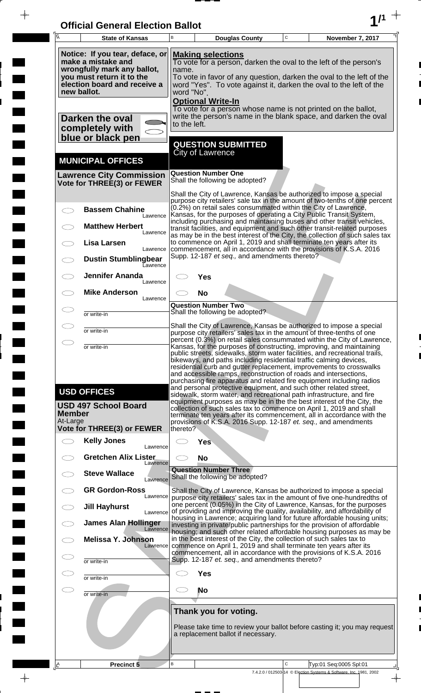| <b>Official General Election Ballot</b> |  |
|-----------------------------------------|--|
|                                         |  |

 $\bar{\phantom{a}}$ 

 $\overline{\phantom{a}}$ 

 $\Box$ 

 $\blacksquare$ 

 $\blacksquare$ 

 $\blacksquare$ 

 $\frac{1}{2}$ 

 $\frac{1}{\sqrt{2\pi}}$ 

| $\overline{\mathsf{A}}$   | <b>State of Kansas</b>                                                                                                                                           | B                   |                                                      | <b>Douglas County</b>                                       | $\mathbf C$ | November 7, 2017                                                                                                                                                                                                                                                                                                                                                                                                                                                                                                         |
|---------------------------|------------------------------------------------------------------------------------------------------------------------------------------------------------------|---------------------|------------------------------------------------------|-------------------------------------------------------------|-------------|--------------------------------------------------------------------------------------------------------------------------------------------------------------------------------------------------------------------------------------------------------------------------------------------------------------------------------------------------------------------------------------------------------------------------------------------------------------------------------------------------------------------------|
|                           | Notice: If you tear, deface, or<br>make a mistake and<br>wrongfully mark any ballot,<br>you must return it to the<br>election board and receive a<br>new ballot. | name.<br>word "No". | <b>Making selections</b><br><b>Optional Write-In</b> |                                                             |             | To vote for a person, darken the oval to the left of the person's<br>To vote in favor of any question, darken the oval to the left of the<br>word "Yes". To vote against it, darken the oval to the left of the                                                                                                                                                                                                                                                                                                          |
|                           | Darken the oval<br>completely with<br>blue or black pen                                                                                                          | to the left.        |                                                      |                                                             |             | To vote for a person whose name is not printed on the ballot,<br>write the person's name in the blank space, and darken the oval                                                                                                                                                                                                                                                                                                                                                                                         |
|                           | <b>MUNICIPAL OFFICES</b>                                                                                                                                         |                     | <b>City of Lawrence</b>                              | <b>QUESTION SUBMITTED</b>                                   |             |                                                                                                                                                                                                                                                                                                                                                                                                                                                                                                                          |
|                           | <b>Lawrence City Commission</b><br>Vote for THREE(3) or FEWER                                                                                                    |                     | <b>Question Number One</b>                           | Shall the following be adopted?                             |             |                                                                                                                                                                                                                                                                                                                                                                                                                                                                                                                          |
|                           | <b>Bassem Chahine</b><br>Lawrence                                                                                                                                |                     |                                                      |                                                             |             | Shall the City of Lawrence, Kansas be authorized to impose a special<br>purpose city retailers' sale tax in the amount of two-tenths of one percent<br>(0.2%) on retail sales consummated within the City of Lawrence,<br>Kansas, for the purposes of operating a City Public Transit System,<br>including purchasing and maintaining buses and other transit vehicles,                                                                                                                                                  |
|                           | <b>Matthew Herbert</b><br>Lawrence<br><b>Lisa Larsen</b>                                                                                                         |                     |                                                      |                                                             |             | transit facilities, and equipment and such other transit-related purposes<br>as may be in the best interest of the City, the collection of such sales tax<br>to commence on April 1, 2019 and shall terminate ten years after its                                                                                                                                                                                                                                                                                        |
|                           | Lawrence<br><b>Dustin Stumblingbear</b><br>Eawrence                                                                                                              |                     |                                                      | Supp. 12-187 et seq., and amendments thereto?               |             | commencement, all in accordance with the provisions of K.S.A. 2016                                                                                                                                                                                                                                                                                                                                                                                                                                                       |
|                           | <b>Jennifer Ananda</b><br>Lawrence<br><b>Mike Anderson</b>                                                                                                       |                     | Yes<br><b>No</b>                                     |                                                             |             |                                                                                                                                                                                                                                                                                                                                                                                                                                                                                                                          |
|                           | Lawrence<br>or write-in                                                                                                                                          |                     | <b>Question Number Two</b>                           | Shall the following be adopted?                             |             |                                                                                                                                                                                                                                                                                                                                                                                                                                                                                                                          |
|                           | or write-in                                                                                                                                                      |                     |                                                      |                                                             |             | Shall the City of Lawrence, Kansas be authorized to impose a special<br>purpose city retailers' sales tax in the amount of three-tenths of one                                                                                                                                                                                                                                                                                                                                                                           |
| $\bigcirc$                | or write-in                                                                                                                                                      |                     |                                                      |                                                             |             | percent (0.3%) on retail sales consummated within the City of Lawrence,<br>Kansas, for the purposes of constructing, improving, and maintaining<br>public streets, sidewalks, storm water facilities, and recreational trails,<br>bikeways, and paths including residential traffic calming devices,<br>residential curb and gutter replacement, improvements to crosswalks<br>and accessible ramps, reconstruction of roads and intersections,<br>purchasing fire apparatus and related fire equipment including radios |
| <b>Member</b><br>At-Large | <b>USD OFFICES</b><br><b>USD 497 School Board</b>                                                                                                                |                     |                                                      |                                                             |             | and personal protective equipment, and such other related street,<br>sidewalk, storm water, and recreational path infrastructure, and fire<br>equipment purposes as may be in the the best interest of the City, the<br>collection of such sales tax to commence on April 1, 2019 and shall<br>terminate ten years after its commencement, all in accordance with the<br>provisions of K.S.A. 2016 Supp. 12-187 et. seq., and amendments                                                                                 |
|                           | <b>Vote for THREE(3) or FEWER</b><br><b>Kelly Jones</b>                                                                                                          | thereto?            | <b>Yes</b>                                           |                                                             |             |                                                                                                                                                                                                                                                                                                                                                                                                                                                                                                                          |
|                           | Lawrence<br><b>Gretchen Alix Lister</b><br>Lawrence                                                                                                              |                     | <b>No</b>                                            |                                                             |             |                                                                                                                                                                                                                                                                                                                                                                                                                                                                                                                          |
|                           | <b>Steve Wallace</b><br>Lawrence                                                                                                                                 |                     | <b>Question Number Three</b>                         | Shall the following be adopted?                             |             |                                                                                                                                                                                                                                                                                                                                                                                                                                                                                                                          |
|                           | <b>GR Gordon-Ross</b><br>Lawrence                                                                                                                                |                     |                                                      |                                                             |             | Shall the City of Lawrence, Kansas be authorized to impose a special<br>purpose city retailers' sales tax in the amount of five one-hundredths of<br>one percent (0.05%) in the City of Lawrence, Kansas, for the purposes                                                                                                                                                                                                                                                                                               |
|                           | <b>Jill Hayhurst</b><br>Lawrence<br><b>James Alan Hollinger</b>                                                                                                  |                     |                                                      |                                                             |             | of providing and improving the quality, availability, and affordability of<br>housing in Lawrence; acquiring land for future affordable housing units;<br>investing in private/public partnerships for the provision of affordable                                                                                                                                                                                                                                                                                       |
|                           | Lawrence<br><b>Melissa Y. Johnson</b><br>Lawrence                                                                                                                |                     |                                                      |                                                             |             | housing; and such other related affordable housing purposes as may be<br>in the best interest of the City, the collection of such sales tax to<br>commence on April 1, 2019 and shall terminate ten years after its                                                                                                                                                                                                                                                                                                      |
|                           | or write-in                                                                                                                                                      |                     |                                                      | Supp. 12-187 et. seq., and amendments thereto?              |             | commencement, all in accordance with the provisions of K.S.A. 2016                                                                                                                                                                                                                                                                                                                                                                                                                                                       |
|                           | or write-in                                                                                                                                                      |                     | <b>Yes</b>                                           |                                                             |             |                                                                                                                                                                                                                                                                                                                                                                                                                                                                                                                          |
| CD                        | or write-in                                                                                                                                                      |                     | No                                                   |                                                             |             |                                                                                                                                                                                                                                                                                                                                                                                                                                                                                                                          |
|                           |                                                                                                                                                                  |                     |                                                      | Thank you for voting.<br>a replacement ballot if necessary. |             | Please take time to review your ballot before casting it; you may request                                                                                                                                                                                                                                                                                                                                                                                                                                                |
| ¦LA                       | Precinct 5                                                                                                                                                       | B                   |                                                      |                                                             | C           | Typ:01 Seq:0005 Spl:01                                                                                                                                                                                                                                                                                                                                                                                                                                                                                                   |
|                           |                                                                                                                                                                  |                     |                                                      |                                                             |             | 7.4.2.0 / 012503-14 © Election Systems & Software, Inc. 1981, 2002                                                                                                                                                                                                                                                                                                                                                                                                                                                       |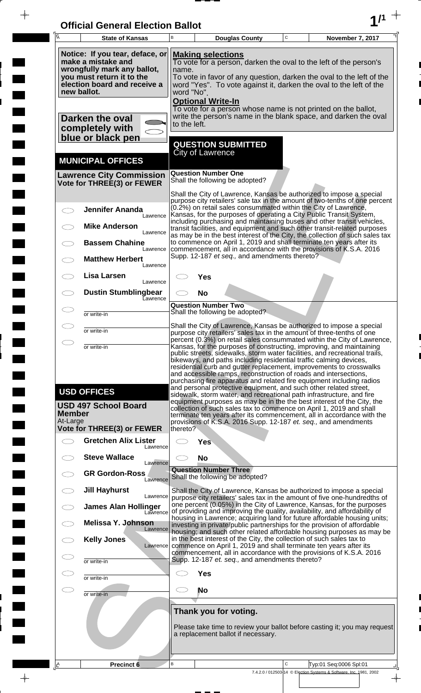| <b>Official General Election Ballot</b> |  |
|-----------------------------------------|--|
|                                         |  |

 $\overline{\phantom{a}}$ 

 $\blacksquare$ 

E

 $\blacksquare$ 

 $\frac{1}{2}$ 

 $\frac{1}{\sqrt{2\pi}}\int_{0}^{\frac{1}{2}}\frac{1}{\sqrt{2\pi}}\left( \frac{1}{\sqrt{2\pi}}\right) \frac{1}{\sqrt{2\pi}}\left( \frac{1}{\sqrt{2\pi}}\right) \frac{1}{\sqrt{2\pi}}\int_{0}^{\frac{1}{2}}\frac{1}{\sqrt{2\pi}}\left( \frac{1}{\sqrt{2\pi}}\right) \frac{1}{\sqrt{2\pi}}\frac{1}{\sqrt{2\pi}}\frac{1}{\sqrt{2\pi}}\frac{1}{\sqrt{2\pi}}\frac{1}{\sqrt{2\pi}}\frac{1}{\sqrt{2\pi}}\frac{1}{\sqrt{$ 

| Ā                         | <b>State of Kansas</b>                                                                                                                            | B                          |                                         | <b>Douglas County</b>                          | $\mathbf C$ | November 7, 2017                                                                                                                                                                                                                                                                                                                                                                                                                              |
|---------------------------|---------------------------------------------------------------------------------------------------------------------------------------------------|----------------------------|-----------------------------------------|------------------------------------------------|-------------|-----------------------------------------------------------------------------------------------------------------------------------------------------------------------------------------------------------------------------------------------------------------------------------------------------------------------------------------------------------------------------------------------------------------------------------------------|
|                           | Notice: If you tear, deface, or<br>make a mistake and<br>wrongfully mark any ballot,<br>you must return it to the<br>election board and receive a | name.                      | <b>Making selections</b>                |                                                |             | To vote for a person, darken the oval to the left of the person's<br>To vote in favor of any question, darken the oval to the left of the<br>word "Yes". To vote against it, darken the oval to the left of the                                                                                                                                                                                                                               |
|                           | new ballot.<br>Darken the oval                                                                                                                    | word "No".<br>to the left. | <b>Optional Write-In</b>                |                                                |             | To vote for a person whose name is not printed on the ballot,<br>write the person's name in the blank space, and darken the oval                                                                                                                                                                                                                                                                                                              |
|                           | completely with<br>blue or black pen                                                                                                              |                            |                                         | <b>QUESTION SUBMITTED</b>                      |             |                                                                                                                                                                                                                                                                                                                                                                                                                                               |
|                           | <b>MUNICIPAL OFFICES</b>                                                                                                                          |                            | <b>City of Lawrence</b>                 |                                                |             |                                                                                                                                                                                                                                                                                                                                                                                                                                               |
|                           | <b>Lawrence City Commission</b><br>Vote for THREE(3) or FEWER                                                                                     |                            | <b>Question Number One</b>              | Shall the following be adopted?                |             |                                                                                                                                                                                                                                                                                                                                                                                                                                               |
|                           | <b>Jennifer Ananda</b><br>Lawrence                                                                                                                |                            |                                         |                                                |             | Shall the City of Lawrence, Kansas be authorized to impose a special<br>purpose city retailers' sale tax in the amount of two-tenths of one percent<br>(0.2%) on retail sales consummated within the City of Lawrence,<br>Kansas, for the purposes of operating a City Public Transit System,                                                                                                                                                 |
|                           | <b>Mike Anderson</b><br>Lawrence                                                                                                                  |                            |                                         |                                                |             | including purchasing and maintaining buses and other transit vehicles,<br>transit facilities, and equipment and such other transit-related purposes<br>as may be in the best interest of the City, the collection of such sales tax                                                                                                                                                                                                           |
|                           | <b>Bassem Chahine</b><br>Lawrence<br><b>Matthew Herbert</b>                                                                                       |                            |                                         | Supp. 12-187 et seq., and amendments thereto?  |             | to commence on April 1, 2019 and shall terminate ten years after its<br>commencement, all in accordance with the provisions of K.S.A. 2016                                                                                                                                                                                                                                                                                                    |
|                           | Lawrence<br>Lisa Larsen<br>Lawrence                                                                                                               |                            | Yes                                     |                                                |             |                                                                                                                                                                                                                                                                                                                                                                                                                                               |
|                           | <b>Dustin Stumblingbear</b><br>Eawrence                                                                                                           |                            | <b>No</b><br><b>Question Number Two</b> |                                                |             |                                                                                                                                                                                                                                                                                                                                                                                                                                               |
|                           | or write-in                                                                                                                                       |                            |                                         | Shall the following be adopted?                |             | Shall the City of Lawrence, Kansas be authorized to impose a special                                                                                                                                                                                                                                                                                                                                                                          |
|                           | or write-in                                                                                                                                       |                            |                                         |                                                |             | purpose city retailers' sales tax in the amount of three-tenths of one<br>percent (0.3%) on retail sales consummated within the City of Lawrence,                                                                                                                                                                                                                                                                                             |
|                           | or write-in                                                                                                                                       |                            |                                         |                                                |             | Kansas, for the purposes of constructing, improving, and maintaining<br>public streets, sidewalks, storm water facilities, and recreational trails,<br>bikeways, and paths including residential traffic calming devices,<br>residential curb and gutter replacement, improvements to crosswalks<br>and accessible ramps, reconstruction of roads and intersections,<br>purchasing fire apparatus and related fire equipment including radios |
| <b>Member</b><br>At-Large | <b>USD OFFICES</b><br><b>USD 497 School Board</b>                                                                                                 |                            |                                         |                                                |             | and personal protective equipment, and such other related street,<br>sidewalk, storm water, and recreational path infrastructure, and fire<br>equipment purposes as may be in the the best interest of the City, the<br>collection of such sales tax to commence on April 1, 2019 and shall<br>terminate ten years after its commencement, all in accordance with the<br>provisions of K.S.A. 2016 Supp. 12-187 et. seq., and amendments      |
|                           | <b>Vote for THREE(3) or FEWER</b><br><b>Gretchen Alix Lister</b>                                                                                  | thereto?                   | <b>Yes</b>                              |                                                |             |                                                                                                                                                                                                                                                                                                                                                                                                                                               |
|                           | Lawrence<br><b>Steve Wallace</b><br>Lawrence                                                                                                      |                            | <b>No</b>                               |                                                |             |                                                                                                                                                                                                                                                                                                                                                                                                                                               |
|                           | <b>GR Gordon-Ross</b><br>Lawrence                                                                                                                 |                            | <b>Question Number Three</b>            | Shall the following be adopted?                |             |                                                                                                                                                                                                                                                                                                                                                                                                                                               |
|                           | <b>Jill Hayhurst</b><br>Lawrence<br><b>James Alan Hollinger</b>                                                                                   |                            |                                         |                                                |             | Shall the City of Lawrence, Kansas be authorized to impose a special<br>purpose city retailers' sales tax in the amount of five one-hundredths of<br>one percent (0.05%) in the City of Lawrence, Kansas, for the purposes                                                                                                                                                                                                                    |
|                           | Lawrence<br><b>Melissa Y. Johnson</b>                                                                                                             |                            |                                         |                                                |             | of providing and improving the quality, availability, and affordability of<br>housing in Lawrence; acquiring land for future affordable housing units;<br>investing in private/public partnerships for the provision of affordable                                                                                                                                                                                                            |
|                           | Lawrence<br><b>Kelly Jones</b><br>Lawrence                                                                                                        |                            |                                         |                                                |             | housing; and such other related affordable housing purposes as may be<br>in the best interest of the City, the collection of such sales tax to<br>commence on April 1, 2019 and shall terminate ten years after its                                                                                                                                                                                                                           |
|                           | or write-in                                                                                                                                       |                            |                                         | Supp. 12-187 et. seq., and amendments thereto? |             | commencement, all in accordance with the provisions of K.S.A. 2016                                                                                                                                                                                                                                                                                                                                                                            |
|                           | or write-in                                                                                                                                       |                            | <b>Yes</b><br><b>No</b>                 |                                                |             |                                                                                                                                                                                                                                                                                                                                                                                                                                               |
|                           | or write-in                                                                                                                                       |                            | Thank you for voting.                   |                                                |             |                                                                                                                                                                                                                                                                                                                                                                                                                                               |
|                           |                                                                                                                                                   |                            |                                         | a replacement ballot if necessary.             |             | Please take time to review your ballot before casting it; you may request                                                                                                                                                                                                                                                                                                                                                                     |
| ΙÊ                        | Precinct 6                                                                                                                                        | B                          |                                         |                                                | C           | Typ:01 Seq:0006 Spl:01<br>7.4.2.0 / 012503-14 © Election Systems & Software, Inc. 1981, 2002                                                                                                                                                                                                                                                                                                                                                  |

 $\frac{1}{\sqrt{2}}$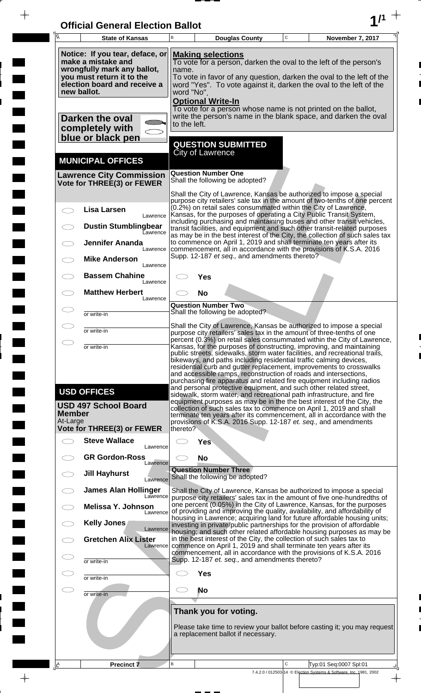| <b>Official General Election Ballot</b> |  |
|-----------------------------------------|--|
|                                         |  |

 $\bar{\phantom{a}}$ 

 $\overline{\phantom{a}}$ 

 $\Box$ 

 $\blacksquare$ 

 $\blacksquare$ 

 $\frac{1}{2}$ 

 $\frac{1}{\sqrt{2\pi}}\int_{0}^{\pi}\frac{1}{\sqrt{2\pi}}\left( \frac{1}{\sqrt{2\pi}}\right) \frac{d\mu}{d\mu}d\mu$ 

| $\overline{\mathsf{A}}$   | <b>State of Kansas</b>                                                                                                                                           | B                                                                                                                                                                                                                                                                                                                                                                                                                                                                                                                                                                                                            | <b>Douglas County</b>                                                                                                                                                                                                                                                                                                                                                                                                                                                                                                                                                                                                                                                                                                                                                                                                                                                                     | $\mathbf C$ | November 7, 2017                                                                             |  |  |  |
|---------------------------|------------------------------------------------------------------------------------------------------------------------------------------------------------------|--------------------------------------------------------------------------------------------------------------------------------------------------------------------------------------------------------------------------------------------------------------------------------------------------------------------------------------------------------------------------------------------------------------------------------------------------------------------------------------------------------------------------------------------------------------------------------------------------------------|-------------------------------------------------------------------------------------------------------------------------------------------------------------------------------------------------------------------------------------------------------------------------------------------------------------------------------------------------------------------------------------------------------------------------------------------------------------------------------------------------------------------------------------------------------------------------------------------------------------------------------------------------------------------------------------------------------------------------------------------------------------------------------------------------------------------------------------------------------------------------------------------|-------------|----------------------------------------------------------------------------------------------|--|--|--|
|                           | Notice: If you tear, deface, or<br>make a mistake and<br>wrongfully mark any ballot,<br>you must return it to the<br>election board and receive a<br>new ballot. | <b>Making selections</b><br>To vote for a person, darken the oval to the left of the person's<br>name.<br>To vote in favor of any question, darken the oval to the left of the<br>word "Yes". To vote against it, darken the oval to the left of the<br>word "No".<br><b>Optional Write-In</b>                                                                                                                                                                                                                                                                                                               |                                                                                                                                                                                                                                                                                                                                                                                                                                                                                                                                                                                                                                                                                                                                                                                                                                                                                           |             |                                                                                              |  |  |  |
|                           | Darken the oval<br>completely with<br>blue or black pen                                                                                                          |                                                                                                                                                                                                                                                                                                                                                                                                                                                                                                                                                                                                              | To vote for a person whose name is not printed on the ballot,<br>write the person's name in the blank space, and darken the oval<br>to the left.                                                                                                                                                                                                                                                                                                                                                                                                                                                                                                                                                                                                                                                                                                                                          |             |                                                                                              |  |  |  |
|                           |                                                                                                                                                                  |                                                                                                                                                                                                                                                                                                                                                                                                                                                                                                                                                                                                              | <b>QUESTION SUBMITTED</b><br><b>City of Lawrence</b>                                                                                                                                                                                                                                                                                                                                                                                                                                                                                                                                                                                                                                                                                                                                                                                                                                      |             |                                                                                              |  |  |  |
|                           | <b>MUNICIPAL OFFICES</b><br><b>Lawrence City Commission</b>                                                                                                      |                                                                                                                                                                                                                                                                                                                                                                                                                                                                                                                                                                                                              | <b>Question Number One</b>                                                                                                                                                                                                                                                                                                                                                                                                                                                                                                                                                                                                                                                                                                                                                                                                                                                                |             |                                                                                              |  |  |  |
|                           | Vote for THREE(3) or FEWER                                                                                                                                       |                                                                                                                                                                                                                                                                                                                                                                                                                                                                                                                                                                                                              | Shall the following be adopted?                                                                                                                                                                                                                                                                                                                                                                                                                                                                                                                                                                                                                                                                                                                                                                                                                                                           |             |                                                                                              |  |  |  |
|                           | <b>Lisa Larsen</b><br>Lawrence<br><b>Dustin Stumblingbear</b><br><b>Lawrence</b><br><b>Jennifer Ananda</b>                                                       | Shall the City of Lawrence, Kansas be authorized to impose a special<br>purpose city retailers' sale tax in the amount of two-tenths of one percent<br>(0.2%) on retail sales consummated within the City of Lawrence,<br>Kansas, for the purposes of operating a City Public Transit System,<br>including purchasing and maintaining buses and other transit vehicles,<br>transit facilities, and equipment and such other transit-related purposes<br>as may be in the best interest of the City, the collection of such sales tax<br>to commence on April 1, 2019 and shall terminate ten years after its |                                                                                                                                                                                                                                                                                                                                                                                                                                                                                                                                                                                                                                                                                                                                                                                                                                                                                           |             |                                                                                              |  |  |  |
|                           | Lawrence<br><b>Mike Anderson</b><br>Lawrence                                                                                                                     |                                                                                                                                                                                                                                                                                                                                                                                                                                                                                                                                                                                                              | commencement, all in accordance with the provisions of K.S.A. 2016<br>Supp. 12-187 et seq., and amendments thereto?                                                                                                                                                                                                                                                                                                                                                                                                                                                                                                                                                                                                                                                                                                                                                                       |             |                                                                                              |  |  |  |
|                           | <b>Bassem Chahine</b><br>Lawrence                                                                                                                                |                                                                                                                                                                                                                                                                                                                                                                                                                                                                                                                                                                                                              | <b>Yes</b>                                                                                                                                                                                                                                                                                                                                                                                                                                                                                                                                                                                                                                                                                                                                                                                                                                                                                |             |                                                                                              |  |  |  |
|                           | <b>Matthew Herbert</b><br>Lawrence                                                                                                                               |                                                                                                                                                                                                                                                                                                                                                                                                                                                                                                                                                                                                              | <b>No</b>                                                                                                                                                                                                                                                                                                                                                                                                                                                                                                                                                                                                                                                                                                                                                                                                                                                                                 |             |                                                                                              |  |  |  |
|                           | or write-in                                                                                                                                                      |                                                                                                                                                                                                                                                                                                                                                                                                                                                                                                                                                                                                              | <b>Question Number Two</b><br>Shall the following be adopted?                                                                                                                                                                                                                                                                                                                                                                                                                                                                                                                                                                                                                                                                                                                                                                                                                             |             |                                                                                              |  |  |  |
|                           | or write-in                                                                                                                                                      |                                                                                                                                                                                                                                                                                                                                                                                                                                                                                                                                                                                                              | Shall the City of Lawrence, Kansas be authorized to impose a special<br>purpose city retailers' sales tax in the amount of three-tenths of one<br>percent (0.3%) on retail sales consummated within the City of Lawrence                                                                                                                                                                                                                                                                                                                                                                                                                                                                                                                                                                                                                                                                  |             |                                                                                              |  |  |  |
| <b>Member</b><br>At-Large | or write-in<br><b>USD OFFICES</b><br><b>USD 497 School Board</b><br>Vote for THREE(3) or FEWER                                                                   | thereto?                                                                                                                                                                                                                                                                                                                                                                                                                                                                                                                                                                                                     | Kansas, for the purposes of constructing, improving, and maintaining<br>public streets, sidewalks, storm water facilities, and recreational trails,<br>bikeways, and paths including residential traffic calming devices,<br>residential curb and gutter replacement, improvements to crosswalks<br>and accessible ramps, reconstruction of roads and intersections,<br>purchasing fire apparatus and related fire equipment including radios<br>and personal protective equipment, and such other related street,<br>sidewalk, storm water, and recreational path infrastructure, and fire<br>equipment purposes as may be in the the best interest of the City, the<br>collection of such sales tax to commence on April 1, 2019 and shall<br>terminate ten years after its commencement, all in accordance with the<br>provisions of K.S.A. 2016 Supp. 12-187 et. seq., and amendments |             |                                                                                              |  |  |  |
|                           | <b>Steve Wallace</b><br>Lawrence                                                                                                                                 |                                                                                                                                                                                                                                                                                                                                                                                                                                                                                                                                                                                                              | <b>Yes</b>                                                                                                                                                                                                                                                                                                                                                                                                                                                                                                                                                                                                                                                                                                                                                                                                                                                                                |             |                                                                                              |  |  |  |
|                           | <b>GR Gordon-Ross</b><br>Lawrence                                                                                                                                | <b>No</b>                                                                                                                                                                                                                                                                                                                                                                                                                                                                                                                                                                                                    |                                                                                                                                                                                                                                                                                                                                                                                                                                                                                                                                                                                                                                                                                                                                                                                                                                                                                           |             |                                                                                              |  |  |  |
|                           | <b>Jill Hayhurst</b><br>Lawrence                                                                                                                                 |                                                                                                                                                                                                                                                                                                                                                                                                                                                                                                                                                                                                              | <b>Question Number Three</b><br>Shall the following be adopted?                                                                                                                                                                                                                                                                                                                                                                                                                                                                                                                                                                                                                                                                                                                                                                                                                           |             |                                                                                              |  |  |  |
|                           | <b>James Alan Hollinger</b><br>Lawrence<br>Melissa Y. Johnson                                                                                                    | Shall the City of Lawrence, Kansas be authorized to impose a special<br>purpose city retailers' sales tax in the amount of five one-hundredths of<br>one percent (0.05%) in the City of Lawrence, Kansas, for the purposes                                                                                                                                                                                                                                                                                                                                                                                   |                                                                                                                                                                                                                                                                                                                                                                                                                                                                                                                                                                                                                                                                                                                                                                                                                                                                                           |             |                                                                                              |  |  |  |
|                           | Lawrence<br>Kelly Jones                                                                                                                                          |                                                                                                                                                                                                                                                                                                                                                                                                                                                                                                                                                                                                              | of providing and improving the quality, availability, and affordability of<br>housing in Lawrence; acquiring land for future affordable housing units;<br>investing in private/public partnerships for the provision of affordable                                                                                                                                                                                                                                                                                                                                                                                                                                                                                                                                                                                                                                                        |             |                                                                                              |  |  |  |
|                           | Lawrence<br><b>Gretchen Alix Lister</b><br>Lawrence                                                                                                              | housing; and such other related affordable housing purposes as may be<br>in the best interest of the City, the collection of such sales tax to<br>commence on April 1, 2019 and shall terminate ten years after its                                                                                                                                                                                                                                                                                                                                                                                          |                                                                                                                                                                                                                                                                                                                                                                                                                                                                                                                                                                                                                                                                                                                                                                                                                                                                                           |             |                                                                                              |  |  |  |
|                           | or write-in                                                                                                                                                      |                                                                                                                                                                                                                                                                                                                                                                                                                                                                                                                                                                                                              | commencement, all in accordance with the provisions of K.S.A. 2016<br>Supp. 12-187 et. seq., and amendments thereto?                                                                                                                                                                                                                                                                                                                                                                                                                                                                                                                                                                                                                                                                                                                                                                      |             |                                                                                              |  |  |  |
|                           | or write-in                                                                                                                                                      | <b>Yes</b>                                                                                                                                                                                                                                                                                                                                                                                                                                                                                                                                                                                                   |                                                                                                                                                                                                                                                                                                                                                                                                                                                                                                                                                                                                                                                                                                                                                                                                                                                                                           |             |                                                                                              |  |  |  |
| C. P                      | or write-in                                                                                                                                                      |                                                                                                                                                                                                                                                                                                                                                                                                                                                                                                                                                                                                              | <b>No</b>                                                                                                                                                                                                                                                                                                                                                                                                                                                                                                                                                                                                                                                                                                                                                                                                                                                                                 |             |                                                                                              |  |  |  |
|                           |                                                                                                                                                                  | Thank you for voting.<br>Please take time to review your ballot before casting it; you may request<br>a replacement ballot if necessary.                                                                                                                                                                                                                                                                                                                                                                                                                                                                     |                                                                                                                                                                                                                                                                                                                                                                                                                                                                                                                                                                                                                                                                                                                                                                                                                                                                                           |             |                                                                                              |  |  |  |
| <u> A</u>                 | <b>Precinct 7</b>                                                                                                                                                | В                                                                                                                                                                                                                                                                                                                                                                                                                                                                                                                                                                                                            |                                                                                                                                                                                                                                                                                                                                                                                                                                                                                                                                                                                                                                                                                                                                                                                                                                                                                           | C           | Typ:01 Seq:0007 Spl:01<br>7.4.2.0 / 012503-14 © Election Systems & Software, Inc. 1981, 2002 |  |  |  |
|                           |                                                                                                                                                                  |                                                                                                                                                                                                                                                                                                                                                                                                                                                                                                                                                                                                              |                                                                                                                                                                                                                                                                                                                                                                                                                                                                                                                                                                                                                                                                                                                                                                                                                                                                                           |             | $\overline{\phantom{a}}$                                                                     |  |  |  |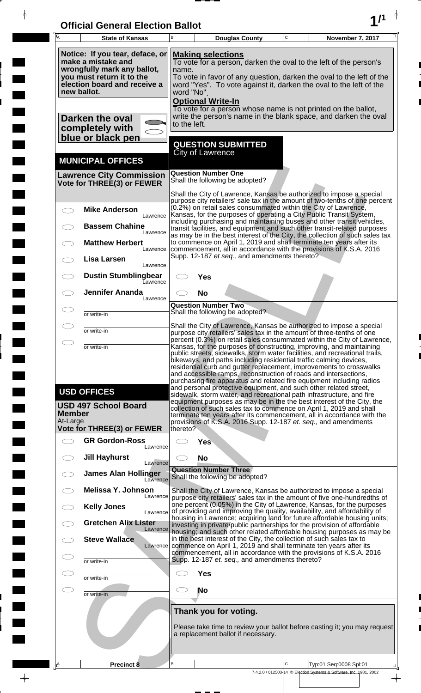| <b>Official General Election Ballot</b> |  |
|-----------------------------------------|--|
|                                         |  |

 $\overline{\phantom{a}}$ 

 $\Box$ 

 $\blacksquare$ 

 $\blacksquare$ 

 $\blacksquare$ 

 $\frac{1}{2}$ 

 $\frac{1}{\sqrt{2\pi}}$ 

| Ā                         | <b>State of Kansas</b>                                                                                                                            | B                                                                                                                                                                                                                                                    |                                                                                                                                                                                            | <b>Douglas County</b>                                       | $\mathbf C$ | November 7, 2017                                                                                                                                                                                                                                                                                                                                                                                                                                                                                                         |  |  |
|---------------------------|---------------------------------------------------------------------------------------------------------------------------------------------------|------------------------------------------------------------------------------------------------------------------------------------------------------------------------------------------------------------------------------------------------------|--------------------------------------------------------------------------------------------------------------------------------------------------------------------------------------------|-------------------------------------------------------------|-------------|--------------------------------------------------------------------------------------------------------------------------------------------------------------------------------------------------------------------------------------------------------------------------------------------------------------------------------------------------------------------------------------------------------------------------------------------------------------------------------------------------------------------------|--|--|
|                           | Notice: If you tear, deface, or<br>make a mistake and<br>wrongfully mark any ballot,<br>you must return it to the<br>election board and receive a | <b>Making selections</b><br>To vote for a person, darken the oval to the left of the person's<br>name.<br>To vote in favor of any question, darken the oval to the left of the<br>word "Yes". To vote against it, darken the oval to the left of the |                                                                                                                                                                                            |                                                             |             |                                                                                                                                                                                                                                                                                                                                                                                                                                                                                                                          |  |  |
|                           | new ballot.<br>Darken the oval<br>completely with                                                                                                 |                                                                                                                                                                                                                                                      | word "No".<br><b>Optional Write-In</b><br>To vote for a person whose name is not printed on the ballot,<br>write the person's name in the blank space, and darken the oval<br>to the left. |                                                             |             |                                                                                                                                                                                                                                                                                                                                                                                                                                                                                                                          |  |  |
|                           | blue or black pen<br><b>MUNICIPAL OFFICES</b>                                                                                                     |                                                                                                                                                                                                                                                      | <b>City of Lawrence</b>                                                                                                                                                                    | <b>QUESTION SUBMITTED</b>                                   |             |                                                                                                                                                                                                                                                                                                                                                                                                                                                                                                                          |  |  |
|                           | <b>Lawrence City Commission</b><br>Vote for THREE(3) or FEWER                                                                                     |                                                                                                                                                                                                                                                      | <b>Question Number One</b>                                                                                                                                                                 | Shall the following be adopted?                             |             |                                                                                                                                                                                                                                                                                                                                                                                                                                                                                                                          |  |  |
|                           | <b>Mike Anderson</b>                                                                                                                              |                                                                                                                                                                                                                                                      |                                                                                                                                                                                            |                                                             |             | Shall the City of Lawrence, Kansas be authorized to impose a special<br>purpose city retailers' sale tax in the amount of two-tenths of one percent<br>(0.2%) on retail sales consummated within the City of Lawrence,<br>Kansas, for the purposes of operating a City Public Transit System,                                                                                                                                                                                                                            |  |  |
|                           | Lawrence<br><b>Bassem Chahine</b><br>Lawrence                                                                                                     |                                                                                                                                                                                                                                                      |                                                                                                                                                                                            |                                                             |             | including purchasing and maintaining buses and other transit vehicles,<br>transit facilities, and equipment and such other transit-related purposes<br>as may be in the best interest of the City, the collection of such sales tax                                                                                                                                                                                                                                                                                      |  |  |
|                           | <b>Matthew Herbert</b><br>Lawrence<br>Lisa Larsen                                                                                                 |                                                                                                                                                                                                                                                      |                                                                                                                                                                                            | Supp. 12-187 et seq., and amendments thereto?               |             | to commence on April 1, 2019 and shall terminate ten years after its<br>commencement, all in accordance with the provisions of K.S.A. 2016                                                                                                                                                                                                                                                                                                                                                                               |  |  |
|                           | Lawrence<br><b>Dustin Stumblingbear</b><br>Eawrence                                                                                               |                                                                                                                                                                                                                                                      | Yes                                                                                                                                                                                        |                                                             |             |                                                                                                                                                                                                                                                                                                                                                                                                                                                                                                                          |  |  |
|                           | <b>Jennifer Ananda</b><br>Lawrence                                                                                                                |                                                                                                                                                                                                                                                      | <b>No</b><br><b>Question Number Two</b>                                                                                                                                                    | Shall the following be adopted?                             |             |                                                                                                                                                                                                                                                                                                                                                                                                                                                                                                                          |  |  |
|                           | or write-in<br>or write-in                                                                                                                        |                                                                                                                                                                                                                                                      |                                                                                                                                                                                            |                                                             |             | Shall the City of Lawrence, Kansas be authorized to impose a special<br>purpose city retailers' sales tax in the amount of three-tenths of one                                                                                                                                                                                                                                                                                                                                                                           |  |  |
|                           | or write-in                                                                                                                                       |                                                                                                                                                                                                                                                      |                                                                                                                                                                                            |                                                             |             | percent (0.3%) on retail sales consummated within the City of Lawrence,<br>Kansas, for the purposes of constructing, improving, and maintaining<br>public streets, sidewalks, storm water facilities, and recreational trails,<br>bikeways, and paths including residential traffic calming devices,<br>residential curb and gutter replacement, improvements to crosswalks<br>and accessible ramps, reconstruction of roads and intersections,<br>purchasing fire apparatus and related fire equipment including radios |  |  |
| <b>Member</b><br>At-Large | <b>USD OFFICES</b><br><b>USD 497 School Board</b>                                                                                                 |                                                                                                                                                                                                                                                      |                                                                                                                                                                                            |                                                             |             | and personal protective equipment, and such other related street,<br>sidewalk, storm water, and recreational path infrastructure, and fire<br>equipment purposes as may be in the the best interest of the City, the<br>collection of such sales tax to commence on April 1, 2019 and shall<br>terminate ten years after its commencement, all in accordance with the<br>provisions of K.S.A. 2016 Supp. 12-187 et. seq., and amendments                                                                                 |  |  |
|                           | <b>Vote for THREE(3) or FEWER</b><br><b>GR Gordon-Ross</b>                                                                                        | thereto?                                                                                                                                                                                                                                             | Yes                                                                                                                                                                                        |                                                             |             |                                                                                                                                                                                                                                                                                                                                                                                                                                                                                                                          |  |  |
|                           | Lawrence<br><b>Jill Hayhurst</b><br>Lawrence                                                                                                      |                                                                                                                                                                                                                                                      | <b>No</b>                                                                                                                                                                                  |                                                             |             |                                                                                                                                                                                                                                                                                                                                                                                                                                                                                                                          |  |  |
|                           | <b>James Alan Hollinger</b><br>Lawrence<br>Melissa Y. Johnson                                                                                     |                                                                                                                                                                                                                                                      | <b>Question Number Three</b>                                                                                                                                                               | Shall the following be adopted?                             |             | Shall the City of Lawrence, Kansas be authorized to impose a special                                                                                                                                                                                                                                                                                                                                                                                                                                                     |  |  |
|                           | Lawrence<br><b>Kelly Jones</b><br>Lawrence                                                                                                        |                                                                                                                                                                                                                                                      |                                                                                                                                                                                            |                                                             |             | purpose city retailers' sales tax in the amount of five one-hundredths of<br>one percent (0.05%) in the City of Lawrence, Kansas, for the purposes<br>of providing and improving the quality, availability, and affordability of                                                                                                                                                                                                                                                                                         |  |  |
|                           | <b>Gretchen Alix Lister</b><br>Lawrence<br><b>Steve Wallace</b>                                                                                   |                                                                                                                                                                                                                                                      |                                                                                                                                                                                            |                                                             |             | housing in Lawrence; acquiring land for future affordable housing units;<br>investing in private/public partnerships for the provision of affordable<br>housing; and such other related affordable housing purposes as may be<br>in the best interest of the City, the collection of such sales tax to                                                                                                                                                                                                                   |  |  |
|                           | Lawrence<br>or write-in                                                                                                                           |                                                                                                                                                                                                                                                      |                                                                                                                                                                                            | Supp. 12-187 et. seq., and amendments thereto?              |             | commence on April 1, 2019 and shall terminate ten years after its<br>commencement, all in accordance with the provisions of K.S.A. 2016                                                                                                                                                                                                                                                                                                                                                                                  |  |  |
|                           | or write-in                                                                                                                                       |                                                                                                                                                                                                                                                      | <b>Yes</b>                                                                                                                                                                                 |                                                             |             |                                                                                                                                                                                                                                                                                                                                                                                                                                                                                                                          |  |  |
|                           | or write-in                                                                                                                                       |                                                                                                                                                                                                                                                      | <b>No</b>                                                                                                                                                                                  |                                                             |             |                                                                                                                                                                                                                                                                                                                                                                                                                                                                                                                          |  |  |
|                           |                                                                                                                                                   |                                                                                                                                                                                                                                                      |                                                                                                                                                                                            | Thank you for voting.<br>a replacement ballot if necessary. |             | Please take time to review your ballot before casting it; you may request                                                                                                                                                                                                                                                                                                                                                                                                                                                |  |  |
| ΙÊ                        | Precinct 8                                                                                                                                        | B                                                                                                                                                                                                                                                    |                                                                                                                                                                                            |                                                             | C           | Typ:01 Seq:0008 Spl:01<br>7.4.2.0 / 012503-14 © Election Systems & Software, Inc. 1981, 2002                                                                                                                                                                                                                                                                                                                                                                                                                             |  |  |

 $\frac{1}{\sqrt{2}}$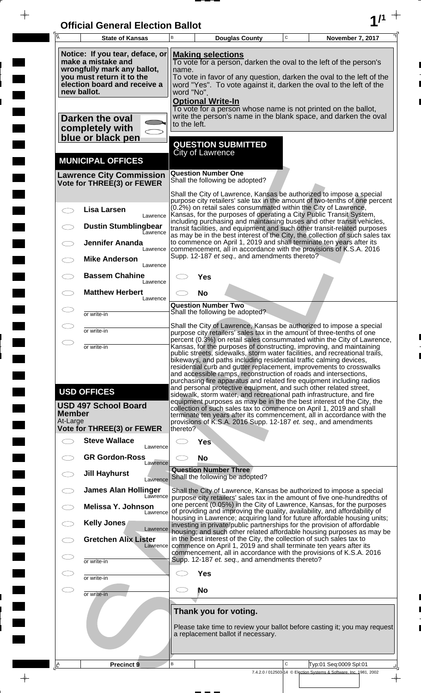| <b>Official General Election Ballot</b> |  |
|-----------------------------------------|--|
|                                         |  |

 $\bar{\phantom{a}}$ 

 $\overline{\phantom{a}}$ 

 $\Box$ 

 $\blacksquare$ 

 $\blacksquare$ 

 $\frac{1}{2}$ 

 $\frac{1}{\sqrt{2\pi}}\int_{0}^{\pi}\frac{1}{\sqrt{2\pi}}\left( \frac{1}{\sqrt{2\pi}}\right) \frac{d\mu}{d\mu}d\mu$ 

| $\overline{\mathsf{A}}$   | <b>State of Kansas</b>                                                                                                                                           | B                                                                                                                                                                                                                                                                                              | <b>Douglas County</b>                                                                                                                                                                                                                                                                                                                                                                                                                                                                                                                                                                                                                                                                                                                                                                                             | $\mathbf C$ | November 7, 2017                                                                             |  |  |  |
|---------------------------|------------------------------------------------------------------------------------------------------------------------------------------------------------------|------------------------------------------------------------------------------------------------------------------------------------------------------------------------------------------------------------------------------------------------------------------------------------------------|-------------------------------------------------------------------------------------------------------------------------------------------------------------------------------------------------------------------------------------------------------------------------------------------------------------------------------------------------------------------------------------------------------------------------------------------------------------------------------------------------------------------------------------------------------------------------------------------------------------------------------------------------------------------------------------------------------------------------------------------------------------------------------------------------------------------|-------------|----------------------------------------------------------------------------------------------|--|--|--|
|                           | Notice: If you tear, deface, or<br>make a mistake and<br>wrongfully mark any ballot,<br>you must return it to the<br>election board and receive a<br>new ballot. | <b>Making selections</b><br>To vote for a person, darken the oval to the left of the person's<br>name.<br>To vote in favor of any question, darken the oval to the left of the<br>word "Yes". To vote against it, darken the oval to the left of the<br>word "No".<br><b>Optional Write-In</b> |                                                                                                                                                                                                                                                                                                                                                                                                                                                                                                                                                                                                                                                                                                                                                                                                                   |             |                                                                                              |  |  |  |
|                           | Darken the oval<br>completely with<br>blue or black pen                                                                                                          |                                                                                                                                                                                                                                                                                                | To vote for a person whose name is not printed on the ballot,<br>write the person's name in the blank space, and darken the oval<br>to the left.                                                                                                                                                                                                                                                                                                                                                                                                                                                                                                                                                                                                                                                                  |             |                                                                                              |  |  |  |
|                           |                                                                                                                                                                  |                                                                                                                                                                                                                                                                                                | <b>QUESTION SUBMITTED</b><br><b>City of Lawrence</b>                                                                                                                                                                                                                                                                                                                                                                                                                                                                                                                                                                                                                                                                                                                                                              |             |                                                                                              |  |  |  |
|                           | <b>MUNICIPAL OFFICES</b><br><b>Lawrence City Commission</b>                                                                                                      |                                                                                                                                                                                                                                                                                                | <b>Question Number One</b>                                                                                                                                                                                                                                                                                                                                                                                                                                                                                                                                                                                                                                                                                                                                                                                        |             |                                                                                              |  |  |  |
|                           | Vote for THREE(3) or FEWER                                                                                                                                       |                                                                                                                                                                                                                                                                                                | Shall the following be adopted?<br>Shall the City of Lawrence, Kansas be authorized to impose a special                                                                                                                                                                                                                                                                                                                                                                                                                                                                                                                                                                                                                                                                                                           |             |                                                                                              |  |  |  |
|                           | <b>Lisa Larsen</b><br>Lawrence<br><b>Dustin Stumblingbear</b><br><b>Lawrence</b>                                                                                 |                                                                                                                                                                                                                                                                                                | purpose city retailers' sale tax in the amount of two-tenths of one percent<br>(0.2%) on retail sales consummated within the City of Lawrence,<br>Kansas, for the purposes of operating a City Public Transit System,<br>including purchasing and maintaining buses and other transit vehicles,<br>transit facilities, and equipment and such other transit-related purposes<br>as may be in the best interest of the City, the collection of such sales tax                                                                                                                                                                                                                                                                                                                                                      |             |                                                                                              |  |  |  |
|                           | <b>Jennifer Ananda</b><br>Lawrence                                                                                                                               |                                                                                                                                                                                                                                                                                                | to commence on April 1, 2019 and shall terminate ten years after its<br>commencement, all in accordance with the provisions of K.S.A. 2016<br>Supp. 12-187 et seq., and amendments thereto?                                                                                                                                                                                                                                                                                                                                                                                                                                                                                                                                                                                                                       |             |                                                                                              |  |  |  |
|                           | <b>Mike Anderson</b><br>Lawrence                                                                                                                                 |                                                                                                                                                                                                                                                                                                |                                                                                                                                                                                                                                                                                                                                                                                                                                                                                                                                                                                                                                                                                                                                                                                                                   |             |                                                                                              |  |  |  |
|                           | <b>Bassem Chahine</b><br>Lawrence<br><b>Matthew Herbert</b>                                                                                                      |                                                                                                                                                                                                                                                                                                | <b>Yes</b>                                                                                                                                                                                                                                                                                                                                                                                                                                                                                                                                                                                                                                                                                                                                                                                                        |             |                                                                                              |  |  |  |
|                           | Lawrence                                                                                                                                                         |                                                                                                                                                                                                                                                                                                | <b>No</b><br><b>Question Number Two</b>                                                                                                                                                                                                                                                                                                                                                                                                                                                                                                                                                                                                                                                                                                                                                                           |             |                                                                                              |  |  |  |
|                           | or write-in                                                                                                                                                      |                                                                                                                                                                                                                                                                                                | Shall the following be adopted?<br>Shall the City of Lawrence, Kansas be authorized to impose a special                                                                                                                                                                                                                                                                                                                                                                                                                                                                                                                                                                                                                                                                                                           |             |                                                                                              |  |  |  |
|                           | or write-in<br>or write-in                                                                                                                                       |                                                                                                                                                                                                                                                                                                | purpose city retailers' sales tax in the amount of three-tenths of one<br>percent (0.3%) on retail sales consummated within the City of Lawrence<br>Kansas, for the purposes of constructing, improving, and maintaining                                                                                                                                                                                                                                                                                                                                                                                                                                                                                                                                                                                          |             |                                                                                              |  |  |  |
| <b>Member</b><br>At-Large | <b>USD OFFICES</b><br><b>USD 497 School Board</b><br>Vote for THREE(3) or FEWER                                                                                  | thereto?                                                                                                                                                                                                                                                                                       | public streets, sidewalks, storm water facilities, and recreational trails,<br>bikeways, and paths including residential traffic calming devices,<br>residential curb and gutter replacement, improvements to crosswalks<br>and accessible ramps, reconstruction of roads and intersections,<br>purchasing fire apparatus and related fire equipment including radios<br>and personal protective equipment, and such other related street,<br>sidewalk, storm water, and recreational path infrastructure, and fire<br>equipment purposes as may be in the the best interest of the City, the<br>collection of such sales tax to commence on April 1, 2019 and shall<br>terminate ten years after its commencement, all in accordance with the<br>provisions of K.S.A. 2016 Supp. 12-187 et. seq., and amendments |             |                                                                                              |  |  |  |
|                           | <b>Steve Wallace</b><br>Lawrence                                                                                                                                 |                                                                                                                                                                                                                                                                                                | <b>Yes</b>                                                                                                                                                                                                                                                                                                                                                                                                                                                                                                                                                                                                                                                                                                                                                                                                        |             |                                                                                              |  |  |  |
|                           | <b>GR Gordon-Ross</b><br>Lawrence                                                                                                                                | <b>No</b>                                                                                                                                                                                                                                                                                      |                                                                                                                                                                                                                                                                                                                                                                                                                                                                                                                                                                                                                                                                                                                                                                                                                   |             |                                                                                              |  |  |  |
|                           | <b>Jill Hayhurst</b><br>Lawrence                                                                                                                                 |                                                                                                                                                                                                                                                                                                | <b>Question Number Three</b><br>Shall the following be adopted?                                                                                                                                                                                                                                                                                                                                                                                                                                                                                                                                                                                                                                                                                                                                                   |             |                                                                                              |  |  |  |
|                           | <b>James Alan Hollinger</b><br>Lawrence                                                                                                                          |                                                                                                                                                                                                                                                                                                | Shall the City of Lawrence, Kansas be authorized to impose a special<br>purpose city retailers' sales tax in the amount of five one-hundredths of<br>one percent (0.05%) in the City of Lawrence, Kansas, for the purposes                                                                                                                                                                                                                                                                                                                                                                                                                                                                                                                                                                                        |             |                                                                                              |  |  |  |
|                           | Melissa Y. Johnson<br>Lawrence<br>Kelly Jones                                                                                                                    |                                                                                                                                                                                                                                                                                                | of providing and improving the quality, availability, and affordability of<br>housing in Lawrence; acquiring land for future affordable housing units;                                                                                                                                                                                                                                                                                                                                                                                                                                                                                                                                                                                                                                                            |             |                                                                                              |  |  |  |
|                           | Lawrence<br><b>Gretchen Alix Lister</b>                                                                                                                          | investing in private/public partnerships for the provision of affordable<br>housing; and such other related affordable housing purposes as may be<br>in the best interest of the City, the collection of such sales tax to                                                                     |                                                                                                                                                                                                                                                                                                                                                                                                                                                                                                                                                                                                                                                                                                                                                                                                                   |             |                                                                                              |  |  |  |
|                           | Lawrence<br>or write-in                                                                                                                                          |                                                                                                                                                                                                                                                                                                | commence on April 1, 2019 and shall terminate ten years after its<br>commencement, all in accordance with the provisions of K.S.A. 2016<br>Supp. 12-187 et. seq., and amendments thereto?                                                                                                                                                                                                                                                                                                                                                                                                                                                                                                                                                                                                                         |             |                                                                                              |  |  |  |
|                           | or write-in                                                                                                                                                      |                                                                                                                                                                                                                                                                                                | <b>Yes</b>                                                                                                                                                                                                                                                                                                                                                                                                                                                                                                                                                                                                                                                                                                                                                                                                        |             |                                                                                              |  |  |  |
| C. P                      | or write-in                                                                                                                                                      |                                                                                                                                                                                                                                                                                                | <b>No</b>                                                                                                                                                                                                                                                                                                                                                                                                                                                                                                                                                                                                                                                                                                                                                                                                         |             |                                                                                              |  |  |  |
|                           |                                                                                                                                                                  | Thank you for voting.<br>Please take time to review your ballot before casting it; you may request<br>a replacement ballot if necessary.                                                                                                                                                       |                                                                                                                                                                                                                                                                                                                                                                                                                                                                                                                                                                                                                                                                                                                                                                                                                   |             |                                                                                              |  |  |  |
| <u> A</u>                 | <b>Precinct 9</b>                                                                                                                                                | В                                                                                                                                                                                                                                                                                              |                                                                                                                                                                                                                                                                                                                                                                                                                                                                                                                                                                                                                                                                                                                                                                                                                   | C           | Typ:01 Seq:0009 Spl:01<br>7.4.2.0 / 012503-14 © Election Systems & Software, Inc. 1981, 2002 |  |  |  |
|                           |                                                                                                                                                                  |                                                                                                                                                                                                                                                                                                |                                                                                                                                                                                                                                                                                                                                                                                                                                                                                                                                                                                                                                                                                                                                                                                                                   |             | $\overline{\phantom{a}}$                                                                     |  |  |  |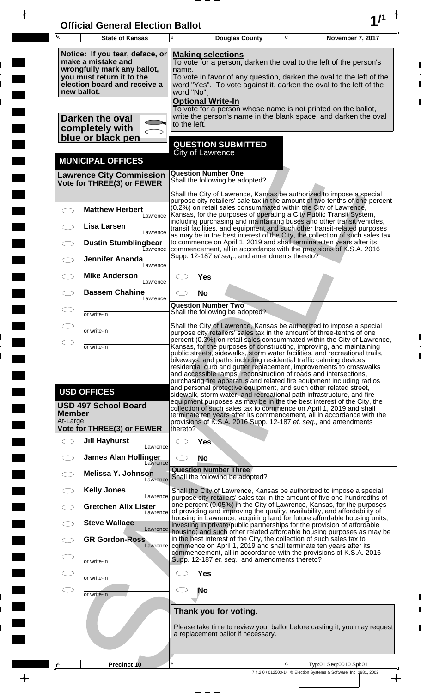| <b>Official General Election Ballot</b> |  |
|-----------------------------------------|--|
|                                         |  |

 $\overline{\phantom{a}}$ 

 $\overline{\phantom{a}}$ 

 $\blacksquare$ 

 $\overline{\phantom{a}}$ 

 $\blacksquare$ 

 $\frac{1}{2}$ 

 $\frac{1}{\sqrt{2\pi}}$ 

| Ā             | <b>State of Kansas</b>                                                                                                                                           | B                                                                                                                                                                                                                                                                  |                                           | <b>Douglas County</b>                                       | $\mathbf C$ | November 7, 2017                                                                                                                                                                                                                                                                                                                                                                                                                                                                                                                                                                                                                                                                                                                                                                                                       |
|---------------|------------------------------------------------------------------------------------------------------------------------------------------------------------------|--------------------------------------------------------------------------------------------------------------------------------------------------------------------------------------------------------------------------------------------------------------------|-------------------------------------------|-------------------------------------------------------------|-------------|------------------------------------------------------------------------------------------------------------------------------------------------------------------------------------------------------------------------------------------------------------------------------------------------------------------------------------------------------------------------------------------------------------------------------------------------------------------------------------------------------------------------------------------------------------------------------------------------------------------------------------------------------------------------------------------------------------------------------------------------------------------------------------------------------------------------|
|               | Notice: If you tear, deface, or<br>make a mistake and<br>wrongfully mark any ballot,<br>you must return it to the<br>election board and receive a<br>new ballot. | <b>Making selections</b><br>To vote for a person, darken the oval to the left of the person's<br>name.<br>To vote in favor of any question, darken the oval to the left of the<br>word "Yes". To vote against it, darken the oval to the left of the<br>word "No". |                                           |                                                             |             |                                                                                                                                                                                                                                                                                                                                                                                                                                                                                                                                                                                                                                                                                                                                                                                                                        |
|               | Darken the oval<br>completely with<br>blue or black pen                                                                                                          | to the left.                                                                                                                                                                                                                                                       | <b>Optional Write-In</b>                  |                                                             |             | To vote for a person whose name is not printed on the ballot,<br>write the person's name in the blank space, and darken the oval                                                                                                                                                                                                                                                                                                                                                                                                                                                                                                                                                                                                                                                                                       |
|               | <b>MUNICIPAL OFFICES</b>                                                                                                                                         |                                                                                                                                                                                                                                                                    | <b>City of Lawrence</b>                   | <b>QUESTION SUBMITTED</b>                                   |             |                                                                                                                                                                                                                                                                                                                                                                                                                                                                                                                                                                                                                                                                                                                                                                                                                        |
|               | <b>Lawrence City Commission</b><br>Vote for THREE(3) or FEWER                                                                                                    |                                                                                                                                                                                                                                                                    | <b>Question Number One</b>                | Shall the following be adopted?                             |             |                                                                                                                                                                                                                                                                                                                                                                                                                                                                                                                                                                                                                                                                                                                                                                                                                        |
|               | <b>Matthew Herbert</b><br>Lawrence<br>Lisa Larsen                                                                                                                |                                                                                                                                                                                                                                                                    |                                           |                                                             |             | Shall the City of Lawrence, Kansas be authorized to impose a special<br>purpose city retailers' sale tax in the amount of two-tenths of one percent<br>(0.2%) on retail sales consummated within the City of Lawrence,<br>Kansas, for the purposes of operating a City Public Transit System,<br>including purchasing and maintaining buses and other transit vehicles,<br>transit facilities, and equipment and such other transit-related purposes                                                                                                                                                                                                                                                                                                                                                                   |
|               | Lawrence<br><b>Dustin Stumblingbear</b><br>Eawrence                                                                                                              |                                                                                                                                                                                                                                                                    |                                           |                                                             |             | as may be in the best interest of the City, the collection of such sales tax<br>to commence on April 1, 2019 and shall terminate ten years after its<br>commencement, all in accordance with the provisions of K.S.A. 2016                                                                                                                                                                                                                                                                                                                                                                                                                                                                                                                                                                                             |
|               | <b>Jennifer Ananda</b><br>Lawrence<br><b>Mike Anderson</b>                                                                                                       |                                                                                                                                                                                                                                                                    | Yes                                       | Supp. 12-187 et seq., and amendments thereto?               |             |                                                                                                                                                                                                                                                                                                                                                                                                                                                                                                                                                                                                                                                                                                                                                                                                                        |
|               | Lawrence<br><b>Bassem Chahine</b><br>Lawrence                                                                                                                    |                                                                                                                                                                                                                                                                    | <b>No</b>                                 |                                                             |             |                                                                                                                                                                                                                                                                                                                                                                                                                                                                                                                                                                                                                                                                                                                                                                                                                        |
|               | or write-in                                                                                                                                                      |                                                                                                                                                                                                                                                                    | <b>Question Number Two</b>                | Shall the following be adopted?                             |             |                                                                                                                                                                                                                                                                                                                                                                                                                                                                                                                                                                                                                                                                                                                                                                                                                        |
|               | or write-in                                                                                                                                                      |                                                                                                                                                                                                                                                                    |                                           |                                                             |             | Shall the City of Lawrence, Kansas be authorized to impose a special<br>purpose city retailers' sales tax in the amount of three-tenths of one<br>percent (0.3%) on retail sales consummated within the City of Lawrence,                                                                                                                                                                                                                                                                                                                                                                                                                                                                                                                                                                                              |
| <b>Member</b> | or write-in<br><b>USD OFFICES</b><br><b>USD 497 School Board</b>                                                                                                 |                                                                                                                                                                                                                                                                    |                                           |                                                             |             | Kansas, for the purposes of constructing, improving, and maintaining<br>public streets, sidewalks, storm water facilities, and recreational trails,<br>bikeways, and paths including residential traffic calming devices,<br>residential curb and gutter replacement, improvements to crosswalks<br>and accessible ramps, reconstruction of roads and intersections,<br>purchasing fire apparatus and related fire equipment including radios<br>and personal protective equipment, and such other related street,<br>sidewalk, storm water, and recreational path infrastructure, and fire<br>equipment purposes as may be in the the best interest of the City, the<br>collection of such sales tax to commence on April 1, 2019 and shall<br>terminate ten years after its commencement, all in accordance with the |
| At-Large      | <b>Vote for THREE(3) or FEWER</b>                                                                                                                                | thereto?                                                                                                                                                                                                                                                           |                                           |                                                             |             | provisions of K.S.A. 2016 Supp. 12-187 et. seq., and amendments                                                                                                                                                                                                                                                                                                                                                                                                                                                                                                                                                                                                                                                                                                                                                        |
|               | <b>Jill Hayhurst</b><br>Lawrence                                                                                                                                 |                                                                                                                                                                                                                                                                    | <b>Yes</b>                                |                                                             |             |                                                                                                                                                                                                                                                                                                                                                                                                                                                                                                                                                                                                                                                                                                                                                                                                                        |
|               | <b>James Alan Hollinger</b><br>Lawrence<br><b>Melissa Y. Johnson</b>                                                                                             |                                                                                                                                                                                                                                                                    | <b>No</b><br><b>Question Number Three</b> |                                                             |             |                                                                                                                                                                                                                                                                                                                                                                                                                                                                                                                                                                                                                                                                                                                                                                                                                        |
|               | Lawrence<br><b>Kelly Jones</b>                                                                                                                                   |                                                                                                                                                                                                                                                                    |                                           | Shall the following be adopted?                             |             | Shall the City of Lawrence, Kansas be authorized to impose a special                                                                                                                                                                                                                                                                                                                                                                                                                                                                                                                                                                                                                                                                                                                                                   |
|               | Lawrence<br><b>Gretchen Alix Lister</b><br>Lawrence                                                                                                              |                                                                                                                                                                                                                                                                    |                                           |                                                             |             | purpose city retailers' sales tax in the amount of five one-hundredths of<br>one percent (0.05%) in the City of Lawrence, Kansas, for the purposes<br>of providing and improving the quality, availability, and affordability of                                                                                                                                                                                                                                                                                                                                                                                                                                                                                                                                                                                       |
|               | <b>Steve Wallace</b><br>Lawrence                                                                                                                                 |                                                                                                                                                                                                                                                                    |                                           |                                                             |             | housing in Lawrence; acquiring land for future affordable housing units;<br>investing in private/public partnerships for the provision of affordable<br>housing; and such other related affordable housing purposes as may be                                                                                                                                                                                                                                                                                                                                                                                                                                                                                                                                                                                          |
|               | <b>GR Gordon-Ross</b><br>Lawrence                                                                                                                                |                                                                                                                                                                                                                                                                    |                                           |                                                             |             | in the best interest of the City, the collection of such sales tax to<br>commence on April 1, 2019 and shall terminate ten years after its<br>commencement, all in accordance with the provisions of K.S.A. 2016                                                                                                                                                                                                                                                                                                                                                                                                                                                                                                                                                                                                       |
|               | or write-in                                                                                                                                                      |                                                                                                                                                                                                                                                                    |                                           | Supp. 12-187 et. seq., and amendments thereto?              |             |                                                                                                                                                                                                                                                                                                                                                                                                                                                                                                                                                                                                                                                                                                                                                                                                                        |
|               | or write-in                                                                                                                                                      |                                                                                                                                                                                                                                                                    | <b>Yes</b><br><b>No</b>                   |                                                             |             |                                                                                                                                                                                                                                                                                                                                                                                                                                                                                                                                                                                                                                                                                                                                                                                                                        |
|               | or write-in                                                                                                                                                      |                                                                                                                                                                                                                                                                    |                                           |                                                             |             |                                                                                                                                                                                                                                                                                                                                                                                                                                                                                                                                                                                                                                                                                                                                                                                                                        |
|               |                                                                                                                                                                  |                                                                                                                                                                                                                                                                    |                                           | Thank you for voting.<br>a replacement ballot if necessary. |             | Please take time to review your ballot before casting it; you may request                                                                                                                                                                                                                                                                                                                                                                                                                                                                                                                                                                                                                                                                                                                                              |
| ΙÊ            | Precinct 10                                                                                                                                                      | B                                                                                                                                                                                                                                                                  |                                           |                                                             | C           | Typ:01 Seq:0010 Spl:01                                                                                                                                                                                                                                                                                                                                                                                                                                                                                                                                                                                                                                                                                                                                                                                                 |
|               |                                                                                                                                                                  |                                                                                                                                                                                                                                                                    |                                           |                                                             |             | 7.4.2.0 / 012503-14 © Election Systems & Software, Inc. 1981, 2002                                                                                                                                                                                                                                                                                                                                                                                                                                                                                                                                                                                                                                                                                                                                                     |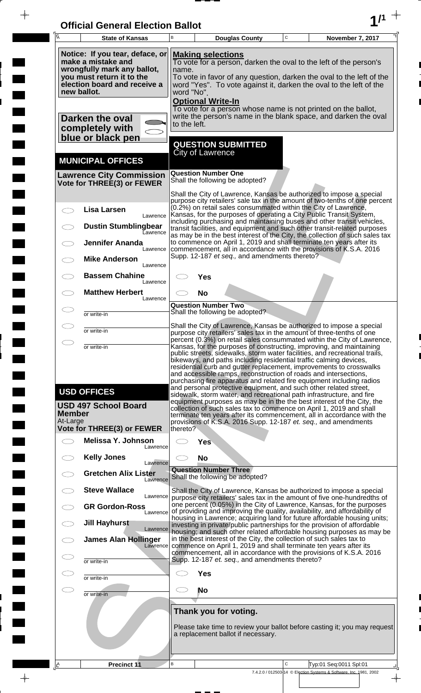| <b>Official General Election Ballot</b> |  |
|-----------------------------------------|--|
|                                         |  |

 $\overline{\phantom{a}}$ 

 $\overline{\phantom{a}}$ 

 $\blacksquare$ 

 $\blacksquare$ 

 $\frac{1}{2}$ 

 $\frac{1}{\sqrt{2\pi}}$ 

| 瓦                         | <b>State of Kansas</b>                                                                                                                                           | В                                                                                                                                                                                                                                                                                              | <b>Douglas County</b>                                                                                                                                                                                                          | $\mathsf C$ | November 7, 2017                                                                    |  |  |  |  |
|---------------------------|------------------------------------------------------------------------------------------------------------------------------------------------------------------|------------------------------------------------------------------------------------------------------------------------------------------------------------------------------------------------------------------------------------------------------------------------------------------------|--------------------------------------------------------------------------------------------------------------------------------------------------------------------------------------------------------------------------------|-------------|-------------------------------------------------------------------------------------|--|--|--|--|
|                           | Notice: If you tear, deface, or<br>make a mistake and<br>wrongfully mark any ballot,<br>you must return it to the<br>election board and receive a<br>new ballot. | <b>Making selections</b><br>To vote for a person, darken the oval to the left of the person's<br>name.<br>To vote in favor of any question, darken the oval to the left of the<br>word "Yes". To vote against it, darken the oval to the left of the<br>word "No".<br><b>Optional Write-In</b> |                                                                                                                                                                                                                                |             |                                                                                     |  |  |  |  |
|                           | Darken the oval<br>completely with                                                                                                                               |                                                                                                                                                                                                                                                                                                | To vote for a person whose name is not printed on the ballot,<br>write the person's name in the blank space, and darken the oval<br>to the left.                                                                               |             |                                                                                     |  |  |  |  |
|                           | blue or black pen                                                                                                                                                |                                                                                                                                                                                                                                                                                                | <b>QUESTION SUBMITTED</b><br><b>City of Lawrence</b>                                                                                                                                                                           |             |                                                                                     |  |  |  |  |
|                           | <b>MUNICIPAL OFFICES</b>                                                                                                                                         |                                                                                                                                                                                                                                                                                                |                                                                                                                                                                                                                                |             |                                                                                     |  |  |  |  |
|                           | <b>Lawrence City Commission</b><br>Vote for THREE(3) or FEWER                                                                                                    |                                                                                                                                                                                                                                                                                                | <b>Question Number One</b><br>Shall the following be adopted?                                                                                                                                                                  |             |                                                                                     |  |  |  |  |
|                           | <b>Lisa Larsen</b>                                                                                                                                               |                                                                                                                                                                                                                                                                                                | Shall the City of Lawrence, Kansas be authorized to impose a special<br>purpose city retailers' sale tax in the amount of two-tenths of one percent<br>(0.2%) on retail sales consummated within the City of Lawrence,         |             |                                                                                     |  |  |  |  |
|                           | Lawrence<br><b>Dustin Stumblingbear</b>                                                                                                                          |                                                                                                                                                                                                                                                                                                | Kansas, for the purposes of operating a City Public Transit System,<br>including purchasing and maintaining buses and other transit vehicles,<br>transit facilities, and equipment and such other transit-related purposes     |             |                                                                                     |  |  |  |  |
|                           | Lawrence<br><b>Jennifer Ananda</b>                                                                                                                               |                                                                                                                                                                                                                                                                                                | as may be in the best interest of the City, the collection of such sales tax<br>to commence on April 1, 2019 and shall terminate ten years after its                                                                           |             |                                                                                     |  |  |  |  |
|                           | Lawrence<br><b>Mike Anderson</b><br>Lawrence                                                                                                                     |                                                                                                                                                                                                                                                                                                | commencement, all in accordance with the provisions of K.S.A. 2016<br>Supp. 12-187 et seq., and amendments thereto?                                                                                                            |             |                                                                                     |  |  |  |  |
|                           | <b>Bassem Chahine</b><br>Lawrence                                                                                                                                |                                                                                                                                                                                                                                                                                                | Yes                                                                                                                                                                                                                            |             |                                                                                     |  |  |  |  |
|                           | <b>Matthew Herbert</b><br>Lawrence                                                                                                                               |                                                                                                                                                                                                                                                                                                | <b>No</b>                                                                                                                                                                                                                      |             |                                                                                     |  |  |  |  |
|                           | or write-in                                                                                                                                                      |                                                                                                                                                                                                                                                                                                | <b>Question Number Two</b><br>Shall the following be adopted?                                                                                                                                                                  |             |                                                                                     |  |  |  |  |
|                           | or write-in                                                                                                                                                      | Shall the City of Lawrence, Kansas be authorized to impose a special<br>purpose city retailers' sales tax in the amount of three-tenths of one                                                                                                                                                 |                                                                                                                                                                                                                                |             |                                                                                     |  |  |  |  |
|                           | or write-in                                                                                                                                                      |                                                                                                                                                                                                                                                                                                | percent (0.3%) on retail sales consummated within the City of Lawrence,<br>Kansas, for the purposes of constructing, improving, and maintaining<br>public streets, sidewalks, storm water facilities, and recreational trails, |             |                                                                                     |  |  |  |  |
|                           |                                                                                                                                                                  | bikeways, and paths including residential traffic calming devices,<br>residential curb and gutter replacement, improvements to crosswalks<br>and accessible ramps, reconstruction of roads and intersections,<br>purchasing fire apparatus and related fire equipment including radios         |                                                                                                                                                                                                                                |             |                                                                                     |  |  |  |  |
|                           | <b>USD OFFICES</b>                                                                                                                                               |                                                                                                                                                                                                                                                                                                | and personal protective equipment, and such other related street,<br>sidewalk, storm water, and recreational path infrastructure, and fire<br>equipment purposes as may be in the the best interest of the City, the           |             |                                                                                     |  |  |  |  |
| <b>Member</b><br>At-Large | <b>USD 497 School Board</b>                                                                                                                                      | collection of such sales tax to commence on April 1, 2019 and shall<br>terminate ten years after its commencement, all in accordance with the<br>provisions of K.S.A. 2016 Supp. 12-187 et. seq., and amendments                                                                               |                                                                                                                                                                                                                                |             |                                                                                     |  |  |  |  |
|                           | <b>Vote for THREE(3) or FEWER</b>                                                                                                                                | thereto?                                                                                                                                                                                                                                                                                       |                                                                                                                                                                                                                                |             |                                                                                     |  |  |  |  |
| $\frown$                  | Melissa Y. Johnson<br>Lawrence                                                                                                                                   |                                                                                                                                                                                                                                                                                                | <b>Yes</b>                                                                                                                                                                                                                     |             |                                                                                     |  |  |  |  |
|                           | <b>Kelly Jones</b><br>Lawrence                                                                                                                                   | <b>No</b><br><b>Question Number Three</b>                                                                                                                                                                                                                                                      |                                                                                                                                                                                                                                |             |                                                                                     |  |  |  |  |
|                           | <b>Gretchen Alix Lister</b><br>Lawrence                                                                                                                          |                                                                                                                                                                                                                                                                                                | Shall the following be adopted?                                                                                                                                                                                                |             |                                                                                     |  |  |  |  |
|                           | <b>Steve Wallace</b><br>Lawrence                                                                                                                                 |                                                                                                                                                                                                                                                                                                | Shall the City of Lawrence, Kansas be authorized to impose a special<br>purpose city retailers' sales tax in the amount of five one-hundredths of<br>one percent (0.05%) in the City of Lawrence, Kansas, for the purposes     |             |                                                                                     |  |  |  |  |
|                           | <b>GR Gordon-Ross</b><br>Lawrence<br><b>Jill Hayhurst</b>                                                                                                        |                                                                                                                                                                                                                                                                                                | of providing and improving the quality, availability, and affordability of<br>housing in Lawrence; acquiring land for future affordable housing units;                                                                         |             |                                                                                     |  |  |  |  |
|                           | Lawrence<br><b>James Alan Hollinger</b>                                                                                                                          | investing in private/public partnerships for the provision of affordable<br>housing; and such other related affordable housing purposes as may be<br>in the best interest of the City, the collection of such sales tax to                                                                     |                                                                                                                                                                                                                                |             |                                                                                     |  |  |  |  |
|                           | Lawrence                                                                                                                                                         | commence on April 1, 2019 and shall terminate ten years after its<br>commencement, all in accordance with the provisions of K.S.A. 2016                                                                                                                                                        |                                                                                                                                                                                                                                |             |                                                                                     |  |  |  |  |
| CD                        | or write-in                                                                                                                                                      |                                                                                                                                                                                                                                                                                                | Supp. 12-187 et. seq., and amendments thereto?<br><b>Yes</b>                                                                                                                                                                   |             |                                                                                     |  |  |  |  |
| $\subset \mathbb{R}^n$    | or write-in<br>or write-in                                                                                                                                       | CD.                                                                                                                                                                                                                                                                                            | No                                                                                                                                                                                                                             |             |                                                                                     |  |  |  |  |
|                           |                                                                                                                                                                  |                                                                                                                                                                                                                                                                                                |                                                                                                                                                                                                                                |             |                                                                                     |  |  |  |  |
|                           |                                                                                                                                                                  | Thank you for voting.<br>Please take time to review your ballot before casting it; you may request<br>a replacement ballot if necessary.                                                                                                                                                       |                                                                                                                                                                                                                                |             |                                                                                     |  |  |  |  |
|                           |                                                                                                                                                                  |                                                                                                                                                                                                                                                                                                |                                                                                                                                                                                                                                |             |                                                                                     |  |  |  |  |
| <u> 음</u>                 | <b>Precinct 11</b>                                                                                                                                               | B                                                                                                                                                                                                                                                                                              |                                                                                                                                                                                                                                | $\mathsf C$ | Typ:01 Seq:0011 Spl:01                                                              |  |  |  |  |
|                           |                                                                                                                                                                  |                                                                                                                                                                                                                                                                                                |                                                                                                                                                                                                                                |             | 7.4.2.0 / 012503-14 © Election Systems & Software, Inc. 1981, 2002<br>$\rightarrow$ |  |  |  |  |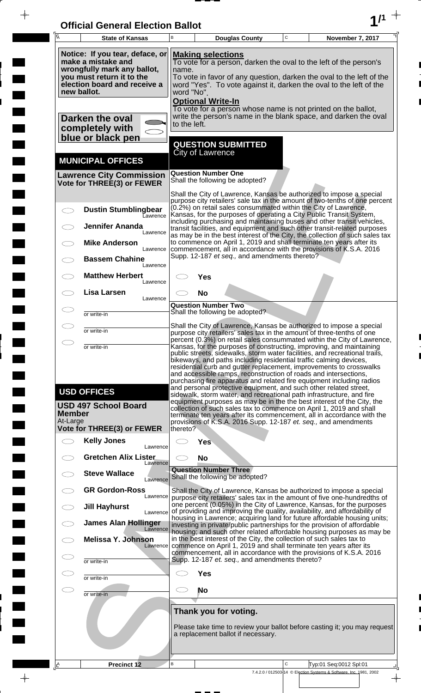| <b>Official General Election Ballot</b> |  |
|-----------------------------------------|--|
|                                         |  |

 $\overline{\phantom{a}}$ 

 $\overline{\phantom{a}}$ 

 $\blacksquare$ 

 $\overline{\phantom{a}}$ 

 $\blacksquare$ 

 $\frac{1}{2}$ 

 $\frac{1}{\sqrt{2\pi}}$ 

| Ā                                                                                                                                                                | <b>State of Kansas</b>                                          | В                                                                                                                                                                                                                                                                                                                                                                                                                                                                                                                                                                                             |                              | <b>Douglas County</b>                          | C | November 7, 2017                                                                                                                                                                                                                                                                                                                                                    |  |  |
|------------------------------------------------------------------------------------------------------------------------------------------------------------------|-----------------------------------------------------------------|-----------------------------------------------------------------------------------------------------------------------------------------------------------------------------------------------------------------------------------------------------------------------------------------------------------------------------------------------------------------------------------------------------------------------------------------------------------------------------------------------------------------------------------------------------------------------------------------------|------------------------------|------------------------------------------------|---|---------------------------------------------------------------------------------------------------------------------------------------------------------------------------------------------------------------------------------------------------------------------------------------------------------------------------------------------------------------------|--|--|
| Notice: If you tear, deface, or<br>make a mistake and<br>wrongfully mark any ballot,<br>you must return it to the<br>election board and receive a<br>new ballot. |                                                                 | <b>Making selections</b><br>To vote for a person, darken the oval to the left of the person's<br>name.<br>To vote in favor of any question, darken the oval to the left of the<br>word "Yes". To vote against it, darken the oval to the left of the<br>word "No".                                                                                                                                                                                                                                                                                                                            |                              |                                                |   |                                                                                                                                                                                                                                                                                                                                                                     |  |  |
|                                                                                                                                                                  | Darken the oval<br>completely with<br>blue or black pen         | <b>Optional Write-In</b><br>To vote for a person whose name is not printed on the ballot,<br>write the person's name in the blank space, and darken the oval<br>to the left.                                                                                                                                                                                                                                                                                                                                                                                                                  |                              |                                                |   |                                                                                                                                                                                                                                                                                                                                                                     |  |  |
|                                                                                                                                                                  | <b>MUNICIPAL OFFICES</b>                                        | <b>QUESTION SUBMITTED</b><br><b>City of Lawrence</b>                                                                                                                                                                                                                                                                                                                                                                                                                                                                                                                                          |                              |                                                |   |                                                                                                                                                                                                                                                                                                                                                                     |  |  |
|                                                                                                                                                                  | <b>Lawrence City Commission</b><br>Vote for THREE(3) or FEWER   |                                                                                                                                                                                                                                                                                                                                                                                                                                                                                                                                                                                               | <b>Question Number One</b>   | Shall the following be adopted?                |   |                                                                                                                                                                                                                                                                                                                                                                     |  |  |
|                                                                                                                                                                  | <b>Dustin Stumblingbear</b>                                     |                                                                                                                                                                                                                                                                                                                                                                                                                                                                                                                                                                                               |                              |                                                |   | Shall the City of Lawrence, Kansas be authorized to impose a special<br>purpose city retailers' sale tax in the amount of two-tenths of one percent<br>(0.2%) on retail sales consummated within the City of Lawrence,                                                                                                                                              |  |  |
|                                                                                                                                                                  | <b>L</b> awrence<br><b>Jennifer Ananda</b><br>Lawrence          |                                                                                                                                                                                                                                                                                                                                                                                                                                                                                                                                                                                               |                              |                                                |   | Kansas, for the purposes of operating a City Public Transit System,<br>including purchasing and maintaining buses and other transit vehicles,<br>transit facilities, and equipment and such other transit-related purposes<br>as may be in the best interest of the City, the collection of such sales tax                                                          |  |  |
|                                                                                                                                                                  | <b>Mike Anderson</b><br>Lawrence                                |                                                                                                                                                                                                                                                                                                                                                                                                                                                                                                                                                                                               |                              | Supp. 12-187 et seq., and amendments thereto?  |   | to commence on April 1, 2019 and shall terminate ten years after its<br>commencement, all in accordance with the provisions of K.S.A. 2016                                                                                                                                                                                                                          |  |  |
|                                                                                                                                                                  | <b>Bassem Chahine</b><br>Lawrence<br><b>Matthew Herbert</b>     |                                                                                                                                                                                                                                                                                                                                                                                                                                                                                                                                                                                               | Yes                          |                                                |   |                                                                                                                                                                                                                                                                                                                                                                     |  |  |
|                                                                                                                                                                  | Lawrence<br><b>Lisa Larsen</b><br>Lawrence                      |                                                                                                                                                                                                                                                                                                                                                                                                                                                                                                                                                                                               | <b>No</b>                    |                                                |   |                                                                                                                                                                                                                                                                                                                                                                     |  |  |
|                                                                                                                                                                  | or write-in                                                     |                                                                                                                                                                                                                                                                                                                                                                                                                                                                                                                                                                                               | <b>Question Number Two</b>   | Shall the following be adopted?                |   |                                                                                                                                                                                                                                                                                                                                                                     |  |  |
|                                                                                                                                                                  | or write-in                                                     |                                                                                                                                                                                                                                                                                                                                                                                                                                                                                                                                                                                               |                              |                                                |   | Shall the City of Lawrence, Kansas be authorized to impose a special<br>purpose city retailers' sales tax in the amount of three-tenths of one                                                                                                                                                                                                                      |  |  |
| $\bigcirc$                                                                                                                                                       | or write-in                                                     | percent (0.3%) on retail sales consummated within the City of Lawrence,<br>Kansas, for the purposes of constructing, improving, and maintaining<br>public streets, sidewalks, storm water facilities, and recreational trails,<br>bikeways, and paths including residential traffic calming devices,<br>residential curb and gutter replacement, improvements to crosswalks<br>and accessible ramps, reconstruction of roads and intersections,<br>purchasing fire apparatus and related fire equipment including radios<br>and personal protective equipment, and such other related street, |                              |                                                |   |                                                                                                                                                                                                                                                                                                                                                                     |  |  |
| <b>Member</b><br>At-Large                                                                                                                                        | <b>USD OFFICES</b><br><b>USD 497 School Board</b>               |                                                                                                                                                                                                                                                                                                                                                                                                                                                                                                                                                                                               |                              |                                                |   | sidewalk, storm water, and recreational path infrastructure, and fire<br>equipment purposes as may be in the the best interest of the City, the<br>collection of such sales tax to commence on April 1, 2019 and shall<br>terminate ten years after its commencement, all in accordance with the<br>provisions of K.S.A. 2016 Supp. 12-187 et. seq., and amendments |  |  |
| $\bigcirc$                                                                                                                                                       | <b>Vote for THREE(3) or FEWER</b><br><b>Kelly Jones</b>         | thereto?                                                                                                                                                                                                                                                                                                                                                                                                                                                                                                                                                                                      | <b>Yes</b>                   |                                                |   |                                                                                                                                                                                                                                                                                                                                                                     |  |  |
|                                                                                                                                                                  | Lawrence<br><b>Gretchen Alix Lister</b><br>Lawrence             |                                                                                                                                                                                                                                                                                                                                                                                                                                                                                                                                                                                               | <b>No</b>                    |                                                |   |                                                                                                                                                                                                                                                                                                                                                                     |  |  |
|                                                                                                                                                                  | <b>Steve Wallace</b><br>Lawrence                                |                                                                                                                                                                                                                                                                                                                                                                                                                                                                                                                                                                                               | <b>Question Number Three</b> | Shall the following be adopted?                |   |                                                                                                                                                                                                                                                                                                                                                                     |  |  |
|                                                                                                                                                                  | <b>GR Gordon-Ross</b><br>Lawrence                               |                                                                                                                                                                                                                                                                                                                                                                                                                                                                                                                                                                                               |                              |                                                |   | Shall the City of Lawrence, Kansas be authorized to impose a special<br>purpose city retailers' sales tax in the amount of five one-hundredths of                                                                                                                                                                                                                   |  |  |
|                                                                                                                                                                  | <b>Jill Hayhurst</b><br>Lawrence<br><b>James Alan Hollinger</b> |                                                                                                                                                                                                                                                                                                                                                                                                                                                                                                                                                                                               |                              |                                                |   | one percent (0.05%) in the City of Lawrence, Kansas, for the purposes<br>of providing and improving the quality, availability, and affordability of<br>housing in Lawrence; acquiring land for future affordable housing units;                                                                                                                                     |  |  |
|                                                                                                                                                                  | Lawrence<br><b>Melissa Y. Johnson</b><br>Lawrence               |                                                                                                                                                                                                                                                                                                                                                                                                                                                                                                                                                                                               |                              |                                                |   | investing in private/public partnerships for the provision of affordable<br>housing; and such other related affordable housing purposes as may be<br>in the best interest of the City, the collection of such sales tax to<br>commence on April 1, 2019 and shall terminate ten years after its                                                                     |  |  |
| Œ                                                                                                                                                                | or write-in                                                     |                                                                                                                                                                                                                                                                                                                                                                                                                                                                                                                                                                                               |                              | Supp. 12-187 et. seq., and amendments thereto? |   | commencement, all in accordance with the provisions of K.S.A. 2016                                                                                                                                                                                                                                                                                                  |  |  |
| Œ                                                                                                                                                                | or write-in                                                     |                                                                                                                                                                                                                                                                                                                                                                                                                                                                                                                                                                                               | <b>Yes</b>                   |                                                |   |                                                                                                                                                                                                                                                                                                                                                                     |  |  |
| ㅇ                                                                                                                                                                | or write-in                                                     | CD.                                                                                                                                                                                                                                                                                                                                                                                                                                                                                                                                                                                           | <b>No</b>                    |                                                |   |                                                                                                                                                                                                                                                                                                                                                                     |  |  |
|                                                                                                                                                                  |                                                                 |                                                                                                                                                                                                                                                                                                                                                                                                                                                                                                                                                                                               | Thank you for voting.        | a replacement ballot if necessary.             |   | Please take time to review your ballot before casting it; you may request                                                                                                                                                                                                                                                                                           |  |  |
| $\Delta$                                                                                                                                                         | <b>Precinct 12</b>                                              | В                                                                                                                                                                                                                                                                                                                                                                                                                                                                                                                                                                                             |                              |                                                | C | Typ:01 Seq:0012 Spl:01<br>7.4.2.0 / 012503-14 © Election Systems & Software, Inc. 1981, 2002                                                                                                                                                                                                                                                                        |  |  |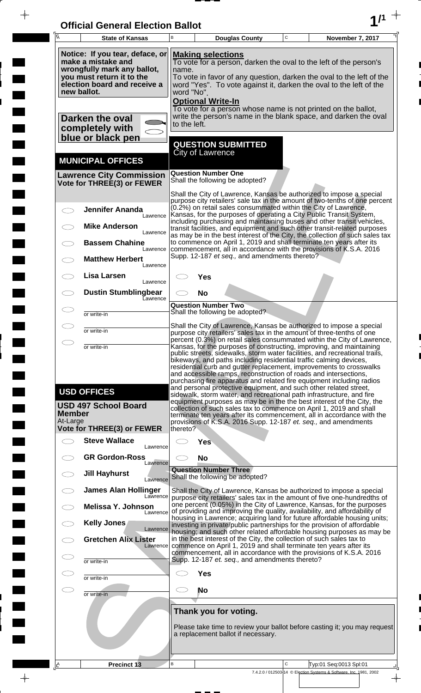| <b>Official General Election Ballot</b> |  |
|-----------------------------------------|--|
|                                         |  |

 $\overline{\phantom{a}}$ 

 $\blacksquare$ 

E

 $\frac{1}{2}$ 

 $\frac{1}{\sqrt{2\pi}}$ 

| Ā                         | <b>State of Kansas</b>                                                                                                                                           | B                                                                                                                                                                                                                                                                                              |                  | <b>Douglas County</b>                                                                                                                  | C | November 7, 2017                                                                                                                                                                                                                                                                                                                                                                                                                                                                                                                                                                                                                                                        |
|---------------------------|------------------------------------------------------------------------------------------------------------------------------------------------------------------|------------------------------------------------------------------------------------------------------------------------------------------------------------------------------------------------------------------------------------------------------------------------------------------------|------------------|----------------------------------------------------------------------------------------------------------------------------------------|---|-------------------------------------------------------------------------------------------------------------------------------------------------------------------------------------------------------------------------------------------------------------------------------------------------------------------------------------------------------------------------------------------------------------------------------------------------------------------------------------------------------------------------------------------------------------------------------------------------------------------------------------------------------------------------|
|                           | Notice: If you tear, deface, or<br>make a mistake and<br>wrongfully mark any ballot,<br>you must return it to the<br>election board and receive a<br>new ballot. | <b>Making selections</b><br>To vote for a person, darken the oval to the left of the person's<br>name.<br>To vote in favor of any question, darken the oval to the left of the<br>word "Yes". To vote against it, darken the oval to the left of the<br>word "No".<br><b>Optional Write-In</b> |                  |                                                                                                                                        |   |                                                                                                                                                                                                                                                                                                                                                                                                                                                                                                                                                                                                                                                                         |
|                           | Darken the oval<br>completely with<br>blue or black pen                                                                                                          | to the left.                                                                                                                                                                                                                                                                                   |                  |                                                                                                                                        |   | To vote for a person whose name is not printed on the ballot,<br>write the person's name in the blank space, and darken the oval                                                                                                                                                                                                                                                                                                                                                                                                                                                                                                                                        |
|                           | <b>MUNICIPAL OFFICES</b>                                                                                                                                         |                                                                                                                                                                                                                                                                                                | City of Lawrence | <b>QUESTION SUBMITTED</b>                                                                                                              |   |                                                                                                                                                                                                                                                                                                                                                                                                                                                                                                                                                                                                                                                                         |
|                           | <b>Lawrence City Commission</b><br>Vote for THREE(3) or FEWER                                                                                                    |                                                                                                                                                                                                                                                                                                |                  | <b>Question Number One</b><br>Shall the following be adopted?                                                                          |   |                                                                                                                                                                                                                                                                                                                                                                                                                                                                                                                                                                                                                                                                         |
|                           | <b>Jennifer Ananda</b><br>Lawrence<br><b>Mike Anderson</b><br>Lawrence<br><b>Bassem Chahine</b>                                                                  |                                                                                                                                                                                                                                                                                                |                  | (0.2%) on retail sales consummated within the City of Lawrence,                                                                        |   | Shall the City of Lawrence, Kansas be authorized to impose a special<br>purpose city retailers' sale tax in the amount of two-tenths of one percent<br>Kansas, for the purposes of operating a City Public Transit System,<br>including purchasing and maintaining buses and other transit vehicles,<br>transit facilities, and equipment and such other transit-related purposes<br>as may be in the best interest of the City, the collection of such sales tax<br>to commence on April 1, 2019 and shall terminate ten years after its                                                                                                                               |
|                           | Lawrence<br><b>Matthew Herbert</b><br>Lawrence                                                                                                                   |                                                                                                                                                                                                                                                                                                |                  | Supp. 12-187 et seq., and amendments thereto?                                                                                          |   | commencement, all in accordance with the provisions of K.S.A. 2016                                                                                                                                                                                                                                                                                                                                                                                                                                                                                                                                                                                                      |
|                           | Lisa Larsen<br>Lawrence                                                                                                                                          |                                                                                                                                                                                                                                                                                                | Yes              |                                                                                                                                        |   |                                                                                                                                                                                                                                                                                                                                                                                                                                                                                                                                                                                                                                                                         |
|                           | <b>Dustin Stumblingbear</b><br>Eawrence                                                                                                                          |                                                                                                                                                                                                                                                                                                | <b>No</b>        | <b>Question Number Two</b>                                                                                                             |   |                                                                                                                                                                                                                                                                                                                                                                                                                                                                                                                                                                                                                                                                         |
|                           | or write-in<br>or write-in                                                                                                                                       |                                                                                                                                                                                                                                                                                                |                  | Shall the following be adopted?                                                                                                        |   | Shall the City of Lawrence, Kansas be authorized to impose a special                                                                                                                                                                                                                                                                                                                                                                                                                                                                                                                                                                                                    |
|                           | or write-in                                                                                                                                                      |                                                                                                                                                                                                                                                                                                |                  |                                                                                                                                        |   | purpose city retailers' sales tax in the amount of three-tenths of one<br>percent (0.3%) on retail sales consummated within the City of Lawrence,<br>Kansas, for the purposes of constructing, improving, and maintaining                                                                                                                                                                                                                                                                                                                                                                                                                                               |
| <b>Member</b><br>At-Large | <b>USD OFFICES</b><br><b>USD 497 School Board</b><br>Vote for THREE(3) or FEWER<br><b>Steve Wallace</b><br>Lawrence                                              | thereto?                                                                                                                                                                                                                                                                                       | <b>Yes</b>       | bikeways, and paths including residential traffic calming devices,<br>and accessible ramps, reconstruction of roads and intersections, |   | public streets, sidewalks, storm water facilities, and recreational trails,<br>residential curb and gutter replacement, improvements to crosswalks<br>purchasing fire apparatus and related fire equipment including radios<br>and personal protective equipment, and such other related street,<br>sidewalk, storm water, and recreational path infrastructure, and fire<br>equipment purposes as may be in the the best interest of the City, the<br>collection of such sales tax to commence on April 1, 2019 and shall<br>terminate ten years after its commencement, all in accordance with the<br>provisions of K.S.A. 2016 Supp. 12-187 et. seq., and amendments |
|                           | <b>GR Gordon-Ross</b><br>Lawrence                                                                                                                                |                                                                                                                                                                                                                                                                                                | <b>No</b>        |                                                                                                                                        |   |                                                                                                                                                                                                                                                                                                                                                                                                                                                                                                                                                                                                                                                                         |
|                           | <b>Jill Hayhurst</b><br>Lawrence                                                                                                                                 |                                                                                                                                                                                                                                                                                                |                  | <b>Question Number Three</b><br>Shall the following be adopted?                                                                        |   |                                                                                                                                                                                                                                                                                                                                                                                                                                                                                                                                                                                                                                                                         |
|                           | <b>James Alan Hollinger</b><br>Lawrence<br>Melissa Y. Johnson                                                                                                    |                                                                                                                                                                                                                                                                                                |                  |                                                                                                                                        |   | Shall the City of Lawrence, Kansas be authorized to impose a special<br>purpose city retailers' sales tax in the amount of five one-hundredths of<br>one percent (0.05%) in the City of Lawrence, Kansas, for the purposes                                                                                                                                                                                                                                                                                                                                                                                                                                              |
|                           | Lawrence<br>Kelly Jones                                                                                                                                          |                                                                                                                                                                                                                                                                                                |                  |                                                                                                                                        |   | of providing and improving the quality, availability, and affordability of<br>housing in Lawrence; acquiring land for future affordable housing units;<br>investing in private/public partnerships for the provision of affordable                                                                                                                                                                                                                                                                                                                                                                                                                                      |
|                           | Lawrence<br><b>Gretchen Alix Lister</b><br>Lawrence                                                                                                              |                                                                                                                                                                                                                                                                                                |                  | in the best interest of the City, the collection of such sales tax to                                                                  |   | housing; and such other related affordable housing purposes as may be<br>commence on April 1, 2019 and shall terminate ten years after its                                                                                                                                                                                                                                                                                                                                                                                                                                                                                                                              |
|                           | or write-in                                                                                                                                                      |                                                                                                                                                                                                                                                                                                |                  | Supp. 12-187 et. seq., and amendments thereto?                                                                                         |   | commencement, all in accordance with the provisions of K.S.A. 2016                                                                                                                                                                                                                                                                                                                                                                                                                                                                                                                                                                                                      |
|                           | or write-in                                                                                                                                                      |                                                                                                                                                                                                                                                                                                | <b>Yes</b>       |                                                                                                                                        |   |                                                                                                                                                                                                                                                                                                                                                                                                                                                                                                                                                                                                                                                                         |
|                           | or write-in                                                                                                                                                      |                                                                                                                                                                                                                                                                                                | No               |                                                                                                                                        |   |                                                                                                                                                                                                                                                                                                                                                                                                                                                                                                                                                                                                                                                                         |
|                           |                                                                                                                                                                  |                                                                                                                                                                                                                                                                                                |                  | Thank you for voting.<br>a replacement ballot if necessary.                                                                            |   | Please take time to review your ballot before casting it; you may request                                                                                                                                                                                                                                                                                                                                                                                                                                                                                                                                                                                               |
| <u>A</u>                  | Precinct 13                                                                                                                                                      | В                                                                                                                                                                                                                                                                                              |                  |                                                                                                                                        | C | Typ:01 Seq:0013 Spl:01<br>7.4.2.0 / 012503-14 © Election Systems & Software, Inc. 1981, 2002                                                                                                                                                                                                                                                                                                                                                                                                                                                                                                                                                                            |

 $\frac{1}{\sqrt{2}}$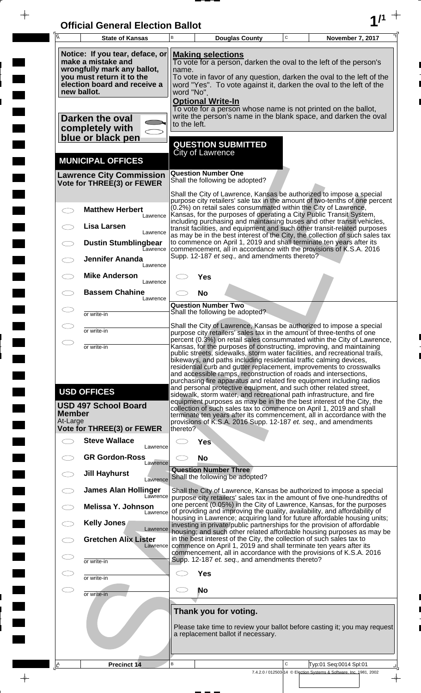| <b>Official General Election Ballot</b> |  |
|-----------------------------------------|--|
|                                         |  |

 $\bar{\phantom{a}}$ 

 $\overline{\phantom{a}}$ 

 $\Box$ 

 $\blacksquare$ 

 $\blacksquare$ 

 $\blacksquare$ 

 $\frac{1}{2}$ 

 $\frac{1}{\sqrt{2\pi}}$ 

| 瓦                         | <b>State of Kansas</b>                                                                                                                            | B                                                                                                                                                                                                                                                                                                                                                                                                                                                                                                                   | $\mathsf C$<br>November 7, 2017<br><b>Douglas County</b>                                                                                                                                                                                                                                   |  |  |  |  |
|---------------------------|---------------------------------------------------------------------------------------------------------------------------------------------------|---------------------------------------------------------------------------------------------------------------------------------------------------------------------------------------------------------------------------------------------------------------------------------------------------------------------------------------------------------------------------------------------------------------------------------------------------------------------------------------------------------------------|--------------------------------------------------------------------------------------------------------------------------------------------------------------------------------------------------------------------------------------------------------------------------------------------|--|--|--|--|
|                           | Notice: If you tear, deface, or<br>make a mistake and<br>wrongfully mark any ballot,<br>you must return it to the<br>election board and receive a | <b>Making selections</b><br>To vote for a person, darken the oval to the left of the person's<br>name.<br>To vote in favor of any question, darken the oval to the left of the<br>word "Yes". To vote against it, darken the oval to the left of the                                                                                                                                                                                                                                                                |                                                                                                                                                                                                                                                                                            |  |  |  |  |
|                           | new ballot.<br>Darken the oval<br>completely with                                                                                                 | word "No".<br><b>Optional Write-In</b><br>To vote for a person whose name is not printed on the ballot,<br>write the person's name in the blank space, and darken the oval<br>to the left.                                                                                                                                                                                                                                                                                                                          |                                                                                                                                                                                                                                                                                            |  |  |  |  |
|                           | blue or black pen<br><b>MUNICIPAL OFFICES</b>                                                                                                     |                                                                                                                                                                                                                                                                                                                                                                                                                                                                                                                     | <b>QUESTION SUBMITTED</b><br><b>City of Lawrence</b>                                                                                                                                                                                                                                       |  |  |  |  |
|                           | <b>Lawrence City Commission</b><br>Vote for THREE(3) or FEWER                                                                                     |                                                                                                                                                                                                                                                                                                                                                                                                                                                                                                                     | <b>Question Number One</b><br>Shall the following be adopted?                                                                                                                                                                                                                              |  |  |  |  |
|                           | <b>Matthew Herbert</b>                                                                                                                            |                                                                                                                                                                                                                                                                                                                                                                                                                                                                                                                     | Shall the City of Lawrence, Kansas be authorized to impose a special<br>purpose city retailers' sale tax in the amount of two-tenths of one percent<br>(0.2%) on retail sales consummated within the City of Lawrence,                                                                     |  |  |  |  |
| $\overline{\phantom{1}}$  | Lawrence                                                                                                                                          |                                                                                                                                                                                                                                                                                                                                                                                                                                                                                                                     | Kansas, for the purposes of operating a City Public Transit System,<br>including purchasing and maintaining buses and other transit vehicles,                                                                                                                                              |  |  |  |  |
|                           | Lisa Larsen<br>Lawrence<br><b>Dustin Stumblingbear</b>                                                                                            |                                                                                                                                                                                                                                                                                                                                                                                                                                                                                                                     | transit facilities, and equipment and such other transit-related purposes<br>as may be in the best interest of the City, the collection of such sales tax<br>to commence on April 1, 2019 and shall terminate ten years after its                                                          |  |  |  |  |
|                           | Lawrence<br><b>Jennifer Ananda</b><br>Lawrence                                                                                                    |                                                                                                                                                                                                                                                                                                                                                                                                                                                                                                                     | commencement, all in accordance with the provisions of K.S.A. 2016<br>Supp. 12-187 et seq., and amendments thereto?                                                                                                                                                                        |  |  |  |  |
|                           | <b>Mike Anderson</b><br>Lawrence                                                                                                                  |                                                                                                                                                                                                                                                                                                                                                                                                                                                                                                                     | Yes                                                                                                                                                                                                                                                                                        |  |  |  |  |
|                           | <b>Bassem Chahine</b><br>Lawrence                                                                                                                 |                                                                                                                                                                                                                                                                                                                                                                                                                                                                                                                     | <b>No</b>                                                                                                                                                                                                                                                                                  |  |  |  |  |
|                           | or write-in                                                                                                                                       |                                                                                                                                                                                                                                                                                                                                                                                                                                                                                                                     | <b>Question Number Two</b><br>Shall the following be adopted?                                                                                                                                                                                                                              |  |  |  |  |
|                           | or write-in                                                                                                                                       |                                                                                                                                                                                                                                                                                                                                                                                                                                                                                                                     | Shall the City of Lawrence, Kansas be authorized to impose a special<br>purpose city retailers' sales tax in the amount of three-tenths of one                                                                                                                                             |  |  |  |  |
|                           | or write-in                                                                                                                                       | percent (0.3%) on retail sales consummated within the City of Lawrence,<br>Kansas, for the purposes of constructing, improving, and maintaining                                                                                                                                                                                                                                                                                                                                                                     |                                                                                                                                                                                                                                                                                            |  |  |  |  |
|                           | <b>USD OFFICES</b>                                                                                                                                | public streets, sidewalks, storm water facilities, and recreational trails,<br>bikeways, and paths including residential traffic calming devices,<br>residential curb and gutter replacement, improvements to crosswalks<br>and accessible ramps, reconstruction of roads and intersections,<br>purchasing fire apparatus and related fire equipment including radios<br>and personal protective equipment, and such other related street,<br>sidewalk, storm water, and recreational path infrastructure, and fire |                                                                                                                                                                                                                                                                                            |  |  |  |  |
| <b>Member</b><br>At-Large | <b>USD 497 School Board</b>                                                                                                                       |                                                                                                                                                                                                                                                                                                                                                                                                                                                                                                                     | equipment purposes as may be in the the best interest of the City, the<br>collection of such sales tax to commence on April 1, 2019 and shall<br>terminate ten years after its commencement, all in accordance with the<br>provisions of K.S.A. 2016 Supp. 12-187 et. seq., and amendments |  |  |  |  |
|                           | <b>Vote for THREE(3) or FEWER</b><br><b>Steve Wallace</b>                                                                                         | thereto?                                                                                                                                                                                                                                                                                                                                                                                                                                                                                                            |                                                                                                                                                                                                                                                                                            |  |  |  |  |
|                           | Lawrence<br><b>GR Gordon-Ross</b>                                                                                                                 |                                                                                                                                                                                                                                                                                                                                                                                                                                                                                                                     | <b>Yes</b>                                                                                                                                                                                                                                                                                 |  |  |  |  |
|                           | Lawrence<br><b>Jill Hayhurst</b><br>Lawrence                                                                                                      |                                                                                                                                                                                                                                                                                                                                                                                                                                                                                                                     | <b>No</b><br><b>Question Number Three</b><br>Shall the following be adopted?                                                                                                                                                                                                               |  |  |  |  |
|                           | <b>James Alan Hollinger</b><br>Lawrence                                                                                                           |                                                                                                                                                                                                                                                                                                                                                                                                                                                                                                                     | Shall the City of Lawrence, Kansas be authorized to impose a special<br>purpose city retailers' sales tax in the amount of five one-hundredths of                                                                                                                                          |  |  |  |  |
|                           | <b>Melissa Y. Johnson</b><br>Lawrence                                                                                                             |                                                                                                                                                                                                                                                                                                                                                                                                                                                                                                                     | one percent (0.05%) in the City of Lawrence, Kansas, for the purposes<br>of providing and improving the quality, availability, and affordability of                                                                                                                                        |  |  |  |  |
|                           | Kelly Jones<br>Lawrence                                                                                                                           |                                                                                                                                                                                                                                                                                                                                                                                                                                                                                                                     | housing in Lawrence; acquiring land for future affordable housing units;<br>investing in private/public partnerships for the provision of affordable<br>housing; and such other related affordable housing purposes as may be                                                              |  |  |  |  |
|                           | <b>Gretchen Alix Lister</b><br>Lawrence                                                                                                           |                                                                                                                                                                                                                                                                                                                                                                                                                                                                                                                     | in the best interest of the City, the collection of such sales tax to<br>commence on April 1, 2019 and shall terminate ten years after its<br>commencement, all in accordance with the provisions of K.S.A. 2016                                                                           |  |  |  |  |
|                           | or write-in                                                                                                                                       |                                                                                                                                                                                                                                                                                                                                                                                                                                                                                                                     | Supp. 12-187 et. seq., and amendments thereto?                                                                                                                                                                                                                                             |  |  |  |  |
|                           | or write-in                                                                                                                                       |                                                                                                                                                                                                                                                                                                                                                                                                                                                                                                                     | <b>Yes</b>                                                                                                                                                                                                                                                                                 |  |  |  |  |
| $\subset \mathbb{R}^n$    | or write-in                                                                                                                                       | CD.                                                                                                                                                                                                                                                                                                                                                                                                                                                                                                                 | No                                                                                                                                                                                                                                                                                         |  |  |  |  |
|                           |                                                                                                                                                   |                                                                                                                                                                                                                                                                                                                                                                                                                                                                                                                     | Thank you for voting.                                                                                                                                                                                                                                                                      |  |  |  |  |
|                           |                                                                                                                                                   |                                                                                                                                                                                                                                                                                                                                                                                                                                                                                                                     | Please take time to review your ballot before casting it; you may request<br>a replacement ballot if necessary.                                                                                                                                                                            |  |  |  |  |
| <u>ے</u>                  | Precinct 14                                                                                                                                       | B                                                                                                                                                                                                                                                                                                                                                                                                                                                                                                                   | $\mathbf C$<br>Typ:01 Seq:0014 Spl:01                                                                                                                                                                                                                                                      |  |  |  |  |
|                           |                                                                                                                                                   |                                                                                                                                                                                                                                                                                                                                                                                                                                                                                                                     | 7.4.2.0 / 012503-14 © Election Systems & Software, Inc. 1981, 2002                                                                                                                                                                                                                         |  |  |  |  |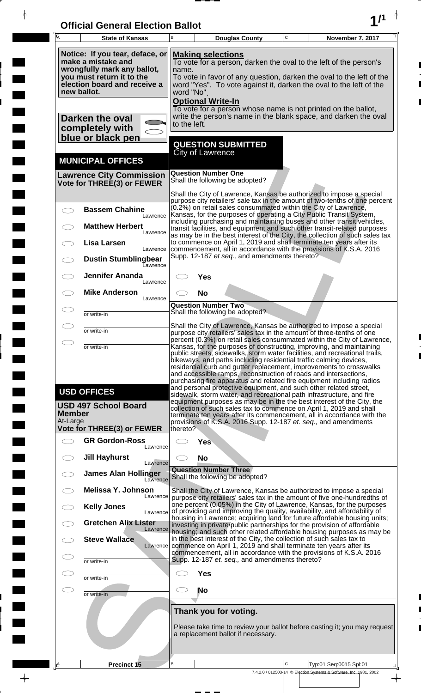| <b>Official General Election Ballot</b> |  |
|-----------------------------------------|--|
|                                         |  |

 $\overline{\phantom{a}}$ 

 $\Box$ 

 $\blacksquare$ 

 $\blacksquare$ 

 $\frac{1}{2}$ 

 $\frac{1}{\sqrt{2\pi}}$ 

| $\overline{A}$            | <b>State of Kansas</b>                                                                                                                                           | B                                                                                                                                                                                                                                                                                              | <b>Douglas County</b>                                                                                                                                                                                                                                                                                                                                                                                                                    | $\mathbf C$  | November 7, 2017                                                                               |  |  |
|---------------------------|------------------------------------------------------------------------------------------------------------------------------------------------------------------|------------------------------------------------------------------------------------------------------------------------------------------------------------------------------------------------------------------------------------------------------------------------------------------------|------------------------------------------------------------------------------------------------------------------------------------------------------------------------------------------------------------------------------------------------------------------------------------------------------------------------------------------------------------------------------------------------------------------------------------------|--------------|------------------------------------------------------------------------------------------------|--|--|
|                           | Notice: If you tear, deface, or<br>make a mistake and<br>wrongfully mark any ballot,<br>you must return it to the<br>election board and receive a<br>new ballot. | <b>Making selections</b><br>To vote for a person, darken the oval to the left of the person's<br>name.<br>To vote in favor of any question, darken the oval to the left of the<br>word "Yes". To vote against it, darken the oval to the left of the<br>word "No".<br><b>Optional Write-In</b> |                                                                                                                                                                                                                                                                                                                                                                                                                                          |              |                                                                                                |  |  |
|                           | Darken the oval<br>completely with<br>blue or black pen                                                                                                          | to the left.                                                                                                                                                                                                                                                                                   | To vote for a person whose name is not printed on the ballot,<br>write the person's name in the blank space, and darken the oval                                                                                                                                                                                                                                                                                                         |              |                                                                                                |  |  |
|                           | <b>MUNICIPAL OFFICES</b>                                                                                                                                         |                                                                                                                                                                                                                                                                                                | <b>QUESTION SUBMITTED</b><br><b>City of Lawrence</b>                                                                                                                                                                                                                                                                                                                                                                                     |              |                                                                                                |  |  |
|                           | <b>Lawrence City Commission</b><br>Vote for THREE(3) or FEWER                                                                                                    |                                                                                                                                                                                                                                                                                                | <b>Question Number One</b><br>Shall the following be adopted?                                                                                                                                                                                                                                                                                                                                                                            |              |                                                                                                |  |  |
|                           | <b>Bassem Chahine</b>                                                                                                                                            |                                                                                                                                                                                                                                                                                                | Shall the City of Lawrence, Kansas be authorized to impose a special<br>purpose city retailers' sale tax in the amount of two-tenths of one percent<br>(0.2%) on retail sales consummated within the City of Lawrence,                                                                                                                                                                                                                   |              |                                                                                                |  |  |
|                           | Lawrence<br><b>Matthew Herbert</b><br>Lawrence                                                                                                                   |                                                                                                                                                                                                                                                                                                | Kansas, for the purposes of operating a City Public Transit System,<br>including purchasing and maintaining buses and other transit vehicles,<br>transit facilities, and equipment and such other transit-related purposes                                                                                                                                                                                                               |              |                                                                                                |  |  |
|                           | <b>Lisa Larsen</b><br>Lawrence                                                                                                                                   |                                                                                                                                                                                                                                                                                                | as may be in the best interest of the City, the collection of such sales tax<br>to commence on April 1, 2019 and shall terminate ten years after its<br>commencement, all in accordance with the provisions of K.S.A. 2016                                                                                                                                                                                                               |              |                                                                                                |  |  |
|                           | <b>Dustin Stumblingbear</b><br><b>Lawrence</b><br><b>Jennifer Ananda</b>                                                                                         |                                                                                                                                                                                                                                                                                                | Supp. 12-187 et seq., and amendments thereto?                                                                                                                                                                                                                                                                                                                                                                                            |              |                                                                                                |  |  |
|                           | Lawrence<br><b>Mike Anderson</b>                                                                                                                                 |                                                                                                                                                                                                                                                                                                | Yes<br><b>No</b>                                                                                                                                                                                                                                                                                                                                                                                                                         |              |                                                                                                |  |  |
|                           | Lawrence<br>or write-in                                                                                                                                          |                                                                                                                                                                                                                                                                                                | <b>Question Number Two</b><br>Shall the following be adopted?                                                                                                                                                                                                                                                                                                                                                                            |              |                                                                                                |  |  |
|                           | or write-in                                                                                                                                                      |                                                                                                                                                                                                                                                                                                | Shall the City of Lawrence, Kansas be authorized to impose a special<br>purpose city retailers' sales tax in the amount of three-tenths of one                                                                                                                                                                                                                                                                                           |              |                                                                                                |  |  |
| $\bigcirc$                | or write-in                                                                                                                                                      |                                                                                                                                                                                                                                                                                                | percent (0.3%) on retail sales consummated within the City of Lawrence,<br>Kansas, for the purposes of constructing, improving, and maintaining<br>public streets, sidewalks, storm water facilities, and recreational trails,<br>bikeways, and paths including residential traffic calming devices,                                                                                                                                     |              |                                                                                                |  |  |
|                           |                                                                                                                                                                  |                                                                                                                                                                                                                                                                                                | residential curb and gutter replacement, improvements to crosswalks<br>and accessible ramps, reconstruction of roads and intersections,<br>purchasing fire apparatus and related fire equipment including radios                                                                                                                                                                                                                         |              |                                                                                                |  |  |
| <b>Member</b><br>At-Large | <b>USD OFFICES</b><br><b>USD 497 School Board</b><br>Vote for THREE(3) or FEWER                                                                                  | thereto?                                                                                                                                                                                                                                                                                       | and personal protective equipment, and such other related street,<br>sidewalk, storm water, and recreational path infrastructure, and fire<br>equipment purposes as may be in the the best interest of the City, the<br>collection of such sales tax to commence on April 1, 2019 and shall<br>terminate ten years after its commencement, all in accordance with the<br>provisions of K.S.A. 2016 Supp. 12-187 et. seq., and amendments |              |                                                                                                |  |  |
| $\overline{\phantom{1}}$  | <b>GR Gordon-Ross</b><br>Lawrence                                                                                                                                |                                                                                                                                                                                                                                                                                                | <b>Yes</b>                                                                                                                                                                                                                                                                                                                                                                                                                               |              |                                                                                                |  |  |
|                           | <b>Jill Hayhurst</b><br>Lawrence                                                                                                                                 |                                                                                                                                                                                                                                                                                                | <b>No</b>                                                                                                                                                                                                                                                                                                                                                                                                                                |              |                                                                                                |  |  |
|                           | <b>James Alan Hollinger</b><br>Lawrence                                                                                                                          |                                                                                                                                                                                                                                                                                                | <b>Question Number Three</b><br>Shall the following be adopted?                                                                                                                                                                                                                                                                                                                                                                          |              |                                                                                                |  |  |
|                           | Melissa Y. Johnson<br>Lawrence<br><b>Kelly Jones</b>                                                                                                             |                                                                                                                                                                                                                                                                                                | Shall the City of Lawrence, Kansas be authorized to impose a special<br>purpose city retailers' sales tax in the amount of five one-hundredths of<br>one percent (0.05%) in the City of Lawrence, Kansas, for the purposes                                                                                                                                                                                                               |              |                                                                                                |  |  |
|                           | Lawrence<br><b>Gretchen Alix Lister</b><br>Lawrence                                                                                                              |                                                                                                                                                                                                                                                                                                | of providing and improving the quality, availability, and affordability of<br>housing in Lawrence; acquiring land for future affordable housing units;<br>investing in private/public partnerships for the provision of affordable                                                                                                                                                                                                       |              |                                                                                                |  |  |
|                           | <b>Steve Wallace</b><br>Lawrence                                                                                                                                 |                                                                                                                                                                                                                                                                                                | housing; and such other related affordable housing purposes as may be<br>in the best interest of the City, the collection of such sales tax to<br>commence on April 1, 2019 and shall terminate ten years after its                                                                                                                                                                                                                      |              |                                                                                                |  |  |
| C<br>⊂                    | or write-in                                                                                                                                                      | commencement, all in accordance with the provisions of K.S.A. 2016<br>Supp. 12-187 et. seq., and amendments thereto?                                                                                                                                                                           |                                                                                                                                                                                                                                                                                                                                                                                                                                          |              |                                                                                                |  |  |
| Œ                         | or write-in<br>or write-in                                                                                                                                       | <b>Yes</b><br>No                                                                                                                                                                                                                                                                               |                                                                                                                                                                                                                                                                                                                                                                                                                                          |              |                                                                                                |  |  |
|                           |                                                                                                                                                                  |                                                                                                                                                                                                                                                                                                | Thank you for voting.                                                                                                                                                                                                                                                                                                                                                                                                                    |              |                                                                                                |  |  |
|                           |                                                                                                                                                                  | Please take time to review your ballot before casting it; you may request<br>a replacement ballot if necessary.                                                                                                                                                                                |                                                                                                                                                                                                                                                                                                                                                                                                                                          |              |                                                                                                |  |  |
| I۴                        | <b>Precinct 15</b>                                                                                                                                               | B                                                                                                                                                                                                                                                                                              |                                                                                                                                                                                                                                                                                                                                                                                                                                          | $\mathsf{C}$ | Typ:01 Seq:0015 Spl:01                                                                         |  |  |
|                           |                                                                                                                                                                  |                                                                                                                                                                                                                                                                                                |                                                                                                                                                                                                                                                                                                                                                                                                                                          |              | 7.4.2.0 / 012503-14 © Election Systems & Software, Inc. 1981, 2002<br>$\overline{\phantom{a}}$ |  |  |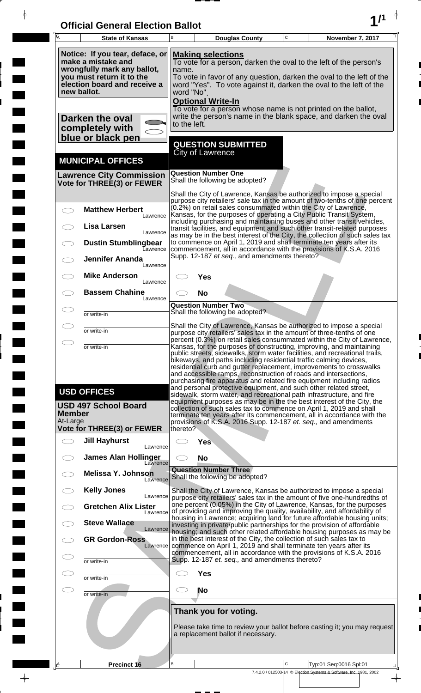| <b>Official General Election Ballot</b> |  |
|-----------------------------------------|--|
|                                         |  |

 $\overline{\phantom{a}}$ 

 $\Box$ 

 $\blacksquare$ 

 $\overline{\phantom{a}}$ 

 $\blacksquare$ 

 $\frac{1}{2}$ 

 $\frac{1}{\sqrt{2\pi}}$ 

| Ā                         | <b>State of Kansas</b>                                                                                                                            | В                                                                                                                                                                                                                                                                  |                                  | <b>Douglas County</b>                                           | C | November 7, 2017                                                                                                                                                                                                                                                                                                                                                                                                                                                                                                                                                                                                                                                                                                                                                                                                  |
|---------------------------|---------------------------------------------------------------------------------------------------------------------------------------------------|--------------------------------------------------------------------------------------------------------------------------------------------------------------------------------------------------------------------------------------------------------------------|----------------------------------|-----------------------------------------------------------------|---|-------------------------------------------------------------------------------------------------------------------------------------------------------------------------------------------------------------------------------------------------------------------------------------------------------------------------------------------------------------------------------------------------------------------------------------------------------------------------------------------------------------------------------------------------------------------------------------------------------------------------------------------------------------------------------------------------------------------------------------------------------------------------------------------------------------------|
| new ballot.               | Notice: If you tear, deface, or<br>make a mistake and<br>wrongfully mark any ballot,<br>you must return it to the<br>election board and receive a | <b>Making selections</b><br>To vote for a person, darken the oval to the left of the person's<br>name.<br>To vote in favor of any question, darken the oval to the left of the<br>word "Yes". To vote against it, darken the oval to the left of the<br>word "No". |                                  |                                                                 |   |                                                                                                                                                                                                                                                                                                                                                                                                                                                                                                                                                                                                                                                                                                                                                                                                                   |
|                           | Darken the oval<br>completely with<br>blue or black pen                                                                                           | to the left.                                                                                                                                                                                                                                                       | <b>Optional Write-In</b>         | <b>QUESTION SUBMITTED</b>                                       |   | To vote for a person whose name is not printed on the ballot,<br>write the person's name in the blank space, and darken the oval                                                                                                                                                                                                                                                                                                                                                                                                                                                                                                                                                                                                                                                                                  |
|                           | <b>MUNICIPAL OFFICES</b>                                                                                                                          |                                                                                                                                                                                                                                                                    | City of Lawrence                 |                                                                 |   |                                                                                                                                                                                                                                                                                                                                                                                                                                                                                                                                                                                                                                                                                                                                                                                                                   |
|                           | <b>Lawrence City Commission</b><br>Vote for THREE(3) or FEWER                                                                                     |                                                                                                                                                                                                                                                                    | <b>Question Number One</b>       | Shall the following be adopted?                                 |   |                                                                                                                                                                                                                                                                                                                                                                                                                                                                                                                                                                                                                                                                                                                                                                                                                   |
|                           | <b>Matthew Herbert</b><br>Lawrence                                                                                                                |                                                                                                                                                                                                                                                                    |                                  |                                                                 |   | Shall the City of Lawrence, Kansas be authorized to impose a special<br>purpose city retailers' sale tax in the amount of two-tenths of one percent<br>(0.2%) on retail sales consummated within the City of Lawrence,<br>Kansas, for the purposes of operating a City Public Transit System,                                                                                                                                                                                                                                                                                                                                                                                                                                                                                                                     |
|                           | <b>Lisa Larsen</b><br>Lawrence                                                                                                                    |                                                                                                                                                                                                                                                                    |                                  |                                                                 |   | including purchasing and maintaining buses and other transit vehicles,<br>transit facilities, and equipment and such other transit-related purposes<br>as may be in the best interest of the City, the collection of such sales tax                                                                                                                                                                                                                                                                                                                                                                                                                                                                                                                                                                               |
|                           | <b>Dustin Stumblingbear</b><br>Eawrence<br><b>Jennifer Ananda</b>                                                                                 |                                                                                                                                                                                                                                                                    |                                  | Supp. 12-187 et seq., and amendments thereto?                   |   | to commence on April 1, 2019 and shall terminate ten years after its<br>commencement, all in accordance with the provisions of K.S.A. 2016                                                                                                                                                                                                                                                                                                                                                                                                                                                                                                                                                                                                                                                                        |
|                           | Lawrence<br><b>Mike Anderson</b><br>Lawrence                                                                                                      |                                                                                                                                                                                                                                                                    | Yes                              |                                                                 |   |                                                                                                                                                                                                                                                                                                                                                                                                                                                                                                                                                                                                                                                                                                                                                                                                                   |
|                           | <b>Bassem Chahine</b><br>Lawrence                                                                                                                 |                                                                                                                                                                                                                                                                    | No<br><b>Question Number Two</b> |                                                                 |   |                                                                                                                                                                                                                                                                                                                                                                                                                                                                                                                                                                                                                                                                                                                                                                                                                   |
|                           | or write-in                                                                                                                                       |                                                                                                                                                                                                                                                                    |                                  | Shall the following be adopted?                                 |   | Shall the City of Lawrence, Kansas be authorized to impose a special                                                                                                                                                                                                                                                                                                                                                                                                                                                                                                                                                                                                                                                                                                                                              |
|                           | or write-in<br>or write-in                                                                                                                        |                                                                                                                                                                                                                                                                    |                                  |                                                                 |   | purpose city retailers' sales tax in the amount of three-tenths of one<br>percent (0.3%) on retail sales consummated within the City of Lawrence,<br>Kansas, for the purposes of constructing, improving, and maintaining                                                                                                                                                                                                                                                                                                                                                                                                                                                                                                                                                                                         |
| <b>Member</b><br>At-Large | <b>USD OFFICES</b><br><b>USD 497 School Board</b>                                                                                                 |                                                                                                                                                                                                                                                                    |                                  |                                                                 |   | public streets, sidewalks, storm water facilities, and recreational trails,<br>bikeways, and paths including residential traffic calming devices,<br>residential curb and gutter replacement, improvements to crosswalks<br>and accessible ramps, reconstruction of roads and intersections,<br>purchasing fire apparatus and related fire equipment including radios<br>and personal protective equipment, and such other related street,<br>sidewalk, storm water, and recreational path infrastructure, and fire<br>equipment purposes as may be in the the best interest of the City, the<br>collection of such sales tax to commence on April 1, 2019 and shall<br>terminate ten years after its commencement, all in accordance with the<br>provisions of K.S.A. 2016 Supp. 12-187 et. seq., and amendments |
|                           | <b>Vote for THREE(3) or FEWER</b><br><b>Jill Hayhurst</b>                                                                                         | thereto?                                                                                                                                                                                                                                                           | <b>Yes</b>                       |                                                                 |   |                                                                                                                                                                                                                                                                                                                                                                                                                                                                                                                                                                                                                                                                                                                                                                                                                   |
|                           | Lawrence<br><b>James Alan Hollinger</b>                                                                                                           |                                                                                                                                                                                                                                                                    | <b>No</b>                        |                                                                 |   |                                                                                                                                                                                                                                                                                                                                                                                                                                                                                                                                                                                                                                                                                                                                                                                                                   |
|                           | Lawrence<br><b>Melissa Y. Johnson</b><br>Lawrence                                                                                                 |                                                                                                                                                                                                                                                                    |                                  | <b>Question Number Three</b><br>Shall the following be adopted? |   |                                                                                                                                                                                                                                                                                                                                                                                                                                                                                                                                                                                                                                                                                                                                                                                                                   |
|                           | <b>Kelly Jones</b><br>Lawrence                                                                                                                    |                                                                                                                                                                                                                                                                    |                                  |                                                                 |   | Shall the City of Lawrence, Kansas be authorized to impose a special<br>purpose city retailers' sales tax in the amount of five one-hundredths of                                                                                                                                                                                                                                                                                                                                                                                                                                                                                                                                                                                                                                                                 |
|                           | <b>Gretchen Alix Lister</b><br>Lawrence<br><b>Steve Wallace</b>                                                                                   |                                                                                                                                                                                                                                                                    |                                  |                                                                 |   | one percent (0.05%) in the City of Lawrence, Kansas, for the purposes<br>of providing and improving the quality, availability, and affordability of<br>housing in Lawrence; acquiring land for future affordable housing units;                                                                                                                                                                                                                                                                                                                                                                                                                                                                                                                                                                                   |
|                           | Lawrence<br><b>GR Gordon-Ross</b><br>Lawrence                                                                                                     |                                                                                                                                                                                                                                                                    |                                  |                                                                 |   | investing in private/public partnerships for the provision of affordable<br>housing; and such other related affordable housing purposes as may be<br>in the best interest of the City, the collection of such sales tax to<br>commence on April 1, 2019 and shall terminate ten years after its                                                                                                                                                                                                                                                                                                                                                                                                                                                                                                                   |
|                           | or write-in                                                                                                                                       |                                                                                                                                                                                                                                                                    |                                  | Supp. 12-187 et. seq., and amendments thereto?                  |   | commencement, all in accordance with the provisions of K.S.A. 2016                                                                                                                                                                                                                                                                                                                                                                                                                                                                                                                                                                                                                                                                                                                                                |
|                           | or write-in                                                                                                                                       |                                                                                                                                                                                                                                                                    | <b>Yes</b>                       |                                                                 |   |                                                                                                                                                                                                                                                                                                                                                                                                                                                                                                                                                                                                                                                                                                                                                                                                                   |
|                           | or write-in                                                                                                                                       |                                                                                                                                                                                                                                                                    | No                               |                                                                 |   |                                                                                                                                                                                                                                                                                                                                                                                                                                                                                                                                                                                                                                                                                                                                                                                                                   |
|                           |                                                                                                                                                   |                                                                                                                                                                                                                                                                    |                                  | Thank you for voting.<br>a replacement ballot if necessary.     |   | Please take time to review your ballot before casting it; you may request                                                                                                                                                                                                                                                                                                                                                                                                                                                                                                                                                                                                                                                                                                                                         |
| $\mathbf{A}$              | <b>Precinct 16</b>                                                                                                                                | В                                                                                                                                                                                                                                                                  |                                  |                                                                 | C | Typ:01 Seq:0016 Spl:01                                                                                                                                                                                                                                                                                                                                                                                                                                                                                                                                                                                                                                                                                                                                                                                            |
|                           |                                                                                                                                                   |                                                                                                                                                                                                                                                                    |                                  |                                                                 |   | 7.4.2.0 / 012503-14 © Election Systems & Software, Inc. 1981, 2002                                                                                                                                                                                                                                                                                                                                                                                                                                                                                                                                                                                                                                                                                                                                                |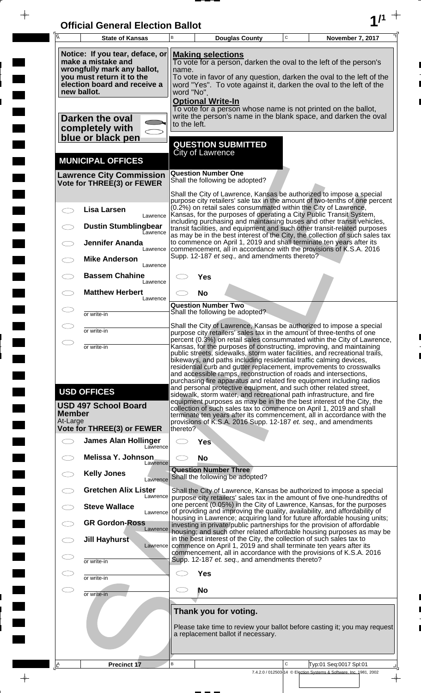| <b>Official General Election Ballot</b> |  |
|-----------------------------------------|--|
|                                         |  |

 $\bar{\phantom{a}}$ 

 $\overline{\phantom{a}}$ 

 $\Box$ 

 $\blacksquare$ 

 $\blacksquare$ 

 $\blacksquare$ 

 $\frac{1}{2}$ 

 $\frac{1}{\sqrt{2\pi}}$ 

| $\overline{A}$ | <b>State of Kansas</b>                                                                                                                                           | B                                                                                                                                                                                                                             | <b>Douglas County</b>                                           |  | $\mathbf C$ | November 7, 2017                                                                                                                                                                                                                                                                                                                                                                                                                                                                                                                                                                                                                                                                   |
|----------------|------------------------------------------------------------------------------------------------------------------------------------------------------------------|-------------------------------------------------------------------------------------------------------------------------------------------------------------------------------------------------------------------------------|-----------------------------------------------------------------|--|-------------|------------------------------------------------------------------------------------------------------------------------------------------------------------------------------------------------------------------------------------------------------------------------------------------------------------------------------------------------------------------------------------------------------------------------------------------------------------------------------------------------------------------------------------------------------------------------------------------------------------------------------------------------------------------------------------|
|                | Notice: If you tear, deface, or<br>make a mistake and<br>wrongfully mark any ballot,<br>you must return it to the<br>election board and receive a<br>new ballot. |                                                                                                                                                                                                                               | <b>Making selections</b><br>name.<br>word "No".                 |  |             | To vote for a person, darken the oval to the left of the person's<br>To vote in favor of any question, darken the oval to the left of the<br>word "Yes". To vote against it, darken the oval to the left of the                                                                                                                                                                                                                                                                                                                                                                                                                                                                    |
|                | Darken the oval<br>completely with<br>blue or black pen                                                                                                          | to the left.                                                                                                                                                                                                                  | <b>Optional Write-In</b>                                        |  |             | To vote for a person whose name is not printed on the ballot,<br>write the person's name in the blank space, and darken the oval                                                                                                                                                                                                                                                                                                                                                                                                                                                                                                                                                   |
|                | <b>MUNICIPAL OFFICES</b>                                                                                                                                         |                                                                                                                                                                                                                               | <b>QUESTION SUBMITTED</b><br>City of Lawrence                   |  |             |                                                                                                                                                                                                                                                                                                                                                                                                                                                                                                                                                                                                                                                                                    |
|                | <b>Lawrence City Commission</b><br>Vote for THREE(3) or FEWER                                                                                                    |                                                                                                                                                                                                                               | <b>Question Number One</b><br>Shall the following be adopted?   |  |             |                                                                                                                                                                                                                                                                                                                                                                                                                                                                                                                                                                                                                                                                                    |
|                | <b>Lisa Larsen</b><br>Lawrence<br><b>Dustin Stumblingbear</b><br><b>Lawrence</b><br>Jennifer Ananda<br>Lawrence                                                  |                                                                                                                                                                                                                               | Supp. 12-187 et seq., and amendments thereto?                   |  |             | Shall the City of Lawrence, Kansas be authorized to impose a special<br>purpose city retailers' sale tax in the amount of two-tenths of one percent<br>(0.2%) on retail sales consummated within the City of Lawrence,<br>Kansas, for the purposes of operating a City Public Transit System,<br>including purchasing and maintaining buses and other transit vehicles,<br>transit facilities, and equipment and such other transit-related purposes<br>as may be in the best interest of the City, the collection of such sales tax<br>to commence on April 1, 2019 and shall terminate ten years after its<br>commencement, all in accordance with the provisions of K.S.A. 2016 |
|                | <b>Mike Anderson</b><br>Lawrence<br><b>Bassem Chahine</b><br>Lawrence                                                                                            |                                                                                                                                                                                                                               | Yes                                                             |  |             |                                                                                                                                                                                                                                                                                                                                                                                                                                                                                                                                                                                                                                                                                    |
|                | <b>Matthew Herbert</b><br>Lawrence                                                                                                                               |                                                                                                                                                                                                                               | <b>No</b><br><b>Question Number Two</b>                         |  |             |                                                                                                                                                                                                                                                                                                                                                                                                                                                                                                                                                                                                                                                                                    |
|                | or write-in<br>or write-in                                                                                                                                       |                                                                                                                                                                                                                               | Shall the following be adopted?                                 |  |             | Shall the City of Lawrence, Kansas be authorized to impose a special<br>purpose city retailers' sales tax in the amount of three-tenths of one                                                                                                                                                                                                                                                                                                                                                                                                                                                                                                                                     |
|                | or write-in                                                                                                                                                      | percent (0.3%) on retail sales consummated within the City of Lawrence<br>Kansas, for the purposes of constructing, improving, and maintaining<br>public streets, sidewalks, storm water facilities, and recreational trails, |                                                                 |  |             |                                                                                                                                                                                                                                                                                                                                                                                                                                                                                                                                                                                                                                                                                    |
| <b>Member</b>  | <b>USD OFFICES</b><br><b>USD 497 School Board</b>                                                                                                                |                                                                                                                                                                                                                               |                                                                 |  |             | bikeways, and paths including residential traffic calming devices,<br>residential curb and gutter replacement, improvements to crosswalks<br>and accessible ramps, reconstruction of roads and intersections,<br>purchasing fire apparatus and related fire equipment including radios<br>and personal protective equipment, and such other related street,<br>sidewalk, storm water, and recreational path infrastructure, and fire<br>equipment purposes as may be in the the best interest of the City, the<br>collection of such sales tax to commence on April 1, 2019 and shall<br>terminate ten years after its commencement, all in accordance with the                    |
| At-Large       | <b>Vote for THREE(3) or FEWER</b>                                                                                                                                | thereto?                                                                                                                                                                                                                      |                                                                 |  |             | provisions of K.S.A. 2016 Supp. 12-187 et. seq., and amendments                                                                                                                                                                                                                                                                                                                                                                                                                                                                                                                                                                                                                    |
|                | <b>James Alan Hollinger</b><br>Lawrence<br>Melissa Y. Johnson                                                                                                    | CD.                                                                                                                                                                                                                           | <b>Yes</b><br><b>No</b>                                         |  |             |                                                                                                                                                                                                                                                                                                                                                                                                                                                                                                                                                                                                                                                                                    |
|                | Lawrence<br><b>Kelly Jones</b><br>Lawrence                                                                                                                       |                                                                                                                                                                                                                               | <b>Question Number Three</b><br>Shall the following be adopted? |  |             |                                                                                                                                                                                                                                                                                                                                                                                                                                                                                                                                                                                                                                                                                    |
|                | <b>Gretchen Alix Lister</b><br>Lawrence<br><b>Steve Wallace</b>                                                                                                  |                                                                                                                                                                                                                               |                                                                 |  |             | Shall the City of Lawrence, Kansas be authorized to impose a special<br>purpose city retailers' sales tax in the amount of five one-hundredths of<br>one percent (0.05%) in the City of Lawrence, Kansas, for the purposes                                                                                                                                                                                                                                                                                                                                                                                                                                                         |
|                | Lawrence<br><b>GR Gordon-Ross</b>                                                                                                                                |                                                                                                                                                                                                                               |                                                                 |  |             | of providing and improving the quality, availability, and affordability of<br>housing in Lawrence; acquiring land for future affordable housing units;<br>investing in private/public partnerships for the provision of affordable                                                                                                                                                                                                                                                                                                                                                                                                                                                 |
|                | Lawrence<br>Jill Hayhurst<br>Lawrence                                                                                                                            |                                                                                                                                                                                                                               |                                                                 |  |             | housing; and such other related affordable housing purposes as may be<br>in the best interest of the City, the collection of such sales tax to<br>commence on April 1, 2019 and shall terminate ten years after its                                                                                                                                                                                                                                                                                                                                                                                                                                                                |
|                | or write-in                                                                                                                                                      |                                                                                                                                                                                                                               | Supp. 12-187 et. seq., and amendments thereto?                  |  |             | commencement, all in accordance with the provisions of K.S.A. 2016                                                                                                                                                                                                                                                                                                                                                                                                                                                                                                                                                                                                                 |
| C I<br>C.      | or write-in                                                                                                                                                      |                                                                                                                                                                                                                               | <b>Yes</b><br>No                                                |  |             |                                                                                                                                                                                                                                                                                                                                                                                                                                                                                                                                                                                                                                                                                    |
|                | or write-in                                                                                                                                                      |                                                                                                                                                                                                                               | Thank you for voting.                                           |  |             |                                                                                                                                                                                                                                                                                                                                                                                                                                                                                                                                                                                                                                                                                    |
|                |                                                                                                                                                                  |                                                                                                                                                                                                                               | a replacement ballot if necessary.                              |  |             | Please take time to review your ballot before casting it; you may request                                                                                                                                                                                                                                                                                                                                                                                                                                                                                                                                                                                                          |
| <u> 음</u>      | <b>Precinct 17</b>                                                                                                                                               | B                                                                                                                                                                                                                             |                                                                 |  | C           | Typ:01 Seq:0017 Spl:01                                                                                                                                                                                                                                                                                                                                                                                                                                                                                                                                                                                                                                                             |
|                |                                                                                                                                                                  |                                                                                                                                                                                                                               |                                                                 |  |             | 7.4.2.0 / 012503-14 © Election Systems & Software, Inc. 1981, 2002                                                                                                                                                                                                                                                                                                                                                                                                                                                                                                                                                                                                                 |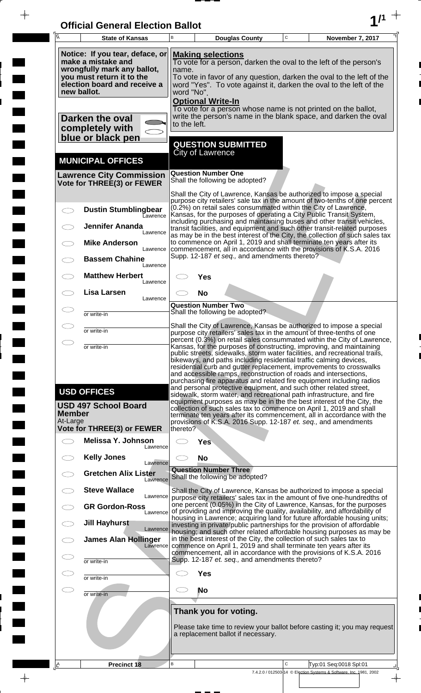| <b>Official General Election Ballot</b> |  |
|-----------------------------------------|--|
|                                         |  |

 $\overline{\phantom{a}}$ 

 $\Box$ 

 $\blacksquare$ 

 $\blacksquare$ 

 $\frac{1}{2}$ 

 $\frac{1}{\sqrt{2\pi}}$ 

| Ā                         | <b>State of Kansas</b>                                                                                                                                           | B            |                                                                                                                                                                                                                                                                                                | <b>Douglas County</b>                          | $\mathbf C$ | November 7, 2017                                                                                                                                                                                                                                                                                                                                                                                                                                                                                                                                                                                             |  |
|---------------------------|------------------------------------------------------------------------------------------------------------------------------------------------------------------|--------------|------------------------------------------------------------------------------------------------------------------------------------------------------------------------------------------------------------------------------------------------------------------------------------------------|------------------------------------------------|-------------|--------------------------------------------------------------------------------------------------------------------------------------------------------------------------------------------------------------------------------------------------------------------------------------------------------------------------------------------------------------------------------------------------------------------------------------------------------------------------------------------------------------------------------------------------------------------------------------------------------------|--|
|                           | Notice: If you tear, deface, or<br>make a mistake and<br>wrongfully mark any ballot,<br>you must return it to the<br>election board and receive a<br>new ballot. |              | <b>Making selections</b><br>To vote for a person, darken the oval to the left of the person's<br>name.<br>To vote in favor of any question, darken the oval to the left of the<br>word "Yes". To vote against it, darken the oval to the left of the<br>word "No".<br><b>Optional Write-In</b> |                                                |             |                                                                                                                                                                                                                                                                                                                                                                                                                                                                                                                                                                                                              |  |
|                           | Darken the oval<br>completely with<br>blue or black pen                                                                                                          | to the left. |                                                                                                                                                                                                                                                                                                | <b>QUESTION SUBMITTED</b>                      |             | To vote for a person whose name is not printed on the ballot,<br>write the person's name in the blank space, and darken the oval                                                                                                                                                                                                                                                                                                                                                                                                                                                                             |  |
|                           | <b>MUNICIPAL OFFICES</b>                                                                                                                                         |              | <b>City of Lawrence</b>                                                                                                                                                                                                                                                                        |                                                |             |                                                                                                                                                                                                                                                                                                                                                                                                                                                                                                                                                                                                              |  |
|                           | <b>Lawrence City Commission</b><br>Vote for THREE(3) or FEWER                                                                                                    |              | <b>Question Number One</b>                                                                                                                                                                                                                                                                     | Shall the following be adopted?                |             |                                                                                                                                                                                                                                                                                                                                                                                                                                                                                                                                                                                                              |  |
|                           | <b>Dustin Stumblingbear</b><br>Eawrence<br><b>Jennifer Ananda</b><br>Lawrence<br><b>Mike Anderson</b>                                                            |              |                                                                                                                                                                                                                                                                                                |                                                |             | Shall the City of Lawrence, Kansas be authorized to impose a special<br>purpose city retailers' sale tax in the amount of two-tenths of one percent<br>(0.2%) on retail sales consummated within the City of Lawrence,<br>Kansas, for the purposes of operating a City Public Transit System,<br>including purchasing and maintaining buses and other transit vehicles,<br>transit facilities, and equipment and such other transit-related purposes<br>as may be in the best interest of the City, the collection of such sales tax<br>to commence on April 1, 2019 and shall terminate ten years after its |  |
|                           | Lawrence<br><b>Bassem Chahine</b><br>Lawrence                                                                                                                    |              |                                                                                                                                                                                                                                                                                                | Supp. 12-187 et seq., and amendments thereto?  |             | commencement, all in accordance with the provisions of K.S.A. 2016                                                                                                                                                                                                                                                                                                                                                                                                                                                                                                                                           |  |
|                           | <b>Matthew Herbert</b><br>Lawrence<br>Lisa Larsen                                                                                                                |              | Yes<br><b>No</b>                                                                                                                                                                                                                                                                               |                                                |             |                                                                                                                                                                                                                                                                                                                                                                                                                                                                                                                                                                                                              |  |
|                           | Lawrence<br>or write-in                                                                                                                                          |              | <b>Question Number Two</b>                                                                                                                                                                                                                                                                     | Shall the following be adopted?                |             |                                                                                                                                                                                                                                                                                                                                                                                                                                                                                                                                                                                                              |  |
|                           | or write-in                                                                                                                                                      |              |                                                                                                                                                                                                                                                                                                |                                                |             | Shall the City of Lawrence, Kansas be authorized to impose a special<br>purpose city retailers' sales tax in the amount of three-tenths of one                                                                                                                                                                                                                                                                                                                                                                                                                                                               |  |
|                           | or write-in                                                                                                                                                      |              |                                                                                                                                                                                                                                                                                                |                                                |             | percent (0.3%) on retail sales consummated within the City of Lawrence,<br>Kansas, for the purposes of constructing, improving, and maintaining<br>public streets, sidewalks, storm water facilities, and recreational trails,<br>bikeways, and paths including residential traffic calming devices,<br>residential curb and gutter replacement, improvements to crosswalks<br>and accessible ramps, reconstruction of roads and intersections,<br>purchasing fire apparatus and related fire equipment including radios<br>and personal protective equipment, and such other related street,                |  |
| <b>Member</b><br>At-Large | <b>USD OFFICES</b><br><b>USD 497 School Board</b>                                                                                                                |              |                                                                                                                                                                                                                                                                                                |                                                |             | sidewalk, storm water, and recreational path infrastructure, and fire<br>equipment purposes as may be in the the best interest of the City, the<br>collection of such sales tax to commence on April 1, 2019 and shall<br>terminate ten years after its commencement, all in accordance with the<br>provisions of K.S.A. 2016 Supp. 12-187 et. seq., and amendments                                                                                                                                                                                                                                          |  |
|                           | <b>Vote for THREE(3) or FEWER</b><br>Melissa Y. Johnson<br>Lawrence                                                                                              | thereto?     | <b>Yes</b>                                                                                                                                                                                                                                                                                     |                                                |             |                                                                                                                                                                                                                                                                                                                                                                                                                                                                                                                                                                                                              |  |
|                           | <b>Kelly Jones</b><br>Lawrence                                                                                                                                   |              | <b>No</b>                                                                                                                                                                                                                                                                                      |                                                |             |                                                                                                                                                                                                                                                                                                                                                                                                                                                                                                                                                                                                              |  |
|                           | <b>Gretchen Alix Lister</b><br>Lawrence                                                                                                                          |              | <b>Question Number Three</b>                                                                                                                                                                                                                                                                   | Shall the following be adopted?                |             |                                                                                                                                                                                                                                                                                                                                                                                                                                                                                                                                                                                                              |  |
|                           | <b>Steve Wallace</b><br>Lawrence<br><b>GR Gordon-Ross</b>                                                                                                        |              |                                                                                                                                                                                                                                                                                                |                                                |             | Shall the City of Lawrence, Kansas be authorized to impose a special<br>purpose city retailers' sales tax in the amount of five one-hundredths of<br>one percent (0.05%) in the City of Lawrence, Kansas, for the purposes<br>of providing and improving the quality, availability, and affordability of                                                                                                                                                                                                                                                                                                     |  |
|                           | Lawrence<br><b>Jill Hayhurst</b><br>Lawrence                                                                                                                     |              |                                                                                                                                                                                                                                                                                                |                                                |             | housing in Lawrence; acquiring land for future affordable housing units;<br>investing in private/public partnerships for the provision of affordable                                                                                                                                                                                                                                                                                                                                                                                                                                                         |  |
|                           | <b>James Alan Hollinger</b><br>Lawrence                                                                                                                          |              |                                                                                                                                                                                                                                                                                                |                                                |             | housing; and such other related affordable housing purposes as may be<br>in the best interest of the City, the collection of such sales tax to<br>commence on April 1, 2019 and shall terminate ten years after its                                                                                                                                                                                                                                                                                                                                                                                          |  |
|                           | or write-in                                                                                                                                                      |              |                                                                                                                                                                                                                                                                                                | Supp. 12-187 et. seq., and amendments thereto? |             | commencement, all in accordance with the provisions of K.S.A. 2016                                                                                                                                                                                                                                                                                                                                                                                                                                                                                                                                           |  |
|                           | or write-in                                                                                                                                                      |              | <b>Yes</b><br><b>No</b>                                                                                                                                                                                                                                                                        |                                                |             |                                                                                                                                                                                                                                                                                                                                                                                                                                                                                                                                                                                                              |  |
|                           | or write-in                                                                                                                                                      |              |                                                                                                                                                                                                                                                                                                | Thank you for voting.                          |             |                                                                                                                                                                                                                                                                                                                                                                                                                                                                                                                                                                                                              |  |
|                           |                                                                                                                                                                  |              |                                                                                                                                                                                                                                                                                                | a replacement ballot if necessary.             |             | Please take time to review your ballot before casting it; you may request                                                                                                                                                                                                                                                                                                                                                                                                                                                                                                                                    |  |
| ΙÊ                        | <b>Precinct 18</b>                                                                                                                                               | B            |                                                                                                                                                                                                                                                                                                |                                                | C           | Typ:01 Seq:0018 Spl:01                                                                                                                                                                                                                                                                                                                                                                                                                                                                                                                                                                                       |  |
|                           |                                                                                                                                                                  |              |                                                                                                                                                                                                                                                                                                |                                                |             | 7.4.2.0 / 012503-14 © Election Systems & Software, Inc. 1981, 2002                                                                                                                                                                                                                                                                                                                                                                                                                                                                                                                                           |  |

 $\frac{1}{\sqrt{2}}$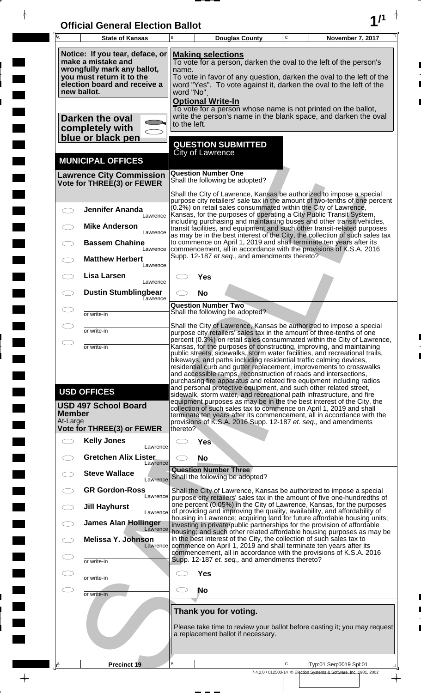| <b>Official General Election Ballot</b> |  |
|-----------------------------------------|--|
|                                         |  |

 $\overline{\phantom{a}}$ 

 $\blacksquare$ 

 $\overline{\phantom{a}}$ 

 $\blacksquare$ 

 $\frac{1}{2}$ 

 $\frac{1}{\sqrt{2\pi}}$ 

| $\overline{\mathsf{A}}$   | <b>State of Kansas</b>                                                                                                                                                                                                                                                                                                                                                                                                                 | B                                                                                                                                                                                                                                                                                                                                                                                                                                                                                                                        |                                         | <b>Douglas County</b>                          | $\mathbf C$ | November 7, 2017                                                                                                                                                                                                                                                                                                                                                                                                                         |  |
|---------------------------|----------------------------------------------------------------------------------------------------------------------------------------------------------------------------------------------------------------------------------------------------------------------------------------------------------------------------------------------------------------------------------------------------------------------------------------|--------------------------------------------------------------------------------------------------------------------------------------------------------------------------------------------------------------------------------------------------------------------------------------------------------------------------------------------------------------------------------------------------------------------------------------------------------------------------------------------------------------------------|-----------------------------------------|------------------------------------------------|-------------|------------------------------------------------------------------------------------------------------------------------------------------------------------------------------------------------------------------------------------------------------------------------------------------------------------------------------------------------------------------------------------------------------------------------------------------|--|
|                           | Notice: If you tear, deface, or<br><b>Making selections</b><br>make a mistake and<br>To vote for a person, darken the oval to the left of the person's<br>wrongfully mark any ballot,<br>name.<br>you must return it to the<br>To vote in favor of any question, darken the oval to the left of the<br>election board and receive a<br>word "Yes". To vote against it, darken the oval to the left of the<br>new ballot.<br>word "No". |                                                                                                                                                                                                                                                                                                                                                                                                                                                                                                                          |                                         |                                                |             |                                                                                                                                                                                                                                                                                                                                                                                                                                          |  |
|                           | Darken the oval<br>completely with<br>blue or black pen                                                                                                                                                                                                                                                                                                                                                                                | to the left.                                                                                                                                                                                                                                                                                                                                                                                                                                                                                                             | <b>Optional Write-In</b>                |                                                |             | To vote for a person whose name is not printed on the ballot,<br>write the person's name in the blank space, and darken the oval                                                                                                                                                                                                                                                                                                         |  |
|                           | <b>MUNICIPAL OFFICES</b>                                                                                                                                                                                                                                                                                                                                                                                                               |                                                                                                                                                                                                                                                                                                                                                                                                                                                                                                                          | <b>City of Lawrence</b>                 | <b>QUESTION SUBMITTED</b>                      |             |                                                                                                                                                                                                                                                                                                                                                                                                                                          |  |
|                           | <b>Lawrence City Commission</b><br>Vote for THREE(3) or FEWER                                                                                                                                                                                                                                                                                                                                                                          |                                                                                                                                                                                                                                                                                                                                                                                                                                                                                                                          | <b>Question Number One</b>              | Shall the following be adopted?                |             |                                                                                                                                                                                                                                                                                                                                                                                                                                          |  |
|                           | <b>Jennifer Ananda</b><br>Lawrence                                                                                                                                                                                                                                                                                                                                                                                                     |                                                                                                                                                                                                                                                                                                                                                                                                                                                                                                                          |                                         |                                                |             | Shall the City of Lawrence, Kansas be authorized to impose a special<br>purpose city retailers' sale tax in the amount of two-tenths of one percent<br>(0.2%) on retail sales consummated within the City of Lawrence,<br>Kansas, for the purposes of operating a City Public Transit System,                                                                                                                                            |  |
|                           | <b>Mike Anderson</b><br>Lawrence<br><b>Bassem Chahine</b>                                                                                                                                                                                                                                                                                                                                                                              |                                                                                                                                                                                                                                                                                                                                                                                                                                                                                                                          |                                         |                                                |             | including purchasing and maintaining buses and other transit vehicles,<br>transit facilities, and equipment and such other transit-related purposes<br>as may be in the best interest of the City, the collection of such sales tax<br>to commence on April 1, 2019 and shall terminate ten years after its                                                                                                                              |  |
|                           | Lawrence<br><b>Matthew Herbert</b><br>Lawrence                                                                                                                                                                                                                                                                                                                                                                                         |                                                                                                                                                                                                                                                                                                                                                                                                                                                                                                                          |                                         | Supp. 12-187 et seq., and amendments thereto?  |             | commencement, all in accordance with the provisions of K.S.A. 2016                                                                                                                                                                                                                                                                                                                                                                       |  |
|                           | Lisa Larsen<br>Lawrence                                                                                                                                                                                                                                                                                                                                                                                                                |                                                                                                                                                                                                                                                                                                                                                                                                                                                                                                                          | Yes                                     |                                                |             |                                                                                                                                                                                                                                                                                                                                                                                                                                          |  |
|                           | <b>Dustin Stumblingbear</b><br>Eawrence                                                                                                                                                                                                                                                                                                                                                                                                |                                                                                                                                                                                                                                                                                                                                                                                                                                                                                                                          | <b>No</b><br><b>Question Number Two</b> | Shall the following be adopted?                |             |                                                                                                                                                                                                                                                                                                                                                                                                                                          |  |
|                           | or write-in<br>or write-in                                                                                                                                                                                                                                                                                                                                                                                                             |                                                                                                                                                                                                                                                                                                                                                                                                                                                                                                                          |                                         |                                                |             | Shall the City of Lawrence, Kansas be authorized to impose a special<br>purpose city retailers' sales tax in the amount of three-tenths of one                                                                                                                                                                                                                                                                                           |  |
| $\bigcirc$                | or write-in                                                                                                                                                                                                                                                                                                                                                                                                                            | percent (0.3%) on retail sales consummated within the City of Lawrence,<br>Kansas, for the purposes of constructing, improving, and maintaining<br>public streets, sidewalks, storm water facilities, and recreational trails,<br>bikeways, and paths including residential traffic calming devices,<br>residential curb and gutter replacement, improvements to crosswalks<br>and accessible ramps, reconstruction of roads and intersections,<br>purchasing fire apparatus and related fire equipment including radios |                                         |                                                |             |                                                                                                                                                                                                                                                                                                                                                                                                                                          |  |
| <b>Member</b><br>At-Large | <b>USD OFFICES</b><br><b>USD 497 School Board</b>                                                                                                                                                                                                                                                                                                                                                                                      |                                                                                                                                                                                                                                                                                                                                                                                                                                                                                                                          |                                         |                                                |             | and personal protective equipment, and such other related street,<br>sidewalk, storm water, and recreational path infrastructure, and fire<br>equipment purposes as may be in the the best interest of the City, the<br>collection of such sales tax to commence on April 1, 2019 and shall<br>terminate ten years after its commencement, all in accordance with the<br>provisions of K.S.A. 2016 Supp. 12-187 et. seq., and amendments |  |
|                           | <b>Vote for THREE(3) or FEWER</b>                                                                                                                                                                                                                                                                                                                                                                                                      | thereto?                                                                                                                                                                                                                                                                                                                                                                                                                                                                                                                 |                                         |                                                |             |                                                                                                                                                                                                                                                                                                                                                                                                                                          |  |
|                           | <b>Kelly Jones</b><br>Lawrence<br><b>Gretchen Alix Lister</b>                                                                                                                                                                                                                                                                                                                                                                          |                                                                                                                                                                                                                                                                                                                                                                                                                                                                                                                          | <b>Yes</b><br><b>No</b>                 |                                                |             |                                                                                                                                                                                                                                                                                                                                                                                                                                          |  |
|                           | Lawrence<br><b>Steve Wallace</b><br>Lawrence                                                                                                                                                                                                                                                                                                                                                                                           |                                                                                                                                                                                                                                                                                                                                                                                                                                                                                                                          | <b>Question Number Three</b>            | Shall the following be adopted?                |             |                                                                                                                                                                                                                                                                                                                                                                                                                                          |  |
|                           | <b>GR Gordon-Ross</b><br>Lawrence                                                                                                                                                                                                                                                                                                                                                                                                      |                                                                                                                                                                                                                                                                                                                                                                                                                                                                                                                          |                                         |                                                |             | Shall the City of Lawrence, Kansas be authorized to impose a special<br>purpose city retailers' sales tax in the amount of five one-hundredths of                                                                                                                                                                                                                                                                                        |  |
|                           | <b>Jill Hayhurst</b><br>Lawrence<br><b>James Alan Hollinger</b>                                                                                                                                                                                                                                                                                                                                                                        |                                                                                                                                                                                                                                                                                                                                                                                                                                                                                                                          |                                         |                                                |             | one percent (0.05%) in the City of Lawrence, Kansas, for the purposes<br>of providing and improving the quality, availability, and affordability of<br>housing in Lawrence; acquiring land for future affordable housing units;<br>investing in private/public partnerships for the provision of affordable                                                                                                                              |  |
|                           | Lawrence<br><b>Melissa Y. Johnson</b><br>Lawrence                                                                                                                                                                                                                                                                                                                                                                                      |                                                                                                                                                                                                                                                                                                                                                                                                                                                                                                                          |                                         |                                                |             | housing; and such other related affordable housing purposes as may be<br>in the best interest of the City, the collection of such sales tax to<br>commence on April 1, 2019 and shall terminate ten years after its                                                                                                                                                                                                                      |  |
|                           | or write-in                                                                                                                                                                                                                                                                                                                                                                                                                            |                                                                                                                                                                                                                                                                                                                                                                                                                                                                                                                          |                                         | Supp. 12-187 et. seq., and amendments thereto? |             | commencement, all in accordance with the provisions of K.S.A. 2016                                                                                                                                                                                                                                                                                                                                                                       |  |
|                           | or write-in                                                                                                                                                                                                                                                                                                                                                                                                                            |                                                                                                                                                                                                                                                                                                                                                                                                                                                                                                                          | <b>Yes</b>                              |                                                |             |                                                                                                                                                                                                                                                                                                                                                                                                                                          |  |
| CD                        | or write-in                                                                                                                                                                                                                                                                                                                                                                                                                            |                                                                                                                                                                                                                                                                                                                                                                                                                                                                                                                          | No                                      | Thank you for voting.                          |             |                                                                                                                                                                                                                                                                                                                                                                                                                                          |  |
|                           |                                                                                                                                                                                                                                                                                                                                                                                                                                        |                                                                                                                                                                                                                                                                                                                                                                                                                                                                                                                          |                                         | a replacement ballot if necessary.             |             | Please take time to review your ballot before casting it; you may request                                                                                                                                                                                                                                                                                                                                                                |  |
| <u> A</u>                 | Precinct 19                                                                                                                                                                                                                                                                                                                                                                                                                            | B                                                                                                                                                                                                                                                                                                                                                                                                                                                                                                                        |                                         |                                                | C           | Typ:01 Seq:0019 Spl:01                                                                                                                                                                                                                                                                                                                                                                                                                   |  |
|                           |                                                                                                                                                                                                                                                                                                                                                                                                                                        |                                                                                                                                                                                                                                                                                                                                                                                                                                                                                                                          |                                         |                                                |             | 7.4.2.0 / 012503-14 © Election Systems & Software, Inc. 1981, 2002                                                                                                                                                                                                                                                                                                                                                                       |  |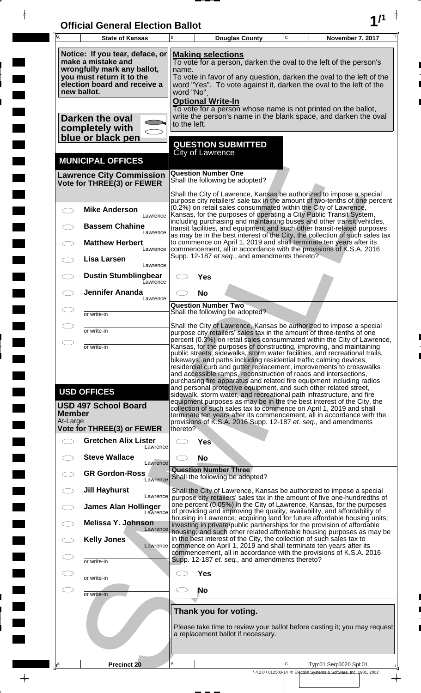| <b>Official General Election Ballot</b> |  |
|-----------------------------------------|--|
|                                         |  |

 $\overline{\phantom{a}}$ 

 $\Box$ 

 $\blacksquare$ 

 $\blacksquare$ 

 $\frac{1}{2}$ 

 $\frac{1}{\sqrt{2\pi}}\int_{0}^{\pi}\frac{1}{\sqrt{2\pi}}\left( \frac{1}{\sqrt{2\pi}}\right) \frac{d\mu}{d\mu}d\mu$ 

| $\overline{\mathsf{A}}$ | <b>State of Kansas</b>                                                                                                                                           | В                                                                                                                                                                                                                                                                                                                                                                                                                                                                                                                        | <b>Douglas County</b>                                                                                                                                                                                                                                                                          |  | $\mathbf C$  | November 7, 2017                                                                                                                                                                                                                                                                                                                                                                                                                         |  |  |
|-------------------------|------------------------------------------------------------------------------------------------------------------------------------------------------------------|--------------------------------------------------------------------------------------------------------------------------------------------------------------------------------------------------------------------------------------------------------------------------------------------------------------------------------------------------------------------------------------------------------------------------------------------------------------------------------------------------------------------------|------------------------------------------------------------------------------------------------------------------------------------------------------------------------------------------------------------------------------------------------------------------------------------------------|--|--------------|------------------------------------------------------------------------------------------------------------------------------------------------------------------------------------------------------------------------------------------------------------------------------------------------------------------------------------------------------------------------------------------------------------------------------------------|--|--|
|                         | Notice: If you tear, deface, or<br>make a mistake and<br>wrongfully mark any ballot,<br>you must return it to the<br>election board and receive a<br>new ballot. |                                                                                                                                                                                                                                                                                                                                                                                                                                                                                                                          | <b>Making selections</b><br>To vote for a person, darken the oval to the left of the person's<br>name.<br>To vote in favor of any question, darken the oval to the left of the<br>word "Yes". To vote against it, darken the oval to the left of the<br>word "No".<br><b>Optional Write-In</b> |  |              |                                                                                                                                                                                                                                                                                                                                                                                                                                          |  |  |
|                         | Darken the oval<br>completely with<br>blue or black pen                                                                                                          |                                                                                                                                                                                                                                                                                                                                                                                                                                                                                                                          | To vote for a person whose name is not printed on the ballot,<br>write the person's name in the blank space, and darken the oval<br>to the left.                                                                                                                                               |  |              |                                                                                                                                                                                                                                                                                                                                                                                                                                          |  |  |
|                         | <b>MUNICIPAL OFFICES</b>                                                                                                                                         |                                                                                                                                                                                                                                                                                                                                                                                                                                                                                                                          | <b>QUESTION SUBMITTED</b><br><b>City of Lawrence</b>                                                                                                                                                                                                                                           |  |              |                                                                                                                                                                                                                                                                                                                                                                                                                                          |  |  |
|                         | <b>Lawrence City Commission</b><br>Vote for THREE(3) or FEWER                                                                                                    |                                                                                                                                                                                                                                                                                                                                                                                                                                                                                                                          | <b>Question Number One</b><br>Shall the following be adopted?                                                                                                                                                                                                                                  |  |              |                                                                                                                                                                                                                                                                                                                                                                                                                                          |  |  |
|                         | <b>Mike Anderson</b>                                                                                                                                             |                                                                                                                                                                                                                                                                                                                                                                                                                                                                                                                          |                                                                                                                                                                                                                                                                                                |  |              | Shall the City of Lawrence, Kansas be authorized to impose a special<br>purpose city retailers' sale tax in the amount of two-tenths of one percent<br>(0.2%) on retail sales consummated within the City of Lawrence,                                                                                                                                                                                                                   |  |  |
|                         | Lawrence<br><b>Bassem Chahine</b><br>Lawrence                                                                                                                    |                                                                                                                                                                                                                                                                                                                                                                                                                                                                                                                          |                                                                                                                                                                                                                                                                                                |  |              | Kansas, for the purposes of operating a City Public Transit System,<br>including purchasing and maintaining buses and other transit vehicles,<br>transit facilities, and equipment and such other transit-related purposes                                                                                                                                                                                                               |  |  |
|                         | <b>Matthew Herbert</b><br>Lawrence                                                                                                                               |                                                                                                                                                                                                                                                                                                                                                                                                                                                                                                                          |                                                                                                                                                                                                                                                                                                |  |              | as may be in the best interest of the City, the collection of such sales tax<br>to commence on April 1, 2019 and shall terminate ten years after its<br>commencement, all in accordance with the provisions of K.S.A. 2016                                                                                                                                                                                                               |  |  |
|                         | <b>Lisa Larsen</b><br>Lawrence                                                                                                                                   |                                                                                                                                                                                                                                                                                                                                                                                                                                                                                                                          | Supp. 12-187 et seq., and amendments thereto?                                                                                                                                                                                                                                                  |  |              |                                                                                                                                                                                                                                                                                                                                                                                                                                          |  |  |
|                         | <b>Dustin Stumblingbear</b><br>Eawrence<br><b>Jennifer Ananda</b>                                                                                                |                                                                                                                                                                                                                                                                                                                                                                                                                                                                                                                          | Yes<br><b>No</b>                                                                                                                                                                                                                                                                               |  |              |                                                                                                                                                                                                                                                                                                                                                                                                                                          |  |  |
|                         | Lawrence<br>or write-in                                                                                                                                          |                                                                                                                                                                                                                                                                                                                                                                                                                                                                                                                          | <b>Question Number Two</b><br>Shall the following be adopted?                                                                                                                                                                                                                                  |  |              |                                                                                                                                                                                                                                                                                                                                                                                                                                          |  |  |
|                         | or write-in                                                                                                                                                      |                                                                                                                                                                                                                                                                                                                                                                                                                                                                                                                          |                                                                                                                                                                                                                                                                                                |  |              | Shall the City of Lawrence, Kansas be authorized to impose a special<br>purpose city retailers' sales tax in the amount of three-tenths of one                                                                                                                                                                                                                                                                                           |  |  |
| $\bigcirc$              | or write-in                                                                                                                                                      | percent (0.3%) on retail sales consummated within the City of Lawrence,<br>Kansas, for the purposes of constructing, improving, and maintaining<br>public streets, sidewalks, storm water facilities, and recreational trails,<br>bikeways, and paths including residential traffic calming devices,<br>residential curb and gutter replacement, improvements to crosswalks<br>and accessible ramps, reconstruction of roads and intersections,<br>purchasing fire apparatus and related fire equipment including radios |                                                                                                                                                                                                                                                                                                |  |              |                                                                                                                                                                                                                                                                                                                                                                                                                                          |  |  |
| Member<br>At-Large      | <b>USD OFFICES</b><br><b>USD 497 School Board</b><br><b>Vote for THREE(3) or FEWER</b>                                                                           | thereto?                                                                                                                                                                                                                                                                                                                                                                                                                                                                                                                 |                                                                                                                                                                                                                                                                                                |  |              | and personal protective equipment, and such other related street,<br>sidewalk, storm water, and recreational path infrastructure, and fire<br>equipment purposes as may be in the the best interest of the City, the<br>collection of such sales tax to commence on April 1, 2019 and shall<br>terminate ten years after its commencement, all in accordance with the<br>provisions of K.S.A. 2016 Supp. 12-187 et. seq., and amendments |  |  |
|                         | <b>Gretchen Alix Lister</b><br>Lawrence                                                                                                                          |                                                                                                                                                                                                                                                                                                                                                                                                                                                                                                                          | <b>Yes</b>                                                                                                                                                                                                                                                                                     |  |              |                                                                                                                                                                                                                                                                                                                                                                                                                                          |  |  |
|                         | <b>Steve Wallace</b><br>Lawrence                                                                                                                                 |                                                                                                                                                                                                                                                                                                                                                                                                                                                                                                                          | <b>No</b>                                                                                                                                                                                                                                                                                      |  |              |                                                                                                                                                                                                                                                                                                                                                                                                                                          |  |  |
|                         | <b>GR Gordon-Ross</b><br>Lawrence                                                                                                                                |                                                                                                                                                                                                                                                                                                                                                                                                                                                                                                                          | <b>Question Number Three</b><br>Shall the following be adopted?                                                                                                                                                                                                                                |  |              |                                                                                                                                                                                                                                                                                                                                                                                                                                          |  |  |
|                         | <b>Jill Hayhurst</b><br>Lawrence<br><b>James Alan Hollinger</b>                                                                                                  |                                                                                                                                                                                                                                                                                                                                                                                                                                                                                                                          |                                                                                                                                                                                                                                                                                                |  |              | Shall the City of Lawrence, Kansas be authorized to impose a special<br>purpose city retailers' sales tax in the amount of five one-hundredths of<br>one percent (0.05%) in the City of Lawrence, Kansas, for the purposes                                                                                                                                                                                                               |  |  |
|                         | Lawrence<br>Melissa Y. Johnson<br>Lawrence                                                                                                                       | of providing and improving the quality, availability, and affordability of<br>housing in Lawrence; acquiring land for future affordable housing units;<br>investing in private/public partnerships for the provision of affordable                                                                                                                                                                                                                                                                                       |                                                                                                                                                                                                                                                                                                |  |              |                                                                                                                                                                                                                                                                                                                                                                                                                                          |  |  |
|                         | <b>Kelly Jones</b><br>Lawrence                                                                                                                                   | housing; and such other related affordable housing purposes as may be<br>in the best interest of the City, the collection of such sales tax to<br>commence on April 1, 2019 and shall terminate ten years after its<br>commencement, all in accordance with the provisions of K.S.A. 2016                                                                                                                                                                                                                                |                                                                                                                                                                                                                                                                                                |  |              |                                                                                                                                                                                                                                                                                                                                                                                                                                          |  |  |
|                         | or write-in                                                                                                                                                      |                                                                                                                                                                                                                                                                                                                                                                                                                                                                                                                          | Supp. 12-187 et. seq., and amendments thereto?                                                                                                                                                                                                                                                 |  |              |                                                                                                                                                                                                                                                                                                                                                                                                                                          |  |  |
| $\subset$               | or write-in                                                                                                                                                      | <b>Yes</b><br>No                                                                                                                                                                                                                                                                                                                                                                                                                                                                                                         |                                                                                                                                                                                                                                                                                                |  |              |                                                                                                                                                                                                                                                                                                                                                                                                                                          |  |  |
|                         | or write-in                                                                                                                                                      |                                                                                                                                                                                                                                                                                                                                                                                                                                                                                                                          | Thank you for voting.                                                                                                                                                                                                                                                                          |  |              |                                                                                                                                                                                                                                                                                                                                                                                                                                          |  |  |
|                         |                                                                                                                                                                  | Please take time to review your ballot before casting it; you may request<br>a replacement ballot if necessary.                                                                                                                                                                                                                                                                                                                                                                                                          |                                                                                                                                                                                                                                                                                                |  |              |                                                                                                                                                                                                                                                                                                                                                                                                                                          |  |  |
| Ιê                      | <b>Precinct 20</b>                                                                                                                                               | B                                                                                                                                                                                                                                                                                                                                                                                                                                                                                                                        |                                                                                                                                                                                                                                                                                                |  | $\mathsf{C}$ | Typ:01 Seq:0020 Spl:01                                                                                                                                                                                                                                                                                                                                                                                                                   |  |  |
|                         |                                                                                                                                                                  |                                                                                                                                                                                                                                                                                                                                                                                                                                                                                                                          |                                                                                                                                                                                                                                                                                                |  |              | 7.4.2.0 / 012503-14 © Election Systems & Software, Inc. 1981, 2002<br>$\overline{\phantom{a}}$                                                                                                                                                                                                                                                                                                                                           |  |  |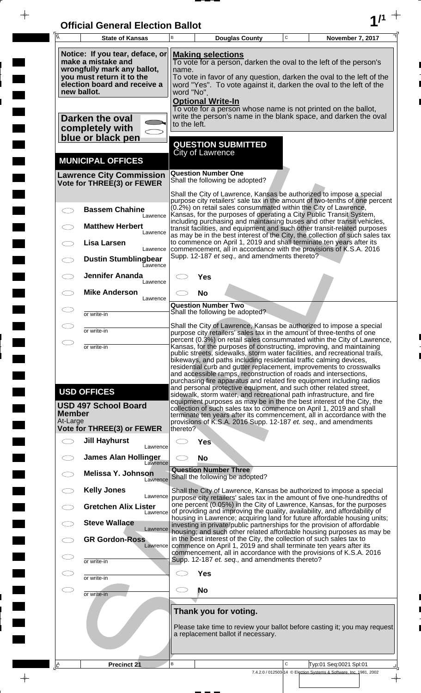| <b>Official General Election Ballot</b> |  |
|-----------------------------------------|--|
|                                         |  |

 $\overline{\phantom{a}}$ 

 $\Box$ 

 $\blacksquare$ 

 $\blacksquare$ 

 $\frac{1}{2}$ 

 $\frac{1}{\sqrt{2\pi}}\int_{0}^{\pi}\frac{1}{\sqrt{2\pi}}\left( \frac{1}{\sqrt{2\pi}}\right) \frac{d\mu}{d\mu}d\mu$ 

| Ā                         | <b>State of Kansas</b>                                                                                                                                                                                                                                                                                                                                                                                                                 | В                                                                                                                                                                                                                                                                                                                                                                                                                                                                                                                  |                                                               | <b>Douglas County</b>                          | $\mathbf C$ | November 7, 2017                                                                                                                                                                                                                                                                                                                                                    |  |  |
|---------------------------|----------------------------------------------------------------------------------------------------------------------------------------------------------------------------------------------------------------------------------------------------------------------------------------------------------------------------------------------------------------------------------------------------------------------------------------|--------------------------------------------------------------------------------------------------------------------------------------------------------------------------------------------------------------------------------------------------------------------------------------------------------------------------------------------------------------------------------------------------------------------------------------------------------------------------------------------------------------------|---------------------------------------------------------------|------------------------------------------------|-------------|---------------------------------------------------------------------------------------------------------------------------------------------------------------------------------------------------------------------------------------------------------------------------------------------------------------------------------------------------------------------|--|--|
|                           | Notice: If you tear, deface, or<br><b>Making selections</b><br>make a mistake and<br>To vote for a person, darken the oval to the left of the person's<br>wrongfully mark any ballot,<br>name.<br>you must return it to the<br>To vote in favor of any question, darken the oval to the left of the<br>election board and receive a<br>word "Yes". To vote against it, darken the oval to the left of the<br>new ballot.<br>word "No". |                                                                                                                                                                                                                                                                                                                                                                                                                                                                                                                    |                                                               |                                                |             |                                                                                                                                                                                                                                                                                                                                                                     |  |  |
|                           | <b>Optional Write-In</b><br>To vote for a person whose name is not printed on the ballot,<br>write the person's name in the blank space, and darken the oval<br>Darken the oval<br>to the left.<br>completely with<br>blue or black pen                                                                                                                                                                                                |                                                                                                                                                                                                                                                                                                                                                                                                                                                                                                                    |                                                               |                                                |             |                                                                                                                                                                                                                                                                                                                                                                     |  |  |
|                           | <b>MUNICIPAL OFFICES</b>                                                                                                                                                                                                                                                                                                                                                                                                               |                                                                                                                                                                                                                                                                                                                                                                                                                                                                                                                    | <b>QUESTION SUBMITTED</b><br>City of Lawrence                 |                                                |             |                                                                                                                                                                                                                                                                                                                                                                     |  |  |
|                           | <b>Lawrence City Commission</b><br>Vote for THREE(3) or FEWER                                                                                                                                                                                                                                                                                                                                                                          |                                                                                                                                                                                                                                                                                                                                                                                                                                                                                                                    | <b>Question Number One</b><br>Shall the following be adopted? |                                                |             |                                                                                                                                                                                                                                                                                                                                                                     |  |  |
|                           | <b>Bassem Chahine</b>                                                                                                                                                                                                                                                                                                                                                                                                                  |                                                                                                                                                                                                                                                                                                                                                                                                                                                                                                                    |                                                               |                                                |             | Shall the City of Lawrence, Kansas be authorized to impose a special<br>purpose city retailers' sale tax in the amount of two-tenths of one percent<br>(0.2%) on retail sales consummated within the City of Lawrence,                                                                                                                                              |  |  |
|                           | Lawrence<br><b>Matthew Herbert</b>                                                                                                                                                                                                                                                                                                                                                                                                     |                                                                                                                                                                                                                                                                                                                                                                                                                                                                                                                    |                                                               |                                                |             | Kansas, for the purposes of operating a City Public Transit System,<br>including purchasing and maintaining buses and other transit vehicles,<br>transit facilities, and equipment and such other transit-related purposes                                                                                                                                          |  |  |
|                           | Lawrence<br><b>Lisa Larsen</b><br>Lawrence                                                                                                                                                                                                                                                                                                                                                                                             |                                                                                                                                                                                                                                                                                                                                                                                                                                                                                                                    |                                                               |                                                |             | as may be in the best interest of the City, the collection of such sales tax<br>to commence on April 1, 2019 and shall terminate ten years after its<br>commencement, all in accordance with the provisions of K.S.A. 2016                                                                                                                                          |  |  |
|                           | <b>Dustin Stumblingbear</b><br>Eawrence<br><b>Jennifer Ananda</b>                                                                                                                                                                                                                                                                                                                                                                      |                                                                                                                                                                                                                                                                                                                                                                                                                                                                                                                    |                                                               | Supp. 12-187 et seq., and amendments thereto?  |             |                                                                                                                                                                                                                                                                                                                                                                     |  |  |
|                           | Lawrence<br><b>Mike Anderson</b><br>Lawrence                                                                                                                                                                                                                                                                                                                                                                                           |                                                                                                                                                                                                                                                                                                                                                                                                                                                                                                                    | Yes<br><b>No</b>                                              |                                                |             |                                                                                                                                                                                                                                                                                                                                                                     |  |  |
|                           | or write-in                                                                                                                                                                                                                                                                                                                                                                                                                            |                                                                                                                                                                                                                                                                                                                                                                                                                                                                                                                    | <b>Question Number Two</b><br>Shall the following be adopted? |                                                |             |                                                                                                                                                                                                                                                                                                                                                                     |  |  |
|                           | or write-in                                                                                                                                                                                                                                                                                                                                                                                                                            |                                                                                                                                                                                                                                                                                                                                                                                                                                                                                                                    |                                                               |                                                |             | Shall the City of Lawrence, Kansas be authorized to impose a special<br>purpose city retailers' sales tax in the amount of three-tenths of one<br>percent (0.3%) on retail sales consummated within the City of Lawrence,                                                                                                                                           |  |  |
|                           | or write-in                                                                                                                                                                                                                                                                                                                                                                                                                            | Kansas, for the purposes of constructing, improving, and maintaining<br>public streets, sidewalks, storm water facilities, and recreational trails,<br>bikeways, and paths including residential traffic calming devices,<br>residential curb and gutter replacement, improvements to crosswalks<br>and accessible ramps, reconstruction of roads and intersections,<br>purchasing fire apparatus and related fire equipment including radios<br>and personal protective equipment, and such other related street, |                                                               |                                                |             |                                                                                                                                                                                                                                                                                                                                                                     |  |  |
| <b>Member</b><br>At-Large | <b>USD OFFICES</b><br><b>USD 497 School Board</b><br><b>Vote for THREE(3) or FEWER</b>                                                                                                                                                                                                                                                                                                                                                 | thereto?                                                                                                                                                                                                                                                                                                                                                                                                                                                                                                           |                                                               |                                                |             | sidewalk, storm water, and recreational path infrastructure, and fire<br>equipment purposes as may be in the the best interest of the City, the<br>collection of such sales tax to commence on April 1, 2019 and shall<br>terminate ten years after its commencement, all in accordance with the<br>provisions of K.S.A. 2016 Supp. 12-187 et. seq., and amendments |  |  |
|                           | <b>Jill Hayhurst</b><br>Lawrence                                                                                                                                                                                                                                                                                                                                                                                                       |                                                                                                                                                                                                                                                                                                                                                                                                                                                                                                                    | <b>Yes</b>                                                    |                                                |             |                                                                                                                                                                                                                                                                                                                                                                     |  |  |
|                           | <b>James Alan Hollinger</b><br>Lawrence                                                                                                                                                                                                                                                                                                                                                                                                |                                                                                                                                                                                                                                                                                                                                                                                                                                                                                                                    | <b>No</b><br><b>Question Number Three</b>                     |                                                |             |                                                                                                                                                                                                                                                                                                                                                                     |  |  |
|                           | <b>Melissa Y. Johnson</b><br>Lawrence<br><b>Kelly Jones</b>                                                                                                                                                                                                                                                                                                                                                                            |                                                                                                                                                                                                                                                                                                                                                                                                                                                                                                                    | Shall the following be adopted?                               |                                                |             | Shall the City of Lawrence, Kansas be authorized to impose a special                                                                                                                                                                                                                                                                                                |  |  |
|                           | Lawrence<br><b>Gretchen Alix Lister</b><br>Lawrence                                                                                                                                                                                                                                                                                                                                                                                    |                                                                                                                                                                                                                                                                                                                                                                                                                                                                                                                    |                                                               |                                                |             | purpose city retailers' sales tax in the amount of five one-hundredths of<br>one percent (0.05%) in the City of Lawrence, Kansas, for the purposes<br>of providing and improving the quality, availability, and affordability of                                                                                                                                    |  |  |
|                           | <b>Steve Wallace</b><br>Lawrence                                                                                                                                                                                                                                                                                                                                                                                                       |                                                                                                                                                                                                                                                                                                                                                                                                                                                                                                                    |                                                               |                                                |             | housing in Lawrence; acquiring land for future affordable housing units;<br>investing in private/public partnerships for the provision of affordable<br>housing; and such other related affordable housing purposes as may be                                                                                                                                       |  |  |
|                           | <b>GR Gordon-Ross</b><br>Lawrence                                                                                                                                                                                                                                                                                                                                                                                                      | in the best interest of the City, the collection of such sales tax to<br>commence on April 1, 2019 and shall terminate ten years after its<br>commencement, all in accordance with the provisions of K.S.A. 2016                                                                                                                                                                                                                                                                                                   |                                                               |                                                |             |                                                                                                                                                                                                                                                                                                                                                                     |  |  |
|                           | or write-in<br>or write-in                                                                                                                                                                                                                                                                                                                                                                                                             |                                                                                                                                                                                                                                                                                                                                                                                                                                                                                                                    | <b>Yes</b>                                                    | Supp. 12-187 et. seq., and amendments thereto? |             |                                                                                                                                                                                                                                                                                                                                                                     |  |  |
|                           | or write-in                                                                                                                                                                                                                                                                                                                                                                                                                            |                                                                                                                                                                                                                                                                                                                                                                                                                                                                                                                    | No                                                            |                                                |             |                                                                                                                                                                                                                                                                                                                                                                     |  |  |
|                           |                                                                                                                                                                                                                                                                                                                                                                                                                                        | Thank you for voting.<br>Please take time to review your ballot before casting it; you may request<br>a replacement ballot if necessary.                                                                                                                                                                                                                                                                                                                                                                           |                                                               |                                                |             |                                                                                                                                                                                                                                                                                                                                                                     |  |  |
| I۴                        | Precinct 21                                                                                                                                                                                                                                                                                                                                                                                                                            | B                                                                                                                                                                                                                                                                                                                                                                                                                                                                                                                  |                                                               |                                                | C           | Typ:01 Seq:0021 Spl:01<br>7.4.2.0 / 012503-14 © Election Systems & Software, Inc. 1981, 2002                                                                                                                                                                                                                                                                        |  |  |
|                           |                                                                                                                                                                                                                                                                                                                                                                                                                                        |                                                                                                                                                                                                                                                                                                                                                                                                                                                                                                                    |                                                               |                                                |             | $\rightarrow$                                                                                                                                                                                                                                                                                                                                                       |  |  |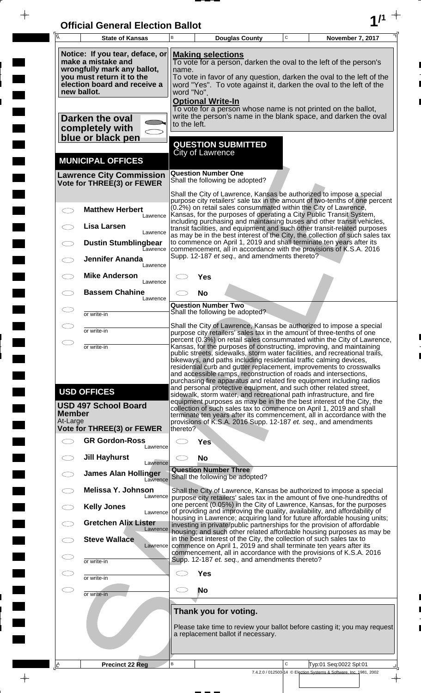| <b>Official General Election Ballot</b> |  |
|-----------------------------------------|--|
|                                         |  |

 $\overline{\phantom{a}}$ 

 $\Box$ 

 $\blacksquare$ 

 $\overline{\phantom{a}}$ 

 $\blacksquare$ 

 $\frac{1}{2}$ 

 $\frac{1}{\sqrt{2\pi}}$ 

| $\overline{\mathsf{A}}$   | <b>State of Kansas</b>                                                                                                                                           | B                                               |                                                                                                                                                                                                                                             | <b>Douglas County</b>                                       | $\mathbf C$ | November 7, 2017                                                                                                                                                                                                                                                                                                                                                                                                                                                                                                                                                                                                                                                                                                                                                                                                        |
|---------------------------|------------------------------------------------------------------------------------------------------------------------------------------------------------------|-------------------------------------------------|---------------------------------------------------------------------------------------------------------------------------------------------------------------------------------------------------------------------------------------------|-------------------------------------------------------------|-------------|-------------------------------------------------------------------------------------------------------------------------------------------------------------------------------------------------------------------------------------------------------------------------------------------------------------------------------------------------------------------------------------------------------------------------------------------------------------------------------------------------------------------------------------------------------------------------------------------------------------------------------------------------------------------------------------------------------------------------------------------------------------------------------------------------------------------------|
|                           | Notice: If you tear, deface, or<br>make a mistake and<br>wrongfully mark any ballot,<br>you must return it to the<br>election board and receive a<br>new ballot. | name.<br>word "No".<br><b>Optional Write-In</b> | <b>Making selections</b><br>To vote for a person, darken the oval to the left of the person's<br>To vote in favor of any question, darken the oval to the left of the<br>word "Yes". To vote against it, darken the oval to the left of the |                                                             |             |                                                                                                                                                                                                                                                                                                                                                                                                                                                                                                                                                                                                                                                                                                                                                                                                                         |
|                           | Darken the oval<br>completely with<br>blue or black pen                                                                                                          | to the left.                                    |                                                                                                                                                                                                                                             |                                                             |             | To vote for a person whose name is not printed on the ballot,<br>write the person's name in the blank space, and darken the oval                                                                                                                                                                                                                                                                                                                                                                                                                                                                                                                                                                                                                                                                                        |
|                           | <b>MUNICIPAL OFFICES</b>                                                                                                                                         |                                                 | <b>City of Lawrence</b>                                                                                                                                                                                                                     | <b>QUESTION SUBMITTED</b>                                   |             |                                                                                                                                                                                                                                                                                                                                                                                                                                                                                                                                                                                                                                                                                                                                                                                                                         |
|                           | <b>Lawrence City Commission</b><br>Vote for THREE(3) or FEWER                                                                                                    |                                                 | <b>Question Number One</b>                                                                                                                                                                                                                  | Shall the following be adopted?                             |             |                                                                                                                                                                                                                                                                                                                                                                                                                                                                                                                                                                                                                                                                                                                                                                                                                         |
|                           | <b>Matthew Herbert</b><br>Lawrence<br>Lisa Larsen                                                                                                                |                                                 |                                                                                                                                                                                                                                             |                                                             |             | Shall the City of Lawrence, Kansas be authorized to impose a special<br>purpose city retailers' sale tax in the amount of two-tenths of one percent<br>(0.2%) on retail sales consummated within the City of Lawrence,<br>Kansas, for the purposes of operating a City Public Transit System,<br>including purchasing and maintaining buses and other transit vehicles,<br>transit facilities, and equipment and such other transit-related purposes                                                                                                                                                                                                                                                                                                                                                                    |
|                           | Lawrence<br><b>Dustin Stumblingbear</b><br>Eawrence<br><b>Jennifer Ananda</b>                                                                                    |                                                 |                                                                                                                                                                                                                                             | Supp. 12-187 et seq., and amendments thereto?               |             | as may be in the best interest of the City, the collection of such sales tax<br>to commence on April 1, 2019 and shall terminate ten years after its<br>commencement, all in accordance with the provisions of K.S.A. 2016                                                                                                                                                                                                                                                                                                                                                                                                                                                                                                                                                                                              |
|                           | Lawrence<br><b>Mike Anderson</b><br>Lawrence                                                                                                                     |                                                 | Yes                                                                                                                                                                                                                                         |                                                             |             |                                                                                                                                                                                                                                                                                                                                                                                                                                                                                                                                                                                                                                                                                                                                                                                                                         |
|                           | <b>Bassem Chahine</b><br>Lawrence                                                                                                                                |                                                 | <b>No</b>                                                                                                                                                                                                                                   |                                                             |             |                                                                                                                                                                                                                                                                                                                                                                                                                                                                                                                                                                                                                                                                                                                                                                                                                         |
|                           | or write-in                                                                                                                                                      |                                                 | <b>Question Number Two</b>                                                                                                                                                                                                                  | Shall the following be adopted?                             |             |                                                                                                                                                                                                                                                                                                                                                                                                                                                                                                                                                                                                                                                                                                                                                                                                                         |
|                           | or write-in                                                                                                                                                      |                                                 |                                                                                                                                                                                                                                             |                                                             |             | Shall the City of Lawrence, Kansas be authorized to impose a special<br>purpose city retailers' sales tax in the amount of three-tenths of one                                                                                                                                                                                                                                                                                                                                                                                                                                                                                                                                                                                                                                                                          |
| $\bigcirc$                | or write-in<br><b>USD OFFICES</b><br><b>USD 497 School Board</b>                                                                                                 |                                                 |                                                                                                                                                                                                                                             |                                                             |             | percent (0.3%) on retail sales consummated within the City of Lawrence,<br>Kansas, for the purposes of constructing, improving, and maintaining<br>public streets, sidewalks, storm water facilities, and recreational trails,<br>bikeways, and paths including residential traffic calming devices,<br>residential curb and gutter replacement, improvements to crosswalks<br>and accessible ramps, reconstruction of roads and intersections,<br>purchasing fire apparatus and related fire equipment including radios<br>and personal protective equipment, and such other related street,<br>sidewalk, storm water, and recreational path infrastructure, and fire<br>equipment purposes as may be in the the best interest of the City, the<br>collection of such sales tax to commence on April 1, 2019 and shall |
| <b>Member</b><br>At-Large | <b>Vote for THREE(3) or FEWER</b>                                                                                                                                | thereto?                                        |                                                                                                                                                                                                                                             |                                                             |             | terminate ten years after its commencement, all in accordance with the<br>provisions of K.S.A. 2016 Supp. 12-187 et. seq., and amendments                                                                                                                                                                                                                                                                                                                                                                                                                                                                                                                                                                                                                                                                               |
|                           | <b>GR Gordon-Ross</b><br>Lawrence                                                                                                                                |                                                 | <b>Yes</b>                                                                                                                                                                                                                                  |                                                             |             |                                                                                                                                                                                                                                                                                                                                                                                                                                                                                                                                                                                                                                                                                                                                                                                                                         |
|                           | <b>Jill Hayhurst</b><br>Lawrence                                                                                                                                 |                                                 | <b>No</b>                                                                                                                                                                                                                                   |                                                             |             |                                                                                                                                                                                                                                                                                                                                                                                                                                                                                                                                                                                                                                                                                                                                                                                                                         |
|                           | <b>James Alan Hollinger</b><br>Lawrence                                                                                                                          |                                                 | <b>Question Number Three</b>                                                                                                                                                                                                                | Shall the following be adopted?                             |             |                                                                                                                                                                                                                                                                                                                                                                                                                                                                                                                                                                                                                                                                                                                                                                                                                         |
|                           | Melissa Y. Johnson<br>Lawrence<br><b>Kelly Jones</b>                                                                                                             |                                                 |                                                                                                                                                                                                                                             |                                                             |             | Shall the City of Lawrence, Kansas be authorized to impose a special<br>purpose city retailers' sales tax in the amount of five one-hundredths of<br>one percent (0.05%) in the City of Lawrence, Kansas, for the purposes                                                                                                                                                                                                                                                                                                                                                                                                                                                                                                                                                                                              |
|                           | Lawrence<br><b>Gretchen Alix Lister</b>                                                                                                                          |                                                 |                                                                                                                                                                                                                                             |                                                             |             | of providing and improving the quality, availability, and affordability of<br>housing in Lawrence; acquiring land for future affordable housing units;<br>investing in private/public partnerships for the provision of affordable                                                                                                                                                                                                                                                                                                                                                                                                                                                                                                                                                                                      |
|                           | Lawrence<br><b>Steve Wallace</b><br>Lawrence                                                                                                                     |                                                 |                                                                                                                                                                                                                                             |                                                             |             | housing; and such other related affordable housing purposes as may be<br>in the best interest of the City, the collection of such sales tax to<br>commence on April 1, 2019 and shall terminate ten years after its<br>commencement, all in accordance with the provisions of K.S.A. 2016                                                                                                                                                                                                                                                                                                                                                                                                                                                                                                                               |
|                           | or write-in                                                                                                                                                      |                                                 |                                                                                                                                                                                                                                             | Supp. 12-187 et. seq., and amendments thereto?              |             |                                                                                                                                                                                                                                                                                                                                                                                                                                                                                                                                                                                                                                                                                                                                                                                                                         |
|                           | or write-in                                                                                                                                                      |                                                 | <b>Yes</b>                                                                                                                                                                                                                                  |                                                             |             |                                                                                                                                                                                                                                                                                                                                                                                                                                                                                                                                                                                                                                                                                                                                                                                                                         |
| CD                        | or write-in                                                                                                                                                      |                                                 | No                                                                                                                                                                                                                                          |                                                             |             |                                                                                                                                                                                                                                                                                                                                                                                                                                                                                                                                                                                                                                                                                                                                                                                                                         |
|                           |                                                                                                                                                                  |                                                 |                                                                                                                                                                                                                                             | Thank you for voting.<br>a replacement ballot if necessary. |             | Please take time to review your ballot before casting it; you may request                                                                                                                                                                                                                                                                                                                                                                                                                                                                                                                                                                                                                                                                                                                                               |
| $\mathbf{A}$              | <b>Precinct 22 Reg</b>                                                                                                                                           | B                                               |                                                                                                                                                                                                                                             |                                                             | C           | Typ:01 Seq:0022 Spl:01                                                                                                                                                                                                                                                                                                                                                                                                                                                                                                                                                                                                                                                                                                                                                                                                  |
|                           |                                                                                                                                                                  |                                                 |                                                                                                                                                                                                                                             |                                                             |             | 7.4.2.0 / 012503-14 © Election Systems & Software, Inc. 1981, 2002                                                                                                                                                                                                                                                                                                                                                                                                                                                                                                                                                                                                                                                                                                                                                      |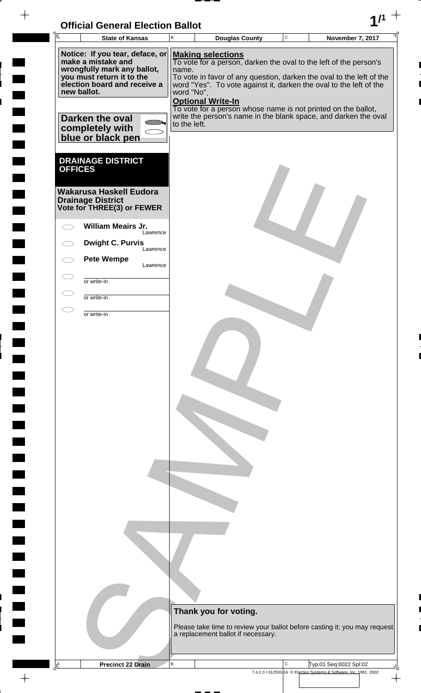| <b>Official General Election Ballot</b> |  |
|-----------------------------------------|--|
|                                         |  |

 $\blacksquare$ 

 $\blacksquare$ 

 $\blacksquare$ 

 $\Box$  $\blacksquare$ 

 $\blacksquare$ 

 $\Box$ 

 $\blacksquare$ 

 $\blacksquare$ 

 $\overline{\phantom{0}}$ 

 $\blacksquare$ 

 $\blacksquare$ 

**The Second** 

 $\Box$ 

 $\blacksquare$ 

 $\Box$ 

 $\blacksquare$ 

 $\frac{1}{\sqrt{2\pi}}$ 

Г 

| $\overline{A}$<br><b>State of Kansas</b>                                                                                                                                                                                    | $\sf{B}$                            | <b>Douglas County</b>                                                                                                                                                                                                                                                                                                                                                                                       | $\mathbf C$ | <b>November 7, 2017</b>                                                                                                  |
|-----------------------------------------------------------------------------------------------------------------------------------------------------------------------------------------------------------------------------|-------------------------------------|-------------------------------------------------------------------------------------------------------------------------------------------------------------------------------------------------------------------------------------------------------------------------------------------------------------------------------------------------------------------------------------------------------------|-------------|--------------------------------------------------------------------------------------------------------------------------|
| Notice: If you tear, deface, or<br>make a mistake and<br>wrongfully mark any ballot,<br>you must return it to the<br>election board and receive a<br>new ballot.<br>Darken the oval<br>completely with<br>blue or black pen | name.<br>word "No".<br>to the left. | <b>Making selections</b><br>To vote for a person, darken the oval to the left of the person's<br>To vote in favor of any question, darken the oval to the left of the<br>word "Yes". To vote against it, darken the oval to the left of the<br><b>Optional Write-In</b><br>To vote for a person whose name is not printed on the ballot,<br>write the person's name in the blank space, and darken the oval |             |                                                                                                                          |
| <b>DRAINAGE DISTRICT</b><br><b>OFFICES</b><br><b>Wakarusa Haskell Eudora</b><br><b>Drainage District</b><br>Vote for THREE(3) or FEWER<br><b>William Meairs Jr.</b>                                                         |                                     |                                                                                                                                                                                                                                                                                                                                                                                                             |             |                                                                                                                          |
| Lawrence                                                                                                                                                                                                                    |                                     |                                                                                                                                                                                                                                                                                                                                                                                                             |             |                                                                                                                          |
| <b>Dwight C. Purvis</b><br>Lawrence                                                                                                                                                                                         |                                     |                                                                                                                                                                                                                                                                                                                                                                                                             |             |                                                                                                                          |
| <b>Pete Wempe</b><br>Lawrence                                                                                                                                                                                               |                                     |                                                                                                                                                                                                                                                                                                                                                                                                             |             |                                                                                                                          |
| $\subset$ $\overline{\phantom{a}}$<br>or write-in                                                                                                                                                                           |                                     |                                                                                                                                                                                                                                                                                                                                                                                                             |             |                                                                                                                          |
| or write-in<br>C.                                                                                                                                                                                                           |                                     |                                                                                                                                                                                                                                                                                                                                                                                                             |             |                                                                                                                          |
|                                                                                                                                                                                                                             |                                     | Thank you for voting.<br>a replacement ballot if necessary.                                                                                                                                                                                                                                                                                                                                                 |             | Please take time to review your ballot before casting it; you may request                                                |
| <b>Precinct 22 Drain</b>                                                                                                                                                                                                    | $\sf B$                             |                                                                                                                                                                                                                                                                                                                                                                                                             | C           | Typ:01 Seq:0022 Spl:02<br>7.4.2.0 / 012503-14 © Election Systems & Software, Inc. 1981, 2002<br>$\overline{\phantom{a}}$ |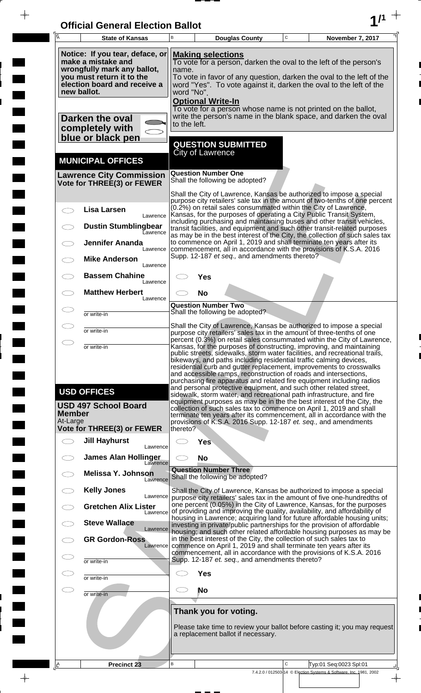| <b>Official General Election Ballot</b> |  |
|-----------------------------------------|--|
|                                         |  |

 $\bar{\phantom{a}}$ 

 $\overline{\phantom{a}}$ 

 $\Box$ 

 $\blacksquare$ 

 $\blacksquare$ 

 $\frac{1}{2}$ 

 $\frac{1}{\sqrt{2\pi}}\int_{0}^{\pi}\frac{1}{\sqrt{2\pi}}\left( \frac{1}{\sqrt{2\pi}}\right) \frac{d\mu}{d\mu}d\mu$ 

| $\overline{A}$            | <b>State of Kansas</b>                                                                                                                                           | B                                                                                                                                                                                                                                                                                         | <b>Douglas County</b>                                                                                                                                                                                                                                                                                                                                               | $\mathbf C$  | November 7, 2017                                                                               |  |  |  |
|---------------------------|------------------------------------------------------------------------------------------------------------------------------------------------------------------|-------------------------------------------------------------------------------------------------------------------------------------------------------------------------------------------------------------------------------------------------------------------------------------------|---------------------------------------------------------------------------------------------------------------------------------------------------------------------------------------------------------------------------------------------------------------------------------------------------------------------------------------------------------------------|--------------|------------------------------------------------------------------------------------------------|--|--|--|
|                           | Notice: If you tear, deface, or<br>make a mistake and<br>wrongfully mark any ballot,<br>you must return it to the<br>election board and receive a<br>new ballot. |                                                                                                                                                                                                                                                                                           | <b>Making selections</b><br>To vote for a person, darken the oval to the left of the person's<br>name.<br>To vote in favor of any question, darken the oval to the left of the<br>word "Yes". To vote against it, darken the oval to the left of the<br>word "No".                                                                                                  |              |                                                                                                |  |  |  |
|                           | <b>Darken the oval</b><br>completely with<br>blue or black pen                                                                                                   | to the left.                                                                                                                                                                                                                                                                              | <b>Optional Write-In</b><br>To vote for a person whose name is not printed on the ballot,<br>write the person's name in the blank space, and darken the oval                                                                                                                                                                                                        |              |                                                                                                |  |  |  |
|                           | <b>MUNICIPAL OFFICES</b>                                                                                                                                         |                                                                                                                                                                                                                                                                                           | <b>QUESTION SUBMITTED</b><br><b>City of Lawrence</b>                                                                                                                                                                                                                                                                                                                |              |                                                                                                |  |  |  |
|                           | <b>Lawrence City Commission</b><br>Vote for THREE(3) or FEWER                                                                                                    |                                                                                                                                                                                                                                                                                           | <b>Question Number One</b><br>Shall the following be adopted?                                                                                                                                                                                                                                                                                                       |              |                                                                                                |  |  |  |
|                           |                                                                                                                                                                  |                                                                                                                                                                                                                                                                                           | Shall the City of Lawrence, Kansas be authorized to impose a special<br>purpose city retailers' sale tax in the amount of two-tenths of one percent                                                                                                                                                                                                                 |              |                                                                                                |  |  |  |
|                           | <b>Lisa Larsen</b><br>Lawrence<br><b>Dustin Stumblingbear</b>                                                                                                    |                                                                                                                                                                                                                                                                                           | (0.2%) on retail sales consummated within the City of Lawrence,<br>Kansas, for the purposes of operating a City Public Transit System,<br>including purchasing and maintaining buses and other transit vehicles,<br>transit facilities, and equipment and such other transit-related purposes                                                                       |              |                                                                                                |  |  |  |
|                           | Lawrence<br><b>Jennifer Ananda</b><br>Lawrence                                                                                                                   |                                                                                                                                                                                                                                                                                           | as may be in the best interest of the City, the collection of such sales tax<br>to commence on April 1, 2019 and shall terminate ten years after its<br>commencement, all in accordance with the provisions of K.S.A. 2016                                                                                                                                          |              |                                                                                                |  |  |  |
|                           | <b>Mike Anderson</b><br>Lawrence                                                                                                                                 |                                                                                                                                                                                                                                                                                           | Supp. 12-187 et seq., and amendments thereto?                                                                                                                                                                                                                                                                                                                       |              |                                                                                                |  |  |  |
|                           | <b>Bassem Chahine</b><br>Lawrence<br><b>Matthew Herbert</b>                                                                                                      |                                                                                                                                                                                                                                                                                           | Yes                                                                                                                                                                                                                                                                                                                                                                 |              |                                                                                                |  |  |  |
|                           | Lawrence<br>or write-in                                                                                                                                          |                                                                                                                                                                                                                                                                                           | <b>No</b><br><b>Question Number Two</b><br>Shall the following be adopted?                                                                                                                                                                                                                                                                                          |              |                                                                                                |  |  |  |
|                           | or write-in                                                                                                                                                      |                                                                                                                                                                                                                                                                                           | Shall the City of Lawrence, Kansas be authorized to impose a special<br>purpose city retailers' sales tax in the amount of three-tenths of one                                                                                                                                                                                                                      |              |                                                                                                |  |  |  |
| $\bigcirc$                | or write-in                                                                                                                                                      | percent (0.3%) on retail sales consummated within the City of Lawrence,<br>Kansas, for the purposes of constructing, improving, and maintaining<br>public streets, sidewalks, storm water facilities, and recreational trails,                                                            |                                                                                                                                                                                                                                                                                                                                                                     |              |                                                                                                |  |  |  |
|                           |                                                                                                                                                                  |                                                                                                                                                                                                                                                                                           | bikeways, and paths including residential traffic calming devices,<br>residential curb and gutter replacement, improvements to crosswalks<br>and accessible ramps, reconstruction of roads and intersections,<br>purchasing fire apparatus and related fire equipment including radios<br>and personal protective equipment, and such other related street,         |              |                                                                                                |  |  |  |
| <b>Member</b><br>At-Large | <b>USD OFFICES</b><br><b>USD 497 School Board</b><br><b>Vote for THREE(3) or FEWER</b>                                                                           | thereto?                                                                                                                                                                                                                                                                                  | sidewalk, storm water, and recreational path infrastructure, and fire<br>equipment purposes as may be in the the best interest of the City, the<br>collection of such sales tax to commence on April 1, 2019 and shall<br>terminate ten years after its commencement, all in accordance with the<br>provisions of K.S.A. 2016 Supp. 12-187 et. seq., and amendments |              |                                                                                                |  |  |  |
| $\bigcirc$                | <b>Jill Hayhurst</b><br>Lawrence                                                                                                                                 |                                                                                                                                                                                                                                                                                           | <b>Yes</b>                                                                                                                                                                                                                                                                                                                                                          |              |                                                                                                |  |  |  |
|                           | <b>James Alan Hollinger</b><br>Lawrence                                                                                                                          |                                                                                                                                                                                                                                                                                           | <b>No</b>                                                                                                                                                                                                                                                                                                                                                           |              |                                                                                                |  |  |  |
|                           | <b>Melissa Y. Johnson</b><br>Lawrence                                                                                                                            |                                                                                                                                                                                                                                                                                           | <b>Question Number Three</b><br>Shall the following be adopted?                                                                                                                                                                                                                                                                                                     |              |                                                                                                |  |  |  |
|                           | <b>Kelly Jones</b><br>Lawrence<br><b>Gretchen Alix Lister</b>                                                                                                    |                                                                                                                                                                                                                                                                                           | Shall the City of Lawrence, Kansas be authorized to impose a special<br>purpose city retailers' sales tax in the amount of five one-hundredths of<br>one percent (0.05%) in the City of Lawrence, Kansas, for the purposes                                                                                                                                          |              |                                                                                                |  |  |  |
|                           | Lawrence<br><b>Steve Wallace</b><br>Lawrence                                                                                                                     | of providing and improving the quality, availability, and affordability of<br>housing in Lawrence; acquiring land for future affordable housing units;<br>investing in private/public partnerships for the provision of affordable                                                        |                                                                                                                                                                                                                                                                                                                                                                     |              |                                                                                                |  |  |  |
|                           | <b>GR Gordon-Ross</b><br>Lawrence                                                                                                                                | housing; and such other related affordable housing purposes as may be<br>in the best interest of the City, the collection of such sales tax to<br>commence on April 1, 2019 and shall terminate ten years after its<br>commencement, all in accordance with the provisions of K.S.A. 2016 |                                                                                                                                                                                                                                                                                                                                                                     |              |                                                                                                |  |  |  |
| C<br>$\subset$            | or write-in                                                                                                                                                      |                                                                                                                                                                                                                                                                                           | Supp. 12-187 et. seq., and amendments thereto?                                                                                                                                                                                                                                                                                                                      |              |                                                                                                |  |  |  |
| Œ                         | or write-in<br>or write-in                                                                                                                                       | <b>Yes</b><br>No                                                                                                                                                                                                                                                                          |                                                                                                                                                                                                                                                                                                                                                                     |              |                                                                                                |  |  |  |
|                           |                                                                                                                                                                  |                                                                                                                                                                                                                                                                                           | Thank you for voting.                                                                                                                                                                                                                                                                                                                                               |              |                                                                                                |  |  |  |
|                           |                                                                                                                                                                  | Please take time to review your ballot before casting it; you may request<br>a replacement ballot if necessary.                                                                                                                                                                           |                                                                                                                                                                                                                                                                                                                                                                     |              |                                                                                                |  |  |  |
| I۴                        | <b>Precinct 23</b>                                                                                                                                               | B                                                                                                                                                                                                                                                                                         |                                                                                                                                                                                                                                                                                                                                                                     | $\mathsf{C}$ | Typ:01 Seq:0023 Spl:01                                                                         |  |  |  |
|                           |                                                                                                                                                                  |                                                                                                                                                                                                                                                                                           |                                                                                                                                                                                                                                                                                                                                                                     |              | 7.4.2.0 / 012503-14 © Election Systems & Software, Inc. 1981, 2002<br>$\overline{\phantom{a}}$ |  |  |  |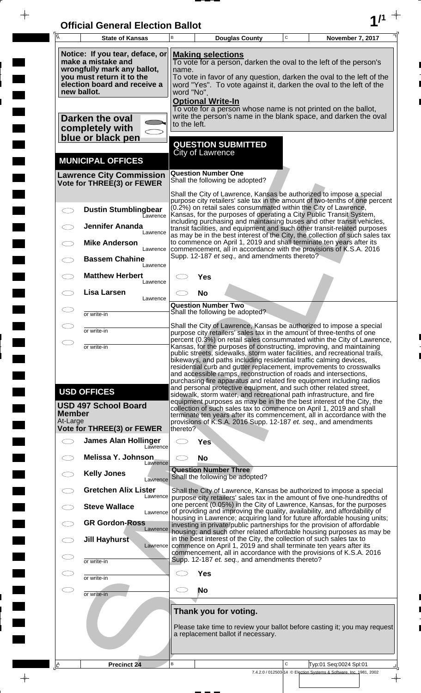| <b>Official General Election Ballot</b> |  |
|-----------------------------------------|--|
|                                         |  |

 $\overline{\phantom{a}}$ 

 $\overline{\phantom{a}}$ 

 $\blacksquare$ 

 $\overline{\phantom{a}}$ 

 $\blacksquare$ 

 $\frac{1}{2}$ 

 $\frac{1}{\sqrt{2\pi}}$ 

| Ā                         | <b>State of Kansas</b>                                                                                                                                                                                                                                                                                                                                                                                                                 | B                                                                                                                                                                                                                                                                                                                                                                                                                                                                                                                        |                              | <b>Douglas County</b>                          | $\mathbf C$ | November 7, 2017                                                                                                                                                                                                                                                                                                                                                                                                                         |  |
|---------------------------|----------------------------------------------------------------------------------------------------------------------------------------------------------------------------------------------------------------------------------------------------------------------------------------------------------------------------------------------------------------------------------------------------------------------------------------|--------------------------------------------------------------------------------------------------------------------------------------------------------------------------------------------------------------------------------------------------------------------------------------------------------------------------------------------------------------------------------------------------------------------------------------------------------------------------------------------------------------------------|------------------------------|------------------------------------------------|-------------|------------------------------------------------------------------------------------------------------------------------------------------------------------------------------------------------------------------------------------------------------------------------------------------------------------------------------------------------------------------------------------------------------------------------------------------|--|
|                           | Notice: If you tear, deface, or<br><b>Making selections</b><br>make a mistake and<br>To vote for a person, darken the oval to the left of the person's<br>wrongfully mark any ballot,<br>name.<br>you must return it to the<br>To vote in favor of any question, darken the oval to the left of the<br>election board and receive a<br>word "Yes". To vote against it, darken the oval to the left of the<br>new ballot.<br>word "No". |                                                                                                                                                                                                                                                                                                                                                                                                                                                                                                                          |                              |                                                |             |                                                                                                                                                                                                                                                                                                                                                                                                                                          |  |
|                           | Darken the oval<br>completely with<br>blue or black pen                                                                                                                                                                                                                                                                                                                                                                                | to the left.                                                                                                                                                                                                                                                                                                                                                                                                                                                                                                             | <b>Optional Write-In</b>     |                                                |             | To vote for a person whose name is not printed on the ballot,<br>write the person's name in the blank space, and darken the oval                                                                                                                                                                                                                                                                                                         |  |
|                           | <b>MUNICIPAL OFFICES</b>                                                                                                                                                                                                                                                                                                                                                                                                               |                                                                                                                                                                                                                                                                                                                                                                                                                                                                                                                          | City of Lawrence             | <b>QUESTION SUBMITTED</b>                      |             |                                                                                                                                                                                                                                                                                                                                                                                                                                          |  |
|                           | <b>Lawrence City Commission</b><br>Vote for THREE(3) or FEWER                                                                                                                                                                                                                                                                                                                                                                          |                                                                                                                                                                                                                                                                                                                                                                                                                                                                                                                          | <b>Question Number One</b>   | Shall the following be adopted?                |             |                                                                                                                                                                                                                                                                                                                                                                                                                                          |  |
| $\bigcirc$                | <b>Dustin Stumblingbear</b>                                                                                                                                                                                                                                                                                                                                                                                                            |                                                                                                                                                                                                                                                                                                                                                                                                                                                                                                                          |                              |                                                |             | Shall the City of Lawrence, Kansas be authorized to impose a special<br>purpose city retailers' sale tax in the amount of two-tenths of one percent<br>(0.2%) on retail sales consummated within the City of Lawrence,                                                                                                                                                                                                                   |  |
|                           | Eawrence<br><b>Jennifer Ananda</b><br>Lawrence                                                                                                                                                                                                                                                                                                                                                                                         |                                                                                                                                                                                                                                                                                                                                                                                                                                                                                                                          |                              |                                                |             | Kansas, for the purposes of operating a City Public Transit System,<br>including purchasing and maintaining buses and other transit vehicles,<br>transit facilities, and equipment and such other transit-related purposes                                                                                                                                                                                                               |  |
|                           | <b>Mike Anderson</b><br>Lawrence                                                                                                                                                                                                                                                                                                                                                                                                       |                                                                                                                                                                                                                                                                                                                                                                                                                                                                                                                          |                              |                                                |             | as may be in the best interest of the City, the collection of such sales tax<br>to commence on April 1, 2019 and shall terminate ten years after its<br>commencement, all in accordance with the provisions of K.S.A. 2016                                                                                                                                                                                                               |  |
|                           | <b>Bassem Chahine</b><br>Lawrence<br><b>Matthew Herbert</b>                                                                                                                                                                                                                                                                                                                                                                            |                                                                                                                                                                                                                                                                                                                                                                                                                                                                                                                          | Yes                          | Supp. 12-187 et seq., and amendments thereto?  |             |                                                                                                                                                                                                                                                                                                                                                                                                                                          |  |
|                           | Lawrence<br>Lisa Larsen<br>Lawrence                                                                                                                                                                                                                                                                                                                                                                                                    |                                                                                                                                                                                                                                                                                                                                                                                                                                                                                                                          | <b>No</b>                    |                                                |             |                                                                                                                                                                                                                                                                                                                                                                                                                                          |  |
| 77                        | or write-in                                                                                                                                                                                                                                                                                                                                                                                                                            |                                                                                                                                                                                                                                                                                                                                                                                                                                                                                                                          | <b>Question Number Two</b>   | Shall the following be adopted?                |             |                                                                                                                                                                                                                                                                                                                                                                                                                                          |  |
|                           | or write-in                                                                                                                                                                                                                                                                                                                                                                                                                            |                                                                                                                                                                                                                                                                                                                                                                                                                                                                                                                          |                              |                                                |             | Shall the City of Lawrence, Kansas be authorized to impose a special<br>purpose city retailers' sales tax in the amount of three-tenths of one                                                                                                                                                                                                                                                                                           |  |
| Ο                         | or write-in                                                                                                                                                                                                                                                                                                                                                                                                                            | percent (0.3%) on retail sales consummated within the City of Lawrence,<br>Kansas, for the purposes of constructing, improving, and maintaining<br>public streets, sidewalks, storm water facilities, and recreational trails,<br>bikeways, and paths including residential traffic calming devices,<br>residential curb and gutter replacement, improvements to crosswalks<br>and accessible ramps, reconstruction of roads and intersections,<br>purchasing fire apparatus and related fire equipment including radios |                              |                                                |             |                                                                                                                                                                                                                                                                                                                                                                                                                                          |  |
| <b>Member</b><br>At-Large | <b>USD OFFICES</b><br><b>USD 497 School Board</b>                                                                                                                                                                                                                                                                                                                                                                                      |                                                                                                                                                                                                                                                                                                                                                                                                                                                                                                                          |                              |                                                |             | and personal protective equipment, and such other related street,<br>sidewalk, storm water, and recreational path infrastructure, and fire<br>equipment purposes as may be in the the best interest of the City, the<br>collection of such sales tax to commence on April 1, 2019 and shall<br>terminate ten years after its commencement, all in accordance with the<br>provisions of K.S.A. 2016 Supp. 12-187 et. seq., and amendments |  |
| $\bigcirc$                | <b>Vote for THREE(3) or FEWER</b><br><b>James Alan Hollinger</b><br>Lawrence                                                                                                                                                                                                                                                                                                                                                           | thereto?<br>CD.                                                                                                                                                                                                                                                                                                                                                                                                                                                                                                          | Yes                          |                                                |             |                                                                                                                                                                                                                                                                                                                                                                                                                                          |  |
|                           | <b>Melissa Y. Johnson</b><br>Lawrence                                                                                                                                                                                                                                                                                                                                                                                                  |                                                                                                                                                                                                                                                                                                                                                                                                                                                                                                                          | <b>No</b>                    |                                                |             |                                                                                                                                                                                                                                                                                                                                                                                                                                          |  |
|                           | <b>Kelly Jones</b><br>Lawrence                                                                                                                                                                                                                                                                                                                                                                                                         |                                                                                                                                                                                                                                                                                                                                                                                                                                                                                                                          | <b>Question Number Three</b> | Shall the following be adopted?                |             |                                                                                                                                                                                                                                                                                                                                                                                                                                          |  |
|                           | <b>Gretchen Alix Lister</b><br>Lawrence<br><b>Steve Wallace</b>                                                                                                                                                                                                                                                                                                                                                                        |                                                                                                                                                                                                                                                                                                                                                                                                                                                                                                                          |                              |                                                |             | Shall the City of Lawrence, Kansas be authorized to impose a special<br>purpose city retailers' sales tax in the amount of five one-hundredths of<br>one percent (0.05%) in the City of Lawrence, Kansas, for the purposes                                                                                                                                                                                                               |  |
|                           | Lawrence<br><b>GR Gordon-Ross</b><br>Lawrence                                                                                                                                                                                                                                                                                                                                                                                          |                                                                                                                                                                                                                                                                                                                                                                                                                                                                                                                          |                              |                                                |             | of providing and improving the quality, availability, and affordability of<br>housing in Lawrence; acquiring land for future affordable housing units;<br>investing in private/public partnerships for the provision of affordable                                                                                                                                                                                                       |  |
|                           | Jill Hayhurst<br>Lawrence                                                                                                                                                                                                                                                                                                                                                                                                              |                                                                                                                                                                                                                                                                                                                                                                                                                                                                                                                          |                              |                                                |             | housing; and such other related affordable housing purposes as may be<br>in the best interest of the City, the collection of such sales tax to<br>commence on April 1, 2019 and shall terminate ten years after its                                                                                                                                                                                                                      |  |
| $\subset$                 | or write-in                                                                                                                                                                                                                                                                                                                                                                                                                            |                                                                                                                                                                                                                                                                                                                                                                                                                                                                                                                          |                              | Supp. 12-187 et. seq., and amendments thereto? |             | commencement, all in accordance with the provisions of K.S.A. 2016                                                                                                                                                                                                                                                                                                                                                                       |  |
| $\subset$ .               | or write-in<br>or write-in                                                                                                                                                                                                                                                                                                                                                                                                             |                                                                                                                                                                                                                                                                                                                                                                                                                                                                                                                          | <b>Yes</b><br><b>No</b>      |                                                |             |                                                                                                                                                                                                                                                                                                                                                                                                                                          |  |
|                           |                                                                                                                                                                                                                                                                                                                                                                                                                                        |                                                                                                                                                                                                                                                                                                                                                                                                                                                                                                                          |                              | Thank you for voting.                          |             |                                                                                                                                                                                                                                                                                                                                                                                                                                          |  |
|                           |                                                                                                                                                                                                                                                                                                                                                                                                                                        |                                                                                                                                                                                                                                                                                                                                                                                                                                                                                                                          |                              | a replacement ballot if necessary.             |             | Please take time to review your ballot before casting it; you may request                                                                                                                                                                                                                                                                                                                                                                |  |
| <u> A</u>                 | <b>Precinct 24</b>                                                                                                                                                                                                                                                                                                                                                                                                                     | B                                                                                                                                                                                                                                                                                                                                                                                                                                                                                                                        |                              |                                                | C           | Typ:01 Seq:0024 Spl:01                                                                                                                                                                                                                                                                                                                                                                                                                   |  |
|                           |                                                                                                                                                                                                                                                                                                                                                                                                                                        |                                                                                                                                                                                                                                                                                                                                                                                                                                                                                                                          |                              |                                                |             | 7.4.2.0 / 012503-14 © Election Systems & Software, Inc. 1981, 2002                                                                                                                                                                                                                                                                                                                                                                       |  |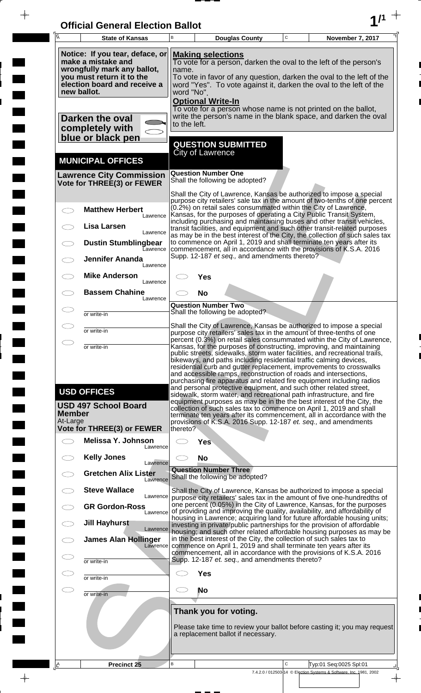| <b>Official General Election Ballot</b> |  |
|-----------------------------------------|--|
|                                         |  |

 $\overline{\phantom{a}}$ 

 $\overline{\phantom{a}}$ 

 $\blacksquare$ 

 $\overline{\phantom{a}}$ 

 $\blacksquare$ 

 $\frac{1}{2}$ 

 $\frac{1}{\sqrt{2\pi}}$ 

| $\overline{\mathsf{A}}$                                                                                                                                                                                                                                                                                                                                                                                                                                                                                                                                                                                                                                                                                                                                                                                                                                                                                                                                                                              | <b>State of Kansas</b>                                                                                                                                           | B                        |                                                                                                                                                                                                                                                                    | <b>Douglas County</b>                                       | $\mathbf C$ | November 7, 2017                                                                                                                                                                                                                                                                                                                                                        |  |
|------------------------------------------------------------------------------------------------------------------------------------------------------------------------------------------------------------------------------------------------------------------------------------------------------------------------------------------------------------------------------------------------------------------------------------------------------------------------------------------------------------------------------------------------------------------------------------------------------------------------------------------------------------------------------------------------------------------------------------------------------------------------------------------------------------------------------------------------------------------------------------------------------------------------------------------------------------------------------------------------------|------------------------------------------------------------------------------------------------------------------------------------------------------------------|--------------------------|--------------------------------------------------------------------------------------------------------------------------------------------------------------------------------------------------------------------------------------------------------------------|-------------------------------------------------------------|-------------|-------------------------------------------------------------------------------------------------------------------------------------------------------------------------------------------------------------------------------------------------------------------------------------------------------------------------------------------------------------------------|--|
|                                                                                                                                                                                                                                                                                                                                                                                                                                                                                                                                                                                                                                                                                                                                                                                                                                                                                                                                                                                                      | Notice: If you tear, deface, or<br>make a mistake and<br>wrongfully mark any ballot,<br>you must return it to the<br>election board and receive a<br>new ballot. | <b>Optional Write-In</b> | <b>Making selections</b><br>To vote for a person, darken the oval to the left of the person's<br>name.<br>To vote in favor of any question, darken the oval to the left of the<br>word "Yes". To vote against it, darken the oval to the left of the<br>word "No". |                                                             |             |                                                                                                                                                                                                                                                                                                                                                                         |  |
|                                                                                                                                                                                                                                                                                                                                                                                                                                                                                                                                                                                                                                                                                                                                                                                                                                                                                                                                                                                                      | Darken the oval<br>completely with<br>blue or black pen                                                                                                          | to the left.             |                                                                                                                                                                                                                                                                    |                                                             |             | To vote for a person whose name is not printed on the ballot,<br>write the person's name in the blank space, and darken the oval                                                                                                                                                                                                                                        |  |
|                                                                                                                                                                                                                                                                                                                                                                                                                                                                                                                                                                                                                                                                                                                                                                                                                                                                                                                                                                                                      | <b>MUNICIPAL OFFICES</b>                                                                                                                                         |                          | <b>City of Lawrence</b>                                                                                                                                                                                                                                            | <b>QUESTION SUBMITTED</b>                                   |             |                                                                                                                                                                                                                                                                                                                                                                         |  |
|                                                                                                                                                                                                                                                                                                                                                                                                                                                                                                                                                                                                                                                                                                                                                                                                                                                                                                                                                                                                      | <b>Lawrence City Commission</b><br>Vote for THREE(3) or FEWER                                                                                                    |                          | <b>Question Number One</b>                                                                                                                                                                                                                                         | Shall the following be adopted?                             |             |                                                                                                                                                                                                                                                                                                                                                                         |  |
|                                                                                                                                                                                                                                                                                                                                                                                                                                                                                                                                                                                                                                                                                                                                                                                                                                                                                                                                                                                                      | <b>Matthew Herbert</b><br>Lawrence<br>Lisa Larsen                                                                                                                |                          |                                                                                                                                                                                                                                                                    |                                                             |             | Shall the City of Lawrence, Kansas be authorized to impose a special<br>purpose city retailers' sale tax in the amount of two-tenths of one percent<br>(0.2%) on retail sales consummated within the City of Lawrence,<br>Kansas, for the purposes of operating a City Public Transit System,<br>including purchasing and maintaining buses and other transit vehicles, |  |
|                                                                                                                                                                                                                                                                                                                                                                                                                                                                                                                                                                                                                                                                                                                                                                                                                                                                                                                                                                                                      | Lawrence<br><b>Dustin Stumblingbear</b><br>Eawrence                                                                                                              |                          |                                                                                                                                                                                                                                                                    |                                                             |             | transit facilities, and equipment and such other transit-related purposes<br>as may be in the best interest of the City, the collection of such sales tax<br>to commence on April 1, 2019 and shall terminate ten years after its<br>commencement, all in accordance with the provisions of K.S.A. 2016                                                                 |  |
|                                                                                                                                                                                                                                                                                                                                                                                                                                                                                                                                                                                                                                                                                                                                                                                                                                                                                                                                                                                                      | <b>Jennifer Ananda</b><br>Lawrence<br><b>Mike Anderson</b>                                                                                                       |                          | Yes                                                                                                                                                                                                                                                                | Supp. 12-187 et seq., and amendments thereto?               |             |                                                                                                                                                                                                                                                                                                                                                                         |  |
|                                                                                                                                                                                                                                                                                                                                                                                                                                                                                                                                                                                                                                                                                                                                                                                                                                                                                                                                                                                                      | Lawrence<br><b>Bassem Chahine</b><br>Lawrence                                                                                                                    |                          | <b>No</b>                                                                                                                                                                                                                                                          |                                                             |             |                                                                                                                                                                                                                                                                                                                                                                         |  |
|                                                                                                                                                                                                                                                                                                                                                                                                                                                                                                                                                                                                                                                                                                                                                                                                                                                                                                                                                                                                      | or write-in                                                                                                                                                      |                          | <b>Question Number Two</b>                                                                                                                                                                                                                                         | Shall the following be adopted?                             |             |                                                                                                                                                                                                                                                                                                                                                                         |  |
|                                                                                                                                                                                                                                                                                                                                                                                                                                                                                                                                                                                                                                                                                                                                                                                                                                                                                                                                                                                                      | or write-in                                                                                                                                                      |                          |                                                                                                                                                                                                                                                                    |                                                             |             | Shall the City of Lawrence, Kansas be authorized to impose a special<br>purpose city retailers' sales tax in the amount of three-tenths of one                                                                                                                                                                                                                          |  |
| percent (0.3%) on retail sales consummated within the City of Lawrence,<br>$\bigcirc$<br>Kansas, for the purposes of constructing, improving, and maintaining<br>or write-in<br>public streets, sidewalks, storm water facilities, and recreational trails,<br>bikeways, and paths including residential traffic calming devices,<br>residential curb and gutter replacement, improvements to crosswalks<br>and accessible ramps, reconstruction of roads and intersections,<br>purchasing fire apparatus and related fire equipment including radios<br>and personal protective equipment, and such other related street,<br><b>USD OFFICES</b><br>sidewalk, storm water, and recreational path infrastructure, and fire<br>equipment purposes as may be in the the best interest of the City, the<br><b>USD 497 School Board</b><br>collection of such sales tax to commence on April 1, 2019 and shall<br><b>Member</b><br>terminate ten years after its commencement, all in accordance with the |                                                                                                                                                                  |                          |                                                                                                                                                                                                                                                                    |                                                             |             |                                                                                                                                                                                                                                                                                                                                                                         |  |
| At-Large                                                                                                                                                                                                                                                                                                                                                                                                                                                                                                                                                                                                                                                                                                                                                                                                                                                                                                                                                                                             | <b>Vote for THREE(3) or FEWER</b><br>Melissa Y. Johnson                                                                                                          | thereto?                 |                                                                                                                                                                                                                                                                    |                                                             |             | provisions of K.S.A. 2016 Supp. 12-187 et. seq., and amendments                                                                                                                                                                                                                                                                                                         |  |
| $\frown$                                                                                                                                                                                                                                                                                                                                                                                                                                                                                                                                                                                                                                                                                                                                                                                                                                                                                                                                                                                             | Lawrence<br><b>Kelly Jones</b>                                                                                                                                   |                          | <b>Yes</b><br><b>No</b>                                                                                                                                                                                                                                            |                                                             |             |                                                                                                                                                                                                                                                                                                                                                                         |  |
|                                                                                                                                                                                                                                                                                                                                                                                                                                                                                                                                                                                                                                                                                                                                                                                                                                                                                                                                                                                                      | Lawrence<br><b>Gretchen Alix Lister</b><br>Lawrence                                                                                                              |                          | <b>Question Number Three</b>                                                                                                                                                                                                                                       | Shall the following be adopted?                             |             |                                                                                                                                                                                                                                                                                                                                                                         |  |
|                                                                                                                                                                                                                                                                                                                                                                                                                                                                                                                                                                                                                                                                                                                                                                                                                                                                                                                                                                                                      | <b>Steve Wallace</b><br>Lawrence                                                                                                                                 |                          |                                                                                                                                                                                                                                                                    |                                                             |             | Shall the City of Lawrence, Kansas be authorized to impose a special<br>purpose city retailers' sales tax in the amount of five one-hundredths of<br>one percent (0.05%) in the City of Lawrence, Kansas, for the purposes                                                                                                                                              |  |
|                                                                                                                                                                                                                                                                                                                                                                                                                                                                                                                                                                                                                                                                                                                                                                                                                                                                                                                                                                                                      | <b>GR Gordon-Ross</b><br>Lawrence<br><b>Jill Hayhurst</b>                                                                                                        |                          |                                                                                                                                                                                                                                                                    |                                                             |             | of providing and improving the quality, availability, and affordability of<br>housing in Lawrence; acquiring land for future affordable housing units;<br>investing in private/public partnerships for the provision of affordable                                                                                                                                      |  |
|                                                                                                                                                                                                                                                                                                                                                                                                                                                                                                                                                                                                                                                                                                                                                                                                                                                                                                                                                                                                      | Lawrence<br><b>James Alan Hollinger</b><br>Lawrence                                                                                                              |                          |                                                                                                                                                                                                                                                                    |                                                             |             | housing, and such other related affordable housing purposes as may be<br>in the best interest of the City, the collection of such sales tax to<br>commence on April 1, 2019 and shall terminate ten years after its                                                                                                                                                     |  |
|                                                                                                                                                                                                                                                                                                                                                                                                                                                                                                                                                                                                                                                                                                                                                                                                                                                                                                                                                                                                      | or write-in                                                                                                                                                      |                          |                                                                                                                                                                                                                                                                    | Supp. 12-187 et. seq., and amendments thereto?              |             | commencement, all in accordance with the provisions of K.S.A. 2016                                                                                                                                                                                                                                                                                                      |  |
| CD                                                                                                                                                                                                                                                                                                                                                                                                                                                                                                                                                                                                                                                                                                                                                                                                                                                                                                                                                                                                   | or write-in                                                                                                                                                      |                          | <b>Yes</b><br>No                                                                                                                                                                                                                                                   |                                                             |             |                                                                                                                                                                                                                                                                                                                                                                         |  |
|                                                                                                                                                                                                                                                                                                                                                                                                                                                                                                                                                                                                                                                                                                                                                                                                                                                                                                                                                                                                      | or write-in                                                                                                                                                      |                          |                                                                                                                                                                                                                                                                    |                                                             |             |                                                                                                                                                                                                                                                                                                                                                                         |  |
|                                                                                                                                                                                                                                                                                                                                                                                                                                                                                                                                                                                                                                                                                                                                                                                                                                                                                                                                                                                                      |                                                                                                                                                                  |                          |                                                                                                                                                                                                                                                                    | Thank you for voting.<br>a replacement ballot if necessary. |             | Please take time to review your ballot before casting it; you may request                                                                                                                                                                                                                                                                                               |  |
| ¦LA                                                                                                                                                                                                                                                                                                                                                                                                                                                                                                                                                                                                                                                                                                                                                                                                                                                                                                                                                                                                  | Precinct 25                                                                                                                                                      | B                        |                                                                                                                                                                                                                                                                    |                                                             | C           | Typ:01 Seq:0025 Spl:01                                                                                                                                                                                                                                                                                                                                                  |  |
|                                                                                                                                                                                                                                                                                                                                                                                                                                                                                                                                                                                                                                                                                                                                                                                                                                                                                                                                                                                                      |                                                                                                                                                                  |                          |                                                                                                                                                                                                                                                                    |                                                             |             | 7.4.2.0 / 012503-14 © Election Systems & Software, Inc. 1981, 2002                                                                                                                                                                                                                                                                                                      |  |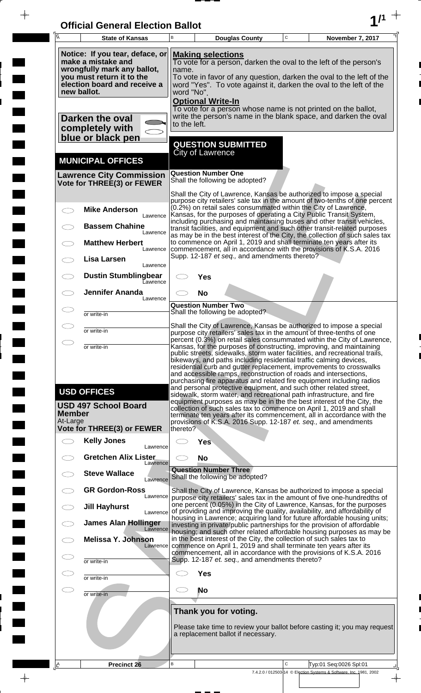| <b>Official General Election Ballot</b> |  |
|-----------------------------------------|--|
|                                         |  |

 $\bar{\phantom{a}}$ 

 $\overline{\phantom{a}}$ 

 $\overline{\phantom{a}}$ 

 $\blacksquare$ 

 $\blacksquare$ 

 $\blacksquare$ 

 $\frac{1}{2}$ 

 $\frac{1}{\sqrt{2\pi}}$ 

| Ā                         | <b>State of Kansas</b>                                                                                                                                                                                                                                                                                                                                                                                                                                             | B            |                                         | <b>Douglas County</b>                                       | $\mathbf C$ | November 7, 2017                                                                                                                                                                                                                                                                                                                                                                                                                                                                                                                                                                                                                                                                                                                                                                                                  |  |
|---------------------------|--------------------------------------------------------------------------------------------------------------------------------------------------------------------------------------------------------------------------------------------------------------------------------------------------------------------------------------------------------------------------------------------------------------------------------------------------------------------|--------------|-----------------------------------------|-------------------------------------------------------------|-------------|-------------------------------------------------------------------------------------------------------------------------------------------------------------------------------------------------------------------------------------------------------------------------------------------------------------------------------------------------------------------------------------------------------------------------------------------------------------------------------------------------------------------------------------------------------------------------------------------------------------------------------------------------------------------------------------------------------------------------------------------------------------------------------------------------------------------|--|
|                           | Notice: If you tear, deface, or<br><b>Making selections</b><br>make a mistake and<br>To vote for a person, darken the oval to the left of the person's<br>wrongfully mark any ballot,<br>name.<br>you must return it to the<br>To vote in favor of any question, darken the oval to the left of the<br>election board and receive a<br>word "Yes". To vote against it, darken the oval to the left of the<br>new ballot.<br>word "No".<br><b>Optional Write-In</b> |              |                                         |                                                             |             |                                                                                                                                                                                                                                                                                                                                                                                                                                                                                                                                                                                                                                                                                                                                                                                                                   |  |
|                           | Darken the oval<br>completely with<br>blue or black pen                                                                                                                                                                                                                                                                                                                                                                                                            | to the left. |                                         |                                                             |             | To vote for a person whose name is not printed on the ballot,<br>write the person's name in the blank space, and darken the oval                                                                                                                                                                                                                                                                                                                                                                                                                                                                                                                                                                                                                                                                                  |  |
|                           | <b>MUNICIPAL OFFICES</b>                                                                                                                                                                                                                                                                                                                                                                                                                                           |              | <b>City of Lawrence</b>                 | <b>QUESTION SUBMITTED</b>                                   |             |                                                                                                                                                                                                                                                                                                                                                                                                                                                                                                                                                                                                                                                                                                                                                                                                                   |  |
|                           | <b>Lawrence City Commission</b><br>Vote for THREE(3) or FEWER                                                                                                                                                                                                                                                                                                                                                                                                      |              | <b>Question Number One</b>              | Shall the following be adopted?                             |             |                                                                                                                                                                                                                                                                                                                                                                                                                                                                                                                                                                                                                                                                                                                                                                                                                   |  |
|                           | <b>Mike Anderson</b><br>Lawrence                                                                                                                                                                                                                                                                                                                                                                                                                                   |              |                                         |                                                             |             | Shall the City of Lawrence, Kansas be authorized to impose a special<br>purpose city retailers' sale tax in the amount of two-tenths of one percent<br>(0.2%) on retail sales consummated within the City of Lawrence,<br>Kansas, for the purposes of operating a City Public Transit System,                                                                                                                                                                                                                                                                                                                                                                                                                                                                                                                     |  |
|                           | <b>Bassem Chahine</b><br>Lawrence<br><b>Matthew Herbert</b>                                                                                                                                                                                                                                                                                                                                                                                                        |              |                                         |                                                             |             | including purchasing and maintaining buses and other transit vehicles,<br>transit facilities, and equipment and such other transit-related purposes<br>as may be in the best interest of the City, the collection of such sales tax<br>to commence on April 1, 2019 and shall terminate ten years after its                                                                                                                                                                                                                                                                                                                                                                                                                                                                                                       |  |
|                           | Lawrence<br>Lisa Larsen<br>Lawrence                                                                                                                                                                                                                                                                                                                                                                                                                                |              |                                         | Supp. 12-187 et seq., and amendments thereto?               |             | commencement, all in accordance with the provisions of K.S.A. 2016                                                                                                                                                                                                                                                                                                                                                                                                                                                                                                                                                                                                                                                                                                                                                |  |
|                           | <b>Dustin Stumblingbear</b><br>Eawrence<br><b>Jennifer Ananda</b>                                                                                                                                                                                                                                                                                                                                                                                                  |              | Yes                                     |                                                             |             |                                                                                                                                                                                                                                                                                                                                                                                                                                                                                                                                                                                                                                                                                                                                                                                                                   |  |
|                           | Lawrence<br>or write-in                                                                                                                                                                                                                                                                                                                                                                                                                                            |              | <b>No</b><br><b>Question Number Two</b> | Shall the following be adopted?                             |             |                                                                                                                                                                                                                                                                                                                                                                                                                                                                                                                                                                                                                                                                                                                                                                                                                   |  |
|                           | or write-in                                                                                                                                                                                                                                                                                                                                                                                                                                                        |              |                                         |                                                             |             | Shall the City of Lawrence, Kansas be authorized to impose a special                                                                                                                                                                                                                                                                                                                                                                                                                                                                                                                                                                                                                                                                                                                                              |  |
|                           | or write-in                                                                                                                                                                                                                                                                                                                                                                                                                                                        |              |                                         |                                                             |             | purpose city retailers' sales tax in the amount of three-tenths of one<br>percent (0.3%) on retail sales consummated within the City of Lawrence,<br>Kansas, for the purposes of constructing, improving, and maintaining                                                                                                                                                                                                                                                                                                                                                                                                                                                                                                                                                                                         |  |
| <b>Member</b><br>At-Large | <b>USD OFFICES</b><br><b>USD 497 School Board</b>                                                                                                                                                                                                                                                                                                                                                                                                                  |              |                                         |                                                             |             | public streets, sidewalks, storm water facilities, and recreational trails,<br>bikeways, and paths including residential traffic calming devices,<br>residential curb and gutter replacement, improvements to crosswalks<br>and accessible ramps, reconstruction of roads and intersections,<br>purchasing fire apparatus and related fire equipment including radios<br>and personal protective equipment, and such other related street,<br>sidewalk, storm water, and recreational path infrastructure, and fire<br>equipment purposes as may be in the the best interest of the City, the<br>collection of such sales tax to commence on April 1, 2019 and shall<br>terminate ten years after its commencement, all in accordance with the<br>provisions of K.S.A. 2016 Supp. 12-187 et. seq., and amendments |  |
|                           | Vote for THREE(3) or FEWER<br><b>Kelly Jones</b>                                                                                                                                                                                                                                                                                                                                                                                                                   | thereto?     | Yes                                     |                                                             |             |                                                                                                                                                                                                                                                                                                                                                                                                                                                                                                                                                                                                                                                                                                                                                                                                                   |  |
|                           | Lawrence<br><b>Gretchen Alix Lister</b>                                                                                                                                                                                                                                                                                                                                                                                                                            |              | <b>No</b>                               |                                                             |             |                                                                                                                                                                                                                                                                                                                                                                                                                                                                                                                                                                                                                                                                                                                                                                                                                   |  |
|                           | Lawrence<br><b>Steve Wallace</b><br>Lawrence                                                                                                                                                                                                                                                                                                                                                                                                                       |              | <b>Question Number Three</b>            | Shall the following be adopted?                             |             |                                                                                                                                                                                                                                                                                                                                                                                                                                                                                                                                                                                                                                                                                                                                                                                                                   |  |
|                           | <b>GR Gordon-Ross</b><br>Lawrence                                                                                                                                                                                                                                                                                                                                                                                                                                  |              |                                         |                                                             |             | Shall the City of Lawrence, Kansas be authorized to impose a special<br>purpose city retailers' sales tax in the amount of five one-hundredths of                                                                                                                                                                                                                                                                                                                                                                                                                                                                                                                                                                                                                                                                 |  |
|                           | <b>Jill Hayhurst</b><br>Lawrence                                                                                                                                                                                                                                                                                                                                                                                                                                   |              |                                         |                                                             |             | one percent (0.05%) in the City of Lawrence, Kansas, for the purposes<br>of providing and improving the quality, availability, and affordability of<br>housing in Lawrence; acquiring land for future affordable housing units;                                                                                                                                                                                                                                                                                                                                                                                                                                                                                                                                                                                   |  |
|                           | <b>James Alan Hollinger</b><br>Lawrence<br><b>Melissa Y. Johnson</b><br>Lawrence                                                                                                                                                                                                                                                                                                                                                                                   |              |                                         |                                                             |             | investing in private/public partnerships for the provision of affordable<br>housing; and such other related affordable housing purposes as may be<br>in the best interest of the City, the collection of such sales tax to<br>commence on April 1, 2019 and shall terminate ten years after its                                                                                                                                                                                                                                                                                                                                                                                                                                                                                                                   |  |
|                           | or write-in                                                                                                                                                                                                                                                                                                                                                                                                                                                        |              |                                         | Supp. 12-187 et. seq., and amendments thereto?              |             | commencement, all in accordance with the provisions of K.S.A. 2016                                                                                                                                                                                                                                                                                                                                                                                                                                                                                                                                                                                                                                                                                                                                                |  |
|                           | or write-in                                                                                                                                                                                                                                                                                                                                                                                                                                                        |              | <b>Yes</b>                              |                                                             |             |                                                                                                                                                                                                                                                                                                                                                                                                                                                                                                                                                                                                                                                                                                                                                                                                                   |  |
|                           | or write-in                                                                                                                                                                                                                                                                                                                                                                                                                                                        |              | <b>No</b>                               |                                                             |             |                                                                                                                                                                                                                                                                                                                                                                                                                                                                                                                                                                                                                                                                                                                                                                                                                   |  |
|                           |                                                                                                                                                                                                                                                                                                                                                                                                                                                                    |              |                                         | Thank you for voting.<br>a replacement ballot if necessary. |             | Please take time to review your ballot before casting it; you may request                                                                                                                                                                                                                                                                                                                                                                                                                                                                                                                                                                                                                                                                                                                                         |  |
| ΙÊ                        | Precinct 26                                                                                                                                                                                                                                                                                                                                                                                                                                                        | B            |                                         |                                                             | C           | Typ:01 Seq:0026 Spl:01                                                                                                                                                                                                                                                                                                                                                                                                                                                                                                                                                                                                                                                                                                                                                                                            |  |
|                           |                                                                                                                                                                                                                                                                                                                                                                                                                                                                    |              |                                         |                                                             |             | 7.4.2.0 / 012503-14 © Election Systems & Software, Inc. 1981, 2002                                                                                                                                                                                                                                                                                                                                                                                                                                                                                                                                                                                                                                                                                                                                                |  |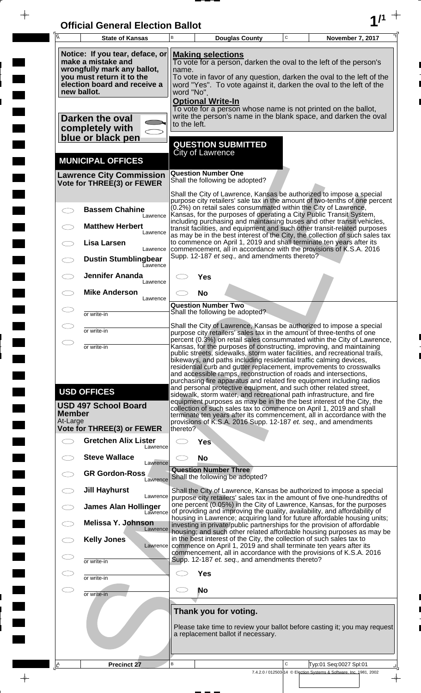| <b>Official General Election Ballot</b> |  |
|-----------------------------------------|--|
|                                         |  |

 $\overline{\phantom{a}}$ 

 $\Box$ 

 $\blacksquare$ 

 $\blacksquare$ 

 $\frac{1}{2}$ 

 $\frac{1}{\sqrt{2\pi}}\int_{0}^{\pi}\frac{1}{\sqrt{2\pi}}\left( \frac{1}{\sqrt{2\pi}}\right) \frac{d\mu}{d\mu}d\mu$ 

| $\overline{\mathsf{A}}$ | <b>State of Kansas</b>                                                                                                                                           | В                                                                                                                                                                                                                                                                                                                                                                                                                                                                                                                                                                                                                                                                                                                                                                                                                                                                                                 | <b>Douglas County</b>                                                                                                                                                                                          | $\mathbf C$  | November 7, 2017                                                                                                                                                                                                                    |  |  |  |
|-------------------------|------------------------------------------------------------------------------------------------------------------------------------------------------------------|---------------------------------------------------------------------------------------------------------------------------------------------------------------------------------------------------------------------------------------------------------------------------------------------------------------------------------------------------------------------------------------------------------------------------------------------------------------------------------------------------------------------------------------------------------------------------------------------------------------------------------------------------------------------------------------------------------------------------------------------------------------------------------------------------------------------------------------------------------------------------------------------------|----------------------------------------------------------------------------------------------------------------------------------------------------------------------------------------------------------------|--------------|-------------------------------------------------------------------------------------------------------------------------------------------------------------------------------------------------------------------------------------|--|--|--|
|                         | Notice: If you tear, deface, or<br>make a mistake and<br>wrongfully mark any ballot,<br>you must return it to the<br>election board and receive a<br>new ballot. | <b>Making selections</b><br>To vote for a person, darken the oval to the left of the person's<br>name.<br>To vote in favor of any question, darken the oval to the left of the<br>word "Yes". To vote against it, darken the oval to the left of the<br>word "No".<br><b>Optional Write-In</b>                                                                                                                                                                                                                                                                                                                                                                                                                                                                                                                                                                                                    |                                                                                                                                                                                                                |              |                                                                                                                                                                                                                                     |  |  |  |
|                         | Darken the oval<br>completely with<br>blue or black pen                                                                                                          | to the left.                                                                                                                                                                                                                                                                                                                                                                                                                                                                                                                                                                                                                                                                                                                                                                                                                                                                                      | To vote for a person whose name is not printed on the ballot,                                                                                                                                                  |              | write the person's name in the blank space, and darken the oval                                                                                                                                                                     |  |  |  |
|                         | <b>MUNICIPAL OFFICES</b>                                                                                                                                         |                                                                                                                                                                                                                                                                                                                                                                                                                                                                                                                                                                                                                                                                                                                                                                                                                                                                                                   | <b>QUESTION SUBMITTED</b><br><b>City of Lawrence</b>                                                                                                                                                           |              |                                                                                                                                                                                                                                     |  |  |  |
|                         | <b>Lawrence City Commission</b><br>Vote for THREE(3) or FEWER                                                                                                    |                                                                                                                                                                                                                                                                                                                                                                                                                                                                                                                                                                                                                                                                                                                                                                                                                                                                                                   | <b>Question Number One</b><br>Shall the following be adopted?                                                                                                                                                  |              |                                                                                                                                                                                                                                     |  |  |  |
|                         | <b>Bassem Chahine</b><br>Lawrence                                                                                                                                |                                                                                                                                                                                                                                                                                                                                                                                                                                                                                                                                                                                                                                                                                                                                                                                                                                                                                                   | Shall the City of Lawrence, Kansas be authorized to impose a special<br>(0.2%) on retail sales consummated within the City of Lawrence,<br>Kansas, for the purposes of operating a City Public Transit System, |              | purpose city retailers' sale tax in the amount of two-tenths of one percent                                                                                                                                                         |  |  |  |
|                         | <b>Matthew Herbert</b><br>Lawrence<br><b>Lisa Larsen</b>                                                                                                         |                                                                                                                                                                                                                                                                                                                                                                                                                                                                                                                                                                                                                                                                                                                                                                                                                                                                                                   | to commence on April 1, 2019 and shall terminate ten years after its                                                                                                                                           |              | including purchasing and maintaining buses and other transit vehicles,<br>transit facilities, and equipment and such other transit-related purposes<br>as may be in the best interest of the City, the collection of such sales tax |  |  |  |
|                         | Lawrence<br><b>Dustin Stumblingbear</b><br>Eawrence                                                                                                              |                                                                                                                                                                                                                                                                                                                                                                                                                                                                                                                                                                                                                                                                                                                                                                                                                                                                                                   | commencement, all in accordance with the provisions of K.S.A. 2016<br>Supp. 12-187 et seq., and amendments thereto?                                                                                            |              |                                                                                                                                                                                                                                     |  |  |  |
|                         | <b>Jennifer Ananda</b><br>Lawrence<br><b>Mike Anderson</b>                                                                                                       |                                                                                                                                                                                                                                                                                                                                                                                                                                                                                                                                                                                                                                                                                                                                                                                                                                                                                                   | Yes<br><b>No</b>                                                                                                                                                                                               |              |                                                                                                                                                                                                                                     |  |  |  |
|                         | Lawrence<br>or write-in                                                                                                                                          |                                                                                                                                                                                                                                                                                                                                                                                                                                                                                                                                                                                                                                                                                                                                                                                                                                                                                                   | <b>Question Number Two</b><br>Shall the following be adopted?                                                                                                                                                  |              |                                                                                                                                                                                                                                     |  |  |  |
| $\bigcirc$              | or write-in                                                                                                                                                      |                                                                                                                                                                                                                                                                                                                                                                                                                                                                                                                                                                                                                                                                                                                                                                                                                                                                                                   | Shall the City of Lawrence, Kansas be authorized to impose a special<br>purpose city retailers' sales tax in the amount of three-tenths of one                                                                 |              |                                                                                                                                                                                                                                     |  |  |  |
| Member                  | or write-in<br><b>USD OFFICES</b><br><b>USD 497 School Board</b>                                                                                                 | percent (0.3%) on retail sales consummated within the City of Lawrence,<br>Kansas, for the purposes of constructing, improving, and maintaining<br>public streets, sidewalks, storm water facilities, and recreational trails,<br>bikeways, and paths including residential traffic calming devices,<br>residential curb and gutter replacement, improvements to crosswalks<br>and accessible ramps, reconstruction of roads and intersections,<br>purchasing fire apparatus and related fire equipment including radios<br>and personal protective equipment, and such other related street,<br>sidewalk, storm water, and recreational path infrastructure, and fire<br>equipment purposes as may be in the the best interest of the City, the<br>collection of such sales tax to commence on April 1, 2019 and shall<br>terminate ten years after its commencement, all in accordance with the |                                                                                                                                                                                                                |              |                                                                                                                                                                                                                                     |  |  |  |
| At-Large                | <b>Vote for THREE(3) or FEWER</b><br><b>Gretchen Alix Lister</b>                                                                                                 | thereto?                                                                                                                                                                                                                                                                                                                                                                                                                                                                                                                                                                                                                                                                                                                                                                                                                                                                                          | provisions of K.S.A. 2016 Supp. 12-187 et. seq., and amendments<br><b>Yes</b>                                                                                                                                  |              |                                                                                                                                                                                                                                     |  |  |  |
|                         | Lawrence<br><b>Steve Wallace</b>                                                                                                                                 |                                                                                                                                                                                                                                                                                                                                                                                                                                                                                                                                                                                                                                                                                                                                                                                                                                                                                                   | <b>No</b>                                                                                                                                                                                                      |              |                                                                                                                                                                                                                                     |  |  |  |
|                         | Lawrence<br><b>GR Gordon-Ross</b><br>Lawrence                                                                                                                    |                                                                                                                                                                                                                                                                                                                                                                                                                                                                                                                                                                                                                                                                                                                                                                                                                                                                                                   | <b>Question Number Three</b><br>Shall the following be adopted?                                                                                                                                                |              |                                                                                                                                                                                                                                     |  |  |  |
|                         | <b>Jill Hayhurst</b><br>Lawrence                                                                                                                                 |                                                                                                                                                                                                                                                                                                                                                                                                                                                                                                                                                                                                                                                                                                                                                                                                                                                                                                   |                                                                                                                                                                                                                |              | Shall the City of Lawrence, Kansas be authorized to impose a special<br>purpose city retailers' sales tax in the amount of five one-hundredths of                                                                                   |  |  |  |
|                         | <b>James Alan Hollinger</b><br>Lawrence<br>Melissa Y. Johnson                                                                                                    | one percent (0.05%) in the City of Lawrence, Kansas, for the purposes<br>of providing and improving the quality, availability, and affordability of<br>housing in Lawrence; acquiring land for future affordable housing units;                                                                                                                                                                                                                                                                                                                                                                                                                                                                                                                                                                                                                                                                   |                                                                                                                                                                                                                |              |                                                                                                                                                                                                                                     |  |  |  |
|                         | Lawrence<br><b>Kelly Jones</b><br>Lawrence                                                                                                                       | investing in private/public partnerships for the provision of affordable<br>housing; and such other related affordable housing purposes as may be<br>in the best interest of the City, the collection of such sales tax to<br>commence on April 1, 2019 and shall terminate ten years after its                                                                                                                                                                                                                                                                                                                                                                                                                                                                                                                                                                                                   |                                                                                                                                                                                                                |              |                                                                                                                                                                                                                                     |  |  |  |
|                         | or write-in                                                                                                                                                      | commencement, all in accordance with the provisions of K.S.A. 2016<br>Supp. 12-187 et. seq., and amendments thereto?                                                                                                                                                                                                                                                                                                                                                                                                                                                                                                                                                                                                                                                                                                                                                                              |                                                                                                                                                                                                                |              |                                                                                                                                                                                                                                     |  |  |  |
| $\subset$               | or write-in                                                                                                                                                      | <b>Yes</b><br>No                                                                                                                                                                                                                                                                                                                                                                                                                                                                                                                                                                                                                                                                                                                                                                                                                                                                                  |                                                                                                                                                                                                                |              |                                                                                                                                                                                                                                     |  |  |  |
|                         | or write-in                                                                                                                                                      | Thank you for voting.<br>Please take time to review your ballot before casting it; you may request<br>a replacement ballot if necessary.                                                                                                                                                                                                                                                                                                                                                                                                                                                                                                                                                                                                                                                                                                                                                          |                                                                                                                                                                                                                |              |                                                                                                                                                                                                                                     |  |  |  |
| Ιê                      | Precinct 27                                                                                                                                                      | B                                                                                                                                                                                                                                                                                                                                                                                                                                                                                                                                                                                                                                                                                                                                                                                                                                                                                                 |                                                                                                                                                                                                                | $\mathsf{C}$ | Typ:01 Seq:0027 Spl:01<br>7.4.2.0 / 012503-14 © Election Systems & Software, Inc. 1981, 2002                                                                                                                                        |  |  |  |
|                         |                                                                                                                                                                  |                                                                                                                                                                                                                                                                                                                                                                                                                                                                                                                                                                                                                                                                                                                                                                                                                                                                                                   |                                                                                                                                                                                                                |              | $\rightarrow$                                                                                                                                                                                                                       |  |  |  |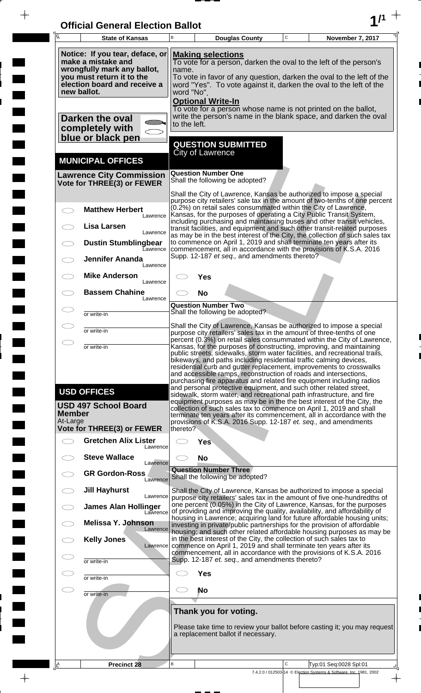| <b>Official General Election Ballot</b> |  |
|-----------------------------------------|--|
|                                         |  |

 $\overline{\phantom{a}}$ 

 $\Box$ 

 $\blacksquare$ 

 $\blacksquare$ 

 $\frac{1}{2}$ 

 $\frac{1}{\sqrt{2\pi}}$ 

| $\overline{A}$                                                                                                                                                                                                                                                                                                                                                                                                                                                     | <b>State of Kansas</b>                                                                                                                                                                                                                                                                                                                                                                                                                                                                                                                    | B                                                                                                                                                                                                                                                                                               | <b>Douglas County</b>                                                                                                                                                                                                                                                                           | $\mathbf C$ | November 7, 2017                                                                             |  |  |  |  |
|--------------------------------------------------------------------------------------------------------------------------------------------------------------------------------------------------------------------------------------------------------------------------------------------------------------------------------------------------------------------------------------------------------------------------------------------------------------------|-------------------------------------------------------------------------------------------------------------------------------------------------------------------------------------------------------------------------------------------------------------------------------------------------------------------------------------------------------------------------------------------------------------------------------------------------------------------------------------------------------------------------------------------|-------------------------------------------------------------------------------------------------------------------------------------------------------------------------------------------------------------------------------------------------------------------------------------------------|-------------------------------------------------------------------------------------------------------------------------------------------------------------------------------------------------------------------------------------------------------------------------------------------------|-------------|----------------------------------------------------------------------------------------------|--|--|--|--|
| Notice: If you tear, deface, or<br><b>Making selections</b><br>make a mistake and<br>To vote for a person, darken the oval to the left of the person's<br>wrongfully mark any ballot,<br>name.<br>you must return it to the<br>To vote in favor of any question, darken the oval to the left of the<br>election board and receive a<br>word "Yes". To vote against it, darken the oval to the left of the<br>new ballot.<br>word "No".<br><b>Optional Write-In</b> |                                                                                                                                                                                                                                                                                                                                                                                                                                                                                                                                           |                                                                                                                                                                                                                                                                                                 |                                                                                                                                                                                                                                                                                                 |             |                                                                                              |  |  |  |  |
|                                                                                                                                                                                                                                                                                                                                                                                                                                                                    | Darken the oval<br>completely with<br>blue or black pen                                                                                                                                                                                                                                                                                                                                                                                                                                                                                   | to the left.                                                                                                                                                                                                                                                                                    | To vote for a person whose name is not printed on the ballot,<br>write the person's name in the blank space, and darken the oval                                                                                                                                                                |             |                                                                                              |  |  |  |  |
|                                                                                                                                                                                                                                                                                                                                                                                                                                                                    |                                                                                                                                                                                                                                                                                                                                                                                                                                                                                                                                           |                                                                                                                                                                                                                                                                                                 | <b>QUESTION SUBMITTED</b><br>City of Lawrence                                                                                                                                                                                                                                                   |             |                                                                                              |  |  |  |  |
|                                                                                                                                                                                                                                                                                                                                                                                                                                                                    | <b>MUNICIPAL OFFICES</b><br><b>Lawrence City Commission</b>                                                                                                                                                                                                                                                                                                                                                                                                                                                                               |                                                                                                                                                                                                                                                                                                 | <b>Question Number One</b><br>Shall the following be adopted?                                                                                                                                                                                                                                   |             |                                                                                              |  |  |  |  |
|                                                                                                                                                                                                                                                                                                                                                                                                                                                                    | Vote for THREE(3) or FEWER                                                                                                                                                                                                                                                                                                                                                                                                                                                                                                                |                                                                                                                                                                                                                                                                                                 | Shall the City of Lawrence, Kansas be authorized to impose a special                                                                                                                                                                                                                            |             |                                                                                              |  |  |  |  |
|                                                                                                                                                                                                                                                                                                                                                                                                                                                                    | <b>Matthew Herbert</b><br>Lawrence<br>Lisa Larsen                                                                                                                                                                                                                                                                                                                                                                                                                                                                                         |                                                                                                                                                                                                                                                                                                 | purpose city retailers' sale tax in the amount of two-tenths of one percent<br>(0.2%) on retail sales consummated within the City of Lawrence,<br>Kansas, for the purposes of operating a City Public Transit System,<br>including purchasing and maintaining buses and other transit vehicles, |             |                                                                                              |  |  |  |  |
|                                                                                                                                                                                                                                                                                                                                                                                                                                                                    | Lawrence<br><b>Dustin Stumblingbear</b>                                                                                                                                                                                                                                                                                                                                                                                                                                                                                                   |                                                                                                                                                                                                                                                                                                 | transit facilities, and equipment and such other transit-related purposes<br>as may be in the best interest of the City, the collection of such sales tax<br>to commence on April 1, 2019 and shall terminate ten years after its                                                               |             |                                                                                              |  |  |  |  |
|                                                                                                                                                                                                                                                                                                                                                                                                                                                                    | <b>Lawrence</b><br><b>Jennifer Ananda</b><br>Lawrence                                                                                                                                                                                                                                                                                                                                                                                                                                                                                     |                                                                                                                                                                                                                                                                                                 | commencement, all in accordance with the provisions of K.S.A. 2016<br>Supp. 12-187 et seq., and amendments thereto?                                                                                                                                                                             |             |                                                                                              |  |  |  |  |
|                                                                                                                                                                                                                                                                                                                                                                                                                                                                    | <b>Mike Anderson</b><br>Lawrence                                                                                                                                                                                                                                                                                                                                                                                                                                                                                                          |                                                                                                                                                                                                                                                                                                 | Yes                                                                                                                                                                                                                                                                                             |             |                                                                                              |  |  |  |  |
|                                                                                                                                                                                                                                                                                                                                                                                                                                                                    | <b>Bassem Chahine</b><br>Lawrence                                                                                                                                                                                                                                                                                                                                                                                                                                                                                                         |                                                                                                                                                                                                                                                                                                 | No<br><b>Question Number Two</b>                                                                                                                                                                                                                                                                |             |                                                                                              |  |  |  |  |
|                                                                                                                                                                                                                                                                                                                                                                                                                                                                    | or write-in                                                                                                                                                                                                                                                                                                                                                                                                                                                                                                                               |                                                                                                                                                                                                                                                                                                 | Shall the following be adopted?<br>Shall the City of Lawrence, Kansas be authorized to impose a special                                                                                                                                                                                         |             |                                                                                              |  |  |  |  |
| $\bigcirc$                                                                                                                                                                                                                                                                                                                                                                                                                                                         | or write-in<br>or write-in                                                                                                                                                                                                                                                                                                                                                                                                                                                                                                                | purpose city retailers' sales tax in the amount of three-tenths of one<br>percent (0.3%) on retail sales consummated within the City of Lawrence,<br>Kansas, for the purposes of constructing, improving, and maintaining                                                                       |                                                                                                                                                                                                                                                                                                 |             |                                                                                              |  |  |  |  |
|                                                                                                                                                                                                                                                                                                                                                                                                                                                                    | public streets, sidewalks, storm water facilities, and recreational trails,<br>bikeways, and paths including residential traffic calming devices,<br>residential curb and gutter replacement, improvements to crosswalks<br>and accessible ramps, reconstruction of roads and intersections,<br>purchasing fire apparatus and related fire equipment including radios<br>and personal protective equipment, and such other related street,<br><b>USD OFFICES</b><br>sidewalk, storm water, and recreational path infrastructure, and fire |                                                                                                                                                                                                                                                                                                 |                                                                                                                                                                                                                                                                                                 |             |                                                                                              |  |  |  |  |
| <b>Member</b><br>At-Large                                                                                                                                                                                                                                                                                                                                                                                                                                          | <b>USD 497 School Board</b><br><b>Vote for THREE(3) or FEWER</b>                                                                                                                                                                                                                                                                                                                                                                                                                                                                          | thereto?                                                                                                                                                                                                                                                                                        | equipment purposes as may be in the the best interest of the City, the<br>collection of such sales tax to commence on April 1, 2019 and shall<br>terminate ten years after its commencement, all in accordance with the<br>provisions of K.S.A. 2016 Supp. 12-187 et. seq., and amendments      |             |                                                                                              |  |  |  |  |
|                                                                                                                                                                                                                                                                                                                                                                                                                                                                    | <b>Gretchen Alix Lister</b><br>Lawrence                                                                                                                                                                                                                                                                                                                                                                                                                                                                                                   |                                                                                                                                                                                                                                                                                                 | Yes                                                                                                                                                                                                                                                                                             |             |                                                                                              |  |  |  |  |
|                                                                                                                                                                                                                                                                                                                                                                                                                                                                    | <b>Steve Wallace</b><br>Lawrence                                                                                                                                                                                                                                                                                                                                                                                                                                                                                                          |                                                                                                                                                                                                                                                                                                 | <b>No</b>                                                                                                                                                                                                                                                                                       |             |                                                                                              |  |  |  |  |
|                                                                                                                                                                                                                                                                                                                                                                                                                                                                    | <b>GR Gordon-Ross</b><br>Lawrence                                                                                                                                                                                                                                                                                                                                                                                                                                                                                                         |                                                                                                                                                                                                                                                                                                 | <b>Question Number Three</b><br>Shall the following be adopted?                                                                                                                                                                                                                                 |             |                                                                                              |  |  |  |  |
|                                                                                                                                                                                                                                                                                                                                                                                                                                                                    | <b>Jill Hayhurst</b><br>Lawrence<br><b>James Alan Hollinger</b>                                                                                                                                                                                                                                                                                                                                                                                                                                                                           |                                                                                                                                                                                                                                                                                                 | Shall the City of Lawrence, Kansas be authorized to impose a special<br>purpose city retailers' sales tax in the amount of five one-hundredths of<br>one percent (0.05%) in the City of Lawrence, Kansas, for the purposes                                                                      |             |                                                                                              |  |  |  |  |
|                                                                                                                                                                                                                                                                                                                                                                                                                                                                    | Lawrence<br><b>Melissa Y. Johnson</b>                                                                                                                                                                                                                                                                                                                                                                                                                                                                                                     |                                                                                                                                                                                                                                                                                                 | of providing and improving the quality, availability, and affordability of<br>housing in Lawrence; acquiring land for future affordable housing units;                                                                                                                                          |             |                                                                                              |  |  |  |  |
|                                                                                                                                                                                                                                                                                                                                                                                                                                                                    | Lawrence<br><b>Kelly Jones</b><br>Lawrence                                                                                                                                                                                                                                                                                                                                                                                                                                                                                                | investing in private/public partnerships for the provision of affordable<br>housing; and such other related affordable housing purposes as may be<br>in the best interest of the City, the collection of such sales tax to<br>commence on April 1, 2019 and shall terminate ten years after its |                                                                                                                                                                                                                                                                                                 |             |                                                                                              |  |  |  |  |
| Œ                                                                                                                                                                                                                                                                                                                                                                                                                                                                  | or write-in                                                                                                                                                                                                                                                                                                                                                                                                                                                                                                                               | commencement, all in accordance with the provisions of K.S.A. 2016<br>Supp. 12-187 et. seq., and amendments thereto?                                                                                                                                                                            |                                                                                                                                                                                                                                                                                                 |             |                                                                                              |  |  |  |  |
| $\subset$                                                                                                                                                                                                                                                                                                                                                                                                                                                          | or write-in                                                                                                                                                                                                                                                                                                                                                                                                                                                                                                                               | <b>Yes</b>                                                                                                                                                                                                                                                                                      |                                                                                                                                                                                                                                                                                                 |             |                                                                                              |  |  |  |  |
| ㅇ                                                                                                                                                                                                                                                                                                                                                                                                                                                                  | or write-in                                                                                                                                                                                                                                                                                                                                                                                                                                                                                                                               |                                                                                                                                                                                                                                                                                                 | <b>No</b>                                                                                                                                                                                                                                                                                       |             |                                                                                              |  |  |  |  |
|                                                                                                                                                                                                                                                                                                                                                                                                                                                                    |                                                                                                                                                                                                                                                                                                                                                                                                                                                                                                                                           | Thank you for voting.<br>Please take time to review your ballot before casting it; you may request<br>a replacement ballot if necessary.                                                                                                                                                        |                                                                                                                                                                                                                                                                                                 |             |                                                                                              |  |  |  |  |
| LA                                                                                                                                                                                                                                                                                                                                                                                                                                                                 | <b>Precinct 28</b>                                                                                                                                                                                                                                                                                                                                                                                                                                                                                                                        | B                                                                                                                                                                                                                                                                                               |                                                                                                                                                                                                                                                                                                 | C           | Typ:01 Seq:0028 Spl:01<br>7.4.2.0 / 012503-14 © Election Systems & Software, Inc. 1981, 2002 |  |  |  |  |
|                                                                                                                                                                                                                                                                                                                                                                                                                                                                    |                                                                                                                                                                                                                                                                                                                                                                                                                                                                                                                                           |                                                                                                                                                                                                                                                                                                 |                                                                                                                                                                                                                                                                                                 |             | $\overline{\phantom{a}}$                                                                     |  |  |  |  |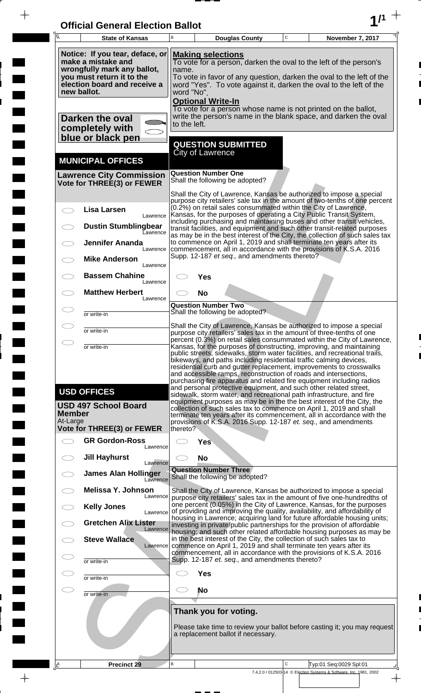| <b>Official General Election Ballot</b> |  |
|-----------------------------------------|--|
|                                         |  |

 $\bar{\phantom{a}}$ 

 $\overline{\phantom{a}}$ 

 $\Box$ 

 $\blacksquare$ 

 $\blacksquare$ 

 $\frac{1}{2}$ 

| $\overline{A}$            | <b>State of Kansas</b>                                                                                                                                                                                                                                                                                                                                                                                                                                                                                                                                                                                                                                                                                                                                                                                                                                                                                                                                                                 | В                                                                                                                                                                                                                                                                                              | <b>Douglas County</b>                                                                                                                                                                                                                                                                           | $\mathbf C$  | November 7, 2017                                                                               |  |  |  |
|---------------------------|----------------------------------------------------------------------------------------------------------------------------------------------------------------------------------------------------------------------------------------------------------------------------------------------------------------------------------------------------------------------------------------------------------------------------------------------------------------------------------------------------------------------------------------------------------------------------------------------------------------------------------------------------------------------------------------------------------------------------------------------------------------------------------------------------------------------------------------------------------------------------------------------------------------------------------------------------------------------------------------|------------------------------------------------------------------------------------------------------------------------------------------------------------------------------------------------------------------------------------------------------------------------------------------------|-------------------------------------------------------------------------------------------------------------------------------------------------------------------------------------------------------------------------------------------------------------------------------------------------|--------------|------------------------------------------------------------------------------------------------|--|--|--|
|                           | Notice: If you tear, deface, or<br>make a mistake and<br>wrongfully mark any ballot,<br>you must return it to the<br>election board and receive a<br>new ballot.                                                                                                                                                                                                                                                                                                                                                                                                                                                                                                                                                                                                                                                                                                                                                                                                                       | <b>Making selections</b><br>To vote for a person, darken the oval to the left of the person's<br>name.<br>To vote in favor of any question, darken the oval to the left of the<br>word "Yes". To vote against it, darken the oval to the left of the<br>word "No".<br><b>Optional Write-In</b> |                                                                                                                                                                                                                                                                                                 |              |                                                                                                |  |  |  |
|                           | Darken the oval<br>completely with<br>blue or black pen                                                                                                                                                                                                                                                                                                                                                                                                                                                                                                                                                                                                                                                                                                                                                                                                                                                                                                                                | to the left.                                                                                                                                                                                                                                                                                   | To vote for a person whose name is not printed on the ballot,<br>write the person's name in the blank space, and darken the oval                                                                                                                                                                |              |                                                                                                |  |  |  |
|                           |                                                                                                                                                                                                                                                                                                                                                                                                                                                                                                                                                                                                                                                                                                                                                                                                                                                                                                                                                                                        |                                                                                                                                                                                                                                                                                                | <b>QUESTION SUBMITTED</b><br><b>City of Lawrence</b>                                                                                                                                                                                                                                            |              |                                                                                                |  |  |  |
|                           | <b>MUNICIPAL OFFICES</b><br><b>Lawrence City Commission</b>                                                                                                                                                                                                                                                                                                                                                                                                                                                                                                                                                                                                                                                                                                                                                                                                                                                                                                                            |                                                                                                                                                                                                                                                                                                | <b>Question Number One</b>                                                                                                                                                                                                                                                                      |              |                                                                                                |  |  |  |
|                           | Vote for THREE(3) or FEWER                                                                                                                                                                                                                                                                                                                                                                                                                                                                                                                                                                                                                                                                                                                                                                                                                                                                                                                                                             |                                                                                                                                                                                                                                                                                                | Shall the following be adopted?<br>Shall the City of Lawrence, Kansas be authorized to impose a special                                                                                                                                                                                         |              |                                                                                                |  |  |  |
|                           | <b>Lisa Larsen</b><br>Lawrence<br><b>Dustin Stumblingbear</b>                                                                                                                                                                                                                                                                                                                                                                                                                                                                                                                                                                                                                                                                                                                                                                                                                                                                                                                          |                                                                                                                                                                                                                                                                                                | purpose city retailers' sale tax in the amount of two-tenths of one percent<br>(0.2%) on retail sales consummated within the City of Lawrence,<br>Kansas, for the purposes of operating a City Public Transit System,<br>including purchasing and maintaining buses and other transit vehicles, |              |                                                                                                |  |  |  |
|                           | <b>Lawrence</b><br><b>Jennifer Ananda</b>                                                                                                                                                                                                                                                                                                                                                                                                                                                                                                                                                                                                                                                                                                                                                                                                                                                                                                                                              |                                                                                                                                                                                                                                                                                                | transit facilities, and equipment and such other transit-related purposes<br>as may be in the best interest of the City, the collection of such sales tax<br>to commence on April 1, 2019 and shall terminate ten years after its                                                               |              |                                                                                                |  |  |  |
|                           | Lawrence<br><b>Mike Anderson</b><br>Lawrence                                                                                                                                                                                                                                                                                                                                                                                                                                                                                                                                                                                                                                                                                                                                                                                                                                                                                                                                           |                                                                                                                                                                                                                                                                                                | commencement, all in accordance with the provisions of K.S.A. 2016<br>Supp. 12-187 et seq., and amendments thereto?                                                                                                                                                                             |              |                                                                                                |  |  |  |
|                           | <b>Bassem Chahine</b><br>Lawrence                                                                                                                                                                                                                                                                                                                                                                                                                                                                                                                                                                                                                                                                                                                                                                                                                                                                                                                                                      |                                                                                                                                                                                                                                                                                                | Yes                                                                                                                                                                                                                                                                                             |              |                                                                                                |  |  |  |
|                           | <b>Matthew Herbert</b><br>Lawrence                                                                                                                                                                                                                                                                                                                                                                                                                                                                                                                                                                                                                                                                                                                                                                                                                                                                                                                                                     |                                                                                                                                                                                                                                                                                                | <b>No</b><br><b>Question Number Two</b>                                                                                                                                                                                                                                                         |              |                                                                                                |  |  |  |
|                           | or write-in                                                                                                                                                                                                                                                                                                                                                                                                                                                                                                                                                                                                                                                                                                                                                                                                                                                                                                                                                                            |                                                                                                                                                                                                                                                                                                | Shall the following be adopted?                                                                                                                                                                                                                                                                 |              |                                                                                                |  |  |  |
|                           | or write-in                                                                                                                                                                                                                                                                                                                                                                                                                                                                                                                                                                                                                                                                                                                                                                                                                                                                                                                                                                            |                                                                                                                                                                                                                                                                                                | Shall the City of Lawrence, Kansas be authorized to impose a special<br>purpose city retailers' sales tax in the amount of three-tenths of one                                                                                                                                                  |              |                                                                                                |  |  |  |
| At-Large                  | percent (0.3%) on retail sales consummated within the City of Lawrence,<br>Kansas, for the purposes of constructing, improving, and maintaining<br>or write-in<br>public streets, sidewalks, storm water facilities, and recreational trails,<br>bikeways, and paths including residential traffic calming devices,<br>residential curb and gutter replacement, improvements to crosswalks<br>and accessible ramps, reconstruction of roads and intersections,<br>purchasing fire apparatus and related fire equipment including radios<br>and personal protective equipment, and such other related street,<br><b>USD OFFICES</b><br>sidewalk, storm water, and recreational path infrastructure, and fire<br>equipment purposes as may be in the the best interest of the City, the<br><b>USD 497 School Board</b><br>collection of such sales tax to commence on April 1, 2019 and shall<br><b>Member</b><br>terminate ten years after its commencement, all in accordance with the |                                                                                                                                                                                                                                                                                                |                                                                                                                                                                                                                                                                                                 |              |                                                                                                |  |  |  |
|                           | Vote for THREE(3) or FEWER<br><b>GR Gordon-Ross</b>                                                                                                                                                                                                                                                                                                                                                                                                                                                                                                                                                                                                                                                                                                                                                                                                                                                                                                                                    | thereto?                                                                                                                                                                                                                                                                                       | provisions of K.S.A. 2016 Supp. 12-187 et. seq., and amendments<br><b>Yes</b>                                                                                                                                                                                                                   |              |                                                                                                |  |  |  |
|                           | Lawrence<br><b>Jill Hayhurst</b>                                                                                                                                                                                                                                                                                                                                                                                                                                                                                                                                                                                                                                                                                                                                                                                                                                                                                                                                                       |                                                                                                                                                                                                                                                                                                | <b>No</b>                                                                                                                                                                                                                                                                                       |              |                                                                                                |  |  |  |
|                           | Lawrence<br><b>James Alan Hollinger</b>                                                                                                                                                                                                                                                                                                                                                                                                                                                                                                                                                                                                                                                                                                                                                                                                                                                                                                                                                |                                                                                                                                                                                                                                                                                                | <b>Question Number Three</b>                                                                                                                                                                                                                                                                    |              |                                                                                                |  |  |  |
|                           | Lawrence<br>Melissa Y. Johnson                                                                                                                                                                                                                                                                                                                                                                                                                                                                                                                                                                                                                                                                                                                                                                                                                                                                                                                                                         |                                                                                                                                                                                                                                                                                                | Shall the following be adopted?<br>Shall the City of Lawrence, Kansas be authorized to impose a special                                                                                                                                                                                         |              |                                                                                                |  |  |  |
|                           | Lawrence<br><b>Kelly Jones</b><br>Lawrence                                                                                                                                                                                                                                                                                                                                                                                                                                                                                                                                                                                                                                                                                                                                                                                                                                                                                                                                             |                                                                                                                                                                                                                                                                                                | purpose city retailers' sales tax in the amount of five one-hundredths of<br>one percent (0.05%) in the City of Lawrence, Kansas, for the purposes<br>of providing and improving the quality, availability, and affordability of                                                                |              |                                                                                                |  |  |  |
|                           | <b>Gretchen Alix Lister</b><br>Lawrence                                                                                                                                                                                                                                                                                                                                                                                                                                                                                                                                                                                                                                                                                                                                                                                                                                                                                                                                                |                                                                                                                                                                                                                                                                                                | housing in Lawrence; acquiring land for future affordable housing units;<br>investing in private/public partnerships for the provision of affordable<br>housing; and such other related affordable housing purposes as may be                                                                   |              |                                                                                                |  |  |  |
|                           | <b>Steve Wallace</b><br>Lawrence                                                                                                                                                                                                                                                                                                                                                                                                                                                                                                                                                                                                                                                                                                                                                                                                                                                                                                                                                       |                                                                                                                                                                                                                                                                                                | in the best interest of the City, the collection of such sales tax to<br>commence on April 1, 2019 and shall terminate ten years after its                                                                                                                                                      |              |                                                                                                |  |  |  |
| C I                       | or write-in                                                                                                                                                                                                                                                                                                                                                                                                                                                                                                                                                                                                                                                                                                                                                                                                                                                                                                                                                                            | commencement, all in accordance with the provisions of K.S.A. 2016<br>Supp. 12-187 et. seq., and amendments thereto?                                                                                                                                                                           |                                                                                                                                                                                                                                                                                                 |              |                                                                                                |  |  |  |
| $\subset \; \bar{}$<br>E. | or write-in                                                                                                                                                                                                                                                                                                                                                                                                                                                                                                                                                                                                                                                                                                                                                                                                                                                                                                                                                                            | <b>Yes</b><br>No                                                                                                                                                                                                                                                                               |                                                                                                                                                                                                                                                                                                 |              |                                                                                                |  |  |  |
|                           | or write-in                                                                                                                                                                                                                                                                                                                                                                                                                                                                                                                                                                                                                                                                                                                                                                                                                                                                                                                                                                            |                                                                                                                                                                                                                                                                                                |                                                                                                                                                                                                                                                                                                 |              |                                                                                                |  |  |  |
|                           |                                                                                                                                                                                                                                                                                                                                                                                                                                                                                                                                                                                                                                                                                                                                                                                                                                                                                                                                                                                        | Thank you for voting.<br>Please take time to review your ballot before casting it; you may request<br>a replacement ballot if necessary.                                                                                                                                                       |                                                                                                                                                                                                                                                                                                 |              |                                                                                                |  |  |  |
|                           | <b>Precinct 29</b>                                                                                                                                                                                                                                                                                                                                                                                                                                                                                                                                                                                                                                                                                                                                                                                                                                                                                                                                                                     | B                                                                                                                                                                                                                                                                                              |                                                                                                                                                                                                                                                                                                 | $\mathsf{C}$ | Typ:01 Seq:0029 Spl:01                                                                         |  |  |  |
|                           |                                                                                                                                                                                                                                                                                                                                                                                                                                                                                                                                                                                                                                                                                                                                                                                                                                                                                                                                                                                        |                                                                                                                                                                                                                                                                                                |                                                                                                                                                                                                                                                                                                 |              | 7.4.2.0 / 012503-14 © Election Systems & Software, Inc. 1981, 2002<br>$\overline{\phantom{a}}$ |  |  |  |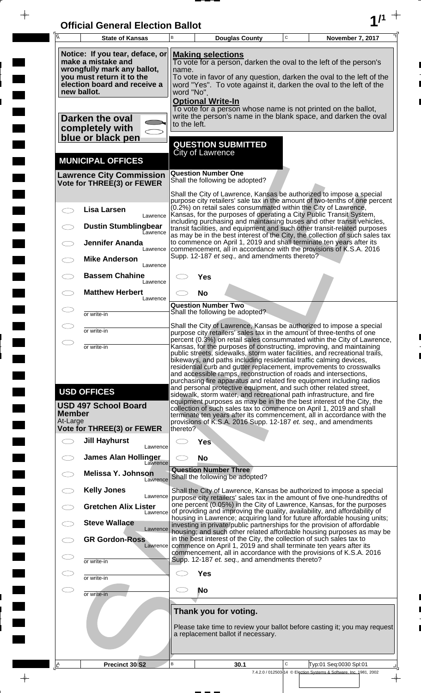| <b>Official General Election Ballot</b> |  |
|-----------------------------------------|--|
|                                         |  |

 $\overline{\phantom{a}}$ 

 $\blacksquare$ 

E

 $\frac{1}{2}$ 

 $\frac{1}{\sqrt{2\pi}}$ 

| Notice: If you tear, deface, or<br><b>Making selections</b><br>make a mistake and<br>To vote for a person, darken the oval to the left of the person's                                                                                                                                                                                                                                                                                                                                                                                                                                                                                                                                                                                                                                                                              |                        |
|-------------------------------------------------------------------------------------------------------------------------------------------------------------------------------------------------------------------------------------------------------------------------------------------------------------------------------------------------------------------------------------------------------------------------------------------------------------------------------------------------------------------------------------------------------------------------------------------------------------------------------------------------------------------------------------------------------------------------------------------------------------------------------------------------------------------------------------|------------------------|
| wrongfully mark any ballot,<br>name.<br>you must return it to the<br>To vote in favor of any question, darken the oval to the left of the<br>election board and receive a<br>word "Yes". To vote against it, darken the oval to the left of the<br>new ballot.<br>word "No".<br><b>Optional Write-In</b>                                                                                                                                                                                                                                                                                                                                                                                                                                                                                                                            |                        |
| To vote for a person whose name is not printed on the ballot,<br>write the person's name in the blank space, and darken the oval<br>Darken the oval<br>to the left.<br>completely with<br>blue or black pen                                                                                                                                                                                                                                                                                                                                                                                                                                                                                                                                                                                                                         |                        |
| <b>QUESTION SUBMITTED</b><br>City of Lawrence<br><b>MUNICIPAL OFFICES</b>                                                                                                                                                                                                                                                                                                                                                                                                                                                                                                                                                                                                                                                                                                                                                           |                        |
| <b>Question Number One</b><br><b>Lawrence City Commission</b><br>Shall the following be adopted?<br>Vote for THREE(3) or FEWER                                                                                                                                                                                                                                                                                                                                                                                                                                                                                                                                                                                                                                                                                                      |                        |
| Shall the City of Lawrence, Kansas be authorized to impose a special<br>purpose city retailers' sale tax in the amount of two-tenths of one percent<br>(0.2%) on retail sales consummated within the City of Lawrence,<br><b>Lisa Larsen</b><br>Kansas, for the purposes of operating a City Public Transit System,                                                                                                                                                                                                                                                                                                                                                                                                                                                                                                                 |                        |
| Lawrence<br>including purchasing and maintaining buses and other transit vehicles,<br><b>Dustin Stumblingbear</b><br>transit facilities, and equipment and such other transit-related purposes<br>Eawrence<br>as may be in the best interest of the City, the collection of such sales tax                                                                                                                                                                                                                                                                                                                                                                                                                                                                                                                                          |                        |
| to commence on April 1, 2019 and shall terminate ten years after its<br><b>Jennifer Ananda</b><br>commencement, all in accordance with the provisions of K.S.A. 2016<br>Lawrence<br>Supp. 12-187 et seq., and amendments thereto?<br><b>Mike Anderson</b>                                                                                                                                                                                                                                                                                                                                                                                                                                                                                                                                                                           |                        |
| Lawrence<br><b>Bassem Chahine</b><br>Yes<br>Lawrence                                                                                                                                                                                                                                                                                                                                                                                                                                                                                                                                                                                                                                                                                                                                                                                |                        |
| <b>Matthew Herbert</b><br><b>No</b><br>Lawrence<br><b>Question Number Two</b>                                                                                                                                                                                                                                                                                                                                                                                                                                                                                                                                                                                                                                                                                                                                                       |                        |
| Shall the following be adopted?<br>or write-in<br>Shall the City of Lawrence, Kansas be authorized to impose a special                                                                                                                                                                                                                                                                                                                                                                                                                                                                                                                                                                                                                                                                                                              |                        |
| or write-in<br>purpose city retailers' sales tax in the amount of three-tenths of one<br>percent (0.3%) on retail sales consummated within the City of Lawrence,<br>Kansas, for the purposes of constructing, improving, and maintaining                                                                                                                                                                                                                                                                                                                                                                                                                                                                                                                                                                                            |                        |
| or write-in<br>public streets, sidewalks, storm water facilities, and recreational trails,<br>bikeways, and paths including residential traffic calming devices,<br>residential curb and gutter replacement, improvements to crosswalks<br>and accessible ramps, reconstruction of roads and intersections,<br>purchasing fire apparatus and related fire equipment including radios<br>and personal protective equipment, and such other related street,<br><b>USD OFFICES</b><br>sidewalk, storm water, and recreational path infrastructure, and fire<br>equipment purposes as may be in the the best interest of the City, the<br><b>USD 497 School Board</b><br>collection of such sales tax to commence on April 1, 2019 and shall<br><b>Member</b><br>terminate ten years after its commencement, all in accordance with the |                        |
| At-Large<br>provisions of K.S.A. 2016 Supp. 12-187 et. seq., and amendments<br>Vote for THREE(3) or FEWER<br>thereto?                                                                                                                                                                                                                                                                                                                                                                                                                                                                                                                                                                                                                                                                                                               |                        |
| <b>Jill Hayhurst</b><br><b>Yes</b><br>Lawrence                                                                                                                                                                                                                                                                                                                                                                                                                                                                                                                                                                                                                                                                                                                                                                                      |                        |
| <b>James Alan Hollinger</b><br><b>No</b><br>Lawrence<br><b>Question Number Three</b><br><b>Melissa Y. Johnson</b><br>Shall the following be adopted?                                                                                                                                                                                                                                                                                                                                                                                                                                                                                                                                                                                                                                                                                |                        |
| Lawrence<br><b>Kelly Jones</b><br>Shall the City of Lawrence, Kansas be authorized to impose a special<br>Lawrence<br>purpose city retailers' sales tax in the amount of five one-hundredths of                                                                                                                                                                                                                                                                                                                                                                                                                                                                                                                                                                                                                                     |                        |
| one percent (0.05%) in the City of Lawrence, Kansas, for the purposes<br><b>Gretchen Alix Lister</b><br>of providing and improving the quality, availability, and affordability of<br>Lawrence                                                                                                                                                                                                                                                                                                                                                                                                                                                                                                                                                                                                                                      |                        |
| housing in Lawrence; acquiring land for future affordable housing units;<br><b>Steve Wallace</b><br>investing in private/public partnerships for the provision of affordable<br>Lawrence<br>housing; and such other related affordable housing purposes as may be                                                                                                                                                                                                                                                                                                                                                                                                                                                                                                                                                                   |                        |
| in the best interest of the City, the collection of such sales tax to<br><b>GR Gordon-Ross</b><br>commence on April 1, 2019 and shall terminate ten years after its<br>Lawrence<br>commencement, all in accordance with the provisions of K.S.A. 2016                                                                                                                                                                                                                                                                                                                                                                                                                                                                                                                                                                               |                        |
| Supp. 12-187 et. seq., and amendments thereto?<br>or write-in                                                                                                                                                                                                                                                                                                                                                                                                                                                                                                                                                                                                                                                                                                                                                                       |                        |
| <b>Yes</b><br>or write-in<br>No                                                                                                                                                                                                                                                                                                                                                                                                                                                                                                                                                                                                                                                                                                                                                                                                     |                        |
| or write-in<br>Thank you for voting.                                                                                                                                                                                                                                                                                                                                                                                                                                                                                                                                                                                                                                                                                                                                                                                                |                        |
| Please take time to review your ballot before casting it; you may request<br>a replacement ballot if necessary.                                                                                                                                                                                                                                                                                                                                                                                                                                                                                                                                                                                                                                                                                                                     |                        |
| B<br>C<br>Precinct 30 S2<br>30.1<br><u>A</u><br>7.4.2.0 / 012503-14 © Election Systems & Software, Inc. 1981, 2002                                                                                                                                                                                                                                                                                                                                                                                                                                                                                                                                                                                                                                                                                                                  | Typ:01 Seq:0030 Spl:01 |

 $\frac{1}{\sqrt{2}}$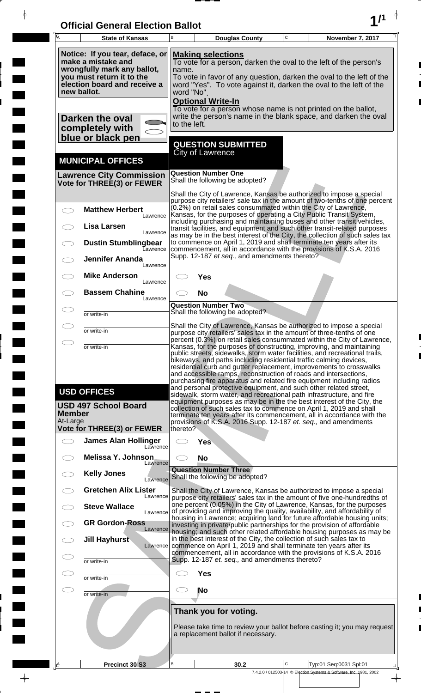| <b>Official General Election Ballot</b> |  |
|-----------------------------------------|--|
|                                         |  |

 $\overline{\phantom{a}}$ 

 $\Box$ 

 $\blacksquare$ 

 $\overline{\phantom{a}}$ 

 $\blacksquare$ 

 $\frac{1}{2}$ 

 $\frac{1}{\sqrt{2\pi}}$ 

| $\overline{A}$                                                                                                                                                                                                                                                                                                                                                                                                                                                                                                                         | <b>State of Kansas</b>                                                                                                                                           | B                   |                                                      | <b>Douglas County</b>                                       | $\mathbf C$ | November 7, 2017                                                                                                                                                                                                                                                                                                                                                                                                                                                                                                                                                                                                                                                                   |
|----------------------------------------------------------------------------------------------------------------------------------------------------------------------------------------------------------------------------------------------------------------------------------------------------------------------------------------------------------------------------------------------------------------------------------------------------------------------------------------------------------------------------------------|------------------------------------------------------------------------------------------------------------------------------------------------------------------|---------------------|------------------------------------------------------|-------------------------------------------------------------|-------------|------------------------------------------------------------------------------------------------------------------------------------------------------------------------------------------------------------------------------------------------------------------------------------------------------------------------------------------------------------------------------------------------------------------------------------------------------------------------------------------------------------------------------------------------------------------------------------------------------------------------------------------------------------------------------------|
|                                                                                                                                                                                                                                                                                                                                                                                                                                                                                                                                        | Notice: If you tear, deface, or<br>make a mistake and<br>wrongfully mark any ballot,<br>you must return it to the<br>election board and receive a<br>new ballot. | name.<br>word "No". | <b>Making selections</b><br><b>Optional Write-In</b> |                                                             |             | To vote for a person, darken the oval to the left of the person's<br>To vote in favor of any question, darken the oval to the left of the<br>word "Yes". To vote against it, darken the oval to the left of the                                                                                                                                                                                                                                                                                                                                                                                                                                                                    |
|                                                                                                                                                                                                                                                                                                                                                                                                                                                                                                                                        | Darken the oval<br>completely with<br>blue or black pen                                                                                                          | to the left.        |                                                      |                                                             |             | To vote for a person whose name is not printed on the ballot,<br>write the person's name in the blank space, and darken the oval                                                                                                                                                                                                                                                                                                                                                                                                                                                                                                                                                   |
|                                                                                                                                                                                                                                                                                                                                                                                                                                                                                                                                        | <b>MUNICIPAL OFFICES</b>                                                                                                                                         |                     | <b>City of Lawrence</b>                              | <b>QUESTION SUBMITTED</b>                                   |             |                                                                                                                                                                                                                                                                                                                                                                                                                                                                                                                                                                                                                                                                                    |
|                                                                                                                                                                                                                                                                                                                                                                                                                                                                                                                                        | <b>Lawrence City Commission</b><br>Vote for THREE(3) or FEWER                                                                                                    |                     | <b>Question Number One</b>                           | Shall the following be adopted?                             |             |                                                                                                                                                                                                                                                                                                                                                                                                                                                                                                                                                                                                                                                                                    |
| $\subset$                                                                                                                                                                                                                                                                                                                                                                                                                                                                                                                              | <b>Matthew Herbert</b><br>Lawrence<br><b>Lisa Larsen</b><br>Lawrence<br><b>Dustin Stumblingbear</b><br><b>Lawrence</b>                                           |                     |                                                      |                                                             |             | Shall the City of Lawrence, Kansas be authorized to impose a special<br>purpose city retailers' sale tax in the amount of two-tenths of one percent<br>(0.2%) on retail sales consummated within the City of Lawrence,<br>Kansas, for the purposes of operating a City Public Transit System,<br>including purchasing and maintaining buses and other transit vehicles,<br>transit facilities, and equipment and such other transit-related purposes<br>as may be in the best interest of the City, the collection of such sales tax<br>to commence on April 1, 2019 and shall terminate ten years after its<br>commencement, all in accordance with the provisions of K.S.A. 2016 |
|                                                                                                                                                                                                                                                                                                                                                                                                                                                                                                                                        | <b>Jennifer Ananda</b><br>Lawrence<br><b>Mike Anderson</b>                                                                                                       |                     | Yes                                                  | Supp. 12-187 et seq., and amendments thereto?               |             |                                                                                                                                                                                                                                                                                                                                                                                                                                                                                                                                                                                                                                                                                    |
|                                                                                                                                                                                                                                                                                                                                                                                                                                                                                                                                        | Lawrence<br><b>Bassem Chahine</b><br>Lawrence                                                                                                                    |                     | <b>No</b>                                            |                                                             |             |                                                                                                                                                                                                                                                                                                                                                                                                                                                                                                                                                                                                                                                                                    |
|                                                                                                                                                                                                                                                                                                                                                                                                                                                                                                                                        | or write-in                                                                                                                                                      |                     | <b>Question Number Two</b>                           | Shall the following be adopted?                             |             |                                                                                                                                                                                                                                                                                                                                                                                                                                                                                                                                                                                                                                                                                    |
|                                                                                                                                                                                                                                                                                                                                                                                                                                                                                                                                        | or write-in                                                                                                                                                      |                     |                                                      |                                                             |             | Shall the City of Lawrence, Kansas be authorized to impose a special<br>purpose city retailers' sales tax in the amount of three-tenths of one                                                                                                                                                                                                                                                                                                                                                                                                                                                                                                                                     |
| percent (0.3%) on retail sales consummated within the City of Lawrence<br>Kansas, for the purposes of constructing, improving, and maintaining<br>or write-in<br>public streets, sidewalks, storm water facilities, and recreational trails,<br>bikeways, and paths including residential traffic calming devices,<br>residential curb and gutter replacement, improvements to crosswalks<br>and accessible ramps, reconstruction of roads and intersections,<br>purchasing fire apparatus and related fire equipment including radios |                                                                                                                                                                  |                     |                                                      |                                                             |             | and personal protective equipment, and such other related street,                                                                                                                                                                                                                                                                                                                                                                                                                                                                                                                                                                                                                  |
| <b>Member</b><br>At-Large                                                                                                                                                                                                                                                                                                                                                                                                                                                                                                              | <b>USD OFFICES</b><br><b>USD 497 School Board</b><br><b>Vote for THREE(3) or FEWER</b>                                                                           | thereto?            |                                                      |                                                             |             | sidewalk, storm water, and recreational path infrastructure, and fire<br>equipment purposes as may be in the the best interest of the City, the<br>collection of such sales tax to commence on April 1, 2019 and shall<br>terminate ten years after its commencement, all in accordance with the<br>provisions of K.S.A. 2016 Supp. 12-187 et. seq., and amendments                                                                                                                                                                                                                                                                                                                |
| $\subset$ $\bar{\phantom{a}}$                                                                                                                                                                                                                                                                                                                                                                                                                                                                                                          | <b>James Alan Hollinger</b><br>Lawrence                                                                                                                          |                     | <b>Yes</b>                                           |                                                             |             |                                                                                                                                                                                                                                                                                                                                                                                                                                                                                                                                                                                                                                                                                    |
|                                                                                                                                                                                                                                                                                                                                                                                                                                                                                                                                        | <b>Melissa Y. Johnson</b><br>Lawrence                                                                                                                            | CI.                 | <b>No</b>                                            |                                                             |             |                                                                                                                                                                                                                                                                                                                                                                                                                                                                                                                                                                                                                                                                                    |
|                                                                                                                                                                                                                                                                                                                                                                                                                                                                                                                                        | <b>Kelly Jones</b><br>Lawrence                                                                                                                                   |                     | <b>Question Number Three</b>                         | Shall the following be adopted?                             |             |                                                                                                                                                                                                                                                                                                                                                                                                                                                                                                                                                                                                                                                                                    |
|                                                                                                                                                                                                                                                                                                                                                                                                                                                                                                                                        | <b>Gretchen Alix Lister</b><br>Lawrence                                                                                                                          |                     |                                                      |                                                             |             | Shall the City of Lawrence, Kansas be authorized to impose a special<br>purpose city retailers' sales tax in the amount of five one-hundredths of<br>one percent (0.05%) in the City of Lawrence, Kansas, for the purposes                                                                                                                                                                                                                                                                                                                                                                                                                                                         |
|                                                                                                                                                                                                                                                                                                                                                                                                                                                                                                                                        | <b>Steve Wallace</b><br>Lawrence<br><b>GR Gordon-Ross</b>                                                                                                        |                     |                                                      |                                                             |             | of providing and improving the quality, availability, and affordability of<br>housing in Lawrence; acquiring land for future affordable housing units;<br>investing in private/public partnerships for the provision of affordable                                                                                                                                                                                                                                                                                                                                                                                                                                                 |
|                                                                                                                                                                                                                                                                                                                                                                                                                                                                                                                                        | Lawrence<br>Jill Hayhurst<br>Lawrence                                                                                                                            |                     |                                                      |                                                             |             | housing, and such other related affordable housing purposes as may be<br>in the best interest of the City, the collection of such sales tax to<br>commence on April 1, 2019 and shall terminate ten years after its                                                                                                                                                                                                                                                                                                                                                                                                                                                                |
| C I                                                                                                                                                                                                                                                                                                                                                                                                                                                                                                                                    | or write-in                                                                                                                                                      |                     |                                                      | Supp. 12-187 et. seq., and amendments thereto?              |             | commencement, all in accordance with the provisions of K.S.A. 2016                                                                                                                                                                                                                                                                                                                                                                                                                                                                                                                                                                                                                 |
| C                                                                                                                                                                                                                                                                                                                                                                                                                                                                                                                                      | or write-in                                                                                                                                                      |                     | <b>Yes</b>                                           |                                                             |             |                                                                                                                                                                                                                                                                                                                                                                                                                                                                                                                                                                                                                                                                                    |
| E.                                                                                                                                                                                                                                                                                                                                                                                                                                                                                                                                     | or write-in                                                                                                                                                      |                     | <b>No</b>                                            |                                                             |             |                                                                                                                                                                                                                                                                                                                                                                                                                                                                                                                                                                                                                                                                                    |
|                                                                                                                                                                                                                                                                                                                                                                                                                                                                                                                                        |                                                                                                                                                                  |                     |                                                      | Thank you for voting.<br>a replacement ballot if necessary. |             | Please take time to review your ballot before casting it; you may request                                                                                                                                                                                                                                                                                                                                                                                                                                                                                                                                                                                                          |
| <u>, A</u>                                                                                                                                                                                                                                                                                                                                                                                                                                                                                                                             | Precinct 30 S3                                                                                                                                                   | В                   |                                                      | 30.2                                                        | С           | Typ:01 Seq:0031 Spl:01<br>7.4.2.0 / 012503-14 © Election Systems & Software, Inc. 1981, 2002                                                                                                                                                                                                                                                                                                                                                                                                                                                                                                                                                                                       |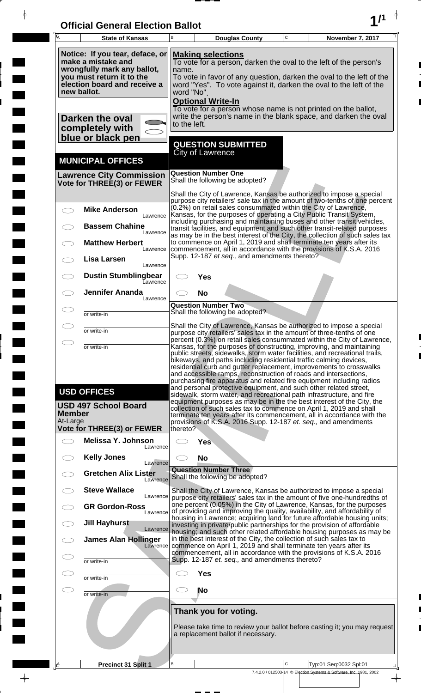| <b>Official General Election Ballot</b> |  |
|-----------------------------------------|--|
|                                         |  |

 $\overline{\phantom{a}}$ 

 $\Box$ 

 $\blacksquare$ 

 $\blacksquare$ 

 $\blacksquare$ 

 $\frac{1}{2}$ 

 $\frac{1}{\sqrt{2\pi}}$ 

| Ā                         | <b>State of Kansas</b>                                                                                                                                           | B                   |                                                      | <b>Douglas County</b>                                           | $\mathsf C$ | November 7, 2017                                                                                                                                                                                                                                                                                                                                                                                                                                                                                                                                                                            |
|---------------------------|------------------------------------------------------------------------------------------------------------------------------------------------------------------|---------------------|------------------------------------------------------|-----------------------------------------------------------------|-------------|---------------------------------------------------------------------------------------------------------------------------------------------------------------------------------------------------------------------------------------------------------------------------------------------------------------------------------------------------------------------------------------------------------------------------------------------------------------------------------------------------------------------------------------------------------------------------------------------|
|                           | Notice: If you tear, deface, or<br>make a mistake and<br>wrongfully mark any ballot,<br>you must return it to the<br>election board and receive a<br>new ballot. | name.<br>word "No". | <b>Making selections</b><br><b>Optional Write-In</b> |                                                                 |             | To vote for a person, darken the oval to the left of the person's<br>To vote in favor of any question, darken the oval to the left of the<br>word "Yes". To vote against it, darken the oval to the left of the                                                                                                                                                                                                                                                                                                                                                                             |
|                           | Darken the oval<br>completely with<br>blue or black pen                                                                                                          | to the left.        |                                                      |                                                                 |             | To vote for a person whose name is not printed on the ballot,<br>write the person's name in the blank space, and darken the oval                                                                                                                                                                                                                                                                                                                                                                                                                                                            |
|                           | <b>MUNICIPAL OFFICES</b>                                                                                                                                         |                     | City of Lawrence                                     | <b>QUESTION SUBMITTED</b>                                       |             |                                                                                                                                                                                                                                                                                                                                                                                                                                                                                                                                                                                             |
|                           | <b>Lawrence City Commission</b><br>Vote for THREE(3) or FEWER                                                                                                    |                     | <b>Question Number One</b>                           | Shall the following be adopted?                                 |             |                                                                                                                                                                                                                                                                                                                                                                                                                                                                                                                                                                                             |
|                           | <b>Mike Anderson</b>                                                                                                                                             |                     |                                                      |                                                                 |             | Shall the City of Lawrence, Kansas be authorized to impose a special<br>purpose city retailers' sale tax in the amount of two-tenths of one percent<br>(0.2%) on retail sales consummated within the City of Lawrence,<br>Kansas, for the purposes of operating a City Public Transit System,                                                                                                                                                                                                                                                                                               |
|                           | Lawrence<br><b>Bassem Chahine</b><br>Lawrence                                                                                                                    |                     |                                                      |                                                                 |             | including purchasing and maintaining buses and other transit vehicles,<br>transit facilities, and equipment and such other transit-related purposes<br>as may be in the best interest of the City, the collection of such sales tax                                                                                                                                                                                                                                                                                                                                                         |
|                           | <b>Matthew Herbert</b><br>Lawrence<br>Lisa Larsen                                                                                                                |                     |                                                      | Supp. 12-187 et seq., and amendments thereto?                   |             | to commence on April 1, 2019 and shall terminate ten years after its<br>commencement, all in accordance with the provisions of K.S.A. 2016                                                                                                                                                                                                                                                                                                                                                                                                                                                  |
|                           | Lawrence<br><b>Dustin Stumblingbear</b><br>Eawrence                                                                                                              |                     | Yes                                                  |                                                                 |             |                                                                                                                                                                                                                                                                                                                                                                                                                                                                                                                                                                                             |
|                           | <b>Jennifer Ananda</b><br>Lawrence                                                                                                                               |                     | <b>No</b><br><b>Question Number Two</b>              |                                                                 |             |                                                                                                                                                                                                                                                                                                                                                                                                                                                                                                                                                                                             |
|                           | or write-in                                                                                                                                                      |                     |                                                      | Shall the following be adopted?                                 |             | Shall the City of Lawrence, Kansas be authorized to impose a special                                                                                                                                                                                                                                                                                                                                                                                                                                                                                                                        |
|                           | or write-in                                                                                                                                                      |                     |                                                      |                                                                 |             | purpose city retailers' sales tax in the amount of three-tenths of one<br>percent (0.3%) on retail sales consummated within the City of Lawrence,                                                                                                                                                                                                                                                                                                                                                                                                                                           |
|                           | or write-in<br><b>USD OFFICES</b>                                                                                                                                |                     |                                                      |                                                                 |             | Kansas, for the purposes of constructing, improving, and maintaining<br>public streets, sidewalks, storm water facilities, and recreational trails,<br>bikeways, and paths including residential traffic calming devices,<br>residential curb and gutter replacement, improvements to crosswalks<br>and accessible ramps, reconstruction of roads and intersections,<br>purchasing fire apparatus and related fire equipment including radios<br>and personal protective equipment, and such other related street,<br>sidewalk, storm water, and recreational path infrastructure, and fire |
| <b>Member</b><br>At-Large | <b>USD 497 School Board</b>                                                                                                                                      |                     |                                                      |                                                                 |             | equipment purposes as may be in the the best interest of the City, the<br>collection of such sales tax to commence on April 1, 2019 and shall<br>terminate ten years after its commencement, all in accordance with the<br>provisions of K.S.A. 2016 Supp. 12-187 et. seq., and amendments                                                                                                                                                                                                                                                                                                  |
|                           | <b>Vote for THREE(3) or FEWER</b><br>Melissa Y. Johnson                                                                                                          | thereto?            | <b>Yes</b>                                           |                                                                 |             |                                                                                                                                                                                                                                                                                                                                                                                                                                                                                                                                                                                             |
|                           | Lawrence<br><b>Kelly Jones</b>                                                                                                                                   |                     | <b>No</b>                                            |                                                                 |             |                                                                                                                                                                                                                                                                                                                                                                                                                                                                                                                                                                                             |
|                           | Lawrence<br><b>Gretchen Alix Lister</b><br>Lawrence                                                                                                              |                     |                                                      | <b>Question Number Three</b><br>Shall the following be adopted? |             |                                                                                                                                                                                                                                                                                                                                                                                                                                                                                                                                                                                             |
|                           | <b>Steve Wallace</b><br>Lawrence                                                                                                                                 |                     |                                                      |                                                                 |             | Shall the City of Lawrence, Kansas be authorized to impose a special<br>purpose city retailers' sales tax in the amount of five one-hundredths of                                                                                                                                                                                                                                                                                                                                                                                                                                           |
|                           | <b>GR Gordon-Ross</b><br>Lawrence<br><b>Jill Hayhurst</b>                                                                                                        |                     |                                                      |                                                                 |             | one percent (0.05%) in the City of Lawrence, Kansas, for the purposes<br>of providing and improving the quality, availability, and affordability of<br>housing in Lawrence; acquiring land for future affordable housing units;                                                                                                                                                                                                                                                                                                                                                             |
|                           | Lawrence<br><b>James Alan Hollinger</b><br>Lawrence                                                                                                              |                     |                                                      |                                                                 |             | investing in private/public partnerships for the provision of affordable<br>housing; and such other related affordable housing purposes as may be<br>in the best interest of the City, the collection of such sales tax to<br>commence on April 1, 2019 and shall terminate ten years after its                                                                                                                                                                                                                                                                                             |
|                           | or write-in                                                                                                                                                      |                     |                                                      | Supp. 12-187 et. seq., and amendments thereto?                  |             | commencement, all in accordance with the provisions of K.S.A. 2016                                                                                                                                                                                                                                                                                                                                                                                                                                                                                                                          |
|                           | or write-in                                                                                                                                                      |                     | <b>Yes</b>                                           |                                                                 |             |                                                                                                                                                                                                                                                                                                                                                                                                                                                                                                                                                                                             |
|                           | or write-in                                                                                                                                                      |                     | No                                                   |                                                                 |             |                                                                                                                                                                                                                                                                                                                                                                                                                                                                                                                                                                                             |
|                           |                                                                                                                                                                  |                     |                                                      | Thank you for voting.<br>a replacement ballot if necessary.     |             | Please take time to review your ballot before casting it; you may request                                                                                                                                                                                                                                                                                                                                                                                                                                                                                                                   |
| <u> 4</u>                 | Precinct 31 Split 1                                                                                                                                              | В                   |                                                      |                                                                 | $\mathbf C$ | Typ:01 Seq:0032 Spl:01                                                                                                                                                                                                                                                                                                                                                                                                                                                                                                                                                                      |
|                           |                                                                                                                                                                  |                     |                                                      |                                                                 |             | 7.4.2.0 / 012503-14 © Election Systems & Software, Inc. 1981, 2002                                                                                                                                                                                                                                                                                                                                                                                                                                                                                                                          |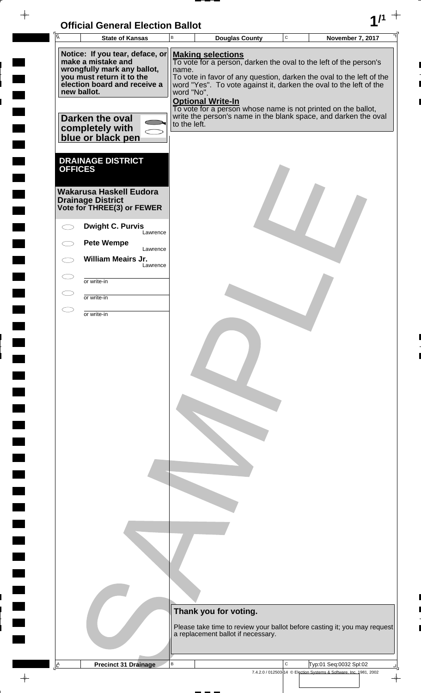| <b>Official General Election Ballot</b> |  |
|-----------------------------------------|--|
|                                         |  |

 $\blacksquare$ 

 $\begin{array}{c} \hline \end{array}$ 

 $\blacksquare$ 

 $\begin{array}{c} \begin{array}{c} \hline \end{array} \end{array}$ 

 $\blacksquare$ 

 $\overline{\phantom{a}}$ 

| Ā              | <b>State of Kansas</b>                                                                                                                                                                                 | $\sf{B}$                            | <b>Douglas County</b>                                                                                                                                                                                                                                                                                                               | $\mathsf{C}$ | November 7, 2017                                                          |
|----------------|--------------------------------------------------------------------------------------------------------------------------------------------------------------------------------------------------------|-------------------------------------|-------------------------------------------------------------------------------------------------------------------------------------------------------------------------------------------------------------------------------------------------------------------------------------------------------------------------------------|--------------|---------------------------------------------------------------------------|
|                | Notice: If you tear, deface, or<br>make a mistake and<br>wrongfully mark any ballot,<br>you must return it to the<br>election board and receive a<br>new ballot.<br>Darken the oval<br>completely with | name.<br>word "No".<br>to the left. | <b>Making selections</b><br>To vote for a person, darken the oval to the left of the person's<br>word "Yes". To vote against it, darken the oval to the left of the<br><b>Optional Write-In</b><br>To vote for a person whose name is not printed on the ballot,<br>write the person's name in the blank space, and darken the oval |              | To vote in favor of any question, darken the oval to the left of the      |
| <b>OFFICES</b> | blue or black pen<br><b>DRAINAGE DISTRICT</b><br><b>Wakarusa Haskell Eudora</b><br><b>Drainage District</b><br>Vote for THREE(3) or FEWER                                                              |                                     |                                                                                                                                                                                                                                                                                                                                     |              |                                                                           |
|                | <b>Dwight C. Purvis</b><br>Lawrence                                                                                                                                                                    |                                     |                                                                                                                                                                                                                                                                                                                                     |              |                                                                           |
|                | <b>Pete Wempe</b><br>Lawrence                                                                                                                                                                          |                                     |                                                                                                                                                                                                                                                                                                                                     |              |                                                                           |
|                | <b>William Meairs Jr.</b><br>Lawrence                                                                                                                                                                  |                                     |                                                                                                                                                                                                                                                                                                                                     |              |                                                                           |
|                | or write-in                                                                                                                                                                                            |                                     |                                                                                                                                                                                                                                                                                                                                     |              |                                                                           |
|                | or write-in                                                                                                                                                                                            |                                     |                                                                                                                                                                                                                                                                                                                                     |              |                                                                           |
|                | or write-in                                                                                                                                                                                            |                                     |                                                                                                                                                                                                                                                                                                                                     |              |                                                                           |
|                |                                                                                                                                                                                                        |                                     |                                                                                                                                                                                                                                                                                                                                     |              |                                                                           |
|                |                                                                                                                                                                                                        |                                     |                                                                                                                                                                                                                                                                                                                                     |              |                                                                           |
|                |                                                                                                                                                                                                        |                                     |                                                                                                                                                                                                                                                                                                                                     |              |                                                                           |
|                |                                                                                                                                                                                                        |                                     | Thank you for voting.<br>a replacement ballot if necessary.                                                                                                                                                                                                                                                                         |              | Please take time to review your ballot before casting it; you may request |
|                |                                                                                                                                                                                                        |                                     |                                                                                                                                                                                                                                                                                                                                     |              |                                                                           |
| <u>A</u>       | <b>Precinct 31 Drainage</b>                                                                                                                                                                            | B                                   |                                                                                                                                                                                                                                                                                                                                     | C            | Typ:01 Seq:0032 Spl:02                                                    |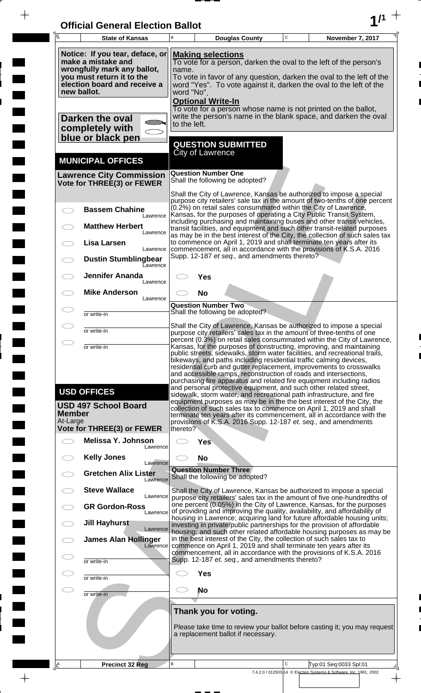| <b>Official General Election Ballot</b> |  |
|-----------------------------------------|--|
|                                         |  |

 $\overline{\phantom{a}}$ 

 $\Box$ 

 $\blacksquare$ 

 $\blacksquare$ 

 $\blacksquare$ 

 $\frac{1}{2}$ 

 $\frac{1}{\sqrt{2\pi}}$ 

| Notice: If you tear, deface, or<br><b>Making selections</b><br>make a mistake and<br>To vote for a person, darken the oval to the left of the person's<br>wrongfully mark any ballot,<br>name.<br>you must return it to the<br>To vote in favor of any question, darken the oval to the left of the<br>election board and receive a<br>word "Yes". To vote against it, darken the oval to the left of the<br>new ballot.<br>word "No".<br><b>Optional Write-In</b>                                                                                                                                                                                                                                                                                                                                                   |  |
|----------------------------------------------------------------------------------------------------------------------------------------------------------------------------------------------------------------------------------------------------------------------------------------------------------------------------------------------------------------------------------------------------------------------------------------------------------------------------------------------------------------------------------------------------------------------------------------------------------------------------------------------------------------------------------------------------------------------------------------------------------------------------------------------------------------------|--|
|                                                                                                                                                                                                                                                                                                                                                                                                                                                                                                                                                                                                                                                                                                                                                                                                                      |  |
| To vote for a person whose name is not printed on the ballot,<br>write the person's name in the blank space, and darken the oval<br>Darken the oval<br>to the left.<br>completely with<br>blue or black pen                                                                                                                                                                                                                                                                                                                                                                                                                                                                                                                                                                                                          |  |
| <b>QUESTION SUBMITTED</b><br>City of Lawrence<br><b>MUNICIPAL OFFICES</b>                                                                                                                                                                                                                                                                                                                                                                                                                                                                                                                                                                                                                                                                                                                                            |  |
| <b>Question Number One</b><br><b>Lawrence City Commission</b><br>Shall the following be adopted?<br>Vote for THREE(3) or FEWER                                                                                                                                                                                                                                                                                                                                                                                                                                                                                                                                                                                                                                                                                       |  |
| Shall the City of Lawrence, Kansas be authorized to impose a special<br>purpose city retailers' sale tax in the amount of two-tenths of one percent<br>(0.2%) on retail sales consummated within the City of Lawrence,<br><b>Bassem Chahine</b><br>Kansas, for the purposes of operating a City Public Transit System,<br>Lawrence<br>including purchasing and maintaining buses and other transit vehicles,                                                                                                                                                                                                                                                                                                                                                                                                         |  |
| <b>Matthew Herbert</b><br>transit facilities, and equipment and such other transit-related purposes<br>Lawrence<br>as may be in the best interest of the City, the collection of such sales tax<br>to commence on April 1, 2019 and shall terminate ten years after its<br>Lisa Larsen                                                                                                                                                                                                                                                                                                                                                                                                                                                                                                                               |  |
| commencement, all in accordance with the provisions of K.S.A. 2016<br>Lawrence<br>Supp. 12-187 et seq., and amendments thereto?<br><b>Dustin Stumblingbear</b><br>Eawrence                                                                                                                                                                                                                                                                                                                                                                                                                                                                                                                                                                                                                                           |  |
| <b>Jennifer Ananda</b><br>Yes<br>Lawrence<br><b>Mike Anderson</b><br><b>No</b>                                                                                                                                                                                                                                                                                                                                                                                                                                                                                                                                                                                                                                                                                                                                       |  |
| Lawrence<br><b>Question Number Two</b><br>Shall the following be adopted?<br>or write-in                                                                                                                                                                                                                                                                                                                                                                                                                                                                                                                                                                                                                                                                                                                             |  |
| Shall the City of Lawrence, Kansas be authorized to impose a special<br>or write-in<br>purpose city retailers' sales tax in the amount of three-tenths of one                                                                                                                                                                                                                                                                                                                                                                                                                                                                                                                                                                                                                                                        |  |
| percent (0.3%) on retail sales consummated within the City of Lawrence,<br>Kansas, for the purposes of constructing, improving, and maintaining<br>or write-in                                                                                                                                                                                                                                                                                                                                                                                                                                                                                                                                                                                                                                                       |  |
| public streets, sidewalks, storm water facilities, and recreational trails,<br>bikeways, and paths including residential traffic calming devices,<br>residential curb and gutter replacement, improvements to crosswalks<br>and accessible ramps, reconstruction of roads and intersections,<br>purchasing fire apparatus and related fire equipment including radios<br>and personal protective equipment, and such other related street,<br><b>USD OFFICES</b><br>sidewalk, storm water, and recreational path infrastructure, and fire<br>equipment purposes as may be in the the best interest of the City, the<br><b>USD 497 School Board</b><br>collection of such sales tax to commence on April 1, 2019 and shall<br><b>Member</b><br>terminate ten years after its commencement, all in accordance with the |  |
| At-Large<br>provisions of K.S.A. 2016 Supp. 12-187 et. seq., and amendments<br><b>Vote for THREE(3) or FEWER</b><br>thereto?                                                                                                                                                                                                                                                                                                                                                                                                                                                                                                                                                                                                                                                                                         |  |
| Melissa Y. Johnson<br><b>Yes</b><br>Lawrence                                                                                                                                                                                                                                                                                                                                                                                                                                                                                                                                                                                                                                                                                                                                                                         |  |
| <b>Kelly Jones</b><br><b>No</b><br>Lawrence<br><b>Question Number Three</b>                                                                                                                                                                                                                                                                                                                                                                                                                                                                                                                                                                                                                                                                                                                                          |  |
| <b>Gretchen Alix Lister</b><br>Shall the following be adopted?<br>Lawrence                                                                                                                                                                                                                                                                                                                                                                                                                                                                                                                                                                                                                                                                                                                                           |  |
| <b>Steve Wallace</b><br>Shall the City of Lawrence, Kansas be authorized to impose a special<br>Lawrence<br>purpose city retailers' sales tax in the amount of five one-hundredths of<br>one percent (0.05%) in the City of Lawrence, Kansas, for the purposes<br><b>GR Gordon-Ross</b><br>of providing and improving the quality, availability, and affordability of<br>Lawrence                                                                                                                                                                                                                                                                                                                                                                                                                                    |  |
| housing in Lawrence; acquiring land for future affordable housing units;<br><b>Jill Hayhurst</b><br>investing in private/public partnerships for the provision of affordable<br>Lawrence                                                                                                                                                                                                                                                                                                                                                                                                                                                                                                                                                                                                                             |  |
| housing; and such other related affordable housing purposes as may be<br>in the best interest of the City, the collection of such sales tax to<br><b>James Alan Hollinger</b><br>commence on April 1, 2019 and shall terminate ten years after its<br>Lawrence<br>commencement, all in accordance with the provisions of K.S.A. 2016                                                                                                                                                                                                                                                                                                                                                                                                                                                                                 |  |
| Supp. 12-187 et. seq., and amendments thereto?<br>or write-in                                                                                                                                                                                                                                                                                                                                                                                                                                                                                                                                                                                                                                                                                                                                                        |  |
| <b>Yes</b><br>or write-in<br>No                                                                                                                                                                                                                                                                                                                                                                                                                                                                                                                                                                                                                                                                                                                                                                                      |  |
| or write-in<br>Thank you for voting.                                                                                                                                                                                                                                                                                                                                                                                                                                                                                                                                                                                                                                                                                                                                                                                 |  |
| Please take time to review your ballot before casting it; you may request<br>a replacement ballot if necessary.                                                                                                                                                                                                                                                                                                                                                                                                                                                                                                                                                                                                                                                                                                      |  |
| $\mathbf C$<br>В<br>Typ:01 Seq:0033 Spl:01<br><b>Precinct 32 Reg</b><br><u>, A</u><br>7.4.2.0 / 012503-14 © Election Systems & Software, Inc. 1981, 2002                                                                                                                                                                                                                                                                                                                                                                                                                                                                                                                                                                                                                                                             |  |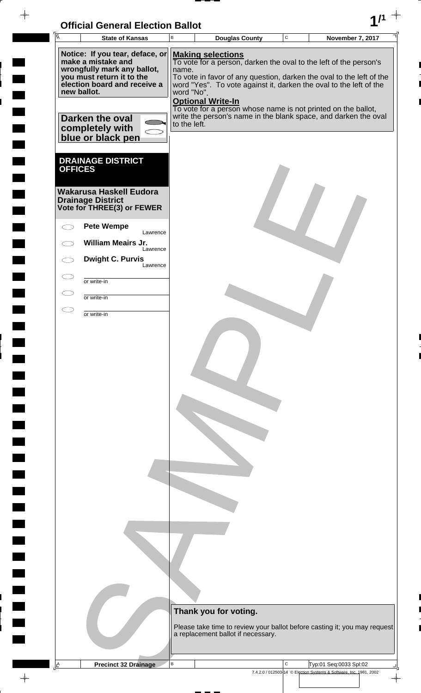| <b>Official General Election Ballot</b> |  |
|-----------------------------------------|--|
|                                         |  |

 $\overline{\phantom{a}}$ 

 $\blacksquare$ 

 $\Box$ 

 $\blacksquare$ 

 $\blacksquare$ 

 $\frac{1}{2}$ 

 $\frac{1}{\sqrt{2\pi}}$ 

 $\blacksquare$ 

| <b>I</b> A     | UNICIAI UENETAI LIECHUN DANUL<br><b>State of Kansas</b>                        | $\mathsf B$  |                          | <b>Douglas County</b>              | $\mathbf C$ | <b>November 7, 2017</b>                                                                                                                   |  |
|----------------|--------------------------------------------------------------------------------|--------------|--------------------------|------------------------------------|-------------|-------------------------------------------------------------------------------------------------------------------------------------------|--|
|                | Notice: If you tear, deface, or                                                |              | <b>Making selections</b> |                                    |             |                                                                                                                                           |  |
|                | make a mistake and<br>wrongfully mark any ballot,<br>you must return it to the | name.        |                          |                                    |             | To vote for a person, darken the oval to the left of the person's<br>To vote in favor of any question, darken the oval to the left of the |  |
|                | election board and receive a<br>new ballot.                                    | word "No".   |                          |                                    |             | word "Yes". To vote against it, darken the oval to the left of the                                                                        |  |
|                |                                                                                |              | <b>Optional Write-In</b> |                                    |             | To vote for a person whose name is not printed on the ballot,                                                                             |  |
|                | Darken the oval<br>completely with                                             | to the left. |                          |                                    |             | write the person's name in the blank space, and darken the oval                                                                           |  |
|                | blue or black pen                                                              |              |                          |                                    |             |                                                                                                                                           |  |
|                | <b>DRAINAGE DISTRICT</b>                                                       |              |                          |                                    |             |                                                                                                                                           |  |
| <b>OFFICES</b> |                                                                                |              |                          |                                    |             |                                                                                                                                           |  |
|                | <b>Wakarusa Haskell Eudora</b><br><b>Drainage District</b>                     |              |                          |                                    |             |                                                                                                                                           |  |
|                | Vote for THREE(3) or FEWER                                                     |              |                          |                                    |             |                                                                                                                                           |  |
|                | <b>Pete Wempe</b><br>Lawrence                                                  |              |                          |                                    |             |                                                                                                                                           |  |
|                | William Meairs Jr.<br>Lawrence                                                 |              |                          |                                    |             |                                                                                                                                           |  |
|                | <b>Dwight C. Purvis</b><br>Lawrence                                            |              |                          |                                    |             |                                                                                                                                           |  |
|                | or write-in                                                                    |              |                          |                                    |             |                                                                                                                                           |  |
|                | or write-in                                                                    |              |                          |                                    |             |                                                                                                                                           |  |
|                | or write-in                                                                    |              |                          |                                    |             |                                                                                                                                           |  |
|                |                                                                                |              |                          |                                    |             |                                                                                                                                           |  |
|                |                                                                                |              |                          |                                    |             |                                                                                                                                           |  |
|                |                                                                                |              |                          |                                    |             |                                                                                                                                           |  |
|                |                                                                                |              |                          |                                    |             |                                                                                                                                           |  |
|                |                                                                                |              |                          |                                    |             |                                                                                                                                           |  |
|                |                                                                                |              |                          |                                    |             |                                                                                                                                           |  |
|                |                                                                                |              |                          |                                    |             |                                                                                                                                           |  |
|                |                                                                                |              |                          |                                    |             |                                                                                                                                           |  |
|                |                                                                                |              |                          |                                    |             |                                                                                                                                           |  |
|                |                                                                                |              |                          |                                    |             |                                                                                                                                           |  |
|                |                                                                                |              |                          |                                    |             |                                                                                                                                           |  |
|                |                                                                                |              |                          |                                    |             |                                                                                                                                           |  |
|                |                                                                                |              |                          |                                    |             |                                                                                                                                           |  |
|                |                                                                                |              |                          |                                    |             |                                                                                                                                           |  |
|                |                                                                                |              |                          |                                    |             |                                                                                                                                           |  |
|                |                                                                                |              |                          |                                    |             |                                                                                                                                           |  |
|                |                                                                                |              |                          | Thank you for voting.              |             | Please take time to review your ballot before casting it; you may request                                                                 |  |
|                |                                                                                |              |                          | a replacement ballot if necessary. |             |                                                                                                                                           |  |
|                |                                                                                | $\sf B$      |                          |                                    | C           |                                                                                                                                           |  |
| A              | <b>Precinct 32 Drainage</b>                                                    |              |                          |                                    |             | Typ:01 Seq:0033 Spl:02<br>7.4.2.0 / 012503-14 © Election Systems & Software, Inc. 1981, 2002                                              |  |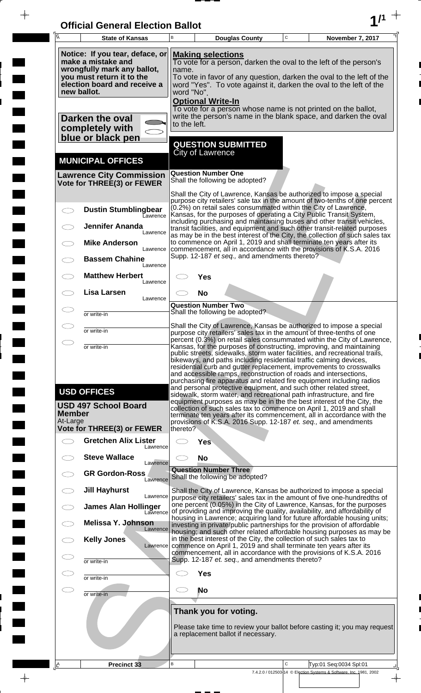| <b>Official General Election Ballot</b> |  |
|-----------------------------------------|--|
|                                         |  |

 $\overline{\phantom{a}}$ 

 $\Box$ 

 $\blacksquare$ 

 $\blacksquare$ 

 $\frac{1}{2}$ 

 $\frac{1}{\sqrt{2\pi}}$ 

| $\overline{\mathsf{A}}$ | <b>State of Kansas</b>                                                                                                                                           | В                                                                                                                                                                                                                                                                                              | <b>Douglas County</b>                                                                                                                                                                                                                                                                                                                                                                                                                | $\mathbf C$  | November 7, 2017                                                                                                                                                                                                                    |  |  |  |
|-------------------------|------------------------------------------------------------------------------------------------------------------------------------------------------------------|------------------------------------------------------------------------------------------------------------------------------------------------------------------------------------------------------------------------------------------------------------------------------------------------|--------------------------------------------------------------------------------------------------------------------------------------------------------------------------------------------------------------------------------------------------------------------------------------------------------------------------------------------------------------------------------------------------------------------------------------|--------------|-------------------------------------------------------------------------------------------------------------------------------------------------------------------------------------------------------------------------------------|--|--|--|
|                         | Notice: If you tear, deface, or<br>make a mistake and<br>wrongfully mark any ballot,<br>you must return it to the<br>election board and receive a<br>new ballot. | <b>Making selections</b><br>To vote for a person, darken the oval to the left of the person's<br>name.<br>To vote in favor of any question, darken the oval to the left of the<br>word "Yes". To vote against it, darken the oval to the left of the<br>word "No".<br><b>Optional Write-In</b> |                                                                                                                                                                                                                                                                                                                                                                                                                                      |              |                                                                                                                                                                                                                                     |  |  |  |
|                         | Darken the oval<br>completely with<br>blue or black pen                                                                                                          | to the left.                                                                                                                                                                                                                                                                                   | To vote for a person whose name is not printed on the ballot,                                                                                                                                                                                                                                                                                                                                                                        |              | write the person's name in the blank space, and darken the oval                                                                                                                                                                     |  |  |  |
|                         | <b>MUNICIPAL OFFICES</b>                                                                                                                                         |                                                                                                                                                                                                                                                                                                | <b>QUESTION SUBMITTED</b><br><b>City of Lawrence</b>                                                                                                                                                                                                                                                                                                                                                                                 |              |                                                                                                                                                                                                                                     |  |  |  |
|                         | <b>Lawrence City Commission</b><br>Vote for THREE(3) or FEWER                                                                                                    |                                                                                                                                                                                                                                                                                                | <b>Question Number One</b><br>Shall the following be adopted?                                                                                                                                                                                                                                                                                                                                                                        |              |                                                                                                                                                                                                                                     |  |  |  |
|                         | <b>Dustin Stumblingbear</b><br>Lawrence                                                                                                                          |                                                                                                                                                                                                                                                                                                | (0.2%) on retail sales consummated within the City of Lawrence,<br>Kansas, for the purposes of operating a City Public Transit System,                                                                                                                                                                                                                                                                                               |              | Shall the City of Lawrence, Kansas be authorized to impose a special<br>purpose city retailers' sale tax in the amount of two-tenths of one percent                                                                                 |  |  |  |
|                         | <b>Jennifer Ananda</b><br>Lawrence                                                                                                                               |                                                                                                                                                                                                                                                                                                |                                                                                                                                                                                                                                                                                                                                                                                                                                      |              | including purchasing and maintaining buses and other transit vehicles,<br>transit facilities, and equipment and such other transit-related purposes<br>as may be in the best interest of the City, the collection of such sales tax |  |  |  |
|                         | <b>Mike Anderson</b><br>Lawrence<br><b>Bassem Chahine</b>                                                                                                        |                                                                                                                                                                                                                                                                                                | to commence on April 1, 2019 and shall terminate ten years after its<br>commencement, all in accordance with the provisions of K.S.A. 2016<br>Supp. 12-187 et seq., and amendments thereto?                                                                                                                                                                                                                                          |              |                                                                                                                                                                                                                                     |  |  |  |
|                         | Lawrence<br><b>Matthew Herbert</b><br>Lawrence                                                                                                                   |                                                                                                                                                                                                                                                                                                | Yes                                                                                                                                                                                                                                                                                                                                                                                                                                  |              |                                                                                                                                                                                                                                     |  |  |  |
|                         | <b>Lisa Larsen</b><br>Lawrence                                                                                                                                   |                                                                                                                                                                                                                                                                                                | <b>No</b><br><b>Question Number Two</b>                                                                                                                                                                                                                                                                                                                                                                                              |              |                                                                                                                                                                                                                                     |  |  |  |
|                         | or write-in                                                                                                                                                      |                                                                                                                                                                                                                                                                                                | Shall the following be adopted?<br>Shall the City of Lawrence, Kansas be authorized to impose a special                                                                                                                                                                                                                                                                                                                              |              |                                                                                                                                                                                                                                     |  |  |  |
| $\bigcirc$              | or write-in<br>or write-in                                                                                                                                       |                                                                                                                                                                                                                                                                                                | purpose city retailers' sales tax in the amount of three-tenths of one<br>Kansas, for the purposes of constructing, improving, and maintaining                                                                                                                                                                                                                                                                                       |              | percent (0.3%) on retail sales consummated within the City of Lawrence,                                                                                                                                                             |  |  |  |
|                         | <b>USD OFFICES</b><br><b>USD 497 School Board</b>                                                                                                                |                                                                                                                                                                                                                                                                                                | bikeways, and paths including residential traffic calming devices,<br>residential curb and gutter replacement, improvements to crosswalks<br>and accessible ramps, reconstruction of roads and intersections,<br>purchasing fire apparatus and related fire equipment including radios<br>and personal protective equipment, and such other related street,<br>sidewalk, storm water, and recreational path infrastructure, and fire |              | public streets, sidewalks, storm water facilities, and recreational trails,<br>equipment purposes as may be in the the best interest of the City, the                                                                               |  |  |  |
| Member<br>At-Large      | Vote for THREE(3) or FEWER                                                                                                                                       | thereto?                                                                                                                                                                                                                                                                                       | collection of such sales tax to commence on April 1, 2019 and shall<br>provisions of K.S.A. 2016 Supp. 12-187 et. seq., and amendments                                                                                                                                                                                                                                                                                               |              | terminate ten years after its commencement, all in accordance with the                                                                                                                                                              |  |  |  |
|                         | <b>Gretchen Alix Lister</b><br>Lawrence                                                                                                                          |                                                                                                                                                                                                                                                                                                | <b>Yes</b>                                                                                                                                                                                                                                                                                                                                                                                                                           |              |                                                                                                                                                                                                                                     |  |  |  |
|                         | <b>Steve Wallace</b><br>Lawrence<br><b>GR Gordon-Ross</b>                                                                                                        |                                                                                                                                                                                                                                                                                                | <b>No</b><br><b>Question Number Three</b>                                                                                                                                                                                                                                                                                                                                                                                            |              |                                                                                                                                                                                                                                     |  |  |  |
|                         | Lawrence<br><b>Jill Hayhurst</b>                                                                                                                                 |                                                                                                                                                                                                                                                                                                | Shall the following be adopted?                                                                                                                                                                                                                                                                                                                                                                                                      |              | Shall the City of Lawrence, Kansas be authorized to impose a special                                                                                                                                                                |  |  |  |
|                         | Lawrence<br><b>James Alan Hollinger</b><br>Lawrence                                                                                                              |                                                                                                                                                                                                                                                                                                | of providing and improving the quality, availability, and affordability of                                                                                                                                                                                                                                                                                                                                                           |              | purpose city retailers' sales tax in the amount of five one-hundredths of<br>one percent (0.05%) in the City of Lawrence, Kansas, for the purposes                                                                                  |  |  |  |
|                         | Melissa Y. Johnson<br>Lawrence                                                                                                                                   |                                                                                                                                                                                                                                                                                                | investing in private/public partnerships for the provision of affordable                                                                                                                                                                                                                                                                                                                                                             |              | housing in Lawrence; acquiring land for future affordable housing units;<br>housing; and such other related affordable housing purposes as may be                                                                                   |  |  |  |
|                         | <b>Kelly Jones</b><br>Lawrence                                                                                                                                   | in the best interest of the City, the collection of such sales tax to<br>commence on April 1, 2019 and shall terminate ten years after its<br>commencement, all in accordance with the provisions of K.S.A. 2016<br>Supp. 12-187 et. seq., and amendments thereto?                             |                                                                                                                                                                                                                                                                                                                                                                                                                                      |              |                                                                                                                                                                                                                                     |  |  |  |
|                         | or write-in<br>or write-in                                                                                                                                       |                                                                                                                                                                                                                                                                                                | <b>Yes</b>                                                                                                                                                                                                                                                                                                                                                                                                                           |              |                                                                                                                                                                                                                                     |  |  |  |
| $\subset$               | or write-in                                                                                                                                                      |                                                                                                                                                                                                                                                                                                | No                                                                                                                                                                                                                                                                                                                                                                                                                                   |              |                                                                                                                                                                                                                                     |  |  |  |
|                         |                                                                                                                                                                  | Thank you for voting.<br>Please take time to review your ballot before casting it; you may request<br>a replacement ballot if necessary.                                                                                                                                                       |                                                                                                                                                                                                                                                                                                                                                                                                                                      |              |                                                                                                                                                                                                                                     |  |  |  |
| Ιê                      | <b>Precinct 33</b>                                                                                                                                               | B                                                                                                                                                                                                                                                                                              |                                                                                                                                                                                                                                                                                                                                                                                                                                      | $\mathsf{C}$ | Typ:01 Seq:0034 Spl:01<br>7.4.2.0 / 012503-14 © Election Systems & Software, Inc. 1981, 2002                                                                                                                                        |  |  |  |
|                         |                                                                                                                                                                  |                                                                                                                                                                                                                                                                                                |                                                                                                                                                                                                                                                                                                                                                                                                                                      |              | $\overline{\phantom{a}}$                                                                                                                                                                                                            |  |  |  |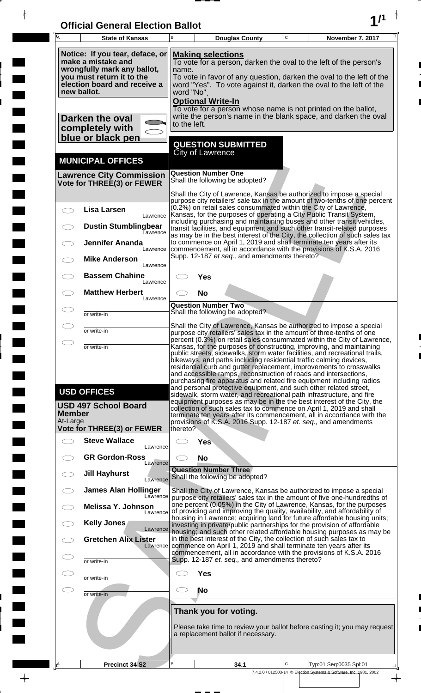| <b>Official General Election Ballot</b> |  |
|-----------------------------------------|--|
|                                         |  |

 $\overline{\phantom{a}}$ 

 $\Box$ 

 $\blacksquare$ 

 $\blacksquare$ 

 $\frac{1}{2}$ 

 $\frac{1}{\sqrt{2\pi}}$ 

| $\overline{\mathsf{A}}$   | <b>State of Kansas</b>                                                                                                                                           | B                                                                                                                                                                                                                                                                                              | <b>Douglas County</b>                                                                                                                                                                                                                                                                                                                                                                                                                                                                                                                                                                                                                                                                                                                        | $\mathbf C$ | <b>November 7, 2017</b>                                            |               |  |  |
|---------------------------|------------------------------------------------------------------------------------------------------------------------------------------------------------------|------------------------------------------------------------------------------------------------------------------------------------------------------------------------------------------------------------------------------------------------------------------------------------------------|----------------------------------------------------------------------------------------------------------------------------------------------------------------------------------------------------------------------------------------------------------------------------------------------------------------------------------------------------------------------------------------------------------------------------------------------------------------------------------------------------------------------------------------------------------------------------------------------------------------------------------------------------------------------------------------------------------------------------------------------|-------------|--------------------------------------------------------------------|---------------|--|--|
|                           | Notice: If you tear, deface, or<br>make a mistake and<br>wrongfully mark any ballot,<br>you must return it to the<br>election board and receive a<br>new ballot. | <b>Making selections</b><br>To vote for a person, darken the oval to the left of the person's<br>name.<br>To vote in favor of any question, darken the oval to the left of the<br>word "Yes". To vote against it, darken the oval to the left of the<br>word "No".<br><b>Optional Write-In</b> |                                                                                                                                                                                                                                                                                                                                                                                                                                                                                                                                                                                                                                                                                                                                              |             |                                                                    |               |  |  |
|                           | Darken the oval<br>completely with<br>blue or black pen                                                                                                          |                                                                                                                                                                                                                                                                                                | To vote for a person whose name is not printed on the ballot,<br>write the person's name in the blank space, and darken the oval<br>to the left.                                                                                                                                                                                                                                                                                                                                                                                                                                                                                                                                                                                             |             |                                                                    |               |  |  |
|                           |                                                                                                                                                                  |                                                                                                                                                                                                                                                                                                | <b>QUESTION SUBMITTED</b><br>City of Lawrence                                                                                                                                                                                                                                                                                                                                                                                                                                                                                                                                                                                                                                                                                                |             |                                                                    |               |  |  |
|                           | <b>MUNICIPAL OFFICES</b><br><b>Lawrence City Commission</b>                                                                                                      |                                                                                                                                                                                                                                                                                                | <b>Question Number One</b>                                                                                                                                                                                                                                                                                                                                                                                                                                                                                                                                                                                                                                                                                                                   |             |                                                                    |               |  |  |
|                           | Vote for THREE(3) or FEWER                                                                                                                                       |                                                                                                                                                                                                                                                                                                | Shall the following be adopted?                                                                                                                                                                                                                                                                                                                                                                                                                                                                                                                                                                                                                                                                                                              |             |                                                                    |               |  |  |
|                           | <b>Lisa Larsen</b><br>Lawrence                                                                                                                                   |                                                                                                                                                                                                                                                                                                | Shall the City of Lawrence, Kansas be authorized to impose a special<br>purpose city retailers' sale tax in the amount of two-tenths of one percent<br>(0.2%) on retail sales consummated within the City of Lawrence,<br>Kansas, for the purposes of operating a City Public Transit System,<br>including purchasing and maintaining buses and other transit vehicles,                                                                                                                                                                                                                                                                                                                                                                      |             |                                                                    |               |  |  |
|                           | <b>Dustin Stumblingbear</b><br><b>Lawrence</b>                                                                                                                   |                                                                                                                                                                                                                                                                                                | transit facilities, and equipment and such other transit-related purposes<br>as may be in the best interest of the City, the collection of such sales tax                                                                                                                                                                                                                                                                                                                                                                                                                                                                                                                                                                                    |             |                                                                    |               |  |  |
|                           | <b>Jennifer Ananda</b><br>Lawrence                                                                                                                               |                                                                                                                                                                                                                                                                                                | to commence on April 1, 2019 and shall terminate ten years after its<br>commencement, all in accordance with the provisions of K.S.A. 2016<br>Supp. 12-187 et seq., and amendments thereto?                                                                                                                                                                                                                                                                                                                                                                                                                                                                                                                                                  |             |                                                                    |               |  |  |
|                           | <b>Mike Anderson</b><br>Lawrence                                                                                                                                 |                                                                                                                                                                                                                                                                                                |                                                                                                                                                                                                                                                                                                                                                                                                                                                                                                                                                                                                                                                                                                                                              |             |                                                                    |               |  |  |
|                           | <b>Bassem Chahine</b><br>Lawrence<br><b>Matthew Herbert</b>                                                                                                      |                                                                                                                                                                                                                                                                                                | Yes                                                                                                                                                                                                                                                                                                                                                                                                                                                                                                                                                                                                                                                                                                                                          |             |                                                                    |               |  |  |
|                           | Lawrence                                                                                                                                                         |                                                                                                                                                                                                                                                                                                | <b>No</b><br><b>Question Number Two</b>                                                                                                                                                                                                                                                                                                                                                                                                                                                                                                                                                                                                                                                                                                      |             |                                                                    |               |  |  |
|                           | or write-in                                                                                                                                                      |                                                                                                                                                                                                                                                                                                | Shall the following be adopted?<br>Shall the City of Lawrence, Kansas be authorized to impose a special                                                                                                                                                                                                                                                                                                                                                                                                                                                                                                                                                                                                                                      |             |                                                                    |               |  |  |
|                           | or write-in                                                                                                                                                      |                                                                                                                                                                                                                                                                                                | purpose city retailers' sales tax in the amount of three-tenths of one<br>percent (0.3%) on retail sales consummated within the City of Lawrence,                                                                                                                                                                                                                                                                                                                                                                                                                                                                                                                                                                                            |             |                                                                    |               |  |  |
|                           | or write-in<br><b>USD OFFICES</b><br><b>USD 497 School Board</b>                                                                                                 |                                                                                                                                                                                                                                                                                                | Kansas, for the purposes of constructing, improving, and maintaining<br>public streets, sidewalks, storm water facilities, and recreational trails,<br>bikeways, and paths including residential traffic calming devices,<br>residential curb and gutter replacement, improvements to crosswalks<br>and accessible ramps, reconstruction of roads and intersections,<br>purchasing fire apparatus and related fire equipment including radios<br>and personal protective equipment, and such other related street,<br>sidewalk, storm water, and recreational path infrastructure, and fire<br>equipment purposes as may be in the the best interest of the City, the<br>collection of such sales tax to commence on April 1, 2019 and shall |             |                                                                    |               |  |  |
| <b>Member</b><br>At-Large |                                                                                                                                                                  |                                                                                                                                                                                                                                                                                                | terminate ten years after its commencement, all in accordance with the<br>provisions of K.S.A. 2016 Supp. 12-187 et. seq., and amendments                                                                                                                                                                                                                                                                                                                                                                                                                                                                                                                                                                                                    |             |                                                                    |               |  |  |
|                           | Vote for THREE(3) or FEWER<br><b>Steve Wallace</b>                                                                                                               | thereto?                                                                                                                                                                                                                                                                                       | <b>Yes</b>                                                                                                                                                                                                                                                                                                                                                                                                                                                                                                                                                                                                                                                                                                                                   |             |                                                                    |               |  |  |
|                           | Lawrence<br><b>GR Gordon-Ross</b>                                                                                                                                |                                                                                                                                                                                                                                                                                                | <b>No</b>                                                                                                                                                                                                                                                                                                                                                                                                                                                                                                                                                                                                                                                                                                                                    |             |                                                                    |               |  |  |
|                           | Lawrence<br><b>Jill Hayhurst</b>                                                                                                                                 |                                                                                                                                                                                                                                                                                                | <b>Question Number Three</b><br>Shall the following be adopted?                                                                                                                                                                                                                                                                                                                                                                                                                                                                                                                                                                                                                                                                              |             |                                                                    |               |  |  |
|                           | Lawrence<br><b>James Alan Hollinger</b>                                                                                                                          |                                                                                                                                                                                                                                                                                                | Shall the City of Lawrence, Kansas be authorized to impose a special                                                                                                                                                                                                                                                                                                                                                                                                                                                                                                                                                                                                                                                                         |             |                                                                    |               |  |  |
|                           | Lawrence<br>Melissa Y. Johnson<br>Lawrence                                                                                                                       |                                                                                                                                                                                                                                                                                                | purpose city retailers' sales tax in the amount of five one-hundredths of<br>one percent (0.05%) in the City of Lawrence, Kansas, for the purposes<br>of providing and improving the quality, availability, and affordability of                                                                                                                                                                                                                                                                                                                                                                                                                                                                                                             |             |                                                                    |               |  |  |
|                           | Kelly Jones<br>Lawrence                                                                                                                                          |                                                                                                                                                                                                                                                                                                | housing in Lawrence; acquiring land for future affordable housing units;<br>investing in private/public partnerships for the provision of affordable                                                                                                                                                                                                                                                                                                                                                                                                                                                                                                                                                                                         |             |                                                                    |               |  |  |
|                           | <b>Gretchen Alix Lister</b><br>Lawrence                                                                                                                          |                                                                                                                                                                                                                                                                                                | housing; and such other related affordable housing purposes as may be<br>in the best interest of the City, the collection of such sales tax to                                                                                                                                                                                                                                                                                                                                                                                                                                                                                                                                                                                               |             |                                                                    |               |  |  |
|                           | or write-in                                                                                                                                                      | commence on April 1, 2019 and shall terminate ten years after its<br>commencement, all in accordance with the provisions of K.S.A. 2016<br>Supp. 12-187 et. seq., and amendments thereto?                                                                                                      |                                                                                                                                                                                                                                                                                                                                                                                                                                                                                                                                                                                                                                                                                                                                              |             |                                                                    |               |  |  |
|                           | or write-in                                                                                                                                                      | <b>Yes</b>                                                                                                                                                                                                                                                                                     |                                                                                                                                                                                                                                                                                                                                                                                                                                                                                                                                                                                                                                                                                                                                              |             |                                                                    |               |  |  |
| C I                       | or write-in                                                                                                                                                      | <b>No</b>                                                                                                                                                                                                                                                                                      |                                                                                                                                                                                                                                                                                                                                                                                                                                                                                                                                                                                                                                                                                                                                              |             |                                                                    |               |  |  |
|                           |                                                                                                                                                                  |                                                                                                                                                                                                                                                                                                | Thank you for voting.                                                                                                                                                                                                                                                                                                                                                                                                                                                                                                                                                                                                                                                                                                                        |             |                                                                    |               |  |  |
|                           |                                                                                                                                                                  |                                                                                                                                                                                                                                                                                                | Please take time to review your ballot before casting it; you may request<br>a replacement ballot if necessary.                                                                                                                                                                                                                                                                                                                                                                                                                                                                                                                                                                                                                              |             |                                                                    |               |  |  |
| <u> A</u>                 | Precinct 34 S2                                                                                                                                                   | В                                                                                                                                                                                                                                                                                              | 34.1                                                                                                                                                                                                                                                                                                                                                                                                                                                                                                                                                                                                                                                                                                                                         | C           | Typ:01 Seq:0035 Spl:01                                             |               |  |  |
|                           |                                                                                                                                                                  |                                                                                                                                                                                                                                                                                                |                                                                                                                                                                                                                                                                                                                                                                                                                                                                                                                                                                                                                                                                                                                                              |             | 7.4.2.0 / 012503-14 © Election Systems & Software, Inc. 1981, 2002 | $\rightarrow$ |  |  |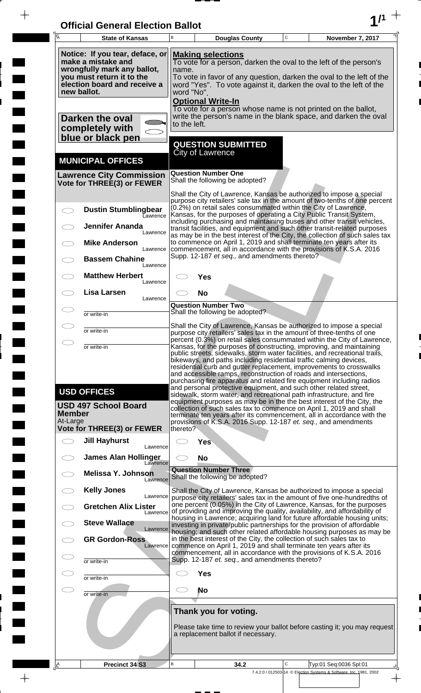| <b>Official General Election Ballot</b> |  |
|-----------------------------------------|--|
|                                         |  |

 $\frac{1}{\frac{1}{\sqrt{2}}}$ 

 $\overline{\phantom{a}}$ 

 $\blacksquare$ 

E

 $\blacksquare$ 

 $\frac{1}{\sqrt{2\pi}}$ 

| 区                         | <b>State of Kansas</b>                                                                                                                                                                                                                                                                                                                                                                                                                                                                                                                                                                                                                                                                                                                                                                | В                                                                                                                                                                                                                                                                                              | <b>Douglas County</b>                                                                                                                                                                                          | $\mathsf C$ | November 7, 2017                                                                                                                                                                                                                    |  |  |  |
|---------------------------|---------------------------------------------------------------------------------------------------------------------------------------------------------------------------------------------------------------------------------------------------------------------------------------------------------------------------------------------------------------------------------------------------------------------------------------------------------------------------------------------------------------------------------------------------------------------------------------------------------------------------------------------------------------------------------------------------------------------------------------------------------------------------------------|------------------------------------------------------------------------------------------------------------------------------------------------------------------------------------------------------------------------------------------------------------------------------------------------|----------------------------------------------------------------------------------------------------------------------------------------------------------------------------------------------------------------|-------------|-------------------------------------------------------------------------------------------------------------------------------------------------------------------------------------------------------------------------------------|--|--|--|
|                           | Notice: If you tear, deface, or<br>make a mistake and<br>wrongfully mark any ballot,<br>you must return it to the<br>election board and receive a<br>new ballot.                                                                                                                                                                                                                                                                                                                                                                                                                                                                                                                                                                                                                      | <b>Making selections</b><br>To vote for a person, darken the oval to the left of the person's<br>name.<br>To vote in favor of any question, darken the oval to the left of the<br>word "Yes". To vote against it, darken the oval to the left of the<br>word "No".<br><b>Optional Write-In</b> |                                                                                                                                                                                                                |             |                                                                                                                                                                                                                                     |  |  |  |
|                           | Darken the oval<br>completely with<br>blue or black pen                                                                                                                                                                                                                                                                                                                                                                                                                                                                                                                                                                                                                                                                                                                               | to the left.                                                                                                                                                                                                                                                                                   | To vote for a person whose name is not printed on the ballot,                                                                                                                                                  |             | write the person's name in the blank space, and darken the oval                                                                                                                                                                     |  |  |  |
|                           | <b>MUNICIPAL OFFICES</b>                                                                                                                                                                                                                                                                                                                                                                                                                                                                                                                                                                                                                                                                                                                                                              |                                                                                                                                                                                                                                                                                                | <b>QUESTION SUBMITTED</b><br>City of Lawrence                                                                                                                                                                  |             |                                                                                                                                                                                                                                     |  |  |  |
|                           | <b>Lawrence City Commission</b><br>Vote for THREE(3) or FEWER                                                                                                                                                                                                                                                                                                                                                                                                                                                                                                                                                                                                                                                                                                                         |                                                                                                                                                                                                                                                                                                | <b>Question Number One</b><br>Shall the following be adopted?                                                                                                                                                  |             |                                                                                                                                                                                                                                     |  |  |  |
|                           | <b>Dustin Stumblingbear</b><br>Lawrence                                                                                                                                                                                                                                                                                                                                                                                                                                                                                                                                                                                                                                                                                                                                               |                                                                                                                                                                                                                                                                                                | Shall the City of Lawrence, Kansas be authorized to impose a special<br>(0.2%) on retail sales consummated within the City of Lawrence,<br>Kansas, for the purposes of operating a City Public Transit System, |             | purpose city retailers' sale tax in the amount of two-tenths of one percent                                                                                                                                                         |  |  |  |
|                           | <b>Jennifer Ananda</b><br>Lawrence<br><b>Mike Anderson</b>                                                                                                                                                                                                                                                                                                                                                                                                                                                                                                                                                                                                                                                                                                                            |                                                                                                                                                                                                                                                                                                | to commence on April 1, 2019 and shall terminate ten years after its                                                                                                                                           |             | including purchasing and maintaining buses and other transit vehicles,<br>transit facilities, and equipment and such other transit-related purposes<br>as may be in the best interest of the City, the collection of such sales tax |  |  |  |
|                           | Lawrence<br><b>Bassem Chahine</b><br>Lawrence                                                                                                                                                                                                                                                                                                                                                                                                                                                                                                                                                                                                                                                                                                                                         |                                                                                                                                                                                                                                                                                                | commencement, all in accordance with the provisions of K.S.A. 2016<br>Supp. 12-187 et seq., and amendments thereto?                                                                                            |             |                                                                                                                                                                                                                                     |  |  |  |
|                           | <b>Matthew Herbert</b><br>Lawrence<br>Lisa Larsen                                                                                                                                                                                                                                                                                                                                                                                                                                                                                                                                                                                                                                                                                                                                     |                                                                                                                                                                                                                                                                                                | Yes                                                                                                                                                                                                            |             |                                                                                                                                                                                                                                     |  |  |  |
|                           | Lawrence<br>or write-in                                                                                                                                                                                                                                                                                                                                                                                                                                                                                                                                                                                                                                                                                                                                                               |                                                                                                                                                                                                                                                                                                | <b>No</b><br><b>Question Number Two</b><br>Shall the following be adopted?                                                                                                                                     |             |                                                                                                                                                                                                                                     |  |  |  |
|                           | or write-in                                                                                                                                                                                                                                                                                                                                                                                                                                                                                                                                                                                                                                                                                                                                                                           |                                                                                                                                                                                                                                                                                                | Shall the City of Lawrence, Kansas be authorized to impose a special<br>purpose city retailers' sales tax in the amount of three-tenths of one                                                                 |             |                                                                                                                                                                                                                                     |  |  |  |
|                           | percent (0.3%) on retail sales consummated within the City of Lawrence,<br>Kansas, for the purposes of constructing, improving, and maintaining<br>or write-in<br>public streets, sidewalks, storm water facilities, and recreational trails,<br>bikeways, and paths including residential traffic calming devices,<br>residential curb and gutter replacement, improvements to crosswalks<br>and accessible ramps, reconstruction of roads and intersections,<br>purchasing fire apparatus and related fire equipment including radios<br>and personal protective equipment, and such other related street,<br><b>USD OFFICES</b><br>sidewalk, storm water, and recreational path infrastructure, and fire<br>equipment purposes as may be in the the best interest of the City, the |                                                                                                                                                                                                                                                                                                |                                                                                                                                                                                                                |             |                                                                                                                                                                                                                                     |  |  |  |
| <b>Member</b><br>At-Large | <b>USD 497 School Board</b><br><b>Vote for THREE(3) or FEWER</b>                                                                                                                                                                                                                                                                                                                                                                                                                                                                                                                                                                                                                                                                                                                      | thereto?                                                                                                                                                                                                                                                                                       | collection of such sales tax to commence on April 1, 2019 and shall<br>provisions of K.S.A. 2016 Supp. 12-187 et. seq., and amendments                                                                         |             | terminate ten years after its commencement, all in accordance with the                                                                                                                                                              |  |  |  |
|                           | <b>Jill Hayhurst</b><br>Lawrence                                                                                                                                                                                                                                                                                                                                                                                                                                                                                                                                                                                                                                                                                                                                                      |                                                                                                                                                                                                                                                                                                | <b>Yes</b>                                                                                                                                                                                                     |             |                                                                                                                                                                                                                                     |  |  |  |
|                           | <b>James Alan Hollinger</b><br>Lawrence<br><b>Melissa Y. Johnson</b>                                                                                                                                                                                                                                                                                                                                                                                                                                                                                                                                                                                                                                                                                                                  |                                                                                                                                                                                                                                                                                                | <b>No</b><br><b>Question Number Three</b>                                                                                                                                                                      |             |                                                                                                                                                                                                                                     |  |  |  |
|                           | Lawrence<br><b>Kelly Jones</b>                                                                                                                                                                                                                                                                                                                                                                                                                                                                                                                                                                                                                                                                                                                                                        |                                                                                                                                                                                                                                                                                                | Shall the following be adopted?<br>Shall the City of Lawrence, Kansas be authorized to impose a special                                                                                                        |             |                                                                                                                                                                                                                                     |  |  |  |
|                           | Lawrence<br><b>Gretchen Alix Lister</b><br>Lawrence                                                                                                                                                                                                                                                                                                                                                                                                                                                                                                                                                                                                                                                                                                                                   |                                                                                                                                                                                                                                                                                                | of providing and improving the quality, availability, and affordability of                                                                                                                                     |             | purpose city retailers' sales tax in the amount of five one-hundredths of<br>one percent (0.05%) in the City of Lawrence, Kansas, for the purposes<br>housing in Lawrence; acquiring land for future affordable housing units;      |  |  |  |
|                           | <b>Steve Wallace</b><br>Lawrence<br><b>GR Gordon-Ross</b>                                                                                                                                                                                                                                                                                                                                                                                                                                                                                                                                                                                                                                                                                                                             |                                                                                                                                                                                                                                                                                                | investing in private/public partnerships for the provision of affordable<br>in the best interest of the City, the collection of such sales tax to                                                              |             | housing; and such other related affordable housing purposes as may be                                                                                                                                                               |  |  |  |
|                           | Lawrence<br>or write-in                                                                                                                                                                                                                                                                                                                                                                                                                                                                                                                                                                                                                                                                                                                                                               |                                                                                                                                                                                                                                                                                                | commence on April 1, 2019 and shall terminate ten years after its<br>commencement, all in accordance with the provisions of K.S.A. 2016<br>Supp. 12-187 et. seq., and amendments thereto?                      |             |                                                                                                                                                                                                                                     |  |  |  |
|                           | or write-in                                                                                                                                                                                                                                                                                                                                                                                                                                                                                                                                                                                                                                                                                                                                                                           |                                                                                                                                                                                                                                                                                                | <b>Yes</b>                                                                                                                                                                                                     |             |                                                                                                                                                                                                                                     |  |  |  |
|                           | or write-in                                                                                                                                                                                                                                                                                                                                                                                                                                                                                                                                                                                                                                                                                                                                                                           |                                                                                                                                                                                                                                                                                                | No                                                                                                                                                                                                             |             |                                                                                                                                                                                                                                     |  |  |  |
|                           |                                                                                                                                                                                                                                                                                                                                                                                                                                                                                                                                                                                                                                                                                                                                                                                       |                                                                                                                                                                                                                                                                                                | Thank you for voting.<br>a replacement ballot if necessary.                                                                                                                                                    |             | Please take time to review your ballot before casting it; you may request                                                                                                                                                           |  |  |  |
| <u>_A</u>                 | Precinct 34 S3                                                                                                                                                                                                                                                                                                                                                                                                                                                                                                                                                                                                                                                                                                                                                                        | B                                                                                                                                                                                                                                                                                              | 34.2                                                                                                                                                                                                           | C           | Typ:01 Seq:0036 Spl:01                                                                                                                                                                                                              |  |  |  |
|                           |                                                                                                                                                                                                                                                                                                                                                                                                                                                                                                                                                                                                                                                                                                                                                                                       |                                                                                                                                                                                                                                                                                                |                                                                                                                                                                                                                |             | 7.4.2.0 / 012503-14 © Election Systems & Software, Inc. 1981, 2002<br>$\rightarrow$                                                                                                                                                 |  |  |  |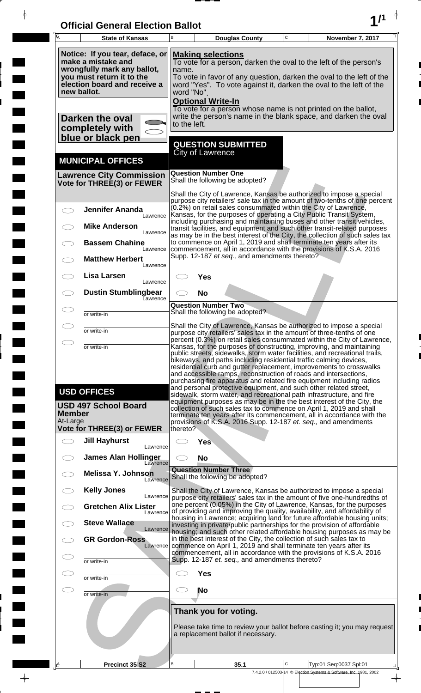| <b>Official General Election Ballot</b> |  |
|-----------------------------------------|--|
|                                         |  |

 $\bar{\phantom{a}}$ 

 $\overline{\phantom{a}}$ 

 $\Box$ 

 $\blacksquare$ 

 $\blacksquare$ 

 $\blacksquare$ 

 $\frac{1}{2}$ 

 $\frac{1}{\sqrt{2\pi}}$ 

| Ā                         | <b>State of Kansas</b>                                                                                                                            | B                                                                                                                                                                                                                                                                                              |                              | <b>Douglas County</b>                                       | $\mathsf C$ | November 7, 2017                                                                                                                                                                                                                                                                                                                                                                                                                                                                                                                                                                            |
|---------------------------|---------------------------------------------------------------------------------------------------------------------------------------------------|------------------------------------------------------------------------------------------------------------------------------------------------------------------------------------------------------------------------------------------------------------------------------------------------|------------------------------|-------------------------------------------------------------|-------------|---------------------------------------------------------------------------------------------------------------------------------------------------------------------------------------------------------------------------------------------------------------------------------------------------------------------------------------------------------------------------------------------------------------------------------------------------------------------------------------------------------------------------------------------------------------------------------------------|
| new ballot.               | Notice: If you tear, deface, or<br>make a mistake and<br>wrongfully mark any ballot,<br>you must return it to the<br>election board and receive a | <b>Making selections</b><br>To vote for a person, darken the oval to the left of the person's<br>name.<br>To vote in favor of any question, darken the oval to the left of the<br>word "Yes". To vote against it, darken the oval to the left of the<br>word "No".<br><b>Optional Write-In</b> |                              |                                                             |             |                                                                                                                                                                                                                                                                                                                                                                                                                                                                                                                                                                                             |
|                           | Darken the oval<br>completely with<br>blue or black pen                                                                                           | to the left.                                                                                                                                                                                                                                                                                   |                              |                                                             |             | To vote for a person whose name is not printed on the ballot,<br>write the person's name in the blank space, and darken the oval                                                                                                                                                                                                                                                                                                                                                                                                                                                            |
|                           | <b>MUNICIPAL OFFICES</b>                                                                                                                          |                                                                                                                                                                                                                                                                                                | <b>City of Lawrence</b>      | <b>QUESTION SUBMITTED</b>                                   |             |                                                                                                                                                                                                                                                                                                                                                                                                                                                                                                                                                                                             |
|                           | <b>Lawrence City Commission</b><br>Vote for THREE(3) or FEWER                                                                                     |                                                                                                                                                                                                                                                                                                | <b>Question Number One</b>   | Shall the following be adopted?                             |             |                                                                                                                                                                                                                                                                                                                                                                                                                                                                                                                                                                                             |
|                           | <b>Jennifer Ananda</b><br>Lawrence<br><b>Mike Anderson</b>                                                                                        |                                                                                                                                                                                                                                                                                                |                              |                                                             |             | Shall the City of Lawrence, Kansas be authorized to impose a special<br>purpose city retailers' sale tax in the amount of two-tenths of one percent<br>(0.2%) on retail sales consummated within the City of Lawrence,<br>Kansas, for the purposes of operating a City Public Transit System,<br>including purchasing and maintaining buses and other transit vehicles,                                                                                                                                                                                                                     |
|                           | Lawrence<br><b>Bassem Chahine</b><br>Lawrence                                                                                                     |                                                                                                                                                                                                                                                                                                |                              |                                                             |             | transit facilities, and equipment and such other transit-related purposes<br>as may be in the best interest of the City, the collection of such sales tax<br>to commence on April 1, 2019 and shall terminate ten years after its<br>commencement, all in accordance with the provisions of K.S.A. 2016                                                                                                                                                                                                                                                                                     |
|                           | <b>Matthew Herbert</b><br>Lawrence<br>Lisa Larsen                                                                                                 |                                                                                                                                                                                                                                                                                                | Yes                          | Supp. 12-187 et seq., and amendments thereto?               |             |                                                                                                                                                                                                                                                                                                                                                                                                                                                                                                                                                                                             |
|                           | Lawrence<br><b>Dustin Stumblingbear</b><br>Eawrence                                                                                               |                                                                                                                                                                                                                                                                                                | <b>No</b>                    |                                                             |             |                                                                                                                                                                                                                                                                                                                                                                                                                                                                                                                                                                                             |
|                           | or write-in                                                                                                                                       |                                                                                                                                                                                                                                                                                                | <b>Question Number Two</b>   | Shall the following be adopted?                             |             |                                                                                                                                                                                                                                                                                                                                                                                                                                                                                                                                                                                             |
|                           | or write-in                                                                                                                                       |                                                                                                                                                                                                                                                                                                |                              |                                                             |             | Shall the City of Lawrence, Kansas be authorized to impose a special<br>purpose city retailers' sales tax in the amount of three-tenths of one<br>percent (0.3%) on retail sales consummated within the City of Lawrence,                                                                                                                                                                                                                                                                                                                                                                   |
|                           | or write-in<br><b>USD OFFICES</b>                                                                                                                 |                                                                                                                                                                                                                                                                                                |                              |                                                             |             | Kansas, for the purposes of constructing, improving, and maintaining<br>public streets, sidewalks, storm water facilities, and recreational trails,<br>bikeways, and paths including residential traffic calming devices,<br>residential curb and gutter replacement, improvements to crosswalks<br>and accessible ramps, reconstruction of roads and intersections,<br>purchasing fire apparatus and related fire equipment including radios<br>and personal protective equipment, and such other related street,<br>sidewalk, storm water, and recreational path infrastructure, and fire |
| <b>Member</b><br>At-Large | <b>USD 497 School Board</b>                                                                                                                       |                                                                                                                                                                                                                                                                                                |                              |                                                             |             | equipment purposes as may be in the the best interest of the City, the<br>collection of such sales tax to commence on April 1, 2019 and shall<br>terminate ten years after its commencement, all in accordance with the<br>provisions of K.S.A. 2016 Supp. 12-187 et. seq., and amendments                                                                                                                                                                                                                                                                                                  |
|                           | <b>Vote for THREE(3) or FEWER</b><br><b>Jill Hayhurst</b>                                                                                         | thereto?                                                                                                                                                                                                                                                                                       | <b>Yes</b>                   |                                                             |             |                                                                                                                                                                                                                                                                                                                                                                                                                                                                                                                                                                                             |
|                           | Lawrence<br><b>James Alan Hollinger</b><br>Lawrence                                                                                               |                                                                                                                                                                                                                                                                                                | <b>No</b>                    |                                                             |             |                                                                                                                                                                                                                                                                                                                                                                                                                                                                                                                                                                                             |
|                           | <b>Melissa Y. Johnson</b><br>Lawrence                                                                                                             |                                                                                                                                                                                                                                                                                                | <b>Question Number Three</b> | Shall the following be adopted?                             |             |                                                                                                                                                                                                                                                                                                                                                                                                                                                                                                                                                                                             |
|                           | <b>Kelly Jones</b><br>Lawrence                                                                                                                    |                                                                                                                                                                                                                                                                                                |                              |                                                             |             | Shall the City of Lawrence, Kansas be authorized to impose a special<br>purpose city retailers' sales tax in the amount of five one-hundredths of                                                                                                                                                                                                                                                                                                                                                                                                                                           |
|                           | <b>Gretchen Alix Lister</b><br>Lawrence<br><b>Steve Wallace</b>                                                                                   |                                                                                                                                                                                                                                                                                                |                              |                                                             |             | one percent (0.05%) in the City of Lawrence, Kansas, for the purposes<br>of providing and improving the quality, availability, and affordability of<br>housing in Lawrence; acquiring land for future affordable housing units;                                                                                                                                                                                                                                                                                                                                                             |
|                           | Lawrence<br><b>GR Gordon-Ross</b><br>Lawrence                                                                                                     |                                                                                                                                                                                                                                                                                                |                              |                                                             |             | investing in private/public partnerships for the provision of affordable<br>housing; and such other related affordable housing purposes as may be<br>in the best interest of the City, the collection of such sales tax to<br>commence on April 1, 2019 and shall terminate ten years after its                                                                                                                                                                                                                                                                                             |
|                           | or write-in                                                                                                                                       |                                                                                                                                                                                                                                                                                                |                              | Supp. 12-187 et. seq., and amendments thereto?              |             | commencement, all in accordance with the provisions of K.S.A. 2016                                                                                                                                                                                                                                                                                                                                                                                                                                                                                                                          |
|                           | or write-in                                                                                                                                       |                                                                                                                                                                                                                                                                                                | <b>Yes</b>                   |                                                             |             |                                                                                                                                                                                                                                                                                                                                                                                                                                                                                                                                                                                             |
|                           | or write-in                                                                                                                                       |                                                                                                                                                                                                                                                                                                | No                           |                                                             |             |                                                                                                                                                                                                                                                                                                                                                                                                                                                                                                                                                                                             |
|                           |                                                                                                                                                   |                                                                                                                                                                                                                                                                                                |                              | Thank you for voting.<br>a replacement ballot if necessary. |             | Please take time to review your ballot before casting it; you may request                                                                                                                                                                                                                                                                                                                                                                                                                                                                                                                   |
| <u> 4</u>                 | Precinct 35 S2                                                                                                                                    | B                                                                                                                                                                                                                                                                                              |                              | 35.1                                                        | C           | Typ:01 Seq:0037 Spl:01<br>7.4.2.0 / 012503-14 © Election Systems & Software, Inc. 1981, 2002                                                                                                                                                                                                                                                                                                                                                                                                                                                                                                |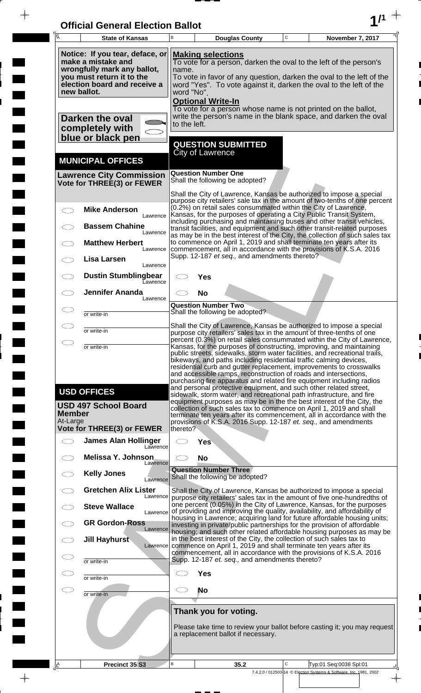| <b>Official General Election Ballot</b> |  |
|-----------------------------------------|--|
|                                         |  |

 $\overline{\phantom{a}}$ 

 $\blacksquare$ 

 $\overline{\phantom{a}}$ 

 $\blacksquare$ 

 $\frac{1}{2}$ 

 $\frac{1}{\sqrt{2\pi}}$ 

| $\overline{A}$            | <b>State of Kansas</b>                                                                                                                                           | B                                                                                                                                                                                                                                                                  |                                                                                                                                                                              | <b>Douglas County</b>                                                 | $\mathbf C$ | November 7, 2017                                                                                                                                                                                                                                                                                                                                                                                                                                                                                                        |  |
|---------------------------|------------------------------------------------------------------------------------------------------------------------------------------------------------------|--------------------------------------------------------------------------------------------------------------------------------------------------------------------------------------------------------------------------------------------------------------------|------------------------------------------------------------------------------------------------------------------------------------------------------------------------------|-----------------------------------------------------------------------|-------------|-------------------------------------------------------------------------------------------------------------------------------------------------------------------------------------------------------------------------------------------------------------------------------------------------------------------------------------------------------------------------------------------------------------------------------------------------------------------------------------------------------------------------|--|
|                           | Notice: If you tear, deface, or<br>make a mistake and<br>wrongfully mark any ballot,<br>you must return it to the<br>election board and receive a<br>new ballot. | <b>Making selections</b><br>To vote for a person, darken the oval to the left of the person's<br>name.<br>To vote in favor of any question, darken the oval to the left of the<br>word "Yes". To vote against it, darken the oval to the left of the<br>word "No". |                                                                                                                                                                              |                                                                       |             |                                                                                                                                                                                                                                                                                                                                                                                                                                                                                                                         |  |
|                           | Darken the oval<br>completely with<br>blue or black pen                                                                                                          |                                                                                                                                                                                                                                                                    | <b>Optional Write-In</b><br>To vote for a person whose name is not printed on the ballot,<br>write the person's name in the blank space, and darken the oval<br>to the left. |                                                                       |             |                                                                                                                                                                                                                                                                                                                                                                                                                                                                                                                         |  |
|                           | <b>MUNICIPAL OFFICES</b>                                                                                                                                         |                                                                                                                                                                                                                                                                    | City of Lawrence                                                                                                                                                             | <b>QUESTION SUBMITTED</b>                                             |             |                                                                                                                                                                                                                                                                                                                                                                                                                                                                                                                         |  |
|                           | <b>Lawrence City Commission</b><br>Vote for THREE(3) or FEWER                                                                                                    |                                                                                                                                                                                                                                                                    | <b>Question Number One</b>                                                                                                                                                   | Shall the following be adopted?                                       |             |                                                                                                                                                                                                                                                                                                                                                                                                                                                                                                                         |  |
|                           | <b>Mike Anderson</b><br>Lawrence                                                                                                                                 |                                                                                                                                                                                                                                                                    |                                                                                                                                                                              | (0.2%) on retail sales consummated within the City of Lawrence,       |             | Shall the City of Lawrence, Kansas be authorized to impose a special<br>purpose city retailers' sale tax in the amount of two-tenths of one percent<br>Kansas, for the purposes of operating a City Public Transit System,                                                                                                                                                                                                                                                                                              |  |
|                           | <b>Bassem Chahine</b><br>Lawrence                                                                                                                                |                                                                                                                                                                                                                                                                    |                                                                                                                                                                              |                                                                       |             | including purchasing and maintaining buses and other transit vehicles,<br>transit facilities, and equipment and such other transit-related purposes<br>as may be in the best interest of the City, the collection of such sales tax                                                                                                                                                                                                                                                                                     |  |
|                           | <b>Matthew Herbert</b><br>Lawrence<br>Lisa Larsen                                                                                                                |                                                                                                                                                                                                                                                                    |                                                                                                                                                                              | Supp. 12-187 et seq., and amendments thereto?                         |             | to commence on April 1, 2019 and shall terminate ten years after its<br>commencement, all in accordance with the provisions of K.S.A. 2016                                                                                                                                                                                                                                                                                                                                                                              |  |
|                           | Lawrence<br><b>Dustin Stumblingbear</b><br>Eawrence                                                                                                              |                                                                                                                                                                                                                                                                    | Yes                                                                                                                                                                          |                                                                       |             |                                                                                                                                                                                                                                                                                                                                                                                                                                                                                                                         |  |
|                           | <b>Jennifer Ananda</b><br>Lawrence                                                                                                                               |                                                                                                                                                                                                                                                                    | <b>No</b><br><b>Question Number Two</b>                                                                                                                                      |                                                                       |             |                                                                                                                                                                                                                                                                                                                                                                                                                                                                                                                         |  |
|                           | or write-in                                                                                                                                                      |                                                                                                                                                                                                                                                                    |                                                                                                                                                                              | Shall the following be adopted?                                       |             |                                                                                                                                                                                                                                                                                                                                                                                                                                                                                                                         |  |
|                           | or write-in                                                                                                                                                      |                                                                                                                                                                                                                                                                    |                                                                                                                                                                              |                                                                       |             | Shall the City of Lawrence, Kansas be authorized to impose a special<br>purpose city retailers' sales tax in the amount of three-tenths of one                                                                                                                                                                                                                                                                                                                                                                          |  |
| $\bigcirc$                | or write-in                                                                                                                                                      |                                                                                                                                                                                                                                                                    |                                                                                                                                                                              |                                                                       |             | percent (0.3%) on retail sales consummated within the City of Lawrence,<br>Kansas, for the purposes of constructing, improving, and maintaining                                                                                                                                                                                                                                                                                                                                                                         |  |
|                           | <b>USD OFFICES</b><br><b>USD 497 School Board</b>                                                                                                                |                                                                                                                                                                                                                                                                    |                                                                                                                                                                              | bikeways, and paths including residential traffic calming devices,    |             | public streets, sidewalks, storm water facilities, and recreational trails,<br>residential curb and gutter replacement, improvements to crosswalks<br>and accessible ramps, reconstruction of roads and intersections,<br>purchasing fire apparatus and related fire equipment including radios<br>and personal protective equipment, and such other related street,<br>sidewalk, storm water, and recreational path infrastructure, and fire<br>equipment purposes as may be in the the best interest of the City, the |  |
| <b>Member</b><br>At-Large |                                                                                                                                                                  |                                                                                                                                                                                                                                                                    |                                                                                                                                                                              |                                                                       |             | collection of such sales tax to commence on April 1, 2019 and shall<br>terminate ten years after its commencement, all in accordance with the<br>provisions of K.S.A. 2016 Supp. 12-187 et. seq., and amendments                                                                                                                                                                                                                                                                                                        |  |
|                           | Vote for THREE(3) or FEWER                                                                                                                                       | thereto?                                                                                                                                                                                                                                                           |                                                                                                                                                                              |                                                                       |             |                                                                                                                                                                                                                                                                                                                                                                                                                                                                                                                         |  |
| $\bigcirc$                | <b>James Alan Hollinger</b><br>Lawrence<br>Melissa Y. Johnson                                                                                                    |                                                                                                                                                                                                                                                                    | Yes<br><b>No</b>                                                                                                                                                             |                                                                       |             |                                                                                                                                                                                                                                                                                                                                                                                                                                                                                                                         |  |
|                           | Lawrence<br><b>Kelly Jones</b><br>Lawrence                                                                                                                       |                                                                                                                                                                                                                                                                    |                                                                                                                                                                              | <b>Question Number Three</b><br>Shall the following be adopted?       |             |                                                                                                                                                                                                                                                                                                                                                                                                                                                                                                                         |  |
|                           | <b>Gretchen Alix Lister</b><br>Lawrence                                                                                                                          |                                                                                                                                                                                                                                                                    |                                                                                                                                                                              |                                                                       |             | Shall the City of Lawrence, Kansas be authorized to impose a special<br>purpose city retailers' sales tax in the amount of five one-hundredths of                                                                                                                                                                                                                                                                                                                                                                       |  |
|                           | <b>Steve Wallace</b><br>Lawrence                                                                                                                                 |                                                                                                                                                                                                                                                                    |                                                                                                                                                                              |                                                                       |             | one percent (0.05%) in the City of Lawrence, Kansas, for the purposes<br>of providing and improving the quality, availability, and affordability of<br>housing in Lawrence; acquiring land for future affordable housing units;                                                                                                                                                                                                                                                                                         |  |
|                           | <b>GR Gordon-Ross</b><br>Lawrence                                                                                                                                |                                                                                                                                                                                                                                                                    |                                                                                                                                                                              |                                                                       |             | investing in private/public partnerships for the provision of affordable<br>housing; and such other related affordable housing purposes as may be                                                                                                                                                                                                                                                                                                                                                                       |  |
| $\subset$<br>Œ            | <b>Jill Hayhurst</b><br>Lawrence                                                                                                                                 |                                                                                                                                                                                                                                                                    |                                                                                                                                                                              | in the best interest of the City, the collection of such sales tax to |             | commence on April 1, 2019 and shall terminate ten years after its<br>commencement, all in accordance with the provisions of K.S.A. 2016                                                                                                                                                                                                                                                                                                                                                                                 |  |
|                           | or write-in                                                                                                                                                      |                                                                                                                                                                                                                                                                    |                                                                                                                                                                              | Supp. 12-187 et. seq., and amendments thereto?                        |             |                                                                                                                                                                                                                                                                                                                                                                                                                                                                                                                         |  |
| $\subset$                 | or write-in                                                                                                                                                      |                                                                                                                                                                                                                                                                    | <b>Yes</b>                                                                                                                                                                   |                                                                       |             |                                                                                                                                                                                                                                                                                                                                                                                                                                                                                                                         |  |
| $\subset$                 | or write-in                                                                                                                                                      | CD.                                                                                                                                                                                                                                                                | <b>No</b>                                                                                                                                                                    |                                                                       |             |                                                                                                                                                                                                                                                                                                                                                                                                                                                                                                                         |  |
|                           |                                                                                                                                                                  |                                                                                                                                                                                                                                                                    |                                                                                                                                                                              | Thank you for voting.<br>a replacement ballot if necessary.           |             | Please take time to review your ballot before casting it; you may request                                                                                                                                                                                                                                                                                                                                                                                                                                               |  |
| A                         | Precinct 35 S3                                                                                                                                                   | B                                                                                                                                                                                                                                                                  |                                                                                                                                                                              | 35.2                                                                  | C           | Typ:01 Seq:0038 Spl:01<br>7.4.2.0 / 012503-14 © Election Systems & Software, Inc. 1981, 2002                                                                                                                                                                                                                                                                                                                                                                                                                            |  |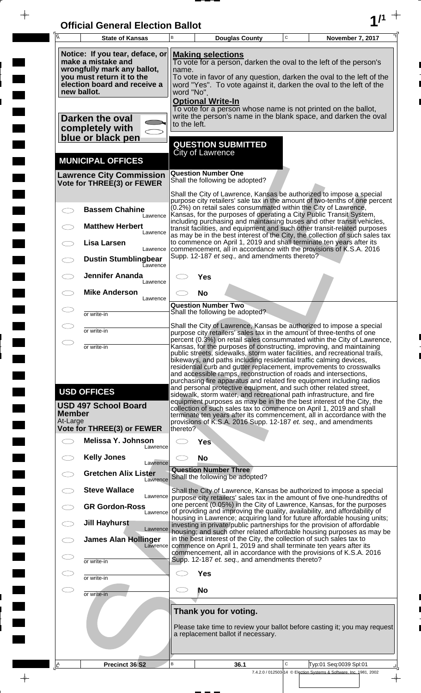| <b>Official General Election Ballot</b> |  |
|-----------------------------------------|--|
|                                         |  |

 $\overline{\phantom{a}}$ 

 $\blacksquare$ 

 $\overline{\phantom{a}}$ 

 $\blacksquare$ 

 $\frac{1}{2}$ 

 $\frac{1}{\sqrt{2\pi}}$ 

| Ā                         | <b>State of Kansas</b>                                                                                                                                           | B                                                                                                                                                                                                                                                                                              |                              | <b>Douglas County</b>                          | $\mathsf C$ | November 7, 2017                                                                                                                                                                                                                                                                                                                                                                                                                                                                                                   |
|---------------------------|------------------------------------------------------------------------------------------------------------------------------------------------------------------|------------------------------------------------------------------------------------------------------------------------------------------------------------------------------------------------------------------------------------------------------------------------------------------------|------------------------------|------------------------------------------------|-------------|--------------------------------------------------------------------------------------------------------------------------------------------------------------------------------------------------------------------------------------------------------------------------------------------------------------------------------------------------------------------------------------------------------------------------------------------------------------------------------------------------------------------|
|                           | Notice: If you tear, deface, or<br>make a mistake and<br>wrongfully mark any ballot,<br>you must return it to the<br>election board and receive a<br>new ballot. | <b>Making selections</b><br>To vote for a person, darken the oval to the left of the person's<br>name.<br>To vote in favor of any question, darken the oval to the left of the<br>word "Yes". To vote against it, darken the oval to the left of the<br>word "No".<br><b>Optional Write-In</b> |                              |                                                |             |                                                                                                                                                                                                                                                                                                                                                                                                                                                                                                                    |
|                           | Darken the oval<br>completely with<br>blue or black pen                                                                                                          | to the left.                                                                                                                                                                                                                                                                                   |                              |                                                |             | To vote for a person whose name is not printed on the ballot,<br>write the person's name in the blank space, and darken the oval                                                                                                                                                                                                                                                                                                                                                                                   |
|                           | <b>MUNICIPAL OFFICES</b>                                                                                                                                         |                                                                                                                                                                                                                                                                                                | <b>City of Lawrence</b>      | <b>QUESTION SUBMITTED</b>                      |             |                                                                                                                                                                                                                                                                                                                                                                                                                                                                                                                    |
|                           | <b>Lawrence City Commission</b><br>Vote for THREE(3) or FEWER                                                                                                    |                                                                                                                                                                                                                                                                                                | <b>Question Number One</b>   | Shall the following be adopted?                |             |                                                                                                                                                                                                                                                                                                                                                                                                                                                                                                                    |
|                           | <b>Bassem Chahine</b><br>Lawrence                                                                                                                                |                                                                                                                                                                                                                                                                                                |                              |                                                |             | Shall the City of Lawrence, Kansas be authorized to impose a special<br>purpose city retailers' sale tax in the amount of two-tenths of one percent<br>(0.2%) on retail sales consummated within the City of Lawrence,<br>Kansas, for the purposes of operating a City Public Transit System,<br>including purchasing and maintaining buses and other transit vehicles,                                                                                                                                            |
|                           | <b>Matthew Herbert</b><br>Lawrence<br>Lisa Larsen<br>Lawrence                                                                                                    |                                                                                                                                                                                                                                                                                                |                              |                                                |             | transit facilities, and equipment and such other transit-related purposes<br>as may be in the best interest of the City, the collection of such sales tax<br>to commence on April 1, 2019 and shall terminate ten years after its<br>commencement, all in accordance with the provisions of K.S.A. 2016                                                                                                                                                                                                            |
|                           | <b>Dustin Stumblingbear</b><br>Eawrence                                                                                                                          |                                                                                                                                                                                                                                                                                                |                              | Supp. 12-187 et seq., and amendments thereto?  |             |                                                                                                                                                                                                                                                                                                                                                                                                                                                                                                                    |
|                           | <b>Jennifer Ananda</b><br>Lawrence<br><b>Mike Anderson</b><br>Lawrence                                                                                           |                                                                                                                                                                                                                                                                                                | Yes<br><b>No</b>             |                                                |             |                                                                                                                                                                                                                                                                                                                                                                                                                                                                                                                    |
|                           | or write-in                                                                                                                                                      |                                                                                                                                                                                                                                                                                                | <b>Question Number Two</b>   | Shall the following be adopted?                |             |                                                                                                                                                                                                                                                                                                                                                                                                                                                                                                                    |
|                           | or write-in                                                                                                                                                      |                                                                                                                                                                                                                                                                                                |                              |                                                |             | Shall the City of Lawrence, Kansas be authorized to impose a special<br>purpose city retailers' sales tax in the amount of three-tenths of one<br>percent (0.3%) on retail sales consummated within the City of Lawrence,                                                                                                                                                                                                                                                                                          |
|                           | or write-in                                                                                                                                                      |                                                                                                                                                                                                                                                                                                |                              |                                                |             | Kansas, for the purposes of constructing, improving, and maintaining<br>public streets, sidewalks, storm water facilities, and recreational trails,<br>bikeways, and paths including residential traffic calming devices,<br>residential curb and gutter replacement, improvements to crosswalks<br>and accessible ramps, reconstruction of roads and intersections,<br>purchasing fire apparatus and related fire equipment including radios<br>and personal protective equipment, and such other related street, |
| <b>Member</b><br>At-Large | <b>USD OFFICES</b><br><b>USD 497 School Board</b>                                                                                                                |                                                                                                                                                                                                                                                                                                |                              |                                                |             | sidewalk, storm water, and recreational path infrastructure, and fire<br>equipment purposes as may be in the the best interest of the City, the<br>collection of such sales tax to commence on April 1, 2019 and shall<br>terminate ten years after its commencement, all in accordance with the<br>provisions of K.S.A. 2016 Supp. 12-187 et. seq., and amendments                                                                                                                                                |
|                           | <b>Vote for THREE(3) or FEWER</b><br>Melissa Y. Johnson                                                                                                          | thereto?                                                                                                                                                                                                                                                                                       | <b>Yes</b>                   |                                                |             |                                                                                                                                                                                                                                                                                                                                                                                                                                                                                                                    |
|                           | Lawrence<br><b>Kelly Jones</b><br>Lawrence                                                                                                                       |                                                                                                                                                                                                                                                                                                | <b>No</b>                    |                                                |             |                                                                                                                                                                                                                                                                                                                                                                                                                                                                                                                    |
|                           | <b>Gretchen Alix Lister</b><br>Lawrence                                                                                                                          |                                                                                                                                                                                                                                                                                                | <b>Question Number Three</b> | Shall the following be adopted?                |             |                                                                                                                                                                                                                                                                                                                                                                                                                                                                                                                    |
|                           | <b>Steve Wallace</b><br>Lawrence<br><b>GR Gordon-Ross</b>                                                                                                        |                                                                                                                                                                                                                                                                                                |                              |                                                |             | Shall the City of Lawrence, Kansas be authorized to impose a special<br>purpose city retailers' sales tax in the amount of five one-hundredths of<br>one percent (0.05%) in the City of Lawrence, Kansas, for the purposes                                                                                                                                                                                                                                                                                         |
|                           | Lawrence<br><b>Jill Hayhurst</b>                                                                                                                                 |                                                                                                                                                                                                                                                                                                |                              |                                                |             | of providing and improving the quality, availability, and affordability of<br>housing in Lawrence; acquiring land for future affordable housing units;<br>investing in private/public partnerships for the provision of affordable                                                                                                                                                                                                                                                                                 |
|                           | Lawrence<br><b>James Alan Hollinger</b><br>Lawrence                                                                                                              |                                                                                                                                                                                                                                                                                                |                              |                                                |             | housing; and such other related affordable housing purposes as may be<br>in the best interest of the City, the collection of such sales tax to<br>commence on April 1, 2019 and shall terminate ten years after its<br>commencement, all in accordance with the provisions of K.S.A. 2016                                                                                                                                                                                                                          |
|                           | or write-in                                                                                                                                                      |                                                                                                                                                                                                                                                                                                |                              | Supp. 12-187 et. seq., and amendments thereto? |             |                                                                                                                                                                                                                                                                                                                                                                                                                                                                                                                    |
|                           | or write-in                                                                                                                                                      |                                                                                                                                                                                                                                                                                                | <b>Yes</b><br>No             |                                                |             |                                                                                                                                                                                                                                                                                                                                                                                                                                                                                                                    |
|                           | or write-in                                                                                                                                                      |                                                                                                                                                                                                                                                                                                | Thank you for voting.        | a replacement ballot if necessary.             |             | Please take time to review your ballot before casting it; you may request                                                                                                                                                                                                                                                                                                                                                                                                                                          |
| <u>A</u>                  | Precinct 36 S2                                                                                                                                                   | В                                                                                                                                                                                                                                                                                              |                              | 36.1                                           | C           | Typ:01 Seq:0039 Spl:01<br>7.4.2.0 / 012503-14 © Election Systems & Software, Inc. 1981, 2002                                                                                                                                                                                                                                                                                                                                                                                                                       |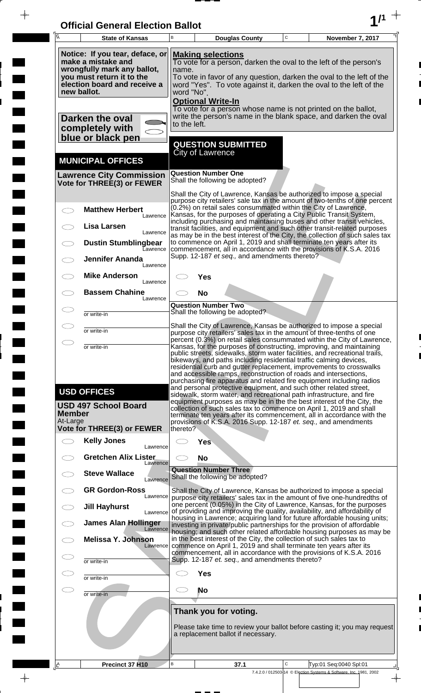| <b>Official General Election Ballot</b> |  |
|-----------------------------------------|--|
|                                         |  |

 $\overline{\phantom{a}}$ 

 $\Box$ 

 $\blacksquare$ 

 $\overline{\phantom{a}}$ 

 $\blacksquare$ 

 $\frac{1}{2}$ 

 $\frac{1}{\sqrt{2\pi}}$ 

|                                                                                                                                                                  | Ā                         | <b>State of Kansas</b>                                        | В                                                                                                                                                                                                                                                                                                                                                                                                                                        |                                                               | <b>Douglas County</b>                          | C | November 7, 2017                                                                                                                                                                                                                                                                                                                                                                                                                              |  |
|------------------------------------------------------------------------------------------------------------------------------------------------------------------|---------------------------|---------------------------------------------------------------|------------------------------------------------------------------------------------------------------------------------------------------------------------------------------------------------------------------------------------------------------------------------------------------------------------------------------------------------------------------------------------------------------------------------------------------|---------------------------------------------------------------|------------------------------------------------|---|-----------------------------------------------------------------------------------------------------------------------------------------------------------------------------------------------------------------------------------------------------------------------------------------------------------------------------------------------------------------------------------------------------------------------------------------------|--|
| Notice: If you tear, deface, or<br>make a mistake and<br>wrongfully mark any ballot,<br>you must return it to the<br>election board and receive a<br>new ballot. |                           |                                                               | <b>Making selections</b><br>To vote for a person, darken the oval to the left of the person's<br>name.<br>To vote in favor of any question, darken the oval to the left of the<br>word "Yes". To vote against it, darken the oval to the left of the<br>word "No".<br><b>Optional Write-In</b>                                                                                                                                           |                                                               |                                                |   |                                                                                                                                                                                                                                                                                                                                                                                                                                               |  |
|                                                                                                                                                                  |                           | Darken the oval<br>completely with<br>blue or black pen       | to the left.                                                                                                                                                                                                                                                                                                                                                                                                                             |                                                               |                                                |   | To vote for a person whose name is not printed on the ballot,<br>write the person's name in the blank space, and darken the oval                                                                                                                                                                                                                                                                                                              |  |
|                                                                                                                                                                  |                           | <b>MUNICIPAL OFFICES</b>                                      |                                                                                                                                                                                                                                                                                                                                                                                                                                          | <b>QUESTION SUBMITTED</b><br><b>City of Lawrence</b>          |                                                |   |                                                                                                                                                                                                                                                                                                                                                                                                                                               |  |
|                                                                                                                                                                  |                           | <b>Lawrence City Commission</b><br>Vote for THREE(3) or FEWER |                                                                                                                                                                                                                                                                                                                                                                                                                                          | <b>Question Number One</b><br>Shall the following be adopted? |                                                |   |                                                                                                                                                                                                                                                                                                                                                                                                                                               |  |
|                                                                                                                                                                  |                           | <b>Matthew Herbert</b><br>Lawrence                            |                                                                                                                                                                                                                                                                                                                                                                                                                                          |                                                               |                                                |   | Shall the City of Lawrence, Kansas be authorized to impose a special<br>purpose city retailers' sale tax in the amount of two-tenths of one percent<br>(0.2%) on retail sales consummated within the City of Lawrence,<br>Kansas, for the purposes of operating a City Public Transit System,<br>including purchasing and maintaining buses and other transit vehicles,                                                                       |  |
|                                                                                                                                                                  |                           | Lisa Larsen<br>Lawrence<br><b>Dustin Stumblingbear</b>        |                                                                                                                                                                                                                                                                                                                                                                                                                                          |                                                               |                                                |   | transit facilities, and equipment and such other transit-related purposes<br>as may be in the best interest of the City, the collection of such sales tax<br>to commence on April 1, 2019 and shall terminate ten years after its                                                                                                                                                                                                             |  |
|                                                                                                                                                                  |                           | Eawrence<br><b>Jennifer Ananda</b><br>Lawrence                |                                                                                                                                                                                                                                                                                                                                                                                                                                          |                                                               | Supp. 12-187 et seq., and amendments thereto?  |   | commencement, all in accordance with the provisions of K.S.A. 2016                                                                                                                                                                                                                                                                                                                                                                            |  |
|                                                                                                                                                                  |                           | <b>Mike Anderson</b><br>Lawrence<br><b>Bassem Chahine</b>     |                                                                                                                                                                                                                                                                                                                                                                                                                                          | Yes<br><b>No</b>                                              |                                                |   |                                                                                                                                                                                                                                                                                                                                                                                                                                               |  |
|                                                                                                                                                                  |                           | Lawrence<br>or write-in                                       |                                                                                                                                                                                                                                                                                                                                                                                                                                          | <b>Question Number Two</b><br>Shall the following be adopted? |                                                |   |                                                                                                                                                                                                                                                                                                                                                                                                                                               |  |
|                                                                                                                                                                  |                           | or write-in                                                   |                                                                                                                                                                                                                                                                                                                                                                                                                                          |                                                               |                                                |   | Shall the City of Lawrence, Kansas be authorized to impose a special<br>purpose city retailers' sales tax in the amount of three-tenths of one<br>percent (0.3%) on retail sales consummated within the City of Lawrence,                                                                                                                                                                                                                     |  |
|                                                                                                                                                                  | $\bigcirc$                | or write-in                                                   |                                                                                                                                                                                                                                                                                                                                                                                                                                          |                                                               |                                                |   | Kansas, for the purposes of constructing, improving, and maintaining<br>public streets, sidewalks, storm water facilities, and recreational trails,<br>bikeways, and paths including residential traffic calming devices,<br>residential curb and gutter replacement, improvements to crosswalks<br>and accessible ramps, reconstruction of roads and intersections,<br>purchasing fire apparatus and related fire equipment including radios |  |
|                                                                                                                                                                  | <b>Member</b><br>At-Large | <b>USD OFFICES</b><br><b>USD 497 School Board</b>             | and personal protective equipment, and such other related street,<br>sidewalk, storm water, and recreational path infrastructure, and fire<br>equipment purposes as may be in the the best interest of the City, the<br>collection of such sales tax to commence on April 1, 2019 and shall<br>terminate ten years after its commencement, all in accordance with the<br>provisions of K.S.A. 2016 Supp. 12-187 et. seq., and amendments |                                                               |                                                |   |                                                                                                                                                                                                                                                                                                                                                                                                                                               |  |
|                                                                                                                                                                  | $\bigcirc$                | Vote for THREE(3) or FEWER<br><b>Kelly Jones</b><br>Lawrence  | thereto?                                                                                                                                                                                                                                                                                                                                                                                                                                 | <b>Yes</b>                                                    |                                                |   |                                                                                                                                                                                                                                                                                                                                                                                                                                               |  |
|                                                                                                                                                                  |                           | <b>Gretchen Alix Lister</b><br>Lawrence                       |                                                                                                                                                                                                                                                                                                                                                                                                                                          | <b>No</b><br><b>Question Number Three</b>                     |                                                |   |                                                                                                                                                                                                                                                                                                                                                                                                                                               |  |
|                                                                                                                                                                  |                           | <b>Steve Wallace</b><br>Lawrence<br><b>GR Gordon-Ross</b>     |                                                                                                                                                                                                                                                                                                                                                                                                                                          | Shall the following be adopted?                               |                                                |   | Shall the City of Lawrence, Kansas be authorized to impose a special                                                                                                                                                                                                                                                                                                                                                                          |  |
|                                                                                                                                                                  |                           | Lawrence<br><b>Jill Hayhurst</b><br>Lawrence                  |                                                                                                                                                                                                                                                                                                                                                                                                                                          |                                                               |                                                |   | purpose city retailers' sales tax in the amount of five one-hundredths of<br>one percent (0.05%) in the City of Lawrence, Kansas, for the purposes<br>of providing and improving the quality, availability, and affordability of                                                                                                                                                                                                              |  |
|                                                                                                                                                                  |                           | <b>James Alan Hollinger</b><br>Lawrence                       |                                                                                                                                                                                                                                                                                                                                                                                                                                          |                                                               |                                                |   | housing in Lawrence; acquiring land for future affordable housing units;<br>investing in private/public partnerships for the provision of affordable<br>housing; and such other related affordable housing purposes as may be                                                                                                                                                                                                                 |  |
|                                                                                                                                                                  |                           | <b>Melissa Y. Johnson</b><br>Lawrence                         |                                                                                                                                                                                                                                                                                                                                                                                                                                          |                                                               |                                                |   | in the best interest of the City, the collection of such sales tax to<br>commence on April 1, 2019 and shall terminate ten years after its<br>commencement, all in accordance with the provisions of K.S.A. 2016                                                                                                                                                                                                                              |  |
|                                                                                                                                                                  | Œ<br>Œ                    | or write-in                                                   |                                                                                                                                                                                                                                                                                                                                                                                                                                          | <b>Yes</b>                                                    | Supp. 12-187 et. seq., and amendments thereto? |   |                                                                                                                                                                                                                                                                                                                                                                                                                                               |  |
|                                                                                                                                                                  | ㅇ                         | or write-in<br>or write-in                                    | CD.                                                                                                                                                                                                                                                                                                                                                                                                                                      | <b>No</b>                                                     |                                                |   |                                                                                                                                                                                                                                                                                                                                                                                                                                               |  |
|                                                                                                                                                                  |                           |                                                               |                                                                                                                                                                                                                                                                                                                                                                                                                                          | Thank you for voting.                                         | a replacement ballot if necessary.             |   | Please take time to review your ballot before casting it; you may request                                                                                                                                                                                                                                                                                                                                                                     |  |
|                                                                                                                                                                  | A                         | Precinct 37 H10                                               | B                                                                                                                                                                                                                                                                                                                                                                                                                                        |                                                               | 37.1                                           | C | Typ:01 Seq:0040 Spl:01<br>7.4.2.0 / 012503-14 © Election Systems & Software, Inc. 1981, 2002                                                                                                                                                                                                                                                                                                                                                  |  |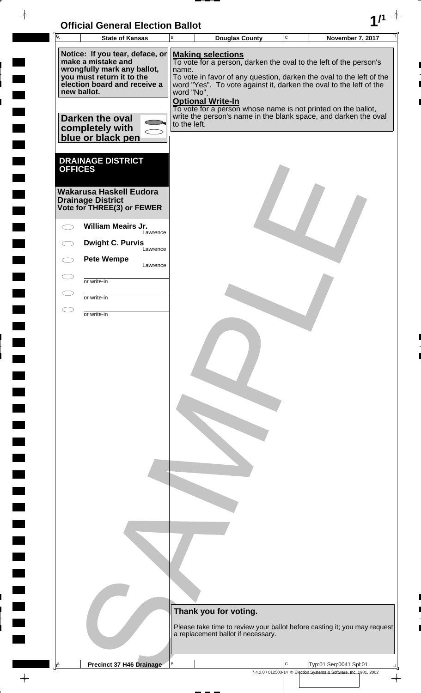| <b>Official General Election Ballot</b> |  |
|-----------------------------------------|--|
|                                         |  |

 $\blacksquare$ 

 $\blacksquare$ 

 $\blacksquare$ 

 $\Box$  $\blacksquare$ 

 $\overline{\phantom{0}}$ 

 $\Box$ 

 $\blacksquare$ 

 $\blacksquare$ 

 $\blacksquare$ 

 $\overline{\phantom{0}}$ 

 $\blacksquare$ 

**The Second** 

 $\Box$ 

 $\blacksquare$ 

 $\overline{\phantom{a}}$ 

 $\blacksquare$ 

 $\begin{array}{c}\n\downarrow \\
\downarrow \\
\downarrow\n\end{array}$ 

L 

| $\overline{A}$                        | <b>State of Kansas</b>                                                                                                                                           | $\mathsf B$         | <b>Douglas County</b>                                                                                                                                                                                                                       | C | <b>November 7, 2017</b>                                                                      |
|---------------------------------------|------------------------------------------------------------------------------------------------------------------------------------------------------------------|---------------------|---------------------------------------------------------------------------------------------------------------------------------------------------------------------------------------------------------------------------------------------|---|----------------------------------------------------------------------------------------------|
|                                       | Notice: If you tear, deface, or<br>make a mistake and<br>wrongfully mark any ballot,<br>you must return it to the<br>election board and receive a<br>new ballot. | name.<br>word "No". | <b>Making selections</b><br>To vote for a person, darken the oval to the left of the person's<br>To vote in favor of any question, darken the oval to the left of the<br>word "Yes". To vote against it, darken the oval to the left of the |   |                                                                                              |
|                                       | Darken the oval<br>completely with<br>blue or black pen                                                                                                          | to the left.        | <b>Optional Write-In</b><br>To vote for a person whose name is not printed on the ballot,<br>write the person's name in the blank space, and darken the oval                                                                                |   |                                                                                              |
| <b>OFFICES</b>                        | <b>DRAINAGE DISTRICT</b>                                                                                                                                         |                     |                                                                                                                                                                                                                                             |   |                                                                                              |
|                                       | Wakarusa Haskell Eudora<br><b>Drainage District</b><br>Vote for THREE(3) or FEWER                                                                                |                     |                                                                                                                                                                                                                                             |   |                                                                                              |
|                                       | <b>William Meairs Jr.</b><br>Lawrence                                                                                                                            |                     |                                                                                                                                                                                                                                             |   |                                                                                              |
|                                       | <b>Dwight C. Purvis</b><br>Lawrence                                                                                                                              |                     |                                                                                                                                                                                                                                             |   |                                                                                              |
|                                       | <b>Pete Wempe</b><br>Lawrence                                                                                                                                    |                     |                                                                                                                                                                                                                                             |   |                                                                                              |
|                                       | or write-in<br>or write-in                                                                                                                                       |                     |                                                                                                                                                                                                                                             |   |                                                                                              |
|                                       | or write-in                                                                                                                                                      |                     |                                                                                                                                                                                                                                             |   |                                                                                              |
|                                       |                                                                                                                                                                  |                     |                                                                                                                                                                                                                                             |   |                                                                                              |
|                                       |                                                                                                                                                                  |                     | Thank you for voting.<br>a replacement ballot if necessary.                                                                                                                                                                                 |   | Please take time to review your ballot before casting it; you may request                    |
|                                       |                                                                                                                                                                  |                     |                                                                                                                                                                                                                                             |   |                                                                                              |
| $\underline{\mathsf{L}}^{\mathsf{A}}$ | <b>Precinct 37 H46 Drainage</b>                                                                                                                                  | B                   |                                                                                                                                                                                                                                             | С | Typ:01 Seq:0041 Spl:01<br>7.4.2.0 / 012503-14 © Election Systems & Software, Inc. 1981, 2002 |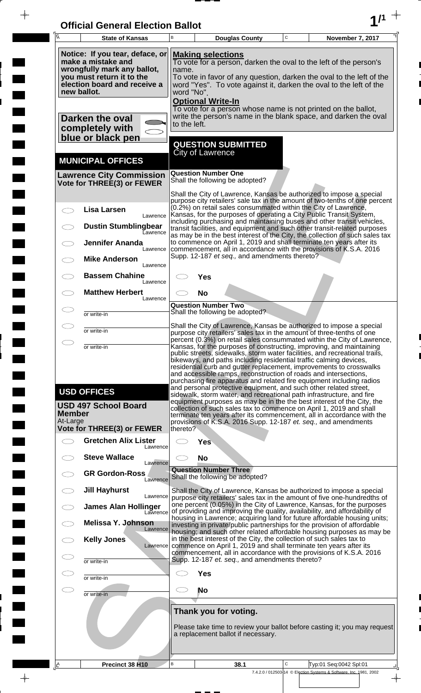| <b>Official General Election Ballot</b> |  |
|-----------------------------------------|--|
|                                         |  |

 $\overline{\phantom{a}}$ 

 $\Box$ 

 $\blacksquare$ 

 $\blacksquare$ 

 $\frac{1}{2}$ 

 $\frac{1}{\sqrt{2\pi}}$ 

| $\overline{A}$            | <b>State of Kansas</b>                                                                                                                                                              | B                                                                                                                                                                                                                                                                                                                                                                                                                                                                                                                                                                                                                                                            | <b>Douglas County</b>                                                                                                                                                                                                                                                                                    | $\mathbf C$ | November 7, 2017                                                                    |  |  |  |
|---------------------------|-------------------------------------------------------------------------------------------------------------------------------------------------------------------------------------|--------------------------------------------------------------------------------------------------------------------------------------------------------------------------------------------------------------------------------------------------------------------------------------------------------------------------------------------------------------------------------------------------------------------------------------------------------------------------------------------------------------------------------------------------------------------------------------------------------------------------------------------------------------|----------------------------------------------------------------------------------------------------------------------------------------------------------------------------------------------------------------------------------------------------------------------------------------------------------|-------------|-------------------------------------------------------------------------------------|--|--|--|
|                           | Notice: If you tear, deface, or<br>make a mistake and<br>wrongfully mark any ballot,<br>you must return it to the<br>election board and receive a<br>new ballot.<br>Darken the oval | <b>Making selections</b><br>To vote for a person, darken the oval to the left of the person's<br>name.<br>To vote in favor of any question, darken the oval to the left of the<br>word "Yes". To vote against it, darken the oval to the left of the<br>word "No".<br><b>Optional Write-In</b><br>To vote for a person whose name is not printed on the ballot,<br>write the person's name in the blank space, and darken the oval                                                                                                                                                                                                                           |                                                                                                                                                                                                                                                                                                          |             |                                                                                     |  |  |  |
|                           | completely with<br>blue or black pen                                                                                                                                                | to the left.                                                                                                                                                                                                                                                                                                                                                                                                                                                                                                                                                                                                                                                 | <b>QUESTION SUBMITTED</b>                                                                                                                                                                                                                                                                                |             |                                                                                     |  |  |  |
|                           | <b>MUNICIPAL OFFICES</b>                                                                                                                                                            |                                                                                                                                                                                                                                                                                                                                                                                                                                                                                                                                                                                                                                                              | <b>City of Lawrence</b>                                                                                                                                                                                                                                                                                  |             |                                                                                     |  |  |  |
|                           | <b>Lawrence City Commission</b><br>Vote for THREE(3) or FEWER                                                                                                                       |                                                                                                                                                                                                                                                                                                                                                                                                                                                                                                                                                                                                                                                              | <b>Question Number One</b><br>Shall the following be adopted?                                                                                                                                                                                                                                            |             |                                                                                     |  |  |  |
|                           | <b>Lisa Larsen</b><br>Lawrence                                                                                                                                                      |                                                                                                                                                                                                                                                                                                                                                                                                                                                                                                                                                                                                                                                              | Shall the City of Lawrence, Kansas be authorized to impose a special<br>purpose city retailers' sale tax in the amount of two-tenths of one percent<br>(0.2%) on retail sales consummated within the City of Lawrence,<br>Kansas, for the purposes of operating a City Public Transit System,            |             |                                                                                     |  |  |  |
|                           | <b>Dustin Stumblingbear</b><br><b>Lawrence</b>                                                                                                                                      |                                                                                                                                                                                                                                                                                                                                                                                                                                                                                                                                                                                                                                                              | including purchasing and maintaining buses and other transit vehicles,<br>transit facilities, and equipment and such other transit-related purposes                                                                                                                                                      |             |                                                                                     |  |  |  |
|                           | Jennifer Ananda<br>Lawrence                                                                                                                                                         |                                                                                                                                                                                                                                                                                                                                                                                                                                                                                                                                                                                                                                                              | as may be in the best interest of the City, the collection of such sales tax<br>to commence on April 1, 2019 and shall terminate ten years after its<br>commencement, all in accordance with the provisions of K.S.A. 2016                                                                               |             |                                                                                     |  |  |  |
|                           | <b>Mike Anderson</b><br>Lawrence                                                                                                                                                    |                                                                                                                                                                                                                                                                                                                                                                                                                                                                                                                                                                                                                                                              | Supp. 12-187 et seq., and amendments thereto?                                                                                                                                                                                                                                                            |             |                                                                                     |  |  |  |
|                           | <b>Bassem Chahine</b><br>Lawrence                                                                                                                                                   |                                                                                                                                                                                                                                                                                                                                                                                                                                                                                                                                                                                                                                                              | Yes                                                                                                                                                                                                                                                                                                      |             |                                                                                     |  |  |  |
|                           | <b>Matthew Herbert</b><br>Lawrence                                                                                                                                                  |                                                                                                                                                                                                                                                                                                                                                                                                                                                                                                                                                                                                                                                              | <b>No</b>                                                                                                                                                                                                                                                                                                |             |                                                                                     |  |  |  |
|                           | or write-in                                                                                                                                                                         |                                                                                                                                                                                                                                                                                                                                                                                                                                                                                                                                                                                                                                                              | <b>Question Number Two</b><br>Shall the following be adopted?                                                                                                                                                                                                                                            |             |                                                                                     |  |  |  |
|                           | or write-in                                                                                                                                                                         |                                                                                                                                                                                                                                                                                                                                                                                                                                                                                                                                                                                                                                                              | Shall the City of Lawrence, Kansas be authorized to impose a special<br>purpose city retailers' sales tax in the amount of three-tenths of one                                                                                                                                                           |             |                                                                                     |  |  |  |
|                           | or write-in                                                                                                                                                                         | percent (0.3%) on retail sales consummated within the City of Lawrence<br>Kansas, for the purposes of constructing, improving, and maintaining<br>public streets, sidewalks, storm water facilities, and recreational trails,<br>bikeways, and paths including residential traffic calming devices,                                                                                                                                                                                                                                                                                                                                                          |                                                                                                                                                                                                                                                                                                          |             |                                                                                     |  |  |  |
| <b>Member</b><br>At-Large | <b>USD OFFICES</b><br><b>USD 497 School Board</b>                                                                                                                                   | residential curb and gutter replacement, improvements to crosswalks<br>and accessible ramps, reconstruction of roads and intersections,<br>purchasing fire apparatus and related fire equipment including radios<br>and personal protective equipment, and such other related street,<br>sidewalk, storm water, and recreational path infrastructure, and fire<br>equipment purposes as may be in the the best interest of the City, the<br>collection of such sales tax to commence on April 1, 2019 and shall<br>terminate ten years after its commencement, all in accordance with the<br>provisions of K.S.A. 2016 Supp. 12-187 et. seq., and amendments |                                                                                                                                                                                                                                                                                                          |             |                                                                                     |  |  |  |
|                           | <b>Vote for THREE(3) or FEWER</b><br><b>Gretchen Alix Lister</b>                                                                                                                    | thereto?<br><b>Yes</b>                                                                                                                                                                                                                                                                                                                                                                                                                                                                                                                                                                                                                                       |                                                                                                                                                                                                                                                                                                          |             |                                                                                     |  |  |  |
|                           | Lawrence<br><b>Steve Wallace</b>                                                                                                                                                    |                                                                                                                                                                                                                                                                                                                                                                                                                                                                                                                                                                                                                                                              | <b>No</b>                                                                                                                                                                                                                                                                                                |             |                                                                                     |  |  |  |
|                           | Lawrence<br><b>GR Gordon-Ross</b>                                                                                                                                                   | <b>Question Number Three</b>                                                                                                                                                                                                                                                                                                                                                                                                                                                                                                                                                                                                                                 |                                                                                                                                                                                                                                                                                                          |             |                                                                                     |  |  |  |
|                           | Lawrence<br><b>Jill Hayhurst</b>                                                                                                                                                    |                                                                                                                                                                                                                                                                                                                                                                                                                                                                                                                                                                                                                                                              | Shall the following be adopted?                                                                                                                                                                                                                                                                          |             |                                                                                     |  |  |  |
|                           | Lawrence<br><b>James Alan Hollinger</b><br>Lawrence                                                                                                                                 |                                                                                                                                                                                                                                                                                                                                                                                                                                                                                                                                                                                                                                                              | Shall the City of Lawrence, Kansas be authorized to impose a special<br>purpose city retailers' sales tax in the amount of five one-hundredths of<br>one percent (0.05%) in the City of Lawrence, Kansas, for the purposes<br>of providing and improving the quality, availability, and affordability of |             |                                                                                     |  |  |  |
|                           | <b>Melissa Y. Johnson</b><br>Lawrence                                                                                                                                               |                                                                                                                                                                                                                                                                                                                                                                                                                                                                                                                                                                                                                                                              | housing in Lawrence; acquiring land for future affordable housing units;<br>investing in private/public partnerships for the provision of affordable                                                                                                                                                     |             |                                                                                     |  |  |  |
|                           | <b>Kelly Jones</b><br>Lawrence                                                                                                                                                      | housing, and such other related affordable housing purposes as may be<br>in the best interest of the City, the collection of such sales tax to<br>commence on April 1, 2019 and shall terminate ten years after its                                                                                                                                                                                                                                                                                                                                                                                                                                          |                                                                                                                                                                                                                                                                                                          |             |                                                                                     |  |  |  |
| C                         | or write-in                                                                                                                                                                         |                                                                                                                                                                                                                                                                                                                                                                                                                                                                                                                                                                                                                                                              | commencement, all in accordance with the provisions of K.S.A. 2016<br>Supp. 12-187 et. seq., and amendments thereto?                                                                                                                                                                                     |             |                                                                                     |  |  |  |
| C                         | or write-in                                                                                                                                                                         | <b>Yes</b>                                                                                                                                                                                                                                                                                                                                                                                                                                                                                                                                                                                                                                                   |                                                                                                                                                                                                                                                                                                          |             |                                                                                     |  |  |  |
| 20                        | or write-in                                                                                                                                                                         | <b>No</b>                                                                                                                                                                                                                                                                                                                                                                                                                                                                                                                                                                                                                                                    |                                                                                                                                                                                                                                                                                                          |             |                                                                                     |  |  |  |
|                           |                                                                                                                                                                                     |                                                                                                                                                                                                                                                                                                                                                                                                                                                                                                                                                                                                                                                              | Thank you for voting.                                                                                                                                                                                                                                                                                    |             |                                                                                     |  |  |  |
|                           | Please take time to review your ballot before casting it; you may request<br>a replacement ballot if necessary.                                                                     |                                                                                                                                                                                                                                                                                                                                                                                                                                                                                                                                                                                                                                                              |                                                                                                                                                                                                                                                                                                          |             |                                                                                     |  |  |  |
|                           | Precinct 38 H10                                                                                                                                                                     | В                                                                                                                                                                                                                                                                                                                                                                                                                                                                                                                                                                                                                                                            | 38.1                                                                                                                                                                                                                                                                                                     | C           | Typ:01 Seq:0042 Spl:01                                                              |  |  |  |
|                           |                                                                                                                                                                                     |                                                                                                                                                                                                                                                                                                                                                                                                                                                                                                                                                                                                                                                              |                                                                                                                                                                                                                                                                                                          |             | 7.4.2.0 / 012503-14 © Election Systems & Software, Inc. 1981, 2002<br>$\rightarrow$ |  |  |  |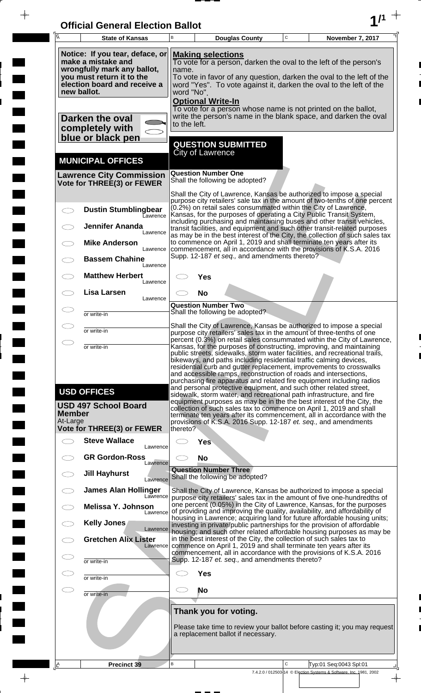| <b>Official General Election Ballot</b> |  |
|-----------------------------------------|--|
|                                         |  |

 $\bar{\phantom{a}}$ 

 $\overline{\phantom{a}}$ 

 $\Box$ 

 $\blacksquare$ 

 $\blacksquare$ 

 $\blacksquare$ 

 $\frac{1}{2}$ 

 $\frac{1}{\sqrt{2\pi}}$ 

| 瓦             | <b>State of Kansas</b>                                                                                                                            | B                                                                                                                                                                                                                                                    | $\mathsf C$<br>November 7, 2017<br><b>Douglas County</b>                                                                                                                                                                        |  |  |  |  |
|---------------|---------------------------------------------------------------------------------------------------------------------------------------------------|------------------------------------------------------------------------------------------------------------------------------------------------------------------------------------------------------------------------------------------------------|---------------------------------------------------------------------------------------------------------------------------------------------------------------------------------------------------------------------------------|--|--|--|--|
|               | Notice: If you tear, deface, or<br>make a mistake and<br>wrongfully mark any ballot,<br>you must return it to the<br>election board and receive a | <b>Making selections</b><br>To vote for a person, darken the oval to the left of the person's<br>name.<br>To vote in favor of any question, darken the oval to the left of the<br>word "Yes". To vote against it, darken the oval to the left of the |                                                                                                                                                                                                                                 |  |  |  |  |
|               | new ballot.<br>Darken the oval                                                                                                                    | to the left.                                                                                                                                                                                                                                         | word "No".<br><b>Optional Write-In</b><br>To vote for a person whose name is not printed on the ballot,<br>write the person's name in the blank space, and darken the oval                                                      |  |  |  |  |
|               | completely with<br>blue or black pen                                                                                                              |                                                                                                                                                                                                                                                      |                                                                                                                                                                                                                                 |  |  |  |  |
|               | <b>MUNICIPAL OFFICES</b>                                                                                                                          |                                                                                                                                                                                                                                                      | <b>QUESTION SUBMITTED</b><br><b>City of Lawrence</b>                                                                                                                                                                            |  |  |  |  |
|               | <b>Lawrence City Commission</b><br>Vote for THREE(3) or FEWER                                                                                     |                                                                                                                                                                                                                                                      | <b>Question Number One</b><br>Shall the following be adopted?                                                                                                                                                                   |  |  |  |  |
|               |                                                                                                                                                   |                                                                                                                                                                                                                                                      | Shall the City of Lawrence, Kansas be authorized to impose a special<br>purpose city retailers' sale tax in the amount of two-tenths of one percent                                                                             |  |  |  |  |
| $\bigcirc$    | <b>Dustin Stumblingbear</b><br>Lawrence                                                                                                           |                                                                                                                                                                                                                                                      | (0.2%) on retail sales consummated within the City of Lawrence,<br>Kansas, for the purposes of operating a City Public Transit System,<br>including purchasing and maintaining buses and other transit vehicles,                |  |  |  |  |
|               | <b>Jennifer Ananda</b><br>Lawrence                                                                                                                |                                                                                                                                                                                                                                                      | transit facilities, and equipment and such other transit-related purposes<br>as may be in the best interest of the City, the collection of such sales tax                                                                       |  |  |  |  |
|               | <b>Mike Anderson</b><br>Lawrence                                                                                                                  |                                                                                                                                                                                                                                                      | to commence on April 1, 2019 and shall terminate ten years after its<br>commencement, all in accordance with the provisions of K.S.A. 2016<br>Supp. 12-187 et seq., and amendments thereto?                                     |  |  |  |  |
|               | <b>Bassem Chahine</b><br>Lawrence<br><b>Matthew Herbert</b>                                                                                       |                                                                                                                                                                                                                                                      |                                                                                                                                                                                                                                 |  |  |  |  |
|               | Lawrence<br><b>Lisa Larsen</b>                                                                                                                    |                                                                                                                                                                                                                                                      | Yes<br><b>No</b>                                                                                                                                                                                                                |  |  |  |  |
|               | Lawrence                                                                                                                                          |                                                                                                                                                                                                                                                      | <b>Question Number Two</b>                                                                                                                                                                                                      |  |  |  |  |
|               | or write-in                                                                                                                                       |                                                                                                                                                                                                                                                      | Shall the following be adopted?                                                                                                                                                                                                 |  |  |  |  |
|               | or write-in                                                                                                                                       | Shall the City of Lawrence, Kansas be authorized to impose a special<br>purpose city retailers' sales tax in the amount of three-tenths of one<br>percent (0.3%) on retail sales consummated within the City of Lawrence,                            |                                                                                                                                                                                                                                 |  |  |  |  |
|               | or write-in                                                                                                                                       | Kansas, for the purposes of constructing, improving, and maintaining<br>public streets, sidewalks, storm water facilities, and recreational trails,                                                                                                  |                                                                                                                                                                                                                                 |  |  |  |  |
|               |                                                                                                                                                   | bikeways, and paths including residential traffic calming devices,<br>residential curb and gutter replacement, improvements to crosswalks                                                                                                            |                                                                                                                                                                                                                                 |  |  |  |  |
|               |                                                                                                                                                   | and accessible ramps, reconstruction of roads and intersections,<br>purchasing fire apparatus and related fire equipment including radios<br>and personal protective equipment, and such other related street,                                       |                                                                                                                                                                                                                                 |  |  |  |  |
|               | <b>USD OFFICES</b>                                                                                                                                | sidewalk, storm water, and recreational path infrastructure, and fire<br>equipment purposes as may be in the the best interest of the City, the                                                                                                      |                                                                                                                                                                                                                                 |  |  |  |  |
| <b>Member</b> | <b>USD 497 School Board</b>                                                                                                                       | collection of such sales tax to commence on April 1, 2019 and shall<br>terminate ten years after its commencement, all in accordance with the                                                                                                        |                                                                                                                                                                                                                                 |  |  |  |  |
| At-Large      | <b>Vote for THREE(3) or FEWER</b>                                                                                                                 | thereto?                                                                                                                                                                                                                                             | provisions of K.S.A. 2016 Supp. 12-187 et. seq., and amendments                                                                                                                                                                 |  |  |  |  |
|               | <b>Steve Wallace</b><br>Lawrence                                                                                                                  |                                                                                                                                                                                                                                                      | <b>Yes</b>                                                                                                                                                                                                                      |  |  |  |  |
|               | <b>GR Gordon-Ross</b><br>Lawrence                                                                                                                 |                                                                                                                                                                                                                                                      | <b>No</b>                                                                                                                                                                                                                       |  |  |  |  |
|               | <b>Jill Hayhurst</b><br>Lawrence                                                                                                                  |                                                                                                                                                                                                                                                      | <b>Question Number Three</b><br>Shall the following be adopted?                                                                                                                                                                 |  |  |  |  |
|               | <b>James Alan Hollinger</b><br>Lawrence                                                                                                           |                                                                                                                                                                                                                                                      | Shall the City of Lawrence, Kansas be authorized to impose a special<br>purpose city retailers' sales tax in the amount of five one-hundredths of                                                                               |  |  |  |  |
|               | <b>Melissa Y. Johnson</b><br>Lawrence                                                                                                             |                                                                                                                                                                                                                                                      | one percent (0.05%) in the City of Lawrence, Kansas, for the purposes<br>of providing and improving the quality, availability, and affordability of<br>housing in Lawrence; acquiring land for future affordable housing units; |  |  |  |  |
|               | Kelly Jones<br>Lawrence                                                                                                                           |                                                                                                                                                                                                                                                      | investing in private/public partnerships for the provision of affordable<br>housing; and such other related affordable housing purposes as may be                                                                               |  |  |  |  |
|               | <b>Gretchen Alix Lister</b><br>Lawrence                                                                                                           |                                                                                                                                                                                                                                                      | in the best interest of the City, the collection of such sales tax to<br>commence on April 1, 2019 and shall terminate ten years after its<br>commencement, all in accordance with the provisions of K.S.A. 2016                |  |  |  |  |
|               | or write-in                                                                                                                                       |                                                                                                                                                                                                                                                      | Supp. 12-187 et. seq., and amendments thereto?                                                                                                                                                                                  |  |  |  |  |
|               | or write-in                                                                                                                                       |                                                                                                                                                                                                                                                      | <b>Yes</b>                                                                                                                                                                                                                      |  |  |  |  |
| $\subset \,$  | or write-in                                                                                                                                       | CD.                                                                                                                                                                                                                                                  | No                                                                                                                                                                                                                              |  |  |  |  |
|               |                                                                                                                                                   |                                                                                                                                                                                                                                                      | Thank you for voting.                                                                                                                                                                                                           |  |  |  |  |
|               |                                                                                                                                                   |                                                                                                                                                                                                                                                      | Please take time to review your ballot before casting it; you may request<br>a replacement ballot if necessary.                                                                                                                 |  |  |  |  |
|               | <b>Precinct 39</b>                                                                                                                                | B                                                                                                                                                                                                                                                    | $\mathbf C$<br>Typ:01 Seq:0043 Spl:01                                                                                                                                                                                           |  |  |  |  |
| <u>ے</u>      |                                                                                                                                                   |                                                                                                                                                                                                                                                      | 7.4.2.0 / 012503-14 © Election Systems & Software, Inc. 1981, 2002                                                                                                                                                              |  |  |  |  |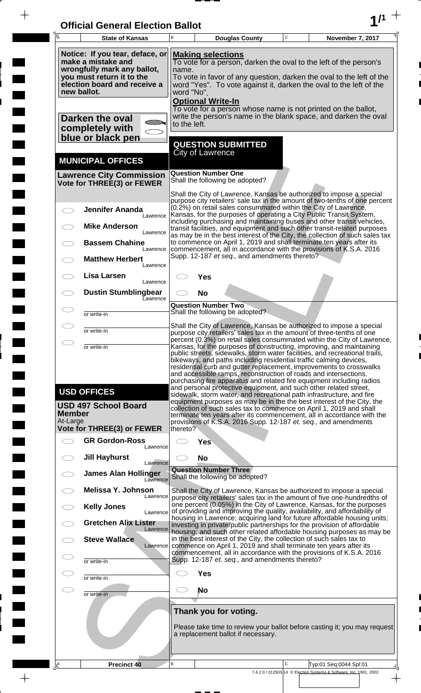| <b>Official General Election Ballot</b> |  |
|-----------------------------------------|--|
|                                         |  |

 $\overline{\phantom{a}}$ 

 $\blacksquare$ 

E

 $\blacksquare$ 

 $\frac{1}{2}$ 

 $\begin{array}{c}\n\downarrow \\
\downarrow \\
\downarrow\n\end{array}$ 

| Ā                         | <b>State of Kansas</b>                                                                                            | B            |                                                                                                              | <b>Douglas County</b>                          | $\mathbf C$ | November 7, 2017                                                                                                                                                                                                                                                                                                                                                                                                                                                                                                   |  |  |
|---------------------------|-------------------------------------------------------------------------------------------------------------------|--------------|--------------------------------------------------------------------------------------------------------------|------------------------------------------------|-------------|--------------------------------------------------------------------------------------------------------------------------------------------------------------------------------------------------------------------------------------------------------------------------------------------------------------------------------------------------------------------------------------------------------------------------------------------------------------------------------------------------------------------|--|--|
|                           | Notice: If you tear, deface, or<br>make a mistake and<br>wrongfully mark any ballot,<br>you must return it to the | name.        | <b>Making selections</b>                                                                                     |                                                |             | To vote for a person, darken the oval to the left of the person's<br>To vote in favor of any question, darken the oval to the left of the                                                                                                                                                                                                                                                                                                                                                                          |  |  |
|                           | election board and receive a<br>new ballot.                                                                       |              | word "Yes". To vote against it, darken the oval to the left of the<br>word "No".<br><b>Optional Write-In</b> |                                                |             |                                                                                                                                                                                                                                                                                                                                                                                                                                                                                                                    |  |  |
|                           | Darken the oval<br>completely with                                                                                | to the left. |                                                                                                              |                                                |             | To vote for a person whose name is not printed on the ballot,<br>write the person's name in the blank space, and darken the oval                                                                                                                                                                                                                                                                                                                                                                                   |  |  |
|                           | blue or black pen<br><b>MUNICIPAL OFFICES</b>                                                                     |              | <b>City of Lawrence</b>                                                                                      | <b>QUESTION SUBMITTED</b>                      |             |                                                                                                                                                                                                                                                                                                                                                                                                                                                                                                                    |  |  |
|                           | <b>Lawrence City Commission</b><br>Vote for THREE(3) or FEWER                                                     |              | <b>Question Number One</b>                                                                                   | Shall the following be adopted?                |             |                                                                                                                                                                                                                                                                                                                                                                                                                                                                                                                    |  |  |
|                           | <b>Jennifer Ananda</b>                                                                                            |              |                                                                                                              |                                                |             | Shall the City of Lawrence, Kansas be authorized to impose a special<br>purpose city retailers' sale tax in the amount of two-tenths of one percent<br>(0.2%) on retail sales consummated within the City of Lawrence,<br>Kansas, for the purposes of operating a City Public Transit System,                                                                                                                                                                                                                      |  |  |
|                           | Lawrence<br><b>Mike Anderson</b><br>Lawrence                                                                      |              |                                                                                                              |                                                |             | including purchasing and maintaining buses and other transit vehicles,<br>transit facilities, and equipment and such other transit-related purposes<br>as may be in the best interest of the City, the collection of such sales tax                                                                                                                                                                                                                                                                                |  |  |
|                           | <b>Bassem Chahine</b><br>Lawrence<br><b>Matthew Herbert</b>                                                       |              |                                                                                                              | Supp. 12-187 et seq., and amendments thereto?  |             | to commence on April 1, 2019 and shall terminate ten years after its<br>commencement, all in accordance with the provisions of K.S.A. 2016                                                                                                                                                                                                                                                                                                                                                                         |  |  |
|                           | Lawrence<br>Lisa Larsen<br>Lawrence                                                                               |              | Yes                                                                                                          |                                                |             |                                                                                                                                                                                                                                                                                                                                                                                                                                                                                                                    |  |  |
|                           | <b>Dustin Stumblingbear</b><br>Eawrence                                                                           |              | <b>No</b><br><b>Question Number Two</b>                                                                      |                                                |             |                                                                                                                                                                                                                                                                                                                                                                                                                                                                                                                    |  |  |
|                           | or write-in                                                                                                       |              |                                                                                                              | Shall the following be adopted?                |             | Shall the City of Lawrence, Kansas be authorized to impose a special                                                                                                                                                                                                                                                                                                                                                                                                                                               |  |  |
|                           | or write-in                                                                                                       |              |                                                                                                              |                                                |             | purpose city retailers' sales tax in the amount of three-tenths of one<br>percent (0.3%) on retail sales consummated within the City of Lawrence,                                                                                                                                                                                                                                                                                                                                                                  |  |  |
|                           | or write-in                                                                                                       |              |                                                                                                              |                                                |             | Kansas, for the purposes of constructing, improving, and maintaining<br>public streets, sidewalks, storm water facilities, and recreational trails,<br>bikeways, and paths including residential traffic calming devices,<br>residential curb and gutter replacement, improvements to crosswalks<br>and accessible ramps, reconstruction of roads and intersections,<br>purchasing fire apparatus and related fire equipment including radios<br>and personal protective equipment, and such other related street, |  |  |
| <b>Member</b><br>At-Large | <b>USD OFFICES</b><br><b>USD 497 School Board</b>                                                                 |              |                                                                                                              |                                                |             | sidewalk, storm water, and recreational path infrastructure, and fire<br>equipment purposes as may be in the the best interest of the City, the<br>collection of such sales tax to commence on April 1, 2019 and shall<br>terminate ten years after its commencement, all in accordance with the<br>provisions of K.S.A. 2016 Supp. 12-187 et. seq., and amendments                                                                                                                                                |  |  |
|                           | <b>Vote for THREE(3) or FEWER</b><br><b>GR Gordon-Ross</b>                                                        | thereto?     |                                                                                                              |                                                |             |                                                                                                                                                                                                                                                                                                                                                                                                                                                                                                                    |  |  |
|                           | Lawrence<br><b>Jill Hayhurst</b><br>Lawrence                                                                      |              | Yes<br><b>No</b>                                                                                             |                                                |             |                                                                                                                                                                                                                                                                                                                                                                                                                                                                                                                    |  |  |
|                           | <b>James Alan Hollinger</b><br>Lawrence                                                                           |              | <b>Question Number Three</b>                                                                                 | Shall the following be adopted?                |             |                                                                                                                                                                                                                                                                                                                                                                                                                                                                                                                    |  |  |
|                           | Melissa Y. Johnson<br>Lawrence                                                                                    |              |                                                                                                              |                                                |             | Shall the City of Lawrence, Kansas be authorized to impose a special<br>purpose city retailers' sales tax in the amount of five one-hundredths of<br>one percent (0.05%) in the City of Lawrence, Kansas, for the purposes                                                                                                                                                                                                                                                                                         |  |  |
|                           | <b>Kelly Jones</b><br>Lawrence<br><b>Gretchen Alix Lister</b>                                                     |              |                                                                                                              |                                                |             | of providing and improving the quality, availability, and affordability of<br>housing in Lawrence; acquiring land for future affordable housing units;<br>investing in private/public partnerships for the provision of affordable                                                                                                                                                                                                                                                                                 |  |  |
|                           | Lawrence<br><b>Steve Wallace</b><br>Lawrence                                                                      |              |                                                                                                              |                                                |             | housing; and such other related affordable housing purposes as may be<br>in the best interest of the City, the collection of such sales tax to<br>commence on April 1, 2019 and shall terminate ten years after its                                                                                                                                                                                                                                                                                                |  |  |
|                           | or write-in                                                                                                       |              |                                                                                                              | Supp. 12-187 et. seq., and amendments thereto? |             | commencement, all in accordance with the provisions of K.S.A. 2016                                                                                                                                                                                                                                                                                                                                                                                                                                                 |  |  |
|                           | or write-in                                                                                                       |              | <b>Yes</b>                                                                                                   |                                                |             |                                                                                                                                                                                                                                                                                                                                                                                                                                                                                                                    |  |  |
|                           | or write-in                                                                                                       |              | <b>No</b>                                                                                                    |                                                |             |                                                                                                                                                                                                                                                                                                                                                                                                                                                                                                                    |  |  |
|                           |                                                                                                                   |              | Thank you for voting.                                                                                        | a replacement ballot if necessary.             |             | Please take time to review your ballot before casting it; you may request                                                                                                                                                                                                                                                                                                                                                                                                                                          |  |  |
| ΙÊ                        | <b>Precinct 40</b>                                                                                                | B            |                                                                                                              |                                                | C           | Typ:01 Seq:0044 Spl:01<br>7.4.2.0 / 012503-14 © Election Systems & Software, Inc. 1981, 2002                                                                                                                                                                                                                                                                                                                                                                                                                       |  |  |

 $\frac{1}{\sqrt{2}}$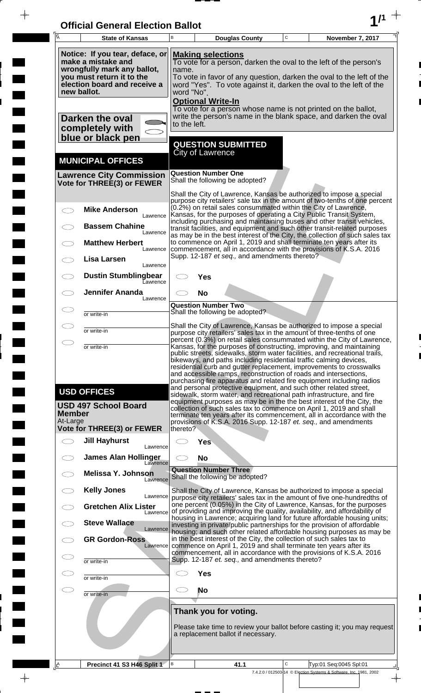| <b>Official General Election Ballot</b> |  |
|-----------------------------------------|--|
|                                         |  |

 $\overline{\phantom{a}}$ 

 $\blacksquare$ 

 $\overline{\phantom{a}}$ 

 $\blacksquare$ 

 $\frac{1}{2}$ 

 $\frac{1}{\sqrt{2\pi}}$ 

| $\overline{\mathsf{A}}$   | <b>State of Kansas</b>                                                                                                                                           | B                                                                                                                                                                                                                                                                                                                                                                                                                                                                                                                  |                                                                 | <b>Douglas County</b>                          | $\mathbf C$ | November 7, 2017                                                                                                                                                                                                                                                                                                                                                                  |
|---------------------------|------------------------------------------------------------------------------------------------------------------------------------------------------------------|--------------------------------------------------------------------------------------------------------------------------------------------------------------------------------------------------------------------------------------------------------------------------------------------------------------------------------------------------------------------------------------------------------------------------------------------------------------------------------------------------------------------|-----------------------------------------------------------------|------------------------------------------------|-------------|-----------------------------------------------------------------------------------------------------------------------------------------------------------------------------------------------------------------------------------------------------------------------------------------------------------------------------------------------------------------------------------|
|                           | Notice: If you tear, deface, or<br>make a mistake and<br>wrongfully mark any ballot,<br>you must return it to the<br>election board and receive a<br>new ballot. | <b>Making selections</b><br>To vote for a person, darken the oval to the left of the person's<br>name.<br>To vote in favor of any question, darken the oval to the left of the<br>word "Yes". To vote against it, darken the oval to the left of the<br>word "No".                                                                                                                                                                                                                                                 |                                                                 |                                                |             |                                                                                                                                                                                                                                                                                                                                                                                   |
|                           | Darken the oval<br>completely with<br>blue or black pen                                                                                                          | to the left.                                                                                                                                                                                                                                                                                                                                                                                                                                                                                                       | <b>Optional Write-In</b>                                        |                                                |             | To vote for a person whose name is not printed on the ballot,<br>write the person's name in the blank space, and darken the oval                                                                                                                                                                                                                                                  |
|                           | <b>MUNICIPAL OFFICES</b>                                                                                                                                         |                                                                                                                                                                                                                                                                                                                                                                                                                                                                                                                    | <b>QUESTION SUBMITTED</b><br><b>City of Lawrence</b>            |                                                |             |                                                                                                                                                                                                                                                                                                                                                                                   |
|                           | <b>Lawrence City Commission</b><br>Vote for THREE(3) or FEWER                                                                                                    |                                                                                                                                                                                                                                                                                                                                                                                                                                                                                                                    | <b>Question Number One</b><br>Shall the following be adopted?   |                                                |             |                                                                                                                                                                                                                                                                                                                                                                                   |
|                           | <b>Mike Anderson</b><br>Lawrence                                                                                                                                 |                                                                                                                                                                                                                                                                                                                                                                                                                                                                                                                    |                                                                 |                                                |             | Shall the City of Lawrence, Kansas be authorized to impose a special<br>purpose city retailers' sale tax in the amount of two-tenths of one percent<br>(0.2%) on retail sales consummated within the City of Lawrence,<br>Kansas, for the purposes of operating a City Public Transit System,                                                                                     |
|                           | <b>Bassem Chahine</b><br>Lawrence<br><b>Matthew Herbert</b><br>Lawrence                                                                                          |                                                                                                                                                                                                                                                                                                                                                                                                                                                                                                                    |                                                                 |                                                |             | including purchasing and maintaining buses and other transit vehicles,<br>transit facilities, and equipment and such other transit-related purposes<br>as may be in the best interest of the City, the collection of such sales tax<br>to commence on April 1, 2019 and shall terminate ten years after its<br>commencement, all in accordance with the provisions of K.S.A. 2016 |
|                           | Lisa Larsen<br>Lawrence                                                                                                                                          |                                                                                                                                                                                                                                                                                                                                                                                                                                                                                                                    |                                                                 | Supp. 12-187 et seq., and amendments thereto?  |             |                                                                                                                                                                                                                                                                                                                                                                                   |
|                           | <b>Dustin Stumblingbear</b><br>Eawrence<br><b>Jennifer Ananda</b><br>Lawrence                                                                                    |                                                                                                                                                                                                                                                                                                                                                                                                                                                                                                                    | Yes<br><b>No</b>                                                |                                                |             |                                                                                                                                                                                                                                                                                                                                                                                   |
|                           | or write-in                                                                                                                                                      |                                                                                                                                                                                                                                                                                                                                                                                                                                                                                                                    | <b>Question Number Two</b><br>Shall the following be adopted?   |                                                |             |                                                                                                                                                                                                                                                                                                                                                                                   |
| $\bigcirc$                | or write-in                                                                                                                                                      |                                                                                                                                                                                                                                                                                                                                                                                                                                                                                                                    |                                                                 |                                                |             | Shall the City of Lawrence, Kansas be authorized to impose a special<br>purpose city retailers' sales tax in the amount of three-tenths of one<br>percent (0.3%) on retail sales consummated within the City of Lawrence,                                                                                                                                                         |
|                           | or write-in                                                                                                                                                      | Kansas, for the purposes of constructing, improving, and maintaining<br>public streets, sidewalks, storm water facilities, and recreational trails,<br>bikeways, and paths including residential traffic calming devices,<br>residential curb and gutter replacement, improvements to crosswalks<br>and accessible ramps, reconstruction of roads and intersections,<br>purchasing fire apparatus and related fire equipment including radios<br>and personal protective equipment, and such other related street, |                                                                 |                                                |             |                                                                                                                                                                                                                                                                                                                                                                                   |
| <b>Member</b><br>At-Large | <b>USD OFFICES</b><br><b>USD 497 School Board</b>                                                                                                                |                                                                                                                                                                                                                                                                                                                                                                                                                                                                                                                    |                                                                 |                                                |             | sidewalk, storm water, and recreational path infrastructure, and fire<br>equipment purposes as may be in the the best interest of the City, the<br>collection of such sales tax to commence on April 1, 2019 and shall<br>terminate ten years after its commencement, all in accordance with the<br>provisions of K.S.A. 2016 Supp. 12-187 et. seq., and amendments               |
|                           | Vote for THREE(3) or FEWER<br><b>Jill Hayhurst</b>                                                                                                               | thereto?                                                                                                                                                                                                                                                                                                                                                                                                                                                                                                           | <b>Yes</b>                                                      |                                                |             |                                                                                                                                                                                                                                                                                                                                                                                   |
|                           | Lawrence<br><b>James Alan Hollinger</b><br>Lawrence                                                                                                              |                                                                                                                                                                                                                                                                                                                                                                                                                                                                                                                    | <b>No</b>                                                       |                                                |             |                                                                                                                                                                                                                                                                                                                                                                                   |
|                           | <b>Melissa Y. Johnson</b><br>Lawrence                                                                                                                            |                                                                                                                                                                                                                                                                                                                                                                                                                                                                                                                    | <b>Question Number Three</b><br>Shall the following be adopted? |                                                |             |                                                                                                                                                                                                                                                                                                                                                                                   |
|                           | <b>Kelly Jones</b><br>Lawrence<br><b>Gretchen Alix Lister</b>                                                                                                    |                                                                                                                                                                                                                                                                                                                                                                                                                                                                                                                    |                                                                 |                                                |             | Shall the City of Lawrence, Kansas be authorized to impose a special<br>purpose city retailers' sales tax in the amount of five one-hundredths of<br>one percent (0.05%) in the City of Lawrence, Kansas, for the purposes                                                                                                                                                        |
|                           | Lawrence<br><b>Steve Wallace</b><br>Lawrence                                                                                                                     |                                                                                                                                                                                                                                                                                                                                                                                                                                                                                                                    |                                                                 |                                                |             | of providing and improving the quality, availability, and affordability of<br>housing in Lawrence; acquiring land for future affordable housing units;<br>investing in private/public partnerships for the provision of affordable                                                                                                                                                |
|                           | <b>GR Gordon-Ross</b><br>Lawrence                                                                                                                                |                                                                                                                                                                                                                                                                                                                                                                                                                                                                                                                    |                                                                 |                                                |             | housing; and such other related affordable housing purposes as may be<br>in the best interest of the City, the collection of such sales tax to<br>commence on April 1, 2019 and shall terminate ten years after its                                                                                                                                                               |
|                           | or write-in                                                                                                                                                      |                                                                                                                                                                                                                                                                                                                                                                                                                                                                                                                    |                                                                 | Supp. 12-187 et. seq., and amendments thereto? |             | commencement, all in accordance with the provisions of K.S.A. 2016                                                                                                                                                                                                                                                                                                                |
| CD                        | or write-in                                                                                                                                                      |                                                                                                                                                                                                                                                                                                                                                                                                                                                                                                                    | <b>Yes</b><br>No                                                |                                                |             |                                                                                                                                                                                                                                                                                                                                                                                   |
|                           | or write-in                                                                                                                                                      |                                                                                                                                                                                                                                                                                                                                                                                                                                                                                                                    | Thank you for voting.                                           | a replacement ballot if necessary.             |             | Please take time to review your ballot before casting it; you may request                                                                                                                                                                                                                                                                                                         |
|                           |                                                                                                                                                                  |                                                                                                                                                                                                                                                                                                                                                                                                                                                                                                                    |                                                                 |                                                | C           |                                                                                                                                                                                                                                                                                                                                                                                   |
| <u>A</u>                  | Precinct 41 S3 H46 Split 1                                                                                                                                       | В                                                                                                                                                                                                                                                                                                                                                                                                                                                                                                                  |                                                                 | 41.1                                           |             | Typ:01 Seq:0045 Spl:01<br>7.4.2.0 / 012503-14 © Election Systems & Software, Inc. 1981, 2002                                                                                                                                                                                                                                                                                      |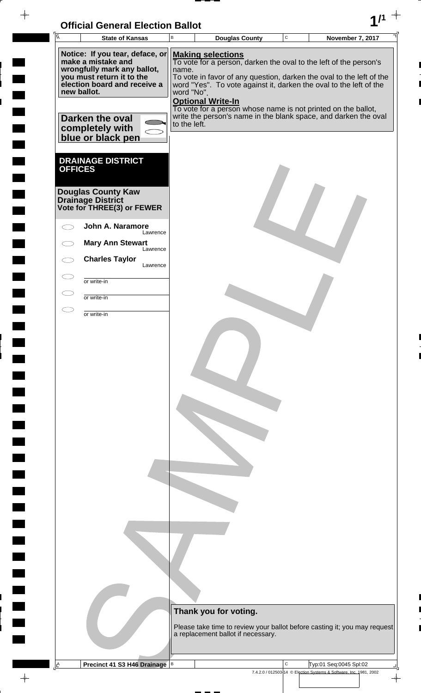| <b>Official General Election Ballot</b> |  |
|-----------------------------------------|--|
|                                         |  |

 $\blacksquare$ 

 $\blacksquare$ 

 $\Box$ 

 $\begin{array}{c} \begin{array}{c} \hline \end{array} \end{array}$ 

 $\blacksquare$ 

 $\blacksquare$ 

 $\blacksquare$ 

 $\blacksquare$ 

 $\blacksquare$ 

 $\blacksquare$ 

 $\frac{1}{\sqrt{2\pi}}\int_{0}^{\pi}\frac{1}{\sqrt{2\pi}}\left( \frac{1}{\sqrt{2\pi}}\right) \frac{d\mu}{d\mu}d\mu$ 

| Univial Ochelal Liethun Dallut<br>Īā<br><b>State of Kansas</b>                       | $\mathbf C$<br>В<br><b>November 7, 2017</b><br><b>Douglas County</b>                                                                                     |
|--------------------------------------------------------------------------------------|----------------------------------------------------------------------------------------------------------------------------------------------------------|
|                                                                                      |                                                                                                                                                          |
| Notice: If you tear, deface, or<br>make a mistake and<br>wrongfully mark any ballot, | <b>Making selections</b><br>To vote for a person, darken the oval to the left of the person's<br>name.                                                   |
| you must return it to the<br>election board and receive a<br>new ballot.             | To vote in favor of any question, darken the oval to the left of the<br>word "Yes". To vote against it, darken the oval to the left of the<br>word "No". |
|                                                                                      | <b>Optional Write-In</b><br>To vote for a person whose name is not printed on the ballot,                                                                |
| Darken the oval<br>completely with                                                   | write the person's name in the blank space, and darken the oval<br>to the left.                                                                          |
| blue or black pen                                                                    |                                                                                                                                                          |
| <b>DRAINAGE DISTRICT</b><br><b>OFFICES</b>                                           |                                                                                                                                                          |
|                                                                                      |                                                                                                                                                          |
| <b>Douglas County Kaw</b><br>Drainage District<br>Vote for THREE(3) or FEWER         |                                                                                                                                                          |
| John A. Naramore<br>Lawrence                                                         |                                                                                                                                                          |
| <b>Mary Ann Stewart</b><br>Lawrence                                                  |                                                                                                                                                          |
| <b>Charles Taylor</b><br>Lawrence                                                    |                                                                                                                                                          |
| or write-in                                                                          |                                                                                                                                                          |
| or write-in                                                                          |                                                                                                                                                          |
| or write-in                                                                          |                                                                                                                                                          |
|                                                                                      |                                                                                                                                                          |
|                                                                                      |                                                                                                                                                          |
|                                                                                      |                                                                                                                                                          |
|                                                                                      |                                                                                                                                                          |
|                                                                                      |                                                                                                                                                          |
|                                                                                      |                                                                                                                                                          |
|                                                                                      |                                                                                                                                                          |
|                                                                                      |                                                                                                                                                          |
|                                                                                      |                                                                                                                                                          |
|                                                                                      |                                                                                                                                                          |
|                                                                                      |                                                                                                                                                          |
|                                                                                      |                                                                                                                                                          |
|                                                                                      |                                                                                                                                                          |
|                                                                                      |                                                                                                                                                          |
|                                                                                      |                                                                                                                                                          |
|                                                                                      |                                                                                                                                                          |
|                                                                                      |                                                                                                                                                          |
|                                                                                      |                                                                                                                                                          |
|                                                                                      | Thank you for voting.                                                                                                                                    |
|                                                                                      | Please take time to review your ballot before casting it; you may request                                                                                |
|                                                                                      | a replacement ballot if necessary.                                                                                                                       |
|                                                                                      |                                                                                                                                                          |
| A<br>Precinct 41 S3 H46 Drainage                                                     | C<br>$\,$ B<br>Typ:01 Seq:0045 Spl:02<br>7.4.2.0 / 012503-14 © Election Systems & Software, Inc. 1981, 2002                                              |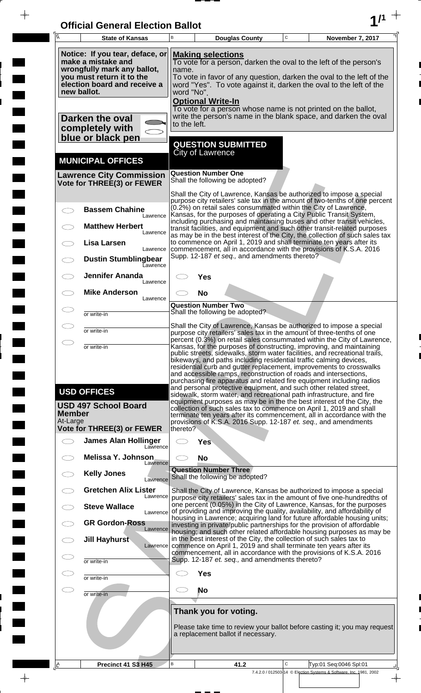| <b>Official General Election Ballot</b> |  |
|-----------------------------------------|--|
|                                         |  |

 $\frac{1}{\frac{1}{\sqrt{2}}}$ 

 $\blacksquare$ 

 $\begin{array}{c} \hline \end{array}$ 

 $\frac{1}{\sqrt{2\pi}}$ 

 $\Box$ 

| 瓦                                                                                                                                                                                                           | <b>State of Kansas</b>                                                                                                                            | B                                                                                                                                                                                                                                                                                                                                                                                                                                                                                                                                                                                             | <b>Douglas County</b>                                                                                                                                                                                                                                                                                                                                               | $\mathbf C$ | November 7, 2017                                                        |  |  |
|-------------------------------------------------------------------------------------------------------------------------------------------------------------------------------------------------------------|---------------------------------------------------------------------------------------------------------------------------------------------------|-----------------------------------------------------------------------------------------------------------------------------------------------------------------------------------------------------------------------------------------------------------------------------------------------------------------------------------------------------------------------------------------------------------------------------------------------------------------------------------------------------------------------------------------------------------------------------------------------|---------------------------------------------------------------------------------------------------------------------------------------------------------------------------------------------------------------------------------------------------------------------------------------------------------------------------------------------------------------------|-------------|-------------------------------------------------------------------------|--|--|
| new ballot.                                                                                                                                                                                                 | Notice: If you tear, deface, or<br>make a mistake and<br>wrongfully mark any ballot,<br>you must return it to the<br>election board and receive a | <b>Making selections</b><br>To vote for a person, darken the oval to the left of the person's<br>name.<br>To vote in favor of any question, darken the oval to the left of the<br>word "Yes". To vote against it, darken the oval to the left of the<br>word "No".<br><b>Optional Write-In</b>                                                                                                                                                                                                                                                                                                |                                                                                                                                                                                                                                                                                                                                                                     |             |                                                                         |  |  |
| To vote for a person whose name is not printed on the ballot,<br>write the person's name in the blank space, and darken the oval<br>Darken the oval<br>to the left.<br>completely with<br>blue or black pen |                                                                                                                                                   |                                                                                                                                                                                                                                                                                                                                                                                                                                                                                                                                                                                               |                                                                                                                                                                                                                                                                                                                                                                     |             |                                                                         |  |  |
|                                                                                                                                                                                                             |                                                                                                                                                   |                                                                                                                                                                                                                                                                                                                                                                                                                                                                                                                                                                                               | <b>QUESTION SUBMITTED</b><br><b>City of Lawrence</b>                                                                                                                                                                                                                                                                                                                |             |                                                                         |  |  |
|                                                                                                                                                                                                             | <b>MUNICIPAL OFFICES</b><br><b>Lawrence City Commission</b><br>Vote for THREE(3) or FEWER                                                         |                                                                                                                                                                                                                                                                                                                                                                                                                                                                                                                                                                                               | <b>Question Number One</b><br>Shall the following be adopted?                                                                                                                                                                                                                                                                                                       |             |                                                                         |  |  |
|                                                                                                                                                                                                             |                                                                                                                                                   |                                                                                                                                                                                                                                                                                                                                                                                                                                                                                                                                                                                               | Shall the City of Lawrence, Kansas be authorized to impose a special<br>purpose city retailers' sale tax in the amount of two-tenths of one percent                                                                                                                                                                                                                 |             |                                                                         |  |  |
|                                                                                                                                                                                                             | <b>Bassem Chahine</b><br>Lawrence                                                                                                                 |                                                                                                                                                                                                                                                                                                                                                                                                                                                                                                                                                                                               | (0.2%) on retail sales consummated within the City of Lawrence,<br>Kansas, for the purposes of operating a City Public Transit System,<br>including purchasing and maintaining buses and other transit vehicles,                                                                                                                                                    |             |                                                                         |  |  |
|                                                                                                                                                                                                             | <b>Matthew Herbert</b><br>Lawrence<br>Lisa Larsen                                                                                                 |                                                                                                                                                                                                                                                                                                                                                                                                                                                                                                                                                                                               | transit facilities, and equipment and such other transit-related purposes<br>as may be in the best interest of the City, the collection of such sales tax<br>to commence on April 1, 2019 and shall terminate ten years after its                                                                                                                                   |             |                                                                         |  |  |
|                                                                                                                                                                                                             | Lawrence<br><b>Dustin Stumblingbear</b><br><b>Lawrence</b>                                                                                        |                                                                                                                                                                                                                                                                                                                                                                                                                                                                                                                                                                                               | commencement, all in accordance with the provisions of K.S.A. 2016<br>Supp. 12-187 et seq., and amendments thereto?                                                                                                                                                                                                                                                 |             |                                                                         |  |  |
|                                                                                                                                                                                                             | <b>Jennifer Ananda</b><br>Lawrence                                                                                                                |                                                                                                                                                                                                                                                                                                                                                                                                                                                                                                                                                                                               | Yes                                                                                                                                                                                                                                                                                                                                                                 |             |                                                                         |  |  |
|                                                                                                                                                                                                             | <b>Mike Anderson</b><br>Lawrence                                                                                                                  |                                                                                                                                                                                                                                                                                                                                                                                                                                                                                                                                                                                               | <b>No</b>                                                                                                                                                                                                                                                                                                                                                           |             |                                                                         |  |  |
|                                                                                                                                                                                                             | or write-in                                                                                                                                       |                                                                                                                                                                                                                                                                                                                                                                                                                                                                                                                                                                                               | <b>Question Number Two</b><br>Shall the following be adopted?                                                                                                                                                                                                                                                                                                       |             |                                                                         |  |  |
| ⌒                                                                                                                                                                                                           | or write-in                                                                                                                                       |                                                                                                                                                                                                                                                                                                                                                                                                                                                                                                                                                                                               | Shall the City of Lawrence, Kansas be authorized to impose a special<br>purpose city retailers' sales tax in the amount of three-tenths of one                                                                                                                                                                                                                      |             |                                                                         |  |  |
|                                                                                                                                                                                                             | or write-in<br><b>USD OFFICES</b>                                                                                                                 | percent (0.3%) on retail sales consummated within the City of Lawrence,<br>Kansas, for the purposes of constructing, improving, and maintaining<br>public streets, sidewalks, storm water facilities, and recreational trails,<br>bikeways, and paths including residential traffic calming devices,<br>residential curb and gutter replacement, improvements to crosswalks<br>and accessible ramps, reconstruction of roads and intersections,<br>purchasing fire apparatus and related fire equipment including radios<br>and personal protective equipment, and such other related street, |                                                                                                                                                                                                                                                                                                                                                                     |             |                                                                         |  |  |
| Member<br>At-Large                                                                                                                                                                                          | <b>USD 497 School Board</b><br>Vote for THREE(3) or FEWER                                                                                         | thereto?                                                                                                                                                                                                                                                                                                                                                                                                                                                                                                                                                                                      | sidewalk, storm water, and recreational path infrastructure, and fire<br>equipment purposes as may be in the the best interest of the City, the<br>collection of such sales tax to commence on April 1, 2019 and shall<br>terminate ten years after its commencement, all in accordance with the<br>provisions of K.S.A. 2016 Supp. 12-187 et. seq., and amendments |             |                                                                         |  |  |
| $\bigcirc$                                                                                                                                                                                                  | <b>James Alan Hollinger</b><br>Lawrence                                                                                                           |                                                                                                                                                                                                                                                                                                                                                                                                                                                                                                                                                                                               | Yes                                                                                                                                                                                                                                                                                                                                                                 |             |                                                                         |  |  |
|                                                                                                                                                                                                             | <b>Melissa Y. Johnson</b><br>Lawrence                                                                                                             | C.                                                                                                                                                                                                                                                                                                                                                                                                                                                                                                                                                                                            | <b>No</b>                                                                                                                                                                                                                                                                                                                                                           |             |                                                                         |  |  |
|                                                                                                                                                                                                             | <b>Kelly Jones</b><br>Lawrence                                                                                                                    |                                                                                                                                                                                                                                                                                                                                                                                                                                                                                                                                                                                               | <b>Question Number Three</b><br>Shall the following be adopted?                                                                                                                                                                                                                                                                                                     |             |                                                                         |  |  |
|                                                                                                                                                                                                             | <b>Gretchen Alix Lister</b><br>Lawrence                                                                                                           |                                                                                                                                                                                                                                                                                                                                                                                                                                                                                                                                                                                               | Shall the City of Lawrence, Kansas be authorized to impose a special<br>purpose city retailers' sales tax in the amount of five one-hundredths of                                                                                                                                                                                                                   |             |                                                                         |  |  |
|                                                                                                                                                                                                             | <b>Steve Wallace</b><br>Lawrence                                                                                                                  |                                                                                                                                                                                                                                                                                                                                                                                                                                                                                                                                                                                               | one percent (0.05%) in the City of Lawrence, Kansas, for the purposes<br>of providing and improving the quality, availability, and affordability of<br>housing in Lawrence; acquiring land for future affordable housing units;                                                                                                                                     |             |                                                                         |  |  |
|                                                                                                                                                                                                             | <b>GR Gordon-Ross</b><br>Lawrence<br><b>Jill Hayhurst</b>                                                                                         |                                                                                                                                                                                                                                                                                                                                                                                                                                                                                                                                                                                               | investing in private/public partnerships for the provision of affordable<br>housing; and such other related affordable housing purposes as may be<br>in the best interest of the City, the collection of such sales tax to                                                                                                                                          |             |                                                                         |  |  |
| Œ                                                                                                                                                                                                           | Lawrence<br>or write-in                                                                                                                           |                                                                                                                                                                                                                                                                                                                                                                                                                                                                                                                                                                                               | commence on April 1, 2019 and shall terminate ten years after its<br>commencement, all in accordance with the provisions of K.S.A. 2016<br>Supp. 12-187 et. seq., and amendments thereto?                                                                                                                                                                           |             |                                                                         |  |  |
| Œ                                                                                                                                                                                                           | or write-in                                                                                                                                       |                                                                                                                                                                                                                                                                                                                                                                                                                                                                                                                                                                                               | Yes                                                                                                                                                                                                                                                                                                                                                                 |             |                                                                         |  |  |
| $\subset$ $\supset$                                                                                                                                                                                         | or write-in                                                                                                                                       | C.                                                                                                                                                                                                                                                                                                                                                                                                                                                                                                                                                                                            | <b>No</b>                                                                                                                                                                                                                                                                                                                                                           |             |                                                                         |  |  |
|                                                                                                                                                                                                             |                                                                                                                                                   | Thank you for voting.<br>Please take time to review your ballot before casting it; you may request<br>a replacement ballot if necessary.                                                                                                                                                                                                                                                                                                                                                                                                                                                      |                                                                                                                                                                                                                                                                                                                                                                     |             |                                                                         |  |  |
| <u>ے ا</u>                                                                                                                                                                                                  | Precinct 41 S3 H45                                                                                                                                | В                                                                                                                                                                                                                                                                                                                                                                                                                                                                                                                                                                                             | 41.2                                                                                                                                                                                                                                                                                                                                                                | C           | Typ:01 Seg:0046 Spl:01                                                  |  |  |
|                                                                                                                                                                                                             |                                                                                                                                                   |                                                                                                                                                                                                                                                                                                                                                                                                                                                                                                                                                                                               |                                                                                                                                                                                                                                                                                                                                                                     |             | 7.4.2.0 / 012503-14 © Election Systems & Software, Inc. 1981, 2002<br>♦ |  |  |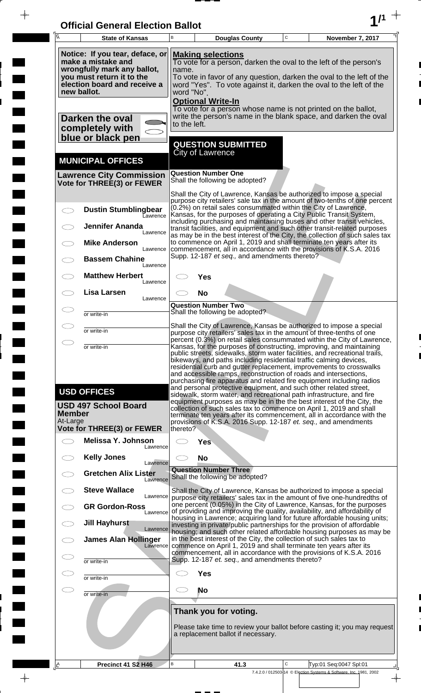| <b>Official General Election Ballot</b> |  |
|-----------------------------------------|--|
|                                         |  |

 $\overline{\phantom{a}}$ 

 $\blacksquare$ 

 $\overline{\phantom{a}}$ 

 $\blacksquare$ 

 $\frac{1}{2}$ 

 $\frac{1}{\sqrt{2\pi}}$ 

| $\overline{\mathsf{A}}$ | <b>State of Kansas</b>                                                                                                                                                                                                                                                                                                                                                                                                                                                                                                                                                                                                                                                                                                                                                                                                                                         | B            | <b>Douglas County</b>                                                                                                                                                                                                                                                                                    | $\mathbf C$ | November 7, 2017                                                                               |
|-------------------------|----------------------------------------------------------------------------------------------------------------------------------------------------------------------------------------------------------------------------------------------------------------------------------------------------------------------------------------------------------------------------------------------------------------------------------------------------------------------------------------------------------------------------------------------------------------------------------------------------------------------------------------------------------------------------------------------------------------------------------------------------------------------------------------------------------------------------------------------------------------|--------------|----------------------------------------------------------------------------------------------------------------------------------------------------------------------------------------------------------------------------------------------------------------------------------------------------------|-------------|------------------------------------------------------------------------------------------------|
|                         | Notice: If you tear, deface, or<br><b>Making selections</b><br>make a mistake and<br>To vote for a person, darken the oval to the left of the person's<br>wrongfully mark any ballot,<br>name.<br>you must return it to the<br>To vote in favor of any question, darken the oval to the left of the<br>election board and receive a<br>word "Yes". To vote against it, darken the oval to the left of the<br>new ballot.<br>word "No".<br><b>Optional Write-In</b>                                                                                                                                                                                                                                                                                                                                                                                             |              |                                                                                                                                                                                                                                                                                                          |             |                                                                                                |
|                         | Darken the oval<br>completely with<br>blue or black pen                                                                                                                                                                                                                                                                                                                                                                                                                                                                                                                                                                                                                                                                                                                                                                                                        | to the left. | To vote for a person whose name is not printed on the ballot,<br>write the person's name in the blank space, and darken the oval                                                                                                                                                                         |             |                                                                                                |
|                         | <b>MUNICIPAL OFFICES</b>                                                                                                                                                                                                                                                                                                                                                                                                                                                                                                                                                                                                                                                                                                                                                                                                                                       |              | <b>QUESTION SUBMITTED</b><br><b>City of Lawrence</b>                                                                                                                                                                                                                                                     |             |                                                                                                |
|                         | <b>Lawrence City Commission</b><br>Vote for THREE(3) or FEWER                                                                                                                                                                                                                                                                                                                                                                                                                                                                                                                                                                                                                                                                                                                                                                                                  |              | <b>Question Number One</b><br>Shall the following be adopted?                                                                                                                                                                                                                                            |             |                                                                                                |
|                         | <b>Dustin Stumblingbear</b><br>Lawrence                                                                                                                                                                                                                                                                                                                                                                                                                                                                                                                                                                                                                                                                                                                                                                                                                        |              | Shall the City of Lawrence, Kansas be authorized to impose a special<br>(0.2%) on retail sales consummated within the City of Lawrence,<br>Kansas, for the purposes of operating a City Public Transit System,                                                                                           |             | purpose city retailers' sale tax in the amount of two-tenths of one percent                    |
|                         | <b>Jennifer Ananda</b><br>Lawrence                                                                                                                                                                                                                                                                                                                                                                                                                                                                                                                                                                                                                                                                                                                                                                                                                             |              | including purchasing and maintaining buses and other transit vehicles,<br>transit facilities, and equipment and such other transit-related purposes<br>as may be in the best interest of the City, the collection of such sales tax                                                                      |             |                                                                                                |
|                         | <b>Mike Anderson</b><br>Lawrence<br><b>Bassem Chahine</b><br>Lawrence                                                                                                                                                                                                                                                                                                                                                                                                                                                                                                                                                                                                                                                                                                                                                                                          |              | to commence on April 1, 2019 and shall terminate ten years after its<br>commencement, all in accordance with the provisions of K.S.A. 2016<br>Supp. 12-187 et seq., and amendments thereto?                                                                                                              |             |                                                                                                |
|                         | <b>Matthew Herbert</b><br>Lawrence                                                                                                                                                                                                                                                                                                                                                                                                                                                                                                                                                                                                                                                                                                                                                                                                                             |              | Yes                                                                                                                                                                                                                                                                                                      |             |                                                                                                |
|                         | <b>Lisa Larsen</b><br>Lawrence                                                                                                                                                                                                                                                                                                                                                                                                                                                                                                                                                                                                                                                                                                                                                                                                                                 |              | <b>No</b><br><b>Question Number Two</b><br>Shall the following be adopted?                                                                                                                                                                                                                               |             |                                                                                                |
|                         | or write-in                                                                                                                                                                                                                                                                                                                                                                                                                                                                                                                                                                                                                                                                                                                                                                                                                                                    |              | Shall the City of Lawrence, Kansas be authorized to impose a special                                                                                                                                                                                                                                     |             |                                                                                                |
| $\bigcirc$              | or write-in<br>or write-in                                                                                                                                                                                                                                                                                                                                                                                                                                                                                                                                                                                                                                                                                                                                                                                                                                     |              | purpose city retailers' sales tax in the amount of three-tenths of one<br>percent (0.3%) on retail sales consummated within the City of Lawrence,<br>Kansas, for the purposes of constructing, improving, and maintaining<br>public streets, sidewalks, storm water facilities, and recreational trails, |             |                                                                                                |
|                         | bikeways, and paths including residential traffic calming devices,<br>residential curb and gutter replacement, improvements to crosswalks<br>and accessible ramps, reconstruction of roads and intersections,<br>purchasing fire apparatus and related fire equipment including radios<br>and personal protective equipment, and such other related street,<br><b>USD OFFICES</b><br>sidewalk, storm water, and recreational path infrastructure, and fire<br>equipment purposes as may be in the the best interest of the City, the<br><b>USD 497 School Board</b><br>collection of such sales tax to commence on April 1, 2019 and shall<br><b>Member</b><br>terminate ten years after its commencement, all in accordance with the<br>At-Large<br>provisions of K.S.A. 2016 Supp. 12-187 et. seq., and amendments<br>Vote for THREE(3) or FEWER<br>thereto? |              |                                                                                                                                                                                                                                                                                                          |             |                                                                                                |
| $\frown$                | Melissa Y. Johnson<br>Lawrence                                                                                                                                                                                                                                                                                                                                                                                                                                                                                                                                                                                                                                                                                                                                                                                                                                 |              | <b>Yes</b>                                                                                                                                                                                                                                                                                               |             |                                                                                                |
|                         | <b>Kelly Jones</b><br>Lawrence                                                                                                                                                                                                                                                                                                                                                                                                                                                                                                                                                                                                                                                                                                                                                                                                                                 |              | <b>No</b>                                                                                                                                                                                                                                                                                                |             |                                                                                                |
|                         | <b>Gretchen Alix Lister</b><br>Lawrence                                                                                                                                                                                                                                                                                                                                                                                                                                                                                                                                                                                                                                                                                                                                                                                                                        |              | <b>Question Number Three</b><br>Shall the following be adopted?                                                                                                                                                                                                                                          |             |                                                                                                |
|                         | <b>Steve Wallace</b><br>Lawrence<br><b>GR Gordon-Ross</b><br>Lawrence                                                                                                                                                                                                                                                                                                                                                                                                                                                                                                                                                                                                                                                                                                                                                                                          |              | Shall the City of Lawrence, Kansas be authorized to impose a special<br>purpose city retailers' sales tax in the amount of five one-hundredths of<br>one percent (0.05%) in the City of Lawrence, Kansas, for the purposes<br>of providing and improving the quality, availability, and affordability of |             |                                                                                                |
|                         | <b>Jill Hayhurst</b><br>Lawrence                                                                                                                                                                                                                                                                                                                                                                                                                                                                                                                                                                                                                                                                                                                                                                                                                               |              | housing in Lawrence; acquiring land for future affordable housing units;<br>investing in private/public partnerships for the provision of affordable<br>housing, and such other related affordable housing purposes as may be                                                                            |             |                                                                                                |
|                         | <b>James Alan Hollinger</b><br>Lawrence                                                                                                                                                                                                                                                                                                                                                                                                                                                                                                                                                                                                                                                                                                                                                                                                                        |              | in the best interest of the City, the collection of such sales tax to<br>commence on April 1, 2019 and shall terminate ten years after its<br>commencement, all in accordance with the provisions of K.S.A. 2016<br>Supp. 12-187 et. seq., and amendments thereto?                                       |             |                                                                                                |
|                         | or write-in<br>or write-in                                                                                                                                                                                                                                                                                                                                                                                                                                                                                                                                                                                                                                                                                                                                                                                                                                     |              | <b>Yes</b>                                                                                                                                                                                                                                                                                               |             |                                                                                                |
| CD                      | or write-in                                                                                                                                                                                                                                                                                                                                                                                                                                                                                                                                                                                                                                                                                                                                                                                                                                                    |              | No                                                                                                                                                                                                                                                                                                       |             |                                                                                                |
|                         |                                                                                                                                                                                                                                                                                                                                                                                                                                                                                                                                                                                                                                                                                                                                                                                                                                                                |              | Thank you for voting.<br>a replacement ballot if necessary.                                                                                                                                                                                                                                              |             | Please take time to review your ballot before casting it; you may request                      |
| ¦ ≜                     | Precinct 41 S2 H46                                                                                                                                                                                                                                                                                                                                                                                                                                                                                                                                                                                                                                                                                                                                                                                                                                             | B            | 41.3                                                                                                                                                                                                                                                                                                     | C           | Typ:01 Seq:0047 Spl:01                                                                         |
|                         |                                                                                                                                                                                                                                                                                                                                                                                                                                                                                                                                                                                                                                                                                                                                                                                                                                                                |              |                                                                                                                                                                                                                                                                                                          |             | 7.4.2.0 / 012503-14 © Election Systems & Software, Inc. 1981, 2002<br>$\overline{\phantom{a}}$ |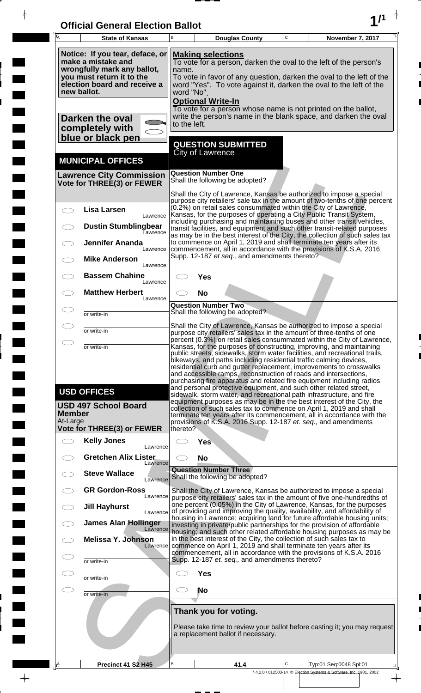| <b>Official General Election Ballot</b> |  |
|-----------------------------------------|--|
|                                         |  |

 $\overline{\phantom{a}}$ 

 $\blacksquare$ 

 $\overline{\phantom{a}}$ 

 $\blacksquare$ 

 $\frac{1}{2}$ 

 $\frac{1}{\sqrt{2\pi}}$ 

| Ā                         | <b>State of Kansas</b>                                                                                                                                           | B                   | <b>Douglas County</b>                                                 | $\mathbf C$  | November 7, 2017                                                                                                                                                                                                                                                                                                                                                                                                                                                                                                   |
|---------------------------|------------------------------------------------------------------------------------------------------------------------------------------------------------------|---------------------|-----------------------------------------------------------------------|--------------|--------------------------------------------------------------------------------------------------------------------------------------------------------------------------------------------------------------------------------------------------------------------------------------------------------------------------------------------------------------------------------------------------------------------------------------------------------------------------------------------------------------------|
|                           | Notice: If you tear, deface, or<br>make a mistake and<br>wrongfully mark any ballot,<br>you must return it to the<br>election board and receive a<br>new ballot. | name.<br>word "No". | <b>Making selections</b><br><b>Optional Write-In</b>                  |              | To vote for a person, darken the oval to the left of the person's<br>To vote in favor of any question, darken the oval to the left of the<br>word "Yes". To vote against it, darken the oval to the left of the                                                                                                                                                                                                                                                                                                    |
|                           | <b>Darken the oval</b><br>completely with<br>blue or black pen                                                                                                   | to the left.        |                                                                       |              | To vote for a person whose name is not printed on the ballot,<br>write the person's name in the blank space, and darken the oval                                                                                                                                                                                                                                                                                                                                                                                   |
|                           |                                                                                                                                                                  |                     | <b>QUESTION SUBMITTED</b><br><b>City of Lawrence</b>                  |              |                                                                                                                                                                                                                                                                                                                                                                                                                                                                                                                    |
|                           | <b>MUNICIPAL OFFICES</b><br><b>Lawrence City Commission</b><br>Vote for THREE(3) or FEWER                                                                        |                     | <b>Question Number One</b><br>Shall the following be adopted?         |              |                                                                                                                                                                                                                                                                                                                                                                                                                                                                                                                    |
|                           |                                                                                                                                                                  |                     |                                                                       |              | Shall the City of Lawrence, Kansas be authorized to impose a special<br>purpose city retailers' sale tax in the amount of two-tenths of one percent                                                                                                                                                                                                                                                                                                                                                                |
| $\subset$                 | <b>Lisa Larsen</b><br>Lawrence<br><b>Dustin Stumblingbear</b>                                                                                                    |                     | (0.2%) on retail sales consummated within the City of Lawrence,       |              | Kansas, for the purposes of operating a City Public Transit System,<br>including purchasing and maintaining buses and other transit vehicles,<br>transit facilities, and equipment and such other transit-related purposes                                                                                                                                                                                                                                                                                         |
|                           | Lawrence<br><b>Jennifer Ananda</b>                                                                                                                               |                     |                                                                       |              | as may be in the best interest of the City, the collection of such sales tax<br>to commence on April 1, 2019 and shall terminate ten years after its                                                                                                                                                                                                                                                                                                                                                               |
|                           | Lawrence<br><b>Mike Anderson</b><br>Lawrence                                                                                                                     |                     | Supp. 12-187 et seq., and amendments thereto?                         |              | commencement, all in accordance with the provisions of K.S.A. 2016                                                                                                                                                                                                                                                                                                                                                                                                                                                 |
|                           | <b>Bassem Chahine</b><br>Lawrence                                                                                                                                |                     | <b>Yes</b>                                                            |              |                                                                                                                                                                                                                                                                                                                                                                                                                                                                                                                    |
|                           | <b>Matthew Herbert</b><br>Lawrence                                                                                                                               |                     | <b>No</b><br><b>Question Number Two</b>                               |              |                                                                                                                                                                                                                                                                                                                                                                                                                                                                                                                    |
| m                         | or write-in                                                                                                                                                      |                     | Shall the following be adopted?                                       |              |                                                                                                                                                                                                                                                                                                                                                                                                                                                                                                                    |
| C. P                      | or write-in                                                                                                                                                      |                     |                                                                       |              | Shall the City of Lawrence, Kansas be authorized to impose a special<br>purpose city retailers' sales tax in the amount of three-tenths of one<br>percent (0.3%) on retail sales consummated within the City of Lawrence,                                                                                                                                                                                                                                                                                          |
| Ο                         | or write-in                                                                                                                                                      |                     |                                                                       |              | Kansas, for the purposes of constructing, improving, and maintaining<br>public streets, sidewalks, storm water facilities, and recreational trails,<br>bikeways, and paths including residential traffic calming devices,<br>residential curb and gutter replacement, improvements to crosswalks<br>and accessible ramps, reconstruction of roads and intersections,<br>purchasing fire apparatus and related fire equipment including radios<br>and personal protective equipment, and such other related street, |
| <b>Member</b><br>At-Large | <b>USD OFFICES</b><br><b>USD 497 School Board</b><br>Vote for THREE(3) or FEWER                                                                                  | thereto?            |                                                                       |              | sidewalk, storm water, and recreational path infrastructure, and fire<br>equipment purposes as may be in the the best interest of the City, the<br>collection of such sales tax to commence on April 1, 2019 and shall<br>terminate ten years after its commencement, all in accordance with the<br>provisions of K.S.A. 2016 Supp. 12-187 et. seq., and amendments                                                                                                                                                |
| $\overline{\phantom{1}}$  | <b>Kelly Jones</b><br>Lawrence                                                                                                                                   |                     | <b>Yes</b>                                                            |              |                                                                                                                                                                                                                                                                                                                                                                                                                                                                                                                    |
|                           | <b>Gretchen Alix Lister</b><br>Lawrence                                                                                                                          |                     | <b>No</b>                                                             |              |                                                                                                                                                                                                                                                                                                                                                                                                                                                                                                                    |
|                           | <b>Steve Wallace</b><br>Lawrence                                                                                                                                 |                     | <b>Question Number Three</b><br>Shall the following be adopted?       |              |                                                                                                                                                                                                                                                                                                                                                                                                                                                                                                                    |
|                           | <b>GR Gordon-Ross</b><br>Lawrence<br><b>Jill Hayhurst</b>                                                                                                        |                     |                                                                       |              | Shall the City of Lawrence, Kansas be authorized to impose a special<br>purpose city retailers' sales tax in the amount of five one-hundredths of<br>one percent (0.05%) in the City of Lawrence, Kansas, for the purposes                                                                                                                                                                                                                                                                                         |
|                           | Lawrence<br><b>James Alan Hollinger</b><br>Lawrence                                                                                                              |                     |                                                                       |              | of providing and improving the quality, availability, and affordability of<br>housing in Lawrence; acquiring land for future affordable housing units;<br>investing in private/public partnerships for the provision of affordable                                                                                                                                                                                                                                                                                 |
|                           | <b>Melissa Y. Johnson</b><br>Lawrence                                                                                                                            |                     | in the best interest of the City, the collection of such sales tax to |              | housing; and such other related affordable housing purposes as may be<br>commence on April 1, 2019 and shall terminate ten years after its                                                                                                                                                                                                                                                                                                                                                                         |
| $\subset$ .               | or write-in                                                                                                                                                      |                     | Supp. 12-187 et. seq., and amendments thereto?                        |              | commencement, all in accordance with the provisions of K.S.A. 2016                                                                                                                                                                                                                                                                                                                                                                                                                                                 |
| Œ                         | or write-in                                                                                                                                                      |                     | <b>Yes</b>                                                            |              |                                                                                                                                                                                                                                                                                                                                                                                                                                                                                                                    |
| $\subset$                 | or write-in                                                                                                                                                      |                     | No                                                                    |              |                                                                                                                                                                                                                                                                                                                                                                                                                                                                                                                    |
|                           |                                                                                                                                                                  |                     | Thank you for voting.<br>a replacement ballot if necessary.           |              | Please take time to review your ballot before casting it; you may request                                                                                                                                                                                                                                                                                                                                                                                                                                          |
| <u> 14</u>                | Precinct 41 S2 H45                                                                                                                                               | B                   | 41.4                                                                  | $\mathsf{C}$ | Typ:01 Seq:0048 Spl:01<br>7.4.2.0 / 012503-14 © Election Systems & Software, Inc. 1981, 2002<br>$\frac{1}{\sqrt{2}}$                                                                                                                                                                                                                                                                                                                                                                                               |

 $\overline{\phantom{a}}$ 

 $\begin{array}{c} \hline \end{array}$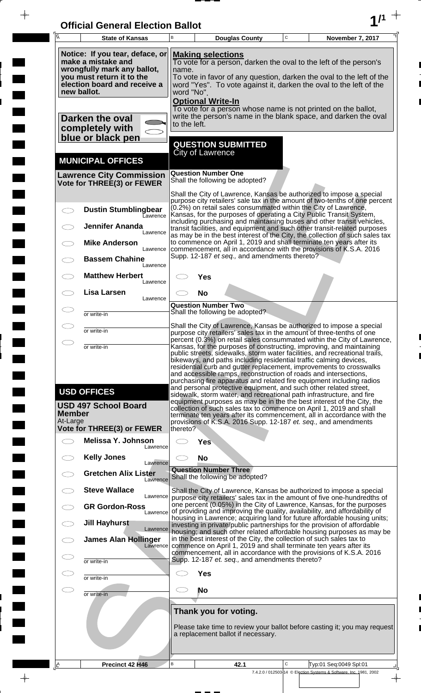| <b>Official General Election Ballot</b> |  |
|-----------------------------------------|--|
|                                         |  |

 $\overline{\phantom{a}}$ 

 $\blacksquare$ 

 $\overline{\phantom{a}}$ 

 $\blacksquare$ 

 $\frac{1}{2}$ 

 $\frac{1}{\sqrt{2\pi}}$ 

| $\overline{\mathsf{A}}$                                                                                                                                                                                     | <b>State of Kansas</b>                                                                                                                                                                                                                                                                                                                                                                                                                                                                                                                                                                                                                                                                                                                                                                                                                                         | B | <b>Douglas County</b>                                                                                                                                                                                                                                                                                       | $\mathbf C$ | November 7, 2017                                                                           |
|-------------------------------------------------------------------------------------------------------------------------------------------------------------------------------------------------------------|----------------------------------------------------------------------------------------------------------------------------------------------------------------------------------------------------------------------------------------------------------------------------------------------------------------------------------------------------------------------------------------------------------------------------------------------------------------------------------------------------------------------------------------------------------------------------------------------------------------------------------------------------------------------------------------------------------------------------------------------------------------------------------------------------------------------------------------------------------------|---|-------------------------------------------------------------------------------------------------------------------------------------------------------------------------------------------------------------------------------------------------------------------------------------------------------------|-------------|--------------------------------------------------------------------------------------------|
|                                                                                                                                                                                                             | Notice: If you tear, deface, or<br><b>Making selections</b><br>make a mistake and<br>To vote for a person, darken the oval to the left of the person's<br>wrongfully mark any ballot,<br>name.<br>you must return it to the<br>To vote in favor of any question, darken the oval to the left of the<br>election board and receive a<br>word "Yes". To vote against it, darken the oval to the left of the<br>new ballot.<br>word "No".<br><b>Optional Write-In</b>                                                                                                                                                                                                                                                                                                                                                                                             |   |                                                                                                                                                                                                                                                                                                             |             |                                                                                            |
| To vote for a person whose name is not printed on the ballot,<br>write the person's name in the blank space, and darken the oval<br>Darken the oval<br>to the left.<br>completely with<br>blue or black pen |                                                                                                                                                                                                                                                                                                                                                                                                                                                                                                                                                                                                                                                                                                                                                                                                                                                                |   |                                                                                                                                                                                                                                                                                                             |             |                                                                                            |
|                                                                                                                                                                                                             | <b>MUNICIPAL OFFICES</b>                                                                                                                                                                                                                                                                                                                                                                                                                                                                                                                                                                                                                                                                                                                                                                                                                                       |   | <b>QUESTION SUBMITTED</b><br><b>City of Lawrence</b>                                                                                                                                                                                                                                                        |             |                                                                                            |
|                                                                                                                                                                                                             | <b>Lawrence City Commission</b><br>Vote for THREE(3) or FEWER                                                                                                                                                                                                                                                                                                                                                                                                                                                                                                                                                                                                                                                                                                                                                                                                  |   | <b>Question Number One</b><br>Shall the following be adopted?                                                                                                                                                                                                                                               |             |                                                                                            |
|                                                                                                                                                                                                             | <b>Dustin Stumblingbear</b><br>Lawrence                                                                                                                                                                                                                                                                                                                                                                                                                                                                                                                                                                                                                                                                                                                                                                                                                        |   | Shall the City of Lawrence, Kansas be authorized to impose a special<br>(0.2%) on retail sales consummated within the City of Lawrence,<br>Kansas, for the purposes of operating a City Public Transit System,                                                                                              |             | purpose city retailers' sale tax in the amount of two-tenths of one percent                |
|                                                                                                                                                                                                             | <b>Jennifer Ananda</b><br>Lawrence                                                                                                                                                                                                                                                                                                                                                                                                                                                                                                                                                                                                                                                                                                                                                                                                                             |   | including purchasing and maintaining buses and other transit vehicles,<br>transit facilities, and equipment and such other transit-related purposes<br>as may be in the best interest of the City, the collection of such sales tax                                                                         |             |                                                                                            |
|                                                                                                                                                                                                             | <b>Mike Anderson</b><br>Lawrence<br><b>Bassem Chahine</b><br>Lawrence                                                                                                                                                                                                                                                                                                                                                                                                                                                                                                                                                                                                                                                                                                                                                                                          |   | to commence on April 1, 2019 and shall terminate ten years after its<br>commencement, all in accordance with the provisions of K.S.A. 2016<br>Supp. 12-187 et seq., and amendments thereto?                                                                                                                 |             |                                                                                            |
|                                                                                                                                                                                                             | <b>Matthew Herbert</b><br>Lawrence                                                                                                                                                                                                                                                                                                                                                                                                                                                                                                                                                                                                                                                                                                                                                                                                                             |   | Yes                                                                                                                                                                                                                                                                                                         |             |                                                                                            |
|                                                                                                                                                                                                             | <b>Lisa Larsen</b><br>Lawrence                                                                                                                                                                                                                                                                                                                                                                                                                                                                                                                                                                                                                                                                                                                                                                                                                                 |   | <b>No</b><br><b>Question Number Two</b><br>Shall the following be adopted?                                                                                                                                                                                                                                  |             |                                                                                            |
|                                                                                                                                                                                                             | or write-in                                                                                                                                                                                                                                                                                                                                                                                                                                                                                                                                                                                                                                                                                                                                                                                                                                                    |   | Shall the City of Lawrence, Kansas be authorized to impose a special                                                                                                                                                                                                                                        |             |                                                                                            |
| $\bigcirc$                                                                                                                                                                                                  | or write-in<br>or write-in                                                                                                                                                                                                                                                                                                                                                                                                                                                                                                                                                                                                                                                                                                                                                                                                                                     |   | purpose city retailers' sales tax in the amount of three-tenths of one<br>percent (0.3%) on retail sales consummated within the City of Lawrence,<br>Kansas, for the purposes of constructing, improving, and maintaining<br>public streets, sidewalks, storm water facilities, and recreational trails,    |             |                                                                                            |
|                                                                                                                                                                                                             | bikeways, and paths including residential traffic calming devices,<br>residential curb and gutter replacement, improvements to crosswalks<br>and accessible ramps, reconstruction of roads and intersections,<br>purchasing fire apparatus and related fire equipment including radios<br>and personal protective equipment, and such other related street,<br><b>USD OFFICES</b><br>sidewalk, storm water, and recreational path infrastructure, and fire<br>equipment purposes as may be in the the best interest of the City, the<br><b>USD 497 School Board</b><br>collection of such sales tax to commence on April 1, 2019 and shall<br><b>Member</b><br>terminate ten years after its commencement, all in accordance with the<br>At-Large<br>provisions of K.S.A. 2016 Supp. 12-187 et. seq., and amendments<br>Vote for THREE(3) or FEWER<br>thereto? |   |                                                                                                                                                                                                                                                                                                             |             |                                                                                            |
| $\frown$                                                                                                                                                                                                    | Melissa Y. Johnson                                                                                                                                                                                                                                                                                                                                                                                                                                                                                                                                                                                                                                                                                                                                                                                                                                             |   | <b>Yes</b>                                                                                                                                                                                                                                                                                                  |             |                                                                                            |
|                                                                                                                                                                                                             | Lawrence<br><b>Kelly Jones</b>                                                                                                                                                                                                                                                                                                                                                                                                                                                                                                                                                                                                                                                                                                                                                                                                                                 |   | <b>No</b>                                                                                                                                                                                                                                                                                                   |             |                                                                                            |
|                                                                                                                                                                                                             | Lawrence<br><b>Gretchen Alix Lister</b><br>Lawrence                                                                                                                                                                                                                                                                                                                                                                                                                                                                                                                                                                                                                                                                                                                                                                                                            |   | <b>Question Number Three</b><br>Shall the following be adopted?                                                                                                                                                                                                                                             |             |                                                                                            |
|                                                                                                                                                                                                             | <b>Steve Wallace</b><br>Lawrence<br><b>GR Gordon-Ross</b>                                                                                                                                                                                                                                                                                                                                                                                                                                                                                                                                                                                                                                                                                                                                                                                                      |   | Shall the City of Lawrence, Kansas be authorized to impose a special<br>purpose city retailers' sales tax in the amount of five one-hundredths of<br>one percent (0.05%) in the City of Lawrence, Kansas, for the purposes                                                                                  |             |                                                                                            |
|                                                                                                                                                                                                             | Lawrence<br><b>Jill Hayhurst</b><br>Lawrence                                                                                                                                                                                                                                                                                                                                                                                                                                                                                                                                                                                                                                                                                                                                                                                                                   |   | of providing and improving the quality, availability, and affordability of<br>housing in Lawrence; acquiring land for future affordable housing units;<br>investing in private/public partnerships for the provision of affordable<br>housing, and such other related affordable housing purposes as may be |             |                                                                                            |
|                                                                                                                                                                                                             | <b>James Alan Hollinger</b><br>Lawrence                                                                                                                                                                                                                                                                                                                                                                                                                                                                                                                                                                                                                                                                                                                                                                                                                        |   | in the best interest of the City, the collection of such sales tax to<br>commence on April 1, 2019 and shall terminate ten years after its<br>commencement, all in accordance with the provisions of K.S.A. 2016                                                                                            |             |                                                                                            |
|                                                                                                                                                                                                             | or write-in<br>or write-in                                                                                                                                                                                                                                                                                                                                                                                                                                                                                                                                                                                                                                                                                                                                                                                                                                     |   | Supp. 12-187 et. seq., and amendments thereto?<br><b>Yes</b>                                                                                                                                                                                                                                                |             |                                                                                            |
| CD                                                                                                                                                                                                          | or write-in                                                                                                                                                                                                                                                                                                                                                                                                                                                                                                                                                                                                                                                                                                                                                                                                                                                    |   | No                                                                                                                                                                                                                                                                                                          |             |                                                                                            |
|                                                                                                                                                                                                             |                                                                                                                                                                                                                                                                                                                                                                                                                                                                                                                                                                                                                                                                                                                                                                                                                                                                |   | Thank you for voting.<br>a replacement ballot if necessary.                                                                                                                                                                                                                                                 |             | Please take time to review your ballot before casting it; you may request                  |
| .l∆                                                                                                                                                                                                         | Precinct 42 H46                                                                                                                                                                                                                                                                                                                                                                                                                                                                                                                                                                                                                                                                                                                                                                                                                                                | B | 42.1                                                                                                                                                                                                                                                                                                        | C           | Typ:01 Seq:0049 Spl:01                                                                     |
|                                                                                                                                                                                                             |                                                                                                                                                                                                                                                                                                                                                                                                                                                                                                                                                                                                                                                                                                                                                                                                                                                                |   |                                                                                                                                                                                                                                                                                                             |             | 7.4.2.0 / 012503-14 © Election Systems & Software, Inc. 1981, 2002<br>$\frac{1}{\sqrt{2}}$ |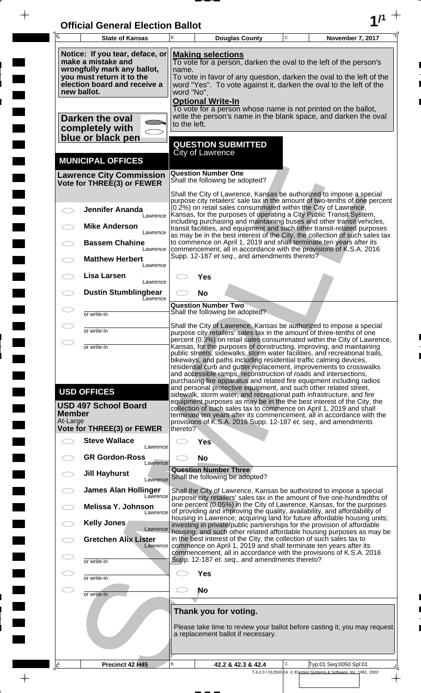| <b>Official General Election Ballot</b> |  |
|-----------------------------------------|--|
|                                         |  |

 $\overline{\phantom{a}}$ 

 $\blacksquare$ 

E

 $\frac{1}{2}$ 

 $\frac{1}{\sqrt{2\pi}}$ 

| Ā                         | <b>State of Kansas</b>                                                                                                                            | B                   |                          | <b>Douglas County</b>                                                                                                                  | C | November 7, 2017                                                                                                                                                                                                                                                                                                                                                                                                                         |
|---------------------------|---------------------------------------------------------------------------------------------------------------------------------------------------|---------------------|--------------------------|----------------------------------------------------------------------------------------------------------------------------------------|---|------------------------------------------------------------------------------------------------------------------------------------------------------------------------------------------------------------------------------------------------------------------------------------------------------------------------------------------------------------------------------------------------------------------------------------------|
| new ballot.               | Notice: If you tear, deface, or<br>make a mistake and<br>wrongfully mark any ballot,<br>you must return it to the<br>election board and receive a | name.<br>word "No". | <b>Optional Write-In</b> | <b>Making selections</b>                                                                                                               |   | To vote for a person, darken the oval to the left of the person's<br>To vote in favor of any question, darken the oval to the left of the<br>word "Yes". To vote against it, darken the oval to the left of the                                                                                                                                                                                                                          |
|                           | Darken the oval<br>completely with<br>blue or black pen                                                                                           | to the left.        |                          |                                                                                                                                        |   | To vote for a person whose name is not printed on the ballot,<br>write the person's name in the blank space, and darken the oval                                                                                                                                                                                                                                                                                                         |
|                           | <b>MUNICIPAL OFFICES</b>                                                                                                                          |                     | City of Lawrence         | <b>QUESTION SUBMITTED</b>                                                                                                              |   |                                                                                                                                                                                                                                                                                                                                                                                                                                          |
|                           | <b>Lawrence City Commission</b><br>Vote for THREE(3) or FEWER                                                                                     |                     |                          | <b>Question Number One</b><br>Shall the following be adopted?                                                                          |   |                                                                                                                                                                                                                                                                                                                                                                                                                                          |
|                           | <b>Jennifer Ananda</b><br>Lawrence                                                                                                                |                     |                          | (0.2%) on retail sales consummated within the City of Lawrence,                                                                        |   | Shall the City of Lawrence, Kansas be authorized to impose a special<br>purpose city retailers' sale tax in the amount of two-tenths of one percent<br>Kansas, for the purposes of operating a City Public Transit System,<br>including purchasing and maintaining buses and other transit vehicles,                                                                                                                                     |
|                           | <b>Mike Anderson</b><br>Lawrence<br><b>Bassem Chahine</b>                                                                                         |                     |                          |                                                                                                                                        |   | transit facilities, and equipment and such other transit-related purposes<br>as may be in the best interest of the City, the collection of such sales tax<br>to commence on April 1, 2019 and shall terminate ten years after its                                                                                                                                                                                                        |
|                           | Lawrence<br><b>Matthew Herbert</b><br>Lawrence                                                                                                    |                     |                          | Supp. 12-187 et seq., and amendments thereto?                                                                                          |   | commencement, all in accordance with the provisions of K.S.A. 2016                                                                                                                                                                                                                                                                                                                                                                       |
|                           | Lisa Larsen<br>Lawrence<br><b>Dustin Stumblingbear</b>                                                                                            |                     | <b>Yes</b><br><b>No</b>  |                                                                                                                                        |   |                                                                                                                                                                                                                                                                                                                                                                                                                                          |
|                           | Eawrence<br>or write-in                                                                                                                           |                     |                          | <b>Question Number Two</b><br>Shall the following be adopted?                                                                          |   |                                                                                                                                                                                                                                                                                                                                                                                                                                          |
|                           | or write-in                                                                                                                                       |                     |                          |                                                                                                                                        |   | Shall the City of Lawrence, Kansas be authorized to impose a special<br>purpose city retailers' sales tax in the amount of three-tenths of one                                                                                                                                                                                                                                                                                           |
|                           | or write-in                                                                                                                                       |                     |                          | bikeways, and paths including residential traffic calming devices,<br>and accessible ramps, reconstruction of roads and intersections, |   | percent (0.3%) on retail sales consummated within the City of Lawrence,<br>Kansas, for the purposes of constructing, improving, and maintaining<br>public streets, sidewalks, storm water facilities, and recreational trails,<br>residential curb and gutter replacement, improvements to crosswalks<br>purchasing fire apparatus and related fire equipment including radios                                                           |
| <b>Member</b><br>At-Large | <b>USD OFFICES</b><br><b>USD 497 School Board</b>                                                                                                 |                     |                          |                                                                                                                                        |   | and personal protective equipment, and such other related street,<br>sidewalk, storm water, and recreational path infrastructure, and fire<br>equipment purposes as may be in the the best interest of the City, the<br>collection of such sales tax to commence on April 1, 2019 and shall<br>terminate ten years after its commencement, all in accordance with the<br>provisions of K.S.A. 2016 Supp. 12-187 et. seq., and amendments |
|                           | Vote for THREE(3) or FEWER<br><b>Steve Wallace</b><br>Lawrence                                                                                    | thereto?            | <b>Yes</b>               |                                                                                                                                        |   |                                                                                                                                                                                                                                                                                                                                                                                                                                          |
|                           | <b>GR Gordon-Ross</b><br>Lawrence                                                                                                                 |                     | <b>No</b>                |                                                                                                                                        |   |                                                                                                                                                                                                                                                                                                                                                                                                                                          |
|                           | <b>Jill Hayhurst</b><br>Lawrence                                                                                                                  |                     |                          | <b>Question Number Three</b><br>Shall the following be adopted?                                                                        |   |                                                                                                                                                                                                                                                                                                                                                                                                                                          |
|                           | <b>James Alan Hollinger</b><br>Lawrence<br>Melissa Y. Johnson                                                                                     |                     |                          |                                                                                                                                        |   | Shall the City of Lawrence, Kansas be authorized to impose a special<br>purpose city retailers' sales tax in the amount of five one-hundredths of<br>one percent (0.05%) in the City of Lawrence, Kansas, for the purposes                                                                                                                                                                                                               |
|                           | Lawrence<br>Kelly Jones<br>Lawrence                                                                                                               |                     |                          |                                                                                                                                        |   | of providing and improving the quality, availability, and affordability of<br>housing in Lawrence; acquiring land for future affordable housing units;<br>investing in private/public partnerships for the provision of affordable                                                                                                                                                                                                       |
|                           | <b>Gretchen Alix Lister</b><br>Lawrence                                                                                                           |                     |                          | in the best interest of the City, the collection of such sales tax to                                                                  |   | housing; and such other related affordable housing purposes as may be<br>commence on April 1, 2019 and shall terminate ten years after its<br>commencement, all in accordance with the provisions of K.S.A. 2016                                                                                                                                                                                                                         |
|                           | or write-in                                                                                                                                       |                     |                          | Supp. 12-187 et. seq., and amendments thereto?                                                                                         |   |                                                                                                                                                                                                                                                                                                                                                                                                                                          |
|                           | or write-in                                                                                                                                       |                     | <b>Yes</b><br>No         |                                                                                                                                        |   |                                                                                                                                                                                                                                                                                                                                                                                                                                          |
|                           | or write-in                                                                                                                                       |                     |                          | Thank you for voting.                                                                                                                  |   |                                                                                                                                                                                                                                                                                                                                                                                                                                          |
|                           |                                                                                                                                                   |                     |                          | a replacement ballot if necessary.                                                                                                     |   | Please take time to review your ballot before casting it; you may request                                                                                                                                                                                                                                                                                                                                                                |
| <u>A،</u>                 | Precinct 42 H45                                                                                                                                   | В                   |                          | 42.2 & 42.3 & 42.4                                                                                                                     | C | Typ:01 Seq:0050 Spl:01<br>7.4.2.0 / 012503-14 © Election Systems & Software, Inc. 1981, 2002                                                                                                                                                                                                                                                                                                                                             |

 $\frac{1}{\sqrt{2}}$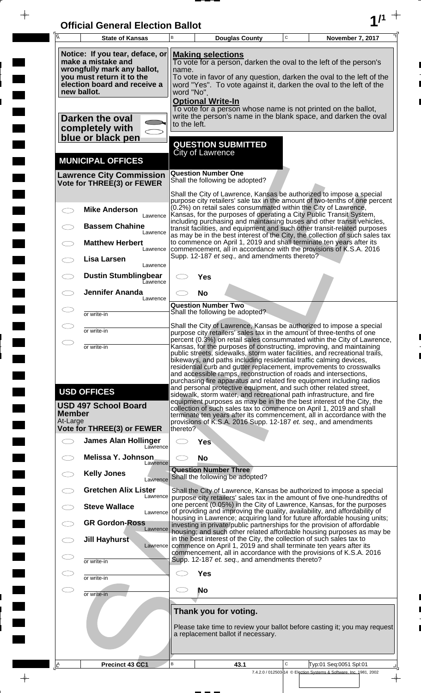| <b>Official General Election Ballot</b> |  |
|-----------------------------------------|--|
|                                         |  |

 $\overline{\phantom{a}}$ 

 $\blacksquare$ 

 $\overline{\phantom{a}}$ 

 $\blacksquare$ 

 $\frac{1}{2}$ 

 $\frac{1}{\sqrt{2\pi}}$ 

| $\overline{\mathsf{A}}$   | <b>State of Kansas</b>                                                                                                                                           | B                                                                                                                                                                                                                                                                                                                                                                                                                                                                                                                                                                                             |                                           | <b>Douglas County</b>                          | $\mathbf C$ | November 7, 2017                                                                                                                                                                                                                                                                                                                                                    |
|---------------------------|------------------------------------------------------------------------------------------------------------------------------------------------------------------|-----------------------------------------------------------------------------------------------------------------------------------------------------------------------------------------------------------------------------------------------------------------------------------------------------------------------------------------------------------------------------------------------------------------------------------------------------------------------------------------------------------------------------------------------------------------------------------------------|-------------------------------------------|------------------------------------------------|-------------|---------------------------------------------------------------------------------------------------------------------------------------------------------------------------------------------------------------------------------------------------------------------------------------------------------------------------------------------------------------------|
|                           | Notice: If you tear, deface, or<br>make a mistake and<br>wrongfully mark any ballot,<br>you must return it to the<br>election board and receive a<br>new ballot. | <b>Making selections</b><br>To vote for a person, darken the oval to the left of the person's<br>name.<br>To vote in favor of any question, darken the oval to the left of the<br>word "Yes". To vote against it, darken the oval to the left of the<br>word "No".                                                                                                                                                                                                                                                                                                                            |                                           |                                                |             |                                                                                                                                                                                                                                                                                                                                                                     |
|                           | Darken the oval<br>completely with<br>blue or black pen                                                                                                          | to the left.                                                                                                                                                                                                                                                                                                                                                                                                                                                                                                                                                                                  | <b>Optional Write-In</b>                  |                                                |             | To vote for a person whose name is not printed on the ballot,<br>write the person's name in the blank space, and darken the oval                                                                                                                                                                                                                                    |
|                           | <b>MUNICIPAL OFFICES</b>                                                                                                                                         |                                                                                                                                                                                                                                                                                                                                                                                                                                                                                                                                                                                               | <b>City of Lawrence</b>                   | <b>QUESTION SUBMITTED</b>                      |             |                                                                                                                                                                                                                                                                                                                                                                     |
|                           | <b>Lawrence City Commission</b><br>Vote for THREE(3) or FEWER                                                                                                    |                                                                                                                                                                                                                                                                                                                                                                                                                                                                                                                                                                                               | <b>Question Number One</b>                | Shall the following be adopted?                |             |                                                                                                                                                                                                                                                                                                                                                                     |
|                           | <b>Mike Anderson</b><br>Lawrence                                                                                                                                 |                                                                                                                                                                                                                                                                                                                                                                                                                                                                                                                                                                                               |                                           |                                                |             | Shall the City of Lawrence, Kansas be authorized to impose a special<br>purpose city retailers' sale tax in the amount of two-tenths of one percent<br>(0.2%) on retail sales consummated within the City of Lawrence,<br>Kansas, for the purposes of operating a City Public Transit System,                                                                       |
|                           | <b>Bassem Chahine</b><br>Lawrence<br><b>Matthew Herbert</b>                                                                                                      |                                                                                                                                                                                                                                                                                                                                                                                                                                                                                                                                                                                               |                                           |                                                |             | including purchasing and maintaining buses and other transit vehicles,<br>transit facilities, and equipment and such other transit-related purposes<br>as may be in the best interest of the City, the collection of such sales tax<br>to commence on April 1, 2019 and shall terminate ten years after its                                                         |
|                           | Lawrence<br>Lisa Larsen<br>Lawrence                                                                                                                              |                                                                                                                                                                                                                                                                                                                                                                                                                                                                                                                                                                                               |                                           | Supp. 12-187 et seq., and amendments thereto?  |             | commencement, all in accordance with the provisions of K.S.A. 2016                                                                                                                                                                                                                                                                                                  |
|                           | <b>Dustin Stumblingbear</b><br>Eawrence<br><b>Jennifer Ananda</b>                                                                                                |                                                                                                                                                                                                                                                                                                                                                                                                                                                                                                                                                                                               | Yes<br><b>No</b>                          |                                                |             |                                                                                                                                                                                                                                                                                                                                                                     |
|                           | Lawrence<br>or write-in                                                                                                                                          |                                                                                                                                                                                                                                                                                                                                                                                                                                                                                                                                                                                               | <b>Question Number Two</b>                | Shall the following be adopted?                |             |                                                                                                                                                                                                                                                                                                                                                                     |
|                           | or write-in                                                                                                                                                      |                                                                                                                                                                                                                                                                                                                                                                                                                                                                                                                                                                                               |                                           |                                                |             | Shall the City of Lawrence, Kansas be authorized to impose a special<br>purpose city retailers' sales tax in the amount of three-tenths of one                                                                                                                                                                                                                      |
| $\bigcirc$                | or write-in                                                                                                                                                      | percent (0.3%) on retail sales consummated within the City of Lawrence,<br>Kansas, for the purposes of constructing, improving, and maintaining<br>public streets, sidewalks, storm water facilities, and recreational trails,<br>bikeways, and paths including residential traffic calming devices,<br>residential curb and gutter replacement, improvements to crosswalks<br>and accessible ramps, reconstruction of roads and intersections,<br>purchasing fire apparatus and related fire equipment including radios<br>and personal protective equipment, and such other related street, |                                           |                                                |             |                                                                                                                                                                                                                                                                                                                                                                     |
| <b>Member</b><br>At-Large | <b>USD OFFICES</b><br><b>USD 497 School Board</b>                                                                                                                |                                                                                                                                                                                                                                                                                                                                                                                                                                                                                                                                                                                               |                                           |                                                |             | sidewalk, storm water, and recreational path infrastructure, and fire<br>equipment purposes as may be in the the best interest of the City, the<br>collection of such sales tax to commence on April 1, 2019 and shall<br>terminate ten years after its commencement, all in accordance with the<br>provisions of K.S.A. 2016 Supp. 12-187 et. seq., and amendments |
|                           | Vote for THREE(3) or FEWER<br><b>James Alan Hollinger</b><br>Lawrence                                                                                            | thereto?                                                                                                                                                                                                                                                                                                                                                                                                                                                                                                                                                                                      | <b>Yes</b>                                |                                                |             |                                                                                                                                                                                                                                                                                                                                                                     |
|                           | Melissa Y. Johnson<br>Lawrence                                                                                                                                   |                                                                                                                                                                                                                                                                                                                                                                                                                                                                                                                                                                                               | <b>No</b><br><b>Question Number Three</b> |                                                |             |                                                                                                                                                                                                                                                                                                                                                                     |
|                           | <b>Kelly Jones</b><br>Lawrence<br><b>Gretchen Alix Lister</b>                                                                                                    |                                                                                                                                                                                                                                                                                                                                                                                                                                                                                                                                                                                               |                                           | Shall the following be adopted?                |             | Shall the City of Lawrence, Kansas be authorized to impose a special                                                                                                                                                                                                                                                                                                |
|                           | Lawrence<br><b>Steve Wallace</b><br>Lawrence                                                                                                                     |                                                                                                                                                                                                                                                                                                                                                                                                                                                                                                                                                                                               |                                           |                                                |             | purpose city retailers' sales tax in the amount of five one-hundredths of<br>one percent (0.05%) in the City of Lawrence, Kansas, for the purposes<br>of providing and improving the quality, availability, and affordability of                                                                                                                                    |
|                           | <b>GR Gordon-Ross</b><br>Lawrence                                                                                                                                |                                                                                                                                                                                                                                                                                                                                                                                                                                                                                                                                                                                               |                                           |                                                |             | housing in Lawrence; acquiring land for future affordable housing units;<br>investing in private/public partnerships for the provision of affordable<br>housing; and such other related affordable housing purposes as may be                                                                                                                                       |
|                           | Jill Hayhurst<br>Lawrence                                                                                                                                        |                                                                                                                                                                                                                                                                                                                                                                                                                                                                                                                                                                                               |                                           |                                                |             | in the best interest of the City, the collection of such sales tax to<br>commence on April 1, 2019 and shall terminate ten years after its<br>commencement, all in accordance with the provisions of K.S.A. 2016                                                                                                                                                    |
|                           | or write-in                                                                                                                                                      |                                                                                                                                                                                                                                                                                                                                                                                                                                                                                                                                                                                               | <b>Yes</b>                                | Supp. 12-187 et. seq., and amendments thereto? |             |                                                                                                                                                                                                                                                                                                                                                                     |
| $\subset$                 | or write-in<br>or write-in                                                                                                                                       |                                                                                                                                                                                                                                                                                                                                                                                                                                                                                                                                                                                               | No                                        |                                                |             |                                                                                                                                                                                                                                                                                                                                                                     |
|                           |                                                                                                                                                                  |                                                                                                                                                                                                                                                                                                                                                                                                                                                                                                                                                                                               | Thank you for voting.                     | a replacement ballot if necessary.             |             | Please take time to review your ballot before casting it; you may request                                                                                                                                                                                                                                                                                           |
|                           | Precinct 43 CC1                                                                                                                                                  | B                                                                                                                                                                                                                                                                                                                                                                                                                                                                                                                                                                                             |                                           | 43.1                                           | C           | Typ:01 Seq:0051 Spl:01<br>7.4.2.0 / 012503-14 © Election Systems & Software, Inc. 1981, 2002                                                                                                                                                                                                                                                                        |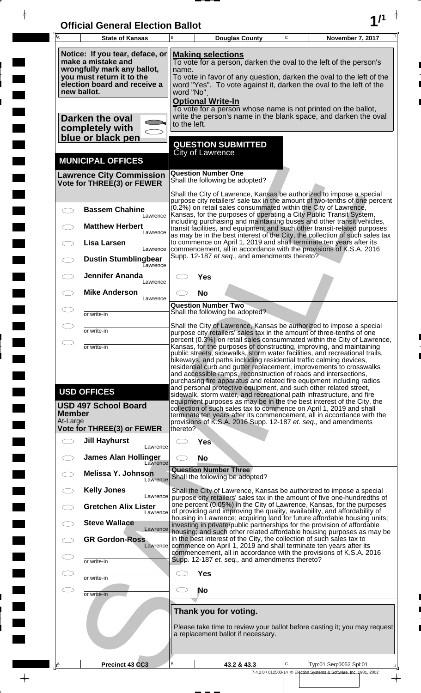| <b>Official General Election Ballot</b> |  |
|-----------------------------------------|--|
|                                         |  |

 $\bar{\phantom{a}}$ 

 $\overline{\phantom{a}}$ 

 $\Box$ 

 $\blacksquare$ 

 $\blacksquare$ 

 $\blacksquare$ 

 $\frac{1}{2}$ 

 $\frac{1}{\sqrt{2\pi}}$ 

| Ā                         | <b>State of Kansas</b>                                                                                                                                           | B                                                                                                                                                                                                                                                                                              |                                           | <b>Douglas County</b>                          | $\mathbf C$ | November 7, 2017                                                                                                                                                                                                                                                                                                                                                                                                                                                                                                                                                                      |
|---------------------------|------------------------------------------------------------------------------------------------------------------------------------------------------------------|------------------------------------------------------------------------------------------------------------------------------------------------------------------------------------------------------------------------------------------------------------------------------------------------|-------------------------------------------|------------------------------------------------|-------------|---------------------------------------------------------------------------------------------------------------------------------------------------------------------------------------------------------------------------------------------------------------------------------------------------------------------------------------------------------------------------------------------------------------------------------------------------------------------------------------------------------------------------------------------------------------------------------------|
|                           | Notice: If you tear, deface, or<br>make a mistake and<br>wrongfully mark any ballot,<br>you must return it to the<br>election board and receive a<br>new ballot. | <b>Making selections</b><br>To vote for a person, darken the oval to the left of the person's<br>name.<br>To vote in favor of any question, darken the oval to the left of the<br>word "Yes". To vote against it, darken the oval to the left of the<br>word "No".<br><b>Optional Write-In</b> |                                           |                                                |             |                                                                                                                                                                                                                                                                                                                                                                                                                                                                                                                                                                                       |
|                           | Darken the oval<br>completely with<br>blue or black pen                                                                                                          | to the left.                                                                                                                                                                                                                                                                                   |                                           |                                                |             | To vote for a person whose name is not printed on the ballot,<br>write the person's name in the blank space, and darken the oval                                                                                                                                                                                                                                                                                                                                                                                                                                                      |
|                           | <b>MUNICIPAL OFFICES</b>                                                                                                                                         |                                                                                                                                                                                                                                                                                                | <b>City of Lawrence</b>                   | <b>QUESTION SUBMITTED</b>                      |             |                                                                                                                                                                                                                                                                                                                                                                                                                                                                                                                                                                                       |
|                           | <b>Lawrence City Commission</b><br>Vote for THREE(3) or FEWER                                                                                                    |                                                                                                                                                                                                                                                                                                | <b>Question Number One</b>                | Shall the following be adopted?                |             |                                                                                                                                                                                                                                                                                                                                                                                                                                                                                                                                                                                       |
|                           | <b>Bassem Chahine</b><br>Lawrence                                                                                                                                |                                                                                                                                                                                                                                                                                                |                                           |                                                |             | Shall the City of Lawrence, Kansas be authorized to impose a special<br>purpose city retailers' sale tax in the amount of two-tenths of one percent<br>(0.2%) on retail sales consummated within the City of Lawrence,<br>Kansas, for the purposes of operating a City Public Transit System,                                                                                                                                                                                                                                                                                         |
|                           | <b>Matthew Herbert</b><br>Lawrence<br>Lisa Larsen                                                                                                                |                                                                                                                                                                                                                                                                                                |                                           |                                                |             | including purchasing and maintaining buses and other transit vehicles,<br>transit facilities, and equipment and such other transit-related purposes<br>as may be in the best interest of the City, the collection of such sales tax<br>to commence on April 1, 2019 and shall terminate ten years after its                                                                                                                                                                                                                                                                           |
|                           | Lawrence<br><b>Dustin Stumblingbear</b><br>Eawrence                                                                                                              |                                                                                                                                                                                                                                                                                                |                                           | Supp. 12-187 et seq., and amendments thereto?  |             | commencement, all in accordance with the provisions of K.S.A. 2016                                                                                                                                                                                                                                                                                                                                                                                                                                                                                                                    |
|                           | <b>Jennifer Ananda</b><br>Lawrence<br><b>Mike Anderson</b>                                                                                                       |                                                                                                                                                                                                                                                                                                | Yes                                       |                                                |             |                                                                                                                                                                                                                                                                                                                                                                                                                                                                                                                                                                                       |
|                           | Lawrence<br>or write-in                                                                                                                                          |                                                                                                                                                                                                                                                                                                | <b>No</b><br><b>Question Number Two</b>   | Shall the following be adopted?                |             |                                                                                                                                                                                                                                                                                                                                                                                                                                                                                                                                                                                       |
|                           | or write-in                                                                                                                                                      |                                                                                                                                                                                                                                                                                                |                                           |                                                |             | Shall the City of Lawrence, Kansas be authorized to impose a special<br>purpose city retailers' sales tax in the amount of three-tenths of one                                                                                                                                                                                                                                                                                                                                                                                                                                        |
|                           | or write-in                                                                                                                                                      |                                                                                                                                                                                                                                                                                                |                                           |                                                |             | percent (0.3%) on retail sales consummated within the City of Lawrence,<br>Kansas, for the purposes of constructing, improving, and maintaining<br>public streets, sidewalks, storm water facilities, and recreational trails,                                                                                                                                                                                                                                                                                                                                                        |
|                           | <b>USD OFFICES</b><br><b>USD 497 School Board</b>                                                                                                                |                                                                                                                                                                                                                                                                                                |                                           |                                                |             | bikeways, and paths including residential traffic calming devices,<br>residential curb and gutter replacement, improvements to crosswalks<br>and accessible ramps, reconstruction of roads and intersections,<br>purchasing fire apparatus and related fire equipment including radios<br>and personal protective equipment, and such other related street,<br>sidewalk, storm water, and recreational path infrastructure, and fire<br>equipment purposes as may be in the the best interest of the City, the<br>collection of such sales tax to commence on April 1, 2019 and shall |
| <b>Member</b><br>At-Large | <b>Vote for THREE(3) or FEWER</b>                                                                                                                                | thereto?                                                                                                                                                                                                                                                                                       |                                           |                                                |             | terminate ten years after its commencement, all in accordance with the<br>provisions of K.S.A. 2016 Supp. 12-187 et. seq., and amendments                                                                                                                                                                                                                                                                                                                                                                                                                                             |
|                           | <b>Jill Hayhurst</b><br>Lawrence                                                                                                                                 |                                                                                                                                                                                                                                                                                                | <b>Yes</b>                                |                                                |             |                                                                                                                                                                                                                                                                                                                                                                                                                                                                                                                                                                                       |
|                           | <b>James Alan Hollinger</b><br>Lawrence<br><b>Melissa Y. Johnson</b>                                                                                             |                                                                                                                                                                                                                                                                                                | <b>No</b><br><b>Question Number Three</b> |                                                |             |                                                                                                                                                                                                                                                                                                                                                                                                                                                                                                                                                                                       |
|                           | Lawrence<br><b>Kelly Jones</b>                                                                                                                                   |                                                                                                                                                                                                                                                                                                |                                           | Shall the following be adopted?                |             | Shall the City of Lawrence, Kansas be authorized to impose a special                                                                                                                                                                                                                                                                                                                                                                                                                                                                                                                  |
|                           | Lawrence<br><b>Gretchen Alix Lister</b><br>Lawrence                                                                                                              |                                                                                                                                                                                                                                                                                                |                                           |                                                |             | purpose city retailers' sales tax in the amount of five one-hundredths of<br>one percent (0.05%) in the City of Lawrence, Kansas, for the purposes<br>of providing and improving the quality, availability, and affordability of                                                                                                                                                                                                                                                                                                                                                      |
|                           | <b>Steve Wallace</b><br>Lawrence                                                                                                                                 |                                                                                                                                                                                                                                                                                                |                                           |                                                |             | housing in Lawrence; acquiring land for future affordable housing units;<br>investing in private/public partnerships for the provision of affordable<br>housing; and such other related affordable housing purposes as may be                                                                                                                                                                                                                                                                                                                                                         |
|                           | <b>GR Gordon-Ross</b><br>Lawrence                                                                                                                                |                                                                                                                                                                                                                                                                                                |                                           |                                                |             | in the best interest of the City, the collection of such sales tax to<br>commence on April 1, 2019 and shall terminate ten years after its<br>commencement, all in accordance with the provisions of K.S.A. 2016                                                                                                                                                                                                                                                                                                                                                                      |
|                           | or write-in                                                                                                                                                      |                                                                                                                                                                                                                                                                                                | <b>Yes</b>                                | Supp. 12-187 et. seq., and amendments thereto? |             |                                                                                                                                                                                                                                                                                                                                                                                                                                                                                                                                                                                       |
|                           | or write-in<br>or write-in                                                                                                                                       |                                                                                                                                                                                                                                                                                                | <b>No</b>                                 |                                                |             |                                                                                                                                                                                                                                                                                                                                                                                                                                                                                                                                                                                       |
|                           |                                                                                                                                                                  |                                                                                                                                                                                                                                                                                                |                                           | Thank you for voting.                          |             |                                                                                                                                                                                                                                                                                                                                                                                                                                                                                                                                                                                       |
|                           |                                                                                                                                                                  |                                                                                                                                                                                                                                                                                                |                                           | a replacement ballot if necessary.             |             | Please take time to review your ballot before casting it; you may request                                                                                                                                                                                                                                                                                                                                                                                                                                                                                                             |
| <u> A</u>                 | Precinct 43 CC3                                                                                                                                                  | В                                                                                                                                                                                                                                                                                              |                                           | 43.2 & 43.3                                    | С           | Typ:01 Seq:0052 Spl:01<br>7.4.2.0 / 012503-14 © Election Systems & Software, Inc. 1981, 2002                                                                                                                                                                                                                                                                                                                                                                                                                                                                                          |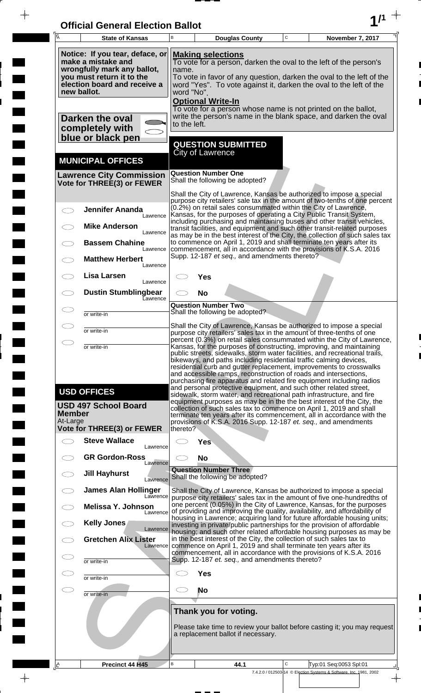| <b>Official General Election Ballot</b> |  |
|-----------------------------------------|--|
|                                         |  |

 $\bar{\phantom{a}}$ 

 $\overline{\phantom{a}}$ 

 $\Box$ 

 $\blacksquare$ 

 $\blacksquare$ 

 $\blacksquare$ 

 $\frac{1}{2}$ 

 $\frac{1}{\sqrt{2\pi}}$ 

| Ā                         | <b>State of Kansas</b>                                                                                                                                           | B                                                                                                                                                                                                                                                                                                                                                                                                                                                                                                                                                                                             |                            | <b>Douglas County</b>                                                 | C | November 7, 2017                                                                                                                                                                                                                                                                                                                                                        |
|---------------------------|------------------------------------------------------------------------------------------------------------------------------------------------------------------|-----------------------------------------------------------------------------------------------------------------------------------------------------------------------------------------------------------------------------------------------------------------------------------------------------------------------------------------------------------------------------------------------------------------------------------------------------------------------------------------------------------------------------------------------------------------------------------------------|----------------------------|-----------------------------------------------------------------------|---|-------------------------------------------------------------------------------------------------------------------------------------------------------------------------------------------------------------------------------------------------------------------------------------------------------------------------------------------------------------------------|
|                           | Notice: If you tear, deface, or<br>make a mistake and<br>wrongfully mark any ballot,<br>you must return it to the<br>election board and receive a<br>new ballot. | <b>Making selections</b><br>To vote for a person, darken the oval to the left of the person's<br>name.<br>To vote in favor of any question, darken the oval to the left of the<br>word "Yes". To vote against it, darken the oval to the left of the<br>word "No".<br><b>Optional Write-In</b>                                                                                                                                                                                                                                                                                                |                            |                                                                       |   |                                                                                                                                                                                                                                                                                                                                                                         |
|                           | Darken the oval<br>completely with<br>blue or black pen                                                                                                          | to the left.                                                                                                                                                                                                                                                                                                                                                                                                                                                                                                                                                                                  |                            |                                                                       |   | To vote for a person whose name is not printed on the ballot,<br>write the person's name in the blank space, and darken the oval                                                                                                                                                                                                                                        |
|                           | <b>MUNICIPAL OFFICES</b>                                                                                                                                         |                                                                                                                                                                                                                                                                                                                                                                                                                                                                                                                                                                                               | City of Lawrence           | <b>QUESTION SUBMITTED</b>                                             |   |                                                                                                                                                                                                                                                                                                                                                                         |
|                           | <b>Lawrence City Commission</b><br>Vote for THREE(3) or FEWER                                                                                                    |                                                                                                                                                                                                                                                                                                                                                                                                                                                                                                                                                                                               | <b>Question Number One</b> | Shall the following be adopted?                                       |   |                                                                                                                                                                                                                                                                                                                                                                         |
|                           | <b>Jennifer Ananda</b><br>Lawrence                                                                                                                               |                                                                                                                                                                                                                                                                                                                                                                                                                                                                                                                                                                                               |                            |                                                                       |   | Shall the City of Lawrence, Kansas be authorized to impose a special<br>purpose city retailers' sale tax in the amount of two-tenths of one percent<br>(0.2%) on retail sales consummated within the City of Lawrence,<br>Kansas, for the purposes of operating a City Public Transit System,<br>including purchasing and maintaining buses and other transit vehicles, |
|                           | <b>Mike Anderson</b><br>Lawrence<br><b>Bassem Chahine</b><br>Lawrence                                                                                            |                                                                                                                                                                                                                                                                                                                                                                                                                                                                                                                                                                                               |                            |                                                                       |   | transit facilities, and equipment and such other transit-related purposes<br>as may be in the best interest of the City, the collection of such sales tax<br>to commence on April 1, 2019 and shall terminate ten years after its<br>commencement, all in accordance with the provisions of K.S.A. 2016                                                                 |
|                           | <b>Matthew Herbert</b><br>Lawrence                                                                                                                               |                                                                                                                                                                                                                                                                                                                                                                                                                                                                                                                                                                                               |                            | Supp. 12-187 et seq., and amendments thereto?                         |   |                                                                                                                                                                                                                                                                                                                                                                         |
|                           | Lisa Larsen<br>Lawrence<br><b>Dustin Stumblingbear</b>                                                                                                           |                                                                                                                                                                                                                                                                                                                                                                                                                                                                                                                                                                                               | <b>Yes</b><br><b>No</b>    |                                                                       |   |                                                                                                                                                                                                                                                                                                                                                                         |
|                           | Eawrence<br>or write-in                                                                                                                                          |                                                                                                                                                                                                                                                                                                                                                                                                                                                                                                                                                                                               |                            | <b>Question Number Two</b><br>Shall the following be adopted?         |   |                                                                                                                                                                                                                                                                                                                                                                         |
|                           | or write-in                                                                                                                                                      |                                                                                                                                                                                                                                                                                                                                                                                                                                                                                                                                                                                               |                            |                                                                       |   | Shall the City of Lawrence, Kansas be authorized to impose a special<br>purpose city retailers' sales tax in the amount of three-tenths of one                                                                                                                                                                                                                          |
|                           | or write-in                                                                                                                                                      | percent (0.3%) on retail sales consummated within the City of Lawrence,<br>Kansas, for the purposes of constructing, improving, and maintaining<br>public streets, sidewalks, storm water facilities, and recreational trails,<br>bikeways, and paths including residential traffic calming devices,<br>residential curb and gutter replacement, improvements to crosswalks<br>and accessible ramps, reconstruction of roads and intersections,<br>purchasing fire apparatus and related fire equipment including radios<br>and personal protective equipment, and such other related street, |                            |                                                                       |   |                                                                                                                                                                                                                                                                                                                                                                         |
| <b>Member</b><br>At-Large | <b>USD OFFICES</b><br><b>USD 497 School Board</b>                                                                                                                |                                                                                                                                                                                                                                                                                                                                                                                                                                                                                                                                                                                               |                            |                                                                       |   | sidewalk, storm water, and recreational path infrastructure, and fire<br>equipment purposes as may be in the the best interest of the City, the<br>collection of such sales tax to commence on April 1, 2019 and shall<br>terminate ten years after its commencement, all in accordance with the<br>provisions of K.S.A. 2016 Supp. 12-187 et. seq., and amendments     |
|                           | Vote for THREE(3) or FEWER                                                                                                                                       | thereto?                                                                                                                                                                                                                                                                                                                                                                                                                                                                                                                                                                                      |                            |                                                                       |   |                                                                                                                                                                                                                                                                                                                                                                         |
|                           | <b>Steve Wallace</b><br>Lawrence<br><b>GR Gordon-Ross</b>                                                                                                        |                                                                                                                                                                                                                                                                                                                                                                                                                                                                                                                                                                                               | <b>Yes</b><br><b>No</b>    |                                                                       |   |                                                                                                                                                                                                                                                                                                                                                                         |
|                           | Lawrence<br><b>Jill Hayhurst</b><br>Lawrence                                                                                                                     |                                                                                                                                                                                                                                                                                                                                                                                                                                                                                                                                                                                               |                            | <b>Question Number Three</b><br>Shall the following be adopted?       |   |                                                                                                                                                                                                                                                                                                                                                                         |
|                           | <b>James Alan Hollinger</b><br>Lawrence<br>Melissa Y. Johnson                                                                                                    |                                                                                                                                                                                                                                                                                                                                                                                                                                                                                                                                                                                               |                            |                                                                       |   | Shall the City of Lawrence, Kansas be authorized to impose a special<br>purpose city retailers' sales tax in the amount of five one-hundredths of<br>one percent (0.05%) in the City of Lawrence, Kansas, for the purposes                                                                                                                                              |
|                           | Lawrence<br>Kelly Jones                                                                                                                                          |                                                                                                                                                                                                                                                                                                                                                                                                                                                                                                                                                                                               |                            |                                                                       |   | of providing and improving the quality, availability, and affordability of<br>housing in Lawrence; acquiring land for future affordable housing units;<br>investing in private/public partnerships for the provision of affordable                                                                                                                                      |
|                           | Lawrence<br><b>Gretchen Alix Lister</b><br>Lawrence                                                                                                              |                                                                                                                                                                                                                                                                                                                                                                                                                                                                                                                                                                                               |                            | in the best interest of the City, the collection of such sales tax to |   | housing; and such other related affordable housing purposes as may be<br>commence on April 1, 2019 and shall terminate ten years after its                                                                                                                                                                                                                              |
|                           | or write-in                                                                                                                                                      |                                                                                                                                                                                                                                                                                                                                                                                                                                                                                                                                                                                               |                            | Supp. 12-187 et. seq., and amendments thereto?                        |   | commencement, all in accordance with the provisions of K.S.A. 2016                                                                                                                                                                                                                                                                                                      |
|                           | or write-in                                                                                                                                                      |                                                                                                                                                                                                                                                                                                                                                                                                                                                                                                                                                                                               | <b>Yes</b>                 |                                                                       |   |                                                                                                                                                                                                                                                                                                                                                                         |
|                           | or write-in                                                                                                                                                      |                                                                                                                                                                                                                                                                                                                                                                                                                                                                                                                                                                                               | No                         |                                                                       |   |                                                                                                                                                                                                                                                                                                                                                                         |
|                           |                                                                                                                                                                  |                                                                                                                                                                                                                                                                                                                                                                                                                                                                                                                                                                                               |                            | Thank you for voting.<br>a replacement ballot if necessary.           |   | Please take time to review your ballot before casting it; you may request                                                                                                                                                                                                                                                                                               |
| <u>A</u>                  | Precinct 44 H45                                                                                                                                                  | В                                                                                                                                                                                                                                                                                                                                                                                                                                                                                                                                                                                             |                            | 44.1                                                                  | C | Typ:01 Seq:0053 Spl:01                                                                                                                                                                                                                                                                                                                                                  |
|                           |                                                                                                                                                                  |                                                                                                                                                                                                                                                                                                                                                                                                                                                                                                                                                                                               |                            |                                                                       |   | 7.4.2.0 / 012503-14 © Election Systems & Software, Inc. 1981, 2002                                                                                                                                                                                                                                                                                                      |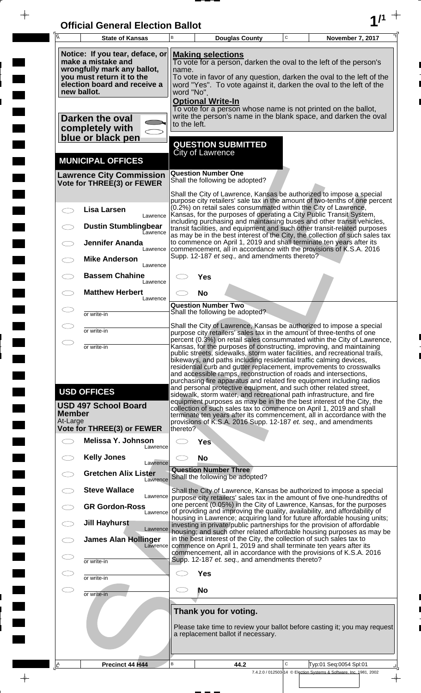| <b>Official General Election Ballot</b> |  |
|-----------------------------------------|--|
|                                         |  |

 $\overline{\phantom{a}}$ 

 $\Box$ 

 $\blacksquare$ 

 $\blacksquare$ 

 $\frac{1}{2}$ 

 $\frac{1}{\sqrt{2\pi}}$ 

| $\overline{A}$<br><b>State of Kansas</b>                                                                                                                         | B<br>$\mathbf C$<br><b>Douglas County</b><br>November 7, 2017                                                                                                                                                                                                                                                                                                                                                                                                                                                      |  |  |  |  |
|------------------------------------------------------------------------------------------------------------------------------------------------------------------|--------------------------------------------------------------------------------------------------------------------------------------------------------------------------------------------------------------------------------------------------------------------------------------------------------------------------------------------------------------------------------------------------------------------------------------------------------------------------------------------------------------------|--|--|--|--|
| Notice: If you tear, deface, or<br>make a mistake and<br>wrongfully mark any ballot,<br>you must return it to the<br>election board and receive a<br>new ballot. | <b>Making selections</b><br>To vote for a person, darken the oval to the left of the person's<br>name.<br>To vote in favor of any question, darken the oval to the left of the<br>word "Yes". To vote against it, darken the oval to the left of the<br>word "No".                                                                                                                                                                                                                                                 |  |  |  |  |
| Darken the oval<br>completely with<br>blue or black pen                                                                                                          | <b>Optional Write-In</b><br>To vote for a person whose name is not printed on the ballot,<br>write the person's name in the blank space, and darken the oval<br>to the left.                                                                                                                                                                                                                                                                                                                                       |  |  |  |  |
| <b>MUNICIPAL OFFICES</b>                                                                                                                                         | <b>QUESTION SUBMITTED</b><br><b>City of Lawrence</b>                                                                                                                                                                                                                                                                                                                                                                                                                                                               |  |  |  |  |
| <b>Lawrence City Commission</b><br>Vote for THREE(3) or FEWER                                                                                                    | <b>Question Number One</b><br>Shall the following be adopted?                                                                                                                                                                                                                                                                                                                                                                                                                                                      |  |  |  |  |
| <b>Lisa Larsen</b>                                                                                                                                               | Shall the City of Lawrence, Kansas be authorized to impose a special<br>purpose city retailers' sale tax in the amount of two-tenths of one percent<br>(0.2%) on retail sales consummated within the City of Lawrence,                                                                                                                                                                                                                                                                                             |  |  |  |  |
| Lawrence<br><b>Dustin Stumblingbear</b><br>Lawrence                                                                                                              | Kansas, for the purposes of operating a City Public Transit System,<br>including purchasing and maintaining buses and other transit vehicles,<br>transit facilities, and equipment and such other transit-related purposes                                                                                                                                                                                                                                                                                         |  |  |  |  |
| <b>Jennifer Ananda</b><br>Lawrence                                                                                                                               | as may be in the best interest of the City, the collection of such sales tax<br>to commence on April 1, 2019 and shall terminate ten years after its<br>commencement, all in accordance with the provisions of K.S.A. 2016<br>Supp. 12-187 et seq., and amendments thereto?                                                                                                                                                                                                                                        |  |  |  |  |
| <b>Mike Anderson</b><br>Lawrence<br><b>Bassem Chahine</b>                                                                                                        | <b>Yes</b>                                                                                                                                                                                                                                                                                                                                                                                                                                                                                                         |  |  |  |  |
| Lawrence<br><b>Matthew Herbert</b><br>$\subset$<br>Lawrence                                                                                                      | <b>No</b>                                                                                                                                                                                                                                                                                                                                                                                                                                                                                                          |  |  |  |  |
| or write-in                                                                                                                                                      | <b>Question Number Two</b><br>Shall the following be adopted?                                                                                                                                                                                                                                                                                                                                                                                                                                                      |  |  |  |  |
| or write-in                                                                                                                                                      | Shall the City of Lawrence, Kansas be authorized to impose a special<br>purpose city retailers' sales tax in the amount of three-tenths of one<br>percent (0.3%) on retail sales consummated within the City of Lawrence,                                                                                                                                                                                                                                                                                          |  |  |  |  |
| or write-in                                                                                                                                                      | Kansas, for the purposes of constructing, improving, and maintaining<br>public streets, sidewalks, storm water facilities, and recreational trails,<br>bikeways, and paths including residential traffic calming devices,<br>residential curb and gutter replacement, improvements to crosswalks<br>and accessible ramps, reconstruction of roads and intersections,<br>purchasing fire apparatus and related fire equipment including radios<br>and personal protective equipment, and such other related street, |  |  |  |  |
| <b>USD OFFICES</b><br><b>USD 497 School Board</b><br><b>Member</b><br>At-Large                                                                                   | sidewalk, storm water, and recreational path infrastructure, and fire<br>equipment purposes as may be in the the best interest of the City, the<br>collection of such sales tax to commence on April 1, 2019 and shall<br>terminate ten years after its commencement, all in accordance with the<br>provisions of K.S.A. 2016 Supp. 12-187 et. seq., and amendments                                                                                                                                                |  |  |  |  |
| <b>Vote for THREE(3) or FEWER</b><br>Melissa Y. Johnson<br>$\overline{\phantom{0}}$                                                                              | thereto?<br><b>Yes</b>                                                                                                                                                                                                                                                                                                                                                                                                                                                                                             |  |  |  |  |
| Lawrence<br><b>Kelly Jones</b><br>Lawrence                                                                                                                       | <b>No</b>                                                                                                                                                                                                                                                                                                                                                                                                                                                                                                          |  |  |  |  |
| <b>Gretchen Alix Lister</b><br>Lawrence                                                                                                                          | <b>Question Number Three</b><br>Shall the following be adopted?                                                                                                                                                                                                                                                                                                                                                                                                                                                    |  |  |  |  |
| <b>Steve Wallace</b><br>Lawrence                                                                                                                                 | Shall the City of Lawrence, Kansas be authorized to impose a special<br>purpose city retailers' sales tax in the amount of five one-hundredths of<br>one percent (0.05%) in the City of Lawrence, Kansas, for the purposes                                                                                                                                                                                                                                                                                         |  |  |  |  |
| <b>GR Gordon-Ross</b><br>Lawrence<br><b>Jill Hayhurst</b>                                                                                                        | of providing and improving the quality, availability, and affordability of<br>housing in Lawrence; acquiring land for future affordable housing units;<br>investing in private/public partnerships for the provision of affordable                                                                                                                                                                                                                                                                                 |  |  |  |  |
| Lawrence<br><b>James Alan Hollinger</b><br>Lawrence                                                                                                              | housing; and such other related affordable housing purposes as may be<br>in the best interest of the City, the collection of such sales tax to<br>commence on April 1, 2019 and shall terminate ten years after its                                                                                                                                                                                                                                                                                                |  |  |  |  |
| or write-in                                                                                                                                                      | commencement, all in accordance with the provisions of K.S.A. 2016<br>Supp. 12-187 et. seq., and amendments thereto?                                                                                                                                                                                                                                                                                                                                                                                               |  |  |  |  |
| or write-in                                                                                                                                                      | <b>Yes</b>                                                                                                                                                                                                                                                                                                                                                                                                                                                                                                         |  |  |  |  |
| CD<br>or write-in                                                                                                                                                | No                                                                                                                                                                                                                                                                                                                                                                                                                                                                                                                 |  |  |  |  |
|                                                                                                                                                                  | Thank you for voting.<br>Please take time to review your ballot before casting it; you may request<br>a replacement ballot if necessary.                                                                                                                                                                                                                                                                                                                                                                           |  |  |  |  |
| Precinct 44 H44<br><u>ے</u>                                                                                                                                      | B<br>C<br>Typ:01 Seq:0054 Spl:01<br>44.2<br>7.4.2.0 / 012503-14 © Election Systems & Software, Inc. 1981, 2002                                                                                                                                                                                                                                                                                                                                                                                                     |  |  |  |  |

 $\frac{1}{\sqrt{2}}$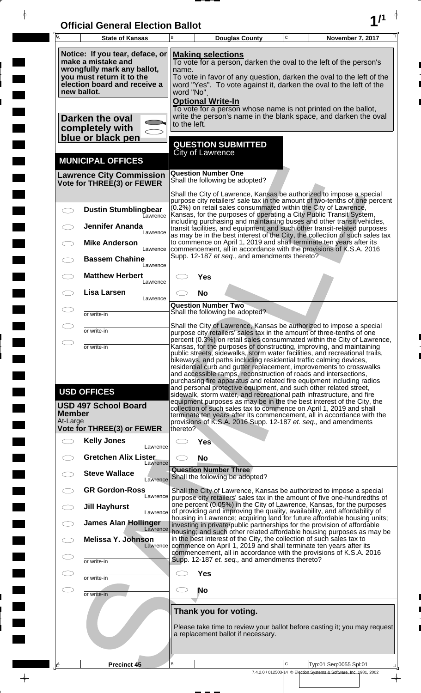| <b>Official General Election Ballot</b> |  |
|-----------------------------------------|--|
|                                         |  |

 $\overline{\phantom{a}}$ 

 $\Box$ 

 $\blacksquare$ 

 $\overline{\phantom{a}}$ 

 $\blacksquare$ 

 $\frac{1}{2}$ 

 $\frac{1}{\sqrt{2\pi}}$ 

| Ā                                                                                                                                                                | <b>State of Kansas</b>                                                                                | В            |                                                                                                                                                                                                                                                                                                | <b>Douglas County</b>                                       | C | November 7, 2017                                                                                                                                                                                                                                                                                                                                                                                                                                                                                                                                                                                                                                                                                                                   |  |
|------------------------------------------------------------------------------------------------------------------------------------------------------------------|-------------------------------------------------------------------------------------------------------|--------------|------------------------------------------------------------------------------------------------------------------------------------------------------------------------------------------------------------------------------------------------------------------------------------------------|-------------------------------------------------------------|---|------------------------------------------------------------------------------------------------------------------------------------------------------------------------------------------------------------------------------------------------------------------------------------------------------------------------------------------------------------------------------------------------------------------------------------------------------------------------------------------------------------------------------------------------------------------------------------------------------------------------------------------------------------------------------------------------------------------------------------|--|
| Notice: If you tear, deface, or<br>make a mistake and<br>wrongfully mark any ballot,<br>you must return it to the<br>election board and receive a<br>new ballot. |                                                                                                       |              | <b>Making selections</b><br>To vote for a person, darken the oval to the left of the person's<br>name.<br>To vote in favor of any question, darken the oval to the left of the<br>word "Yes". To vote against it, darken the oval to the left of the<br>word "No".<br><b>Optional Write-In</b> |                                                             |   |                                                                                                                                                                                                                                                                                                                                                                                                                                                                                                                                                                                                                                                                                                                                    |  |
|                                                                                                                                                                  | Darken the oval<br>completely with<br>blue or black pen                                               | to the left. |                                                                                                                                                                                                                                                                                                |                                                             |   | To vote for a person whose name is not printed on the ballot,<br>write the person's name in the blank space, and darken the oval                                                                                                                                                                                                                                                                                                                                                                                                                                                                                                                                                                                                   |  |
|                                                                                                                                                                  | <b>MUNICIPAL OFFICES</b>                                                                              |              | <b>City of Lawrence</b>                                                                                                                                                                                                                                                                        | <b>QUESTION SUBMITTED</b>                                   |   |                                                                                                                                                                                                                                                                                                                                                                                                                                                                                                                                                                                                                                                                                                                                    |  |
|                                                                                                                                                                  | <b>Lawrence City Commission</b><br>Vote for THREE(3) or FEWER                                         |              | <b>Question Number One</b>                                                                                                                                                                                                                                                                     | Shall the following be adopted?                             |   |                                                                                                                                                                                                                                                                                                                                                                                                                                                                                                                                                                                                                                                                                                                                    |  |
|                                                                                                                                                                  | <b>Dustin Stumblingbear</b><br><b>L</b> awrence                                                       |              |                                                                                                                                                                                                                                                                                                |                                                             |   | Shall the City of Lawrence, Kansas be authorized to impose a special<br>purpose city retailers' sale tax in the amount of two-tenths of one percent<br>(0.2%) on retail sales consummated within the City of Lawrence,<br>Kansas, for the purposes of operating a City Public Transit System,                                                                                                                                                                                                                                                                                                                                                                                                                                      |  |
|                                                                                                                                                                  | <b>Jennifer Ananda</b><br>Lawrence                                                                    |              |                                                                                                                                                                                                                                                                                                |                                                             |   | including purchasing and maintaining buses and other transit vehicles,<br>transit facilities, and equipment and such other transit-related purposes<br>as may be in the best interest of the City, the collection of such sales tax                                                                                                                                                                                                                                                                                                                                                                                                                                                                                                |  |
|                                                                                                                                                                  | <b>Mike Anderson</b><br>Lawrence<br><b>Bassem Chahine</b>                                             |              |                                                                                                                                                                                                                                                                                                | Supp. 12-187 et seq., and amendments thereto?               |   | to commence on April 1, 2019 and shall terminate ten years after its<br>commencement, all in accordance with the provisions of K.S.A. 2016                                                                                                                                                                                                                                                                                                                                                                                                                                                                                                                                                                                         |  |
|                                                                                                                                                                  | Lawrence<br><b>Matthew Herbert</b><br>Lawrence                                                        |              | Yes                                                                                                                                                                                                                                                                                            |                                                             |   |                                                                                                                                                                                                                                                                                                                                                                                                                                                                                                                                                                                                                                                                                                                                    |  |
|                                                                                                                                                                  | <b>Lisa Larsen</b><br>Lawrence                                                                        |              | <b>No</b><br><b>Question Number Two</b>                                                                                                                                                                                                                                                        |                                                             |   |                                                                                                                                                                                                                                                                                                                                                                                                                                                                                                                                                                                                                                                                                                                                    |  |
|                                                                                                                                                                  | or write-in<br>or write-in                                                                            |              |                                                                                                                                                                                                                                                                                                | Shall the following be adopted?                             |   | Shall the City of Lawrence, Kansas be authorized to impose a special                                                                                                                                                                                                                                                                                                                                                                                                                                                                                                                                                                                                                                                               |  |
| $\bigcirc$                                                                                                                                                       | or write-in                                                                                           |              |                                                                                                                                                                                                                                                                                                |                                                             |   | purpose city retailers' sales tax in the amount of three-tenths of one<br>percent (0.3%) on retail sales consummated within the City of Lawrence,<br>Kansas, for the purposes of constructing, improving, and maintaining<br>public streets, sidewalks, storm water facilities, and recreational trails,                                                                                                                                                                                                                                                                                                                                                                                                                           |  |
| <b>Member</b><br>At-Large                                                                                                                                        | <b>USD OFFICES</b><br><b>USD 497 School Board</b><br>Vote for THREE(3) or FEWER<br><b>Kelly Jones</b> | thereto?     |                                                                                                                                                                                                                                                                                                |                                                             |   | bikeways, and paths including residential traffic calming devices,<br>residential curb and gutter replacement, improvements to crosswalks<br>and accessible ramps, reconstruction of roads and intersections,<br>purchasing fire apparatus and related fire equipment including radios<br>and personal protective equipment, and such other related street,<br>sidewalk, storm water, and recreational path infrastructure, and fire<br>equipment purposes as may be in the the best interest of the City, the<br>collection of such sales tax to commence on April 1, 2019 and shall<br>terminate ten years after its commencement, all in accordance with the<br>provisions of K.S.A. 2016 Supp. 12-187 et. seq., and amendments |  |
| $\bigcirc$                                                                                                                                                       | Lawrence<br><b>Gretchen Alix Lister</b>                                                               |              | <b>Yes</b><br><b>No</b>                                                                                                                                                                                                                                                                        |                                                             |   |                                                                                                                                                                                                                                                                                                                                                                                                                                                                                                                                                                                                                                                                                                                                    |  |
|                                                                                                                                                                  | Lawrence<br><b>Steve Wallace</b><br>Lawrence                                                          |              | <b>Question Number Three</b>                                                                                                                                                                                                                                                                   | Shall the following be adopted?                             |   |                                                                                                                                                                                                                                                                                                                                                                                                                                                                                                                                                                                                                                                                                                                                    |  |
|                                                                                                                                                                  | <b>GR Gordon-Ross</b><br>Lawrence                                                                     |              |                                                                                                                                                                                                                                                                                                |                                                             |   | Shall the City of Lawrence, Kansas be authorized to impose a special<br>purpose city retailers' sales tax in the amount of five one-hundredths of                                                                                                                                                                                                                                                                                                                                                                                                                                                                                                                                                                                  |  |
|                                                                                                                                                                  | <b>Jill Hayhurst</b><br>Lawrence<br><b>James Alan Hollinger</b>                                       |              |                                                                                                                                                                                                                                                                                                |                                                             |   | one percent (0.05%) in the City of Lawrence, Kansas, for the purposes<br>of providing and improving the quality, availability, and affordability of<br>housing in Lawrence; acquiring land for future affordable housing units;<br>investing in private/public partnerships for the provision of affordable                                                                                                                                                                                                                                                                                                                                                                                                                        |  |
|                                                                                                                                                                  | Lawrence<br><b>Melissa Y. Johnson</b><br>Lawrence                                                     |              |                                                                                                                                                                                                                                                                                                |                                                             |   | housing; and such other related affordable housing purposes as may be<br>in the best interest of the City, the collection of such sales tax to<br>commence on April 1, 2019 and shall terminate ten years after its                                                                                                                                                                                                                                                                                                                                                                                                                                                                                                                |  |
| Œ                                                                                                                                                                | or write-in                                                                                           |              |                                                                                                                                                                                                                                                                                                | Supp. 12-187 et. seq., and amendments thereto?              |   | commencement, all in accordance with the provisions of K.S.A. 2016                                                                                                                                                                                                                                                                                                                                                                                                                                                                                                                                                                                                                                                                 |  |
| Œ                                                                                                                                                                | or write-in                                                                                           |              | <b>Yes</b>                                                                                                                                                                                                                                                                                     |                                                             |   |                                                                                                                                                                                                                                                                                                                                                                                                                                                                                                                                                                                                                                                                                                                                    |  |
| ㅇ                                                                                                                                                                | or write-in                                                                                           | CD.          | <b>No</b>                                                                                                                                                                                                                                                                                      |                                                             |   |                                                                                                                                                                                                                                                                                                                                                                                                                                                                                                                                                                                                                                                                                                                                    |  |
|                                                                                                                                                                  |                                                                                                       |              |                                                                                                                                                                                                                                                                                                | Thank you for voting.<br>a replacement ballot if necessary. |   | Please take time to review your ballot before casting it; you may request                                                                                                                                                                                                                                                                                                                                                                                                                                                                                                                                                                                                                                                          |  |
| A                                                                                                                                                                | Precinct 45                                                                                           | В            |                                                                                                                                                                                                                                                                                                |                                                             | C | Typ:01 Seq:0055 Spl:01                                                                                                                                                                                                                                                                                                                                                                                                                                                                                                                                                                                                                                                                                                             |  |
|                                                                                                                                                                  |                                                                                                       |              |                                                                                                                                                                                                                                                                                                |                                                             |   | 7.4.2.0 / 012503-14 © Election Systems & Software, Inc. 1981, 2002                                                                                                                                                                                                                                                                                                                                                                                                                                                                                                                                                                                                                                                                 |  |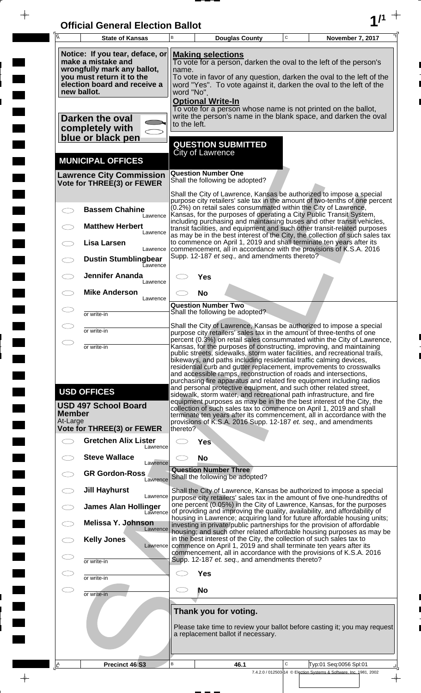| <b>Official General Election Ballot</b> |  |
|-----------------------------------------|--|
|                                         |  |

 $\bar{\phantom{a}}$ 

 $\overline{\phantom{a}}$ 

 $\Box$ 

 $\blacksquare$ 

 $\blacksquare$ 

 $\blacksquare$ 

 $\frac{1}{2}$ 

 $\frac{1}{\sqrt{2\pi}}$ 

| $\overline{A}$                     | <b>State of Kansas</b>                                                                                                                                           | B                                                                                                                                                                                                                                                                  | <b>Douglas County</b>                                                      |  | $\mathbf C$ | November 7, 2017                                                                                                                                                                                                                                                                                                                                                                                                                                                                                                                                                                                                                                                                                                                                                                                                  |  |
|------------------------------------|------------------------------------------------------------------------------------------------------------------------------------------------------------------|--------------------------------------------------------------------------------------------------------------------------------------------------------------------------------------------------------------------------------------------------------------------|----------------------------------------------------------------------------|--|-------------|-------------------------------------------------------------------------------------------------------------------------------------------------------------------------------------------------------------------------------------------------------------------------------------------------------------------------------------------------------------------------------------------------------------------------------------------------------------------------------------------------------------------------------------------------------------------------------------------------------------------------------------------------------------------------------------------------------------------------------------------------------------------------------------------------------------------|--|
|                                    | Notice: If you tear, deface, or<br>make a mistake and<br>wrongfully mark any ballot,<br>you must return it to the<br>election board and receive a<br>new ballot. | <b>Making selections</b><br>To vote for a person, darken the oval to the left of the person's<br>name.<br>To vote in favor of any question, darken the oval to the left of the<br>word "Yes". To vote against it, darken the oval to the left of the<br>word "No". |                                                                            |  |             |                                                                                                                                                                                                                                                                                                                                                                                                                                                                                                                                                                                                                                                                                                                                                                                                                   |  |
|                                    | Darken the oval<br>completely with<br>blue or black pen                                                                                                          | to the left.                                                                                                                                                                                                                                                       | <b>Optional Write-In</b>                                                   |  |             | To vote for a person whose name is not printed on the ballot,<br>write the person's name in the blank space, and darken the oval                                                                                                                                                                                                                                                                                                                                                                                                                                                                                                                                                                                                                                                                                  |  |
|                                    | <b>MUNICIPAL OFFICES</b>                                                                                                                                         |                                                                                                                                                                                                                                                                    | <b>QUESTION SUBMITTED</b><br>City of Lawrence                              |  |             |                                                                                                                                                                                                                                                                                                                                                                                                                                                                                                                                                                                                                                                                                                                                                                                                                   |  |
|                                    | <b>Lawrence City Commission</b><br>Vote for THREE(3) or FEWER                                                                                                    |                                                                                                                                                                                                                                                                    | <b>Question Number One</b><br>Shall the following be adopted?              |  |             |                                                                                                                                                                                                                                                                                                                                                                                                                                                                                                                                                                                                                                                                                                                                                                                                                   |  |
|                                    | <b>Bassem Chahine</b><br>Lawrence                                                                                                                                |                                                                                                                                                                                                                                                                    |                                                                            |  |             | Shall the City of Lawrence, Kansas be authorized to impose a special<br>purpose city retailers' sale tax in the amount of two-tenths of one percent<br>(0.2%) on retail sales consummated within the City of Lawrence,<br>Kansas, for the purposes of operating a City Public Transit System,                                                                                                                                                                                                                                                                                                                                                                                                                                                                                                                     |  |
|                                    | <b>Matthew Herbert</b><br>Lawrence                                                                                                                               |                                                                                                                                                                                                                                                                    |                                                                            |  |             | including purchasing and maintaining buses and other transit vehicles,<br>transit facilities, and equipment and such other transit-related purposes<br>as may be in the best interest of the City, the collection of such sales tax                                                                                                                                                                                                                                                                                                                                                                                                                                                                                                                                                                               |  |
|                                    | Lisa Larsen<br>Lawrence<br><b>Dustin Stumblingbear</b><br>Eawrence                                                                                               |                                                                                                                                                                                                                                                                    | Supp. 12-187 et seq., and amendments thereto?                              |  |             | to commence on April 1, 2019 and shall terminate ten years after its<br>commencement, all in accordance with the provisions of K.S.A. 2016                                                                                                                                                                                                                                                                                                                                                                                                                                                                                                                                                                                                                                                                        |  |
|                                    | <b>Jennifer Ananda</b><br>Lawrence                                                                                                                               |                                                                                                                                                                                                                                                                    | Yes                                                                        |  |             |                                                                                                                                                                                                                                                                                                                                                                                                                                                                                                                                                                                                                                                                                                                                                                                                                   |  |
|                                    | <b>Mike Anderson</b><br>Lawrence                                                                                                                                 |                                                                                                                                                                                                                                                                    | <b>No</b><br><b>Question Number Two</b><br>Shall the following be adopted? |  |             |                                                                                                                                                                                                                                                                                                                                                                                                                                                                                                                                                                                                                                                                                                                                                                                                                   |  |
|                                    | or write-in                                                                                                                                                      |                                                                                                                                                                                                                                                                    |                                                                            |  |             | Shall the City of Lawrence, Kansas be authorized to impose a special                                                                                                                                                                                                                                                                                                                                                                                                                                                                                                                                                                                                                                                                                                                                              |  |
| ⌒                                  | or write-in<br>or write-in                                                                                                                                       | purpose city retailers' sales tax in the amount of three-tenths of one<br>percent (0.3%) on retail sales consummated within the City of Lawrence,<br>Kansas, for the purposes of constructing, improving, and maintaining                                          |                                                                            |  |             |                                                                                                                                                                                                                                                                                                                                                                                                                                                                                                                                                                                                                                                                                                                                                                                                                   |  |
| <b>Member</b><br>At-Large          | <b>USD OFFICES</b><br><b>USD 497 School Board</b>                                                                                                                |                                                                                                                                                                                                                                                                    |                                                                            |  |             | public streets, sidewalks, storm water facilities, and recreational trails,<br>bikeways, and paths including residential traffic calming devices,<br>residential curb and gutter replacement, improvements to crosswalks<br>and accessible ramps, reconstruction of roads and intersections,<br>purchasing fire apparatus and related fire equipment including radios<br>and personal protective equipment, and such other related street,<br>sidewalk, storm water, and recreational path infrastructure, and fire<br>equipment purposes as may be in the the best interest of the City, the<br>collection of such sales tax to commence on April 1, 2019 and shall<br>terminate ten years after its commencement, all in accordance with the<br>provisions of K.S.A. 2016 Supp. 12-187 et. seq., and amendments |  |
| $\overline{\phantom{1}}$           | <b>Vote for THREE(3) or FEWER</b><br><b>Gretchen Alix Lister</b>                                                                                                 | thereto?                                                                                                                                                                                                                                                           | Yes                                                                        |  |             |                                                                                                                                                                                                                                                                                                                                                                                                                                                                                                                                                                                                                                                                                                                                                                                                                   |  |
|                                    | Lawrence<br><b>Steve Wallace</b>                                                                                                                                 |                                                                                                                                                                                                                                                                    | <b>No</b>                                                                  |  |             |                                                                                                                                                                                                                                                                                                                                                                                                                                                                                                                                                                                                                                                                                                                                                                                                                   |  |
|                                    | Lawrence<br><b>GR Gordon-Ross</b><br>Lawrence                                                                                                                    |                                                                                                                                                                                                                                                                    | <b>Question Number Three</b><br>Shall the following be adopted?            |  |             |                                                                                                                                                                                                                                                                                                                                                                                                                                                                                                                                                                                                                                                                                                                                                                                                                   |  |
| $\overline{\phantom{0}}$           | <b>Jill Hayhurst</b><br>Lawrence                                                                                                                                 |                                                                                                                                                                                                                                                                    |                                                                            |  |             | Shall the City of Lawrence, Kansas be authorized to impose a special<br>purpose city retailers' sales tax in the amount of five one-hundredths of<br>one percent (0.05%) in the City of Lawrence, Kansas, for the purposes                                                                                                                                                                                                                                                                                                                                                                                                                                                                                                                                                                                        |  |
|                                    | <b>James Alan Hollinger</b><br>Lawrence<br>Melissa Y. Johnson                                                                                                    |                                                                                                                                                                                                                                                                    |                                                                            |  |             | of providing and improving the quality, availability, and affordability of<br>housing in Lawrence; acquiring land for future affordable housing units;<br>investing in private/public partnerships for the provision of affordable                                                                                                                                                                                                                                                                                                                                                                                                                                                                                                                                                                                |  |
| $\subset$ $\overline{\phantom{a}}$ | Lawrence<br><b>Kelly Jones</b><br>Lawrence                                                                                                                       |                                                                                                                                                                                                                                                                    |                                                                            |  |             | housing; and such other related affordable housing purposes as may be<br>in the best interest of the City, the collection of such sales tax to<br>commence on April 1, 2019 and shall terminate ten years after its                                                                                                                                                                                                                                                                                                                                                                                                                                                                                                                                                                                               |  |
| Œ                                  | or write-in                                                                                                                                                      |                                                                                                                                                                                                                                                                    | Supp. 12-187 et. seq., and amendments thereto?                             |  |             | commencement, all in accordance with the provisions of K.S.A. 2016                                                                                                                                                                                                                                                                                                                                                                                                                                                                                                                                                                                                                                                                                                                                                |  |
| $\subset$                          | or write-in                                                                                                                                                      |                                                                                                                                                                                                                                                                    | <b>Yes</b>                                                                 |  |             |                                                                                                                                                                                                                                                                                                                                                                                                                                                                                                                                                                                                                                                                                                                                                                                                                   |  |
| $\subset$                          | or write-in                                                                                                                                                      | CD.                                                                                                                                                                                                                                                                | <b>No</b>                                                                  |  |             |                                                                                                                                                                                                                                                                                                                                                                                                                                                                                                                                                                                                                                                                                                                                                                                                                   |  |
|                                    |                                                                                                                                                                  |                                                                                                                                                                                                                                                                    | Thank you for voting.<br>a replacement ballot if necessary.                |  |             | Please take time to review your ballot before casting it; you may request                                                                                                                                                                                                                                                                                                                                                                                                                                                                                                                                                                                                                                                                                                                                         |  |
| <u>, A</u>                         | Precinct 46 S3                                                                                                                                                   | B                                                                                                                                                                                                                                                                  | 46.1                                                                       |  | C           | Typ:01 Seq:0056 Spl:01<br>7.4.2.0 / 012503-14 © Election Systems & Software, Inc. 1981, 2002                                                                                                                                                                                                                                                                                                                                                                                                                                                                                                                                                                                                                                                                                                                      |  |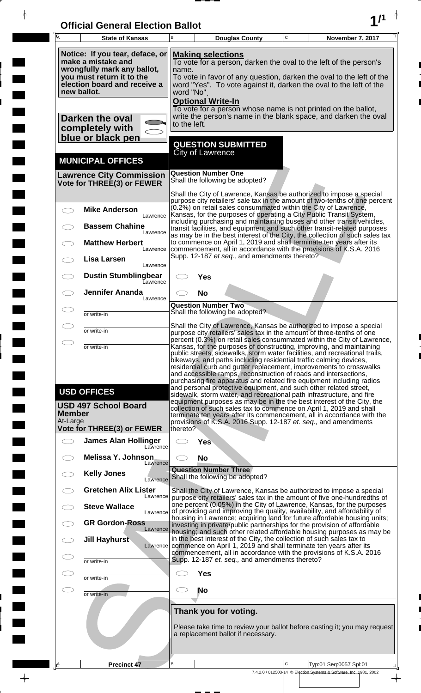| <b>Official General Election Ballot</b> |  |
|-----------------------------------------|--|
|                                         |  |

 $\blacksquare$ 

 $\blacksquare$ 

 $\frac{1}{\sqrt{2\pi}}$ 

 $\Box$ 

| 瓦                   | <b>State of Kansas</b>                                                                                                                                           | B                   | <b>Douglas County</b>                                                                                                                                                                                                                                                                                                                                                                                                                      | $\mathbf C$ | November 7, 2017                                                                             |
|---------------------|------------------------------------------------------------------------------------------------------------------------------------------------------------------|---------------------|--------------------------------------------------------------------------------------------------------------------------------------------------------------------------------------------------------------------------------------------------------------------------------------------------------------------------------------------------------------------------------------------------------------------------------------------|-------------|----------------------------------------------------------------------------------------------|
|                     | Notice: If you tear, deface, or<br>make a mistake and<br>wrongfully mark any ballot,<br>you must return it to the<br>election board and receive a<br>new ballot. | name.<br>word "No". | <b>Making selections</b><br>To vote for a person, darken the oval to the left of the person's<br>To vote in favor of any question, darken the oval to the left of the<br>word "Yes". To vote against it, darken the oval to the left of the                                                                                                                                                                                                |             |                                                                                              |
|                     | Darken the oval<br>completely with                                                                                                                               | to the left.        | <b>Optional Write-In</b><br>To vote for a person whose name is not printed on the ballot,<br>write the person's name in the blank space, and darken the oval                                                                                                                                                                                                                                                                               |             |                                                                                              |
|                     | blue or black pen                                                                                                                                                |                     | <b>QUESTION SUBMITTED</b><br><b>City of Lawrence</b>                                                                                                                                                                                                                                                                                                                                                                                       |             |                                                                                              |
|                     | <b>MUNICIPAL OFFICES</b>                                                                                                                                         |                     |                                                                                                                                                                                                                                                                                                                                                                                                                                            |             |                                                                                              |
|                     | <b>Lawrence City Commission</b><br>Vote for THREE(3) or FEWER                                                                                                    |                     | <b>Question Number One</b><br>Shall the following be adopted?                                                                                                                                                                                                                                                                                                                                                                              |             |                                                                                              |
|                     |                                                                                                                                                                  |                     | Shall the City of Lawrence, Kansas be authorized to impose a special<br>purpose city retailers' sale tax in the amount of two-tenths of one percent                                                                                                                                                                                                                                                                                        |             |                                                                                              |
|                     | <b>Mike Anderson</b><br>Lawrence                                                                                                                                 |                     | (0.2%) on retail sales consummated within the City of Lawrence,<br>Kansas, for the purposes of operating a City Public Transit System,<br>including purchasing and maintaining buses and other transit vehicles,                                                                                                                                                                                                                           |             |                                                                                              |
|                     | <b>Bassem Chahine</b><br>Lawrence                                                                                                                                |                     | transit facilities, and equipment and such other transit-related purposes<br>as may be in the best interest of the City, the collection of such sales tax                                                                                                                                                                                                                                                                                  |             |                                                                                              |
|                     | <b>Matthew Herbert</b><br>Lawrence                                                                                                                               |                     | to commence on April 1, 2019 and shall terminate ten years after its<br>commencement, all in accordance with the provisions of K.S.A. 2016                                                                                                                                                                                                                                                                                                 |             |                                                                                              |
|                     | Lisa Larsen<br>Lawrence                                                                                                                                          |                     | Supp. 12-187 et seq., and amendments thereto?                                                                                                                                                                                                                                                                                                                                                                                              |             |                                                                                              |
|                     | <b>Dustin Stumblingbear</b><br>Lawrence                                                                                                                          |                     | Yes                                                                                                                                                                                                                                                                                                                                                                                                                                        |             |                                                                                              |
|                     | <b>Jennifer Ananda</b><br>Lawrence                                                                                                                               |                     | <b>No</b>                                                                                                                                                                                                                                                                                                                                                                                                                                  |             |                                                                                              |
|                     | or write-in                                                                                                                                                      |                     | <b>Question Number Two</b><br>Shall the following be adopted?                                                                                                                                                                                                                                                                                                                                                                              |             |                                                                                              |
|                     | or write-in                                                                                                                                                      |                     | Shall the City of Lawrence, Kansas be authorized to impose a special<br>purpose city retailers' sales tax in the amount of three-tenths of one                                                                                                                                                                                                                                                                                             |             |                                                                                              |
| ⌒                   | or write-in                                                                                                                                                      |                     | percent (0.3%) on retail sales consummated within the City of Lawrence,<br>Kansas, for the purposes of constructing, improving, and maintaining                                                                                                                                                                                                                                                                                            |             |                                                                                              |
|                     |                                                                                                                                                                  |                     | public streets, sidewalks, storm water facilities, and recreational trails,<br>bikeways, and paths including residential traffic calming devices,<br>residential curb and gutter replacement, improvements to crosswalks<br>and accessible ramps, reconstruction of roads and intersections,<br>purchasing fire apparatus and related fire equipment including radios<br>and personal protective equipment, and such other related street, |             |                                                                                              |
| Member<br>At-Large  | <b>USD OFFICES</b><br><b>USD 497 School Board</b><br>Vote for THREE(3) or FEWER                                                                                  | thereto?            | sidewalk, storm water, and recreational path infrastructure, and fire<br>equipment purposes as may be in the the best interest of the City, the<br>collection of such sales tax to commence on April 1, 2019 and shall<br>terminate ten years after its commencement, all in accordance with the<br>provisions of K.S.A. 2016 Supp. 12-187 et. seq., and amendments                                                                        |             |                                                                                              |
| $\bigcirc$          | <b>James Alan Hollinger</b>                                                                                                                                      |                     | Yes                                                                                                                                                                                                                                                                                                                                                                                                                                        |             |                                                                                              |
|                     | Lawrence<br><b>Melissa Y. Johnson</b>                                                                                                                            | C.                  | <b>No</b>                                                                                                                                                                                                                                                                                                                                                                                                                                  |             |                                                                                              |
|                     | Lawrence<br><b>Kelly Jones</b>                                                                                                                                   |                     | <b>Question Number Three</b>                                                                                                                                                                                                                                                                                                                                                                                                               |             |                                                                                              |
|                     | Lawrence<br><b>Gretchen Alix Lister</b>                                                                                                                          |                     | Shall the following be adopted?                                                                                                                                                                                                                                                                                                                                                                                                            |             |                                                                                              |
|                     | Lawrence<br><b>Steve Wallace</b>                                                                                                                                 |                     | Shall the City of Lawrence, Kansas be authorized to impose a special<br>purpose city retailers' sales tax in the amount of five one-hundredths of<br>one percent (0.05%) in the City of Lawrence, Kansas, for the purposes                                                                                                                                                                                                                 |             |                                                                                              |
|                     | Lawrence<br><b>GR Gordon-Ross</b>                                                                                                                                |                     | of providing and improving the quality, availability, and affordability of<br>housing in Lawrence; acquiring land for future affordable housing units;<br>investing in private/public partnerships for the provision of affordable                                                                                                                                                                                                         |             |                                                                                              |
|                     | Lawrence<br><b>Jill Hayhurst</b>                                                                                                                                 |                     | housing; and such other related affordable housing purposes as may be<br>in the best interest of the City, the collection of such sales tax to                                                                                                                                                                                                                                                                                             |             |                                                                                              |
| Œ                   | Lawrence<br>or write-in                                                                                                                                          |                     | commence on April 1, 2019 and shall terminate ten years after its<br>commencement, all in accordance with the provisions of K.S.A. 2016<br>Supp. 12-187 et. seq., and amendments thereto?                                                                                                                                                                                                                                                  |             |                                                                                              |
| Œ                   | or write-in                                                                                                                                                      |                     | Yes                                                                                                                                                                                                                                                                                                                                                                                                                                        |             |                                                                                              |
| $\subset$ $\supset$ | or write-in                                                                                                                                                      | C.                  | <b>No</b>                                                                                                                                                                                                                                                                                                                                                                                                                                  |             |                                                                                              |
|                     |                                                                                                                                                                  |                     | Thank you for voting.                                                                                                                                                                                                                                                                                                                                                                                                                      |             |                                                                                              |
|                     |                                                                                                                                                                  |                     | Please take time to review your ballot before casting it; you may request<br>a replacement ballot if necessary.                                                                                                                                                                                                                                                                                                                            |             |                                                                                              |
|                     |                                                                                                                                                                  |                     |                                                                                                                                                                                                                                                                                                                                                                                                                                            |             |                                                                                              |
| .IA                 | <b>Precinct 47</b>                                                                                                                                               | В                   |                                                                                                                                                                                                                                                                                                                                                                                                                                            | $\mathsf C$ | Typ:01 Seq:0057 Spl:01<br>7.4.2.0 / 012503-14 © Election Systems & Software, Inc. 1981, 2002 |
|                     |                                                                                                                                                                  |                     |                                                                                                                                                                                                                                                                                                                                                                                                                                            |             | $\rightarrow$                                                                                |

 $\frac{1}{\sqrt{2}}$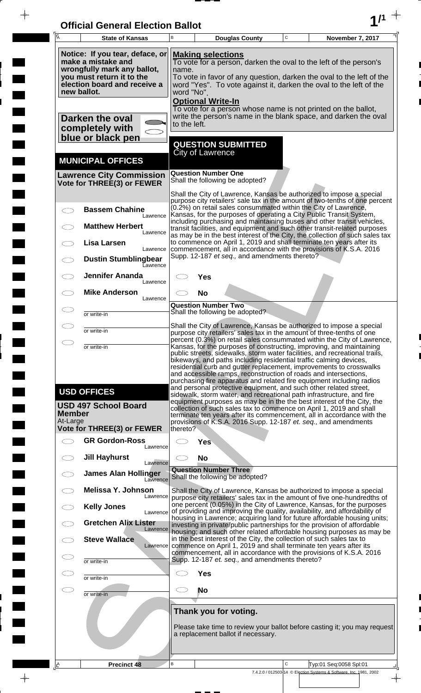| <b>Official General Election Ballot</b> |  |
|-----------------------------------------|--|
|                                         |  |

 $\overline{\phantom{a}}$ 

 $\Box$ 

 $\blacksquare$ 

 $\blacksquare$ 

 $\frac{1}{2}$ 

 $\frac{1}{\sqrt{2\pi}}\int_{0}^{\pi}\frac{1}{\sqrt{2\pi}}\left( \frac{1}{\sqrt{2\pi}}\right) \frac{d\mu}{d\mu}d\mu$ 

| $\overline{\mathsf{A}}$ | <b>State of Kansas</b>                                                                                                                                           | В                   | <b>Douglas County</b>                                         | $\mathbf C$  | November 7, 2017                                                                                                                                                                                                                                                                                                                                                                                                                                                                                                                                                                                                                                                                                                                                                                                                  |
|-------------------------|------------------------------------------------------------------------------------------------------------------------------------------------------------------|---------------------|---------------------------------------------------------------|--------------|-------------------------------------------------------------------------------------------------------------------------------------------------------------------------------------------------------------------------------------------------------------------------------------------------------------------------------------------------------------------------------------------------------------------------------------------------------------------------------------------------------------------------------------------------------------------------------------------------------------------------------------------------------------------------------------------------------------------------------------------------------------------------------------------------------------------|
|                         | Notice: If you tear, deface, or<br>make a mistake and<br>wrongfully mark any ballot,<br>you must return it to the<br>election board and receive a<br>new ballot. | name.<br>word "No". | <b>Making selections</b><br><b>Optional Write-In</b>          |              | To vote for a person, darken the oval to the left of the person's<br>To vote in favor of any question, darken the oval to the left of the<br>word "Yes". To vote against it, darken the oval to the left of the                                                                                                                                                                                                                                                                                                                                                                                                                                                                                                                                                                                                   |
|                         | Darken the oval<br>completely with<br>blue or black pen                                                                                                          | to the left.        |                                                               |              | To vote for a person whose name is not printed on the ballot,<br>write the person's name in the blank space, and darken the oval                                                                                                                                                                                                                                                                                                                                                                                                                                                                                                                                                                                                                                                                                  |
|                         | <b>MUNICIPAL OFFICES</b>                                                                                                                                         |                     | <b>QUESTION SUBMITTED</b><br><b>City of Lawrence</b>          |              |                                                                                                                                                                                                                                                                                                                                                                                                                                                                                                                                                                                                                                                                                                                                                                                                                   |
|                         | <b>Lawrence City Commission</b><br>Vote for THREE(3) or FEWER                                                                                                    |                     | <b>Question Number One</b><br>Shall the following be adopted? |              |                                                                                                                                                                                                                                                                                                                                                                                                                                                                                                                                                                                                                                                                                                                                                                                                                   |
|                         | <b>Bassem Chahine</b><br>Lawrence<br><b>Matthew Herbert</b>                                                                                                      |                     |                                                               |              | Shall the City of Lawrence, Kansas be authorized to impose a special<br>purpose city retailers' sale tax in the amount of two-tenths of one percent<br>(0.2%) on retail sales consummated within the City of Lawrence,<br>Kansas, for the purposes of operating a City Public Transit System,<br>including purchasing and maintaining buses and other transit vehicles,                                                                                                                                                                                                                                                                                                                                                                                                                                           |
|                         | Lawrence<br><b>Lisa Larsen</b><br>Lawrence                                                                                                                       |                     | Supp. 12-187 et seq., and amendments thereto?                 |              | transit facilities, and equipment and such other transit-related purposes<br>as may be in the best interest of the City, the collection of such sales tax<br>to commence on April 1, 2019 and shall terminate ten years after its<br>commencement, all in accordance with the provisions of K.S.A. 2016                                                                                                                                                                                                                                                                                                                                                                                                                                                                                                           |
|                         | <b>Dustin Stumblingbear</b><br>Eawrence<br><b>Jennifer Ananda</b>                                                                                                |                     | Yes                                                           |              |                                                                                                                                                                                                                                                                                                                                                                                                                                                                                                                                                                                                                                                                                                                                                                                                                   |
|                         | Lawrence<br><b>Mike Anderson</b><br>Lawrence                                                                                                                     |                     | <b>No</b>                                                     |              |                                                                                                                                                                                                                                                                                                                                                                                                                                                                                                                                                                                                                                                                                                                                                                                                                   |
|                         | or write-in                                                                                                                                                      |                     | <b>Question Number Two</b><br>Shall the following be adopted? |              |                                                                                                                                                                                                                                                                                                                                                                                                                                                                                                                                                                                                                                                                                                                                                                                                                   |
| $\bigcirc$              | or write-in<br>or write-in                                                                                                                                       |                     |                                                               |              | Shall the City of Lawrence, Kansas be authorized to impose a special<br>purpose city retailers' sales tax in the amount of three-tenths of one<br>percent (0.3%) on retail sales consummated within the City of Lawrence,<br>Kansas, for the purposes of constructing, improving, and maintaining                                                                                                                                                                                                                                                                                                                                                                                                                                                                                                                 |
| Member<br>At-Large      | <b>USD OFFICES</b><br><b>USD 497 School Board</b><br>Vote for THREE(3) or FEWER                                                                                  | thereto?            |                                                               |              | public streets, sidewalks, storm water facilities, and recreational trails,<br>bikeways, and paths including residential traffic calming devices,<br>residential curb and gutter replacement, improvements to crosswalks<br>and accessible ramps, reconstruction of roads and intersections,<br>purchasing fire apparatus and related fire equipment including radios<br>and personal protective equipment, and such other related street,<br>sidewalk, storm water, and recreational path infrastructure, and fire<br>equipment purposes as may be in the the best interest of the City, the<br>collection of such sales tax to commence on April 1, 2019 and shall<br>terminate ten years after its commencement, all in accordance with the<br>provisions of K.S.A. 2016 Supp. 12-187 et. seq., and amendments |
|                         | <b>GR Gordon-Ross</b><br>Lawrence                                                                                                                                |                     | <b>Yes</b>                                                    |              |                                                                                                                                                                                                                                                                                                                                                                                                                                                                                                                                                                                                                                                                                                                                                                                                                   |
|                         | <b>Jill Hayhurst</b><br>Lawrence                                                                                                                                 |                     | <b>No</b><br><b>Question Number Three</b>                     |              |                                                                                                                                                                                                                                                                                                                                                                                                                                                                                                                                                                                                                                                                                                                                                                                                                   |
|                         | <b>James Alan Hollinger</b><br>Lawrence<br><b>Melissa Y. Johnson</b>                                                                                             |                     | Shall the following be adopted?                               |              |                                                                                                                                                                                                                                                                                                                                                                                                                                                                                                                                                                                                                                                                                                                                                                                                                   |
|                         | Lawrence<br><b>Kelly Jones</b><br>Lawrence                                                                                                                       |                     |                                                               |              | Shall the City of Lawrence, Kansas be authorized to impose a special<br>purpose city retailers' sales tax in the amount of five one-hundredths of<br>one percent (0.05%) in the City of Lawrence, Kansas, for the purposes<br>of providing and improving the quality, availability, and affordability of                                                                                                                                                                                                                                                                                                                                                                                                                                                                                                          |
|                         | <b>Gretchen Alix Lister</b><br>Lawrence                                                                                                                          |                     |                                                               |              | housing in Lawrence; acquiring land for future affordable housing units;<br>investing in private/public partnerships for the provision of affordable<br>housing; and such other related affordable housing purposes as may be                                                                                                                                                                                                                                                                                                                                                                                                                                                                                                                                                                                     |
|                         | <b>Steve Wallace</b>                                                                                                                                             |                     |                                                               |              | in the best interest of the City, the collection of such sales tax to<br>Lawrence commence on April 1, 2019 and shall terminate ten years after its<br>commencement, all in accordance with the provisions of K.S.A. 2016                                                                                                                                                                                                                                                                                                                                                                                                                                                                                                                                                                                         |
|                         | or write-in<br>or write-in                                                                                                                                       |                     | Supp. 12-187 et. seq., and amendments thereto?<br><b>Yes</b>  |              |                                                                                                                                                                                                                                                                                                                                                                                                                                                                                                                                                                                                                                                                                                                                                                                                                   |
| CD                      | or write-in                                                                                                                                                      |                     | No                                                            |              |                                                                                                                                                                                                                                                                                                                                                                                                                                                                                                                                                                                                                                                                                                                                                                                                                   |
|                         |                                                                                                                                                                  |                     | Thank you for voting.<br>a replacement ballot if necessary.   |              | Please take time to review your ballot before casting it; you may request                                                                                                                                                                                                                                                                                                                                                                                                                                                                                                                                                                                                                                                                                                                                         |
| Ιê                      | <b>Precinct 48</b>                                                                                                                                               | B                   |                                                               | $\mathsf{C}$ | Typ:01 Seq:0058 Spl:01<br>7.4.2.0 / 012503-14 © Election Systems & Software, Inc. 1981, 2002                                                                                                                                                                                                                                                                                                                                                                                                                                                                                                                                                                                                                                                                                                                      |
|                         |                                                                                                                                                                  |                     |                                                               |              | $\overline{\phantom{a}}$                                                                                                                                                                                                                                                                                                                                                                                                                                                                                                                                                                                                                                                                                                                                                                                          |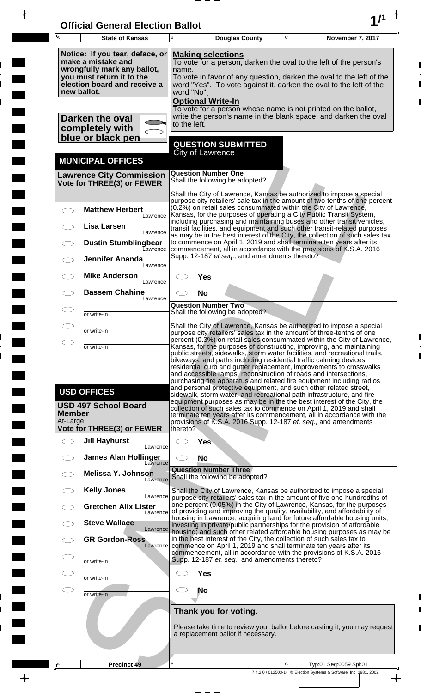| <b>Official General Election Ballot</b> |  |
|-----------------------------------------|--|
|                                         |  |

 $\overline{\phantom{a}}$ 

 $\Box$ 

 $\blacksquare$ 

 $\blacksquare$ 

 $\frac{1}{2}$ 

 $\frac{1}{\sqrt{2\pi}}$ 

| Ā                         | <b>State of Kansas</b>                                                                                                                                           | B                   |                                                                 | <b>Douglas County</b> | $\mathbf C$ | November 7, 2017                                                                                                                                                                                                                                                                                                                                                                                                                                                                                                                                                                                                                                                      |
|---------------------------|------------------------------------------------------------------------------------------------------------------------------------------------------------------|---------------------|-----------------------------------------------------------------|-----------------------|-------------|-----------------------------------------------------------------------------------------------------------------------------------------------------------------------------------------------------------------------------------------------------------------------------------------------------------------------------------------------------------------------------------------------------------------------------------------------------------------------------------------------------------------------------------------------------------------------------------------------------------------------------------------------------------------------|
|                           | Notice: If you tear, deface, or<br>make a mistake and<br>wrongfully mark any ballot,<br>you must return it to the<br>election board and receive a<br>new ballot. | name.<br>word "No". | <b>Making selections</b>                                        |                       |             | To vote for a person, darken the oval to the left of the person's<br>To vote in favor of any question, darken the oval to the left of the<br>word "Yes". To vote against it, darken the oval to the left of the                                                                                                                                                                                                                                                                                                                                                                                                                                                       |
|                           | Darken the oval<br>completely with<br>blue or black pen                                                                                                          | to the left.        | <b>Optional Write-In</b><br><b>QUESTION SUBMITTED</b>           |                       |             | To vote for a person whose name is not printed on the ballot,<br>write the person's name in the blank space, and darken the oval                                                                                                                                                                                                                                                                                                                                                                                                                                                                                                                                      |
|                           | <b>MUNICIPAL OFFICES</b>                                                                                                                                         |                     | <b>City of Lawrence</b>                                         |                       |             |                                                                                                                                                                                                                                                                                                                                                                                                                                                                                                                                                                                                                                                                       |
|                           | <b>Lawrence City Commission</b><br>Vote for THREE(3) or FEWER                                                                                                    |                     | <b>Question Number One</b><br>Shall the following be adopted?   |                       |             |                                                                                                                                                                                                                                                                                                                                                                                                                                                                                                                                                                                                                                                                       |
|                           | <b>Matthew Herbert</b>                                                                                                                                           |                     |                                                                 |                       |             | Shall the City of Lawrence, Kansas be authorized to impose a special<br>purpose city retailers' sale tax in the amount of two-tenths of one percent<br>(0.2%) on retail sales consummated within the City of Lawrence,<br>Kansas, for the purposes of operating a City Public Transit System,                                                                                                                                                                                                                                                                                                                                                                         |
|                           | Lawrence<br>Lisa Larsen<br>Lawrence                                                                                                                              |                     |                                                                 |                       |             | including purchasing and maintaining buses and other transit vehicles,<br>transit facilities, and equipment and such other transit-related purposes                                                                                                                                                                                                                                                                                                                                                                                                                                                                                                                   |
|                           | <b>Dustin Stumblingbear</b><br>Eawrence                                                                                                                          |                     | Supp. 12-187 et seq., and amendments thereto?                   |                       |             | as may be in the best interest of the City, the collection of such sales tax<br>to commence on April 1, 2019 and shall terminate ten years after its<br>commencement, all in accordance with the provisions of K.S.A. 2016                                                                                                                                                                                                                                                                                                                                                                                                                                            |
|                           | <b>Jennifer Ananda</b><br>Lawrence                                                                                                                               |                     |                                                                 |                       |             |                                                                                                                                                                                                                                                                                                                                                                                                                                                                                                                                                                                                                                                                       |
|                           | <b>Mike Anderson</b><br>Lawrence<br><b>Bassem Chahine</b>                                                                                                        |                     | Yes<br><b>No</b>                                                |                       |             |                                                                                                                                                                                                                                                                                                                                                                                                                                                                                                                                                                                                                                                                       |
|                           | Lawrence<br>or write-in                                                                                                                                          |                     | <b>Question Number Two</b><br>Shall the following be adopted?   |                       |             |                                                                                                                                                                                                                                                                                                                                                                                                                                                                                                                                                                                                                                                                       |
|                           |                                                                                                                                                                  |                     |                                                                 |                       |             | Shall the City of Lawrence, Kansas be authorized to impose a special                                                                                                                                                                                                                                                                                                                                                                                                                                                                                                                                                                                                  |
|                           | or write-in                                                                                                                                                      |                     |                                                                 |                       |             | purpose city retailers' sales tax in the amount of three-tenths of one<br>percent (0.3%) on retail sales consummated within the City of Lawrence,                                                                                                                                                                                                                                                                                                                                                                                                                                                                                                                     |
|                           | or write-in<br><b>USD OFFICES</b><br><b>USD 497 School Board</b>                                                                                                 |                     |                                                                 |                       |             | Kansas, for the purposes of constructing, improving, and maintaining<br>public streets, sidewalks, storm water facilities, and recreational trails,<br>bikeways, and paths including residential traffic calming devices,<br>residential curb and gutter replacement, improvements to crosswalks<br>and accessible ramps, reconstruction of roads and intersections,<br>purchasing fire apparatus and related fire equipment including radios<br>and personal protective equipment, and such other related street,<br>sidewalk, storm water, and recreational path infrastructure, and fire<br>equipment purposes as may be in the the best interest of the City, the |
| <b>Member</b><br>At-Large |                                                                                                                                                                  |                     |                                                                 |                       |             | collection of such sales tax to commence on April 1, 2019 and shall<br>terminate ten years after its commencement, all in accordance with the<br>provisions of K.S.A. 2016 Supp. 12-187 et. seq., and amendments                                                                                                                                                                                                                                                                                                                                                                                                                                                      |
|                           | <b>Vote for THREE(3) or FEWER</b><br><b>Jill Hayhurst</b>                                                                                                        | thereto?            | <b>Yes</b>                                                      |                       |             |                                                                                                                                                                                                                                                                                                                                                                                                                                                                                                                                                                                                                                                                       |
|                           | Lawrence<br><b>James Alan Hollinger</b>                                                                                                                          |                     | <b>No</b>                                                       |                       |             |                                                                                                                                                                                                                                                                                                                                                                                                                                                                                                                                                                                                                                                                       |
|                           | Lawrence<br><b>Melissa Y. Johnson</b><br>Lawrence                                                                                                                |                     | <b>Question Number Three</b><br>Shall the following be adopted? |                       |             |                                                                                                                                                                                                                                                                                                                                                                                                                                                                                                                                                                                                                                                                       |
|                           | <b>Kelly Jones</b><br>Lawrence                                                                                                                                   |                     |                                                                 |                       |             | Shall the City of Lawrence, Kansas be authorized to impose a special<br>purpose city retailers' sales tax in the amount of five one-hundredths of                                                                                                                                                                                                                                                                                                                                                                                                                                                                                                                     |
|                           | <b>Gretchen Alix Lister</b><br>Lawrence                                                                                                                          |                     |                                                                 |                       |             | one percent (0.05%) in the City of Lawrence, Kansas, for the purposes<br>of providing and improving the quality, availability, and affordability of<br>housing in Lawrence; acquiring land for future affordable housing units;                                                                                                                                                                                                                                                                                                                                                                                                                                       |
|                           | <b>Steve Wallace</b><br>Lawrence                                                                                                                                 |                     |                                                                 |                       |             | investing in private/public partnerships for the provision of affordable<br>housing; and such other related affordable housing purposes as may be                                                                                                                                                                                                                                                                                                                                                                                                                                                                                                                     |
|                           | <b>GR Gordon-Ross</b><br>Lawrence                                                                                                                                |                     |                                                                 |                       |             | in the best interest of the City, the collection of such sales tax to<br>commence on April 1, 2019 and shall terminate ten years after its<br>commencement, all in accordance with the provisions of K.S.A. 2016                                                                                                                                                                                                                                                                                                                                                                                                                                                      |
|                           | or write-in                                                                                                                                                      |                     | Supp. 12-187 et. seq., and amendments thereto?                  |                       |             |                                                                                                                                                                                                                                                                                                                                                                                                                                                                                                                                                                                                                                                                       |
|                           | or write-in                                                                                                                                                      |                     | <b>Yes</b><br><b>No</b>                                         |                       |             |                                                                                                                                                                                                                                                                                                                                                                                                                                                                                                                                                                                                                                                                       |
|                           | or write-in                                                                                                                                                      |                     |                                                                 |                       |             |                                                                                                                                                                                                                                                                                                                                                                                                                                                                                                                                                                                                                                                                       |
|                           |                                                                                                                                                                  |                     | Thank you for voting.<br>a replacement ballot if necessary.     |                       |             | Please take time to review your ballot before casting it; you may request                                                                                                                                                                                                                                                                                                                                                                                                                                                                                                                                                                                             |
| ΙÊ                        | <b>Precinct 49</b>                                                                                                                                               | B                   |                                                                 |                       | C           | Typ:01 Seq:0059 Spl:01<br>7.4.2.0 / 012503-14 © Election Systems & Software, Inc. 1981, 2002                                                                                                                                                                                                                                                                                                                                                                                                                                                                                                                                                                          |

 $\frac{1}{\sqrt{2}}$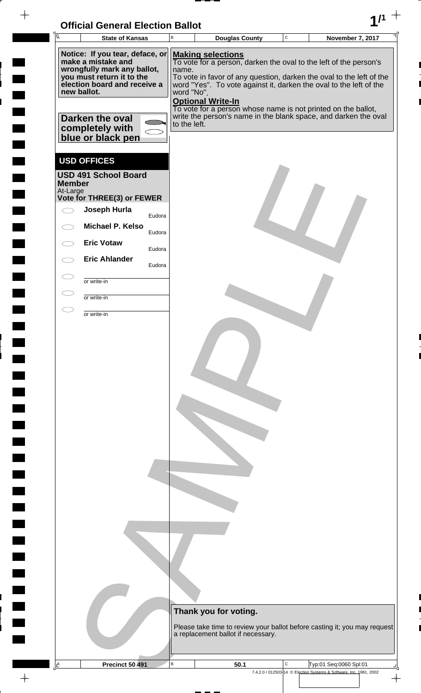| <b>Official General Election Ballot</b> |  |
|-----------------------------------------|--|
|                                         |  |

 $\overline{\phantom{a}}$ 

 $\blacksquare$ 

 $\blacksquare$ 

 $\begin{array}{c} \hline \end{array}$ 

L

| Ā                         | <b>State of Kansas</b>                                                                                                                                                                                       |        | $\sf B$                             | <b>Douglas County</b>                                                                                                                                                                                                                                                                                                                                                                                       | $\mathsf C$ | <b>November 7, 2017</b>                                            |
|---------------------------|--------------------------------------------------------------------------------------------------------------------------------------------------------------------------------------------------------------|--------|-------------------------------------|-------------------------------------------------------------------------------------------------------------------------------------------------------------------------------------------------------------------------------------------------------------------------------------------------------------------------------------------------------------------------------------------------------------|-------------|--------------------------------------------------------------------|
| new ballot.               | Notice: If you tear, deface, or<br>make a mistake and<br>wrongfully mark any ballot,<br>you must return it to the<br>election board and receive a<br>Darken the oval<br>completely with<br>blue or black pen |        | name.<br>word "No".<br>to the left. | <b>Making selections</b><br>To vote for a person, darken the oval to the left of the person's<br>To vote in favor of any question, darken the oval to the left of the<br>word "Yes". To vote against it, darken the oval to the left of the<br><b>Optional Write-In</b><br>To vote for a person whose name is not printed on the ballot,<br>write the person's name in the blank space, and darken the oval |             |                                                                    |
| <b>Member</b><br>At-Large | <b>USD OFFICES</b><br><b>USD 491 School Board</b><br>Vote for THREE(3) or FEWER                                                                                                                              |        |                                     |                                                                                                                                                                                                                                                                                                                                                                                                             |             |                                                                    |
|                           | Joseph Hurla                                                                                                                                                                                                 | Eudora |                                     |                                                                                                                                                                                                                                                                                                                                                                                                             |             |                                                                    |
|                           | Michael P. Kelso                                                                                                                                                                                             | Eudora |                                     |                                                                                                                                                                                                                                                                                                                                                                                                             |             |                                                                    |
|                           | <b>Eric Votaw</b>                                                                                                                                                                                            | Eudora |                                     |                                                                                                                                                                                                                                                                                                                                                                                                             |             |                                                                    |
|                           | <b>Eric Ahlander</b>                                                                                                                                                                                         | Eudora |                                     |                                                                                                                                                                                                                                                                                                                                                                                                             |             |                                                                    |
| $\subset$                 | or write-in                                                                                                                                                                                                  |        |                                     |                                                                                                                                                                                                                                                                                                                                                                                                             |             |                                                                    |
| $\subset$                 | or write-in                                                                                                                                                                                                  |        |                                     |                                                                                                                                                                                                                                                                                                                                                                                                             |             |                                                                    |
| $\subset$                 | or write-in                                                                                                                                                                                                  |        |                                     |                                                                                                                                                                                                                                                                                                                                                                                                             |             |                                                                    |
|                           |                                                                                                                                                                                                              |        |                                     | Thank you for voting.<br>Please take time to review your ballot before casting it; you may request<br>a replacement ballot if necessary.                                                                                                                                                                                                                                                                    |             |                                                                    |
| $\frac{A}{\Box}$          | <b>Precinct 50 491</b>                                                                                                                                                                                       |        | $\sf B$                             | 50.1                                                                                                                                                                                                                                                                                                                                                                                                        | C           | Typ:01 Seq:0060 Spl:01                                             |
|                           |                                                                                                                                                                                                              |        |                                     |                                                                                                                                                                                                                                                                                                                                                                                                             |             | 7.4.2.0 / 012503-14 © Election Systems & Software, Inc. 1981, 2002 |

╝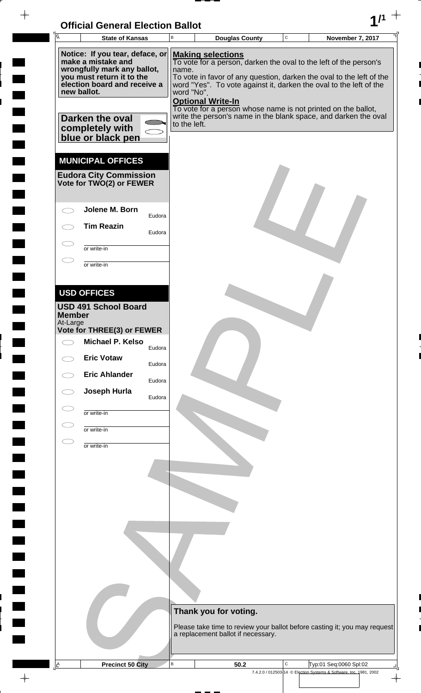

 $\rightarrow$ 

 $\overline{ }$ 

 $\frac{1}{2}$ 

 $\overline{a}$ 

 $\overline{\phantom{a}}$ 

 $\frac{1}{2}$ 

 $\rightarrow$ 

| Īā                        | <b>State of Kansas</b>                                                                                                                            |        | B                   | <b>Douglas County</b>                                                                                                                                                                                                                                            | $\mathbf C$ | November 7, 2017                                                          |
|---------------------------|---------------------------------------------------------------------------------------------------------------------------------------------------|--------|---------------------|------------------------------------------------------------------------------------------------------------------------------------------------------------------------------------------------------------------------------------------------------------------|-------------|---------------------------------------------------------------------------|
| new ballot.               | Notice: If you tear, deface, or<br>make a mistake and<br>wrongfully mark any ballot,<br>you must return it to the<br>election board and receive a |        | name.<br>word "No". | <b>Making selections</b><br>To vote for a person, darken the oval to the left of the person's<br>word "Yes". To vote against it, darken the oval to the left of the<br><b>Optional Write-In</b><br>To vote for a person whose name is not printed on the ballot, |             | To vote in favor of any question, darken the oval to the left of the      |
|                           | Darken the oval<br>completely with<br>blue or black pen                                                                                           |        | to the left.        |                                                                                                                                                                                                                                                                  |             | write the person's name in the blank space, and darken the oval           |
|                           | <b>MUNICIPAL OFFICES</b><br><b>Eudora City Commission</b><br>Vote for TWO(2) or FEWER                                                             |        |                     |                                                                                                                                                                                                                                                                  |             |                                                                           |
|                           | Jolene M. Born                                                                                                                                    | Eudora |                     |                                                                                                                                                                                                                                                                  |             |                                                                           |
|                           | <b>Tim Reazin</b>                                                                                                                                 | Eudora |                     |                                                                                                                                                                                                                                                                  |             |                                                                           |
|                           | or write-in<br>or write-in                                                                                                                        |        |                     |                                                                                                                                                                                                                                                                  |             |                                                                           |
|                           |                                                                                                                                                   |        |                     |                                                                                                                                                                                                                                                                  |             |                                                                           |
| <b>Member</b><br>At-Large | <b>USD OFFICES</b><br><b>USD 491 School Board</b><br>Vote for THREE(3) or FEWER                                                                   |        |                     |                                                                                                                                                                                                                                                                  |             |                                                                           |
|                           | Michael P. Kelso                                                                                                                                  | Eudora |                     |                                                                                                                                                                                                                                                                  |             |                                                                           |
|                           | <b>Eric Votaw</b>                                                                                                                                 | Eudora |                     |                                                                                                                                                                                                                                                                  |             |                                                                           |
|                           | <b>Eric Ahlander</b><br>Joseph Hurla                                                                                                              | Eudora |                     |                                                                                                                                                                                                                                                                  |             |                                                                           |
|                           | or write-in                                                                                                                                       | Eudora |                     |                                                                                                                                                                                                                                                                  |             |                                                                           |
|                           | or write-in                                                                                                                                       |        |                     |                                                                                                                                                                                                                                                                  |             |                                                                           |
|                           | or write-in                                                                                                                                       |        |                     |                                                                                                                                                                                                                                                                  |             |                                                                           |
|                           |                                                                                                                                                   |        |                     |                                                                                                                                                                                                                                                                  |             |                                                                           |
|                           |                                                                                                                                                   |        |                     |                                                                                                                                                                                                                                                                  |             |                                                                           |
|                           |                                                                                                                                                   |        |                     |                                                                                                                                                                                                                                                                  |             |                                                                           |
|                           |                                                                                                                                                   |        |                     |                                                                                                                                                                                                                                                                  |             |                                                                           |
|                           |                                                                                                                                                   |        |                     |                                                                                                                                                                                                                                                                  |             |                                                                           |
|                           |                                                                                                                                                   |        |                     |                                                                                                                                                                                                                                                                  |             |                                                                           |
|                           |                                                                                                                                                   |        |                     |                                                                                                                                                                                                                                                                  |             |                                                                           |
|                           |                                                                                                                                                   |        |                     | Thank you for voting.                                                                                                                                                                                                                                            |             |                                                                           |
|                           |                                                                                                                                                   |        |                     | a replacement ballot if necessary.                                                                                                                                                                                                                               |             | Please take time to review your ballot before casting it; you may request |
| Ŀ                         | <b>Precinct 50 City</b>                                                                                                                           |        | $\sf B$             | 50.2                                                                                                                                                                                                                                                             | C           | Typ:01 Seq:0060 Spl:02                                                    |
|                           |                                                                                                                                                   |        |                     |                                                                                                                                                                                                                                                                  |             | 7.4.2.0 / 012503-14 © Election Systems & Software, Inc. 1981, 2002        |

 $\overline{\phi}$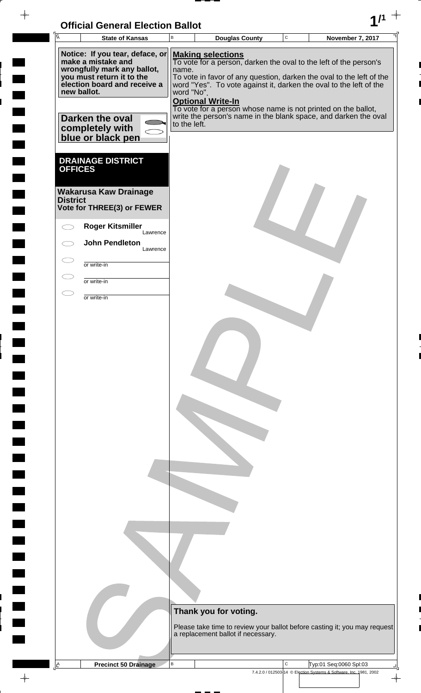# **Official General Election Ballot 1/1**

 $\rightarrow$ 

 $\frac{1}{2}$ 

 $\frac{1}{2}$ 

 $1111$ 

 $\frac{1}{2}$ 

 $\overline{a}$ 

 $\overline{a}$ 

<u>rang</u>

 $\frac{1}{\sqrt{2}}$ 

| $\overline{\mathsf{A}}$ | <b>State of Kansas</b>                                                                                                                                           | $\sf B$             | <b>Douglas County</b>                                                                                                                                                                                                                                                   | $\mathtt{C}$ | November 7, 2017                                                                             |
|-------------------------|------------------------------------------------------------------------------------------------------------------------------------------------------------------|---------------------|-------------------------------------------------------------------------------------------------------------------------------------------------------------------------------------------------------------------------------------------------------------------------|--------------|----------------------------------------------------------------------------------------------|
|                         | Notice: If you tear, deface, or<br>make a mistake and<br>wrongfully mark any ballot,<br>you must return it to the<br>election board and receive a<br>new ballot. | name.<br>word "No". | <b>Making selections</b><br>To vote for a person, darken the oval to the left of the person's<br>To vote in favor of any question, darken the oval to the left of the<br>word "Yes". To vote against it, darken the oval to the left of the<br><b>Optional Write-In</b> |              |                                                                                              |
|                         | Darken the oval<br>completely with<br>blue or black pen                                                                                                          | to the left.        | To vote for a person whose name is not printed on the ballot,<br>write the person's name in the blank space, and darken the oval                                                                                                                                        |              |                                                                                              |
| <b>OFFICES</b>          | <b>DRAINAGE DISTRICT</b>                                                                                                                                         |                     |                                                                                                                                                                                                                                                                         |              |                                                                                              |
| <b>District</b>         | <b>Wakarusa Kaw Drainage</b><br>Vote for THREE(3) or FEWER                                                                                                       |                     |                                                                                                                                                                                                                                                                         |              |                                                                                              |
|                         | <b>Roger Kitsmiller</b><br>Lawrence<br><b>John Pendleton</b>                                                                                                     |                     |                                                                                                                                                                                                                                                                         |              |                                                                                              |
|                         | Lawrence                                                                                                                                                         |                     |                                                                                                                                                                                                                                                                         |              |                                                                                              |
|                         | or write-in<br>or write-in                                                                                                                                       |                     |                                                                                                                                                                                                                                                                         |              |                                                                                              |
| T                       | or write-in                                                                                                                                                      |                     |                                                                                                                                                                                                                                                                         |              |                                                                                              |
|                         |                                                                                                                                                                  |                     |                                                                                                                                                                                                                                                                         |              |                                                                                              |
|                         |                                                                                                                                                                  |                     |                                                                                                                                                                                                                                                                         |              |                                                                                              |
|                         |                                                                                                                                                                  |                     |                                                                                                                                                                                                                                                                         |              |                                                                                              |
|                         |                                                                                                                                                                  |                     |                                                                                                                                                                                                                                                                         |              |                                                                                              |
|                         |                                                                                                                                                                  |                     |                                                                                                                                                                                                                                                                         |              |                                                                                              |
|                         |                                                                                                                                                                  |                     |                                                                                                                                                                                                                                                                         |              |                                                                                              |
|                         |                                                                                                                                                                  |                     |                                                                                                                                                                                                                                                                         |              |                                                                                              |
|                         |                                                                                                                                                                  |                     |                                                                                                                                                                                                                                                                         |              |                                                                                              |
|                         |                                                                                                                                                                  |                     |                                                                                                                                                                                                                                                                         |              |                                                                                              |
|                         |                                                                                                                                                                  |                     |                                                                                                                                                                                                                                                                         |              |                                                                                              |
|                         |                                                                                                                                                                  |                     |                                                                                                                                                                                                                                                                         |              |                                                                                              |
|                         |                                                                                                                                                                  |                     |                                                                                                                                                                                                                                                                         |              |                                                                                              |
|                         |                                                                                                                                                                  |                     |                                                                                                                                                                                                                                                                         |              |                                                                                              |
|                         |                                                                                                                                                                  |                     |                                                                                                                                                                                                                                                                         |              |                                                                                              |
|                         |                                                                                                                                                                  |                     |                                                                                                                                                                                                                                                                         |              |                                                                                              |
|                         |                                                                                                                                                                  |                     |                                                                                                                                                                                                                                                                         |              |                                                                                              |
|                         |                                                                                                                                                                  |                     | Thank you for voting.                                                                                                                                                                                                                                                   |              |                                                                                              |
|                         |                                                                                                                                                                  |                     | Please take time to review your ballot before casting it; you may request<br>a replacement ballot if necessary.                                                                                                                                                         |              |                                                                                              |
|                         |                                                                                                                                                                  |                     |                                                                                                                                                                                                                                                                         |              |                                                                                              |
| 스                       | <b>Precinct 50 Drainage</b>                                                                                                                                      | в                   |                                                                                                                                                                                                                                                                         | C            | Typ:01 Seq:0060 Spl:03<br>7.4.2.0 / 012503-14 © Election Systems & Software, Inc. 1981, 2002 |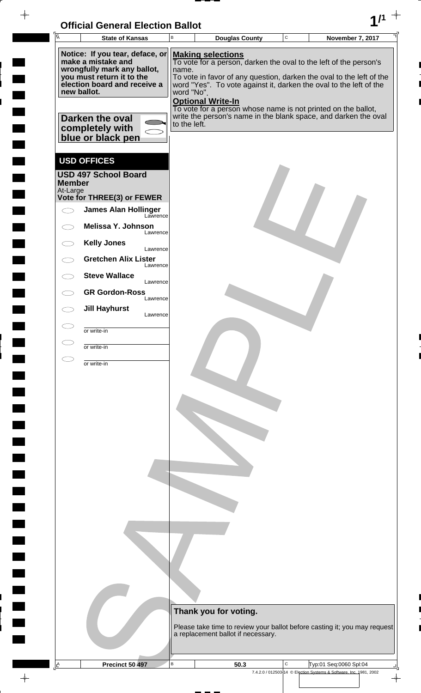| <b>Official General Election Ballot</b> |  |
|-----------------------------------------|--|
|                                         |  |

 $\blacksquare$ 

 $\blacksquare$ 

 $\blacksquare$ 

 $\frac{1}{2}$ 

 $\blacksquare$ 

 $\frac{1}{\sqrt{2\pi}}$ 

| $\overline{A}$<br>$\mathbf C$<br>В<br><b>November 7, 2017</b><br><b>State of Kansas</b><br><b>Douglas County</b><br>Notice: If you tear, deface, or<br><b>Making selections</b><br>make a mistake and<br>To vote for a person, darken the oval to the left of the person's<br>wrongfully mark any ballot,<br>name.<br>you must return it to the<br>To vote in favor of any question, darken the oval to the left of the<br>election board and receive a<br>word "Yes". To vote against it, darken the oval to the left of the<br>new ballot.<br>word "No".<br><b>Optional Write-In</b><br>To vote for a person whose name is not printed on the ballot,<br>write the person's name in the blank space, and darken the oval<br>Darken the oval<br>to the left.<br>completely with<br>blue or black pen<br><b>USD OFFICES</b><br><b>USD 497 School Board</b><br><b>Member</b><br>At-Large<br>Vote for THREE(3) or FEWER<br><b>James Alan Hollinger</b><br>Lawrence<br>Melissa Y. Johnson<br>Lawrence<br><b>Kelly Jones</b><br>Lawrence<br><b>Gretchen Alix Lister</b><br>Lawrence<br><b>Steve Wallace</b><br>Lawrence<br><b>GR Gordon-Ross</b><br>Lawrence<br><b>Jill Hayhurst</b><br>Lawrence<br>or write-in<br>or write-in<br>or write-in |
|-------------------------------------------------------------------------------------------------------------------------------------------------------------------------------------------------------------------------------------------------------------------------------------------------------------------------------------------------------------------------------------------------------------------------------------------------------------------------------------------------------------------------------------------------------------------------------------------------------------------------------------------------------------------------------------------------------------------------------------------------------------------------------------------------------------------------------------------------------------------------------------------------------------------------------------------------------------------------------------------------------------------------------------------------------------------------------------------------------------------------------------------------------------------------------------------------------------------------------------------|
|                                                                                                                                                                                                                                                                                                                                                                                                                                                                                                                                                                                                                                                                                                                                                                                                                                                                                                                                                                                                                                                                                                                                                                                                                                           |
|                                                                                                                                                                                                                                                                                                                                                                                                                                                                                                                                                                                                                                                                                                                                                                                                                                                                                                                                                                                                                                                                                                                                                                                                                                           |
|                                                                                                                                                                                                                                                                                                                                                                                                                                                                                                                                                                                                                                                                                                                                                                                                                                                                                                                                                                                                                                                                                                                                                                                                                                           |
|                                                                                                                                                                                                                                                                                                                                                                                                                                                                                                                                                                                                                                                                                                                                                                                                                                                                                                                                                                                                                                                                                                                                                                                                                                           |
|                                                                                                                                                                                                                                                                                                                                                                                                                                                                                                                                                                                                                                                                                                                                                                                                                                                                                                                                                                                                                                                                                                                                                                                                                                           |
|                                                                                                                                                                                                                                                                                                                                                                                                                                                                                                                                                                                                                                                                                                                                                                                                                                                                                                                                                                                                                                                                                                                                                                                                                                           |
|                                                                                                                                                                                                                                                                                                                                                                                                                                                                                                                                                                                                                                                                                                                                                                                                                                                                                                                                                                                                                                                                                                                                                                                                                                           |
|                                                                                                                                                                                                                                                                                                                                                                                                                                                                                                                                                                                                                                                                                                                                                                                                                                                                                                                                                                                                                                                                                                                                                                                                                                           |
|                                                                                                                                                                                                                                                                                                                                                                                                                                                                                                                                                                                                                                                                                                                                                                                                                                                                                                                                                                                                                                                                                                                                                                                                                                           |
|                                                                                                                                                                                                                                                                                                                                                                                                                                                                                                                                                                                                                                                                                                                                                                                                                                                                                                                                                                                                                                                                                                                                                                                                                                           |
|                                                                                                                                                                                                                                                                                                                                                                                                                                                                                                                                                                                                                                                                                                                                                                                                                                                                                                                                                                                                                                                                                                                                                                                                                                           |
|                                                                                                                                                                                                                                                                                                                                                                                                                                                                                                                                                                                                                                                                                                                                                                                                                                                                                                                                                                                                                                                                                                                                                                                                                                           |
|                                                                                                                                                                                                                                                                                                                                                                                                                                                                                                                                                                                                                                                                                                                                                                                                                                                                                                                                                                                                                                                                                                                                                                                                                                           |
|                                                                                                                                                                                                                                                                                                                                                                                                                                                                                                                                                                                                                                                                                                                                                                                                                                                                                                                                                                                                                                                                                                                                                                                                                                           |
|                                                                                                                                                                                                                                                                                                                                                                                                                                                                                                                                                                                                                                                                                                                                                                                                                                                                                                                                                                                                                                                                                                                                                                                                                                           |
|                                                                                                                                                                                                                                                                                                                                                                                                                                                                                                                                                                                                                                                                                                                                                                                                                                                                                                                                                                                                                                                                                                                                                                                                                                           |
|                                                                                                                                                                                                                                                                                                                                                                                                                                                                                                                                                                                                                                                                                                                                                                                                                                                                                                                                                                                                                                                                                                                                                                                                                                           |
|                                                                                                                                                                                                                                                                                                                                                                                                                                                                                                                                                                                                                                                                                                                                                                                                                                                                                                                                                                                                                                                                                                                                                                                                                                           |
|                                                                                                                                                                                                                                                                                                                                                                                                                                                                                                                                                                                                                                                                                                                                                                                                                                                                                                                                                                                                                                                                                                                                                                                                                                           |
|                                                                                                                                                                                                                                                                                                                                                                                                                                                                                                                                                                                                                                                                                                                                                                                                                                                                                                                                                                                                                                                                                                                                                                                                                                           |
|                                                                                                                                                                                                                                                                                                                                                                                                                                                                                                                                                                                                                                                                                                                                                                                                                                                                                                                                                                                                                                                                                                                                                                                                                                           |
|                                                                                                                                                                                                                                                                                                                                                                                                                                                                                                                                                                                                                                                                                                                                                                                                                                                                                                                                                                                                                                                                                                                                                                                                                                           |
|                                                                                                                                                                                                                                                                                                                                                                                                                                                                                                                                                                                                                                                                                                                                                                                                                                                                                                                                                                                                                                                                                                                                                                                                                                           |
|                                                                                                                                                                                                                                                                                                                                                                                                                                                                                                                                                                                                                                                                                                                                                                                                                                                                                                                                                                                                                                                                                                                                                                                                                                           |
|                                                                                                                                                                                                                                                                                                                                                                                                                                                                                                                                                                                                                                                                                                                                                                                                                                                                                                                                                                                                                                                                                                                                                                                                                                           |
|                                                                                                                                                                                                                                                                                                                                                                                                                                                                                                                                                                                                                                                                                                                                                                                                                                                                                                                                                                                                                                                                                                                                                                                                                                           |
|                                                                                                                                                                                                                                                                                                                                                                                                                                                                                                                                                                                                                                                                                                                                                                                                                                                                                                                                                                                                                                                                                                                                                                                                                                           |
|                                                                                                                                                                                                                                                                                                                                                                                                                                                                                                                                                                                                                                                                                                                                                                                                                                                                                                                                                                                                                                                                                                                                                                                                                                           |
|                                                                                                                                                                                                                                                                                                                                                                                                                                                                                                                                                                                                                                                                                                                                                                                                                                                                                                                                                                                                                                                                                                                                                                                                                                           |
|                                                                                                                                                                                                                                                                                                                                                                                                                                                                                                                                                                                                                                                                                                                                                                                                                                                                                                                                                                                                                                                                                                                                                                                                                                           |
|                                                                                                                                                                                                                                                                                                                                                                                                                                                                                                                                                                                                                                                                                                                                                                                                                                                                                                                                                                                                                                                                                                                                                                                                                                           |
|                                                                                                                                                                                                                                                                                                                                                                                                                                                                                                                                                                                                                                                                                                                                                                                                                                                                                                                                                                                                                                                                                                                                                                                                                                           |
|                                                                                                                                                                                                                                                                                                                                                                                                                                                                                                                                                                                                                                                                                                                                                                                                                                                                                                                                                                                                                                                                                                                                                                                                                                           |
|                                                                                                                                                                                                                                                                                                                                                                                                                                                                                                                                                                                                                                                                                                                                                                                                                                                                                                                                                                                                                                                                                                                                                                                                                                           |
|                                                                                                                                                                                                                                                                                                                                                                                                                                                                                                                                                                                                                                                                                                                                                                                                                                                                                                                                                                                                                                                                                                                                                                                                                                           |
|                                                                                                                                                                                                                                                                                                                                                                                                                                                                                                                                                                                                                                                                                                                                                                                                                                                                                                                                                                                                                                                                                                                                                                                                                                           |
|                                                                                                                                                                                                                                                                                                                                                                                                                                                                                                                                                                                                                                                                                                                                                                                                                                                                                                                                                                                                                                                                                                                                                                                                                                           |
|                                                                                                                                                                                                                                                                                                                                                                                                                                                                                                                                                                                                                                                                                                                                                                                                                                                                                                                                                                                                                                                                                                                                                                                                                                           |
|                                                                                                                                                                                                                                                                                                                                                                                                                                                                                                                                                                                                                                                                                                                                                                                                                                                                                                                                                                                                                                                                                                                                                                                                                                           |
|                                                                                                                                                                                                                                                                                                                                                                                                                                                                                                                                                                                                                                                                                                                                                                                                                                                                                                                                                                                                                                                                                                                                                                                                                                           |
|                                                                                                                                                                                                                                                                                                                                                                                                                                                                                                                                                                                                                                                                                                                                                                                                                                                                                                                                                                                                                                                                                                                                                                                                                                           |
| Thank you for voting.                                                                                                                                                                                                                                                                                                                                                                                                                                                                                                                                                                                                                                                                                                                                                                                                                                                                                                                                                                                                                                                                                                                                                                                                                     |
| Please take time to review your ballot before casting it; you may request                                                                                                                                                                                                                                                                                                                                                                                                                                                                                                                                                                                                                                                                                                                                                                                                                                                                                                                                                                                                                                                                                                                                                                 |
| a replacement ballot if necessary.                                                                                                                                                                                                                                                                                                                                                                                                                                                                                                                                                                                                                                                                                                                                                                                                                                                                                                                                                                                                                                                                                                                                                                                                        |
|                                                                                                                                                                                                                                                                                                                                                                                                                                                                                                                                                                                                                                                                                                                                                                                                                                                                                                                                                                                                                                                                                                                                                                                                                                           |
|                                                                                                                                                                                                                                                                                                                                                                                                                                                                                                                                                                                                                                                                                                                                                                                                                                                                                                                                                                                                                                                                                                                                                                                                                                           |
| $\, {\bf B}$<br>C<br>$\mathbb{E}$<br>Precinct 50 497<br>Typ:01 Seq:0060 Spl:04<br>50.3<br>7.4.2.0 / 012503-14 © Election Systems & Software, Inc. 1981, 2002                                                                                                                                                                                                                                                                                                                                                                                                                                                                                                                                                                                                                                                                                                                                                                                                                                                                                                                                                                                                                                                                              |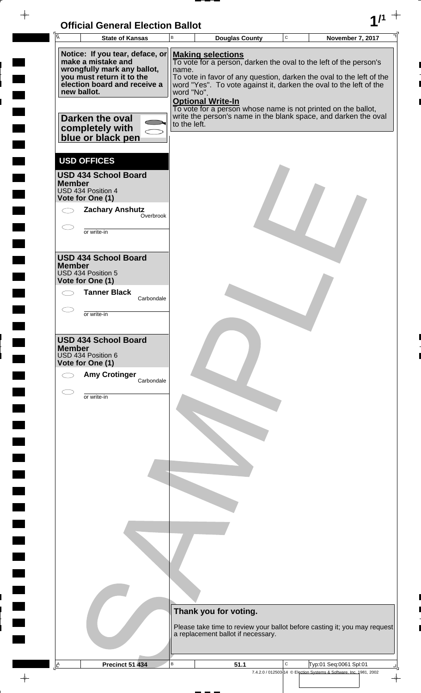| <b>Official General Election Ballot</b> |  |
|-----------------------------------------|--|
|                                         |  |

 $\blacksquare$ 

 $\blacksquare$ 

 $\blacksquare$ 

 $\blacksquare$ 

 $\overline{\phantom{a}}$ 

 $\blacksquare$ 

 $\blacksquare$ L

| Ā                                                                                      |              |                          |                                                             |              |                                                                                                                                            |  |
|----------------------------------------------------------------------------------------|--------------|--------------------------|-------------------------------------------------------------|--------------|--------------------------------------------------------------------------------------------------------------------------------------------|--|
| <b>State of Kansas</b>                                                                 | B            |                          | <b>Douglas County</b>                                       | $\mathtt{C}$ | November 7, 2017                                                                                                                           |  |
| Notice: If you tear, deface, or<br>make a mistake and<br>wrongfully mark any ballot,   | name.        |                          | <b>Making selections</b>                                    |              | To vote for a person, darken the oval to the left of the person's                                                                          |  |
| you must return it to the<br>election board and receive a<br>new ballot.               | word "No".   |                          |                                                             |              | To vote in favor of any question, darken the oval to the left of the<br>word "Yes". To vote against it, darken the oval to the left of the |  |
| Darken the oval<br>completely with<br>blue or black pen                                | to the left. | <b>Optional Write-In</b> |                                                             |              | To vote for a person whose name is not printed on the ballot,<br>write the person's name in the blank space, and darken the oval           |  |
| <b>USD OFFICES</b>                                                                     |              |                          |                                                             |              |                                                                                                                                            |  |
| <b>USD 434 School Board</b><br><b>Member</b><br>USD 434 Position 4<br>Vote for One (1) |              |                          |                                                             |              |                                                                                                                                            |  |
| <b>Zachary Anshutz</b><br>Overbrook                                                    |              |                          |                                                             |              |                                                                                                                                            |  |
| or write-in                                                                            |              |                          |                                                             |              |                                                                                                                                            |  |
| <b>USD 434 School Board</b><br><b>Member</b><br>USD 434 Position 5<br>Vote for One (1) |              |                          |                                                             |              |                                                                                                                                            |  |
| <b>Tanner Black</b><br>Carbondale                                                      |              |                          |                                                             |              |                                                                                                                                            |  |
| or write-in                                                                            |              |                          |                                                             |              |                                                                                                                                            |  |
| <b>USD 434 School Board</b><br><b>Member</b><br>USD 434 Position 6<br>Vote for One (1) |              |                          |                                                             |              |                                                                                                                                            |  |
| <b>Amy Crotinger</b><br>Carbondale                                                     |              |                          |                                                             |              |                                                                                                                                            |  |
| or write-in                                                                            |              |                          |                                                             |              |                                                                                                                                            |  |
|                                                                                        |              |                          |                                                             |              |                                                                                                                                            |  |
|                                                                                        |              |                          |                                                             |              |                                                                                                                                            |  |
|                                                                                        |              |                          |                                                             |              |                                                                                                                                            |  |
|                                                                                        |              |                          |                                                             |              |                                                                                                                                            |  |
|                                                                                        |              |                          |                                                             |              |                                                                                                                                            |  |
|                                                                                        |              |                          |                                                             |              |                                                                                                                                            |  |
|                                                                                        |              |                          | Thank you for voting.<br>a replacement ballot if necessary. |              | Please take time to review your ballot before casting it; you may request                                                                  |  |
| <b>Precinct 51 434</b>                                                                 | $\mathsf B$  |                          |                                                             | C            |                                                                                                                                            |  |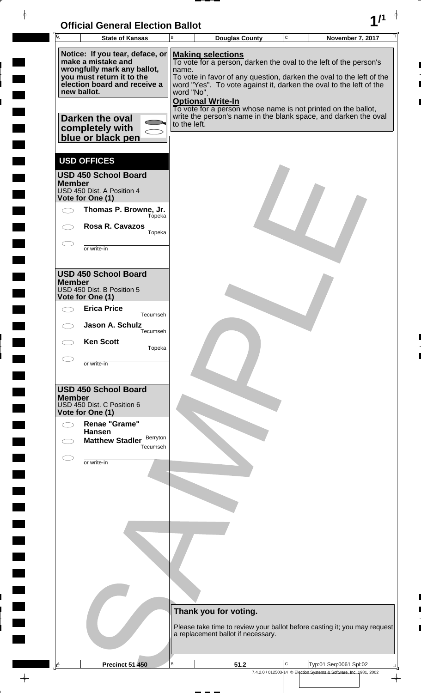

 $\rightarrow$ 

 $\frac{1}{2}$ 

 $\frac{1}{2}$ 

 $1111$ 

 $\frac{1}{2}$ 

 $\overline{a}$ 

 $\frac{1}{2}$ 

<u>rang</u>

| $\overline{A}$ | <b>State of Kansas</b>                                                                   | B                   | <b>Douglas County</b>                                                                                                                                        | C | November 7, 2017                                                          |
|----------------|------------------------------------------------------------------------------------------|---------------------|--------------------------------------------------------------------------------------------------------------------------------------------------------------|---|---------------------------------------------------------------------------|
|                | Notice: If you tear, deface, or<br>make a mistake and                                    |                     | <b>Making selections</b><br>To vote for a person, darken the oval to the left of the person's                                                                |   |                                                                           |
| new ballot.    | wrongfully mark any ballot,<br>you must return it to the<br>election board and receive a | name.<br>word "No". | To vote in favor of any question, darken the oval to the left of the<br>word "Yes". To vote against it, darken the oval to the left of the                   |   |                                                                           |
|                | Darken the oval                                                                          | to the left.        | <b>Optional Write-In</b><br>To vote for a person whose name is not printed on the ballot,<br>write the person's name in the blank space, and darken the oval |   |                                                                           |
|                | completely with<br>blue or black pen                                                     |                     |                                                                                                                                                              |   |                                                                           |
|                | <b>USD OFFICES</b>                                                                       |                     |                                                                                                                                                              |   |                                                                           |
| <b>Member</b>  | <b>USD 450 School Board</b><br>USD 450 Dist. A Position 4<br>Vote for One (1)            |                     |                                                                                                                                                              |   |                                                                           |
|                | Thomas P. Browne, Jr.<br>Tópeka                                                          |                     |                                                                                                                                                              |   |                                                                           |
|                | <b>Rosa R. Cavazos</b><br>Topeka                                                         |                     |                                                                                                                                                              |   |                                                                           |
|                | or write-in                                                                              |                     |                                                                                                                                                              |   |                                                                           |
|                | <b>USD 450 School Board</b>                                                              |                     |                                                                                                                                                              |   |                                                                           |
| <b>Member</b>  | USD 450 Dist. B Position 5<br>Vote for One (1)                                           |                     |                                                                                                                                                              |   |                                                                           |
|                | <b>Erica Price</b><br>Tecumseh                                                           |                     |                                                                                                                                                              |   |                                                                           |
|                | Jason A. Schulz<br>Tecumseh                                                              |                     |                                                                                                                                                              |   |                                                                           |
|                | <b>Ken Scott</b><br>Topeka                                                               |                     |                                                                                                                                                              |   |                                                                           |
|                | or write-in                                                                              |                     |                                                                                                                                                              |   |                                                                           |
| <b>Member</b>  | <b>USD 450 School Board</b><br>USD 450 Dist. C Position 6<br>Vote for One (1)            |                     |                                                                                                                                                              |   |                                                                           |
|                | <b>Renae "Grame"</b><br><b>Hansen</b>                                                    |                     |                                                                                                                                                              |   |                                                                           |
|                | Berryton<br><b>Matthew Stadler</b><br>Tecumseh                                           |                     |                                                                                                                                                              |   |                                                                           |
|                | or write-in                                                                              |                     |                                                                                                                                                              |   |                                                                           |
|                |                                                                                          |                     |                                                                                                                                                              |   |                                                                           |
|                |                                                                                          |                     |                                                                                                                                                              |   |                                                                           |
|                |                                                                                          |                     |                                                                                                                                                              |   |                                                                           |
|                |                                                                                          |                     |                                                                                                                                                              |   |                                                                           |
|                |                                                                                          |                     |                                                                                                                                                              |   |                                                                           |
|                |                                                                                          |                     |                                                                                                                                                              |   |                                                                           |
|                |                                                                                          |                     | Thank you for voting.                                                                                                                                        |   |                                                                           |
|                |                                                                                          |                     | a replacement ballot if necessary.                                                                                                                           |   | Please take time to review your ballot before casting it; you may request |
| <u>A</u>       | <b>Precinct 51 450</b>                                                                   | В                   | 51.2                                                                                                                                                         | С | Typ:01 Seq:0061 Spl:02                                                    |
|                |                                                                                          |                     |                                                                                                                                                              |   | 7.4.2.0 / 012503-14 © Election Systems & Software, Inc. 1981, 2002        |

 $\rightarrow$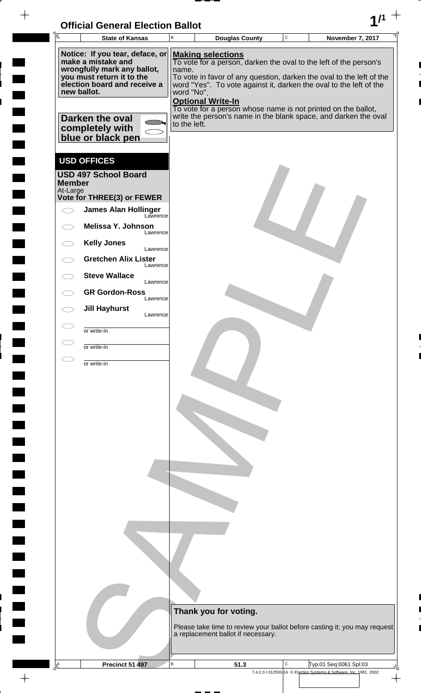| <b>Official General Election Ballot</b> |  |
|-----------------------------------------|--|
|                                         |  |

| $\overline{A}$            | UNIUM OCHCIAI LICULIUII DANUL                             |                          |                                                                                                                                            |             |                                                                                              |  |
|---------------------------|-----------------------------------------------------------|--------------------------|--------------------------------------------------------------------------------------------------------------------------------------------|-------------|----------------------------------------------------------------------------------------------|--|
|                           | <b>State of Kansas</b>                                    | В                        | <b>Douglas County</b>                                                                                                                      | $\mathbf C$ | <b>November 7, 2017</b>                                                                      |  |
|                           | Notice: If you tear, deface, or<br>make a mistake and     |                          | <b>Making selections</b><br>To vote for a person, darken the oval to the left of the person's                                              |             |                                                                                              |  |
|                           | wrongfully mark any ballot,                               | name.                    |                                                                                                                                            |             |                                                                                              |  |
|                           | you must return it to the<br>election board and receive a |                          | To vote in favor of any question, darken the oval to the left of the<br>word "Yes". To vote against it, darken the oval to the left of the |             |                                                                                              |  |
|                           | new ballot.                                               | word "No".               |                                                                                                                                            |             |                                                                                              |  |
|                           |                                                           | <b>Optional Write-In</b> | To vote for a person whose name is not printed on the ballot,                                                                              |             |                                                                                              |  |
|                           | Darken the oval                                           | to the left.             | write the person's name in the blank space, and darken the oval                                                                            |             |                                                                                              |  |
|                           | completely with<br>blue or black pen                      |                          |                                                                                                                                            |             |                                                                                              |  |
|                           |                                                           |                          |                                                                                                                                            |             |                                                                                              |  |
|                           | <b>USD OFFICES</b>                                        |                          |                                                                                                                                            |             |                                                                                              |  |
|                           | <b>USD 497 School Board</b>                               |                          |                                                                                                                                            |             |                                                                                              |  |
| <b>Member</b><br>At-Large |                                                           |                          |                                                                                                                                            |             |                                                                                              |  |
|                           | Vote for THREE(3) or FEWER                                |                          |                                                                                                                                            |             |                                                                                              |  |
|                           | <b>James Alan Hollinger</b><br>Lawrence                   |                          |                                                                                                                                            |             |                                                                                              |  |
|                           | Melissa Y. Johnson<br>Lawrence                            |                          |                                                                                                                                            |             |                                                                                              |  |
|                           | <b>Kelly Jones</b><br>Lawrence                            |                          |                                                                                                                                            |             |                                                                                              |  |
|                           | <b>Gretchen Alix Lister</b>                               |                          |                                                                                                                                            |             |                                                                                              |  |
|                           | Lawrence<br><b>Steve Wallace</b>                          |                          |                                                                                                                                            |             |                                                                                              |  |
|                           | Lawrence<br><b>GR Gordon-Ross</b>                         |                          |                                                                                                                                            |             |                                                                                              |  |
|                           | Lawrence                                                  |                          |                                                                                                                                            |             |                                                                                              |  |
|                           | <b>Jill Hayhurst</b><br>Lawrence                          |                          |                                                                                                                                            |             |                                                                                              |  |
|                           | or write-in                                               |                          |                                                                                                                                            |             |                                                                                              |  |
|                           | or write-in                                               |                          |                                                                                                                                            |             |                                                                                              |  |
|                           |                                                           |                          |                                                                                                                                            |             |                                                                                              |  |
|                           | or write-in                                               |                          |                                                                                                                                            |             |                                                                                              |  |
|                           |                                                           |                          |                                                                                                                                            |             |                                                                                              |  |
|                           |                                                           |                          |                                                                                                                                            |             |                                                                                              |  |
|                           |                                                           |                          |                                                                                                                                            |             |                                                                                              |  |
|                           |                                                           |                          |                                                                                                                                            |             |                                                                                              |  |
|                           |                                                           |                          |                                                                                                                                            |             |                                                                                              |  |
|                           |                                                           |                          |                                                                                                                                            |             |                                                                                              |  |
|                           |                                                           |                          |                                                                                                                                            |             |                                                                                              |  |
|                           |                                                           |                          |                                                                                                                                            |             |                                                                                              |  |
|                           |                                                           |                          |                                                                                                                                            |             |                                                                                              |  |
|                           |                                                           |                          |                                                                                                                                            |             |                                                                                              |  |
|                           |                                                           |                          |                                                                                                                                            |             |                                                                                              |  |
|                           |                                                           |                          |                                                                                                                                            |             |                                                                                              |  |
|                           |                                                           |                          |                                                                                                                                            |             |                                                                                              |  |
|                           |                                                           |                          |                                                                                                                                            |             |                                                                                              |  |
|                           |                                                           |                          |                                                                                                                                            |             |                                                                                              |  |
|                           |                                                           |                          |                                                                                                                                            |             |                                                                                              |  |
|                           |                                                           |                          | Thank you for voting.                                                                                                                      |             |                                                                                              |  |
|                           |                                                           |                          |                                                                                                                                            |             |                                                                                              |  |
|                           |                                                           |                          |                                                                                                                                            |             |                                                                                              |  |
|                           |                                                           |                          | Please take time to review your ballot before casting it; you may request<br>a replacement ballot if necessary.                            |             |                                                                                              |  |
|                           |                                                           |                          |                                                                                                                                            |             |                                                                                              |  |
| $\mathbb{E}$              | Precinct 51 497                                           | $\mathsf B$              | 51.3                                                                                                                                       | C           | Typ:01 Seq:0061 Spl:03<br>7.4.2.0 / 012503-14 © Election Systems & Software, Inc. 1981, 2002 |  |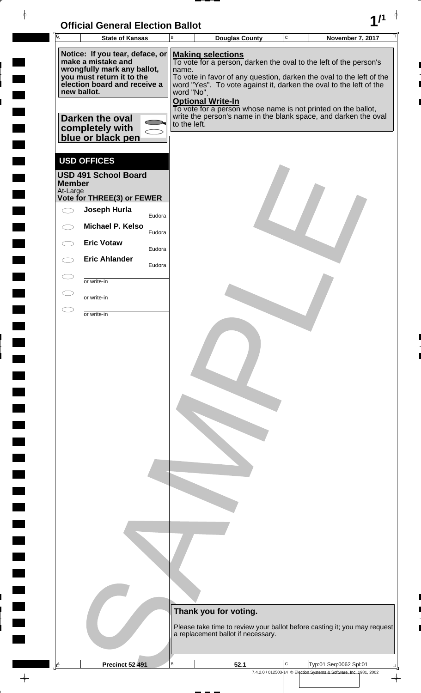| <b>Official General Election Ballot</b> |  |
|-----------------------------------------|--|
|                                         |  |

 $\overline{\phantom{a}}$ 

 $\blacksquare$ 

 $\blacksquare$ 

 $\begin{array}{c} \begin{array}{c} \hline \end{array} \end{array}$ 

 $\begin{array}{c}\n\downarrow \\
\downarrow \\
\downarrow\n\end{array}$ 

| $\overline{\mathsf{A}}$ | <b>State of Kansas</b>                                                                                                                                           |                                                                |        | B            | <b>Douglas County</b>                                                                                                                                                                                                                                                                                                                                           | $\mathbf C$ | November 7, 2017                                                   |               |
|-------------------------|------------------------------------------------------------------------------------------------------------------------------------------------------------------|----------------------------------------------------------------|--------|--------------|-----------------------------------------------------------------------------------------------------------------------------------------------------------------------------------------------------------------------------------------------------------------------------------------------------------------------------------------------------------------|-------------|--------------------------------------------------------------------|---------------|
|                         | Notice: If you tear, deface, or<br>make a mistake and<br>wrongfully mark any ballot,<br>you must return it to the<br>election board and receive a<br>new ballot. |                                                                |        |              | <b>Making selections</b><br>To vote for a person, darken the oval to the left of the person's<br>name.<br>To vote in favor of any question, darken the oval to the left of the<br>word "Yes". To vote against it, darken the oval to the left of the<br>word "No".<br><b>Optional Write-In</b><br>To vote for a person whose name is not printed on the ballot, |             |                                                                    |               |
|                         |                                                                                                                                                                  | <b>Darken the oval</b><br>completely with<br>blue or black pen |        | to the left. | write the person's name in the blank space, and darken the oval                                                                                                                                                                                                                                                                                                 |             |                                                                    |               |
|                         | <b>Member</b>                                                                                                                                                    | <b>USD OFFICES</b><br><b>USD 491 School Board</b>              |        |              |                                                                                                                                                                                                                                                                                                                                                                 |             |                                                                    |               |
|                         | At-Large                                                                                                                                                         | Vote for THREE(3) or FEWER                                     |        |              |                                                                                                                                                                                                                                                                                                                                                                 |             |                                                                    |               |
|                         | $\subset$ $\overline{\phantom{a}}$                                                                                                                               | Joseph Hurla                                                   |        |              |                                                                                                                                                                                                                                                                                                                                                                 |             |                                                                    |               |
|                         |                                                                                                                                                                  | <b>Michael P. Kelso</b>                                        | Eudora |              |                                                                                                                                                                                                                                                                                                                                                                 |             |                                                                    |               |
|                         |                                                                                                                                                                  | <b>Eric Votaw</b>                                              | Eudora |              |                                                                                                                                                                                                                                                                                                                                                                 |             |                                                                    |               |
|                         |                                                                                                                                                                  | <b>Eric Ahlander</b>                                           | Eudora |              |                                                                                                                                                                                                                                                                                                                                                                 |             |                                                                    |               |
|                         |                                                                                                                                                                  |                                                                | Eudora |              |                                                                                                                                                                                                                                                                                                                                                                 |             |                                                                    |               |
|                         | Œ                                                                                                                                                                | or write-in                                                    |        |              |                                                                                                                                                                                                                                                                                                                                                                 |             |                                                                    |               |
|                         | $\subset$                                                                                                                                                        | or write-in                                                    |        |              |                                                                                                                                                                                                                                                                                                                                                                 |             |                                                                    |               |
|                         | $\subset$ $\overline{\phantom{a}}$                                                                                                                               | or write-in                                                    |        |              |                                                                                                                                                                                                                                                                                                                                                                 |             |                                                                    |               |
|                         |                                                                                                                                                                  |                                                                |        |              | Thank you for voting.<br>Please take time to review your ballot before casting it; you may request<br>a replacement ballot if necessary.                                                                                                                                                                                                                        |             |                                                                    |               |
| $\mathbf{A}$            |                                                                                                                                                                  | <b>Precinct 52 491</b>                                         |        | в            | 52.1                                                                                                                                                                                                                                                                                                                                                            | C           | Typ:01 Seq:0062 Spl:01                                             |               |
|                         |                                                                                                                                                                  |                                                                |        |              |                                                                                                                                                                                                                                                                                                                                                                 |             | 7.4.2.0 / 012503-14 © Election Systems & Software, Inc. 1981, 2002 | $\rightarrow$ |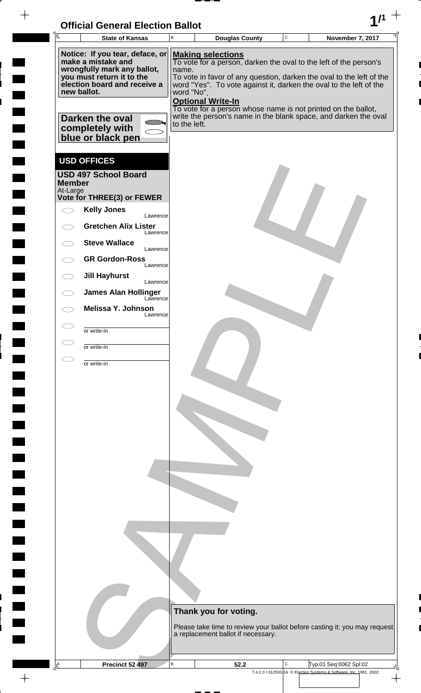| <b>Official General Election Ballot</b> |  |
|-----------------------------------------|--|
|                                         |  |

| OMUGI OGNORI LIGUUDII DANUL<br>$\overline{\mathsf{T}_{\overline{\mathsf{A}}}}$<br><b>State of Kansas</b> | В            |                          | <b>Douglas County</b>                                                                                                                      | $\mathbf C$ | <b>November 7, 2017</b>                                            |                          |
|----------------------------------------------------------------------------------------------------------|--------------|--------------------------|--------------------------------------------------------------------------------------------------------------------------------------------|-------------|--------------------------------------------------------------------|--------------------------|
| Notice: If you tear, deface, or                                                                          |              | <b>Making selections</b> |                                                                                                                                            |             |                                                                    |                          |
| make a mistake and<br>wrongfully mark any ballot,                                                        | name.        |                          | To vote for a person, darken the oval to the left of the person's                                                                          |             |                                                                    |                          |
| you must return it to the<br>election board and receive a<br>new ballot.                                 | word "No".   |                          | To vote in favor of any question, darken the oval to the left of the<br>word "Yes". To vote against it, darken the oval to the left of the |             |                                                                    |                          |
|                                                                                                          |              | <b>Optional Write-In</b> | To vote for a person whose name is not printed on the ballot,                                                                              |             |                                                                    |                          |
| Darken the oval                                                                                          | to the left. |                          | write the person's name in the blank space, and darken the oval                                                                            |             |                                                                    |                          |
| completely with<br>blue or black pen                                                                     |              |                          |                                                                                                                                            |             |                                                                    |                          |
|                                                                                                          |              |                          |                                                                                                                                            |             |                                                                    |                          |
| <b>USD OFFICES</b>                                                                                       |              |                          |                                                                                                                                            |             |                                                                    |                          |
| <b>USD 497 School Board</b><br><b>Member</b>                                                             |              |                          |                                                                                                                                            |             |                                                                    |                          |
| At-Large<br>Vote for THREE(3) or FEWER                                                                   |              |                          |                                                                                                                                            |             |                                                                    |                          |
| <b>Kelly Jones</b><br>Lawrence                                                                           |              |                          |                                                                                                                                            |             |                                                                    |                          |
| <b>Gretchen Alix Lister</b><br>Lawrence                                                                  |              |                          |                                                                                                                                            |             |                                                                    |                          |
| <b>Steve Wallace</b><br>Lawrence                                                                         |              |                          |                                                                                                                                            |             |                                                                    |                          |
| <b>GR Gordon-Ross</b><br>Lawrence                                                                        |              |                          |                                                                                                                                            |             |                                                                    |                          |
| <b>Jill Hayhurst</b><br>Lawrence                                                                         |              |                          |                                                                                                                                            |             |                                                                    |                          |
| <b>James Alan Hollinger</b><br>Lawrence                                                                  |              |                          |                                                                                                                                            |             |                                                                    |                          |
| Melissa Y. Johnson<br>Lawrence                                                                           |              |                          |                                                                                                                                            |             |                                                                    |                          |
| or write-in                                                                                              |              |                          |                                                                                                                                            |             |                                                                    |                          |
| or write-in                                                                                              |              |                          |                                                                                                                                            |             |                                                                    |                          |
| or write-in                                                                                              |              |                          |                                                                                                                                            |             |                                                                    |                          |
|                                                                                                          |              |                          |                                                                                                                                            |             |                                                                    |                          |
|                                                                                                          |              |                          |                                                                                                                                            |             |                                                                    |                          |
|                                                                                                          |              |                          |                                                                                                                                            |             |                                                                    |                          |
|                                                                                                          |              |                          |                                                                                                                                            |             |                                                                    |                          |
|                                                                                                          |              |                          |                                                                                                                                            |             |                                                                    |                          |
|                                                                                                          |              |                          |                                                                                                                                            |             |                                                                    |                          |
|                                                                                                          |              |                          |                                                                                                                                            |             |                                                                    |                          |
|                                                                                                          |              |                          |                                                                                                                                            |             |                                                                    |                          |
|                                                                                                          |              |                          |                                                                                                                                            |             |                                                                    |                          |
|                                                                                                          |              |                          |                                                                                                                                            |             |                                                                    |                          |
|                                                                                                          |              |                          |                                                                                                                                            |             |                                                                    |                          |
|                                                                                                          |              |                          |                                                                                                                                            |             |                                                                    |                          |
|                                                                                                          |              |                          |                                                                                                                                            |             |                                                                    |                          |
|                                                                                                          |              |                          |                                                                                                                                            |             |                                                                    |                          |
|                                                                                                          |              | Thank you for voting.    |                                                                                                                                            |             |                                                                    |                          |
|                                                                                                          |              |                          | Please take time to review your ballot before casting it; you may request                                                                  |             |                                                                    |                          |
|                                                                                                          |              |                          | a replacement ballot if necessary.                                                                                                         |             |                                                                    |                          |
| $\overline{A}$<br>Precinct 52 497                                                                        | $\mathsf B$  |                          | 52.2                                                                                                                                       | C           | Typ:01 Seq:0062 Spl:02                                             |                          |
|                                                                                                          |              |                          |                                                                                                                                            |             | 7.4.2.0 / 012503-14 © Election Systems & Software, Inc. 1981, 2002 | $\overline{\phantom{a}}$ |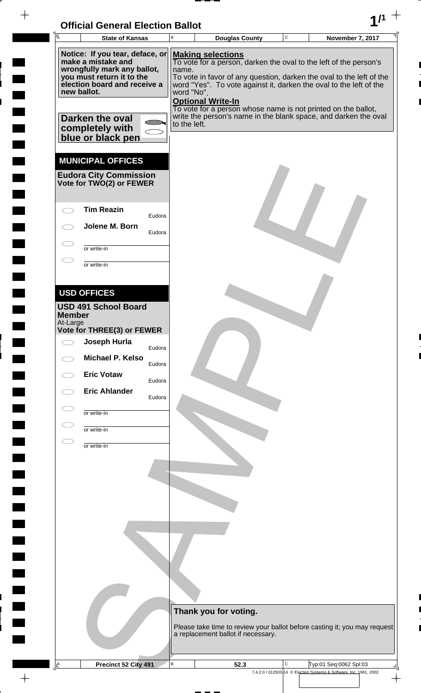

 $\overline{ }$ 

 $1 - 1$ 

 $\overline{a}$ 

 $\overline{\phantom{a}}$ 

 $\frac{1}{2}$ 

 $\rightarrow$ 

| Ā                         | <b>State of Kansas</b>                                                                                                                                                                                       |        | B                                   |                                                      | <b>Douglas County</b> | $\mathbf C$ | November 7, 2017                                                                                                                                                                                                                                                                                                                                    |
|---------------------------|--------------------------------------------------------------------------------------------------------------------------------------------------------------------------------------------------------------|--------|-------------------------------------|------------------------------------------------------|-----------------------|-------------|-----------------------------------------------------------------------------------------------------------------------------------------------------------------------------------------------------------------------------------------------------------------------------------------------------------------------------------------------------|
| new ballot.               | Notice: If you tear, deface, or<br>make a mistake and<br>wrongfully mark any ballot,<br>you must return it to the<br>election board and receive a<br>Darken the oval<br>completely with<br>blue or black pen |        | name.<br>word "No".<br>to the left. | <b>Making selections</b><br><b>Optional Write-In</b> |                       |             | To vote for a person, darken the oval to the left of the person's<br>To vote in favor of any question, darken the oval to the left of the<br>word "Yes". To vote against it, darken the oval to the left of the<br>To vote for a person whose name is not printed on the ballot,<br>write the person's name in the blank space, and darken the oval |
|                           | <b>MUNICIPAL OFFICES</b><br><b>Eudora City Commission</b><br>Vote for TWO(2) or FEWER                                                                                                                        |        |                                     |                                                      |                       |             |                                                                                                                                                                                                                                                                                                                                                     |
|                           | <b>Tim Reazin</b>                                                                                                                                                                                            | Eudora |                                     |                                                      |                       |             |                                                                                                                                                                                                                                                                                                                                                     |
|                           | Jolene M. Born                                                                                                                                                                                               | Eudora |                                     |                                                      |                       |             |                                                                                                                                                                                                                                                                                                                                                     |
|                           | or write-in                                                                                                                                                                                                  |        |                                     |                                                      |                       |             |                                                                                                                                                                                                                                                                                                                                                     |
|                           | or write-in                                                                                                                                                                                                  |        |                                     |                                                      |                       |             |                                                                                                                                                                                                                                                                                                                                                     |
|                           |                                                                                                                                                                                                              |        |                                     |                                                      |                       |             |                                                                                                                                                                                                                                                                                                                                                     |
|                           | <b>USD OFFICES</b>                                                                                                                                                                                           |        |                                     |                                                      |                       |             |                                                                                                                                                                                                                                                                                                                                                     |
|                           | <b>USD 491 School Board</b>                                                                                                                                                                                  |        |                                     |                                                      |                       |             |                                                                                                                                                                                                                                                                                                                                                     |
| <b>Member</b><br>At-Large |                                                                                                                                                                                                              |        |                                     |                                                      |                       |             |                                                                                                                                                                                                                                                                                                                                                     |
|                           | Vote for THREE(3) or FEWER                                                                                                                                                                                   |        |                                     |                                                      |                       |             |                                                                                                                                                                                                                                                                                                                                                     |
|                           | Joseph Hurla                                                                                                                                                                                                 | Eudora |                                     |                                                      |                       |             |                                                                                                                                                                                                                                                                                                                                                     |
|                           | Michael P. Kelso                                                                                                                                                                                             | Eudora |                                     |                                                      |                       |             |                                                                                                                                                                                                                                                                                                                                                     |
|                           | <b>Eric Votaw</b>                                                                                                                                                                                            | Eudora |                                     |                                                      |                       |             |                                                                                                                                                                                                                                                                                                                                                     |
|                           | <b>Eric Ahlander</b>                                                                                                                                                                                         | Eudora |                                     |                                                      |                       |             |                                                                                                                                                                                                                                                                                                                                                     |
|                           | or write-in                                                                                                                                                                                                  |        |                                     |                                                      |                       |             |                                                                                                                                                                                                                                                                                                                                                     |
|                           |                                                                                                                                                                                                              |        |                                     |                                                      |                       |             |                                                                                                                                                                                                                                                                                                                                                     |
|                           | or write-in                                                                                                                                                                                                  |        |                                     |                                                      |                       |             |                                                                                                                                                                                                                                                                                                                                                     |
|                           | or write-in                                                                                                                                                                                                  |        |                                     |                                                      |                       |             |                                                                                                                                                                                                                                                                                                                                                     |
|                           |                                                                                                                                                                                                              |        |                                     |                                                      |                       |             |                                                                                                                                                                                                                                                                                                                                                     |
|                           |                                                                                                                                                                                                              |        |                                     |                                                      |                       |             |                                                                                                                                                                                                                                                                                                                                                     |
|                           |                                                                                                                                                                                                              |        |                                     |                                                      |                       |             |                                                                                                                                                                                                                                                                                                                                                     |
|                           |                                                                                                                                                                                                              |        |                                     |                                                      |                       |             |                                                                                                                                                                                                                                                                                                                                                     |
|                           |                                                                                                                                                                                                              |        |                                     |                                                      |                       |             |                                                                                                                                                                                                                                                                                                                                                     |
|                           |                                                                                                                                                                                                              |        |                                     |                                                      |                       |             |                                                                                                                                                                                                                                                                                                                                                     |
|                           |                                                                                                                                                                                                              |        |                                     |                                                      |                       |             |                                                                                                                                                                                                                                                                                                                                                     |
|                           |                                                                                                                                                                                                              |        |                                     |                                                      |                       |             |                                                                                                                                                                                                                                                                                                                                                     |
|                           |                                                                                                                                                                                                              |        |                                     |                                                      |                       |             |                                                                                                                                                                                                                                                                                                                                                     |
|                           |                                                                                                                                                                                                              |        |                                     |                                                      |                       |             |                                                                                                                                                                                                                                                                                                                                                     |
|                           |                                                                                                                                                                                                              |        |                                     | Thank you for voting.                                |                       |             |                                                                                                                                                                                                                                                                                                                                                     |
|                           |                                                                                                                                                                                                              |        |                                     | a replacement ballot if necessary.                   |                       |             | Please take time to review your ballot before casting it; you may request                                                                                                                                                                                                                                                                           |
|                           |                                                                                                                                                                                                              |        |                                     |                                                      |                       |             |                                                                                                                                                                                                                                                                                                                                                     |
| $\underline{A}$           | Precinct 52 City 491                                                                                                                                                                                         |        | В                                   |                                                      | 52.3                  | С           | Typ:01 Seq:0062 Spl:03                                                                                                                                                                                                                                                                                                                              |
|                           |                                                                                                                                                                                                              |        |                                     |                                                      |                       |             | 7.4.2.0 / 012503-14 © Election Systems & Software, Inc. 1981, 2002                                                                                                                                                                                                                                                                                  |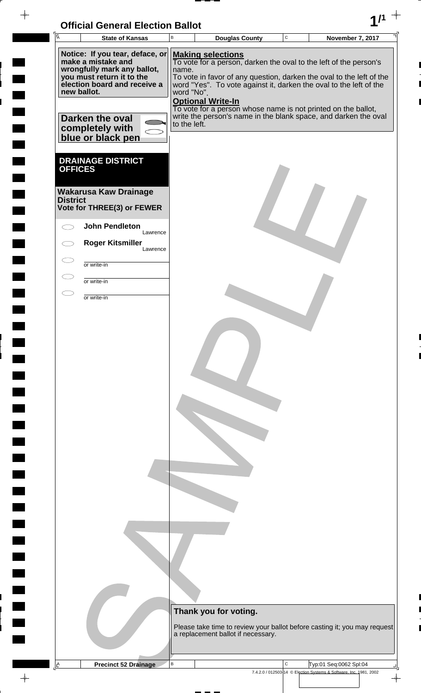## **Official General Election Ballot 1/1**

 $-\phi -$ 

 $\frac{1}{2}$ 

 $\frac{1}{2}$ 

 $1111$ 

 $\frac{1}{2}$ 

 $\overline{a}$ 

 $\overline{a}$ 

 $\frac{1}{\sqrt{2}}$ 

| $\overline{A}$  | <b>State of Kansas</b>                                                                                                                                           | $\, {\bf B}$        | <b>Douglas County</b>                                                                                                                                                                                                                                                   | $\mathtt{C}$ | <b>November 7, 2017</b>                                                                      |
|-----------------|------------------------------------------------------------------------------------------------------------------------------------------------------------------|---------------------|-------------------------------------------------------------------------------------------------------------------------------------------------------------------------------------------------------------------------------------------------------------------------|--------------|----------------------------------------------------------------------------------------------|
|                 | Notice: If you tear, deface, or<br>make a mistake and<br>wrongfully mark any ballot,<br>you must return it to the<br>election board and receive a<br>new ballot. | name.<br>word "No". | <b>Making selections</b><br>To vote for a person, darken the oval to the left of the person's<br>To vote in favor of any question, darken the oval to the left of the<br>word "Yes". To vote against it, darken the oval to the left of the<br><b>Optional Write-In</b> |              |                                                                                              |
|                 | Darken the oval<br>completely with<br>blue or black pen                                                                                                          | to the left.        | To vote for a person whose name is not printed on the ballot,<br>write the person's name in the blank space, and darken the oval                                                                                                                                        |              |                                                                                              |
| <b>OFFICES</b>  | <b>DRAINAGE DISTRICT</b>                                                                                                                                         |                     |                                                                                                                                                                                                                                                                         |              |                                                                                              |
| <b>District</b> | <b>Wakarusa Kaw Drainage</b><br>Vote for THREE(3) or FEWER                                                                                                       |                     |                                                                                                                                                                                                                                                                         |              |                                                                                              |
|                 | <b>John Pendleton</b><br>Lawrence<br><b>Roger Kitsmiller</b>                                                                                                     |                     |                                                                                                                                                                                                                                                                         |              |                                                                                              |
|                 | Lawrence<br>or write-in                                                                                                                                          |                     |                                                                                                                                                                                                                                                                         |              |                                                                                              |
|                 | or write-in                                                                                                                                                      |                     |                                                                                                                                                                                                                                                                         |              |                                                                                              |
| Œ               | or write-in                                                                                                                                                      |                     |                                                                                                                                                                                                                                                                         |              |                                                                                              |
|                 |                                                                                                                                                                  |                     |                                                                                                                                                                                                                                                                         |              |                                                                                              |
|                 |                                                                                                                                                                  |                     |                                                                                                                                                                                                                                                                         |              |                                                                                              |
|                 |                                                                                                                                                                  |                     |                                                                                                                                                                                                                                                                         |              |                                                                                              |
|                 |                                                                                                                                                                  |                     |                                                                                                                                                                                                                                                                         |              |                                                                                              |
|                 |                                                                                                                                                                  |                     |                                                                                                                                                                                                                                                                         |              |                                                                                              |
|                 |                                                                                                                                                                  |                     |                                                                                                                                                                                                                                                                         |              |                                                                                              |
|                 |                                                                                                                                                                  |                     |                                                                                                                                                                                                                                                                         |              |                                                                                              |
|                 |                                                                                                                                                                  |                     |                                                                                                                                                                                                                                                                         |              |                                                                                              |
|                 |                                                                                                                                                                  |                     |                                                                                                                                                                                                                                                                         |              |                                                                                              |
|                 |                                                                                                                                                                  |                     |                                                                                                                                                                                                                                                                         |              |                                                                                              |
|                 |                                                                                                                                                                  |                     |                                                                                                                                                                                                                                                                         |              |                                                                                              |
|                 |                                                                                                                                                                  |                     |                                                                                                                                                                                                                                                                         |              |                                                                                              |
|                 |                                                                                                                                                                  |                     |                                                                                                                                                                                                                                                                         |              |                                                                                              |
|                 |                                                                                                                                                                  |                     |                                                                                                                                                                                                                                                                         |              |                                                                                              |
|                 |                                                                                                                                                                  |                     |                                                                                                                                                                                                                                                                         |              |                                                                                              |
|                 |                                                                                                                                                                  |                     |                                                                                                                                                                                                                                                                         |              |                                                                                              |
|                 |                                                                                                                                                                  |                     | Thank you for voting.                                                                                                                                                                                                                                                   |              |                                                                                              |
|                 |                                                                                                                                                                  |                     | a replacement ballot if necessary.                                                                                                                                                                                                                                      |              | Please take time to review your ballot before casting it; you may request                    |
|                 |                                                                                                                                                                  |                     |                                                                                                                                                                                                                                                                         |              |                                                                                              |
| <u>⊩^</u>       | <b>Precinct 52 Drainage</b>                                                                                                                                      | B                   |                                                                                                                                                                                                                                                                         | C            | Typ:01 Seq:0062 Spl:04<br>7.4.2.0 / 012503-14 © Election Systems & Software, Inc. 1981, 2002 |

 $\overline{\phantom{a}}$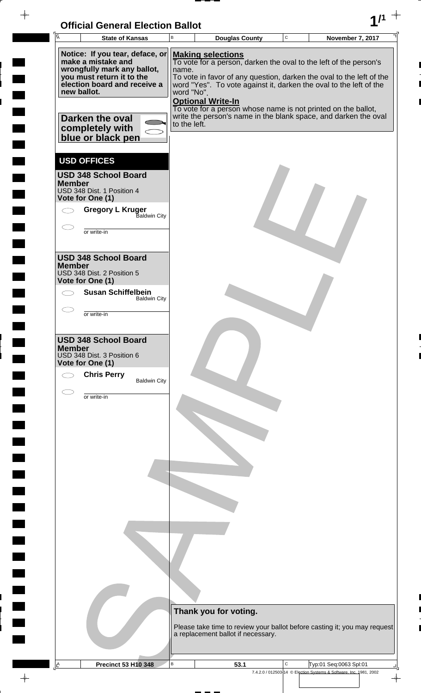

 $\frac{1}{2}$ 

 $\frac{1}{2}$ 

 $\blacksquare$ 

 $\overline{\phantom{a}}$ 

 $\ddot{\phantom{a}}$ 

<u>rang</u>

| <b>A</b><br><b>State of Kansas</b>                                                                                                                                                                     | B                                   | <b>Douglas County</b>                                                                                                                                                                                                                                                                                                                                                                                       | $\mathbf C$ | November 7, 2017                                                   |
|--------------------------------------------------------------------------------------------------------------------------------------------------------------------------------------------------------|-------------------------------------|-------------------------------------------------------------------------------------------------------------------------------------------------------------------------------------------------------------------------------------------------------------------------------------------------------------------------------------------------------------------------------------------------------------|-------------|--------------------------------------------------------------------|
| Notice: If you tear, deface, or<br>make a mistake and<br>wrongfully mark any ballot,<br>you must return it to the<br>election board and receive a<br>new ballot.<br>Darken the oval<br>completely with | name.<br>word "No".<br>to the left. | <b>Making selections</b><br>To vote for a person, darken the oval to the left of the person's<br>To vote in favor of any question, darken the oval to the left of the<br>word "Yes". To vote against it, darken the oval to the left of the<br><b>Optional Write-In</b><br>To vote for a person whose name is not printed on the ballot,<br>write the person's name in the blank space, and darken the oval |             |                                                                    |
| blue or black pen<br><b>USD OFFICES</b><br><b>USD 348 School Board</b><br><b>Member</b><br>USD 348 Dist. 1 Position 4<br>Vote for One (1)<br><b>Gregory L Kruger</b><br>Baldwin City<br>or write-in    |                                     |                                                                                                                                                                                                                                                                                                                                                                                                             |             |                                                                    |
| <b>USD 348 School Board</b><br><b>Member</b><br>USD 348 Dist. 2 Position 5<br>Vote for One (1)<br><b>Susan Schiffelbein</b><br><b>Baldwin City</b><br>or write-in                                      |                                     |                                                                                                                                                                                                                                                                                                                                                                                                             |             |                                                                    |
| <b>USD 348 School Board</b><br><b>Member</b><br>USD 348 Dist. 3 Position 6<br>Vote for One (1)<br><b>Chris Perry</b><br><b>Baldwin City</b>                                                            |                                     |                                                                                                                                                                                                                                                                                                                                                                                                             |             |                                                                    |
| or write-in                                                                                                                                                                                            |                                     |                                                                                                                                                                                                                                                                                                                                                                                                             |             |                                                                    |
|                                                                                                                                                                                                        |                                     |                                                                                                                                                                                                                                                                                                                                                                                                             |             |                                                                    |
|                                                                                                                                                                                                        |                                     | Thank you for voting.<br>Please take time to review your ballot before casting it; you may request<br>a replacement ballot if necessary.                                                                                                                                                                                                                                                                    |             |                                                                    |
| <b>Precinct 53 H10 348</b><br>Ŀ                                                                                                                                                                        | В                                   | 53.1                                                                                                                                                                                                                                                                                                                                                                                                        | С           | Typ:01 Seq:0063 Spl:01                                             |
|                                                                                                                                                                                                        |                                     |                                                                                                                                                                                                                                                                                                                                                                                                             |             | 7.4.2.0 / 012503-14 © Election Systems & Software, Inc. 1981, 2002 |

 $\overline{\varphi}$  .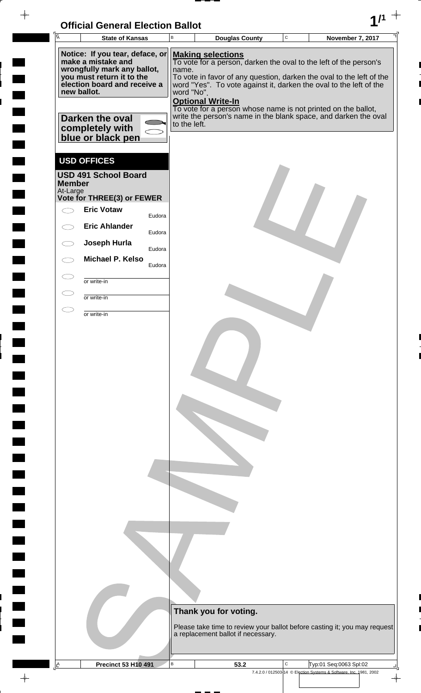| <b>Official General Election Ballot</b> |  |
|-----------------------------------------|--|
|                                         |  |

| $\overline{\mathsf{A}}$                                                                                                                                                                                                     | <b>State of Kansas</b>                                                          |        | $\, {\bf B}$                        | <b>Douglas County</b>                                                                                                                                                                                                                                                                                                                                                                                       | $\mathbf C$ | <b>November 7, 2017</b>                                                                      |
|-----------------------------------------------------------------------------------------------------------------------------------------------------------------------------------------------------------------------------|---------------------------------------------------------------------------------|--------|-------------------------------------|-------------------------------------------------------------------------------------------------------------------------------------------------------------------------------------------------------------------------------------------------------------------------------------------------------------------------------------------------------------------------------------------------------------|-------------|----------------------------------------------------------------------------------------------|
| Notice: If you tear, deface, or<br>make a mistake and<br>wrongfully mark any ballot,<br>you must return it to the<br>election board and receive a<br>new ballot.<br>Darken the oval<br>completely with<br>blue or black pen |                                                                                 |        | name.<br>word "No".<br>to the left. | <b>Making selections</b><br>To vote for a person, darken the oval to the left of the person's<br>To vote in favor of any question, darken the oval to the left of the<br>word "Yes". To vote against it, darken the oval to the left of the<br><b>Optional Write-In</b><br>To vote for a person whose name is not printed on the ballot,<br>write the person's name in the blank space, and darken the oval |             |                                                                                              |
| <b>Member</b><br>At-Large                                                                                                                                                                                                   | <b>USD OFFICES</b><br><b>USD 491 School Board</b><br>Vote for THREE(3) or FEWER |        |                                     |                                                                                                                                                                                                                                                                                                                                                                                                             |             |                                                                                              |
|                                                                                                                                                                                                                             | <b>Eric Votaw</b>                                                               | Eudora |                                     |                                                                                                                                                                                                                                                                                                                                                                                                             |             |                                                                                              |
|                                                                                                                                                                                                                             | <b>Eric Ahlander</b>                                                            | Eudora |                                     |                                                                                                                                                                                                                                                                                                                                                                                                             |             |                                                                                              |
|                                                                                                                                                                                                                             | Joseph Hurla                                                                    | Eudora |                                     |                                                                                                                                                                                                                                                                                                                                                                                                             |             |                                                                                              |
|                                                                                                                                                                                                                             | <b>Michael P. Kelso</b>                                                         | Eudora |                                     |                                                                                                                                                                                                                                                                                                                                                                                                             |             |                                                                                              |
| $\subset$                                                                                                                                                                                                                   | or write-in                                                                     |        |                                     |                                                                                                                                                                                                                                                                                                                                                                                                             |             |                                                                                              |
| $\subset$                                                                                                                                                                                                                   | or write-in                                                                     |        |                                     |                                                                                                                                                                                                                                                                                                                                                                                                             |             |                                                                                              |
| C                                                                                                                                                                                                                           | or write-in                                                                     |        |                                     |                                                                                                                                                                                                                                                                                                                                                                                                             |             |                                                                                              |
|                                                                                                                                                                                                                             |                                                                                 |        |                                     | Thank you for voting.<br>Please take time to review your ballot before casting it; you may request<br>a replacement ballot if necessary.                                                                                                                                                                                                                                                                    |             |                                                                                              |
|                                                                                                                                                                                                                             |                                                                                 |        | $\, {\sf B}$                        |                                                                                                                                                                                                                                                                                                                                                                                                             | С           |                                                                                              |
| <u>م.</u>                                                                                                                                                                                                                   | <b>Precinct 53 H10 491</b>                                                      |        |                                     | 53.2                                                                                                                                                                                                                                                                                                                                                                                                        |             | Typ:01 Seq:0063 Spl:02<br>7.4.2.0 / 012503-14 © Election Systems & Software, Inc. 1981, 2002 |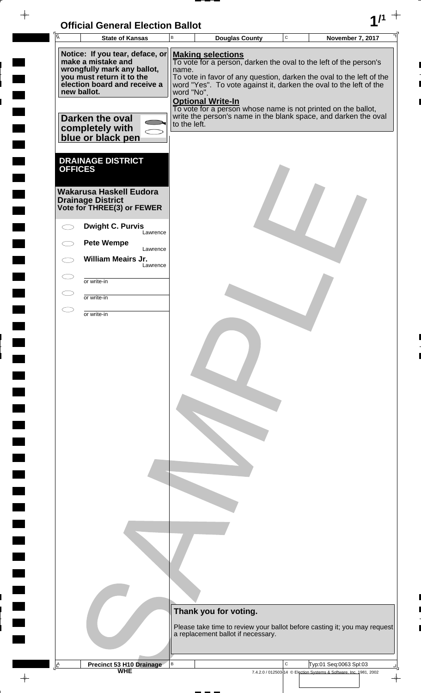| <b>Official General Election Ballot</b> |  |
|-----------------------------------------|--|
|                                         |  |

 $\overline{\phantom{a}}$ 

 $\blacksquare$ 

E

 $\blacksquare$ 

 $\frac{1}{2}$ 

 $\frac{1}{\sqrt{2\pi}}$ 

| $\overline{A}$ | <b>State of Kansas</b>                                   | $\, {\sf B}$ | <b>Douglas County</b>              | $\mathbf C$ | <b>November 7, 2017</b>                                                   |  |
|----------------|----------------------------------------------------------|--------------|------------------------------------|-------------|---------------------------------------------------------------------------|--|
|                | Notice: If you tear, deface, or<br>make a mistake and    |              | <b>Making selections</b>           |             | To vote for a person, darken the oval to the left of the person's         |  |
|                | wrongfully mark any ballot,<br>you must return it to the | name.        |                                    |             | To vote in favor of any question, darken the oval to the left of the      |  |
|                | election board and receive a<br>new ballot.              | word "No".   |                                    |             | word "Yes". To vote against it, darken the oval to the left of the        |  |
|                |                                                          |              | <b>Optional Write-In</b>           |             | To vote for a person whose name is not printed on the ballot,             |  |
|                | Darken the oval                                          | to the left. |                                    |             | write the person's name in the blank space, and darken the oval           |  |
|                | completely with<br>blue or black pen                     |              |                                    |             |                                                                           |  |
|                |                                                          |              |                                    |             |                                                                           |  |
| <b>OFFICES</b> | <b>DRAINAGE DISTRICT</b>                                 |              |                                    |             |                                                                           |  |
|                | Wakarusa Haskell Eudora                                  |              |                                    |             |                                                                           |  |
|                | <b>Drainage District</b><br>Vote for THREE(3) or FEWER   |              |                                    |             |                                                                           |  |
|                |                                                          |              |                                    |             |                                                                           |  |
|                | <b>Dwight C. Purvis</b><br>Lawrence                      |              |                                    |             |                                                                           |  |
|                | <b>Pete Wempe</b><br>Lawrence                            |              |                                    |             |                                                                           |  |
|                | <b>William Meairs Jr.</b><br>Lawrence                    |              |                                    |             |                                                                           |  |
|                | or write-in                                              |              |                                    |             |                                                                           |  |
|                | or write-in                                              |              |                                    |             |                                                                           |  |
|                | or write-in                                              |              |                                    |             |                                                                           |  |
|                |                                                          |              |                                    |             |                                                                           |  |
|                |                                                          |              |                                    |             |                                                                           |  |
|                |                                                          |              |                                    |             |                                                                           |  |
|                |                                                          |              |                                    |             |                                                                           |  |
|                |                                                          |              |                                    |             |                                                                           |  |
|                |                                                          |              |                                    |             |                                                                           |  |
|                |                                                          |              |                                    |             |                                                                           |  |
|                |                                                          |              |                                    |             |                                                                           |  |
|                |                                                          |              |                                    |             |                                                                           |  |
|                |                                                          |              |                                    |             |                                                                           |  |
|                |                                                          |              |                                    |             |                                                                           |  |
|                |                                                          |              |                                    |             |                                                                           |  |
|                |                                                          |              |                                    |             |                                                                           |  |
|                |                                                          |              |                                    |             |                                                                           |  |
|                |                                                          |              |                                    |             |                                                                           |  |
|                |                                                          |              |                                    |             |                                                                           |  |
|                |                                                          |              | Thank you for voting.              |             |                                                                           |  |
|                |                                                          |              |                                    |             | Please take time to review your ballot before casting it; you may request |  |
|                |                                                          |              | a replacement ballot if necessary. |             |                                                                           |  |
| $\mathbf{A}$   |                                                          | $\, {\sf B}$ |                                    | $\mathbf C$ | Typ:01 Seq:0063 Spl:03                                                    |  |
|                | <b>Precinct 53 H10 Drainage</b><br>WHE                   |              |                                    |             | 7.4.2.0 / 012503-14 © Election Systems & Software, Inc. 1981, 2002        |  |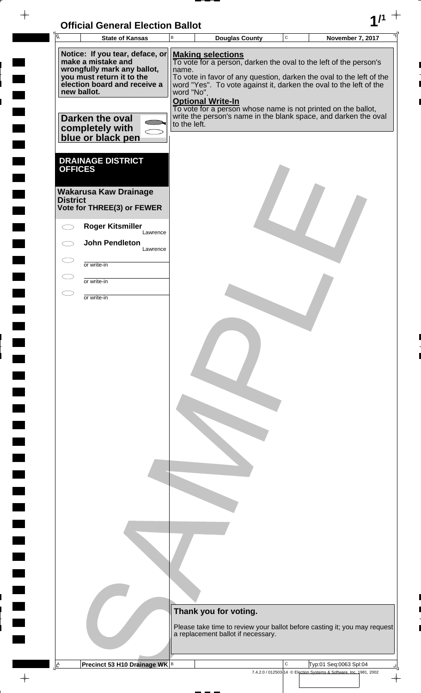## **Official General Election Ballot 1/1**

 $-\phi -$ 

 $\frac{1}{2}$ 

 $\frac{1}{2}$ 

 $\frac{1}{2}$ 

 $\frac{1}{2}$ 

 $\overline{a}$ 

 $\frac{1}{2}$ 

**The Co** 

 $\frac{1}{\sqrt{2}}$ 

| ĪĀ                                | <b>State of Kansas</b>                                                                                                                                                                                                      | $\sf B$                             | <b>Douglas County</b>                                                                                                                                                                                                                                                                                                                                                                                       | $\mathsf C$ | <b>November 7, 2017</b>                                                                      |
|-----------------------------------|-----------------------------------------------------------------------------------------------------------------------------------------------------------------------------------------------------------------------------|-------------------------------------|-------------------------------------------------------------------------------------------------------------------------------------------------------------------------------------------------------------------------------------------------------------------------------------------------------------------------------------------------------------------------------------------------------------|-------------|----------------------------------------------------------------------------------------------|
|                                   | Notice: If you tear, deface, or<br>make a mistake and<br>wrongfully mark any ballot,<br>you must return it to the<br>election board and receive a<br>new ballot.<br>Darken the oval<br>completely with<br>blue or black pen | name.<br>word "No".<br>to the left. | <b>Making selections</b><br>To vote for a person, darken the oval to the left of the person's<br>To vote in favor of any question, darken the oval to the left of the<br>word "Yes". To vote against it, darken the oval to the left of the<br><b>Optional Write-In</b><br>To vote for a person whose name is not printed on the ballot,<br>write the person's name in the blank space, and darken the oval |             |                                                                                              |
| <b>OFFICES</b><br><b>District</b> | <b>DRAINAGE DISTRICT</b><br><b>Wakarusa Kaw Drainage</b><br>Vote for THREE(3) or FEWER<br><b>Roger Kitsmiller</b><br>Lawrence                                                                                               |                                     |                                                                                                                                                                                                                                                                                                                                                                                                             |             |                                                                                              |
|                                   | <b>John Pendleton</b><br>Lawrence                                                                                                                                                                                           |                                     |                                                                                                                                                                                                                                                                                                                                                                                                             |             |                                                                                              |
| $\subset$                         | or write-in                                                                                                                                                                                                                 |                                     |                                                                                                                                                                                                                                                                                                                                                                                                             |             |                                                                                              |
|                                   | or write-in                                                                                                                                                                                                                 |                                     |                                                                                                                                                                                                                                                                                                                                                                                                             |             |                                                                                              |
|                                   | or write-in                                                                                                                                                                                                                 |                                     |                                                                                                                                                                                                                                                                                                                                                                                                             |             |                                                                                              |
|                                   |                                                                                                                                                                                                                             |                                     | Thank you for voting.<br>a replacement ballot if necessary.                                                                                                                                                                                                                                                                                                                                                 |             | Please take time to review your ballot before casting it; you may request                    |
| <u>A</u>                          | Precinct 53 H10 Drainage WK B                                                                                                                                                                                               |                                     |                                                                                                                                                                                                                                                                                                                                                                                                             | С           | Typ:01 Seq:0063 Spl:04<br>7.4.2.0 / 012503-14 © Election Systems & Software, Inc. 1981, 2002 |

 $\overline{\phantom{a}}$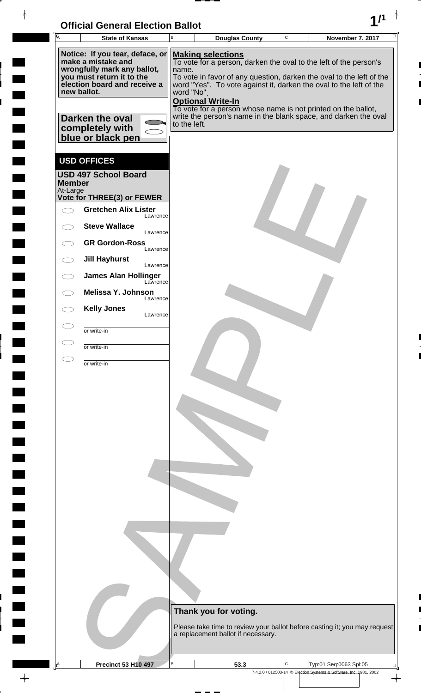| <b>Official General Election Ballot</b> |  |
|-----------------------------------------|--|
|                                         |  |

 $\blacksquare$ 

 $\blacksquare$ 

 $\overline{\phantom{a}}$ 

 $\blacksquare$ 

 $\frac{1}{2}$ 

 $\frac{1}{\sqrt{2\pi}}$ 

| $\overline{A}$            | UNICIAI UENEIAI LIECHUN DANUL<br><b>State of Kansas</b>                  | B            | <b>Douglas County</b>                                                                                                                      | $\mathbf C$ |  | <b>November 7, 2017</b>                                            |  |
|---------------------------|--------------------------------------------------------------------------|--------------|--------------------------------------------------------------------------------------------------------------------------------------------|-------------|--|--------------------------------------------------------------------|--|
|                           | Notice: If you tear, deface, or                                          |              | <b>Making selections</b>                                                                                                                   |             |  |                                                                    |  |
|                           | make a mistake and<br>wrongfully mark any ballot,                        | name.        | To vote for a person, darken the oval to the left of the person's                                                                          |             |  |                                                                    |  |
|                           | you must return it to the<br>election board and receive a<br>new ballot. | word "No".   | To vote in favor of any question, darken the oval to the left of the<br>word "Yes". To vote against it, darken the oval to the left of the |             |  |                                                                    |  |
|                           |                                                                          |              | <b>Optional Write-In</b><br>To vote for a person whose name is not printed on the ballot,                                                  |             |  |                                                                    |  |
|                           | Darken the oval                                                          | to the left. | write the person's name in the blank space, and darken the oval                                                                            |             |  |                                                                    |  |
|                           | completely with<br>blue or black pen                                     |              |                                                                                                                                            |             |  |                                                                    |  |
|                           |                                                                          |              |                                                                                                                                            |             |  |                                                                    |  |
|                           | <b>USD OFFICES</b><br><b>USD 497 School Board</b>                        |              |                                                                                                                                            |             |  |                                                                    |  |
| <b>Member</b><br>At-Large |                                                                          |              |                                                                                                                                            |             |  |                                                                    |  |
|                           | Vote for THREE(3) or FEWER                                               |              |                                                                                                                                            |             |  |                                                                    |  |
|                           | <b>Gretchen Alix Lister</b><br>Lawrence                                  |              |                                                                                                                                            |             |  |                                                                    |  |
|                           | <b>Steve Wallace</b><br>Lawrence                                         |              |                                                                                                                                            |             |  |                                                                    |  |
|                           | <b>GR Gordon-Ross</b><br>Lawrence                                        |              |                                                                                                                                            |             |  |                                                                    |  |
|                           | <b>Jill Hayhurst</b><br>Lawrence                                         |              |                                                                                                                                            |             |  |                                                                    |  |
|                           | <b>James Alan Hollinger</b><br>Lawrence                                  |              |                                                                                                                                            |             |  |                                                                    |  |
|                           | Melissa Y. Johnson<br>Lawrence                                           |              |                                                                                                                                            |             |  |                                                                    |  |
|                           | <b>Kelly Jones</b><br>Lawrence                                           |              |                                                                                                                                            |             |  |                                                                    |  |
|                           | or write-in                                                              |              |                                                                                                                                            |             |  |                                                                    |  |
|                           | or write-in                                                              |              |                                                                                                                                            |             |  |                                                                    |  |
|                           | or write-in                                                              |              |                                                                                                                                            |             |  |                                                                    |  |
|                           |                                                                          |              |                                                                                                                                            |             |  |                                                                    |  |
|                           |                                                                          |              |                                                                                                                                            |             |  |                                                                    |  |
|                           |                                                                          |              |                                                                                                                                            |             |  |                                                                    |  |
|                           |                                                                          |              |                                                                                                                                            |             |  |                                                                    |  |
|                           |                                                                          |              |                                                                                                                                            |             |  |                                                                    |  |
|                           |                                                                          |              |                                                                                                                                            |             |  |                                                                    |  |
|                           |                                                                          |              |                                                                                                                                            |             |  |                                                                    |  |
|                           |                                                                          |              |                                                                                                                                            |             |  |                                                                    |  |
|                           |                                                                          |              |                                                                                                                                            |             |  |                                                                    |  |
|                           |                                                                          |              |                                                                                                                                            |             |  |                                                                    |  |
|                           |                                                                          |              |                                                                                                                                            |             |  |                                                                    |  |
|                           |                                                                          |              |                                                                                                                                            |             |  |                                                                    |  |
|                           |                                                                          |              |                                                                                                                                            |             |  |                                                                    |  |
|                           |                                                                          |              |                                                                                                                                            |             |  |                                                                    |  |
|                           |                                                                          |              |                                                                                                                                            |             |  |                                                                    |  |
|                           |                                                                          |              | Thank you for voting.                                                                                                                      |             |  |                                                                    |  |
|                           |                                                                          |              | Please take time to review your ballot before casting it; you may request<br>a replacement ballot if necessary.                            |             |  |                                                                    |  |
|                           |                                                                          |              |                                                                                                                                            |             |  |                                                                    |  |
| A                         | <b>Precinct 53 H10 497</b>                                               | B            | 53.3                                                                                                                                       | C           |  | Typ:01 Seq:0063 Spl:05                                             |  |
|                           |                                                                          |              |                                                                                                                                            |             |  | 7.4.2.0 / 012503-14 © Election Systems & Software, Inc. 1981, 2002 |  |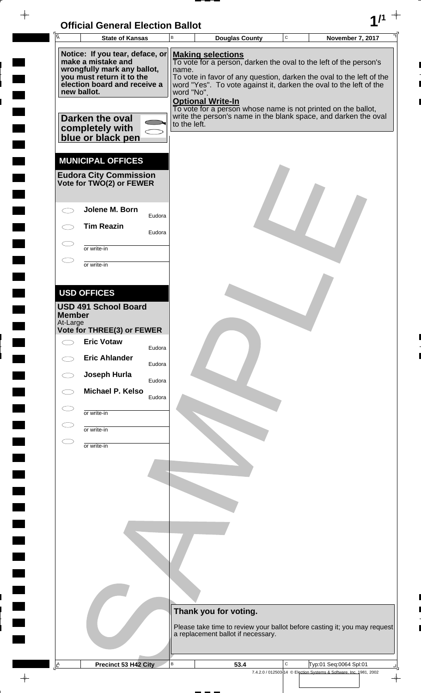

 $\blacksquare$ 

 $\blacksquare$ 

 $\blacksquare$ 

 $\blacksquare$ 

 $\rightarrow$ 

|  | 匠                                                                                                                                                                | <b>State of Kansas</b>                                                                |                  | B                                                                                                               | <b>Douglas County</b>                                                                                                                                                                                                                                                                                                                    | $\mathbf C$ | November 7, 2017                                                                             |
|--|------------------------------------------------------------------------------------------------------------------------------------------------------------------|---------------------------------------------------------------------------------------|------------------|-----------------------------------------------------------------------------------------------------------------|------------------------------------------------------------------------------------------------------------------------------------------------------------------------------------------------------------------------------------------------------------------------------------------------------------------------------------------|-------------|----------------------------------------------------------------------------------------------|
|  | Notice: If you tear, deface, or<br>make a mistake and<br>wrongfully mark any ballot,<br>you must return it to the<br>election board and receive a<br>new ballot. |                                                                                       |                  | name.<br>word "No".                                                                                             | <b>Making selections</b><br>To vote for a person, darken the oval to the left of the person's<br>To vote in favor of any question, darken the oval to the left of the<br>word "Yes". To vote against it, darken the oval to the left of the<br><b>Optional Write-In</b><br>To vote for a person whose name is not printed on the ballot, |             |                                                                                              |
|  |                                                                                                                                                                  | Darken the oval<br>completely with<br>blue or black pen                               |                  | to the left.                                                                                                    | write the person's name in the blank space, and darken the oval                                                                                                                                                                                                                                                                          |             |                                                                                              |
|  |                                                                                                                                                                  | <b>MUNICIPAL OFFICES</b><br><b>Eudora City Commission</b><br>Vote for TWO(2) or FEWER |                  |                                                                                                                 |                                                                                                                                                                                                                                                                                                                                          |             |                                                                                              |
|  |                                                                                                                                                                  | Jolene M. Born                                                                        | Eudora           |                                                                                                                 |                                                                                                                                                                                                                                                                                                                                          |             |                                                                                              |
|  |                                                                                                                                                                  | <b>Tim Reazin</b>                                                                     | Eudora           |                                                                                                                 |                                                                                                                                                                                                                                                                                                                                          |             |                                                                                              |
|  |                                                                                                                                                                  | or write-in<br>or write-in                                                            |                  |                                                                                                                 |                                                                                                                                                                                                                                                                                                                                          |             |                                                                                              |
|  |                                                                                                                                                                  | <b>USD OFFICES</b>                                                                    |                  |                                                                                                                 |                                                                                                                                                                                                                                                                                                                                          |             |                                                                                              |
|  | <b>Member</b><br>At-Large                                                                                                                                        | <b>USD 491 School Board</b>                                                           |                  |                                                                                                                 |                                                                                                                                                                                                                                                                                                                                          |             |                                                                                              |
|  |                                                                                                                                                                  | Vote for THREE(3) or FEWER<br><b>Eric Votaw</b>                                       |                  |                                                                                                                 |                                                                                                                                                                                                                                                                                                                                          |             |                                                                                              |
|  |                                                                                                                                                                  | <b>Eric Ahlander</b>                                                                  | Eudora<br>Eudora |                                                                                                                 |                                                                                                                                                                                                                                                                                                                                          |             |                                                                                              |
|  |                                                                                                                                                                  | Joseph Hurla                                                                          | Eudora           |                                                                                                                 |                                                                                                                                                                                                                                                                                                                                          |             |                                                                                              |
|  |                                                                                                                                                                  | Michael P. Kelso                                                                      | Eudora           |                                                                                                                 |                                                                                                                                                                                                                                                                                                                                          |             |                                                                                              |
|  |                                                                                                                                                                  | or write-in                                                                           |                  |                                                                                                                 |                                                                                                                                                                                                                                                                                                                                          |             |                                                                                              |
|  |                                                                                                                                                                  | or write-in                                                                           |                  |                                                                                                                 |                                                                                                                                                                                                                                                                                                                                          |             |                                                                                              |
|  |                                                                                                                                                                  | or write-in                                                                           |                  |                                                                                                                 |                                                                                                                                                                                                                                                                                                                                          |             |                                                                                              |
|  |                                                                                                                                                                  |                                                                                       |                  |                                                                                                                 |                                                                                                                                                                                                                                                                                                                                          |             |                                                                                              |
|  |                                                                                                                                                                  |                                                                                       |                  |                                                                                                                 |                                                                                                                                                                                                                                                                                                                                          |             |                                                                                              |
|  |                                                                                                                                                                  |                                                                                       |                  |                                                                                                                 |                                                                                                                                                                                                                                                                                                                                          |             |                                                                                              |
|  |                                                                                                                                                                  |                                                                                       |                  |                                                                                                                 |                                                                                                                                                                                                                                                                                                                                          |             |                                                                                              |
|  |                                                                                                                                                                  |                                                                                       |                  |                                                                                                                 |                                                                                                                                                                                                                                                                                                                                          |             |                                                                                              |
|  |                                                                                                                                                                  |                                                                                       |                  |                                                                                                                 |                                                                                                                                                                                                                                                                                                                                          |             |                                                                                              |
|  |                                                                                                                                                                  |                                                                                       |                  |                                                                                                                 |                                                                                                                                                                                                                                                                                                                                          |             |                                                                                              |
|  |                                                                                                                                                                  |                                                                                       |                  | Thank you for voting.                                                                                           |                                                                                                                                                                                                                                                                                                                                          |             |                                                                                              |
|  |                                                                                                                                                                  |                                                                                       |                  | Please take time to review your ballot before casting it; you may request<br>a replacement ballot if necessary. |                                                                                                                                                                                                                                                                                                                                          |             |                                                                                              |
|  |                                                                                                                                                                  |                                                                                       |                  |                                                                                                                 |                                                                                                                                                                                                                                                                                                                                          |             |                                                                                              |
|  | <u>A</u>                                                                                                                                                         | Precinct 53 H42 City                                                                  |                  | $\sf B$                                                                                                         | 53.4                                                                                                                                                                                                                                                                                                                                     | C           | Typ:01 Seq:0064 Spl:01<br>7.4.2.0 / 012503-14 © Election Systems & Software, Inc. 1981, 2002 |

 $\overline{\varphi}$  .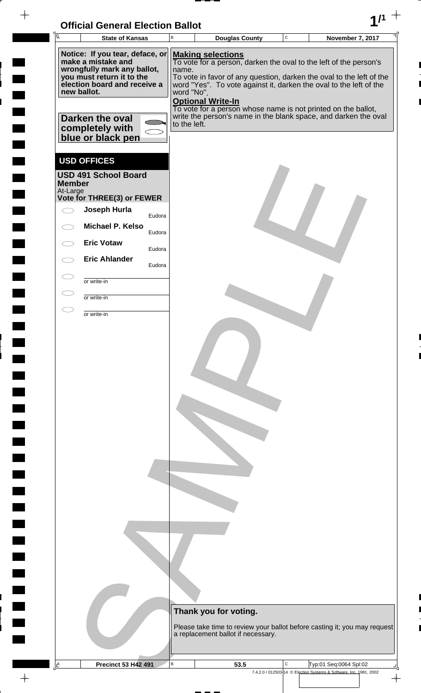| <b>Official General Election Ballot</b> |  |
|-----------------------------------------|--|
|                                         |  |

 $\overline{\phantom{a}}$ 

 $\blacksquare$ 

 $\blacksquare$ 

 $\begin{array}{c} \hline \end{array}$ 

 $\blacksquare$ 

 $\blacksquare$ L

| $\overline{A}$                                                                                                                                                   | <b>State of Kansas</b>                                  |        | B            | <b>Douglas County</b>                                                                                                                                                                                                                                              | $\mathsf C$ | November 7, 2017                                                   |                      |  |
|------------------------------------------------------------------------------------------------------------------------------------------------------------------|---------------------------------------------------------|--------|--------------|--------------------------------------------------------------------------------------------------------------------------------------------------------------------------------------------------------------------------------------------------------------------|-------------|--------------------------------------------------------------------|----------------------|--|
| Notice: If you tear, deface, or<br>make a mistake and<br>wrongfully mark any ballot,<br>you must return it to the<br>election board and receive a<br>new ballot. |                                                         |        |              | <b>Making selections</b><br>To vote for a person, darken the oval to the left of the person's<br>name.<br>To vote in favor of any question, darken the oval to the left of the<br>word "Yes". To vote against it, darken the oval to the left of the<br>word "No". |             |                                                                    |                      |  |
|                                                                                                                                                                  | Darken the oval<br>completely with<br>blue or black pen |        | to the left. | <b>Optional Write-In</b><br>To vote for a person whose name is not printed on the ballot,<br>write the person's name in the blank space, and darken the oval                                                                                                       |             |                                                                    |                      |  |
| <b>Member</b>                                                                                                                                                    | <b>USD OFFICES</b><br><b>USD 491 School Board</b>       |        |              |                                                                                                                                                                                                                                                                    |             |                                                                    |                      |  |
| At-Large                                                                                                                                                         | Vote for THREE(3) or FEWER                              |        |              |                                                                                                                                                                                                                                                                    |             |                                                                    |                      |  |
| $\bigcirc$                                                                                                                                                       | Joseph Hurla                                            | Eudora |              |                                                                                                                                                                                                                                                                    |             |                                                                    |                      |  |
|                                                                                                                                                                  | <b>Michael P. Kelso</b>                                 |        |              |                                                                                                                                                                                                                                                                    |             |                                                                    |                      |  |
|                                                                                                                                                                  | <b>Eric Votaw</b>                                       | Eudora |              |                                                                                                                                                                                                                                                                    |             |                                                                    |                      |  |
|                                                                                                                                                                  | <b>Eric Ahlander</b>                                    | Eudora |              |                                                                                                                                                                                                                                                                    |             |                                                                    |                      |  |
|                                                                                                                                                                  |                                                         | Eudora |              |                                                                                                                                                                                                                                                                    |             |                                                                    |                      |  |
| $\subset$                                                                                                                                                        | or write-in                                             |        |              |                                                                                                                                                                                                                                                                    |             |                                                                    |                      |  |
| $\subset$                                                                                                                                                        | or write-in                                             |        |              |                                                                                                                                                                                                                                                                    |             |                                                                    |                      |  |
| $\subset$                                                                                                                                                        | or write-in                                             |        |              |                                                                                                                                                                                                                                                                    |             |                                                                    |                      |  |
|                                                                                                                                                                  |                                                         |        |              | Thank you for voting.<br>Please take time to review your ballot before casting it; you may request<br>a replacement ballot if necessary.                                                                                                                           |             |                                                                    |                      |  |
| Ŀ                                                                                                                                                                | <b>Precinct 53 H42 491</b>                              |        | В            | 53.5                                                                                                                                                                                                                                                               | С           | Typ:01 Seq:0064 Spl:02                                             |                      |  |
|                                                                                                                                                                  |                                                         |        |              |                                                                                                                                                                                                                                                                    |             | 7.4.2.0 / 012503-14 © Election Systems & Software, Inc. 1981, 2002 | $\frac{1}{\sqrt{2}}$ |  |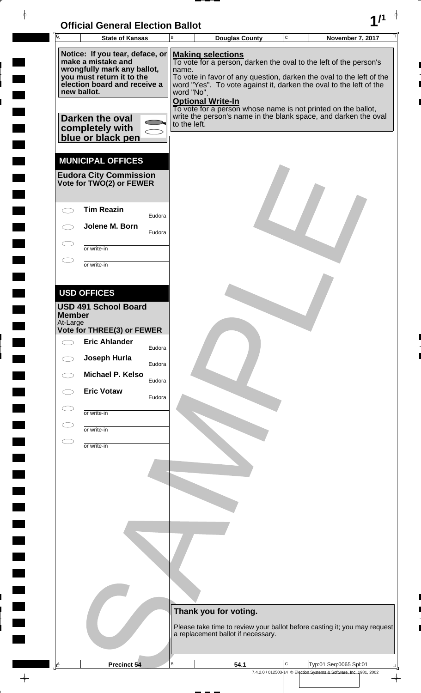

 $-\phi -$ 

 $\frac{1}{2}$ 

 $\frac{1}{2}$ 

 $\frac{1}{2}$ 

 $\frac{1}{2}$ 

 $\overline{a}$ 

 $\overline{a}$ 

 $\begin{picture}(120,110) \put(0,0){\vector(1,0){10}} \put(15,0){\vector(1,0){10}} \put(15,0){\vector(1,0){10}} \put(15,0){\vector(1,0){10}} \put(15,0){\vector(1,0){10}} \put(15,0){\vector(1,0){10}} \put(15,0){\vector(1,0){10}} \put(15,0){\vector(1,0){10}} \put(15,0){\vector(1,0){10}} \put(15,0){\vector(1,0){10}} \put(15,0){\vector(1,0){10}} \put(15,0){\vector$ 

| Ā                                                                                                                                                                                                                           | <b>State of Kansas</b>                                                                 |                  | $\, {\bf B}$                        |                                                      | <b>Douglas County</b>              | $\mathsf C$ | <b>November 7, 2017</b>                                                                                                                                                                                                                                                                                                                             |
|-----------------------------------------------------------------------------------------------------------------------------------------------------------------------------------------------------------------------------|----------------------------------------------------------------------------------------|------------------|-------------------------------------|------------------------------------------------------|------------------------------------|-------------|-----------------------------------------------------------------------------------------------------------------------------------------------------------------------------------------------------------------------------------------------------------------------------------------------------------------------------------------------------|
| Notice: If you tear, deface, or<br>make a mistake and<br>wrongfully mark any ballot,<br>you must return it to the<br>election board and receive a<br>new ballot.<br>Darken the oval<br>completely with<br>blue or black pen |                                                                                        |                  | name.<br>word "No".<br>to the left. | <b>Making selections</b><br><b>Optional Write-In</b> |                                    |             | To vote for a person, darken the oval to the left of the person's<br>To vote in favor of any question, darken the oval to the left of the<br>word "Yes". To vote against it, darken the oval to the left of the<br>To vote for a person whose name is not printed on the ballot,<br>write the person's name in the blank space, and darken the oval |
|                                                                                                                                                                                                                             | <b>MUNICIPAL OFFICES</b><br><b>Eudora City Commission</b><br>Vote for TWO(2) or FEWER  |                  |                                     |                                                      |                                    |             |                                                                                                                                                                                                                                                                                                                                                     |
|                                                                                                                                                                                                                             | <b>Tim Reazin</b>                                                                      | Eudora           |                                     |                                                      |                                    |             |                                                                                                                                                                                                                                                                                                                                                     |
|                                                                                                                                                                                                                             | Jolene M. Born                                                                         | Eudora           |                                     |                                                      |                                    |             |                                                                                                                                                                                                                                                                                                                                                     |
|                                                                                                                                                                                                                             | or write-in                                                                            |                  |                                     |                                                      |                                    |             |                                                                                                                                                                                                                                                                                                                                                     |
|                                                                                                                                                                                                                             | or write-in                                                                            |                  |                                     |                                                      |                                    |             |                                                                                                                                                                                                                                                                                                                                                     |
|                                                                                                                                                                                                                             |                                                                                        |                  |                                     |                                                      |                                    |             |                                                                                                                                                                                                                                                                                                                                                     |
| <b>Member</b><br>At-Large                                                                                                                                                                                                   | <b>USD OFFICES</b><br><b>USD 491 School Board</b><br><b>Vote for THREE(3) or FEWER</b> |                  |                                     |                                                      |                                    |             |                                                                                                                                                                                                                                                                                                                                                     |
|                                                                                                                                                                                                                             | <b>Eric Ahlander</b>                                                                   |                  |                                     |                                                      |                                    |             |                                                                                                                                                                                                                                                                                                                                                     |
|                                                                                                                                                                                                                             | Joseph Hurla                                                                           | Eudora<br>Eudora |                                     |                                                      |                                    |             |                                                                                                                                                                                                                                                                                                                                                     |
|                                                                                                                                                                                                                             | Michael P. Kelso                                                                       | Eudora           |                                     |                                                      |                                    |             |                                                                                                                                                                                                                                                                                                                                                     |
|                                                                                                                                                                                                                             | <b>Eric Votaw</b>                                                                      | Eudora           |                                     |                                                      |                                    |             |                                                                                                                                                                                                                                                                                                                                                     |
|                                                                                                                                                                                                                             | or write-in                                                                            |                  |                                     |                                                      |                                    |             |                                                                                                                                                                                                                                                                                                                                                     |
|                                                                                                                                                                                                                             | or write-in                                                                            |                  |                                     |                                                      |                                    |             |                                                                                                                                                                                                                                                                                                                                                     |
|                                                                                                                                                                                                                             | or write-in                                                                            |                  |                                     |                                                      |                                    |             |                                                                                                                                                                                                                                                                                                                                                     |
|                                                                                                                                                                                                                             |                                                                                        |                  |                                     |                                                      |                                    |             |                                                                                                                                                                                                                                                                                                                                                     |
|                                                                                                                                                                                                                             |                                                                                        |                  |                                     |                                                      |                                    |             |                                                                                                                                                                                                                                                                                                                                                     |
|                                                                                                                                                                                                                             |                                                                                        |                  |                                     |                                                      |                                    |             |                                                                                                                                                                                                                                                                                                                                                     |
|                                                                                                                                                                                                                             |                                                                                        |                  |                                     |                                                      |                                    |             |                                                                                                                                                                                                                                                                                                                                                     |
|                                                                                                                                                                                                                             |                                                                                        |                  |                                     |                                                      |                                    |             |                                                                                                                                                                                                                                                                                                                                                     |
|                                                                                                                                                                                                                             |                                                                                        |                  |                                     |                                                      |                                    |             |                                                                                                                                                                                                                                                                                                                                                     |
|                                                                                                                                                                                                                             |                                                                                        |                  |                                     |                                                      |                                    |             |                                                                                                                                                                                                                                                                                                                                                     |
|                                                                                                                                                                                                                             |                                                                                        |                  |                                     |                                                      |                                    |             |                                                                                                                                                                                                                                                                                                                                                     |
|                                                                                                                                                                                                                             |                                                                                        |                  |                                     | Thank you for voting.                                |                                    |             |                                                                                                                                                                                                                                                                                                                                                     |
|                                                                                                                                                                                                                             |                                                                                        |                  |                                     |                                                      | a replacement ballot if necessary. |             | Please take time to review your ballot before casting it; you may request                                                                                                                                                                                                                                                                           |
|                                                                                                                                                                                                                             |                                                                                        |                  |                                     |                                                      |                                    |             |                                                                                                                                                                                                                                                                                                                                                     |
| <u>A</u>                                                                                                                                                                                                                    | Precinct 54                                                                            |                  | В                                   |                                                      | 54.1                               | C           | Typ:01 Seq:0065 Spl:01                                                                                                                                                                                                                                                                                                                              |
|                                                                                                                                                                                                                             |                                                                                        |                  |                                     |                                                      |                                    |             | 7.4.2.0 / 012503-14 © Election Systems & Software, Inc. 1981, 2002                                                                                                                                                                                                                                                                                  |

 $\overline{\phantom{a}}$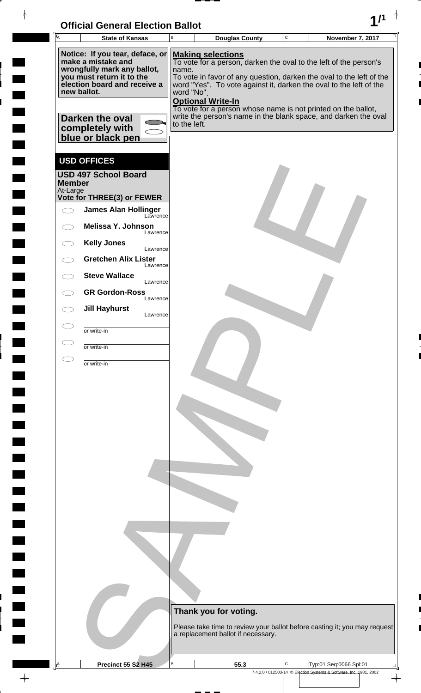| <b>Official General Election Ballot</b> |  |
|-----------------------------------------|--|
|                                         |  |

 $\blacksquare$ 

 $\blacksquare$ 

 $\blacksquare$ 

 $\frac{1}{2}$ 

 $\blacksquare$ 

 $\frac{1}{\sqrt{2\pi}}$ 

| $\overline{A}$ |                                                           |                                        |                                                                                                                                            |             |                         |  |
|----------------|-----------------------------------------------------------|----------------------------------------|--------------------------------------------------------------------------------------------------------------------------------------------|-------------|-------------------------|--|
|                | <b>State of Kansas</b>                                    | В                                      | <b>Douglas County</b>                                                                                                                      | $\mathbf C$ | <b>November 7, 2017</b> |  |
|                | Notice: If you tear, deface, or<br>make a mistake and     |                                        | <b>Making selections</b><br>To vote for a person, darken the oval to the left of the person's                                              |             |                         |  |
|                | wrongfully mark any ballot,                               | name.                                  |                                                                                                                                            |             |                         |  |
|                | you must return it to the<br>election board and receive a |                                        | To vote in favor of any question, darken the oval to the left of the<br>word "Yes". To vote against it, darken the oval to the left of the |             |                         |  |
|                | new ballot.                                               | word "No".<br><b>Optional Write-In</b> |                                                                                                                                            |             |                         |  |
|                |                                                           |                                        | To vote for a person whose name is not printed on the ballot,                                                                              |             |                         |  |
|                | Darken the oval<br>completely with                        | to the left.                           | write the person's name in the blank space, and darken the oval                                                                            |             |                         |  |
|                | blue or black pen                                         |                                        |                                                                                                                                            |             |                         |  |
|                |                                                           |                                        |                                                                                                                                            |             |                         |  |
|                | <b>USD OFFICES</b>                                        |                                        |                                                                                                                                            |             |                         |  |
| <b>Member</b>  | <b>USD 497 School Board</b>                               |                                        |                                                                                                                                            |             |                         |  |
| At-Large       | Vote for THREE(3) or FEWER                                |                                        |                                                                                                                                            |             |                         |  |
|                | <b>James Alan Hollinger</b>                               |                                        |                                                                                                                                            |             |                         |  |
|                | Lawrence<br>Melissa Y. Johnson                            |                                        |                                                                                                                                            |             |                         |  |
|                | Lawrence                                                  |                                        |                                                                                                                                            |             |                         |  |
|                | <b>Kelly Jones</b><br>Lawrence                            |                                        |                                                                                                                                            |             |                         |  |
|                | <b>Gretchen Alix Lister</b><br>Lawrence                   |                                        |                                                                                                                                            |             |                         |  |
|                | <b>Steve Wallace</b><br>Lawrence                          |                                        |                                                                                                                                            |             |                         |  |
|                | <b>GR Gordon-Ross</b><br>Lawrence                         |                                        |                                                                                                                                            |             |                         |  |
|                | <b>Jill Hayhurst</b>                                      |                                        |                                                                                                                                            |             |                         |  |
|                | Lawrence                                                  |                                        |                                                                                                                                            |             |                         |  |
|                | or write-in                                               |                                        |                                                                                                                                            |             |                         |  |
|                | or write-in                                               |                                        |                                                                                                                                            |             |                         |  |
|                | or write-in                                               |                                        |                                                                                                                                            |             |                         |  |
|                |                                                           |                                        |                                                                                                                                            |             |                         |  |
|                |                                                           |                                        |                                                                                                                                            |             |                         |  |
|                |                                                           |                                        |                                                                                                                                            |             |                         |  |
|                |                                                           |                                        |                                                                                                                                            |             |                         |  |
|                |                                                           |                                        |                                                                                                                                            |             |                         |  |
|                |                                                           |                                        |                                                                                                                                            |             |                         |  |
|                |                                                           |                                        |                                                                                                                                            |             |                         |  |
|                |                                                           |                                        |                                                                                                                                            |             |                         |  |
|                |                                                           |                                        |                                                                                                                                            |             |                         |  |
|                |                                                           |                                        |                                                                                                                                            |             |                         |  |
|                |                                                           |                                        |                                                                                                                                            |             |                         |  |
|                |                                                           |                                        |                                                                                                                                            |             |                         |  |
|                |                                                           |                                        |                                                                                                                                            |             |                         |  |
|                |                                                           |                                        |                                                                                                                                            |             |                         |  |
|                |                                                           |                                        |                                                                                                                                            |             |                         |  |
|                |                                                           |                                        |                                                                                                                                            |             |                         |  |
|                |                                                           |                                        |                                                                                                                                            |             |                         |  |
|                |                                                           |                                        | Thank you for voting.                                                                                                                      |             |                         |  |
|                |                                                           |                                        | Please take time to review your ballot before casting it; you may request                                                                  |             |                         |  |
|                |                                                           |                                        | a replacement ballot if necessary.                                                                                                         |             |                         |  |
| ᅀ              | Precinct 55 S2 H45                                        | $\, {\sf B}$                           | 55.3                                                                                                                                       | C           | Typ:01 Seq:0066 Spl:01  |  |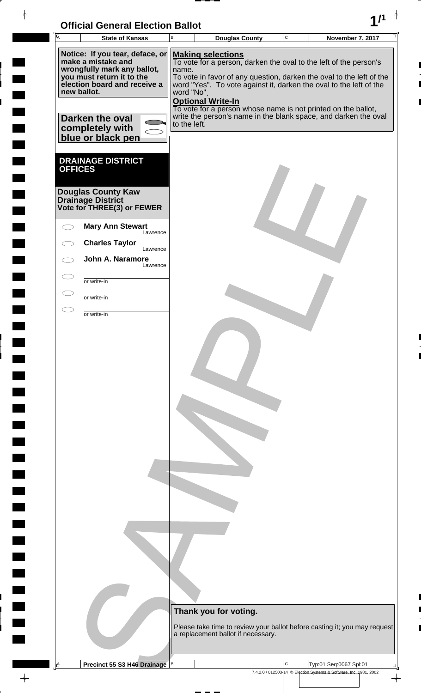| <b>Official General Election Ballot</b> |  |
|-----------------------------------------|--|
|                                         |  |

 $\blacksquare$ 

 $\blacksquare$ 

 $\blacksquare$ 

 $\overline{\phantom{a}}$ 

 $\blacksquare$ 

 $\blacksquare$ L

 $\frac{1}{\sqrt{2\pi}}\int_{0}^{\pi}\frac{1}{\sqrt{2\pi}}\left( \frac{1}{\sqrt{2\pi}}\right) \frac{d\mu}{d\mu}d\mu$ 

| Unicial Ochelal Liection Danot<br>$\sqrt{\overline{A}}$<br><b>State of Kansas</b>    | B            |                          | <b>Douglas County</b>                                                                                                                      | $\mathbf C$  | <b>November 7, 2017</b>                                            |                          |
|--------------------------------------------------------------------------------------|--------------|--------------------------|--------------------------------------------------------------------------------------------------------------------------------------------|--------------|--------------------------------------------------------------------|--------------------------|
| Notice: If you tear, deface, or                                                      |              | <b>Making selections</b> |                                                                                                                                            |              |                                                                    |                          |
| make a mistake and<br>wrongfully mark any ballot,                                    | name.        |                          | To vote for a person, darken the oval to the left of the person's                                                                          |              |                                                                    |                          |
| you must return it to the<br>election board and receive a                            |              |                          | To vote in favor of any question, darken the oval to the left of the<br>word "Yes". To vote against it, darken the oval to the left of the |              |                                                                    |                          |
| new ballot.                                                                          | word "No".   |                          |                                                                                                                                            |              |                                                                    |                          |
|                                                                                      |              | <b>Optional Write-In</b> | To vote for a person whose name is not printed on the ballot,                                                                              |              |                                                                    |                          |
| Darken the oval<br>completely with                                                   | to the left. |                          | write the person's name in the blank space, and darken the oval                                                                            |              |                                                                    |                          |
| blue or black pen                                                                    |              |                          |                                                                                                                                            |              |                                                                    |                          |
|                                                                                      |              |                          |                                                                                                                                            |              |                                                                    |                          |
| <b>DRAINAGE DISTRICT</b><br><b>OFFICES</b>                                           |              |                          |                                                                                                                                            |              |                                                                    |                          |
|                                                                                      |              |                          |                                                                                                                                            |              |                                                                    |                          |
| <b>Douglas County Kaw</b><br><b>Drainage District<br/>Vote for THREE(3) or FEWER</b> |              |                          |                                                                                                                                            |              |                                                                    |                          |
|                                                                                      |              |                          |                                                                                                                                            |              |                                                                    |                          |
| <b>Mary Ann Stewart</b><br>Lawrence                                                  |              |                          |                                                                                                                                            |              |                                                                    |                          |
| <b>Charles Taylor</b><br>Lawrence                                                    |              |                          |                                                                                                                                            |              |                                                                    |                          |
| John A. Naramore<br>Lawrence                                                         |              |                          |                                                                                                                                            |              |                                                                    |                          |
| or write-in                                                                          |              |                          |                                                                                                                                            |              |                                                                    |                          |
| or write-in                                                                          |              |                          |                                                                                                                                            |              |                                                                    |                          |
| or write-in                                                                          |              |                          |                                                                                                                                            |              |                                                                    |                          |
|                                                                                      |              |                          |                                                                                                                                            |              |                                                                    |                          |
|                                                                                      |              |                          |                                                                                                                                            |              |                                                                    |                          |
|                                                                                      |              |                          |                                                                                                                                            |              |                                                                    |                          |
|                                                                                      |              |                          |                                                                                                                                            |              |                                                                    |                          |
|                                                                                      |              |                          |                                                                                                                                            |              |                                                                    |                          |
|                                                                                      |              |                          |                                                                                                                                            |              |                                                                    |                          |
|                                                                                      |              |                          |                                                                                                                                            |              |                                                                    |                          |
|                                                                                      |              |                          |                                                                                                                                            |              |                                                                    |                          |
|                                                                                      |              |                          |                                                                                                                                            |              |                                                                    |                          |
|                                                                                      |              |                          |                                                                                                                                            |              |                                                                    |                          |
|                                                                                      |              |                          |                                                                                                                                            |              |                                                                    |                          |
|                                                                                      |              |                          |                                                                                                                                            |              |                                                                    |                          |
|                                                                                      |              |                          |                                                                                                                                            |              |                                                                    |                          |
|                                                                                      |              |                          |                                                                                                                                            |              |                                                                    |                          |
|                                                                                      |              |                          |                                                                                                                                            |              |                                                                    |                          |
|                                                                                      |              |                          |                                                                                                                                            |              |                                                                    |                          |
|                                                                                      |              |                          |                                                                                                                                            |              |                                                                    |                          |
|                                                                                      |              |                          |                                                                                                                                            |              |                                                                    |                          |
|                                                                                      |              |                          |                                                                                                                                            |              |                                                                    |                          |
|                                                                                      |              | Thank you for voting.    |                                                                                                                                            |              |                                                                    |                          |
|                                                                                      |              |                          | Please take time to review your ballot before casting it; you may request<br>a replacement ballot if necessary.                            |              |                                                                    |                          |
|                                                                                      |              |                          |                                                                                                                                            |              |                                                                    |                          |
| $\overline{\mathsf{F}}$<br>Precinct 55 S3 H46 Drainage                               | $\,$ B       |                          |                                                                                                                                            | $\mathsf{C}$ | Typ:01 Seq:0067 Spl:01                                             |                          |
|                                                                                      |              |                          |                                                                                                                                            |              | 7.4.2.0 / 012503-14 © Election Systems & Software, Inc. 1981, 2002 | $\overline{\phantom{a}}$ |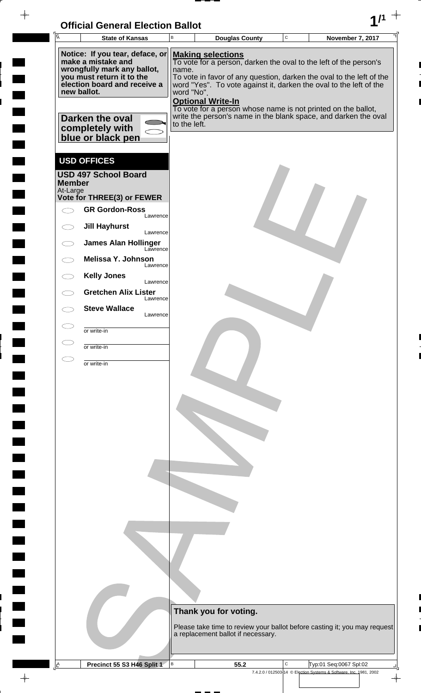| <b>Official General Election Ballot</b> |  |
|-----------------------------------------|--|
|                                         |  |

 $\overline{\phantom{a}}$ 

 $\blacksquare$ 

 $\blacksquare$ 

 $\blacksquare$ 

 $\frac{1}{2}$ 

 $\frac{1}{\sqrt{2\pi}}$ 

| Ā<br><b>State of Kansas</b>                                              | UNICIAI UENETAI LIECHUN DANUL<br>В | <b>Douglas County</b>                                                                                                                      | $\mathbf C$ | <b>November 7, 2017</b>                                            |  |
|--------------------------------------------------------------------------|------------------------------------|--------------------------------------------------------------------------------------------------------------------------------------------|-------------|--------------------------------------------------------------------|--|
| Notice: If you tear, deface, or<br>make a mistake and                    |                                    | <b>Making selections</b>                                                                                                                   |             |                                                                    |  |
| wrongfully mark any ballot,                                              | name.                              | To vote for a person, darken the oval to the left of the person's                                                                          |             |                                                                    |  |
| you must return it to the<br>election board and receive a<br>new ballot. | word "No".                         | To vote in favor of any question, darken the oval to the left of the<br>word "Yes". To vote against it, darken the oval to the left of the |             |                                                                    |  |
|                                                                          |                                    | <b>Optional Write-In</b><br>To vote for a person whose name is not printed on the ballot,                                                  |             |                                                                    |  |
| Darken the oval                                                          | to the left.                       | write the person's name in the blank space, and darken the oval                                                                            |             |                                                                    |  |
| completely with<br>blue or black pen                                     |                                    |                                                                                                                                            |             |                                                                    |  |
| <b>USD OFFICES</b>                                                       |                                    |                                                                                                                                            |             |                                                                    |  |
| <b>USD 497 School Board</b><br><b>Member</b>                             |                                    |                                                                                                                                            |             |                                                                    |  |
| At-Large<br>Vote for THREE(3) or FEWER                                   |                                    |                                                                                                                                            |             |                                                                    |  |
| <b>GR Gordon-Ross</b><br>Lawrence                                        |                                    |                                                                                                                                            |             |                                                                    |  |
| <b>Jill Hayhurst</b><br>$\bigcirc$<br>Lawrence                           |                                    |                                                                                                                                            |             |                                                                    |  |
| <b>James Alan Hollinger</b><br>Lawrence                                  |                                    |                                                                                                                                            |             |                                                                    |  |
| Melissa Y. Johnson<br>Lawrence                                           |                                    |                                                                                                                                            |             |                                                                    |  |
| <b>Kelly Jones</b><br>Lawrence                                           |                                    |                                                                                                                                            |             |                                                                    |  |
| <b>Gretchen Alix Lister</b><br>Lawrence                                  |                                    |                                                                                                                                            |             |                                                                    |  |
| <b>Steve Wallace</b><br>Lawrence                                         |                                    |                                                                                                                                            |             |                                                                    |  |
| or write-in                                                              |                                    |                                                                                                                                            |             |                                                                    |  |
| or write-in                                                              |                                    |                                                                                                                                            |             |                                                                    |  |
| or write-in                                                              |                                    |                                                                                                                                            |             |                                                                    |  |
|                                                                          |                                    |                                                                                                                                            |             |                                                                    |  |
|                                                                          |                                    |                                                                                                                                            |             |                                                                    |  |
|                                                                          |                                    |                                                                                                                                            |             |                                                                    |  |
|                                                                          |                                    |                                                                                                                                            |             |                                                                    |  |
|                                                                          |                                    |                                                                                                                                            |             |                                                                    |  |
|                                                                          |                                    |                                                                                                                                            |             |                                                                    |  |
|                                                                          |                                    |                                                                                                                                            |             |                                                                    |  |
|                                                                          |                                    |                                                                                                                                            |             |                                                                    |  |
|                                                                          |                                    |                                                                                                                                            |             |                                                                    |  |
|                                                                          |                                    |                                                                                                                                            |             |                                                                    |  |
|                                                                          |                                    |                                                                                                                                            |             |                                                                    |  |
|                                                                          |                                    |                                                                                                                                            |             |                                                                    |  |
|                                                                          |                                    |                                                                                                                                            |             |                                                                    |  |
|                                                                          |                                    |                                                                                                                                            |             |                                                                    |  |
|                                                                          |                                    |                                                                                                                                            |             |                                                                    |  |
|                                                                          |                                    |                                                                                                                                            |             |                                                                    |  |
|                                                                          |                                    | Thank you for voting.                                                                                                                      |             |                                                                    |  |
|                                                                          |                                    | Please take time to review your ballot before casting it; you may request<br>a replacement ballot if necessary.                            |             |                                                                    |  |
|                                                                          |                                    |                                                                                                                                            |             |                                                                    |  |
| A<br>Precinct 55 S3 H46 Split 1                                          | B                                  | 55.2                                                                                                                                       | C           | Typ:01 Seq:0067 Spl:02                                             |  |
|                                                                          |                                    |                                                                                                                                            |             | 7.4.2.0 / 012503-14 © Election Systems & Software, Inc. 1981, 2002 |  |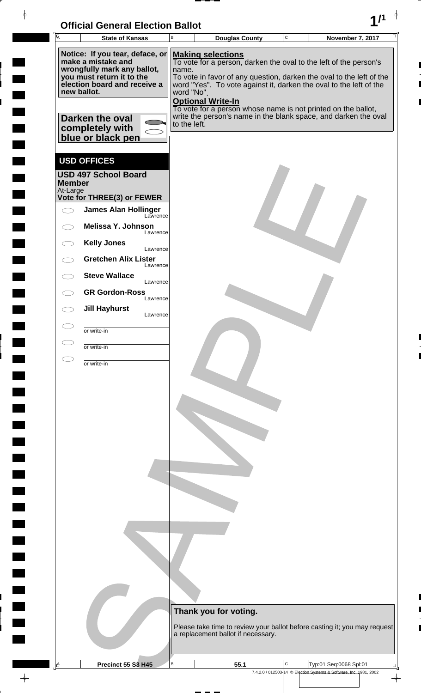| <b>Official General Election Ballot</b> |  |
|-----------------------------------------|--|
|                                         |  |

 $\blacksquare$ 

 $\blacksquare$ 

 $\blacksquare$ 

 $\frac{1}{2}$ 

 $\blacksquare$ 

 $\frac{1}{\sqrt{2\pi}}$ 

| $\overline{A}$ | UNIUM OCHCIAI LICULIUII DANUL                             | В                                      |                                                                                                                                            |                                                                    | $\mathbf C$ |                        |                         |  |
|----------------|-----------------------------------------------------------|----------------------------------------|--------------------------------------------------------------------------------------------------------------------------------------------|--------------------------------------------------------------------|-------------|------------------------|-------------------------|--|
|                | <b>State of Kansas</b>                                    |                                        | <b>Douglas County</b>                                                                                                                      |                                                                    |             |                        | <b>November 7, 2017</b> |  |
|                | Notice: If you tear, deface, or<br>make a mistake and     |                                        | <b>Making selections</b><br>To vote for a person, darken the oval to the left of the person's                                              |                                                                    |             |                        |                         |  |
|                | wrongfully mark any ballot,                               | name.                                  |                                                                                                                                            |                                                                    |             |                        |                         |  |
|                | you must return it to the<br>election board and receive a |                                        | To vote in favor of any question, darken the oval to the left of the<br>word "Yes". To vote against it, darken the oval to the left of the |                                                                    |             |                        |                         |  |
|                | new ballot.                                               | word "No".<br><b>Optional Write-In</b> |                                                                                                                                            |                                                                    |             |                        |                         |  |
|                |                                                           |                                        | To vote for a person whose name is not printed on the ballot,                                                                              |                                                                    |             |                        |                         |  |
|                | Darken the oval<br>completely with                        | to the left.                           | write the person's name in the blank space, and darken the oval                                                                            |                                                                    |             |                        |                         |  |
|                | blue or black pen                                         |                                        |                                                                                                                                            |                                                                    |             |                        |                         |  |
|                |                                                           |                                        |                                                                                                                                            |                                                                    |             |                        |                         |  |
|                | <b>USD OFFICES</b>                                        |                                        |                                                                                                                                            |                                                                    |             |                        |                         |  |
| <b>Member</b>  | <b>USD 497 School Board</b>                               |                                        |                                                                                                                                            |                                                                    |             |                        |                         |  |
| At-Large       | Vote for THREE(3) or FEWER                                |                                        |                                                                                                                                            |                                                                    |             |                        |                         |  |
|                | <b>James Alan Hollinger</b>                               |                                        |                                                                                                                                            |                                                                    |             |                        |                         |  |
|                | Lawrence<br>Melissa Y. Johnson                            |                                        |                                                                                                                                            |                                                                    |             |                        |                         |  |
|                | Lawrence                                                  |                                        |                                                                                                                                            |                                                                    |             |                        |                         |  |
|                | <b>Kelly Jones</b><br>Lawrence                            |                                        |                                                                                                                                            |                                                                    |             |                        |                         |  |
|                | <b>Gretchen Alix Lister</b><br>Lawrence                   |                                        |                                                                                                                                            |                                                                    |             |                        |                         |  |
|                | <b>Steve Wallace</b><br>Lawrence                          |                                        |                                                                                                                                            |                                                                    |             |                        |                         |  |
|                | <b>GR Gordon-Ross</b><br>Lawrence                         |                                        |                                                                                                                                            |                                                                    |             |                        |                         |  |
|                | <b>Jill Hayhurst</b>                                      |                                        |                                                                                                                                            |                                                                    |             |                        |                         |  |
|                | Lawrence                                                  |                                        |                                                                                                                                            |                                                                    |             |                        |                         |  |
|                | or write-in                                               |                                        |                                                                                                                                            |                                                                    |             |                        |                         |  |
|                | or write-in                                               |                                        |                                                                                                                                            |                                                                    |             |                        |                         |  |
|                | or write-in                                               |                                        |                                                                                                                                            |                                                                    |             |                        |                         |  |
|                |                                                           |                                        |                                                                                                                                            |                                                                    |             |                        |                         |  |
|                |                                                           |                                        |                                                                                                                                            |                                                                    |             |                        |                         |  |
|                |                                                           |                                        |                                                                                                                                            |                                                                    |             |                        |                         |  |
|                |                                                           |                                        |                                                                                                                                            |                                                                    |             |                        |                         |  |
|                |                                                           |                                        |                                                                                                                                            |                                                                    |             |                        |                         |  |
|                |                                                           |                                        |                                                                                                                                            |                                                                    |             |                        |                         |  |
|                |                                                           |                                        |                                                                                                                                            |                                                                    |             |                        |                         |  |
|                |                                                           |                                        |                                                                                                                                            |                                                                    |             |                        |                         |  |
|                |                                                           |                                        |                                                                                                                                            |                                                                    |             |                        |                         |  |
|                |                                                           |                                        |                                                                                                                                            |                                                                    |             |                        |                         |  |
|                |                                                           |                                        |                                                                                                                                            |                                                                    |             |                        |                         |  |
|                |                                                           |                                        |                                                                                                                                            |                                                                    |             |                        |                         |  |
|                |                                                           |                                        |                                                                                                                                            |                                                                    |             |                        |                         |  |
|                |                                                           |                                        |                                                                                                                                            |                                                                    |             |                        |                         |  |
|                |                                                           |                                        |                                                                                                                                            |                                                                    |             |                        |                         |  |
|                |                                                           |                                        |                                                                                                                                            |                                                                    |             |                        |                         |  |
|                |                                                           |                                        | Thank you for voting.                                                                                                                      |                                                                    |             |                        |                         |  |
|                |                                                           |                                        | Please take time to review your ballot before casting it; you may request                                                                  |                                                                    |             |                        |                         |  |
|                |                                                           |                                        |                                                                                                                                            |                                                                    |             |                        |                         |  |
|                |                                                           |                                        | a replacement ballot if necessary.                                                                                                         |                                                                    |             |                        |                         |  |
|                |                                                           |                                        |                                                                                                                                            |                                                                    |             |                        |                         |  |
| ᅀ              | Precinct 55 S3 H45                                        | $\, {\sf B}$                           | 55.1                                                                                                                                       | 7.4.2.0 / 012503-14 © Election Systems & Software, Inc. 1981, 2002 | C           | Typ:01 Seq:0068 Spl:01 |                         |  |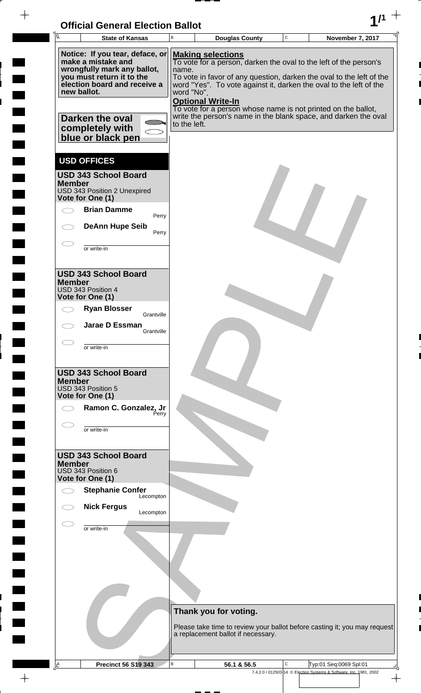

| $\overline{\mathsf{A}}$ |               | <b>State of Kansas</b>                                                                                                                                                                                                      | B                                   | <b>Douglas County</b>                                                                                                                                                                                                                                                                                                                                                                                       | $\mathbf C$ | <b>November 7, 2017</b>                                            |
|-------------------------|---------------|-----------------------------------------------------------------------------------------------------------------------------------------------------------------------------------------------------------------------------|-------------------------------------|-------------------------------------------------------------------------------------------------------------------------------------------------------------------------------------------------------------------------------------------------------------------------------------------------------------------------------------------------------------------------------------------------------------|-------------|--------------------------------------------------------------------|
|                         |               | Notice: If you tear, deface, or<br>make a mistake and<br>wrongfully mark any ballot,<br>you must return it to the<br>election board and receive a<br>new ballot.<br>Darken the oval<br>completely with<br>blue or black pen | name.<br>word "No".<br>to the left. | <b>Making selections</b><br>To vote for a person, darken the oval to the left of the person's<br>To vote in favor of any question, darken the oval to the left of the<br>word "Yes". To vote against it, darken the oval to the left of the<br><b>Optional Write-In</b><br>To vote for a person whose name is not printed on the ballot,<br>write the person's name in the blank space, and darken the oval |             |                                                                    |
|                         | <b>Member</b> | <b>USD OFFICES</b><br><b>USD 343 School Board</b><br>USD 343 Position 2 Unexpired<br>Vote for One (1)<br><b>Brian Damme</b><br>Perry<br><b>DeAnn Hupe Seib</b><br>Perry<br>or write-in                                      |                                     |                                                                                                                                                                                                                                                                                                                                                                                                             |             |                                                                    |
|                         | <b>Member</b> | <b>USD 343 School Board</b><br>USD 343 Position 4<br>Vote for One (1)<br><b>Ryan Blosser</b><br>Grantville<br>Jarae D Essman<br>Grantville<br>or write-in                                                                   |                                     |                                                                                                                                                                                                                                                                                                                                                                                                             |             |                                                                    |
|                         | <b>Member</b> | <b>USD 343 School Board</b><br>USD 343 Position 5<br>Vote for One (1)<br>Ramon C. Gonzalez, Jr<br>Perry<br>or write-in                                                                                                      |                                     |                                                                                                                                                                                                                                                                                                                                                                                                             |             |                                                                    |
|                         | <b>Member</b> | <b>USD 343 School Board</b><br>USD 343 Position 6<br>Vote for One (1)<br><b>Stephanie Confer</b><br>Lecompton<br><b>Nick Fergus</b><br>Lecompton                                                                            |                                     |                                                                                                                                                                                                                                                                                                                                                                                                             |             |                                                                    |
|                         |               | or write-in                                                                                                                                                                                                                 |                                     |                                                                                                                                                                                                                                                                                                                                                                                                             |             |                                                                    |
|                         |               |                                                                                                                                                                                                                             |                                     | Thank you for voting.<br>Please take time to review your ballot before casting it; you may request<br>a replacement ballot if necessary.                                                                                                                                                                                                                                                                    |             |                                                                    |
| 直                       |               | Precinct 56 S19 343                                                                                                                                                                                                         | В                                   | 56.1 & 56.5                                                                                                                                                                                                                                                                                                                                                                                                 | С           | Typ:01 Seq:0069 Spl:01                                             |
|                         |               |                                                                                                                                                                                                                             |                                     |                                                                                                                                                                                                                                                                                                                                                                                                             |             | 7.4.2.0 / 012503-14 © Election Systems & Software, Inc. 1981, 2002 |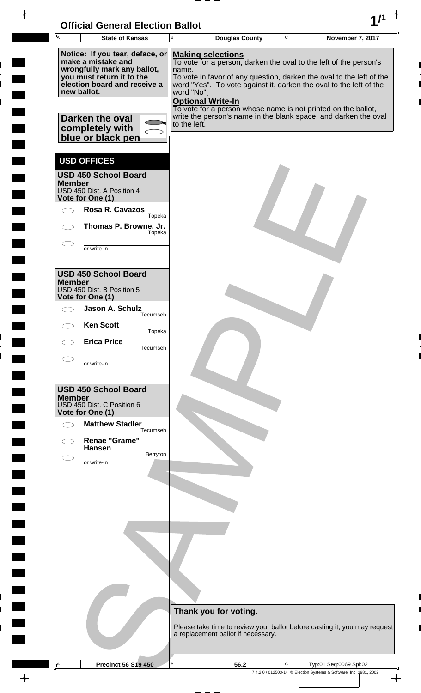| <b>Official General Election Ballot</b> |  |
|-----------------------------------------|--|
|                                         |  |

 $\blacksquare$ 

 $\blacksquare$ 

 $\overline{\phantom{0}}$ 

 $\Box$ 

 $\blacksquare$ 

 $\blacksquare$ 

 $\blacksquare$ 

 $\begin{array}{c} \hline \end{array}$ 

 $\blacksquare$ 

 $\begin{array}{c} \hline \end{array}$ 

| ĪĀ<br><b>State of Kansas</b>                                                                                                                                                                                                | B                                   | <b>Douglas County</b>                                                                                                                                                                                                                                            | $\mathbf C$  | November 7, 2017                                                                                                                                                          |
|-----------------------------------------------------------------------------------------------------------------------------------------------------------------------------------------------------------------------------|-------------------------------------|------------------------------------------------------------------------------------------------------------------------------------------------------------------------------------------------------------------------------------------------------------------|--------------|---------------------------------------------------------------------------------------------------------------------------------------------------------------------------|
| Notice: If you tear, deface, or<br>make a mistake and<br>wrongfully mark any ballot,<br>you must return it to the<br>election board and receive a<br>new ballot.<br>Darken the oval<br>completely with<br>blue or black pen | name.<br>word "No".<br>to the left. | <b>Making selections</b><br>To vote for a person, darken the oval to the left of the person's<br>word "Yes". To vote against it, darken the oval to the left of the<br><b>Optional Write-In</b><br>To vote for a person whose name is not printed on the ballot, |              | To vote in favor of any question, darken the oval to the left of the<br>write the person's name in the blank space, and darken the oval                                   |
| <b>USD OFFICES</b><br><b>USD 450 School Board</b><br><b>Member</b><br>USD 450 Dist. A Position 4<br>Vote for One (1)<br><b>Rosa R. Cavazos</b><br>Topeka<br>Thomas P. Browne, Jr.<br>Tópeka<br>or write-in                  |                                     |                                                                                                                                                                                                                                                                  |              |                                                                                                                                                                           |
| <b>USD 450 School Board</b><br><b>Member</b><br>USD 450 Dist. B Position 5<br>Vote for One (1)<br>Jason A. Schulz<br>Tecumseh<br><b>Ken Scott</b><br>Topeka<br><b>Erica Price</b><br>Tecumseh                               |                                     |                                                                                                                                                                                                                                                                  |              |                                                                                                                                                                           |
| or write-in<br><b>USD 450 School Board</b><br><b>Member</b><br>USD 450 Dist. C Position 6<br>Vote for One (1)<br><b>Matthew Stadler</b><br>Tecumseh<br><b>Renae "Grame"</b><br><b>Hansen</b>                                |                                     |                                                                                                                                                                                                                                                                  |              |                                                                                                                                                                           |
| Berryton<br>or write-in                                                                                                                                                                                                     |                                     |                                                                                                                                                                                                                                                                  |              |                                                                                                                                                                           |
| <b>Precinct 56 S19 450</b><br><u>A</u>                                                                                                                                                                                      | B                                   | Thank you for voting.<br>a replacement ballot if necessary.<br>56.2                                                                                                                                                                                              | $\mathsf{C}$ | Please take time to review your ballot before casting it; you may request<br>Typ:01 Seq:0069 Spl:02<br>7.4.2.0 / 012503-14 © Election Systems & Software, Inc. 1981, 2002 |

 $\rightarrow$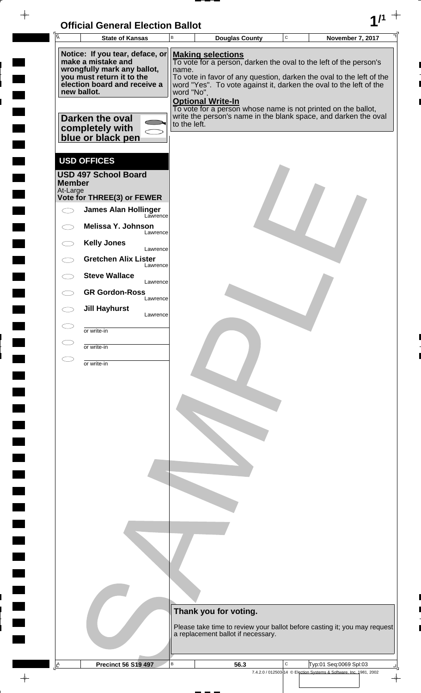| <b>Official General Election Ballot</b> |  |
|-----------------------------------------|--|
|                                         |  |

 $\overline{\phantom{a}}$ 

 $\blacksquare$ 

 $\blacksquare$ 

 $\blacksquare$ 

 $\frac{1}{2}$ 

 $\frac{1}{\sqrt{2\pi}}$ 

| Ā             | <b>State of Kansas</b>                                                   | В                        | <b>Douglas County</b>              | $\mathbf C$ | November 7, 2017                                                                                                                           |  |
|---------------|--------------------------------------------------------------------------|--------------------------|------------------------------------|-------------|--------------------------------------------------------------------------------------------------------------------------------------------|--|
|               | Notice: If you tear, deface, or<br>make a mistake and                    |                          | <b>Making selections</b>           |             |                                                                                                                                            |  |
|               | wrongfully mark any ballot,                                              | name.                    |                                    |             | To vote for a person, darken the oval to the left of the person's                                                                          |  |
|               | you must return it to the<br>election board and receive a<br>new ballot. | word "No".               |                                    |             | To vote in favor of any question, darken the oval to the left of the<br>word "Yes". To vote against it, darken the oval to the left of the |  |
|               |                                                                          | <b>Optional Write-In</b> |                                    |             | To vote for a person whose name is not printed on the ballot,                                                                              |  |
|               | Darken the oval                                                          | to the left.             |                                    |             | write the person's name in the blank space, and darken the oval                                                                            |  |
|               | completely with<br>blue or black pen                                     |                          |                                    |             |                                                                                                                                            |  |
|               | <b>USD OFFICES</b>                                                       |                          |                                    |             |                                                                                                                                            |  |
| <b>Member</b> | <b>USD 497 School Board</b>                                              |                          |                                    |             |                                                                                                                                            |  |
| At-Large      | Vote for THREE(3) or FEWER                                               |                          |                                    |             |                                                                                                                                            |  |
|               | <b>James Alan Hollinger</b><br>Lawrence                                  |                          |                                    |             |                                                                                                                                            |  |
|               | Melissa Y. Johnson<br>Lawrence                                           |                          |                                    |             |                                                                                                                                            |  |
|               | <b>Kelly Jones</b><br>Lawrence                                           |                          |                                    |             |                                                                                                                                            |  |
|               | <b>Gretchen Alix Lister</b><br>Lawrence                                  |                          |                                    |             |                                                                                                                                            |  |
|               | <b>Steve Wallace</b><br>Lawrence                                         |                          |                                    |             |                                                                                                                                            |  |
|               | <b>GR Gordon-Ross</b><br>Lawrence                                        |                          |                                    |             |                                                                                                                                            |  |
|               | <b>Jill Hayhurst</b><br>Lawrence                                         |                          |                                    |             |                                                                                                                                            |  |
|               | or write-in                                                              |                          |                                    |             |                                                                                                                                            |  |
|               | or write-in                                                              |                          |                                    |             |                                                                                                                                            |  |
|               | or write-in                                                              |                          |                                    |             |                                                                                                                                            |  |
|               |                                                                          |                          |                                    |             |                                                                                                                                            |  |
|               |                                                                          |                          |                                    |             |                                                                                                                                            |  |
|               |                                                                          |                          |                                    |             |                                                                                                                                            |  |
|               |                                                                          |                          |                                    |             |                                                                                                                                            |  |
|               |                                                                          |                          |                                    |             |                                                                                                                                            |  |
|               |                                                                          |                          |                                    |             |                                                                                                                                            |  |
|               |                                                                          |                          |                                    |             |                                                                                                                                            |  |
|               |                                                                          |                          |                                    |             |                                                                                                                                            |  |
|               |                                                                          |                          |                                    |             |                                                                                                                                            |  |
|               |                                                                          |                          |                                    |             |                                                                                                                                            |  |
|               |                                                                          |                          |                                    |             |                                                                                                                                            |  |
|               |                                                                          |                          |                                    |             |                                                                                                                                            |  |
|               |                                                                          |                          |                                    |             |                                                                                                                                            |  |
|               |                                                                          |                          |                                    |             |                                                                                                                                            |  |
|               |                                                                          |                          | Thank you for voting.              |             |                                                                                                                                            |  |
|               |                                                                          |                          |                                    |             | Please take time to review your ballot before casting it; you may request                                                                  |  |
|               |                                                                          |                          | a replacement ballot if necessary. |             |                                                                                                                                            |  |
| $\mathbb{E}$  | <b>Precinct 56 S19 497</b>                                               | B                        | 56.3                               | C           | Typ:01 Seq:0069 Spl:03                                                                                                                     |  |
|               |                                                                          |                          |                                    |             | 7.4.2.0 / 012503-14 © Election Systems & Software, Inc. 1981, 2002                                                                         |  |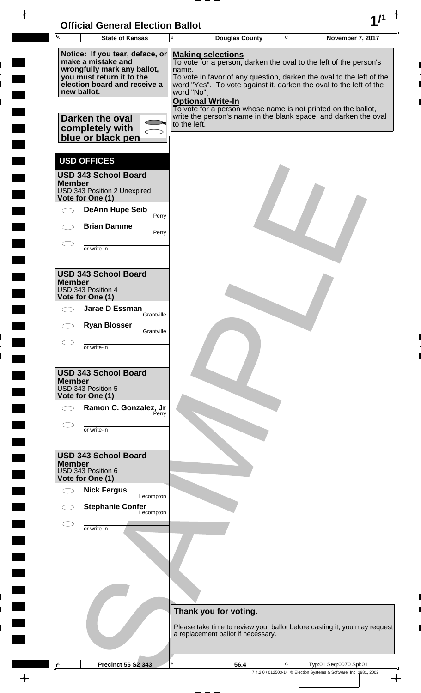

 $\overline{a}$ 

 $\frac{1}{2}$ 

 $1111$ 

 $\frac{1}{2}$ 

 $\overline{a}$ 

 $\frac{1}{2}$ 

 $\overline{\phantom{a}}$ 

 $\rightarrow$ 

| $\overline{A}$ | <b>State of Kansas</b>                                                                                                                                           | B                   | <b>Douglas County</b>                                                                                                                                                                           | С | November 7, 2017                                                                             |
|----------------|------------------------------------------------------------------------------------------------------------------------------------------------------------------|---------------------|-------------------------------------------------------------------------------------------------------------------------------------------------------------------------------------------------|---|----------------------------------------------------------------------------------------------|
|                |                                                                                                                                                                  |                     |                                                                                                                                                                                                 |   |                                                                                              |
|                | Notice: If you tear, deface, or<br>make a mistake and<br>wrongfully mark any ballot,<br>you must return it to the<br>election board and receive a<br>new ballot. | name.<br>word "No". | <b>Making selections</b><br>To vote for a person, darken the oval to the left of the person's<br>word "Yes". To vote against it, darken the oval to the left of the<br><b>Optional Write-In</b> |   | To vote in favor of any question, darken the oval to the left of the                         |
|                | Darken the oval<br>completely with<br>blue or black pen                                                                                                          | to the left.        | To vote for a person whose name is not printed on the ballot,                                                                                                                                   |   | write the person's name in the blank space, and darken the oval                              |
|                | <b>USD OFFICES</b>                                                                                                                                               |                     |                                                                                                                                                                                                 |   |                                                                                              |
| <b>Member</b>  | <b>USD 343 School Board</b><br>USD 343 Position 2 Unexpired<br>Vote for One (1)                                                                                  |                     |                                                                                                                                                                                                 |   |                                                                                              |
|                | <b>DeAnn Hupe Seib</b><br>Perry                                                                                                                                  |                     |                                                                                                                                                                                                 |   |                                                                                              |
|                | <b>Brian Damme</b><br>Perry                                                                                                                                      |                     |                                                                                                                                                                                                 |   |                                                                                              |
|                | or write-in                                                                                                                                                      |                     |                                                                                                                                                                                                 |   |                                                                                              |
| <b>Member</b>  | <b>USD 343 School Board</b><br>USD 343 Position 4<br>Vote for One (1)                                                                                            |                     |                                                                                                                                                                                                 |   |                                                                                              |
|                | Jarae D Essman<br>Grantville                                                                                                                                     |                     |                                                                                                                                                                                                 |   |                                                                                              |
|                | <b>Ryan Blosser</b><br>Grantville                                                                                                                                |                     |                                                                                                                                                                                                 |   |                                                                                              |
|                | or write-in                                                                                                                                                      |                     |                                                                                                                                                                                                 |   |                                                                                              |
| <b>Member</b>  | <b>USD 343 School Board</b><br>USD 343 Position 5<br>Vote for One (1)                                                                                            |                     |                                                                                                                                                                                                 |   |                                                                                              |
|                | Ramon C. Gonzalez, Jr<br>Perry                                                                                                                                   |                     |                                                                                                                                                                                                 |   |                                                                                              |
|                | or write-in                                                                                                                                                      |                     |                                                                                                                                                                                                 |   |                                                                                              |
| <b>Member</b>  | <b>USD 343 School Board</b><br>USD 343 Position 6<br>Vote for One (1)                                                                                            |                     |                                                                                                                                                                                                 |   |                                                                                              |
|                | <b>Nick Fergus</b><br>Lecompton                                                                                                                                  |                     |                                                                                                                                                                                                 |   |                                                                                              |
|                | <b>Stephanie Confer</b><br>Lecompton                                                                                                                             |                     |                                                                                                                                                                                                 |   |                                                                                              |
|                | or write-in                                                                                                                                                      |                     |                                                                                                                                                                                                 |   |                                                                                              |
|                |                                                                                                                                                                  |                     |                                                                                                                                                                                                 |   |                                                                                              |
|                |                                                                                                                                                                  |                     | Thank you for voting.                                                                                                                                                                           |   |                                                                                              |
|                |                                                                                                                                                                  |                     | a replacement ballot if necessary.                                                                                                                                                              |   | Please take time to review your ballot before casting it; you may request                    |
|                |                                                                                                                                                                  | B                   |                                                                                                                                                                                                 | C |                                                                                              |
| A              | <b>Precinct 56 S2 343</b>                                                                                                                                        |                     | 56.4                                                                                                                                                                                            |   | Typ:01 Seq:0070 Spl:01<br>7.4.2.0 / 012503-14 © Election Systems & Software, Inc. 1981, 2002 |

 $\frac{1}{\sqrt{2}}$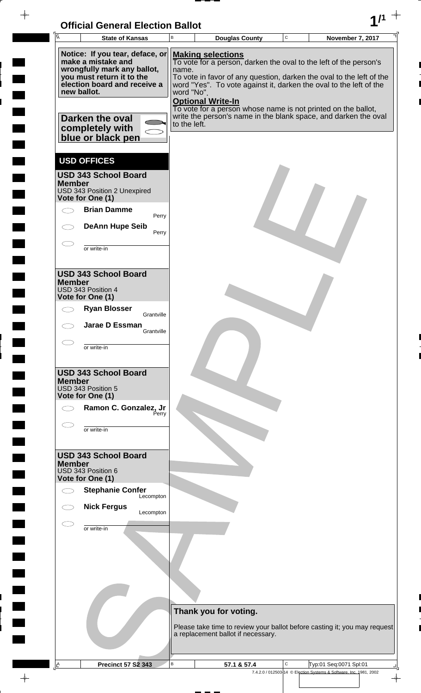

 $\overline{ }$ 

 $\frac{1}{2}$ 

 $\blacksquare$ 

 $\overline{\phantom{a}}$ 

 $\frac{1}{2}$ 

<u>rang pa</u>

 $\rightarrow$ 

| Notice: If you tear, deface, or<br><b>Making selections</b><br>make a mistake and<br>To vote for a person, darken the oval to the left of the person's<br>wrongfully mark any ballot,<br>name.<br>you must return it to the<br>To vote in favor of any question, darken the oval to the left of the<br>election board and receive a<br>word "Yes". To vote against it, darken the oval to the left of the<br>new ballot.<br>word "No".<br><b>Optional Write-In</b><br>To vote for a person whose name is not printed on the ballot,<br>write the person's name in the blank space, and darken the oval<br>Darken the oval<br>to the left.<br>completely with<br>blue or black pen<br><b>USD OFFICES</b><br><b>USD 343 School Board</b><br><b>Member</b><br>USD 343 Position 2 Unexpired<br>Vote for One (1)<br><b>Brian Damme</b><br>Perry<br><b>DeAnn Hupe Seib</b><br>Perry<br>or write-in<br><b>USD 343 School Board</b><br><b>Member</b><br>USD 343 Position 4<br>Vote for One (1)<br><b>Ryan Blosser</b><br>Grantville<br>Jarae D Essman<br>Grantville<br>or write-in<br><b>USD 343 School Board</b><br><b>Member</b><br>USD 343 Position 5<br>Vote for One (1)<br>Ramon C. Gonzalez, Jr<br>Perry<br>or write-in<br><b>USD 343 School Board</b><br><b>Member</b><br>USD 343 Position 6<br>Vote for One (1)<br><b>Stephanie Confer</b><br>Lecompton<br><b>Nick Fergus</b><br>Lecompton<br>or write-in<br>Thank you for voting.<br>Please take time to review your ballot before casting it; you may request<br>a replacement ballot if necessary.<br>В<br>С<br>Typ:01 Seq:0071 Spl:01<br><b>Precinct 57 S2 343</b> | $\overline{\mathsf{A}}$ | <b>State of Kansas</b> | B | <b>Douglas County</b> | C | <b>November 7, 2017</b> |
|------------------------------------------------------------------------------------------------------------------------------------------------------------------------------------------------------------------------------------------------------------------------------------------------------------------------------------------------------------------------------------------------------------------------------------------------------------------------------------------------------------------------------------------------------------------------------------------------------------------------------------------------------------------------------------------------------------------------------------------------------------------------------------------------------------------------------------------------------------------------------------------------------------------------------------------------------------------------------------------------------------------------------------------------------------------------------------------------------------------------------------------------------------------------------------------------------------------------------------------------------------------------------------------------------------------------------------------------------------------------------------------------------------------------------------------------------------------------------------------------------------------------------------------------------------------------------------------------------------------------|-------------------------|------------------------|---|-----------------------|---|-------------------------|
|                                                                                                                                                                                                                                                                                                                                                                                                                                                                                                                                                                                                                                                                                                                                                                                                                                                                                                                                                                                                                                                                                                                                                                                                                                                                                                                                                                                                                                                                                                                                                                                                                        |                         |                        |   |                       |   |                         |
|                                                                                                                                                                                                                                                                                                                                                                                                                                                                                                                                                                                                                                                                                                                                                                                                                                                                                                                                                                                                                                                                                                                                                                                                                                                                                                                                                                                                                                                                                                                                                                                                                        |                         |                        |   |                       |   |                         |
|                                                                                                                                                                                                                                                                                                                                                                                                                                                                                                                                                                                                                                                                                                                                                                                                                                                                                                                                                                                                                                                                                                                                                                                                                                                                                                                                                                                                                                                                                                                                                                                                                        |                         |                        |   |                       |   |                         |
|                                                                                                                                                                                                                                                                                                                                                                                                                                                                                                                                                                                                                                                                                                                                                                                                                                                                                                                                                                                                                                                                                                                                                                                                                                                                                                                                                                                                                                                                                                                                                                                                                        |                         |                        |   |                       |   |                         |
|                                                                                                                                                                                                                                                                                                                                                                                                                                                                                                                                                                                                                                                                                                                                                                                                                                                                                                                                                                                                                                                                                                                                                                                                                                                                                                                                                                                                                                                                                                                                                                                                                        |                         |                        |   |                       |   |                         |
|                                                                                                                                                                                                                                                                                                                                                                                                                                                                                                                                                                                                                                                                                                                                                                                                                                                                                                                                                                                                                                                                                                                                                                                                                                                                                                                                                                                                                                                                                                                                                                                                                        |                         |                        |   |                       |   |                         |
| 7.4.2.0 / 012503-14 © Election Systems & Software, Inc. 1981, 2002                                                                                                                                                                                                                                                                                                                                                                                                                                                                                                                                                                                                                                                                                                                                                                                                                                                                                                                                                                                                                                                                                                                                                                                                                                                                                                                                                                                                                                                                                                                                                     | <u>A</u>                |                        |   | 57.1 & 57.4           |   |                         |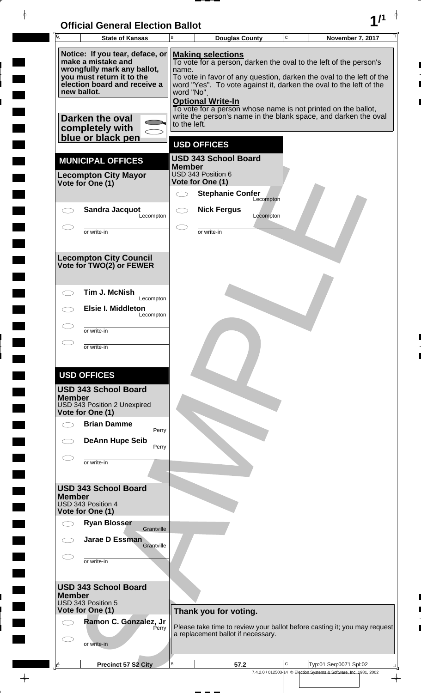## **Official General Election Ballot 1/1**

 $\rightarrow$ 

 $\blacksquare$ 

 $\blacksquare$ 

 $\blacksquare$ 

 $\begin{array}{c} \hline \end{array}$ 

 $\blacksquare$ 

| Ā                                                                                                        | <b>State of Kansas</b>                                    |                                    | <b>Douglas County</b>                                                                     | C | November 7, 2017                                                          |
|----------------------------------------------------------------------------------------------------------|-----------------------------------------------------------|------------------------------------|-------------------------------------------------------------------------------------------|---|---------------------------------------------------------------------------|
|                                                                                                          | Notice: If you tear, deface, or                           |                                    | <b>Making selections</b>                                                                  |   |                                                                           |
|                                                                                                          | make a mistake and<br>wrongfully mark any ballot,         | name.                              | To vote for a person, darken the oval to the left of the person's                         |   |                                                                           |
|                                                                                                          | you must return it to the<br>election board and receive a |                                    | word "Yes". To vote against it, darken the oval to the left of the                        |   | To vote in favor of any question, darken the oval to the left of the      |
| new ballot.                                                                                              |                                                           | word "No".                         |                                                                                           |   |                                                                           |
|                                                                                                          |                                                           |                                    | <b>Optional Write-In</b><br>To vote for a person whose name is not printed on the ballot, |   |                                                                           |
|                                                                                                          | Darken the oval                                           | to the left.                       | write the person's name in the blank space, and darken the oval                           |   |                                                                           |
|                                                                                                          | completely with<br>blue or black pen                      |                                    |                                                                                           |   |                                                                           |
|                                                                                                          |                                                           |                                    | <b>USD OFFICES</b>                                                                        |   |                                                                           |
|                                                                                                          | <b>MUNICIPAL OFFICES</b>                                  | <b>Member</b>                      | <b>USD 343 School Board</b>                                                               |   |                                                                           |
|                                                                                                          | <b>Lecompton City Mayor</b>                               |                                    | USD 343 Position 6                                                                        |   |                                                                           |
|                                                                                                          | Vote for One (1)                                          | $\bigcirc$                         | Vote for One (1)<br><b>Stephanie Confer</b>                                               |   |                                                                           |
|                                                                                                          |                                                           |                                    | Lecompton                                                                                 |   |                                                                           |
|                                                                                                          | <b>Sandra Jacquot</b><br>Lecompton                        | $\subset$ $\overline{\phantom{a}}$ | <b>Nick Fergus</b><br>Lecompton                                                           |   |                                                                           |
|                                                                                                          | or write-in                                               |                                    | or write-in                                                                               |   |                                                                           |
|                                                                                                          |                                                           |                                    |                                                                                           |   |                                                                           |
|                                                                                                          | <b>Lecompton City Council</b>                             |                                    |                                                                                           |   |                                                                           |
|                                                                                                          | Vote for TWO(2) or FEWER                                  |                                    |                                                                                           |   |                                                                           |
|                                                                                                          |                                                           |                                    |                                                                                           |   |                                                                           |
|                                                                                                          | Tim J. McNish<br>Lecompton                                |                                    |                                                                                           |   |                                                                           |
|                                                                                                          | <b>Elsie I. Middleton</b><br>Lecompton                    |                                    |                                                                                           |   |                                                                           |
|                                                                                                          | or write-in                                               |                                    |                                                                                           |   |                                                                           |
|                                                                                                          | or write-in                                               |                                    |                                                                                           |   |                                                                           |
|                                                                                                          |                                                           |                                    |                                                                                           |   |                                                                           |
|                                                                                                          | <b>USD OFFICES</b>                                        |                                    |                                                                                           |   |                                                                           |
|                                                                                                          | <b>USD 343 School Board</b>                               |                                    |                                                                                           |   |                                                                           |
| <b>Member</b>                                                                                            | USD 343 Position 2 Unexpired                              |                                    |                                                                                           |   |                                                                           |
|                                                                                                          | Vote for One (1)                                          |                                    |                                                                                           |   |                                                                           |
|                                                                                                          | <b>Brian Damme</b><br>Perry                               |                                    |                                                                                           |   |                                                                           |
|                                                                                                          | <b>DeAnn Hupe Seib</b><br>Perry                           |                                    |                                                                                           |   |                                                                           |
|                                                                                                          |                                                           |                                    |                                                                                           |   |                                                                           |
|                                                                                                          | or write-in                                               |                                    |                                                                                           |   |                                                                           |
|                                                                                                          | <b>USD 343 School Board</b>                               |                                    |                                                                                           |   |                                                                           |
| <b>Member</b>                                                                                            |                                                           |                                    |                                                                                           |   |                                                                           |
|                                                                                                          | USD 343 Position 4<br>Vote for One (1)                    |                                    |                                                                                           |   |                                                                           |
|                                                                                                          | <b>Ryan Blosser</b><br>Grantville                         |                                    |                                                                                           |   |                                                                           |
|                                                                                                          | Jarae D Essman<br>Grantville                              |                                    |                                                                                           |   |                                                                           |
|                                                                                                          | or write-in                                               |                                    |                                                                                           |   |                                                                           |
|                                                                                                          |                                                           |                                    |                                                                                           |   |                                                                           |
|                                                                                                          | <b>USD 343 School Board</b>                               |                                    |                                                                                           |   |                                                                           |
| <b>Member</b>                                                                                            | USD 343 Position 5                                        |                                    |                                                                                           |   |                                                                           |
|                                                                                                          | Vote for One (1)                                          |                                    | Thank you for voting.                                                                     |   |                                                                           |
|                                                                                                          | Ramon C. Gonzalez, Jr<br>Perry                            |                                    |                                                                                           |   | Please take time to review your ballot before casting it; you may request |
|                                                                                                          |                                                           |                                    | a replacement ballot if necessary.                                                        |   |                                                                           |
|                                                                                                          | or write-in                                               |                                    |                                                                                           |   |                                                                           |
| $\mathsf{A}% _{T}=\mathsf{A}_{T}\!\left( a,b\right) ,\mathsf{A}_{T}=\mathsf{A}_{T}\!\left( a,b\right) ,$ | Precinct 57 S2 City                                       | В                                  | 57.2                                                                                      | C | Typ:01 Seq:0071 Spl:02                                                    |
|                                                                                                          |                                                           |                                    |                                                                                           |   | 7.4.2.0 / 012503-14 © Election Systems & Software, Inc. 1981, 2002        |

 $\overline{\phantom{a}}$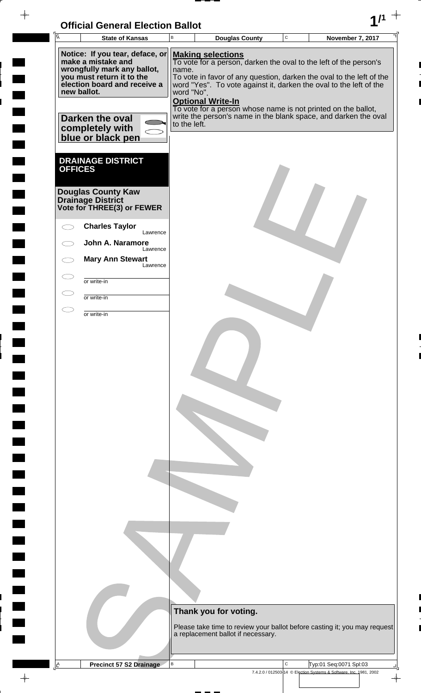| <b>Official General Election Ballot</b> |  |
|-----------------------------------------|--|
|                                         |  |

 $\overline{\phantom{a}}$ 

 $\blacksquare$ 

 $\blacksquare$ 

 $\overline{\phantom{0}}$ 

 $\blacksquare$ 

 $\blacksquare$ 

 $\blacksquare$ 

 $\blacksquare$ 

 $\blacksquare$ 

 $\overline{\phantom{a}}$ 

 $\begin{array}{c} \hline \end{array}$ 

 $\Box$ 

**The State** 

 $\Box$ 

 $\blacksquare$ 

 $\blacksquare$ 

**Tara** 

 $\Box$ 

 $\blacksquare$ 

 $\Box$ 

 $\blacksquare$ 

 $\begin{array}{c|c} \hline \raisebox{12pt}{$\scriptstyle\downarrow$} \\\hline \raisebox{12pt}{$\scriptstyle\uparrow$} \\\hline \end{array}$ 

ı 

 $\blacksquare$ 

| $\overline{\mathsf{A}}$                                                                                                                                                                                | <b>State of Kansas</b>                                                                                                        | B | <b>Douglas County</b>                                                                                                                                                                                                                                                                                                                                                                                                                              | $\mathbf C$ | November 7, 2017                                                   |  |  |  |
|--------------------------------------------------------------------------------------------------------------------------------------------------------------------------------------------------------|-------------------------------------------------------------------------------------------------------------------------------|---|----------------------------------------------------------------------------------------------------------------------------------------------------------------------------------------------------------------------------------------------------------------------------------------------------------------------------------------------------------------------------------------------------------------------------------------------------|-------------|--------------------------------------------------------------------|--|--|--|
| Notice: If you tear, deface, or<br>make a mistake and<br>wrongfully mark any ballot,<br>you must return it to the<br>election board and receive a<br>new ballot.<br>Darken the oval<br>completely with |                                                                                                                               |   | <b>Making selections</b><br>To vote for a person, darken the oval to the left of the person's<br>name.<br>To vote in favor of any question, darken the oval to the left of the<br>word "Yes". To vote against it, darken the oval to the left of the<br>word "No".<br><b>Optional Write-In</b><br>To vote for a person whose name is not printed on the ballot,<br>write the person's name in the blank space, and darken the oval<br>to the left. |             |                                                                    |  |  |  |
| <b>OFFICES</b>                                                                                                                                                                                         | blue or black pen<br><b>DRAINAGE DISTRICT</b><br><b>Douglas County Kaw</b><br>Drainage District<br>Vote for THREE(3) or FEWER |   |                                                                                                                                                                                                                                                                                                                                                                                                                                                    |             |                                                                    |  |  |  |
|                                                                                                                                                                                                        | <b>Charles Taylor</b><br>Lawrence                                                                                             |   |                                                                                                                                                                                                                                                                                                                                                                                                                                                    |             |                                                                    |  |  |  |
|                                                                                                                                                                                                        | John A. Naramore                                                                                                              |   |                                                                                                                                                                                                                                                                                                                                                                                                                                                    |             |                                                                    |  |  |  |
|                                                                                                                                                                                                        | Lawrence<br><b>Mary Ann Stewart</b><br>Lawrence                                                                               |   |                                                                                                                                                                                                                                                                                                                                                                                                                                                    |             |                                                                    |  |  |  |
| $\subset$                                                                                                                                                                                              | or write-in                                                                                                                   |   |                                                                                                                                                                                                                                                                                                                                                                                                                                                    |             |                                                                    |  |  |  |
|                                                                                                                                                                                                        | or write-in                                                                                                                   |   |                                                                                                                                                                                                                                                                                                                                                                                                                                                    |             |                                                                    |  |  |  |
| $\overline{\phantom{a}}$                                                                                                                                                                               | or write-in                                                                                                                   |   |                                                                                                                                                                                                                                                                                                                                                                                                                                                    |             |                                                                    |  |  |  |
|                                                                                                                                                                                                        |                                                                                                                               |   |                                                                                                                                                                                                                                                                                                                                                                                                                                                    |             |                                                                    |  |  |  |
|                                                                                                                                                                                                        |                                                                                                                               |   | Thank you for voting.                                                                                                                                                                                                                                                                                                                                                                                                                              |             |                                                                    |  |  |  |
|                                                                                                                                                                                                        |                                                                                                                               |   | Please take time to review your ballot before casting it; you may request<br>a replacement ballot if necessary.                                                                                                                                                                                                                                                                                                                                    |             |                                                                    |  |  |  |
| $\Delta$                                                                                                                                                                                               | <b>Precinct 57 S2 Drainage</b>                                                                                                | В |                                                                                                                                                                                                                                                                                                                                                                                                                                                    | C           | Typ:01 Seq:0071 Spl:03                                             |  |  |  |
|                                                                                                                                                                                                        |                                                                                                                               |   |                                                                                                                                                                                                                                                                                                                                                                                                                                                    |             | 7.4.2.0 / 012503-14 © Election Systems & Software, Inc. 1981, 2002 |  |  |  |

 $\overline{\phantom{a}}$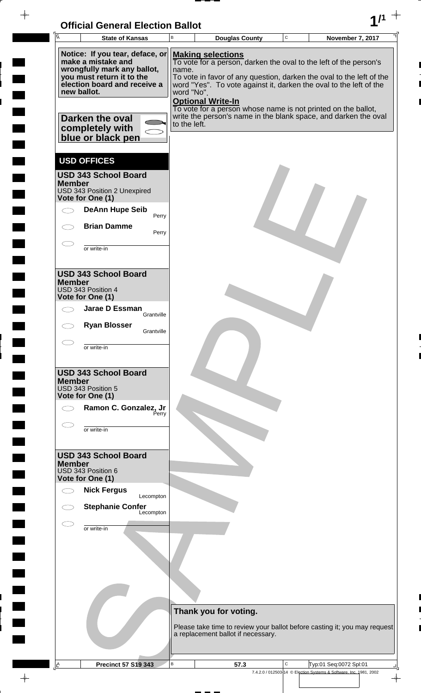

| $\overline{A}$<br><b>State of Kansas</b>                                                                                                          | B                          | <b>Douglas County</b>                                                                                                                                               | C | November 7, 2017                                                                             |
|---------------------------------------------------------------------------------------------------------------------------------------------------|----------------------------|---------------------------------------------------------------------------------------------------------------------------------------------------------------------|---|----------------------------------------------------------------------------------------------|
| Notice: If you tear, deface, or<br>make a mistake and<br>wrongfully mark any ballot,<br>you must return it to the<br>election board and receive a | name.                      | <b>Making selections</b><br>To vote for a person, darken the oval to the left of the person's<br>word "Yes". To vote against it, darken the oval to the left of the |   | To vote in favor of any question, darken the oval to the left of the                         |
| new ballot.<br>Darken the oval<br>completely with<br>blue or black pen                                                                            | word "No".<br>to the left. | <b>Optional Write-In</b><br>To vote for a person whose name is not printed on the ballot,                                                                           |   | write the person's name in the blank space, and darken the oval                              |
| <b>USD OFFICES</b><br><b>USD 343 School Board</b><br><b>Member</b><br>USD 343 Position 2 Unexpired<br>Vote for One (1)                            |                            |                                                                                                                                                                     |   |                                                                                              |
| <b>DeAnn Hupe Seib</b><br>Perry<br><b>Brian Damme</b><br>Perry                                                                                    |                            |                                                                                                                                                                     |   |                                                                                              |
| or write-in                                                                                                                                       |                            |                                                                                                                                                                     |   |                                                                                              |
| <b>USD 343 School Board</b><br><b>Member</b><br>USD 343 Position 4<br>Vote for One (1)                                                            |                            |                                                                                                                                                                     |   |                                                                                              |
| Jarae D Essman<br>Grantville                                                                                                                      |                            |                                                                                                                                                                     |   |                                                                                              |
| <b>Ryan Blosser</b><br>Grantville                                                                                                                 |                            |                                                                                                                                                                     |   |                                                                                              |
| or write-in                                                                                                                                       |                            |                                                                                                                                                                     |   |                                                                                              |
| <b>USD 343 School Board</b><br><b>Member</b><br>USD 343 Position 5<br>Vote for One (1)                                                            |                            |                                                                                                                                                                     |   |                                                                                              |
| Ramon C. Gonzalez, Jr<br>Perry                                                                                                                    |                            |                                                                                                                                                                     |   |                                                                                              |
| or write-in                                                                                                                                       |                            |                                                                                                                                                                     |   |                                                                                              |
| <b>USD 343 School Board</b><br><b>Member</b><br>USD 343 Position 6<br>Vote for One (1)                                                            |                            |                                                                                                                                                                     |   |                                                                                              |
| <b>Nick Fergus</b><br>Lecompton                                                                                                                   |                            |                                                                                                                                                                     |   |                                                                                              |
| <b>Stephanie Confer</b><br>Lecompton                                                                                                              |                            |                                                                                                                                                                     |   |                                                                                              |
| or write-in                                                                                                                                       |                            |                                                                                                                                                                     |   |                                                                                              |
|                                                                                                                                                   |                            |                                                                                                                                                                     |   |                                                                                              |
|                                                                                                                                                   |                            | Thank you for voting.                                                                                                                                               |   | Please take time to review your ballot before casting it; you may request                    |
|                                                                                                                                                   |                            | a replacement ballot if necessary.                                                                                                                                  |   |                                                                                              |
| <b>Precinct 57 S19 343</b><br><u>A</u>                                                                                                            | B                          | 57.3                                                                                                                                                                | C | Typ:01 Seq:0072 Spl:01<br>7.4.2.0 / 012503-14 © Election Systems & Software, Inc. 1981, 2002 |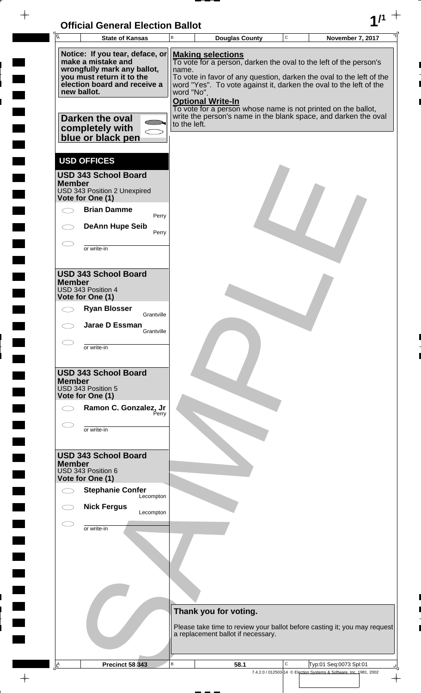

 $\overline{ }$ 

 $\frac{1}{2}$ 

 $\blacksquare$ 

 $\overline{\phantom{a}}$ 

 $\frac{1}{2}$ 

<u>rang</u>

 $\rightarrow$ 

| $\overline{\mathsf{A}}$ | <b>State of Kansas</b>                                                                                                                                                                                                      | В                                   | <b>Douglas County</b>                                                                                                                                                                                                                                                                                                                                                                                       | $\mathbf C$ | November 7, 2017                                                                             |
|-------------------------|-----------------------------------------------------------------------------------------------------------------------------------------------------------------------------------------------------------------------------|-------------------------------------|-------------------------------------------------------------------------------------------------------------------------------------------------------------------------------------------------------------------------------------------------------------------------------------------------------------------------------------------------------------------------------------------------------------|-------------|----------------------------------------------------------------------------------------------|
|                         | Notice: If you tear, deface, or<br>make a mistake and<br>wrongfully mark any ballot,<br>you must return it to the<br>election board and receive a<br>new ballot.<br>Darken the oval<br>completely with<br>blue or black pen | name.<br>word "No".<br>to the left. | <b>Making selections</b><br>To vote for a person, darken the oval to the left of the person's<br>To vote in favor of any question, darken the oval to the left of the<br>word "Yes". To vote against it, darken the oval to the left of the<br><b>Optional Write-In</b><br>To vote for a person whose name is not printed on the ballot,<br>write the person's name in the blank space, and darken the oval |             |                                                                                              |
| <b>Member</b>           | <b>USD OFFICES</b><br><b>USD 343 School Board</b><br>USD 343 Position 2 Unexpired<br>Vote for One (1)<br><b>Brian Damme</b><br>Perry<br><b>DeAnn Hupe Seib</b><br>Perry<br>or write-in                                      |                                     |                                                                                                                                                                                                                                                                                                                                                                                                             |             |                                                                                              |
| <b>Member</b>           | <b>USD 343 School Board</b><br>USD 343 Position 4<br>Vote for One (1)<br><b>Ryan Blosser</b><br>Grantville<br>Jarae D Essman<br>Grantville<br>or write-in                                                                   |                                     |                                                                                                                                                                                                                                                                                                                                                                                                             |             |                                                                                              |
| <b>Member</b>           | <b>USD 343 School Board</b><br>USD 343 Position 5<br>Vote for One (1)<br>Ramon C. Gonzalez, Jr<br>Perry<br>or write-in                                                                                                      |                                     |                                                                                                                                                                                                                                                                                                                                                                                                             |             |                                                                                              |
| <b>Member</b>           | <b>USD 343 School Board</b><br>USD 343 Position 6<br>Vote for One (1)<br><b>Stephanie Confer</b><br>Lecompton<br><b>Nick Fergus</b><br>Lecompton                                                                            |                                     |                                                                                                                                                                                                                                                                                                                                                                                                             |             |                                                                                              |
|                         | or write-in                                                                                                                                                                                                                 |                                     |                                                                                                                                                                                                                                                                                                                                                                                                             |             |                                                                                              |
| <u>A</u>                | <b>Precinct 58 343</b>                                                                                                                                                                                                      | в                                   | Thank you for voting.<br>Please take time to review your ballot before casting it; you may request<br>a replacement ballot if necessary.<br>58.1                                                                                                                                                                                                                                                            | C           | Typ:01 Seq:0073 Spl:01<br>7.4.2.0 / 012503-14 © Election Systems & Software, Inc. 1981, 2002 |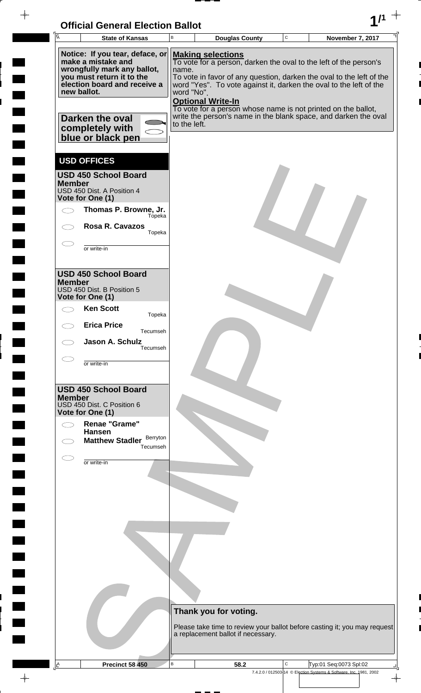

| $\overline{A}$<br><b>State of Kansas</b>                                                                                                                                                                                    | В                                   | <b>Douglas County</b>                                                                                                                                                                      | С | November 7, 2017                                                                                                                                                                                              |
|-----------------------------------------------------------------------------------------------------------------------------------------------------------------------------------------------------------------------------|-------------------------------------|--------------------------------------------------------------------------------------------------------------------------------------------------------------------------------------------|---|---------------------------------------------------------------------------------------------------------------------------------------------------------------------------------------------------------------|
| Notice: If you tear, deface, or<br>make a mistake and<br>wrongfully mark any ballot,<br>you must return it to the<br>election board and receive a<br>new ballot.<br>Darken the oval<br>completely with<br>blue or black pen | name.<br>word "No".<br>to the left. | <b>Making selections</b><br>To vote for a person, darken the oval to the left of the person's<br><b>Optional Write-In</b><br>To vote for a person whose name is not printed on the ballot, |   | To vote in favor of any question, darken the oval to the left of the<br>word "Yes". To vote against it, darken the oval to the left of the<br>write the person's name in the blank space, and darken the oval |
| <b>USD OFFICES</b><br><b>USD 450 School Board</b><br><b>Member</b><br>USD 450 Dist. A Position 4<br>Vote for One (1)<br>Thomas P. Browne, Jr.<br>Tópeka<br><b>Rosa R. Cavazos</b><br>Topeka<br>or write-in                  |                                     |                                                                                                                                                                                            |   |                                                                                                                                                                                                               |
| <b>USD 450 School Board</b><br><b>Member</b><br>USD 450 Dist. B Position 5<br>Vote for One (1)<br><b>Ken Scott</b><br>Topeka<br><b>Erica Price</b><br>Tecumseh<br>Jason A. Schulz<br>Tecumseh                               |                                     |                                                                                                                                                                                            |   |                                                                                                                                                                                                               |
| or write-in<br><b>USD 450 School Board</b><br><b>Member</b><br>USD 450 Dist. C Position 6<br>Vote for One (1)<br>Renae "Grame"<br><b>Hansen</b><br>Berryton<br><b>Matthew Stadler</b><br>Tecumseh<br>or write-in            |                                     |                                                                                                                                                                                            |   |                                                                                                                                                                                                               |
|                                                                                                                                                                                                                             |                                     |                                                                                                                                                                                            |   |                                                                                                                                                                                                               |
| Ŀ<br><b>Precinct 58 450</b>                                                                                                                                                                                                 | B                                   | Thank you for voting.<br>a replacement ballot if necessary.<br>58.2                                                                                                                        | Ċ | Please take time to review your ballot before casting it; you may request<br>Typ:01 Seq:0073 Spl:02                                                                                                           |

 $-\phi -$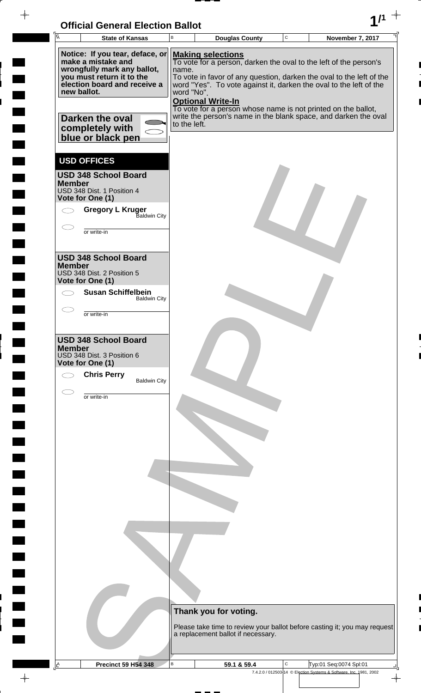

 $\overline{ }$  =  $\overline{ }$  =  $\overline{ }$ 

 $\frac{1}{2}$ 

 $\blacksquare$ 

 $\overline{\phantom{a}}$ 

 $\ddot{ }$ 

<u>rang</u>

 $\rightarrow$ 

| Ā             | <b>State of Kansas</b>                                                                                                                                           | В                   | <b>Douglas County</b>                                                                                                                                                                                                                                                                                                                    | C | November 7, 2017                                                   |
|---------------|------------------------------------------------------------------------------------------------------------------------------------------------------------------|---------------------|------------------------------------------------------------------------------------------------------------------------------------------------------------------------------------------------------------------------------------------------------------------------------------------------------------------------------------------|---|--------------------------------------------------------------------|
|               | Notice: If you tear, deface, or<br>make a mistake and<br>wrongfully mark any ballot,<br>you must return it to the<br>election board and receive a<br>new ballot. | name.<br>word "No". | <b>Making selections</b><br>To vote for a person, darken the oval to the left of the person's<br>To vote in favor of any question, darken the oval to the left of the<br>word "Yes". To vote against it, darken the oval to the left of the<br><b>Optional Write-In</b><br>To vote for a person whose name is not printed on the ballot, |   |                                                                    |
|               | Darken the oval<br>completely with<br>blue or black pen                                                                                                          | to the left.        | write the person's name in the blank space, and darken the oval                                                                                                                                                                                                                                                                          |   |                                                                    |
| <b>Member</b> | <b>USD OFFICES</b><br><b>USD 348 School Board</b>                                                                                                                |                     |                                                                                                                                                                                                                                                                                                                                          |   |                                                                    |
|               | USD 348 Dist. 1 Position 4<br>Vote for One (1)<br><b>Gregory L Kruger</b><br>Baldwin City                                                                        |                     |                                                                                                                                                                                                                                                                                                                                          |   |                                                                    |
|               | or write-in                                                                                                                                                      |                     |                                                                                                                                                                                                                                                                                                                                          |   |                                                                    |
| <b>Member</b> | <b>USD 348 School Board</b><br>USD 348 Dist. 2 Position 5<br>Vote for One (1)                                                                                    |                     |                                                                                                                                                                                                                                                                                                                                          |   |                                                                    |
|               | <b>Susan Schiffelbein</b><br><b>Baldwin City</b>                                                                                                                 |                     |                                                                                                                                                                                                                                                                                                                                          |   |                                                                    |
|               | or write-in                                                                                                                                                      |                     |                                                                                                                                                                                                                                                                                                                                          |   |                                                                    |
| <b>Member</b> | <b>USD 348 School Board</b><br>USD 348 Dist. 3 Position 6<br>Vote for One (1)<br><b>Chris Perry</b><br><b>Baldwin City</b>                                       |                     |                                                                                                                                                                                                                                                                                                                                          |   |                                                                    |
|               | or write-in                                                                                                                                                      |                     |                                                                                                                                                                                                                                                                                                                                          |   |                                                                    |
|               |                                                                                                                                                                  |                     |                                                                                                                                                                                                                                                                                                                                          |   |                                                                    |
|               |                                                                                                                                                                  |                     |                                                                                                                                                                                                                                                                                                                                          |   |                                                                    |
|               |                                                                                                                                                                  |                     |                                                                                                                                                                                                                                                                                                                                          |   |                                                                    |
|               |                                                                                                                                                                  |                     | Thank you for voting.<br>Please take time to review your ballot before casting it; you may request<br>a replacement ballot if necessary.                                                                                                                                                                                                 |   |                                                                    |
| 스             | <b>Precinct 59 H54 348</b>                                                                                                                                       | В                   | 59.1 & 59.4                                                                                                                                                                                                                                                                                                                              | С | Typ:01 Seq:0074 Spl:01                                             |
|               |                                                                                                                                                                  |                     |                                                                                                                                                                                                                                                                                                                                          |   | 7.4.2.0 / 012503-14 © Election Systems & Software, Inc. 1981, 2002 |

 $\phi$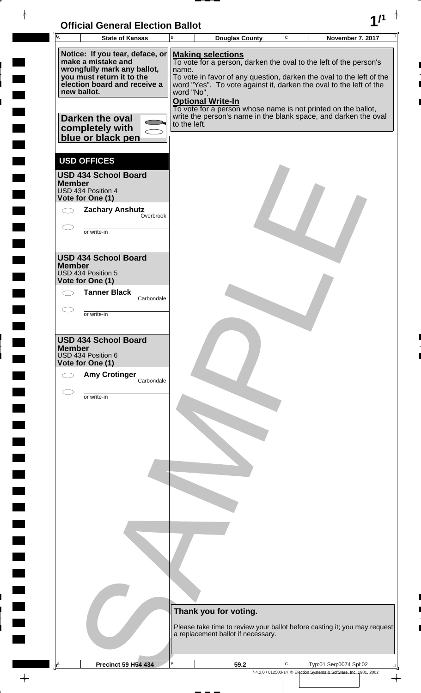| <b>Official General Election Ballot</b> |  |
|-----------------------------------------|--|
|                                         |  |

 $\blacksquare$ 

 $\blacksquare$ 

 $\blacksquare$ 

 $\begin{array}{c} \begin{array}{c} \hline \end{array} \end{array}$ 

 $\blacksquare$ 

 $\Box$ 

 $\frac{1}{\sqrt{2\pi}}$ 

| UNIUM OCHCIAI LICULIUII DANUL<br><b>I</b> A<br><b>State of Kansas</b> | B            |                          | <b>Douglas County</b>              | $\mathbf C$ | <b>November 7, 2017</b>                                                                                                          |  |
|-----------------------------------------------------------------------|--------------|--------------------------|------------------------------------|-------------|----------------------------------------------------------------------------------------------------------------------------------|--|
| Notice: If you tear, deface, or                                       |              | <b>Making selections</b> |                                    |             |                                                                                                                                  |  |
| make a mistake and<br>wrongfully mark any ballot,                     | name.        |                          |                                    |             | To vote for a person, darken the oval to the left of the person's                                                                |  |
| you must return it to the                                             |              |                          |                                    |             | To vote in favor of any question, darken the oval to the left of the                                                             |  |
| election board and receive a<br>new ballot.                           | word "No".   |                          |                                    |             | word "Yes". To vote against it, darken the oval to the left of the                                                               |  |
|                                                                       |              | <b>Optional Write-In</b> |                                    |             |                                                                                                                                  |  |
| Darken the oval                                                       |              |                          |                                    |             | To vote for a person whose name is not printed on the ballot,<br>write the person's name in the blank space, and darken the oval |  |
| completely with                                                       | to the left. |                          |                                    |             |                                                                                                                                  |  |
| blue or black pen                                                     |              |                          |                                    |             |                                                                                                                                  |  |
| <b>USD OFFICES</b>                                                    |              |                          |                                    |             |                                                                                                                                  |  |
| <b>USD 434 School Board</b>                                           |              |                          |                                    |             |                                                                                                                                  |  |
| <b>Member</b><br>USD 434 Position 4                                   |              |                          |                                    |             |                                                                                                                                  |  |
| Vote for One (1)                                                      |              |                          |                                    |             |                                                                                                                                  |  |
| <b>Zachary Anshutz</b><br>Overbrook                                   |              |                          |                                    |             |                                                                                                                                  |  |
| or write-in                                                           |              |                          |                                    |             |                                                                                                                                  |  |
|                                                                       |              |                          |                                    |             |                                                                                                                                  |  |
| <b>USD 434 School Board</b>                                           |              |                          |                                    |             |                                                                                                                                  |  |
| <b>Member</b><br>USD 434 Position 5                                   |              |                          |                                    |             |                                                                                                                                  |  |
| Vote for One (1)                                                      |              |                          |                                    |             |                                                                                                                                  |  |
| <b>Tanner Black</b><br>Carbondale                                     |              |                          |                                    |             |                                                                                                                                  |  |
| or write-in                                                           |              |                          |                                    |             |                                                                                                                                  |  |
|                                                                       |              |                          |                                    |             |                                                                                                                                  |  |
| <b>USD 434 School Board</b>                                           |              |                          |                                    |             |                                                                                                                                  |  |
| <b>Member</b><br>USD 434 Position 6                                   |              |                          |                                    |             |                                                                                                                                  |  |
| Vote for One (1)                                                      |              |                          |                                    |             |                                                                                                                                  |  |
| <b>Amy Crotinger</b><br>Carbondale                                    |              |                          |                                    |             |                                                                                                                                  |  |
| or write-in                                                           |              |                          |                                    |             |                                                                                                                                  |  |
|                                                                       |              |                          |                                    |             |                                                                                                                                  |  |
|                                                                       |              |                          |                                    |             |                                                                                                                                  |  |
|                                                                       |              |                          |                                    |             |                                                                                                                                  |  |
|                                                                       |              |                          |                                    |             |                                                                                                                                  |  |
|                                                                       |              |                          |                                    |             |                                                                                                                                  |  |
|                                                                       |              |                          |                                    |             |                                                                                                                                  |  |
|                                                                       |              |                          |                                    |             |                                                                                                                                  |  |
|                                                                       |              |                          |                                    |             |                                                                                                                                  |  |
|                                                                       |              |                          |                                    |             |                                                                                                                                  |  |
|                                                                       |              |                          |                                    |             |                                                                                                                                  |  |
|                                                                       |              |                          |                                    |             |                                                                                                                                  |  |
|                                                                       |              |                          |                                    |             |                                                                                                                                  |  |
|                                                                       |              |                          |                                    |             |                                                                                                                                  |  |
|                                                                       |              |                          |                                    |             |                                                                                                                                  |  |
|                                                                       |              | Thank you for voting.    |                                    |             |                                                                                                                                  |  |
|                                                                       |              |                          |                                    |             | Please take time to review your ballot before casting it; you may request                                                        |  |
|                                                                       |              |                          | a replacement ballot if necessary. |             |                                                                                                                                  |  |
|                                                                       |              |                          |                                    |             |                                                                                                                                  |  |
| $\Delta$<br><b>Precinct 59 H54 434</b>                                | $\sf B$      |                          | 59.2                               | $\mathbf C$ | Typ:01 Seq:0074 Spl:02                                                                                                           |  |
|                                                                       |              |                          |                                    |             | 7.4.2.0 / 012503-14 © Election Systems & Software, Inc. 1981, 2002                                                               |  |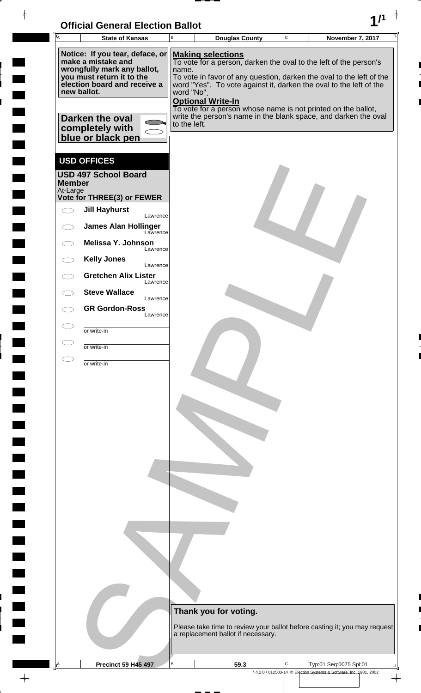| <b>Official General Election Ballot</b> |  |
|-----------------------------------------|--|
|                                         |  |

| Ā             | <b>State of Kansas</b>                                   | UNICIAI UENETAI LIECHUN DANUL<br>В | <b>Douglas County</b>              | $\mathbf C$ | November 7, 2017                                                          |  |
|---------------|----------------------------------------------------------|------------------------------------|------------------------------------|-------------|---------------------------------------------------------------------------|--|
|               | Notice: If you tear, deface, or<br>make a mistake and    |                                    | <b>Making selections</b>           |             | To vote for a person, darken the oval to the left of the person's         |  |
|               | wrongfully mark any ballot,<br>you must return it to the | name.                              |                                    |             | To vote in favor of any question, darken the oval to the left of the      |  |
|               | election board and receive a<br>new ballot.              | word "No".                         |                                    |             | word "Yes". To vote against it, darken the oval to the left of the        |  |
|               |                                                          |                                    | <b>Optional Write-In</b>           |             | To vote for a person whose name is not printed on the ballot,             |  |
|               | Darken the oval                                          | to the left.                       |                                    |             | write the person's name in the blank space, and darken the oval           |  |
|               | completely with<br>blue or black pen                     |                                    |                                    |             |                                                                           |  |
|               | <b>USD OFFICES</b>                                       |                                    |                                    |             |                                                                           |  |
| <b>Member</b> | <b>USD 497 School Board</b>                              |                                    |                                    |             |                                                                           |  |
| At-Large      | Vote for THREE(3) or FEWER                               |                                    |                                    |             |                                                                           |  |
|               | <b>Jill Hayhurst</b>                                     |                                    |                                    |             |                                                                           |  |
|               | Lawrence<br><b>James Alan Hollinger</b>                  |                                    |                                    |             |                                                                           |  |
|               | Lawrence<br>Melissa Y. Johnson<br>Lawrence               |                                    |                                    |             |                                                                           |  |
|               | <b>Kelly Jones</b><br>Lawrence                           |                                    |                                    |             |                                                                           |  |
|               | <b>Gretchen Alix Lister</b><br>Lawrence                  |                                    |                                    |             |                                                                           |  |
|               | <b>Steve Wallace</b><br>Lawrence                         |                                    |                                    |             |                                                                           |  |
|               | <b>GR Gordon-Ross</b><br>Lawrence                        |                                    |                                    |             |                                                                           |  |
|               | or write-in                                              |                                    |                                    |             |                                                                           |  |
|               | or write-in                                              |                                    |                                    |             |                                                                           |  |
|               | or write-in                                              |                                    |                                    |             |                                                                           |  |
|               |                                                          |                                    |                                    |             |                                                                           |  |
|               |                                                          |                                    |                                    |             |                                                                           |  |
|               |                                                          |                                    |                                    |             |                                                                           |  |
|               |                                                          |                                    |                                    |             |                                                                           |  |
|               |                                                          |                                    |                                    |             |                                                                           |  |
|               |                                                          |                                    |                                    |             |                                                                           |  |
|               |                                                          |                                    |                                    |             |                                                                           |  |
|               |                                                          |                                    |                                    |             |                                                                           |  |
|               |                                                          |                                    |                                    |             |                                                                           |  |
|               |                                                          |                                    |                                    |             |                                                                           |  |
|               |                                                          |                                    |                                    |             |                                                                           |  |
|               |                                                          |                                    |                                    |             |                                                                           |  |
|               |                                                          |                                    |                                    |             |                                                                           |  |
|               |                                                          |                                    |                                    |             |                                                                           |  |
|               |                                                          |                                    | Thank you for voting.              |             |                                                                           |  |
|               |                                                          |                                    | a replacement ballot if necessary. |             | Please take time to review your ballot before casting it; you may request |  |
|               |                                                          |                                    |                                    |             |                                                                           |  |
| $\mathbb{E}$  | <b>Precinct 59 H45 497</b>                               | B                                  | 59.3                               | C           | Typ:01 Seq:0075 Spl:01                                                    |  |
|               |                                                          |                                    |                                    |             | 7.4.2.0 / 012503-14 © Election Systems & Software, Inc. 1981, 2002        |  |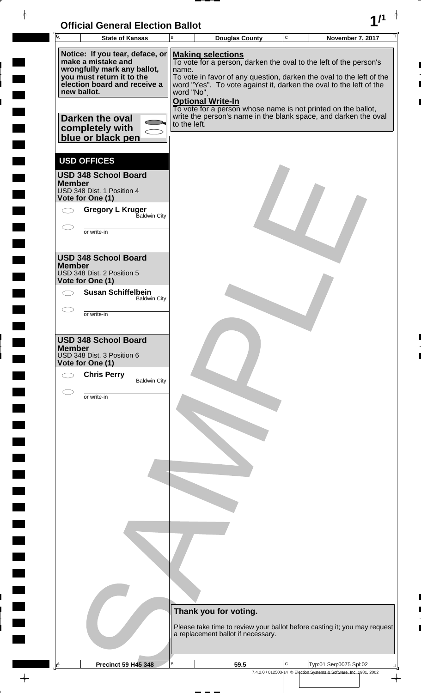

 $\frac{1}{2}$ 

 $\frac{1}{2}$ 

 $\blacksquare$ 

 $\overline{\phantom{a}}$ 

 $\ddot{\phantom{a}}$ 

| <b>A</b><br><b>State of Kansas</b>                                                                                                                                                                      | B                                   | <b>Douglas County</b>                                                                                                                                                                                                                                                                                                                                                                                       | $\mathbf C$ | <b>November 7, 2017</b>                                            |
|---------------------------------------------------------------------------------------------------------------------------------------------------------------------------------------------------------|-------------------------------------|-------------------------------------------------------------------------------------------------------------------------------------------------------------------------------------------------------------------------------------------------------------------------------------------------------------------------------------------------------------------------------------------------------------|-------------|--------------------------------------------------------------------|
| Notice: If you tear, deface, or<br>make a mistake and<br>wrongfully mark any ballot,<br>you must return it to the<br>election board and receive a<br>new ballot.<br>Darken the oval                     | name.<br>word "No".<br>to the left. | <b>Making selections</b><br>To vote for a person, darken the oval to the left of the person's<br>To vote in favor of any question, darken the oval to the left of the<br>word "Yes". To vote against it, darken the oval to the left of the<br><b>Optional Write-In</b><br>To vote for a person whose name is not printed on the ballot,<br>write the person's name in the blank space, and darken the oval |             |                                                                    |
| completely with<br>blue or black pen<br><b>USD OFFICES</b><br><b>USD 348 School Board</b><br><b>Member</b><br>USD 348 Dist. 1 Position 4<br>Vote for One (1)<br><b>Gregory L Kruger</b><br>Baldwin City |                                     |                                                                                                                                                                                                                                                                                                                                                                                                             |             |                                                                    |
| or write-in<br><b>USD 348 School Board</b>                                                                                                                                                              |                                     |                                                                                                                                                                                                                                                                                                                                                                                                             |             |                                                                    |
| <b>Member</b><br>USD 348 Dist. 2 Position 5<br>Vote for One (1)<br><b>Susan Schiffelbein</b><br><b>Baldwin City</b>                                                                                     |                                     |                                                                                                                                                                                                                                                                                                                                                                                                             |             |                                                                    |
| or write-in<br><b>USD 348 School Board</b><br><b>Member</b>                                                                                                                                             |                                     |                                                                                                                                                                                                                                                                                                                                                                                                             |             |                                                                    |
| USD 348 Dist. 3 Position 6<br>Vote for One (1)<br><b>Chris Perry</b><br><b>Baldwin City</b>                                                                                                             |                                     |                                                                                                                                                                                                                                                                                                                                                                                                             |             |                                                                    |
| or write-in                                                                                                                                                                                             |                                     |                                                                                                                                                                                                                                                                                                                                                                                                             |             |                                                                    |
|                                                                                                                                                                                                         |                                     |                                                                                                                                                                                                                                                                                                                                                                                                             |             |                                                                    |
|                                                                                                                                                                                                         |                                     |                                                                                                                                                                                                                                                                                                                                                                                                             |             |                                                                    |
|                                                                                                                                                                                                         |                                     | Thank you for voting.<br>Please take time to review your ballot before casting it; you may request<br>a replacement ballot if necessary.                                                                                                                                                                                                                                                                    |             |                                                                    |
| <b>Precinct 59 H45 348</b><br>Ŀ                                                                                                                                                                         | В                                   | 59.5                                                                                                                                                                                                                                                                                                                                                                                                        | С           | Typ:01 Seq:0075 Spl:02                                             |
|                                                                                                                                                                                                         |                                     |                                                                                                                                                                                                                                                                                                                                                                                                             |             | 7.4.2.0 / 012503-14 © Election Systems & Software, Inc. 1981, 2002 |

 $\overline{\varphi}$  .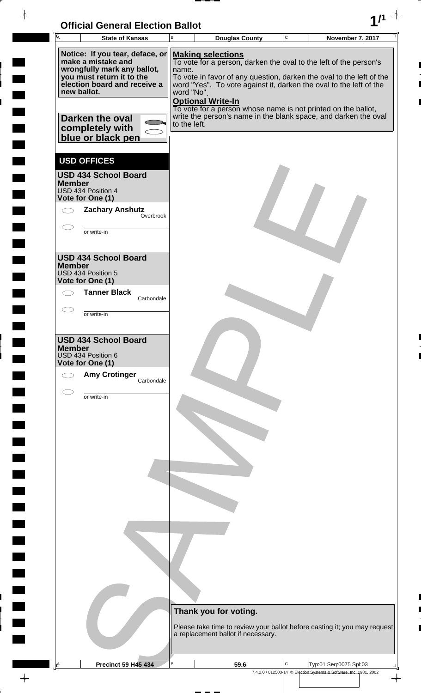| <b>Official General Election Ballot</b> |  |
|-----------------------------------------|--|
|                                         |  |

 $\blacksquare$ 

 $\blacksquare$ 

 $\blacksquare$ 

 $\begin{array}{c} \begin{array}{c} \hline \end{array} \end{array}$ 

 $\blacksquare$ 

 $\Box$ 

 $\frac{1}{\sqrt{2\pi}}$ 

| <b>I</b> A    | UNIUM OCHCIAI LICULIUII DANUL<br><b>State of Kansas</b>               | B            | <b>Douglas County</b>              | $\mathbf C$ | <b>November 7, 2017</b>                                                                                                                    |  |
|---------------|-----------------------------------------------------------------------|--------------|------------------------------------|-------------|--------------------------------------------------------------------------------------------------------------------------------------------|--|
|               | Notice: If you tear, deface, or                                       |              |                                    |             |                                                                                                                                            |  |
|               | make a mistake and<br>wrongfully mark any ballot,                     | name.        | <b>Making selections</b>           |             | To vote for a person, darken the oval to the left of the person's                                                                          |  |
|               | you must return it to the<br>election board and receive a             |              |                                    |             | To vote in favor of any question, darken the oval to the left of the<br>word "Yes". To vote against it, darken the oval to the left of the |  |
| new ballot.   |                                                                       | word "No".   | <b>Optional Write-In</b>           |             | To vote for a person whose name is not printed on the ballot,                                                                              |  |
|               | Darken the oval<br>completely with                                    | to the left. |                                    |             | write the person's name in the blank space, and darken the oval                                                                            |  |
|               | blue or black pen                                                     |              |                                    |             |                                                                                                                                            |  |
|               | <b>USD OFFICES</b>                                                    |              |                                    |             |                                                                                                                                            |  |
| <b>Member</b> | <b>USD 434 School Board</b><br>USD 434 Position 4<br>Vote for One (1) |              |                                    |             |                                                                                                                                            |  |
|               | <b>Zachary Anshutz</b><br>Overbrook                                   |              |                                    |             |                                                                                                                                            |  |
|               | or write-in                                                           |              |                                    |             |                                                                                                                                            |  |
| <b>Member</b> | <b>USD 434 School Board</b>                                           |              |                                    |             |                                                                                                                                            |  |
|               | USD 434 Position 5<br>Vote for One (1)                                |              |                                    |             |                                                                                                                                            |  |
|               | <b>Tanner Black</b><br>Carbondale                                     |              |                                    |             |                                                                                                                                            |  |
|               | or write-in                                                           |              |                                    |             |                                                                                                                                            |  |
|               | <b>USD 434 School Board</b>                                           |              |                                    |             |                                                                                                                                            |  |
| <b>Member</b> | USD 434 Position 6<br>Vote for One (1)                                |              |                                    |             |                                                                                                                                            |  |
|               | <b>Amy Crotinger</b><br>Carbondale                                    |              |                                    |             |                                                                                                                                            |  |
|               | or write-in                                                           |              |                                    |             |                                                                                                                                            |  |
|               |                                                                       |              |                                    |             |                                                                                                                                            |  |
|               |                                                                       |              |                                    |             |                                                                                                                                            |  |
|               |                                                                       |              |                                    |             |                                                                                                                                            |  |
|               |                                                                       |              |                                    |             |                                                                                                                                            |  |
|               |                                                                       |              |                                    |             |                                                                                                                                            |  |
|               |                                                                       |              |                                    |             |                                                                                                                                            |  |
|               |                                                                       |              |                                    |             |                                                                                                                                            |  |
|               |                                                                       |              |                                    |             |                                                                                                                                            |  |
|               |                                                                       |              |                                    |             |                                                                                                                                            |  |
|               |                                                                       |              |                                    |             |                                                                                                                                            |  |
|               |                                                                       |              |                                    |             |                                                                                                                                            |  |
|               |                                                                       |              | Thank you for voting.              |             |                                                                                                                                            |  |
|               |                                                                       |              | a replacement ballot if necessary. |             | Please take time to review your ballot before casting it; you may request                                                                  |  |
|               |                                                                       |              |                                    |             |                                                                                                                                            |  |
| $\Delta$      | <b>Precinct 59 H45 434</b>                                            | $\sf B$      | 59.6                               | $\mathbf C$ | Typ:01 Seq:0075 Spl:03                                                                                                                     |  |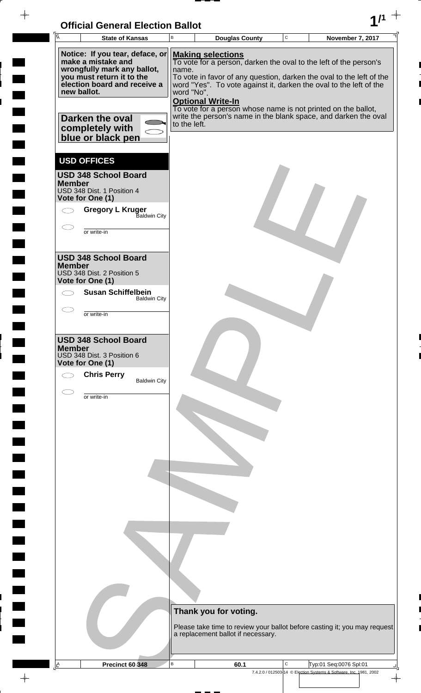

 $\frac{1}{2}$ 

 $\frac{1}{2}$ 

 $\blacksquare$ 

 $\overline{\phantom{a}}$ 

 $\ddot{\phantom{a}}$ 

 $\rightarrow$ 

|               | <b>State of Kansas</b>                                                                                                                                                                                                      | B                                   | <b>Douglas County</b>                                                                                                                                                                                                                                                                                                               | $\mathbf C$ | November 7, 2017                                                          |
|---------------|-----------------------------------------------------------------------------------------------------------------------------------------------------------------------------------------------------------------------------|-------------------------------------|-------------------------------------------------------------------------------------------------------------------------------------------------------------------------------------------------------------------------------------------------------------------------------------------------------------------------------------|-------------|---------------------------------------------------------------------------|
|               | Notice: If you tear, deface, or<br>make a mistake and<br>wrongfully mark any ballot,<br>you must return it to the<br>election board and receive a<br>new ballot.<br>Darken the oval<br>completely with<br>blue or black pen | name.<br>word "No".<br>to the left. | <b>Making selections</b><br>To vote for a person, darken the oval to the left of the person's<br>word "Yes". To vote against it, darken the oval to the left of the<br><b>Optional Write-In</b><br>To vote for a person whose name is not printed on the ballot,<br>write the person's name in the blank space, and darken the oval |             | To vote in favor of any question, darken the oval to the left of the      |
| <b>Member</b> | <b>USD OFFICES</b><br><b>USD 348 School Board</b><br>USD 348 Dist. 1 Position 4<br>Vote for One (1)<br><b>Gregory L Kruger</b><br>Baldwin City<br>or write-in                                                               |                                     |                                                                                                                                                                                                                                                                                                                                     |             |                                                                           |
| <b>Member</b> | <b>USD 348 School Board</b><br>USD 348 Dist. 2 Position 5<br>Vote for One (1)<br><b>Susan Schiffelbein</b><br><b>Baldwin City</b><br>or write-in                                                                            |                                     |                                                                                                                                                                                                                                                                                                                                     |             |                                                                           |
| <b>Member</b> | <b>USD 348 School Board</b><br>USD 348 Dist. 3 Position 6<br>Vote for One (1)<br><b>Chris Perry</b><br><b>Baldwin City</b>                                                                                                  |                                     |                                                                                                                                                                                                                                                                                                                                     |             |                                                                           |
|               | or write-in                                                                                                                                                                                                                 |                                     |                                                                                                                                                                                                                                                                                                                                     |             |                                                                           |
|               |                                                                                                                                                                                                                             |                                     |                                                                                                                                                                                                                                                                                                                                     |             |                                                                           |
|               |                                                                                                                                                                                                                             |                                     |                                                                                                                                                                                                                                                                                                                                     |             |                                                                           |
|               |                                                                                                                                                                                                                             |                                     |                                                                                                                                                                                                                                                                                                                                     |             |                                                                           |
|               |                                                                                                                                                                                                                             |                                     | Thank you for voting.<br>a replacement ballot if necessary.                                                                                                                                                                                                                                                                         |             | Please take time to review your ballot before casting it; you may request |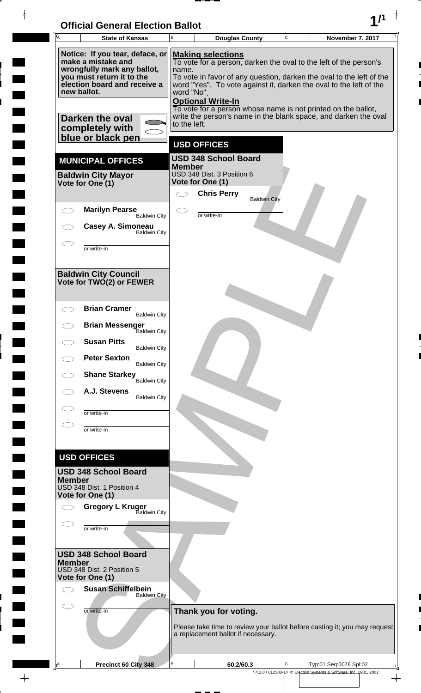# **Official General Election Ballot 1/1**

 $\rightarrow$ 

 $\blacksquare$ 

 $\begin{array}{c} \hline \end{array}$ 

 $\rightarrow$ 

| Ā             | <b>State of Kansas</b>                                                               | B             | <b>Douglas County</b>                                     |                     | C | November 7, 2017                                                                                                                           |
|---------------|--------------------------------------------------------------------------------------|---------------|-----------------------------------------------------------|---------------------|---|--------------------------------------------------------------------------------------------------------------------------------------------|
|               | Notice: If you tear, deface, or<br>make a mistake and<br>wrongfully mark any ballot, | name.         | <b>Making selections</b>                                  |                     |   | To vote for a person, darken the oval to the left of the person's                                                                          |
|               | you must return it to the<br>election board and receive a<br>new ballot.             | word "No".    |                                                           |                     |   | To vote in favor of any question, darken the oval to the left of the<br>word "Yes". To vote against it, darken the oval to the left of the |
|               | Darken the oval                                                                      | to the left.  | <b>Optional Write-In</b>                                  |                     |   | To vote for a person whose name is not printed on the ballot,<br>write the person's name in the blank space, and darken the oval           |
|               | completely with<br>blue or black pen                                                 |               |                                                           |                     |   |                                                                                                                                            |
|               |                                                                                      |               | <b>USD OFFICES</b>                                        |                     |   |                                                                                                                                            |
|               | <b>MUNICIPAL OFFICES</b><br><b>Baldwin City Mayor</b>                                | <b>Member</b> | <b>USD 348 School Board</b><br>USD 348 Dist. 3 Position 6 |                     |   |                                                                                                                                            |
|               | Vote for One (1)                                                                     |               | Vote for One (1)<br><b>Chris Perry</b>                    |                     |   |                                                                                                                                            |
|               | <b>Marilyn Pearse</b>                                                                |               |                                                           | <b>Baldwin City</b> |   |                                                                                                                                            |
|               | <b>Baldwin City</b><br>Casey A. Simoneau                                             |               | or write-in                                               |                     |   |                                                                                                                                            |
|               | <b>Baldwin City</b><br>or write-in                                                   |               |                                                           |                     |   |                                                                                                                                            |
|               | <b>Baldwin City Council</b><br>Vote for TWO(2) or FEWER                              |               |                                                           |                     |   |                                                                                                                                            |
|               | <b>Brian Cramer</b><br><b>Baldwin City</b>                                           |               |                                                           |                     |   |                                                                                                                                            |
|               | <b>Brian Messenger</b><br><b>Baldwin City</b>                                        |               |                                                           |                     |   |                                                                                                                                            |
|               | <b>Susan Pitts</b><br><b>Baldwin City</b>                                            |               |                                                           |                     |   |                                                                                                                                            |
|               | <b>Peter Sexton</b><br><b>Baldwin City</b>                                           |               |                                                           |                     |   |                                                                                                                                            |
|               | <b>Shane Starkey</b> Baldwin City                                                    |               |                                                           |                     |   |                                                                                                                                            |
|               | A.J. Stevens<br><b>Baldwin City</b>                                                  |               |                                                           |                     |   |                                                                                                                                            |
|               | or write-in                                                                          |               |                                                           |                     |   |                                                                                                                                            |
|               | or write-in                                                                          |               |                                                           |                     |   |                                                                                                                                            |
|               | <b>USD OFFICES</b>                                                                   |               |                                                           |                     |   |                                                                                                                                            |
| <b>Member</b> | <b>USD 348 School Board</b><br>USD 348 Dist. 1 Position 4<br>Vote for One (1)        |               |                                                           |                     |   |                                                                                                                                            |
|               | <b>Gregory L Kruger</b><br><b>Baldwin City</b>                                       |               |                                                           |                     |   |                                                                                                                                            |
|               | or write-in                                                                          |               |                                                           |                     |   |                                                                                                                                            |
|               | <b>USD 348 School Board</b>                                                          |               |                                                           |                     |   |                                                                                                                                            |
| <b>Member</b> | USD 348 Dist. 2 Position 5<br>Vote for One (1)                                       |               |                                                           |                     |   |                                                                                                                                            |
|               | <b>Susan Schiffelbein</b><br><b>Baldwin City</b>                                     |               |                                                           |                     |   |                                                                                                                                            |
|               | or write-in                                                                          |               | Thank you for voting.                                     |                     |   |                                                                                                                                            |
|               |                                                                                      |               | a replacement ballot if necessary.                        |                     |   | Please take time to review your ballot before casting it; you may request                                                                  |
| <u>A</u>      | Precinct 60 City 348                                                                 | В             | 60.2/60.3                                                 |                     | С | Typ:01 Seq:0076 Spl:02                                                                                                                     |
|               |                                                                                      |               |                                                           |                     |   | 7.4.2.0 / 012503-14 © Election Systems & Software, Inc. 1981, 2002                                                                         |

 $\overline{\varphi}$  .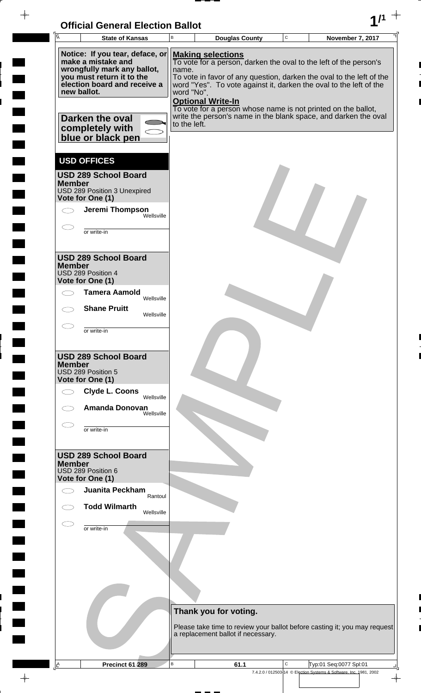

 $\overline{ }$ 

 $\overline{a}$ 

i

 $\overline{\phantom{a}}$ 

 $\frac{1}{2}$ 

 $\rightarrow$ 

| A             | <b>State of Kansas</b>                                                                                                                                                                                       | B                                   | <b>Douglas County</b>                                                                                                                                                                                                                                                                                                                                                                                       | $\mathbf C$ | November 7, 2017       |
|---------------|--------------------------------------------------------------------------------------------------------------------------------------------------------------------------------------------------------------|-------------------------------------|-------------------------------------------------------------------------------------------------------------------------------------------------------------------------------------------------------------------------------------------------------------------------------------------------------------------------------------------------------------------------------------------------------------|-------------|------------------------|
| new ballot.   | Notice: If you tear, deface, or<br>make a mistake and<br>wrongfully mark any ballot,<br>you must return it to the<br>election board and receive a<br>Darken the oval<br>completely with<br>blue or black pen | name.<br>word "No".<br>to the left. | <b>Making selections</b><br>To vote for a person, darken the oval to the left of the person's<br>To vote in favor of any question, darken the oval to the left of the<br>word "Yes". To vote against it, darken the oval to the left of the<br><b>Optional Write-In</b><br>To vote for a person whose name is not printed on the ballot,<br>write the person's name in the blank space, and darken the oval |             |                        |
| <b>Member</b> | <b>USD OFFICES</b><br><b>USD 289 School Board</b><br>USD 289 Position 3 Unexpired<br>Vote for One (1)<br>Jeremi Thompson<br>Wellsville<br>or write-in                                                        |                                     |                                                                                                                                                                                                                                                                                                                                                                                                             |             |                        |
| <b>Member</b> | <b>USD 289 School Board</b><br>USD 289 Position 4<br>Vote for One (1)<br><b>Tamera Aamold</b><br>Wellsville<br><b>Shane Pruitt</b><br>Wellsville<br>or write-in                                              |                                     |                                                                                                                                                                                                                                                                                                                                                                                                             |             |                        |
| <b>Member</b> | <b>USD 289 School Board</b><br>USD 289 Position 5<br>Vote for One (1)<br><b>Clyde L. Coons</b><br>Wellsville<br><b>Amanda Donovan</b><br>Wellsville                                                          |                                     |                                                                                                                                                                                                                                                                                                                                                                                                             |             |                        |
| <b>Member</b> | or write-in<br><b>USD 289 School Board</b><br>USD 289 Position 6<br>Vote for One (1)<br>Juanita Peckham<br>Rantoul                                                                                           |                                     |                                                                                                                                                                                                                                                                                                                                                                                                             |             |                        |
|               | <b>Todd Wilmarth</b><br>Wellsville<br>or write-in                                                                                                                                                            |                                     |                                                                                                                                                                                                                                                                                                                                                                                                             |             |                        |
|               |                                                                                                                                                                                                              |                                     | Thank you for voting.<br>Please take time to review your ballot before casting it; you may request<br>a replacement ballot if necessary.                                                                                                                                                                                                                                                                    |             |                        |
| <u>A</u>      | Precinct 61 289                                                                                                                                                                                              | в                                   | 61.1                                                                                                                                                                                                                                                                                                                                                                                                        | C           | Typ:01 Seq:0077 Spl:01 |
|               |                                                                                                                                                                                                              |                                     |                                                                                                                                                                                                                                                                                                                                                                                                             |             |                        |

7.4.2.0 / 012503-14 © Election Systems & Software, Inc. 1981, 2002

 $\overline{\phi}$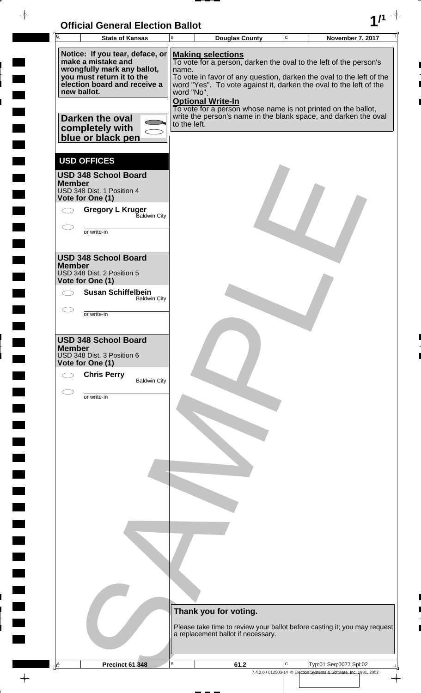

 $\overline{ }$  =  $\overline{ }$  =  $\overline{ }$ 

 $\frac{1}{2}$ 

 $\blacksquare$ 

 $\overline{\phantom{a}}$ 

 $\frac{1}{2}$ 

<u>rang</u>

 $\rightarrow$ 

| Ā  |               | <b>State of Kansas</b>                                                                                                                                                                                                      | В                                   | <b>Douglas County</b>                                                                                                                                                                                                                                                                                                                                                                                       | $\mathbf C$ | November 7, 2017                                                   |
|----|---------------|-----------------------------------------------------------------------------------------------------------------------------------------------------------------------------------------------------------------------------|-------------------------------------|-------------------------------------------------------------------------------------------------------------------------------------------------------------------------------------------------------------------------------------------------------------------------------------------------------------------------------------------------------------------------------------------------------------|-------------|--------------------------------------------------------------------|
|    |               | Notice: If you tear, deface, or<br>make a mistake and<br>wrongfully mark any ballot,<br>you must return it to the<br>election board and receive a<br>new ballot.<br>Darken the oval<br>completely with<br>blue or black pen | name.<br>word "No".<br>to the left. | <b>Making selections</b><br>To vote for a person, darken the oval to the left of the person's<br>To vote in favor of any question, darken the oval to the left of the<br>word "Yes". To vote against it, darken the oval to the left of the<br><b>Optional Write-In</b><br>To vote for a person whose name is not printed on the ballot,<br>write the person's name in the blank space, and darken the oval |             |                                                                    |
|    | <b>Member</b> | <b>USD OFFICES</b><br><b>USD 348 School Board</b><br>USD 348 Dist. 1 Position 4<br>Vote for One (1)<br><b>Gregory L Kruger</b><br>Baldwin City<br>or write-in                                                               |                                     |                                                                                                                                                                                                                                                                                                                                                                                                             |             |                                                                    |
|    | <b>Member</b> | <b>USD 348 School Board</b><br>USD 348 Dist. 2 Position 5<br>Vote for One (1)<br><b>Susan Schiffelbein</b><br><b>Baldwin City</b><br>or write-in                                                                            |                                     |                                                                                                                                                                                                                                                                                                                                                                                                             |             |                                                                    |
|    | <b>Member</b> | <b>USD 348 School Board</b><br>USD 348 Dist. 3 Position 6<br>Vote for One (1)<br><b>Chris Perry</b><br><b>Baldwin City</b><br>or write-in                                                                                   |                                     |                                                                                                                                                                                                                                                                                                                                                                                                             |             |                                                                    |
|    |               |                                                                                                                                                                                                                             |                                     |                                                                                                                                                                                                                                                                                                                                                                                                             |             |                                                                    |
|    |               |                                                                                                                                                                                                                             |                                     |                                                                                                                                                                                                                                                                                                                                                                                                             |             |                                                                    |
|    |               |                                                                                                                                                                                                                             |                                     | Thank you for voting.<br>Please take time to review your ballot before casting it; you may request<br>a replacement ballot if necessary.                                                                                                                                                                                                                                                                    |             |                                                                    |
| LA |               | Precinct 61 348                                                                                                                                                                                                             | в                                   | 61.2                                                                                                                                                                                                                                                                                                                                                                                                        | С           | Typ:01 Seq:0077 Spl:02                                             |
|    |               |                                                                                                                                                                                                                             |                                     |                                                                                                                                                                                                                                                                                                                                                                                                             |             | 7.4.2.0 / 012503-14 © Election Systems & Software, Inc. 1981, 2002 |

 $\overline{\varphi}$  .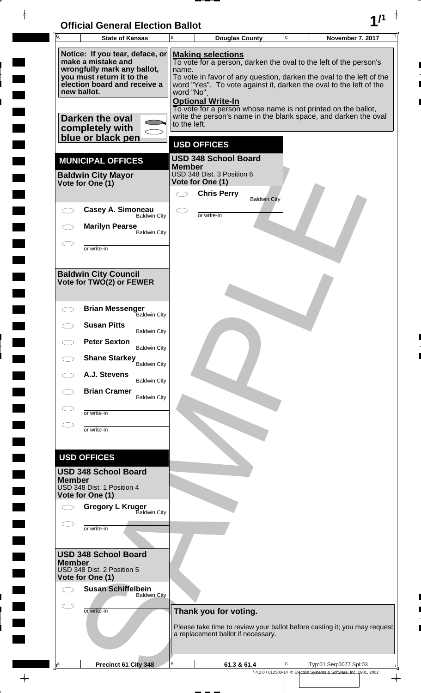| <b>Official General Election Ballot</b> |  |
|-----------------------------------------|--|
|                                         |  |

 $\blacksquare$ 

 $\blacksquare$ 

 $\blacksquare$ 

 $\Box$  $\blacksquare$ 

 $\blacksquare$ 

 $\Box$ 

 $\blacksquare$ 

 $\blacksquare$ 

 $\overline{\phantom{0}}$ 

 $\blacksquare$ 

 $\blacksquare$ 

**The Second** 

 $\Box$ 

 $\blacksquare$ 

 $\Box$ 

 $\blacksquare$ 

 $\frac{1}{\sqrt{2\pi}}$ 

Г 

| $\overline{A}$                                                                                                                                                   | <b>State of Kansas</b>                                                        | B                                                                                                                                                                                                                                                                                              | <b>Douglas County</b>                                                                                                            | C | <b>November 7, 2017</b>                                            |
|------------------------------------------------------------------------------------------------------------------------------------------------------------------|-------------------------------------------------------------------------------|------------------------------------------------------------------------------------------------------------------------------------------------------------------------------------------------------------------------------------------------------------------------------------------------|----------------------------------------------------------------------------------------------------------------------------------|---|--------------------------------------------------------------------|
| Notice: If you tear, deface, or<br>make a mistake and<br>wrongfully mark any ballot,<br>you must return it to the<br>election board and receive a<br>new ballot. |                                                                               | <b>Making selections</b><br>To vote for a person, darken the oval to the left of the person's<br>name.<br>To vote in favor of any question, darken the oval to the left of the<br>word "Yes". To vote against it, darken the oval to the left of the<br>word "No".<br><b>Optional Write-In</b> |                                                                                                                                  |   |                                                                    |
|                                                                                                                                                                  | Darken the oval<br>completely with                                            | to the left.                                                                                                                                                                                                                                                                                   | To vote for a person whose name is not printed on the ballot,<br>write the person's name in the blank space, and darken the oval |   |                                                                    |
|                                                                                                                                                                  | blue or black pen                                                             |                                                                                                                                                                                                                                                                                                | <b>USD OFFICES</b>                                                                                                               |   |                                                                    |
|                                                                                                                                                                  | <b>MUNICIPAL OFFICES</b>                                                      |                                                                                                                                                                                                                                                                                                | <b>USD 348 School Board</b>                                                                                                      |   |                                                                    |
|                                                                                                                                                                  | <b>Baldwin City Mayor</b><br>Vote for One (1)                                 | <b>Member</b>                                                                                                                                                                                                                                                                                  | USD 348 Dist. 3 Position 6<br>Vote for One (1)                                                                                   |   |                                                                    |
|                                                                                                                                                                  | Casey A. Simoneau                                                             |                                                                                                                                                                                                                                                                                                | <b>Chris Perry</b><br><b>Baldwin City</b>                                                                                        |   |                                                                    |
|                                                                                                                                                                  | <b>Baldwin City</b>                                                           |                                                                                                                                                                                                                                                                                                | or write-in                                                                                                                      |   |                                                                    |
|                                                                                                                                                                  | <b>Marilyn Pearse</b><br><b>Baldwin City</b>                                  |                                                                                                                                                                                                                                                                                                |                                                                                                                                  |   |                                                                    |
|                                                                                                                                                                  | or write-in                                                                   |                                                                                                                                                                                                                                                                                                |                                                                                                                                  |   |                                                                    |
|                                                                                                                                                                  | <b>Baldwin City Council</b><br>Vote for TWO(2) or FEWER                       |                                                                                                                                                                                                                                                                                                |                                                                                                                                  |   |                                                                    |
|                                                                                                                                                                  | <b>Brian Messenger</b><br><b>Baldwin City</b>                                 |                                                                                                                                                                                                                                                                                                |                                                                                                                                  |   |                                                                    |
|                                                                                                                                                                  | <b>Susan Pitts</b><br><b>Baldwin City</b>                                     |                                                                                                                                                                                                                                                                                                |                                                                                                                                  |   |                                                                    |
|                                                                                                                                                                  | <b>Peter Sexton</b><br><b>Baldwin City</b>                                    |                                                                                                                                                                                                                                                                                                |                                                                                                                                  |   |                                                                    |
|                                                                                                                                                                  | <b>Shane Starkey</b><br><b>Baldwin City</b>                                   |                                                                                                                                                                                                                                                                                                |                                                                                                                                  |   |                                                                    |
|                                                                                                                                                                  | A.J. Stevens<br><b>Baldwin City</b>                                           |                                                                                                                                                                                                                                                                                                |                                                                                                                                  |   |                                                                    |
|                                                                                                                                                                  | <b>Brian Cramer</b><br><b>Baldwin City</b>                                    |                                                                                                                                                                                                                                                                                                |                                                                                                                                  |   |                                                                    |
|                                                                                                                                                                  | or write-in                                                                   |                                                                                                                                                                                                                                                                                                |                                                                                                                                  |   |                                                                    |
|                                                                                                                                                                  | or write-in                                                                   |                                                                                                                                                                                                                                                                                                |                                                                                                                                  |   |                                                                    |
|                                                                                                                                                                  |                                                                               |                                                                                                                                                                                                                                                                                                |                                                                                                                                  |   |                                                                    |
|                                                                                                                                                                  | <b>USD OFFICES</b>                                                            |                                                                                                                                                                                                                                                                                                |                                                                                                                                  |   |                                                                    |
| <b>Member</b>                                                                                                                                                    | <b>USD 348 School Board</b><br>USD 348 Dist. 1 Position 4<br>Vote for One (1) |                                                                                                                                                                                                                                                                                                |                                                                                                                                  |   |                                                                    |
|                                                                                                                                                                  | <b>Gregory L Kruger</b><br><b>Baldwin City</b>                                |                                                                                                                                                                                                                                                                                                |                                                                                                                                  |   |                                                                    |
|                                                                                                                                                                  | or write-in                                                                   |                                                                                                                                                                                                                                                                                                |                                                                                                                                  |   |                                                                    |
| <b>Member</b>                                                                                                                                                    | <b>USD 348 School Board</b><br>USD 348 Dist. 2 Position 5<br>Vote for One (1) |                                                                                                                                                                                                                                                                                                |                                                                                                                                  |   |                                                                    |
|                                                                                                                                                                  | <b>Susan Schiffelbein</b><br><b>Baldwin City</b>                              |                                                                                                                                                                                                                                                                                                |                                                                                                                                  |   |                                                                    |
|                                                                                                                                                                  | or write-in                                                                   |                                                                                                                                                                                                                                                                                                | Thank you for voting.                                                                                                            |   |                                                                    |
|                                                                                                                                                                  |                                                                               |                                                                                                                                                                                                                                                                                                | Please take time to review your ballot before casting it; you may request<br>a replacement ballot if necessary.                  |   |                                                                    |
| <u>A</u>                                                                                                                                                         | Precinct 61 City 348                                                          | В                                                                                                                                                                                                                                                                                              | 61.3 & 61.4                                                                                                                      | С | Typ:01 Seq:0077 Spl:03                                             |
|                                                                                                                                                                  |                                                                               |                                                                                                                                                                                                                                                                                                |                                                                                                                                  |   | 7.4.2.0 / 012503-14 © Election Systems & Software, Inc. 1981, 2002 |

 $\overline{\phantom{a}}$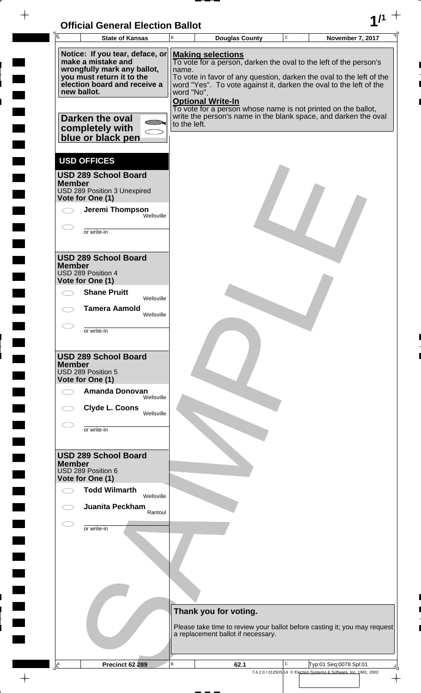$\frac{1}{\left( \frac{1}{2} \right)}$ 



 $\rightarrow$ 

 $\overline{\phantom{a}}$ 

 $\frac{1}{2}$ 

 $\frac{1}{2}$ 

i

 $\overline{\phantom{a}}$ 

 $\overline{a}$ 

 $\frac{1}{2}$ 

 $\rightarrow$ 

| A<br><b>State of Kansas</b>                                                                                                                                                                                                 | B                                   | <b>Douglas County</b>                                                                                                                                                                                                                                                                                                                                                                                       | $\mathbf C$ | November 7, 2017                                                                             |
|-----------------------------------------------------------------------------------------------------------------------------------------------------------------------------------------------------------------------------|-------------------------------------|-------------------------------------------------------------------------------------------------------------------------------------------------------------------------------------------------------------------------------------------------------------------------------------------------------------------------------------------------------------------------------------------------------------|-------------|----------------------------------------------------------------------------------------------|
| Notice: If you tear, deface, or<br>make a mistake and<br>wrongfully mark any ballot,<br>you must return it to the<br>election board and receive a<br>new ballot.<br>Darken the oval<br>completely with<br>blue or black pen | name.<br>word "No".<br>to the left. | <b>Making selections</b><br>To vote for a person, darken the oval to the left of the person's<br>To vote in favor of any question, darken the oval to the left of the<br>word "Yes". To vote against it, darken the oval to the left of the<br><b>Optional Write-In</b><br>To vote for a person whose name is not printed on the ballot,<br>write the person's name in the blank space, and darken the oval |             |                                                                                              |
| <b>USD OFFICES</b><br><b>USD 289 School Board</b><br><b>Member</b><br>USD 289 Position 3 Unexpired<br>Vote for One (1)<br>Jeremi Thompson<br>Wellsville<br>or write-in                                                      |                                     |                                                                                                                                                                                                                                                                                                                                                                                                             |             |                                                                                              |
| <b>USD 289 School Board</b><br><b>Member</b><br>USD 289 Position 4<br>Vote for One (1)<br><b>Shane Pruitt</b><br>Wellsville                                                                                                 |                                     |                                                                                                                                                                                                                                                                                                                                                                                                             |             |                                                                                              |
| <b>Tamera Aamold</b><br>Wellsville<br>or write-in                                                                                                                                                                           |                                     |                                                                                                                                                                                                                                                                                                                                                                                                             |             |                                                                                              |
| <b>USD 289 School Board</b><br><b>Member</b><br>USD 289 Position 5<br>Vote for One (1)<br><b>Amanda Donovan</b><br>Wellsville<br>Clyde L. Coons<br>Wellsville<br>or write-in                                                |                                     |                                                                                                                                                                                                                                                                                                                                                                                                             |             |                                                                                              |
| <b>USD 289 School Board</b><br><b>Member</b><br>USD 289 Position 6<br>Vote for One (1)                                                                                                                                      |                                     |                                                                                                                                                                                                                                                                                                                                                                                                             |             |                                                                                              |
| <b>Todd Wilmarth</b><br>Wellsville<br><b>Juanita Peckham</b><br>Rantoul                                                                                                                                                     |                                     |                                                                                                                                                                                                                                                                                                                                                                                                             |             |                                                                                              |
| or write-in                                                                                                                                                                                                                 |                                     |                                                                                                                                                                                                                                                                                                                                                                                                             |             |                                                                                              |
|                                                                                                                                                                                                                             |                                     | Thank you for voting.<br>Please take time to review your ballot before casting it; you may request<br>a replacement ballot if necessary.                                                                                                                                                                                                                                                                    |             |                                                                                              |
| Precinct 62 289<br>Ŀ                                                                                                                                                                                                        | В                                   | 62.1                                                                                                                                                                                                                                                                                                                                                                                                        | C           | Typ:01 Seq:0078 Spl:01<br>7.4.2.0 / 012503-14 © Election Systems & Software, Inc. 1981, 2002 |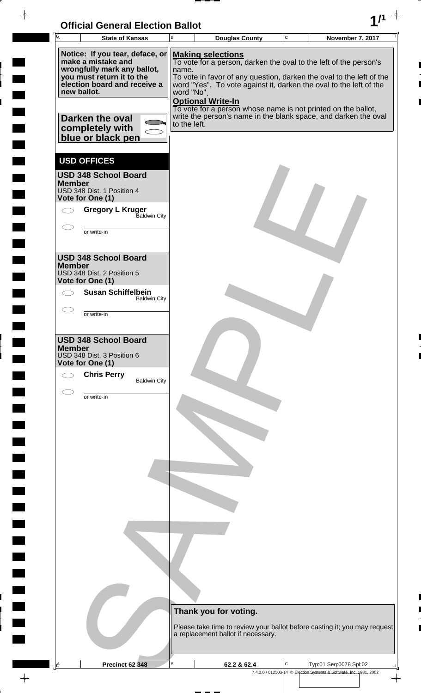

 $\frac{1}{2}$ 

 $\frac{1}{2}$ 

 $\blacksquare$ 

 $\overline{\phantom{a}}$ 

 $\ddot{\phantom{a}}$ 

 $\rightarrow$ 

| $\overline{\mathsf{A}}$                                                | <b>State of Kansas</b>                                                                                                                                                                                       | B                                   | <b>Douglas County</b>                                                                                                                                                                                                                                                                                                                                                                                       | $\mathbf C$ | November 7, 2017 |
|------------------------------------------------------------------------|--------------------------------------------------------------------------------------------------------------------------------------------------------------------------------------------------------------|-------------------------------------|-------------------------------------------------------------------------------------------------------------------------------------------------------------------------------------------------------------------------------------------------------------------------------------------------------------------------------------------------------------------------------------------------------------|-------------|------------------|
| new ballot.                                                            | Notice: If you tear, deface, or<br>make a mistake and<br>wrongfully mark any ballot,<br>you must return it to the<br>election board and receive a<br>Darken the oval<br>completely with<br>blue or black pen | name.<br>word "No".<br>to the left. | <b>Making selections</b><br>To vote for a person, darken the oval to the left of the person's<br>To vote in favor of any question, darken the oval to the left of the<br>word "Yes". To vote against it, darken the oval to the left of the<br><b>Optional Write-In</b><br>To vote for a person whose name is not printed on the ballot,<br>write the person's name in the blank space, and darken the oval |             |                  |
| <b>USD OFFICES</b><br><b>Member</b><br>Vote for One (1)<br>or write-in | <b>USD 348 School Board</b><br>USD 348 Dist. 1 Position 4<br><b>Gregory L Kruger</b><br>Baldwin City                                                                                                         |                                     |                                                                                                                                                                                                                                                                                                                                                                                                             |             |                  |
| <b>Member</b><br>Vote for One (1)<br>or write-in                       | <b>USD 348 School Board</b><br>USD 348 Dist. 2 Position 5<br><b>Susan Schiffelbein</b><br><b>Baldwin City</b>                                                                                                |                                     |                                                                                                                                                                                                                                                                                                                                                                                                             |             |                  |
| <b>Member</b><br>Vote for One (1)                                      | <b>USD 348 School Board</b><br>USD 348 Dist. 3 Position 6<br><b>Chris Perry</b><br><b>Baldwin City</b>                                                                                                       |                                     |                                                                                                                                                                                                                                                                                                                                                                                                             |             |                  |
| or write-in                                                            |                                                                                                                                                                                                              |                                     |                                                                                                                                                                                                                                                                                                                                                                                                             |             |                  |
|                                                                        |                                                                                                                                                                                                              |                                     |                                                                                                                                                                                                                                                                                                                                                                                                             |             |                  |
|                                                                        |                                                                                                                                                                                                              |                                     |                                                                                                                                                                                                                                                                                                                                                                                                             |             |                  |
|                                                                        |                                                                                                                                                                                                              |                                     |                                                                                                                                                                                                                                                                                                                                                                                                             |             |                  |
|                                                                        |                                                                                                                                                                                                              |                                     | Thank you for voting.<br>Please take time to review your ballot before casting it; you may request<br>a replacement ballot if necessary.                                                                                                                                                                                                                                                                    |             |                  |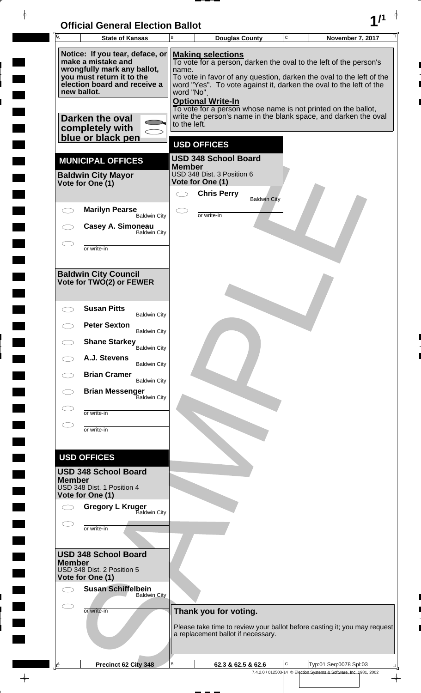| <b>Official General Election Ballot</b> |  |
|-----------------------------------------|--|
|                                         |  |

 $\blacksquare$ 

 $\blacksquare$ 

 $\overline{\phantom{0}}$ 

 $\blacksquare$ 

 $\blacksquare$ 

 $\blacksquare$ 

 $\blacksquare$ 

 $\blacksquare$ 

 $\overline{\phantom{a}}$ 

 $\begin{array}{c} \hline \end{array}$ 

 $\Box$ 

**The State** 

 $\Box$ 

 $\blacksquare$ 

 $\blacksquare$ 

m

 $\Box$ 

 $\blacksquare$ 

 $\Box$ 

 $\blacksquare$ 

 $\begin{array}{c|c} \hline \raisebox{12pt}{$\scriptstyle\downarrow$} \\\hline \raisebox{12pt}{$\scriptstyle\uparrow$} \\\hline \end{array}$ 

Г 

 $\blacksquare$ 

| $\overline{A}$ | <b>State of Kansas</b>                                                                                  | В                                                                                                                                                                                                                                      | <b>Douglas County</b>                          |                     | C | November 7, 2017                                                                                                                 |  |  |  |
|----------------|---------------------------------------------------------------------------------------------------------|----------------------------------------------------------------------------------------------------------------------------------------------------------------------------------------------------------------------------------------|------------------------------------------------|---------------------|---|----------------------------------------------------------------------------------------------------------------------------------|--|--|--|
|                | Notice: If you tear, deface, or<br>make a mistake and                                                   |                                                                                                                                                                                                                                        | <b>Making selections</b>                       |                     |   |                                                                                                                                  |  |  |  |
|                | wrongfully mark any ballot,<br>you must return it to the<br>election board and receive a<br>new ballot. | To vote for a person, darken the oval to the left of the person's<br>name.<br>To vote in favor of any question, darken the oval to the left of the<br>word "Yes". To vote against it, darken the oval to the left of the<br>word "No". |                                                |                     |   |                                                                                                                                  |  |  |  |
|                | Darken the oval<br>completely with                                                                      | to the left.                                                                                                                                                                                                                           | <b>Optional Write-In</b>                       |                     |   | To vote for a person whose name is not printed on the ballot,<br>write the person's name in the blank space, and darken the oval |  |  |  |
|                | blue or black pen                                                                                       |                                                                                                                                                                                                                                        | <b>USD OFFICES</b>                             |                     |   |                                                                                                                                  |  |  |  |
|                | <b>MUNICIPAL OFFICES</b>                                                                                |                                                                                                                                                                                                                                        | <b>USD 348 School Board</b>                    |                     |   |                                                                                                                                  |  |  |  |
|                | <b>Baldwin City Mayor</b><br>Vote for One (1)                                                           | <b>Member</b>                                                                                                                                                                                                                          | USD 348 Dist. 3 Position 6<br>Vote for One (1) |                     |   |                                                                                                                                  |  |  |  |
|                |                                                                                                         |                                                                                                                                                                                                                                        | <b>Chris Perry</b>                             | <b>Baldwin City</b> |   |                                                                                                                                  |  |  |  |
|                | <b>Marilyn Pearse</b><br><b>Baldwin City</b>                                                            |                                                                                                                                                                                                                                        | or write-in                                    |                     |   |                                                                                                                                  |  |  |  |
|                | Casey A. Simoneau<br><b>Baldwin City</b>                                                                |                                                                                                                                                                                                                                        |                                                |                     |   |                                                                                                                                  |  |  |  |
|                | or write-in                                                                                             |                                                                                                                                                                                                                                        |                                                |                     |   |                                                                                                                                  |  |  |  |
|                | <b>Baldwin City Council</b><br>Vote for TWO(2) or FEWER                                                 |                                                                                                                                                                                                                                        |                                                |                     |   |                                                                                                                                  |  |  |  |
|                | <b>Susan Pitts</b><br><b>Baldwin City</b>                                                               |                                                                                                                                                                                                                                        |                                                |                     |   |                                                                                                                                  |  |  |  |
|                | <b>Peter Sexton</b><br><b>Baldwin City</b>                                                              |                                                                                                                                                                                                                                        |                                                |                     |   |                                                                                                                                  |  |  |  |
|                | <b>Shane Starkey</b> Baldwin City                                                                       |                                                                                                                                                                                                                                        |                                                |                     |   |                                                                                                                                  |  |  |  |
|                | A.J. Stevens<br><b>Baldwin City</b>                                                                     |                                                                                                                                                                                                                                        |                                                |                     |   |                                                                                                                                  |  |  |  |
|                | <b>Brian Cramer</b><br><b>Baldwin City</b>                                                              |                                                                                                                                                                                                                                        |                                                |                     |   |                                                                                                                                  |  |  |  |
|                | <b>Brian Messenger</b><br><b>Baldwin City</b>                                                           |                                                                                                                                                                                                                                        |                                                |                     |   |                                                                                                                                  |  |  |  |
|                | or write-in                                                                                             |                                                                                                                                                                                                                                        |                                                |                     |   |                                                                                                                                  |  |  |  |
|                | or write-in                                                                                             |                                                                                                                                                                                                                                        |                                                |                     |   |                                                                                                                                  |  |  |  |
|                | <b>USD OFFICES</b>                                                                                      |                                                                                                                                                                                                                                        |                                                |                     |   |                                                                                                                                  |  |  |  |
|                | <b>USD 348 School Board</b>                                                                             |                                                                                                                                                                                                                                        |                                                |                     |   |                                                                                                                                  |  |  |  |
| <b>Member</b>  | USD 348 Dist. 1 Position 4<br>Vote for One (1)                                                          |                                                                                                                                                                                                                                        |                                                |                     |   |                                                                                                                                  |  |  |  |
|                | <b>Gregory L Kruger</b><br><b>Baldwin City</b>                                                          |                                                                                                                                                                                                                                        |                                                |                     |   |                                                                                                                                  |  |  |  |
|                | or write-in                                                                                             |                                                                                                                                                                                                                                        |                                                |                     |   |                                                                                                                                  |  |  |  |
|                | <b>USD 348 School Board</b>                                                                             |                                                                                                                                                                                                                                        |                                                |                     |   |                                                                                                                                  |  |  |  |
| <b>Member</b>  | USD 348 Dist. 2 Position 5<br>Vote for One (1)                                                          |                                                                                                                                                                                                                                        |                                                |                     |   |                                                                                                                                  |  |  |  |
|                | <b>Susan Schiffelbein</b><br><b>Baldwin City</b>                                                        |                                                                                                                                                                                                                                        |                                                |                     |   |                                                                                                                                  |  |  |  |
|                | or write-in                                                                                             |                                                                                                                                                                                                                                        | Thank you for voting.                          |                     |   |                                                                                                                                  |  |  |  |
|                |                                                                                                         |                                                                                                                                                                                                                                        | a replacement ballot if necessary.             |                     |   | Please take time to review your ballot before casting it; you may request                                                        |  |  |  |
|                |                                                                                                         | $\sf B$                                                                                                                                                                                                                                |                                                |                     | С | Typ:01 Seq:0078 Spl:03                                                                                                           |  |  |  |
| $\Delta$       | Precinct 62 City 348                                                                                    |                                                                                                                                                                                                                                        | 62.3 & 62.5 & 62.6                             |                     |   | 7.4.2.0 / 012503-14 © Election Systems & Software, Inc. 1981, 2002                                                               |  |  |  |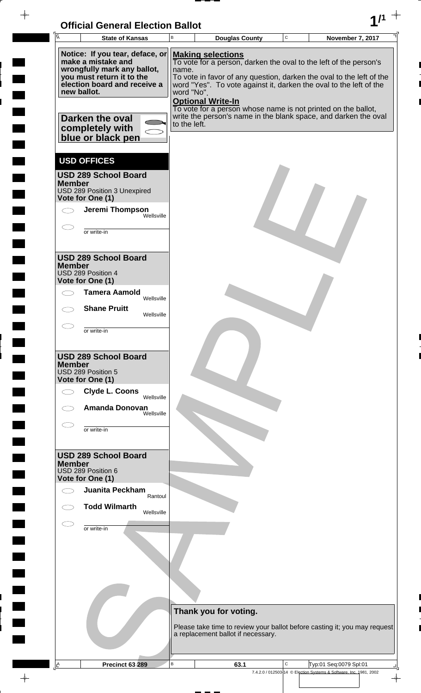

| A             | <b>State of Kansas</b>                                                                                                                                                                                 | B                                   | <b>Douglas County</b>                                                                                                                                                                                                                                                                                                                                                                                       | $\mathbf C$ | <b>November 7, 2017</b>                                            |
|---------------|--------------------------------------------------------------------------------------------------------------------------------------------------------------------------------------------------------|-------------------------------------|-------------------------------------------------------------------------------------------------------------------------------------------------------------------------------------------------------------------------------------------------------------------------------------------------------------------------------------------------------------------------------------------------------------|-------------|--------------------------------------------------------------------|
|               | Notice: If you tear, deface, or<br>make a mistake and<br>wrongfully mark any ballot,<br>you must return it to the<br>election board and receive a<br>new ballot.<br>Darken the oval<br>completely with | name.<br>word "No".<br>to the left. | <b>Making selections</b><br>To vote for a person, darken the oval to the left of the person's<br>To vote in favor of any question, darken the oval to the left of the<br>word "Yes". To vote against it, darken the oval to the left of the<br><b>Optional Write-In</b><br>To vote for a person whose name is not printed on the ballot,<br>write the person's name in the blank space, and darken the oval |             |                                                                    |
|               | blue or black pen                                                                                                                                                                                      |                                     |                                                                                                                                                                                                                                                                                                                                                                                                             |             |                                                                    |
|               | <b>USD OFFICES</b>                                                                                                                                                                                     |                                     |                                                                                                                                                                                                                                                                                                                                                                                                             |             |                                                                    |
| <b>Member</b> | <b>USD 289 School Board</b><br>USD 289 Position 3 Unexpired<br>Vote for One (1)                                                                                                                        |                                     |                                                                                                                                                                                                                                                                                                                                                                                                             |             |                                                                    |
|               | Jeremi Thompson                                                                                                                                                                                        | Wellsville                          |                                                                                                                                                                                                                                                                                                                                                                                                             |             |                                                                    |
|               | or write-in                                                                                                                                                                                            |                                     |                                                                                                                                                                                                                                                                                                                                                                                                             |             |                                                                    |
| <b>Member</b> | <b>USD 289 School Board</b><br>USD 289 Position 4<br>Vote for One (1)                                                                                                                                  |                                     |                                                                                                                                                                                                                                                                                                                                                                                                             |             |                                                                    |
|               | <b>Tamera Aamold</b><br>Wellsville                                                                                                                                                                     |                                     |                                                                                                                                                                                                                                                                                                                                                                                                             |             |                                                                    |
|               | <b>Shane Pruitt</b><br>Wellsville                                                                                                                                                                      |                                     |                                                                                                                                                                                                                                                                                                                                                                                                             |             |                                                                    |
|               | or write-in                                                                                                                                                                                            |                                     |                                                                                                                                                                                                                                                                                                                                                                                                             |             |                                                                    |
| <b>Member</b> | <b>USD 289 School Board</b><br>USD 289 Position 5<br>Vote for One (1)                                                                                                                                  |                                     |                                                                                                                                                                                                                                                                                                                                                                                                             |             |                                                                    |
|               | <b>Clyde L. Coons</b><br>Wellsville                                                                                                                                                                    |                                     |                                                                                                                                                                                                                                                                                                                                                                                                             |             |                                                                    |
|               | <b>Amanda Donovan</b><br>Wellsville<br>or write-in                                                                                                                                                     |                                     |                                                                                                                                                                                                                                                                                                                                                                                                             |             |                                                                    |
|               |                                                                                                                                                                                                        |                                     |                                                                                                                                                                                                                                                                                                                                                                                                             |             |                                                                    |
| <b>Member</b> | <b>USD 289 School Board</b><br>USD 289 Position 6<br>Vote for One (1)                                                                                                                                  |                                     |                                                                                                                                                                                                                                                                                                                                                                                                             |             |                                                                    |
|               | Juanita Peckham                                                                                                                                                                                        | Rantoul                             |                                                                                                                                                                                                                                                                                                                                                                                                             |             |                                                                    |
|               | <b>Todd Wilmarth</b><br>Wellsville                                                                                                                                                                     |                                     |                                                                                                                                                                                                                                                                                                                                                                                                             |             |                                                                    |
|               | or write-in                                                                                                                                                                                            |                                     |                                                                                                                                                                                                                                                                                                                                                                                                             |             |                                                                    |
|               |                                                                                                                                                                                                        |                                     |                                                                                                                                                                                                                                                                                                                                                                                                             |             |                                                                    |
|               |                                                                                                                                                                                                        |                                     |                                                                                                                                                                                                                                                                                                                                                                                                             |             |                                                                    |
|               |                                                                                                                                                                                                        |                                     | Thank you for voting.                                                                                                                                                                                                                                                                                                                                                                                       |             |                                                                    |
|               |                                                                                                                                                                                                        |                                     | Please take time to review your ballot before casting it; you may request<br>a replacement ballot if necessary.                                                                                                                                                                                                                                                                                             |             |                                                                    |
| Ŀ             | Precinct 63 289                                                                                                                                                                                        | В                                   | 63.1                                                                                                                                                                                                                                                                                                                                                                                                        | С           | Typ:01 Seq:0079 Spl:01                                             |
|               |                                                                                                                                                                                                        |                                     |                                                                                                                                                                                                                                                                                                                                                                                                             |             | 7.4.2.0 / 012503-14 © Election Systems & Software, Inc. 1981, 2002 |

 $\phi$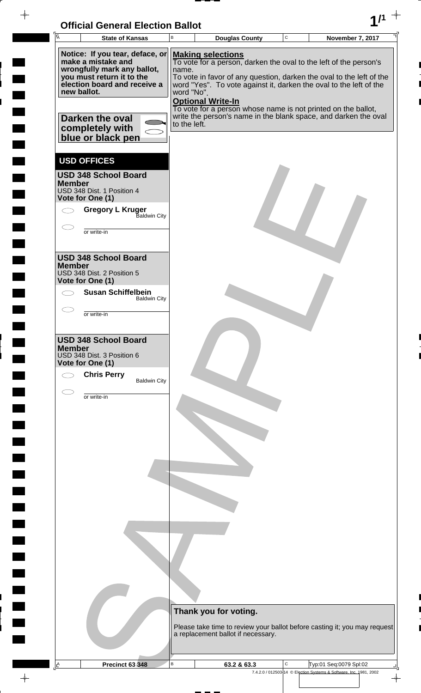

 $\frac{1}{2}$ 

 $\frac{1}{2}$ 

 $\blacksquare$ 

 $\overline{\phantom{a}}$ 

 $\ddot{\phantom{a}}$ 

 $\rightarrow$ 

|                                                         | <b>State of Kansas</b>                                                                                                                                                                                       | B                                   | <b>Douglas County</b>                                                                                                                                                                                                                                                                                                                                                                                       | $\mathbf C$ | November 7, 2017 |
|---------------------------------------------------------|--------------------------------------------------------------------------------------------------------------------------------------------------------------------------------------------------------------|-------------------------------------|-------------------------------------------------------------------------------------------------------------------------------------------------------------------------------------------------------------------------------------------------------------------------------------------------------------------------------------------------------------------------------------------------------------|-------------|------------------|
| new ballot.                                             | Notice: If you tear, deface, or<br>make a mistake and<br>wrongfully mark any ballot,<br>you must return it to the<br>election board and receive a<br>Darken the oval<br>completely with<br>blue or black pen | name.<br>word "No".<br>to the left. | <b>Making selections</b><br>To vote for a person, darken the oval to the left of the person's<br>To vote in favor of any question, darken the oval to the left of the<br>word "Yes". To vote against it, darken the oval to the left of the<br><b>Optional Write-In</b><br>To vote for a person whose name is not printed on the ballot,<br>write the person's name in the blank space, and darken the oval |             |                  |
| <b>USD OFFICES</b><br><b>Member</b><br>Vote for One (1) | <b>USD 348 School Board</b><br>USD 348 Dist. 1 Position 4<br><b>Gregory L Kruger</b><br>Baldwin City<br>or write-in                                                                                          |                                     |                                                                                                                                                                                                                                                                                                                                                                                                             |             |                  |
| <b>Member</b><br>Vote for One (1)                       | <b>USD 348 School Board</b><br>USD 348 Dist. 2 Position 5<br><b>Susan Schiffelbein</b><br><b>Baldwin City</b><br>or write-in                                                                                 |                                     |                                                                                                                                                                                                                                                                                                                                                                                                             |             |                  |
| <b>Member</b><br>Vote for One (1)                       | <b>USD 348 School Board</b><br>USD 348 Dist. 3 Position 6<br><b>Chris Perry</b><br><b>Baldwin City</b>                                                                                                       |                                     |                                                                                                                                                                                                                                                                                                                                                                                                             |             |                  |
|                                                         | or write-in                                                                                                                                                                                                  |                                     |                                                                                                                                                                                                                                                                                                                                                                                                             |             |                  |
|                                                         |                                                                                                                                                                                                              |                                     |                                                                                                                                                                                                                                                                                                                                                                                                             |             |                  |
|                                                         |                                                                                                                                                                                                              |                                     |                                                                                                                                                                                                                                                                                                                                                                                                             |             |                  |
|                                                         |                                                                                                                                                                                                              |                                     |                                                                                                                                                                                                                                                                                                                                                                                                             |             |                  |
|                                                         |                                                                                                                                                                                                              |                                     | Thank you for voting.<br>Please take time to review your ballot before casting it; you may request<br>a replacement ballot if necessary.                                                                                                                                                                                                                                                                    |             |                  |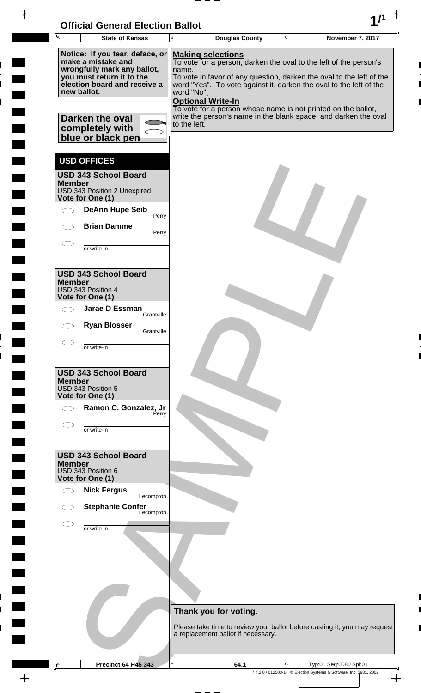

| Ā             | <b>State of Kansas</b>                                                                                                                                                                                                      | В                                   | <b>Douglas County</b>                                                                                                                                                                                                                                            | C | November 7, 2017                                                                                                                                                          |
|---------------|-----------------------------------------------------------------------------------------------------------------------------------------------------------------------------------------------------------------------------|-------------------------------------|------------------------------------------------------------------------------------------------------------------------------------------------------------------------------------------------------------------------------------------------------------------|---|---------------------------------------------------------------------------------------------------------------------------------------------------------------------------|
|               | Notice: If you tear, deface, or<br>make a mistake and<br>wrongfully mark any ballot,<br>you must return it to the<br>election board and receive a<br>new ballot.<br>Darken the oval<br>completely with<br>blue or black pen | name.<br>word "No".<br>to the left. | <b>Making selections</b><br>To vote for a person, darken the oval to the left of the person's<br>word "Yes". To vote against it, darken the oval to the left of the<br><b>Optional Write-In</b><br>To vote for a person whose name is not printed on the ballot, |   | To vote in favor of any question, darken the oval to the left of the<br>write the person's name in the blank space, and darken the oval                                   |
| <b>Member</b> | <b>USD OFFICES</b><br><b>USD 343 School Board</b><br>USD 343 Position 2 Unexpired<br>Vote for One (1)<br><b>DeAnn Hupe Seib</b><br>Perry<br><b>Brian Damme</b><br>Perry<br>or write-in                                      |                                     |                                                                                                                                                                                                                                                                  |   |                                                                                                                                                                           |
| <b>Member</b> | <b>USD 343 School Board</b><br>USD 343 Position 4<br>Vote for One (1)<br><b>Jarae D Essman</b><br>Grantville<br><b>Ryan Blosser</b><br>Grantville<br>or write-in                                                            |                                     |                                                                                                                                                                                                                                                                  |   |                                                                                                                                                                           |
| <b>Member</b> | <b>USD 343 School Board</b><br>USD 343 Position 5<br>Vote for One (1)<br>Ramon C. Gonzalez, Jr<br>Perry<br>or write-in                                                                                                      |                                     |                                                                                                                                                                                                                                                                  |   |                                                                                                                                                                           |
| <b>Member</b> | <b>USD 343 School Board</b><br>USD 343 Position 6<br>Vote for One (1)<br><b>Nick Fergus</b><br>Lecompton<br><b>Stephanie Confer</b><br>Lecompton                                                                            |                                     |                                                                                                                                                                                                                                                                  |   |                                                                                                                                                                           |
|               | or write-in                                                                                                                                                                                                                 |                                     |                                                                                                                                                                                                                                                                  |   |                                                                                                                                                                           |
| <u>A</u>      | <b>Precinct 64 H45 343</b>                                                                                                                                                                                                  | В                                   | Thank you for voting.<br>a replacement ballot if necessary.<br>64.1                                                                                                                                                                                              | С | Please take time to review your ballot before casting it; you may request<br>Typ:01 Seq:0080 Spl:01<br>7.4.2.0 / 012503-14 © Election Systems & Software, Inc. 1981, 2002 |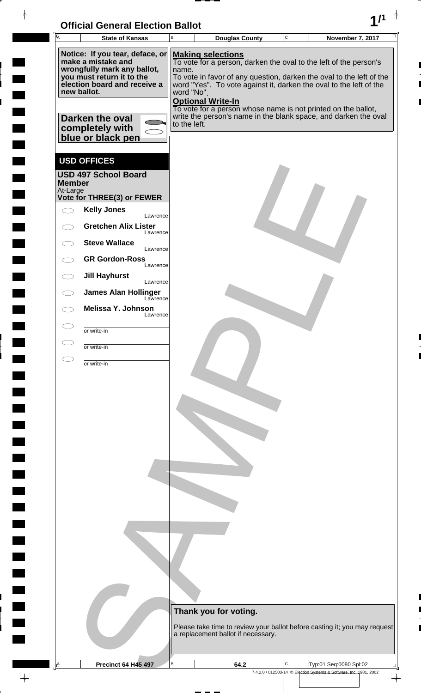| <b>Official General Election Ballot</b> |  |
|-----------------------------------------|--|
|                                         |  |

 $\overline{\phantom{a}}$ 

 $\blacksquare$ 

 $\blacksquare$ 

 $\blacksquare$ 

 $\frac{1}{2}$ 

| Ā             | <b>State of Kansas</b>                                   | UNICIAI UENETAI LIECHUN DANUL<br>В | <b>Douglas County</b>    |                                    | $\mathbf C$ | November 7, 2017                                                                                                                 |  |
|---------------|----------------------------------------------------------|------------------------------------|--------------------------|------------------------------------|-------------|----------------------------------------------------------------------------------------------------------------------------------|--|
|               | Notice: If you tear, deface, or<br>make a mistake and    |                                    | <b>Making selections</b> |                                    |             | To vote for a person, darken the oval to the left of the person's                                                                |  |
|               | wrongfully mark any ballot,<br>you must return it to the | name.                              |                          |                                    |             | To vote in favor of any question, darken the oval to the left of the                                                             |  |
|               | election board and receive a<br>new ballot.              | word "No".                         |                          |                                    |             | word "Yes". To vote against it, darken the oval to the left of the                                                               |  |
|               | Darken the oval                                          |                                    | <b>Optional Write-In</b> |                                    |             | To vote for a person whose name is not printed on the ballot,<br>write the person's name in the blank space, and darken the oval |  |
|               | completely with<br>blue or black pen                     | to the left.                       |                          |                                    |             |                                                                                                                                  |  |
|               | <b>USD OFFICES</b>                                       |                                    |                          |                                    |             |                                                                                                                                  |  |
| <b>Member</b> | <b>USD 497 School Board</b>                              |                                    |                          |                                    |             |                                                                                                                                  |  |
| At-Large      | Vote for THREE(3) or FEWER                               |                                    |                          |                                    |             |                                                                                                                                  |  |
|               | <b>Kelly Jones</b><br>Lawrence                           |                                    |                          |                                    |             |                                                                                                                                  |  |
|               | <b>Gretchen Alix Lister</b><br>Lawrence                  |                                    |                          |                                    |             |                                                                                                                                  |  |
|               | <b>Steve Wallace</b><br>Lawrence                         |                                    |                          |                                    |             |                                                                                                                                  |  |
|               | <b>GR Gordon-Ross</b><br>Lawrence                        |                                    |                          |                                    |             |                                                                                                                                  |  |
| $\bigcirc$    | <b>Jill Hayhurst</b><br>Lawrence                         |                                    |                          |                                    |             |                                                                                                                                  |  |
|               | <b>James Alan Hollinger</b><br>Lawrence                  |                                    |                          |                                    |             |                                                                                                                                  |  |
|               | Melissa Y. Johnson<br>Lawrence                           |                                    |                          |                                    |             |                                                                                                                                  |  |
|               | or write-in                                              |                                    |                          |                                    |             |                                                                                                                                  |  |
|               | or write-in                                              |                                    |                          |                                    |             |                                                                                                                                  |  |
|               | or write-in                                              |                                    |                          |                                    |             |                                                                                                                                  |  |
|               |                                                          |                                    |                          |                                    |             |                                                                                                                                  |  |
|               |                                                          |                                    |                          |                                    |             |                                                                                                                                  |  |
|               |                                                          |                                    |                          |                                    |             |                                                                                                                                  |  |
|               |                                                          |                                    |                          |                                    |             |                                                                                                                                  |  |
|               |                                                          |                                    |                          |                                    |             |                                                                                                                                  |  |
|               |                                                          |                                    |                          |                                    |             |                                                                                                                                  |  |
|               |                                                          |                                    |                          |                                    |             |                                                                                                                                  |  |
|               |                                                          |                                    |                          |                                    |             |                                                                                                                                  |  |
|               |                                                          |                                    |                          |                                    |             |                                                                                                                                  |  |
|               |                                                          |                                    |                          |                                    |             |                                                                                                                                  |  |
|               |                                                          |                                    |                          |                                    |             |                                                                                                                                  |  |
|               |                                                          |                                    |                          |                                    |             |                                                                                                                                  |  |
|               |                                                          |                                    |                          |                                    |             |                                                                                                                                  |  |
|               |                                                          |                                    | Thank you for voting.    |                                    |             |                                                                                                                                  |  |
|               |                                                          |                                    |                          | a replacement ballot if necessary. |             | Please take time to review your ballot before casting it; you may request                                                        |  |
|               |                                                          |                                    |                          |                                    |             |                                                                                                                                  |  |
| $\mathbb{E}$  | <b>Precinct 64 H45 497</b>                               | B                                  | 64.2                     |                                    | C           | Typ:01 Seq:0080 Spl:02                                                                                                           |  |
|               |                                                          |                                    |                          |                                    |             | 7.4.2.0 / 012503-14 © Election Systems & Software, Inc. 1981, 2002                                                               |  |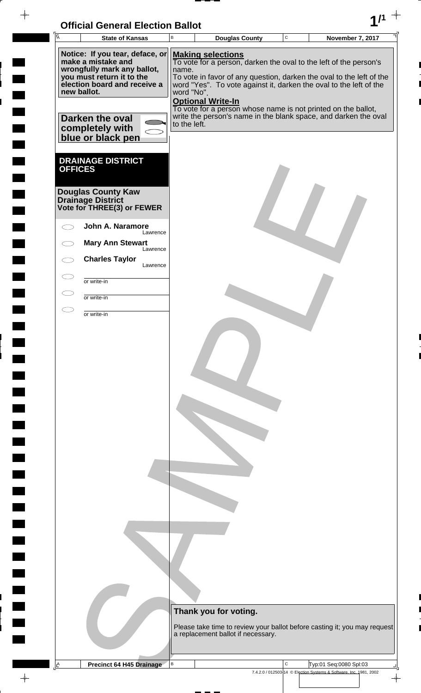| <b>Official General Election Ballot</b> |  |
|-----------------------------------------|--|
|                                         |  |

 $\Box$ 

 $\Box$ 

 $\blacksquare$ 

 $\blacksquare$ 

 $\overline{\phantom{a}}$ 

| $\overline{A}$                                                                                                                                                                      | <b>State of Kansas</b>                                                       | B | <b>Douglas County</b>                                                                                                                                                                                                                                                                                                                                                                                                                              | $\mathbf C$ | <b>November 7, 2017</b>                                            |                          |  |  |
|-------------------------------------------------------------------------------------------------------------------------------------------------------------------------------------|------------------------------------------------------------------------------|---|----------------------------------------------------------------------------------------------------------------------------------------------------------------------------------------------------------------------------------------------------------------------------------------------------------------------------------------------------------------------------------------------------------------------------------------------------|-------------|--------------------------------------------------------------------|--------------------------|--|--|
| Notice: If you tear, deface, or<br>make a mistake and<br>wrongfully mark any ballot,<br>you must return it to the<br>election board and receive a<br>new ballot.<br>Darken the oval |                                                                              |   | <b>Making selections</b><br>To vote for a person, darken the oval to the left of the person's<br>name.<br>To vote in favor of any question, darken the oval to the left of the<br>word "Yes". To vote against it, darken the oval to the left of the<br>word "No".<br><b>Optional Write-In</b><br>To vote for a person whose name is not printed on the ballot,<br>write the person's name in the blank space, and darken the oval<br>to the left. |             |                                                                    |                          |  |  |
| <b>OFFICES</b>                                                                                                                                                                      | completely with<br>blue or black pen<br><b>DRAINAGE DISTRICT</b>             |   |                                                                                                                                                                                                                                                                                                                                                                                                                                                    |             |                                                                    |                          |  |  |
|                                                                                                                                                                                     | <b>Douglas County Kaw</b><br>Drainage District<br>Vote for THREE(3) or FEWER |   |                                                                                                                                                                                                                                                                                                                                                                                                                                                    |             |                                                                    |                          |  |  |
|                                                                                                                                                                                     | John A. Naramore<br>Lawrence                                                 |   |                                                                                                                                                                                                                                                                                                                                                                                                                                                    |             |                                                                    |                          |  |  |
|                                                                                                                                                                                     | <b>Mary Ann Stewart</b><br>Lawrence                                          |   |                                                                                                                                                                                                                                                                                                                                                                                                                                                    |             |                                                                    |                          |  |  |
|                                                                                                                                                                                     | <b>Charles Taylor</b><br>Lawrence                                            |   |                                                                                                                                                                                                                                                                                                                                                                                                                                                    |             |                                                                    |                          |  |  |
| $\subset$                                                                                                                                                                           | or write-in                                                                  |   |                                                                                                                                                                                                                                                                                                                                                                                                                                                    |             |                                                                    |                          |  |  |
|                                                                                                                                                                                     | or write-in                                                                  |   |                                                                                                                                                                                                                                                                                                                                                                                                                                                    |             |                                                                    |                          |  |  |
|                                                                                                                                                                                     | or write-in                                                                  |   |                                                                                                                                                                                                                                                                                                                                                                                                                                                    |             |                                                                    |                          |  |  |
|                                                                                                                                                                                     |                                                                              |   | Thank you for voting.<br>Please take time to review your ballot before casting it; you may request<br>a replacement ballot if necessary.                                                                                                                                                                                                                                                                                                           |             |                                                                    |                          |  |  |
| $\triangle$                                                                                                                                                                         | <b>Precinct 64 H45 Drainage</b>                                              | В |                                                                                                                                                                                                                                                                                                                                                                                                                                                    | C           | Typ:01 Seq:0080 Spl:03                                             |                          |  |  |
|                                                                                                                                                                                     |                                                                              |   |                                                                                                                                                                                                                                                                                                                                                                                                                                                    |             | 7.4.2.0 / 012503-14 © Election Systems & Software, Inc. 1981, 2002 | $\overline{\phantom{a}}$ |  |  |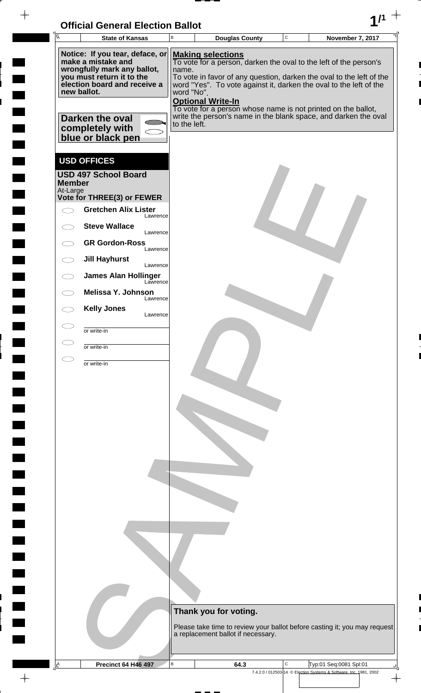| <b>Official General Election Ballot</b> |  |
|-----------------------------------------|--|
|                                         |  |

 $\blacksquare$ 

 $\blacksquare$ 

 $\overline{\phantom{a}}$ 

 $\blacksquare$ 

 $\frac{1}{2}$ 

| $\overline{A}$ | <b>State of Kansas</b>                                                   | B            | <b>Douglas County</b>                                                                                                                      | $\mathbf C$ | <b>November 7, 2017</b> |  |
|----------------|--------------------------------------------------------------------------|--------------|--------------------------------------------------------------------------------------------------------------------------------------------|-------------|-------------------------|--|
|                | Notice: If you tear, deface, or                                          |              | <b>Making selections</b>                                                                                                                   |             |                         |  |
|                | make a mistake and<br>wrongfully mark any ballot,                        | name.        | To vote for a person, darken the oval to the left of the person's                                                                          |             |                         |  |
|                | you must return it to the<br>election board and receive a<br>new ballot. | word "No".   | To vote in favor of any question, darken the oval to the left of the<br>word "Yes". To vote against it, darken the oval to the left of the |             |                         |  |
|                |                                                                          |              | <b>Optional Write-In</b><br>To vote for a person whose name is not printed on the ballot,                                                  |             |                         |  |
|                | Darken the oval                                                          | to the left. | write the person's name in the blank space, and darken the oval                                                                            |             |                         |  |
|                | completely with<br>blue or black pen                                     |              |                                                                                                                                            |             |                         |  |
|                | <b>USD OFFICES</b>                                                       |              |                                                                                                                                            |             |                         |  |
| <b>Member</b>  | <b>USD 497 School Board</b>                                              |              |                                                                                                                                            |             |                         |  |
| At-Large       | Vote for THREE(3) or FEWER                                               |              |                                                                                                                                            |             |                         |  |
|                | <b>Gretchen Alix Lister</b><br>Lawrence                                  |              |                                                                                                                                            |             |                         |  |
|                | <b>Steve Wallace</b><br>Lawrence                                         |              |                                                                                                                                            |             |                         |  |
|                | <b>GR Gordon-Ross</b><br>Lawrence                                        |              |                                                                                                                                            |             |                         |  |
|                | <b>Jill Hayhurst</b><br>Lawrence                                         |              |                                                                                                                                            |             |                         |  |
|                | <b>James Alan Hollinger</b><br>Lawrence                                  |              |                                                                                                                                            |             |                         |  |
|                | Melissa Y. Johnson<br>Lawrence<br><b>Kelly Jones</b>                     |              |                                                                                                                                            |             |                         |  |
|                | Lawrence                                                                 |              |                                                                                                                                            |             |                         |  |
|                | or write-in                                                              |              |                                                                                                                                            |             |                         |  |
|                | or write-in                                                              |              |                                                                                                                                            |             |                         |  |
|                | or write-in                                                              |              |                                                                                                                                            |             |                         |  |
|                |                                                                          |              |                                                                                                                                            |             |                         |  |
|                |                                                                          |              |                                                                                                                                            |             |                         |  |
|                |                                                                          |              |                                                                                                                                            |             |                         |  |
|                |                                                                          |              |                                                                                                                                            |             |                         |  |
|                |                                                                          |              |                                                                                                                                            |             |                         |  |
|                |                                                                          |              |                                                                                                                                            |             |                         |  |
|                |                                                                          |              |                                                                                                                                            |             |                         |  |
|                |                                                                          |              |                                                                                                                                            |             |                         |  |
|                |                                                                          |              |                                                                                                                                            |             |                         |  |
|                |                                                                          |              | Thank you for voting.                                                                                                                      |             |                         |  |
|                |                                                                          |              | Please take time to review your ballot before casting it; you may request<br>a replacement ballot if necessary.                            |             |                         |  |
| A              | <b>Precinct 64 H46 497</b>                                               | B            | 64.3                                                                                                                                       | C           | Typ:01 Seq:0081 Spl:01  |  |
|                |                                                                          |              |                                                                                                                                            |             |                         |  |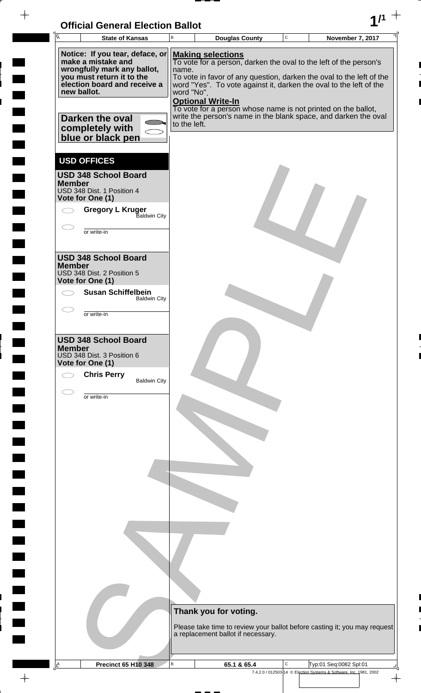

 $\frac{1}{2}$ 

 $\frac{1}{2}$ 

 $\blacksquare$ 

 $\frac{1}{2}$ 

 $\ddot{\phantom{a}}$ 

 $\overline{a}$ 

<u>rang</u>

 $\rightarrow$ 

| Ā             | <b>State of Kansas</b>                                                                                                                                                              | B                   | <b>Douglas County</b>                                                                                                                                                                                                                                                                                                                                                                                       | C | November 7, 2017                                                          |
|---------------|-------------------------------------------------------------------------------------------------------------------------------------------------------------------------------------|---------------------|-------------------------------------------------------------------------------------------------------------------------------------------------------------------------------------------------------------------------------------------------------------------------------------------------------------------------------------------------------------------------------------------------------------|---|---------------------------------------------------------------------------|
|               | Notice: If you tear, deface, or<br>make a mistake and<br>wrongfully mark any ballot,<br>you must return it to the<br>election board and receive a<br>new ballot.<br>Darken the oval | name.<br>word "No". | <b>Making selections</b><br>To vote for a person, darken the oval to the left of the person's<br>To vote in favor of any question, darken the oval to the left of the<br>word "Yes". To vote against it, darken the oval to the left of the<br><b>Optional Write-In</b><br>To vote for a person whose name is not printed on the ballot,<br>write the person's name in the blank space, and darken the oval |   |                                                                           |
|               | completely with<br>blue or black pen                                                                                                                                                | to the left.        |                                                                                                                                                                                                                                                                                                                                                                                                             |   |                                                                           |
| <b>Member</b> | <b>USD OFFICES</b><br><b>USD 348 School Board</b><br>USD 348 Dist. 1 Position 4                                                                                                     |                     |                                                                                                                                                                                                                                                                                                                                                                                                             |   |                                                                           |
|               | Vote for One (1)<br><b>Gregory L Kruger</b><br><b>Baldwin City</b><br>or write-in                                                                                                   |                     |                                                                                                                                                                                                                                                                                                                                                                                                             |   |                                                                           |
| <b>Member</b> | <b>USD 348 School Board</b><br>USD 348 Dist. 2 Position 5<br>Vote for One (1)                                                                                                       |                     |                                                                                                                                                                                                                                                                                                                                                                                                             |   |                                                                           |
|               | <b>Susan Schiffelbein</b><br><b>Baldwin City</b>                                                                                                                                    |                     |                                                                                                                                                                                                                                                                                                                                                                                                             |   |                                                                           |
|               | or write-in                                                                                                                                                                         |                     |                                                                                                                                                                                                                                                                                                                                                                                                             |   |                                                                           |
| <b>Member</b> | <b>USD 348 School Board</b><br>USD 348 Dist. 3 Position 6<br>Vote for One (1)<br><b>Chris Perry</b><br><b>Baldwin City</b>                                                          |                     |                                                                                                                                                                                                                                                                                                                                                                                                             |   |                                                                           |
|               | or write-in                                                                                                                                                                         |                     |                                                                                                                                                                                                                                                                                                                                                                                                             |   |                                                                           |
|               |                                                                                                                                                                                     |                     |                                                                                                                                                                                                                                                                                                                                                                                                             |   |                                                                           |
|               |                                                                                                                                                                                     |                     |                                                                                                                                                                                                                                                                                                                                                                                                             |   |                                                                           |
|               |                                                                                                                                                                                     |                     | Thank you for voting.                                                                                                                                                                                                                                                                                                                                                                                       |   |                                                                           |
|               |                                                                                                                                                                                     |                     | a replacement ballot if necessary.                                                                                                                                                                                                                                                                                                                                                                          |   | Please take time to review your ballot before casting it; you may request |
| Ŀ             | <b>Precinct 65 H10 348</b>                                                                                                                                                          | в                   | 65.1 & 65.4                                                                                                                                                                                                                                                                                                                                                                                                 | С | Typ:01 Seq:0082 Spl:01                                                    |
|               |                                                                                                                                                                                     |                     |                                                                                                                                                                                                                                                                                                                                                                                                             |   | 7.4.2.0 / 012503-14 © Election Systems & Software, Inc. 1981, 2002        |

 $\frac{1}{\left( \frac{1}{2} \right)}$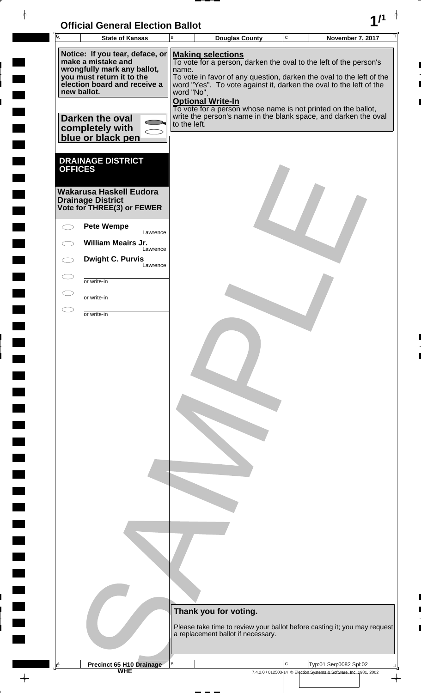| <b>Official General Election Ballot</b> |  |
|-----------------------------------------|--|
|                                         |  |

| $\overline{A}$                     | <b>State of Kansas</b>                                                                                                                                                                                       | $\mathsf B$ | <b>Douglas County</b>                                                                                                                                                                                                                                                                                                                                                                                                                     | $\mathsf C$ | November 7, 2017                                                                             |
|------------------------------------|--------------------------------------------------------------------------------------------------------------------------------------------------------------------------------------------------------------|-------------|-------------------------------------------------------------------------------------------------------------------------------------------------------------------------------------------------------------------------------------------------------------------------------------------------------------------------------------------------------------------------------------------------------------------------------------------|-------------|----------------------------------------------------------------------------------------------|
| new ballot.                        | Notice: If you tear, deface, or<br>make a mistake and<br>wrongfully mark any ballot,<br>you must return it to the<br>election board and receive a<br>Darken the oval<br>completely with<br>blue or black pen | name.       | <b>Making selections</b><br>To vote for a person, darken the oval to the left of the person's<br>To vote in favor of any question, darken the oval to the left of the<br>word "Yes". To vote against it, darken the oval to the left of the<br>word "No".<br><b>Optional Write-In</b><br>To vote for a person whose name is not printed on the ballot,<br>write the person's name in the blank space, and darken the oval<br>to the left. |             |                                                                                              |
| <b>OFFICES</b>                     | <b>DRAINAGE DISTRICT</b><br><b>Wakarusa Haskell Eudora</b><br><b>Drainage District</b><br>Vote for THREE(3) or FEWER<br><b>Pete Wempe</b>                                                                    |             |                                                                                                                                                                                                                                                                                                                                                                                                                                           |             |                                                                                              |
|                                    |                                                                                                                                                                                                              | Lawrence    |                                                                                                                                                                                                                                                                                                                                                                                                                                           |             |                                                                                              |
|                                    | <b>William Meairs Jr.</b>                                                                                                                                                                                    | Lawrence    |                                                                                                                                                                                                                                                                                                                                                                                                                                           |             |                                                                                              |
|                                    | <b>Dwight C. Purvis</b>                                                                                                                                                                                      | Lawrence    |                                                                                                                                                                                                                                                                                                                                                                                                                                           |             |                                                                                              |
| $\subset$ $\overline{\phantom{a}}$ | or write-in                                                                                                                                                                                                  |             |                                                                                                                                                                                                                                                                                                                                                                                                                                           |             |                                                                                              |
| $\subset$                          | or write-in                                                                                                                                                                                                  |             |                                                                                                                                                                                                                                                                                                                                                                                                                                           |             |                                                                                              |
| E.                                 | or write-in                                                                                                                                                                                                  |             |                                                                                                                                                                                                                                                                                                                                                                                                                                           |             |                                                                                              |
|                                    |                                                                                                                                                                                                              |             | Thank you for voting.<br>Please take time to review your ballot before casting it; you may request<br>a replacement ballot if necessary.                                                                                                                                                                                                                                                                                                  |             |                                                                                              |
| A                                  | <b>Precinct 65 H10 Drainage</b><br>WHE                                                                                                                                                                       | В           |                                                                                                                                                                                                                                                                                                                                                                                                                                           | C           | Typ:01 Seq:0082 Spl:02<br>7.4.2.0 / 012503-14 © Election Systems & Software, Inc. 1981, 2002 |
|                                    |                                                                                                                                                                                                              |             |                                                                                                                                                                                                                                                                                                                                                                                                                                           |             | $\frac{1}{\sqrt{2}}$                                                                         |

 $\overline{\phantom{a}}$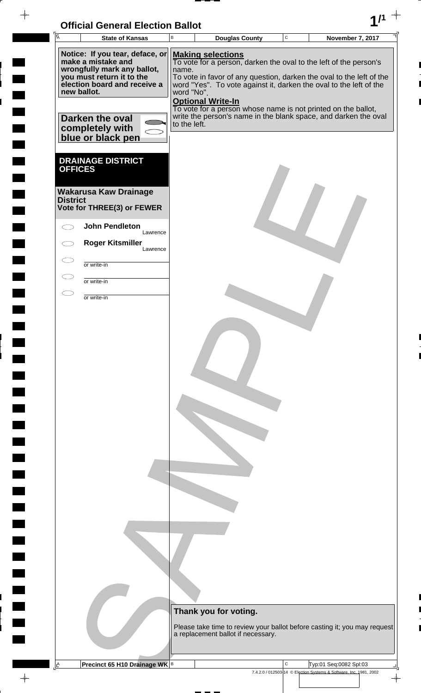## **Official General Election Ballot 1/1**

 $-\phi -$ 

 $\frac{1}{2}$ 

 $\frac{1}{2}$ 

 $\frac{1}{2}$ 

 $\frac{1}{2}$ 

 $\overline{a}$ 

 $\frac{1}{2}$ 

<u>rang</u>

 $\frac{1}{\sqrt{2}}$ 

| $\overline{A}$                    | <b>State of Kansas</b>                                                                                                                                                                                                             | $\, {\bf B}$                        | <b>Douglas County</b>                                                                                                                                                                                                                                                                                                                                                                                       | $\mathbf C$ | November 7, 2017                                                                             |
|-----------------------------------|------------------------------------------------------------------------------------------------------------------------------------------------------------------------------------------------------------------------------------|-------------------------------------|-------------------------------------------------------------------------------------------------------------------------------------------------------------------------------------------------------------------------------------------------------------------------------------------------------------------------------------------------------------------------------------------------------------|-------------|----------------------------------------------------------------------------------------------|
|                                   | Notice: If you tear, deface, or<br>make a mistake and<br>wrongfully mark any ballot,<br>you must return it to the<br>election board and receive a<br>new ballot.<br><b>Darken the oval</b><br>completely with<br>blue or black pen | name.<br>word "No".<br>to the left. | <b>Making selections</b><br>To vote for a person, darken the oval to the left of the person's<br>To vote in favor of any question, darken the oval to the left of the<br>word "Yes". To vote against it, darken the oval to the left of the<br><b>Optional Write-In</b><br>To vote for a person whose name is not printed on the ballot,<br>write the person's name in the blank space, and darken the oval |             |                                                                                              |
| <b>OFFICES</b><br><b>District</b> | <b>DRAINAGE DISTRICT</b><br><b>Wakarusa Kaw Drainage</b><br>Vote for THREE(3) or FEWER<br><b>John Pendleton</b><br>Lawrence                                                                                                        |                                     |                                                                                                                                                                                                                                                                                                                                                                                                             |             |                                                                                              |
|                                   | <b>Roger Kitsmiller</b><br>Lawrence                                                                                                                                                                                                |                                     |                                                                                                                                                                                                                                                                                                                                                                                                             |             |                                                                                              |
| $\subset$                         | or write-in                                                                                                                                                                                                                        |                                     |                                                                                                                                                                                                                                                                                                                                                                                                             |             |                                                                                              |
|                                   | or write-in                                                                                                                                                                                                                        |                                     |                                                                                                                                                                                                                                                                                                                                                                                                             |             |                                                                                              |
|                                   |                                                                                                                                                                                                                                    |                                     |                                                                                                                                                                                                                                                                                                                                                                                                             |             |                                                                                              |
|                                   |                                                                                                                                                                                                                                    |                                     | Thank you for voting.<br>a replacement ballot if necessary.                                                                                                                                                                                                                                                                                                                                                 |             | Please take time to review your ballot before casting it; you may request                    |
| <u>A</u>                          | Precinct 65 H10 Drainage WK B                                                                                                                                                                                                      |                                     |                                                                                                                                                                                                                                                                                                                                                                                                             | С           | Typ:01 Seq:0082 Spl:03<br>7.4.2.0 / 012503-14 © Election Systems & Software, Inc. 1981, 2002 |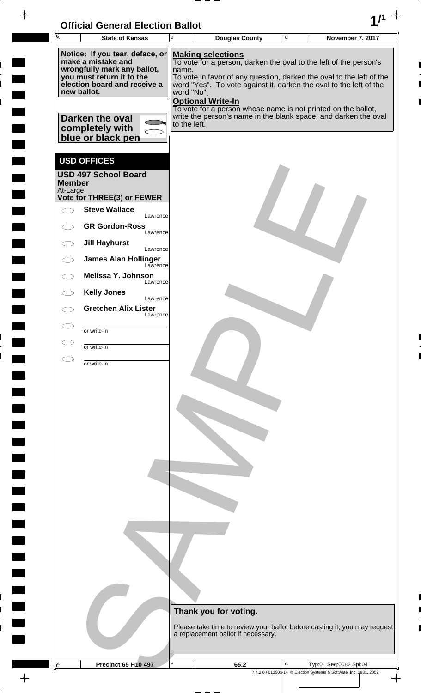| <b>Official General Election Ballot</b> |  |
|-----------------------------------------|--|
|                                         |  |

 $\blacksquare$ 

 $\blacksquare$ 

 $\blacksquare$ 

 $\begin{array}{c} \begin{array}{c} \begin{array}{c} \begin{array}{c} \end{array} \end{array} \end{array} \end{array} \end{array}$ 

 $\begin{array}{c} \begin{array}{c} \hline \end{array} \end{array}$ 

 $\begin{array}{c} \hline \end{array}$ 

 $\blacksquare$ 

 $\Box$ 

| Ā                         | UNICIAI UENETAI LIECHUN DANUL<br><b>State of Kansas</b>                              | В                                        | <b>Douglas County</b>                                                                                                                      | $\mathbf C$ | <b>November 7, 2017</b> |  |
|---------------------------|--------------------------------------------------------------------------------------|------------------------------------------|--------------------------------------------------------------------------------------------------------------------------------------------|-------------|-------------------------|--|
|                           |                                                                                      |                                          |                                                                                                                                            |             |                         |  |
|                           | Notice: If you tear, deface, or<br>make a mistake and<br>wrongfully mark any ballot, | <b>Making selections</b><br>name.        | To vote for a person, darken the oval to the left of the person's                                                                          |             |                         |  |
|                           | you must return it to the<br>election board and receive a<br>new ballot.             | word "No".                               | To vote in favor of any question, darken the oval to the left of the<br>word "Yes". To vote against it, darken the oval to the left of the |             |                         |  |
|                           | Darken the oval<br>completely with<br>blue or black pen                              | <b>Optional Write-In</b><br>to the left. | To vote for a person whose name is not printed on the ballot,<br>write the person's name in the blank space, and darken the oval           |             |                         |  |
|                           |                                                                                      |                                          |                                                                                                                                            |             |                         |  |
| <b>Member</b><br>At-Large | <b>USD OFFICES</b><br><b>USD 497 School Board</b>                                    |                                          |                                                                                                                                            |             |                         |  |
|                           | Vote for THREE(3) or FEWER                                                           |                                          |                                                                                                                                            |             |                         |  |
|                           | <b>Steve Wallace</b><br>Lawrence                                                     |                                          |                                                                                                                                            |             |                         |  |
|                           | <b>GR Gordon-Ross</b><br>Lawrence                                                    |                                          |                                                                                                                                            |             |                         |  |
| $\bigcirc$                | <b>Jill Hayhurst</b><br>Lawrence                                                     |                                          |                                                                                                                                            |             |                         |  |
|                           | <b>James Alan Hollinger</b><br>Lawrence                                              |                                          |                                                                                                                                            |             |                         |  |
|                           | Melissa Y. Johnson<br>Lawrence                                                       |                                          |                                                                                                                                            |             |                         |  |
|                           | <b>Kelly Jones</b><br>Lawrence                                                       |                                          |                                                                                                                                            |             |                         |  |
|                           | <b>Gretchen Alix Lister</b><br>Lawrence                                              |                                          |                                                                                                                                            |             |                         |  |
|                           | or write-in                                                                          |                                          |                                                                                                                                            |             |                         |  |
|                           | or write-in                                                                          |                                          |                                                                                                                                            |             |                         |  |
|                           | or write-in                                                                          |                                          |                                                                                                                                            |             |                         |  |
|                           |                                                                                      |                                          |                                                                                                                                            |             |                         |  |
|                           |                                                                                      |                                          |                                                                                                                                            |             |                         |  |
|                           |                                                                                      |                                          |                                                                                                                                            |             |                         |  |
|                           |                                                                                      |                                          |                                                                                                                                            |             |                         |  |
|                           |                                                                                      |                                          |                                                                                                                                            |             |                         |  |
|                           |                                                                                      |                                          |                                                                                                                                            |             |                         |  |
|                           |                                                                                      |                                          |                                                                                                                                            |             |                         |  |
|                           |                                                                                      |                                          |                                                                                                                                            |             |                         |  |
|                           |                                                                                      |                                          |                                                                                                                                            |             |                         |  |
|                           |                                                                                      |                                          |                                                                                                                                            |             |                         |  |
|                           |                                                                                      |                                          |                                                                                                                                            |             |                         |  |
|                           |                                                                                      |                                          |                                                                                                                                            |             |                         |  |
|                           |                                                                                      |                                          |                                                                                                                                            |             |                         |  |
|                           |                                                                                      |                                          |                                                                                                                                            |             |                         |  |
|                           |                                                                                      |                                          |                                                                                                                                            |             |                         |  |
|                           |                                                                                      |                                          | Thank you for voting.                                                                                                                      |             |                         |  |
|                           |                                                                                      |                                          | Please take time to review your ballot before casting it; you may request                                                                  |             |                         |  |
|                           |                                                                                      |                                          | a replacement ballot if necessary.                                                                                                         |             |                         |  |
|                           |                                                                                      | B                                        |                                                                                                                                            | C           | Typ:01 Seq:0082 Spl:04  |  |
| $\mathbb{E}$              | <b>Precinct 65 H10 497</b>                                                           |                                          | 65.2                                                                                                                                       |             |                         |  |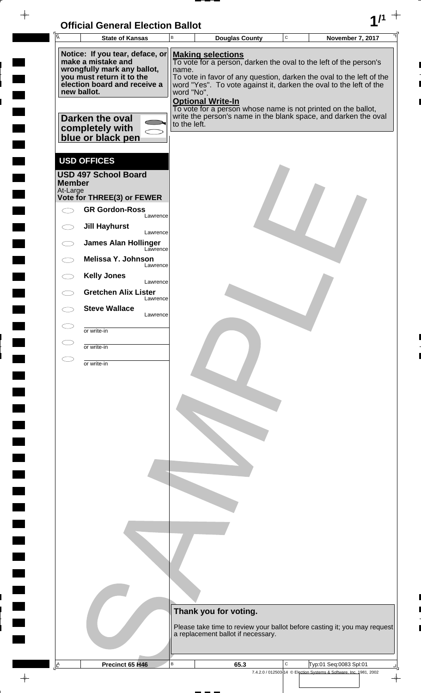| <b>Official General Election Ballot</b> |  |
|-----------------------------------------|--|
|                                         |  |

| $\sqrt{\overline{A}}$ | OMGA OGNGA LIGUNDI DANUL<br><b>State of Kansas</b>       | B            | <b>Douglas County</b>                                                                                                            | $\mathbf C$                                                        | <b>November 7, 2017</b> |  |
|-----------------------|----------------------------------------------------------|--------------|----------------------------------------------------------------------------------------------------------------------------------|--------------------------------------------------------------------|-------------------------|--|
|                       |                                                          |              |                                                                                                                                  |                                                                    |                         |  |
|                       | Notice: If you tear, deface, or<br>make a mistake and    |              | <b>Making selections</b><br>To vote for a person, darken the oval to the left of the person's                                    |                                                                    |                         |  |
|                       | wrongfully mark any ballot,<br>you must return it to the | name.        | To vote in favor of any question, darken the oval to the left of the                                                             |                                                                    |                         |  |
|                       | election board and receive a<br>new ballot.              |              | word "Yes". To vote against it, darken the oval to the left of the                                                               |                                                                    |                         |  |
|                       |                                                          | word "No".   | <b>Optional Write-In</b>                                                                                                         |                                                                    |                         |  |
|                       |                                                          |              | To vote for a person whose name is not printed on the ballot,<br>write the person's name in the blank space, and darken the oval |                                                                    |                         |  |
|                       | Darken the oval<br>completely with                       | to the left. |                                                                                                                                  |                                                                    |                         |  |
|                       | blue or black pen                                        |              |                                                                                                                                  |                                                                    |                         |  |
|                       |                                                          |              |                                                                                                                                  |                                                                    |                         |  |
|                       | <b>USD OFFICES</b>                                       |              |                                                                                                                                  |                                                                    |                         |  |
| <b>Member</b>         | <b>USD 497 School Board</b>                              |              |                                                                                                                                  |                                                                    |                         |  |
| At-Large              |                                                          |              |                                                                                                                                  |                                                                    |                         |  |
|                       | Vote for THREE(3) or FEWER<br><b>GR Gordon-Ross</b>      |              |                                                                                                                                  |                                                                    |                         |  |
|                       | Lawrence                                                 |              |                                                                                                                                  |                                                                    |                         |  |
|                       | <b>Jill Hayhurst</b><br>Lawrence                         |              |                                                                                                                                  |                                                                    |                         |  |
|                       | <b>James Alan Hollinger</b><br>Lawrence                  |              |                                                                                                                                  |                                                                    |                         |  |
|                       | Melissa Y. Johnson<br>Lawrence                           |              |                                                                                                                                  |                                                                    |                         |  |
|                       | <b>Kelly Jones</b>                                       |              |                                                                                                                                  |                                                                    |                         |  |
|                       | Lawrence<br><b>Gretchen Alix Lister</b>                  |              |                                                                                                                                  |                                                                    |                         |  |
|                       | Lawrence<br><b>Steve Wallace</b>                         |              |                                                                                                                                  |                                                                    |                         |  |
|                       | Lawrence                                                 |              |                                                                                                                                  |                                                                    |                         |  |
|                       | or write-in                                              |              |                                                                                                                                  |                                                                    |                         |  |
|                       | or write-in                                              |              |                                                                                                                                  |                                                                    |                         |  |
|                       | or write-in                                              |              |                                                                                                                                  |                                                                    |                         |  |
|                       |                                                          |              |                                                                                                                                  |                                                                    |                         |  |
|                       |                                                          |              |                                                                                                                                  |                                                                    |                         |  |
|                       |                                                          |              |                                                                                                                                  |                                                                    |                         |  |
|                       |                                                          |              |                                                                                                                                  |                                                                    |                         |  |
|                       |                                                          |              |                                                                                                                                  |                                                                    |                         |  |
|                       |                                                          |              |                                                                                                                                  |                                                                    |                         |  |
|                       |                                                          |              |                                                                                                                                  |                                                                    |                         |  |
|                       |                                                          |              |                                                                                                                                  |                                                                    |                         |  |
|                       |                                                          |              |                                                                                                                                  |                                                                    |                         |  |
|                       |                                                          |              |                                                                                                                                  |                                                                    |                         |  |
|                       |                                                          |              |                                                                                                                                  |                                                                    |                         |  |
|                       |                                                          |              |                                                                                                                                  |                                                                    |                         |  |
|                       |                                                          |              |                                                                                                                                  |                                                                    |                         |  |
|                       |                                                          |              |                                                                                                                                  |                                                                    |                         |  |
|                       |                                                          |              |                                                                                                                                  |                                                                    |                         |  |
|                       |                                                          |              |                                                                                                                                  |                                                                    |                         |  |
|                       |                                                          |              |                                                                                                                                  |                                                                    |                         |  |
|                       |                                                          |              |                                                                                                                                  |                                                                    |                         |  |
|                       |                                                          |              | Thank you for voting.                                                                                                            |                                                                    |                         |  |
|                       |                                                          |              | Please take time to review your ballot before casting it; you may request<br>a replacement ballot if necessary.                  |                                                                    |                         |  |
|                       |                                                          |              |                                                                                                                                  |                                                                    |                         |  |
| $\mathbf{A}$          | Precinct 65 H46                                          | B            | 65.3                                                                                                                             | $\mathbf C$                                                        | Typ:01 Seq:0083 Spl:01  |  |
|                       |                                                          |              |                                                                                                                                  | 7.4.2.0 / 012503-14 © Election Systems & Software, Inc. 1981, 2002 |                         |  |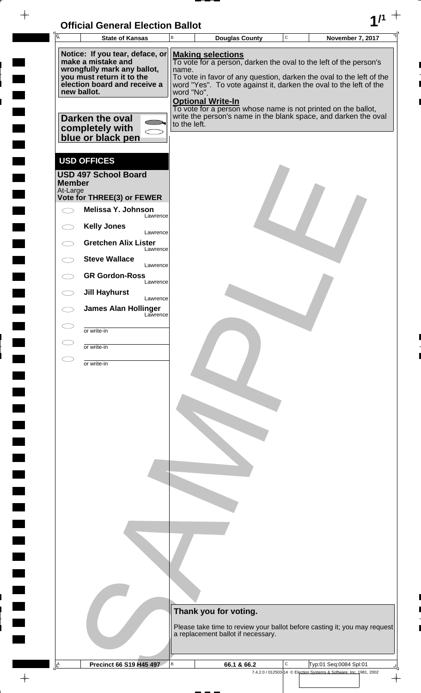| <b>Official General Election Ballot</b> |  |
|-----------------------------------------|--|
|                                         |  |

 $\overline{\phantom{a}}$ 

 $\blacksquare$ 

 $\blacksquare$ 

 $\overline{\phantom{a}}$ 

 $\blacksquare$ 

 $\overline{\phantom{a}}$ 

 $\blacksquare$ L

 $\frac{1}{\sqrt{2\pi}}\int_{0}^{\frac{1}{2}}\frac{1}{\sqrt{2\pi}}\left( \frac{1}{\sqrt{2\pi}}\right) \frac{1}{\sqrt{2\pi}}\left( \frac{1}{\sqrt{2\pi}}\right) \frac{1}{\sqrt{2\pi}}\int_{0}^{\frac{1}{2}}\frac{1}{\sqrt{2\pi}}\left( \frac{1}{\sqrt{2\pi}}\right) \frac{1}{\sqrt{2\pi}}\frac{1}{\sqrt{2\pi}}\frac{1}{\sqrt{2\pi}}\frac{1}{\sqrt{2\pi}}\frac{1}{\sqrt{2\pi}}\frac{1}{\sqrt{2\pi}}\frac{1}{\sqrt{$ 

| $\overline{A}$ |                                                                                                                                                                                                                             | <b>State of Kansas</b>                                                                                                                                                                                                                                                  | B | <b>Douglas County</b>                                                                                                                                                                                                                                                                                                                                                                                                                              | $\mathbf C$ | November 7, 2017                                                   |   |
|----------------|-----------------------------------------------------------------------------------------------------------------------------------------------------------------------------------------------------------------------------|-------------------------------------------------------------------------------------------------------------------------------------------------------------------------------------------------------------------------------------------------------------------------|---|----------------------------------------------------------------------------------------------------------------------------------------------------------------------------------------------------------------------------------------------------------------------------------------------------------------------------------------------------------------------------------------------------------------------------------------------------|-------------|--------------------------------------------------------------------|---|
|                | Notice: If you tear, deface, or<br>make a mistake and<br>wrongfully mark any ballot,<br>you must return it to the<br>election board and receive a<br>new ballot.<br>Darken the oval<br>completely with<br>blue or black pen |                                                                                                                                                                                                                                                                         |   | <b>Making selections</b><br>To vote for a person, darken the oval to the left of the person's<br>name.<br>To vote in favor of any question, darken the oval to the left of the<br>word "Yes". To vote against it, darken the oval to the left of the<br>word "No".<br><b>Optional Write-In</b><br>To vote for a person whose name is not printed on the ballot,<br>write the person's name in the blank space, and darken the oval<br>to the left. |             |                                                                    |   |
|                | <b>Member</b><br>At-Large                                                                                                                                                                                                   | <b>USD OFFICES</b><br><b>USD 497 School Board</b><br>Vote for THREE(3) or FEWER<br>Melissa Y. Johnson<br>Lawrence<br><b>Kelly Jones</b><br>Lawrence<br><b>Gretchen Alix Lister</b><br>Lawrence<br><b>Steve Wallace</b><br>Lawrence<br><b>GR Gordon-Ross</b><br>Lawrence |   |                                                                                                                                                                                                                                                                                                                                                                                                                                                    |             |                                                                    |   |
|                |                                                                                                                                                                                                                             | <b>Jill Hayhurst</b><br>Lawrence<br><b>James Alan Hollinger</b><br>Lawrence<br>or write-in<br>or write-in<br>or write-in                                                                                                                                                |   |                                                                                                                                                                                                                                                                                                                                                                                                                                                    |             |                                                                    |   |
|                |                                                                                                                                                                                                                             |                                                                                                                                                                                                                                                                         |   |                                                                                                                                                                                                                                                                                                                                                                                                                                                    |             |                                                                    |   |
|                |                                                                                                                                                                                                                             |                                                                                                                                                                                                                                                                         |   |                                                                                                                                                                                                                                                                                                                                                                                                                                                    |             |                                                                    |   |
|                |                                                                                                                                                                                                                             |                                                                                                                                                                                                                                                                         |   | Thank you for voting.<br>Please take time to review your ballot before casting it; you may request<br>a replacement ballot if necessary.                                                                                                                                                                                                                                                                                                           |             |                                                                    |   |
| $\mathbf{A}$   |                                                                                                                                                                                                                             | Precinct 66 S19 H45 497                                                                                                                                                                                                                                                 | В | 66.1 & 66.2                                                                                                                                                                                                                                                                                                                                                                                                                                        | C           | Typ:01 Seq:0084 Spl:01                                             |   |
|                |                                                                                                                                                                                                                             |                                                                                                                                                                                                                                                                         |   |                                                                                                                                                                                                                                                                                                                                                                                                                                                    |             | 7.4.2.0 / 012503-14 © Election Systems & Software, Inc. 1981, 2002 | ✦ |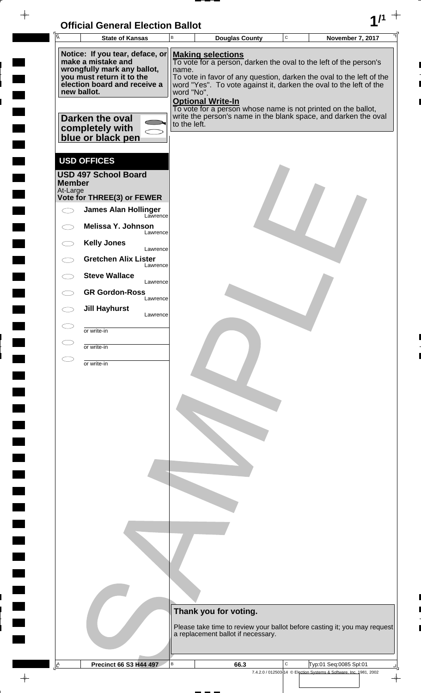| <b>Official General Election Ballot</b> |  |
|-----------------------------------------|--|
|                                         |  |

|               | <b>State of Kansas</b>                                                   | В                        |                                                                                                                                            | <b>Douglas County</b> | November 7, 2017 |
|---------------|--------------------------------------------------------------------------|--------------------------|--------------------------------------------------------------------------------------------------------------------------------------------|-----------------------|------------------|
|               | Notice: If you tear, deface, or                                          |                          | <b>Making selections</b>                                                                                                                   |                       |                  |
|               | make a mistake and<br>wrongfully mark any ballot,                        | name.                    | To vote for a person, darken the oval to the left of the person's                                                                          |                       |                  |
|               | you must return it to the<br>election board and receive a<br>new ballot. | word "No".               | To vote in favor of any question, darken the oval to the left of the<br>word "Yes". To vote against it, darken the oval to the left of the |                       |                  |
|               |                                                                          | <b>Optional Write-In</b> | To vote for a person whose name is not printed on the ballot,                                                                              |                       |                  |
|               | Darken the oval                                                          | to the left.             | write the person's name in the blank space, and darken the oval                                                                            |                       |                  |
|               | completely with<br>blue or black pen                                     |                          |                                                                                                                                            |                       |                  |
|               | <b>USD OFFICES</b>                                                       |                          |                                                                                                                                            |                       |                  |
| <b>Member</b> | <b>USD 497 School Board</b>                                              |                          |                                                                                                                                            |                       |                  |
| At-Large      | Vote for THREE(3) or FEWER                                               |                          |                                                                                                                                            |                       |                  |
|               | <b>James Alan Hollinger</b><br>Lawrence                                  |                          |                                                                                                                                            |                       |                  |
|               | Melissa Y. Johnson<br>Lawrence                                           |                          |                                                                                                                                            |                       |                  |
|               | <b>Kelly Jones</b><br>Lawrence                                           |                          |                                                                                                                                            |                       |                  |
|               | <b>Gretchen Alix Lister</b><br>Lawrence                                  |                          |                                                                                                                                            |                       |                  |
|               | <b>Steve Wallace</b><br>Lawrence                                         |                          |                                                                                                                                            |                       |                  |
|               | <b>GR Gordon-Ross</b><br>Lawrence<br><b>Jill Hayhurst</b>                |                          |                                                                                                                                            |                       |                  |
|               | Lawrence                                                                 |                          |                                                                                                                                            |                       |                  |
|               | or write-in                                                              |                          |                                                                                                                                            |                       |                  |
|               | or write-in                                                              |                          |                                                                                                                                            |                       |                  |
|               |                                                                          |                          |                                                                                                                                            |                       |                  |
|               |                                                                          |                          |                                                                                                                                            |                       |                  |
|               |                                                                          |                          |                                                                                                                                            |                       |                  |
|               |                                                                          |                          |                                                                                                                                            |                       |                  |
|               |                                                                          |                          |                                                                                                                                            |                       |                  |
|               |                                                                          |                          |                                                                                                                                            |                       |                  |
|               |                                                                          |                          |                                                                                                                                            |                       |                  |
|               |                                                                          |                          |                                                                                                                                            |                       |                  |
|               |                                                                          |                          |                                                                                                                                            |                       |                  |
|               |                                                                          |                          |                                                                                                                                            |                       |                  |
|               |                                                                          |                          |                                                                                                                                            |                       |                  |
|               |                                                                          |                          |                                                                                                                                            |                       |                  |
|               |                                                                          |                          | Thank you for voting.                                                                                                                      |                       |                  |
|               |                                                                          |                          | Please take time to review your ballot before casting it; you may request                                                                  |                       |                  |
|               |                                                                          |                          | a replacement ballot if necessary.                                                                                                         |                       |                  |

 $\overline{\phantom{a}}$ 

 $\blacksquare$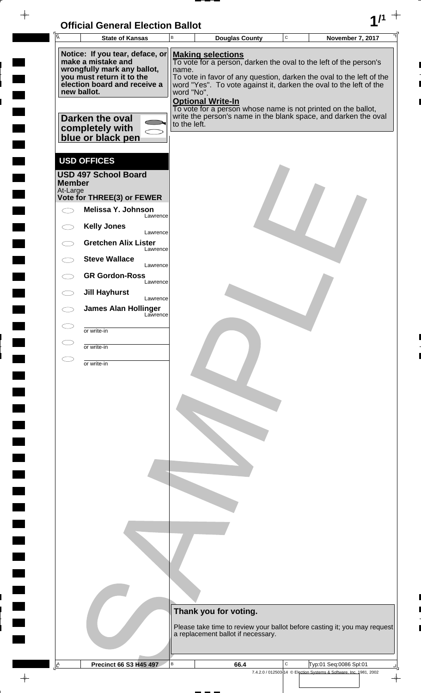| <b>Official General Election Ballot</b> |  |
|-----------------------------------------|--|
|                                         |  |

 $\blacksquare$ 

 $\blacksquare$ 

 $\blacksquare$ 

 $\Box$  $\blacksquare$ 

 $\blacksquare$ 

 $\Box$ 

 $\blacksquare$ 

 $\blacksquare$ 

 $\overline{\phantom{0}}$ 

 $\blacksquare$ 

 $\blacksquare$ 

**The Second** 

 $\Box$ 

 $\blacksquare$ 

 $\Box$ 

 $\blacksquare$ 

 $\frac{1}{\sqrt{2\pi}}$ 

Г 

| $\overline{A}$                                                                                                                                                                                                              | <b>State of Kansas</b>                                                          | $\sf B$ | <b>Douglas County</b>                                                                                                                                                                                                                                                                                                                                                                                                                              | C | <b>November 7, 2017</b>                                                                      |  |  |  |
|-----------------------------------------------------------------------------------------------------------------------------------------------------------------------------------------------------------------------------|---------------------------------------------------------------------------------|---------|----------------------------------------------------------------------------------------------------------------------------------------------------------------------------------------------------------------------------------------------------------------------------------------------------------------------------------------------------------------------------------------------------------------------------------------------------|---|----------------------------------------------------------------------------------------------|--|--|--|
| Notice: If you tear, deface, or<br>make a mistake and<br>wrongfully mark any ballot,<br>you must return it to the<br>election board and receive a<br>new ballot.<br>Darken the oval<br>completely with<br>blue or black pen |                                                                                 |         | <b>Making selections</b><br>To vote for a person, darken the oval to the left of the person's<br>name.<br>To vote in favor of any question, darken the oval to the left of the<br>word "Yes". To vote against it, darken the oval to the left of the<br>word "No".<br><b>Optional Write-In</b><br>To vote for a person whose name is not printed on the ballot,<br>write the person's name in the blank space, and darken the oval<br>to the left. |   |                                                                                              |  |  |  |
| <b>Member</b><br>At-Large                                                                                                                                                                                                   | <b>USD OFFICES</b><br><b>USD 497 School Board</b><br>Vote for THREE(3) or FEWER |         |                                                                                                                                                                                                                                                                                                                                                                                                                                                    |   |                                                                                              |  |  |  |
|                                                                                                                                                                                                                             | Melissa Y. Johnson<br>Lawrence                                                  |         |                                                                                                                                                                                                                                                                                                                                                                                                                                                    |   |                                                                                              |  |  |  |
|                                                                                                                                                                                                                             | <b>Kelly Jones</b><br>Lawrence                                                  |         |                                                                                                                                                                                                                                                                                                                                                                                                                                                    |   |                                                                                              |  |  |  |
|                                                                                                                                                                                                                             | <b>Gretchen Alix Lister</b><br>Lawrence                                         |         |                                                                                                                                                                                                                                                                                                                                                                                                                                                    |   |                                                                                              |  |  |  |
|                                                                                                                                                                                                                             | <b>Steve Wallace</b><br>Lawrence                                                |         |                                                                                                                                                                                                                                                                                                                                                                                                                                                    |   |                                                                                              |  |  |  |
|                                                                                                                                                                                                                             | <b>GR Gordon-Ross</b><br>Lawrence                                               |         |                                                                                                                                                                                                                                                                                                                                                                                                                                                    |   |                                                                                              |  |  |  |
|                                                                                                                                                                                                                             | <b>Jill Hayhurst</b><br>Lawrence                                                |         |                                                                                                                                                                                                                                                                                                                                                                                                                                                    |   |                                                                                              |  |  |  |
|                                                                                                                                                                                                                             | <b>James Alan Hollinger</b><br>Lawrence                                         |         |                                                                                                                                                                                                                                                                                                                                                                                                                                                    |   |                                                                                              |  |  |  |
|                                                                                                                                                                                                                             | or write-in                                                                     |         |                                                                                                                                                                                                                                                                                                                                                                                                                                                    |   |                                                                                              |  |  |  |
|                                                                                                                                                                                                                             | or write-in                                                                     |         |                                                                                                                                                                                                                                                                                                                                                                                                                                                    |   |                                                                                              |  |  |  |
|                                                                                                                                                                                                                             | or write-in                                                                     |         |                                                                                                                                                                                                                                                                                                                                                                                                                                                    |   |                                                                                              |  |  |  |
|                                                                                                                                                                                                                             |                                                                                 |         | Thank you for voting.<br>Please take time to review your ballot before casting it; you may request<br>a replacement ballot if necessary.                                                                                                                                                                                                                                                                                                           |   |                                                                                              |  |  |  |
| $\mathbf{A}$                                                                                                                                                                                                                | <b>Precinct 66 S3 H45 497</b>                                                   | $\sf B$ | 66.4                                                                                                                                                                                                                                                                                                                                                                                                                                               | С | Typ:01 Seq:0086 Spl:01<br>7.4.2.0 / 012503-14 © Election Systems & Software, Inc. 1981, 2002 |  |  |  |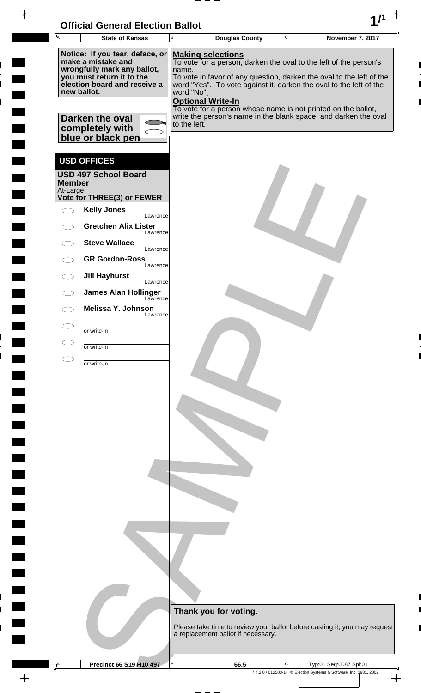| <b>Official General Election Ballot</b> |  |
|-----------------------------------------|--|
|                                         |  |

 $\overline{\phantom{a}}$ 

 $\blacksquare$ 

 $\blacksquare$ 

 $\blacksquare$ 

 $\frac{1}{2}$ 

| Ā                         | <b>State of Kansas</b>                                                                   | UNICIAI UENETAI LIECHUN DANUL<br>В |  | <b>Douglas County</b>              |  | $\mathbf C$ |  | November 7, 2017                                                                                                                           |  |  |
|---------------------------|------------------------------------------------------------------------------------------|------------------------------------|--|------------------------------------|--|-------------|--|--------------------------------------------------------------------------------------------------------------------------------------------|--|--|
|                           | Notice: If you tear, deface, or<br>make a mistake and                                    |                                    |  | <b>Making selections</b>           |  |             |  | To vote for a person, darken the oval to the left of the person's                                                                          |  |  |
|                           | wrongfully mark any ballot,<br>you must return it to the<br>election board and receive a | name.                              |  |                                    |  |             |  | To vote in favor of any question, darken the oval to the left of the<br>word "Yes". To vote against it, darken the oval to the left of the |  |  |
|                           | new ballot.                                                                              | word "No".                         |  | <b>Optional Write-In</b>           |  |             |  | To vote for a person whose name is not printed on the ballot,                                                                              |  |  |
|                           | Darken the oval<br>completely with<br>blue or black pen                                  | to the left.                       |  |                                    |  |             |  | write the person's name in the blank space, and darken the oval                                                                            |  |  |
|                           | <b>USD OFFICES</b>                                                                       |                                    |  |                                    |  |             |  |                                                                                                                                            |  |  |
| <b>Member</b><br>At-Large | <b>USD 497 School Board</b>                                                              |                                    |  |                                    |  |             |  |                                                                                                                                            |  |  |
|                           | Vote for THREE(3) or FEWER                                                               |                                    |  |                                    |  |             |  |                                                                                                                                            |  |  |
|                           | <b>Kelly Jones</b><br>Lawrence                                                           |                                    |  |                                    |  |             |  |                                                                                                                                            |  |  |
|                           | <b>Gretchen Alix Lister</b><br>Lawrence                                                  |                                    |  |                                    |  |             |  |                                                                                                                                            |  |  |
|                           | <b>Steve Wallace</b><br>Lawrence                                                         |                                    |  |                                    |  |             |  |                                                                                                                                            |  |  |
|                           | <b>GR Gordon-Ross</b><br>Lawrence                                                        |                                    |  |                                    |  |             |  |                                                                                                                                            |  |  |
| $\bigcirc$                | <b>Jill Hayhurst</b><br>Lawrence                                                         |                                    |  |                                    |  |             |  |                                                                                                                                            |  |  |
|                           | <b>James Alan Hollinger</b><br>Lawrence                                                  |                                    |  |                                    |  |             |  |                                                                                                                                            |  |  |
|                           | Melissa Y. Johnson<br>Lawrence                                                           |                                    |  |                                    |  |             |  |                                                                                                                                            |  |  |
|                           | or write-in                                                                              |                                    |  |                                    |  |             |  |                                                                                                                                            |  |  |
|                           | or write-in                                                                              |                                    |  |                                    |  |             |  |                                                                                                                                            |  |  |
|                           | or write-in                                                                              |                                    |  |                                    |  |             |  |                                                                                                                                            |  |  |
|                           |                                                                                          |                                    |  |                                    |  |             |  |                                                                                                                                            |  |  |
|                           |                                                                                          |                                    |  |                                    |  |             |  |                                                                                                                                            |  |  |
|                           |                                                                                          |                                    |  |                                    |  |             |  |                                                                                                                                            |  |  |
|                           |                                                                                          |                                    |  |                                    |  |             |  |                                                                                                                                            |  |  |
|                           |                                                                                          |                                    |  |                                    |  |             |  |                                                                                                                                            |  |  |
|                           |                                                                                          |                                    |  |                                    |  |             |  |                                                                                                                                            |  |  |
|                           |                                                                                          |                                    |  |                                    |  |             |  |                                                                                                                                            |  |  |
|                           |                                                                                          |                                    |  |                                    |  |             |  |                                                                                                                                            |  |  |
|                           |                                                                                          |                                    |  |                                    |  |             |  |                                                                                                                                            |  |  |
|                           |                                                                                          |                                    |  |                                    |  |             |  |                                                                                                                                            |  |  |
|                           |                                                                                          |                                    |  |                                    |  |             |  |                                                                                                                                            |  |  |
|                           |                                                                                          |                                    |  |                                    |  |             |  |                                                                                                                                            |  |  |
|                           |                                                                                          |                                    |  | Thank you for voting.              |  |             |  |                                                                                                                                            |  |  |
|                           |                                                                                          |                                    |  |                                    |  |             |  | Please take time to review your ballot before casting it; you may request                                                                  |  |  |
|                           |                                                                                          |                                    |  | a replacement ballot if necessary. |  |             |  |                                                                                                                                            |  |  |
| A                         | Precinct 66 S19 H10 497                                                                  | B                                  |  | 66.5                               |  | C           |  | Typ:01 Seq:0087 Spl:01                                                                                                                     |  |  |
|                           |                                                                                          |                                    |  |                                    |  |             |  | 7.4.2.0 / 012503-14 © Election Systems & Software, Inc. 1981, 2002                                                                         |  |  |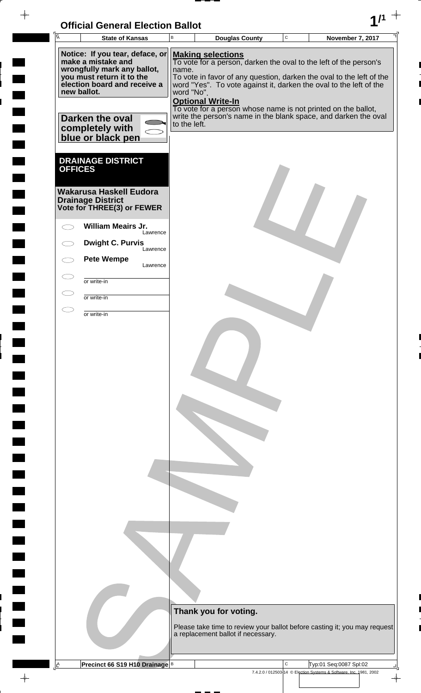| <b>Official General Election Ballot</b> |  |
|-----------------------------------------|--|
|                                         |  |

 $\blacksquare$ 

 $\overline{\phantom{0}}$ 

 $\blacksquare$ 

 $\blacksquare$ 

 $\frac{1}{\sqrt{2\pi}}\int_{0}^{\pi}\frac{1}{\sqrt{2\pi}}\left( \frac{1}{\sqrt{2\pi}}\right) \frac{d\mu}{d\mu}d\mu$ 

|   | Ā              | <b>State of Kansas</b>                                                                                                                            | B                                                                                                                                                                                                                                                                                              | <b>Douglas County</b>                                                                                                            | $\mathbf C$ | November 7, 2017                                                                             |                      |  |  |  |
|---|----------------|---------------------------------------------------------------------------------------------------------------------------------------------------|------------------------------------------------------------------------------------------------------------------------------------------------------------------------------------------------------------------------------------------------------------------------------------------------|----------------------------------------------------------------------------------------------------------------------------------|-------------|----------------------------------------------------------------------------------------------|----------------------|--|--|--|
|   | new ballot.    | Notice: If you tear, deface, or<br>make a mistake and<br>wrongfully mark any ballot,<br>you must return it to the<br>election board and receive a | <b>Making selections</b><br>To vote for a person, darken the oval to the left of the person's<br>name.<br>To vote in favor of any question, darken the oval to the left of the<br>word "Yes". To vote against it, darken the oval to the left of the<br>word "No".<br><b>Optional Write-In</b> |                                                                                                                                  |             |                                                                                              |                      |  |  |  |
|   |                | <b>Darken the oval</b><br>completely with<br>blue or black pen                                                                                    | to the left.                                                                                                                                                                                                                                                                                   | To vote for a person whose name is not printed on the ballot,<br>write the person's name in the blank space, and darken the oval |             |                                                                                              |                      |  |  |  |
|   | <b>OFFICES</b> | <b>DRAINAGE DISTRICT</b>                                                                                                                          |                                                                                                                                                                                                                                                                                                |                                                                                                                                  |             |                                                                                              |                      |  |  |  |
|   |                | <b>Wakarusa Haskell Eudora</b><br><b>Drainage District</b><br>Vote for THREE(3) or FEWER                                                          |                                                                                                                                                                                                                                                                                                |                                                                                                                                  |             |                                                                                              |                      |  |  |  |
|   |                | <b>William Meairs Jr.</b><br>Lawrence                                                                                                             |                                                                                                                                                                                                                                                                                                |                                                                                                                                  |             |                                                                                              |                      |  |  |  |
|   |                | <b>Dwight C. Purvis</b><br>Lawrence                                                                                                               |                                                                                                                                                                                                                                                                                                |                                                                                                                                  |             |                                                                                              |                      |  |  |  |
|   |                | <b>Pete Wempe</b><br>Lawrence                                                                                                                     |                                                                                                                                                                                                                                                                                                |                                                                                                                                  |             |                                                                                              |                      |  |  |  |
|   | Œ              | or write-in                                                                                                                                       |                                                                                                                                                                                                                                                                                                |                                                                                                                                  |             |                                                                                              |                      |  |  |  |
|   | $\subset$      | or write-in                                                                                                                                       |                                                                                                                                                                                                                                                                                                |                                                                                                                                  |             |                                                                                              |                      |  |  |  |
|   |                | or write-in                                                                                                                                       |                                                                                                                                                                                                                                                                                                |                                                                                                                                  |             |                                                                                              |                      |  |  |  |
|   |                |                                                                                                                                                   |                                                                                                                                                                                                                                                                                                | Thank you for voting.<br>Please take time to review your ballot before casting it; you may request                               |             |                                                                                              |                      |  |  |  |
|   |                |                                                                                                                                                   |                                                                                                                                                                                                                                                                                                | a replacement ballot if necessary.                                                                                               |             |                                                                                              |                      |  |  |  |
| A |                | Precinct 66 S19 H10 Drainage B                                                                                                                    |                                                                                                                                                                                                                                                                                                |                                                                                                                                  | C           | Typ:01 Seq:0087 Spl:02<br>7.4.2.0 / 012503-14 © Election Systems & Software, Inc. 1981, 2002 |                      |  |  |  |
|   |                |                                                                                                                                                   |                                                                                                                                                                                                                                                                                                |                                                                                                                                  |             |                                                                                              | $\frac{1}{\sqrt{2}}$ |  |  |  |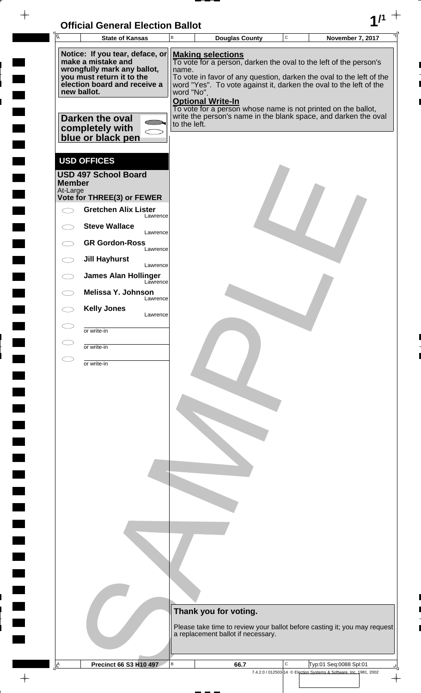| <b>Official General Election Ballot</b> |  |
|-----------------------------------------|--|
|                                         |  |

 $\overline{\phantom{a}}$ 

 $\blacksquare$ 

 $\blacksquare$ 

 $\blacksquare$ 

 $\frac{1}{2}$ 

| Ā             | <b>State of Kansas</b>                                                   | UNICIAI UENETAI LIECHUN DANUL<br>В |  | <b>Douglas County</b>    |                                    | $\mathbf C$ |  | <b>November 7, 2017</b>                                                                                                                    |  |
|---------------|--------------------------------------------------------------------------|------------------------------------|--|--------------------------|------------------------------------|-------------|--|--------------------------------------------------------------------------------------------------------------------------------------------|--|
|               | Notice: If you tear, deface, or<br>make a mistake and                    |                                    |  | <b>Making selections</b> |                                    |             |  |                                                                                                                                            |  |
|               | wrongfully mark any ballot,                                              | name.                              |  |                          |                                    |             |  | To vote for a person, darken the oval to the left of the person's                                                                          |  |
|               | you must return it to the<br>election board and receive a<br>new ballot. | word "No".                         |  |                          |                                    |             |  | To vote in favor of any question, darken the oval to the left of the<br>word "Yes". To vote against it, darken the oval to the left of the |  |
|               |                                                                          |                                    |  | <b>Optional Write-In</b> |                                    |             |  | To vote for a person whose name is not printed on the ballot,                                                                              |  |
|               | Darken the oval                                                          | to the left.                       |  |                          |                                    |             |  | write the person's name in the blank space, and darken the oval                                                                            |  |
|               | completely with<br>blue or black pen                                     |                                    |  |                          |                                    |             |  |                                                                                                                                            |  |
|               | <b>USD OFFICES</b>                                                       |                                    |  |                          |                                    |             |  |                                                                                                                                            |  |
| <b>Member</b> | <b>USD 497 School Board</b>                                              |                                    |  |                          |                                    |             |  |                                                                                                                                            |  |
| At-Large      | Vote for THREE(3) or FEWER                                               |                                    |  |                          |                                    |             |  |                                                                                                                                            |  |
|               | <b>Gretchen Alix Lister</b><br>Lawrence                                  |                                    |  |                          |                                    |             |  |                                                                                                                                            |  |
|               | <b>Steve Wallace</b><br>Lawrence                                         |                                    |  |                          |                                    |             |  |                                                                                                                                            |  |
|               | <b>GR Gordon-Ross</b><br>Lawrence                                        |                                    |  |                          |                                    |             |  |                                                                                                                                            |  |
|               | <b>Jill Hayhurst</b><br>Lawrence                                         |                                    |  |                          |                                    |             |  |                                                                                                                                            |  |
|               | <b>James Alan Hollinger</b><br>Lawrence<br>Melissa Y. Johnson            |                                    |  |                          |                                    |             |  |                                                                                                                                            |  |
|               | Lawrence<br><b>Kelly Jones</b>                                           |                                    |  |                          |                                    |             |  |                                                                                                                                            |  |
|               | Lawrence                                                                 |                                    |  |                          |                                    |             |  |                                                                                                                                            |  |
|               | or write-in<br>or write-in                                               |                                    |  |                          |                                    |             |  |                                                                                                                                            |  |
|               | or write-in                                                              |                                    |  |                          |                                    |             |  |                                                                                                                                            |  |
|               |                                                                          |                                    |  |                          |                                    |             |  |                                                                                                                                            |  |
|               |                                                                          |                                    |  |                          |                                    |             |  |                                                                                                                                            |  |
|               |                                                                          |                                    |  |                          |                                    |             |  |                                                                                                                                            |  |
|               |                                                                          |                                    |  |                          |                                    |             |  |                                                                                                                                            |  |
|               |                                                                          |                                    |  |                          |                                    |             |  |                                                                                                                                            |  |
|               |                                                                          |                                    |  |                          |                                    |             |  |                                                                                                                                            |  |
|               |                                                                          |                                    |  |                          |                                    |             |  |                                                                                                                                            |  |
|               |                                                                          |                                    |  |                          |                                    |             |  |                                                                                                                                            |  |
|               |                                                                          |                                    |  |                          |                                    |             |  |                                                                                                                                            |  |
|               |                                                                          |                                    |  |                          |                                    |             |  |                                                                                                                                            |  |
|               |                                                                          |                                    |  |                          |                                    |             |  |                                                                                                                                            |  |
|               |                                                                          |                                    |  |                          |                                    |             |  |                                                                                                                                            |  |
|               |                                                                          |                                    |  | Thank you for voting.    |                                    |             |  |                                                                                                                                            |  |
|               |                                                                          |                                    |  |                          |                                    |             |  | Please take time to review your ballot before casting it; you may request                                                                  |  |
|               |                                                                          |                                    |  |                          | a replacement ballot if necessary. |             |  |                                                                                                                                            |  |
| A             | <b>Precinct 66 S3 H10 497</b>                                            | B                                  |  |                          | 66.7                               | C           |  | Typ:01 Seq:0088 Spl:01                                                                                                                     |  |
|               |                                                                          |                                    |  |                          |                                    |             |  | 7.4.2.0 / 012503-14 © Election Systems & Software, Inc. 1981, 2002                                                                         |  |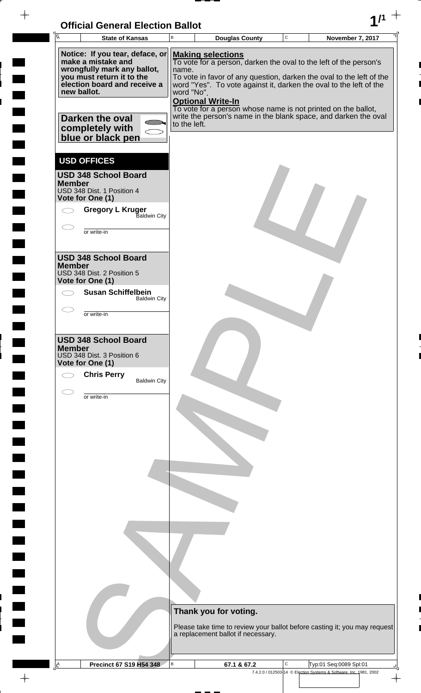

 $\overline{\phantom{a}}$ 

E

 $\blacksquare$ 

| Ā<br><b>State of Kansas</b>                                                                                                                                                                                                 | B                                   | <b>Douglas County</b>                                                                                                                                                                                                                                                                                                                                                                                       | $\mathsf C$ | November 7, 2017                                                                             |
|-----------------------------------------------------------------------------------------------------------------------------------------------------------------------------------------------------------------------------|-------------------------------------|-------------------------------------------------------------------------------------------------------------------------------------------------------------------------------------------------------------------------------------------------------------------------------------------------------------------------------------------------------------------------------------------------------------|-------------|----------------------------------------------------------------------------------------------|
| Notice: If you tear, deface, or<br>make a mistake and<br>wrongfully mark any ballot,<br>you must return it to the<br>election board and receive a<br>new ballot.<br>Darken the oval<br>completely with<br>blue or black pen | name.<br>word "No".<br>to the left. | <b>Making selections</b><br>To vote for a person, darken the oval to the left of the person's<br>To vote in favor of any question, darken the oval to the left of the<br>word "Yes". To vote against it, darken the oval to the left of the<br><b>Optional Write-In</b><br>To vote for a person whose name is not printed on the ballot,<br>write the person's name in the blank space, and darken the oval |             |                                                                                              |
| <b>USD OFFICES</b><br><b>USD 348 School Board</b><br><b>Member</b><br>USD 348 Dist. 1 Position 4<br>Vote for One (1)<br><b>Gregory L Kruger</b><br>Baldwin City<br>or write-in                                              |                                     |                                                                                                                                                                                                                                                                                                                                                                                                             |             |                                                                                              |
| <b>USD 348 School Board</b><br><b>Member</b><br>USD 348 Dist. 2 Position 5<br>Vote for One (1)<br><b>Susan Schiffelbein</b><br><b>Baldwin City</b><br>or write-in                                                           |                                     |                                                                                                                                                                                                                                                                                                                                                                                                             |             |                                                                                              |
| <b>USD 348 School Board</b><br><b>Member</b><br>USD 348 Dist. 3 Position 6<br>Vote for One (1)<br><b>Chris Perry</b><br><b>Baldwin City</b>                                                                                 |                                     |                                                                                                                                                                                                                                                                                                                                                                                                             |             |                                                                                              |
| or write-in                                                                                                                                                                                                                 |                                     |                                                                                                                                                                                                                                                                                                                                                                                                             |             |                                                                                              |
|                                                                                                                                                                                                                             |                                     |                                                                                                                                                                                                                                                                                                                                                                                                             |             |                                                                                              |
|                                                                                                                                                                                                                             |                                     | Thank you for voting.<br>Please take time to review your ballot before casting it; you may request<br>a replacement ballot if necessary.                                                                                                                                                                                                                                                                    |             |                                                                                              |
|                                                                                                                                                                                                                             |                                     |                                                                                                                                                                                                                                                                                                                                                                                                             |             |                                                                                              |
| Precinct 67 S19 H54 348<br>Ŀ                                                                                                                                                                                                | В                                   | 67.1 & 67.2                                                                                                                                                                                                                                                                                                                                                                                                 | С           | Typ:01 Seq:0089 Spl:01<br>7.4.2.0 / 012503-14 © Election Systems & Software, Inc. 1981, 2002 |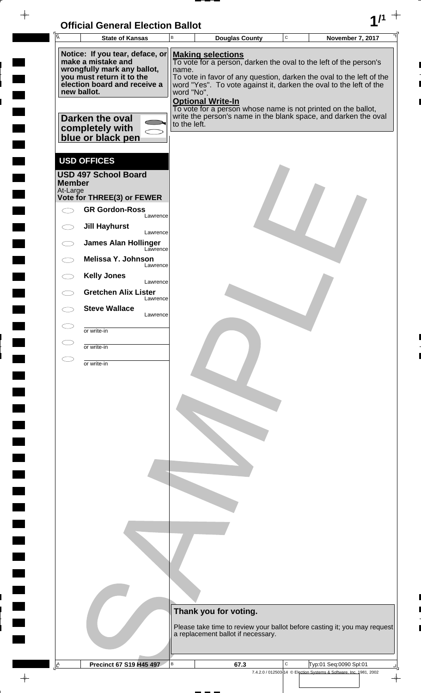| <b>Official General Election Ballot</b> |  |
|-----------------------------------------|--|
|                                         |  |

 $\overline{\phantom{a}}$ 

 $\blacksquare$ 

 $\blacksquare$ 

 $\blacksquare$ 

 $\frac{1}{2}$ 

| UNICIAI UENETAI LIECHUN DANUL<br>Ā<br><b>State of Kansas</b>             | В            |                          | <b>Douglas County</b>              |  | $\mathbf C$ |  | <b>November 7, 2017</b>                                                                                                                    |  |
|--------------------------------------------------------------------------|--------------|--------------------------|------------------------------------|--|-------------|--|--------------------------------------------------------------------------------------------------------------------------------------------|--|
| Notice: If you tear, deface, or<br>make a mistake and                    |              | <b>Making selections</b> |                                    |  |             |  |                                                                                                                                            |  |
| wrongfully mark any ballot,                                              | name.        |                          |                                    |  |             |  | To vote for a person, darken the oval to the left of the person's                                                                          |  |
| you must return it to the<br>election board and receive a<br>new ballot. | word "No".   |                          |                                    |  |             |  | To vote in favor of any question, darken the oval to the left of the<br>word "Yes". To vote against it, darken the oval to the left of the |  |
|                                                                          |              | <b>Optional Write-In</b> |                                    |  |             |  | To vote for a person whose name is not printed on the ballot,                                                                              |  |
| Darken the oval                                                          | to the left. |                          |                                    |  |             |  | write the person's name in the blank space, and darken the oval                                                                            |  |
| completely with<br>blue or black pen                                     |              |                          |                                    |  |             |  |                                                                                                                                            |  |
| <b>USD OFFICES</b>                                                       |              |                          |                                    |  |             |  |                                                                                                                                            |  |
| <b>USD 497 School Board</b><br><b>Member</b>                             |              |                          |                                    |  |             |  |                                                                                                                                            |  |
| At-Large<br>Vote for THREE(3) or FEWER                                   |              |                          |                                    |  |             |  |                                                                                                                                            |  |
| <b>GR Gordon-Ross</b><br>Lawrence                                        |              |                          |                                    |  |             |  |                                                                                                                                            |  |
| <b>Jill Hayhurst</b><br>$\bigcirc$<br>Lawrence                           |              |                          |                                    |  |             |  |                                                                                                                                            |  |
| <b>James Alan Hollinger</b><br>Lawrence                                  |              |                          |                                    |  |             |  |                                                                                                                                            |  |
| Melissa Y. Johnson<br>Lawrence                                           |              |                          |                                    |  |             |  |                                                                                                                                            |  |
| <b>Kelly Jones</b><br>Lawrence                                           |              |                          |                                    |  |             |  |                                                                                                                                            |  |
| <b>Gretchen Alix Lister</b><br>Lawrence<br><b>Steve Wallace</b>          |              |                          |                                    |  |             |  |                                                                                                                                            |  |
| Lawrence                                                                 |              |                          |                                    |  |             |  |                                                                                                                                            |  |
| or write-in                                                              |              |                          |                                    |  |             |  |                                                                                                                                            |  |
| or write-in                                                              |              |                          |                                    |  |             |  |                                                                                                                                            |  |
|                                                                          |              |                          |                                    |  |             |  |                                                                                                                                            |  |
|                                                                          |              |                          |                                    |  |             |  |                                                                                                                                            |  |
|                                                                          |              |                          |                                    |  |             |  |                                                                                                                                            |  |
|                                                                          |              |                          |                                    |  |             |  |                                                                                                                                            |  |
|                                                                          |              |                          |                                    |  |             |  |                                                                                                                                            |  |
|                                                                          |              |                          |                                    |  |             |  |                                                                                                                                            |  |
|                                                                          |              |                          | Thank you for voting.              |  |             |  |                                                                                                                                            |  |
|                                                                          |              |                          | a replacement ballot if necessary. |  |             |  | Please take time to review your ballot before casting it; you may request                                                                  |  |
| A<br>Precinct 67 S19 H45 497                                             | B            |                          | 67.3                               |  | C           |  | Typ:01 Seq:0090 Spl:01                                                                                                                     |  |
|                                                                          |              |                          |                                    |  |             |  | 7.4.2.0 / 012503-14 © Election Systems & Software, Inc. 1981, 2002                                                                         |  |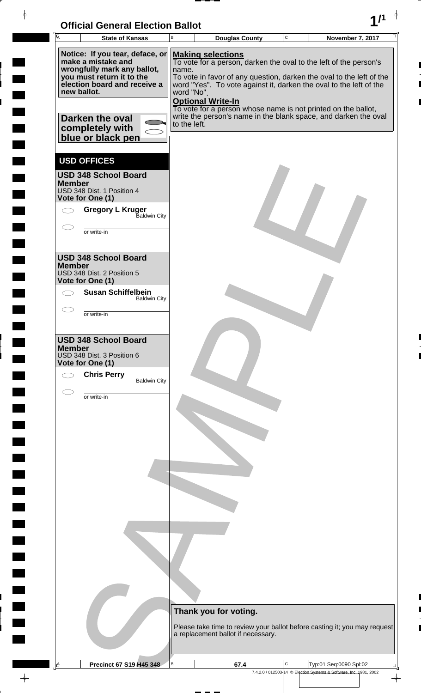$\frac{1}{\left( \frac{1}{2} \right)}$ 



 $\rightarrow$ 

 $\frac{1}{2}$ 

 $\frac{1}{2}$ 

 $\blacksquare$ 

 $\frac{1}{2}$ 

 $\ddot{\phantom{a}}$ 

 $\overline{a}$ 

<u>rang</u>

 $\rightarrow$ 

| A             | <b>State of Kansas</b>                                                                                                                                                              | В                                                                                                                                                                                                                                                                                                                                                                                                                                  | <b>Douglas County</b>                                                                                           | C | November 7, 2017                                                   |  |  |
|---------------|-------------------------------------------------------------------------------------------------------------------------------------------------------------------------------------|------------------------------------------------------------------------------------------------------------------------------------------------------------------------------------------------------------------------------------------------------------------------------------------------------------------------------------------------------------------------------------------------------------------------------------|-----------------------------------------------------------------------------------------------------------------|---|--------------------------------------------------------------------|--|--|
|               | Notice: If you tear, deface, or<br>make a mistake and<br>wrongfully mark any ballot,<br>you must return it to the<br>election board and receive a<br>new ballot.<br>Darken the oval | <b>Making selections</b><br>To vote for a person, darken the oval to the left of the person's<br>name.<br>To vote in favor of any question, darken the oval to the left of the<br>word "Yes". To vote against it, darken the oval to the left of the<br>word "No".<br><b>Optional Write-In</b><br>To vote for a person whose name is not printed on the ballot,<br>write the person's name in the blank space, and darken the oval |                                                                                                                 |   |                                                                    |  |  |
|               | completely with<br>blue or black pen                                                                                                                                                | to the left.                                                                                                                                                                                                                                                                                                                                                                                                                       |                                                                                                                 |   |                                                                    |  |  |
| <b>Member</b> | <b>USD OFFICES</b><br><b>USD 348 School Board</b><br>USD 348 Dist. 1 Position 4<br>Vote for One (1)                                                                                 |                                                                                                                                                                                                                                                                                                                                                                                                                                    |                                                                                                                 |   |                                                                    |  |  |
|               | <b>Gregory L Kruger</b><br>Baldwin City<br>or write-in                                                                                                                              |                                                                                                                                                                                                                                                                                                                                                                                                                                    |                                                                                                                 |   |                                                                    |  |  |
| <b>Member</b> | <b>USD 348 School Board</b><br>USD 348 Dist. 2 Position 5<br>Vote for One (1)                                                                                                       |                                                                                                                                                                                                                                                                                                                                                                                                                                    |                                                                                                                 |   |                                                                    |  |  |
|               | <b>Susan Schiffelbein</b><br><b>Baldwin City</b>                                                                                                                                    |                                                                                                                                                                                                                                                                                                                                                                                                                                    |                                                                                                                 |   |                                                                    |  |  |
|               | or write-in                                                                                                                                                                         |                                                                                                                                                                                                                                                                                                                                                                                                                                    |                                                                                                                 |   |                                                                    |  |  |
| <b>Member</b> | <b>USD 348 School Board</b><br>USD 348 Dist. 3 Position 6<br>Vote for One (1)<br><b>Chris Perry</b><br><b>Baldwin City</b>                                                          |                                                                                                                                                                                                                                                                                                                                                                                                                                    |                                                                                                                 |   |                                                                    |  |  |
|               | or write-in                                                                                                                                                                         |                                                                                                                                                                                                                                                                                                                                                                                                                                    |                                                                                                                 |   |                                                                    |  |  |
|               |                                                                                                                                                                                     |                                                                                                                                                                                                                                                                                                                                                                                                                                    |                                                                                                                 |   |                                                                    |  |  |
|               |                                                                                                                                                                                     |                                                                                                                                                                                                                                                                                                                                                                                                                                    |                                                                                                                 |   |                                                                    |  |  |
|               |                                                                                                                                                                                     |                                                                                                                                                                                                                                                                                                                                                                                                                                    | Thank you for voting.                                                                                           |   |                                                                    |  |  |
|               |                                                                                                                                                                                     |                                                                                                                                                                                                                                                                                                                                                                                                                                    | Please take time to review your ballot before casting it; you may request<br>a replacement ballot if necessary. |   |                                                                    |  |  |
|               | <b>Precinct 67 S19 H45 348</b>                                                                                                                                                      | B                                                                                                                                                                                                                                                                                                                                                                                                                                  | 67.4                                                                                                            | С | Typ:01 Seq:0090 Spl:02                                             |  |  |
|               |                                                                                                                                                                                     |                                                                                                                                                                                                                                                                                                                                                                                                                                    |                                                                                                                 |   | 7.4.2.0 / 012503-14 © Election Systems & Software, Inc. 1981, 2002 |  |  |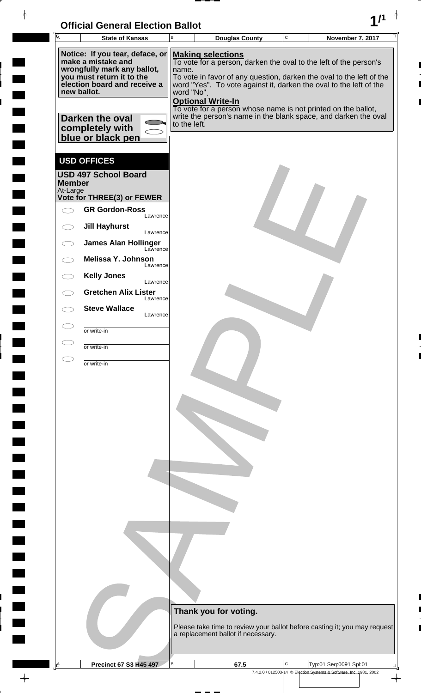| <b>Official General Election Ballot</b> |  |
|-----------------------------------------|--|
|                                         |  |

| $\sqrt{\overline{A}}$     | OMGA OGNGA LIGUNDI DANUL<br><b>State of Kansas</b>       | B            | <b>Douglas County</b>                                                                     | $\mathbf C$ | <b>November 7, 2017</b>                                            |               |
|---------------------------|----------------------------------------------------------|--------------|-------------------------------------------------------------------------------------------|-------------|--------------------------------------------------------------------|---------------|
|                           | Notice: If you tear, deface, or                          |              | <b>Making selections</b>                                                                  |             |                                                                    |               |
|                           | make a mistake and                                       |              | To vote for a person, darken the oval to the left of the person's                         |             |                                                                    |               |
|                           | wrongfully mark any ballot,<br>you must return it to the | name.        | To vote in favor of any question, darken the oval to the left of the                      |             |                                                                    |               |
|                           | election board and receive a<br>new ballot.              | word "No".   | word "Yes". To vote against it, darken the oval to the left of the                        |             |                                                                    |               |
|                           |                                                          |              | <b>Optional Write-In</b><br>To vote for a person whose name is not printed on the ballot, |             |                                                                    |               |
|                           | Darken the oval                                          |              | write the person's name in the blank space, and darken the oval                           |             |                                                                    |               |
|                           | completely with                                          | to the left. |                                                                                           |             |                                                                    |               |
|                           | blue or black pen                                        |              |                                                                                           |             |                                                                    |               |
|                           | <b>USD OFFICES</b>                                       |              |                                                                                           |             |                                                                    |               |
|                           | <b>USD 497 School Board</b>                              |              |                                                                                           |             |                                                                    |               |
| <b>Member</b><br>At-Large |                                                          |              |                                                                                           |             |                                                                    |               |
|                           | Vote for THREE(3) or FEWER                               |              |                                                                                           |             |                                                                    |               |
|                           | <b>GR Gordon-Ross</b><br>Lawrence                        |              |                                                                                           |             |                                                                    |               |
|                           | <b>Jill Hayhurst</b><br>Lawrence                         |              |                                                                                           |             |                                                                    |               |
|                           | <b>James Alan Hollinger</b><br>Lawrence                  |              |                                                                                           |             |                                                                    |               |
|                           | <b>Melissa Y. Johnson</b>                                |              |                                                                                           |             |                                                                    |               |
|                           | Lawrence<br><b>Kelly Jones</b>                           |              |                                                                                           |             |                                                                    |               |
|                           | Lawrence<br><b>Gretchen Alix Lister</b>                  |              |                                                                                           |             |                                                                    |               |
|                           | Lawrence                                                 |              |                                                                                           |             |                                                                    |               |
|                           | <b>Steve Wallace</b><br>Lawrence                         |              |                                                                                           |             |                                                                    |               |
|                           | or write-in                                              |              |                                                                                           |             |                                                                    |               |
|                           | or write-in                                              |              |                                                                                           |             |                                                                    |               |
|                           | or write-in                                              |              |                                                                                           |             |                                                                    |               |
|                           |                                                          |              |                                                                                           |             |                                                                    |               |
|                           |                                                          |              |                                                                                           |             |                                                                    |               |
|                           |                                                          |              |                                                                                           |             |                                                                    |               |
|                           |                                                          |              |                                                                                           |             |                                                                    |               |
|                           |                                                          |              |                                                                                           |             |                                                                    |               |
|                           |                                                          |              |                                                                                           |             |                                                                    |               |
|                           |                                                          |              |                                                                                           |             |                                                                    |               |
|                           |                                                          |              |                                                                                           |             |                                                                    |               |
|                           |                                                          |              |                                                                                           |             |                                                                    |               |
|                           |                                                          |              |                                                                                           |             |                                                                    |               |
|                           |                                                          |              |                                                                                           |             |                                                                    |               |
|                           |                                                          |              |                                                                                           |             |                                                                    |               |
|                           |                                                          |              |                                                                                           |             |                                                                    |               |
|                           |                                                          |              |                                                                                           |             |                                                                    |               |
|                           |                                                          |              |                                                                                           |             |                                                                    |               |
|                           |                                                          |              |                                                                                           |             |                                                                    |               |
|                           |                                                          |              | Thank you for voting.                                                                     |             |                                                                    |               |
|                           |                                                          |              | Please take time to review your ballot before casting it; you may request                 |             |                                                                    |               |
|                           |                                                          |              | a replacement ballot if necessary.                                                        |             |                                                                    |               |
|                           |                                                          |              |                                                                                           |             |                                                                    |               |
| $\mathbf{A}$              | <b>Precinct 67 S3 H45 497</b>                            | В            | 67.5                                                                                      | $\mathbf C$ | Typ:01 Seq:0091 Spl:01                                             |               |
|                           |                                                          |              |                                                                                           |             | 7.4.2.0 / 012503-14 © Election Systems & Software, Inc. 1981, 2002 | $\rightarrow$ |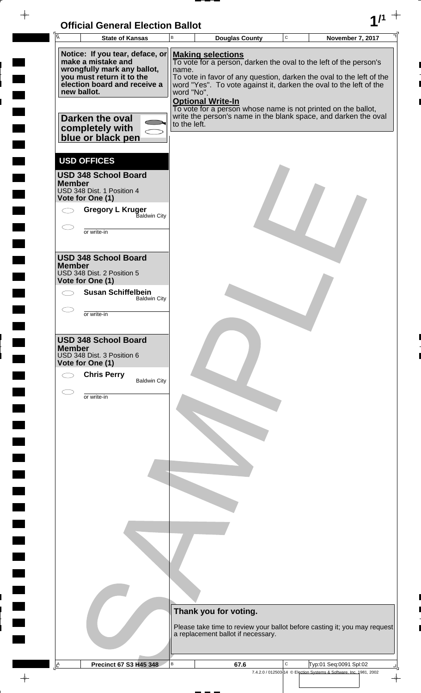

 $\overline{ }$  =  $\overline{ }$  =  $\overline{ }$ 

 $\frac{1}{2}$ 

 $\blacksquare$ 

 $\overline{\phantom{a}}$ 

 $\frac{1}{2}$ 

<u>rang</u>

 $\rightarrow$ 

| <b>A</b>                                                                                                                                                 | <b>State of Kansas</b>                                                                         | B                                   | <b>Douglas County</b>                                                                                                                                                                                                                                                                                                                                                                                       | $\mathbf C$ | November 7, 2017                                                   |
|----------------------------------------------------------------------------------------------------------------------------------------------------------|------------------------------------------------------------------------------------------------|-------------------------------------|-------------------------------------------------------------------------------------------------------------------------------------------------------------------------------------------------------------------------------------------------------------------------------------------------------------------------------------------------------------------------------------------------------------|-------------|--------------------------------------------------------------------|
| make a mistake and<br>you must return it to the<br>new ballot.<br>Darken the oval<br>completely with                                                     | Notice: If you tear, deface, or<br>wrongfully mark any ballot,<br>election board and receive a | name.<br>word "No".<br>to the left. | <b>Making selections</b><br>To vote for a person, darken the oval to the left of the person's<br>To vote in favor of any question, darken the oval to the left of the<br>word "Yes". To vote against it, darken the oval to the left of the<br><b>Optional Write-In</b><br>To vote for a person whose name is not printed on the ballot,<br>write the person's name in the blank space, and darken the oval |             |                                                                    |
| blue or black pen<br><b>USD OFFICES</b><br><b>USD 348 School Board</b><br><b>Member</b><br>USD 348 Dist. 1 Position 4<br>Vote for One (1)<br>or write-in | <b>Gregory L Kruger</b><br>Baldwin City                                                        |                                     |                                                                                                                                                                                                                                                                                                                                                                                                             |             |                                                                    |
| <b>USD 348 School Board</b><br><b>Member</b><br>USD 348 Dist. 2 Position 5<br>Vote for One (1)<br>or write-in                                            | <b>Susan Schiffelbein</b><br><b>Baldwin City</b>                                               |                                     |                                                                                                                                                                                                                                                                                                                                                                                                             |             |                                                                    |
| <b>USD 348 School Board</b><br><b>Member</b><br>USD 348 Dist. 3 Position 6<br>Vote for One (1)<br><b>Chris Perry</b>                                     | <b>Baldwin City</b>                                                                            |                                     |                                                                                                                                                                                                                                                                                                                                                                                                             |             |                                                                    |
| or write-in                                                                                                                                              |                                                                                                |                                     |                                                                                                                                                                                                                                                                                                                                                                                                             |             |                                                                    |
|                                                                                                                                                          |                                                                                                |                                     |                                                                                                                                                                                                                                                                                                                                                                                                             |             |                                                                    |
|                                                                                                                                                          |                                                                                                |                                     | Thank you for voting.<br>Please take time to review your ballot before casting it; you may request<br>a replacement ballot if necessary.                                                                                                                                                                                                                                                                    |             |                                                                    |
| Ŀ                                                                                                                                                        | <b>Precinct 67 S3 H45 348</b>                                                                  | В                                   | 67.6                                                                                                                                                                                                                                                                                                                                                                                                        | С           | Typ:01 Seq:0091 Spl:02                                             |
|                                                                                                                                                          |                                                                                                |                                     |                                                                                                                                                                                                                                                                                                                                                                                                             |             | 7.4.2.0 / 012503-14 © Election Systems & Software, Inc. 1981, 2002 |

 $\frac{1}{\left( \frac{1}{2} \right)}$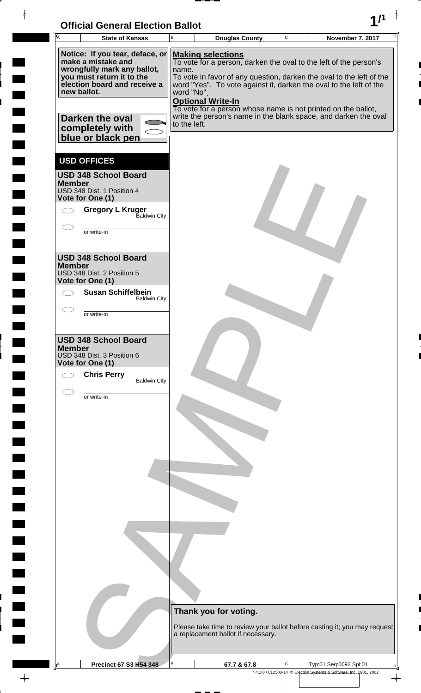

 $\frac{1}{2}$ 

 $\frac{1}{2}$ 

 $\blacksquare$ 

 $\frac{1}{2}$ 

 $\ddot{\phantom{a}}$ 

 $\overline{a}$ 

<u>rang</u>

 $\rightarrow$ 

| Ā             | <b>State of Kansas</b>                                                                                                                                           | B                   | <b>Douglas County</b>                                                                                                                                                                                                                                                                                                                    | $\mathbf C$ | November 7, 2017                                                   |
|---------------|------------------------------------------------------------------------------------------------------------------------------------------------------------------|---------------------|------------------------------------------------------------------------------------------------------------------------------------------------------------------------------------------------------------------------------------------------------------------------------------------------------------------------------------------|-------------|--------------------------------------------------------------------|
|               | Notice: If you tear, deface, or<br>make a mistake and<br>wrongfully mark any ballot,<br>you must return it to the<br>election board and receive a<br>new ballot. | name.<br>word "No". | <b>Making selections</b><br>To vote for a person, darken the oval to the left of the person's<br>To vote in favor of any question, darken the oval to the left of the<br>word "Yes". To vote against it, darken the oval to the left of the<br><b>Optional Write-In</b><br>To vote for a person whose name is not printed on the ballot, |             |                                                                    |
|               | Darken the oval<br>completely with<br>blue or black pen                                                                                                          | to the left.        | write the person's name in the blank space, and darken the oval                                                                                                                                                                                                                                                                          |             |                                                                    |
| <b>Member</b> | <b>USD OFFICES</b><br><b>USD 348 School Board</b><br>USD 348 Dist. 1 Position 4                                                                                  |                     |                                                                                                                                                                                                                                                                                                                                          |             |                                                                    |
|               | Vote for One (1)<br><b>Gregory L Kruger</b><br>Baldwin City<br>or write-in                                                                                       |                     |                                                                                                                                                                                                                                                                                                                                          |             |                                                                    |
| <b>Member</b> | <b>USD 348 School Board</b><br>USD 348 Dist. 2 Position 5                                                                                                        |                     |                                                                                                                                                                                                                                                                                                                                          |             |                                                                    |
|               | Vote for One (1)<br><b>Susan Schiffelbein</b><br><b>Baldwin City</b>                                                                                             |                     |                                                                                                                                                                                                                                                                                                                                          |             |                                                                    |
|               | or write-in                                                                                                                                                      |                     |                                                                                                                                                                                                                                                                                                                                          |             |                                                                    |
| <b>Member</b> | <b>USD 348 School Board</b><br>USD 348 Dist. 3 Position 6<br>Vote for One (1)<br><b>Chris Perry</b><br><b>Baldwin City</b>                                       |                     |                                                                                                                                                                                                                                                                                                                                          |             |                                                                    |
|               | or write-in                                                                                                                                                      |                     |                                                                                                                                                                                                                                                                                                                                          |             |                                                                    |
|               |                                                                                                                                                                  |                     |                                                                                                                                                                                                                                                                                                                                          |             |                                                                    |
|               |                                                                                                                                                                  |                     |                                                                                                                                                                                                                                                                                                                                          |             |                                                                    |
|               |                                                                                                                                                                  |                     |                                                                                                                                                                                                                                                                                                                                          |             |                                                                    |
|               |                                                                                                                                                                  |                     | Thank you for voting.                                                                                                                                                                                                                                                                                                                    |             |                                                                    |
|               |                                                                                                                                                                  |                     | Please take time to review your ballot before casting it; you may request<br>a replacement ballot if necessary.                                                                                                                                                                                                                          |             |                                                                    |
| $\mathbf{A}$  | <b>Precinct 67 S3 H54 348</b>                                                                                                                                    | в                   | 67.7 & 67.8                                                                                                                                                                                                                                                                                                                              | C           | Typ:01 Seq:0092 Spl:01                                             |
|               |                                                                                                                                                                  |                     |                                                                                                                                                                                                                                                                                                                                          |             | 7.4.2.0 / 012503-14 © Election Systems & Software, Inc. 1981, 2002 |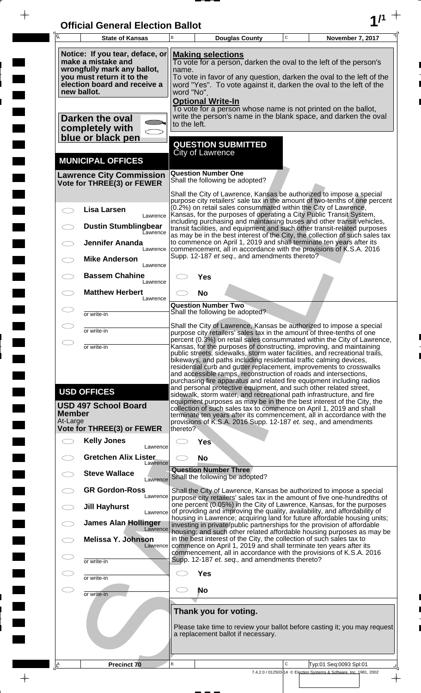| <b>Official General Election Ballot</b> |  |
|-----------------------------------------|--|
|                                         |  |

 $\overline{\phantom{a}}$ 

 $\Box$ 

 $\blacksquare$ 

 $\blacksquare$ 

 $\frac{1}{2}$ 

 $\frac{1}{\sqrt{2\pi}}$ 

| $\overline{A}$            | <b>State of Kansas</b>                                                                                                                            | B        | <b>Douglas County</b>                                                                                                                                                                                                                                | $\mathbf C$ |  | November 7, 2017                                                                                                                                                                                                                                                                                    |  |  |
|---------------------------|---------------------------------------------------------------------------------------------------------------------------------------------------|----------|------------------------------------------------------------------------------------------------------------------------------------------------------------------------------------------------------------------------------------------------------|-------------|--|-----------------------------------------------------------------------------------------------------------------------------------------------------------------------------------------------------------------------------------------------------------------------------------------------------|--|--|
|                           | Notice: If you tear, deface, or<br>make a mistake and<br>wrongfully mark any ballot,<br>you must return it to the<br>election board and receive a |          | <b>Making selections</b><br>To vote for a person, darken the oval to the left of the person's<br>name.<br>To vote in favor of any question, darken the oval to the left of the<br>word "Yes". To vote against it, darken the oval to the left of the |             |  |                                                                                                                                                                                                                                                                                                     |  |  |
|                           | new ballot.<br>Darken the oval<br>completely with                                                                                                 |          | word "No".<br><b>Optional Write-In</b><br>To vote for a person whose name is not printed on the ballot,<br>write the person's name in the blank space, and darken the oval<br>to the left.                                                           |             |  |                                                                                                                                                                                                                                                                                                     |  |  |
|                           | blue or black pen                                                                                                                                 |          | <b>QUESTION SUBMITTED</b><br>City of Lawrence                                                                                                                                                                                                        |             |  |                                                                                                                                                                                                                                                                                                     |  |  |
|                           | <b>MUNICIPAL OFFICES</b><br><b>Lawrence City Commission</b><br>Vote for THREE(3) or FEWER                                                         |          | <b>Question Number One</b><br>Shall the following be adopted?                                                                                                                                                                                        |             |  |                                                                                                                                                                                                                                                                                                     |  |  |
|                           |                                                                                                                                                   |          |                                                                                                                                                                                                                                                      |             |  | Shall the City of Lawrence, Kansas be authorized to impose a special<br>purpose city retailers' sale tax in the amount of two-tenths of one percent                                                                                                                                                 |  |  |
|                           | <b>Lisa Larsen</b><br>Lawrence                                                                                                                    |          | (0.2%) on retail sales consummated within the City of Lawrence,                                                                                                                                                                                      |             |  | Kansas, for the purposes of operating a City Public Transit System,<br>including purchasing and maintaining buses and other transit vehicles,                                                                                                                                                       |  |  |
|                           | <b>Dustin Stumblingbear</b><br>Lawrence<br><b>Jennifer Ananda</b>                                                                                 |          |                                                                                                                                                                                                                                                      |             |  | transit facilities, and equipment and such other transit-related purposes<br>as may be in the best interest of the City, the collection of such sales tax<br>to commence on April 1, 2019 and shall terminate ten years after its                                                                   |  |  |
|                           | Lawrence<br><b>Mike Anderson</b><br>Lawrence                                                                                                      |          | Supp. 12-187 et seq., and amendments thereto?                                                                                                                                                                                                        |             |  | commencement, all in accordance with the provisions of K.S.A. 2016                                                                                                                                                                                                                                  |  |  |
|                           | <b>Bassem Chahine</b><br>Lawrence                                                                                                                 |          | Yes                                                                                                                                                                                                                                                  |             |  |                                                                                                                                                                                                                                                                                                     |  |  |
|                           | <b>Matthew Herbert</b><br>Lawrence                                                                                                                |          | <b>No</b><br><b>Question Number Two</b>                                                                                                                                                                                                              |             |  |                                                                                                                                                                                                                                                                                                     |  |  |
|                           | or write-in                                                                                                                                       |          | Shall the following be adopted?                                                                                                                                                                                                                      |             |  |                                                                                                                                                                                                                                                                                                     |  |  |
|                           | or write-in                                                                                                                                       |          |                                                                                                                                                                                                                                                      |             |  | Shall the City of Lawrence, Kansas be authorized to impose a special<br>purpose city retailers' sales tax in the amount of three-tenths of one<br>percent (0.3%) on retail sales consummated within the City of Lawrence,                                                                           |  |  |
| ⌒                         | or write-in                                                                                                                                       |          | bikeways, and paths including residential traffic calming devices,<br>and accessible ramps, reconstruction of roads and intersections,<br>and personal protective equipment, and such other related street,                                          |             |  | Kansas, for the purposes of constructing, improving, and maintaining<br>public streets, sidewalks, storm water facilities, and recreational trails,<br>residential curb and gutter replacement, improvements to crosswalks<br>purchasing fire apparatus and related fire equipment including radios |  |  |
| <b>Member</b><br>At-Large | <b>USD OFFICES</b><br><b>USD 497 School Board</b><br><b>Vote for THREE(3) or FEWER</b>                                                            | thereto? | sidewalk, storm water, and recreational path infrastructure, and fire<br>provisions of K.S.A. 2016 Supp. 12-187 et. seq., and amendments                                                                                                             |             |  | equipment purposes as may be in the the best interest of the City, the<br>collection of such sales tax to commence on April 1, 2019 and shall<br>terminate ten years after its commencement, all in accordance with the                                                                             |  |  |
| $\bigcirc$                | <b>Kelly Jones</b><br>Lawrence                                                                                                                    |          | Yes                                                                                                                                                                                                                                                  |             |  |                                                                                                                                                                                                                                                                                                     |  |  |
|                           | <b>Gretchen Alix Lister</b><br>Lawrence                                                                                                           |          | <b>No</b>                                                                                                                                                                                                                                            |             |  |                                                                                                                                                                                                                                                                                                     |  |  |
|                           | <b>Steve Wallace</b><br>Lawrence                                                                                                                  |          | <b>Question Number Three</b><br>Shall the following be adopted?                                                                                                                                                                                      |             |  |                                                                                                                                                                                                                                                                                                     |  |  |
| $\overline{\phantom{a}}$  | <b>GR Gordon-Ross</b><br>Lawrence<br><b>Jill Hayhurst</b>                                                                                         |          |                                                                                                                                                                                                                                                      |             |  | Shall the City of Lawrence, Kansas be authorized to impose a special<br>purpose city retailers' sales tax in the amount of five one-hundredths of<br>one percent (0.05%) in the City of Lawrence, Kansas, for the purposes                                                                          |  |  |
|                           | Lawrence<br><b>James Alan Hollinger</b>                                                                                                           |          |                                                                                                                                                                                                                                                      |             |  | of providing and improving the quality, availability, and affordability of<br>housing in Lawrence; acquiring land for future affordable housing units;<br>investing in private/public partnerships for the provision of affordable                                                                  |  |  |
| $\subset$ $\bar{\ }$      | Lawrence<br><b>Melissa Y. Johnson</b><br>Lawrence                                                                                                 |          | in the best interest of the City, the collection of such sales tax to<br>commence on April 1, 2019 and shall terminate ten years after its                                                                                                           |             |  | housing; and such other related affordable housing purposes as may be                                                                                                                                                                                                                               |  |  |
| Œ                         | or write-in                                                                                                                                       |          | Supp. 12-187 et. seq., and amendments thereto?                                                                                                                                                                                                       |             |  | commencement, all in accordance with the provisions of K.S.A. 2016                                                                                                                                                                                                                                  |  |  |
| $\subset$                 | or write-in                                                                                                                                       |          | <b>Yes</b>                                                                                                                                                                                                                                           |             |  |                                                                                                                                                                                                                                                                                                     |  |  |
| $\subset$                 | or write-in                                                                                                                                       | CD.      | <b>No</b>                                                                                                                                                                                                                                            |             |  |                                                                                                                                                                                                                                                                                                     |  |  |
|                           |                                                                                                                                                   |          | Thank you for voting.<br>a replacement ballot if necessary.                                                                                                                                                                                          |             |  | Please take time to review your ballot before casting it; you may request                                                                                                                                                                                                                           |  |  |
| A                         | Precinct 70                                                                                                                                       | B        |                                                                                                                                                                                                                                                      | C           |  | Typ:01 Seq:0093 Spl:01                                                                                                                                                                                                                                                                              |  |  |
|                           |                                                                                                                                                   |          |                                                                                                                                                                                                                                                      |             |  | 7.4.2.0 / 012503-14 © Election Systems & Software, Inc. 1981, 2002                                                                                                                                                                                                                                  |  |  |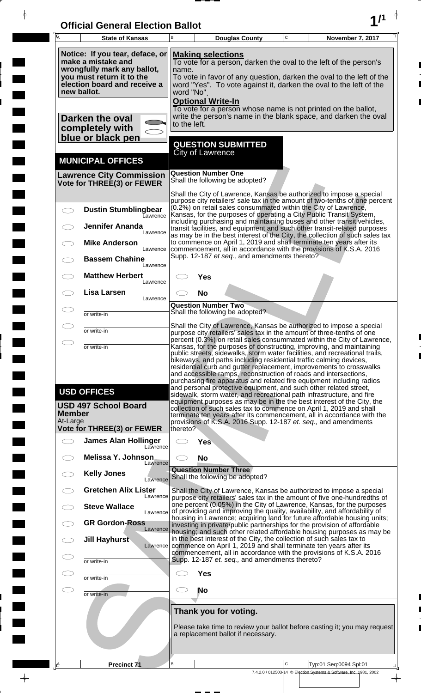| <b>Official General Election Ballot</b> |  |
|-----------------------------------------|--|
|                                         |  |

 $\overline{\phantom{a}}$ 

 $\Box$ 

 $\blacksquare$ 

 $\overline{\phantom{a}}$ 

 $\blacksquare$ 

 $\frac{1}{2}$ 

 $\frac{1}{\sqrt{2\pi}}$ 

| $\overline{A}$            | <b>State of Kansas</b>                                                                                                                            | B                                                                                                                                                                                           |                                                                                                                                                                                                                                                      | <b>Douglas County</b>                                       | $\mathbf C$ | November 7, 2017                                                                                                                                                                                                                                                                                                                                                                                                                                                                                                   |  |  |
|---------------------------|---------------------------------------------------------------------------------------------------------------------------------------------------|---------------------------------------------------------------------------------------------------------------------------------------------------------------------------------------------|------------------------------------------------------------------------------------------------------------------------------------------------------------------------------------------------------------------------------------------------------|-------------------------------------------------------------|-------------|--------------------------------------------------------------------------------------------------------------------------------------------------------------------------------------------------------------------------------------------------------------------------------------------------------------------------------------------------------------------------------------------------------------------------------------------------------------------------------------------------------------------|--|--|
|                           | Notice: If you tear, deface, or<br>make a mistake and<br>wrongfully mark any ballot,<br>you must return it to the<br>election board and receive a |                                                                                                                                                                                             | <b>Making selections</b><br>To vote for a person, darken the oval to the left of the person's<br>name.<br>To vote in favor of any question, darken the oval to the left of the<br>word "Yes". To vote against it, darken the oval to the left of the |                                                             |             |                                                                                                                                                                                                                                                                                                                                                                                                                                                                                                                    |  |  |
|                           | new ballot.<br>Darken the oval<br>completely with                                                                                                 |                                                                                                                                                                                             | word "No".<br><b>Optional Write-In</b><br>To vote for a person whose name is not printed on the ballot,<br>write the person's name in the blank space, and darken the oval<br>to the left.                                                           |                                                             |             |                                                                                                                                                                                                                                                                                                                                                                                                                                                                                                                    |  |  |
|                           | blue or black pen                                                                                                                                 |                                                                                                                                                                                             | City of Lawrence                                                                                                                                                                                                                                     | <b>QUESTION SUBMITTED</b>                                   |             |                                                                                                                                                                                                                                                                                                                                                                                                                                                                                                                    |  |  |
|                           | <b>MUNICIPAL OFFICES</b><br><b>Lawrence City Commission</b>                                                                                       |                                                                                                                                                                                             | <b>Question Number One</b>                                                                                                                                                                                                                           | Shall the following be adopted?                             |             |                                                                                                                                                                                                                                                                                                                                                                                                                                                                                                                    |  |  |
|                           | Vote for THREE(3) or FEWER                                                                                                                        |                                                                                                                                                                                             |                                                                                                                                                                                                                                                      |                                                             |             | Shall the City of Lawrence, Kansas be authorized to impose a special<br>purpose city retailers' sale tax in the amount of two-tenths of one percent                                                                                                                                                                                                                                                                                                                                                                |  |  |
|                           | <b>Dustin Stumblingbear</b><br>Eawrence                                                                                                           |                                                                                                                                                                                             |                                                                                                                                                                                                                                                      |                                                             |             | (0.2%) on retail sales consummated within the City of Lawrence,<br>Kansas, for the purposes of operating a City Public Transit System,<br>including purchasing and maintaining buses and other transit vehicles,                                                                                                                                                                                                                                                                                                   |  |  |
|                           | <b>Jennifer Ananda</b><br>Lawrence<br><b>Mike Anderson</b>                                                                                        |                                                                                                                                                                                             |                                                                                                                                                                                                                                                      |                                                             |             | transit facilities, and equipment and such other transit-related purposes<br>as may be in the best interest of the City, the collection of such sales tax                                                                                                                                                                                                                                                                                                                                                          |  |  |
|                           | Lawrence<br><b>Bassem Chahine</b><br>Lawrence                                                                                                     | to commence on April 1, 2019 and shall terminate ten years after its<br>commencement, all in accordance with the provisions of K.S.A. 2016<br>Supp. 12-187 et seq., and amendments thereto? |                                                                                                                                                                                                                                                      |                                                             |             |                                                                                                                                                                                                                                                                                                                                                                                                                                                                                                                    |  |  |
|                           | <b>Matthew Herbert</b><br>Lawrence                                                                                                                |                                                                                                                                                                                             | Yes                                                                                                                                                                                                                                                  |                                                             |             |                                                                                                                                                                                                                                                                                                                                                                                                                                                                                                                    |  |  |
|                           | <b>Lisa Larsen</b><br>Lawrence                                                                                                                    |                                                                                                                                                                                             | <b>No</b><br><b>Question Number Two</b>                                                                                                                                                                                                              |                                                             |             |                                                                                                                                                                                                                                                                                                                                                                                                                                                                                                                    |  |  |
|                           | or write-in                                                                                                                                       |                                                                                                                                                                                             |                                                                                                                                                                                                                                                      | Shall the following be adopted?                             |             | Shall the City of Lawrence, Kansas be authorized to impose a special                                                                                                                                                                                                                                                                                                                                                                                                                                               |  |  |
| $\bigcirc$                | or write-in                                                                                                                                       |                                                                                                                                                                                             |                                                                                                                                                                                                                                                      |                                                             |             | purpose city retailers' sales tax in the amount of three-tenths of one<br>percent (0.3%) on retail sales consummated within the City of Lawrence,                                                                                                                                                                                                                                                                                                                                                                  |  |  |
|                           | or write-in                                                                                                                                       |                                                                                                                                                                                             |                                                                                                                                                                                                                                                      |                                                             |             | Kansas, for the purposes of constructing, improving, and maintaining<br>public streets, sidewalks, storm water facilities, and recreational trails,<br>bikeways, and paths including residential traffic calming devices,<br>residential curb and gutter replacement, improvements to crosswalks<br>and accessible ramps, reconstruction of roads and intersections,<br>purchasing fire apparatus and related fire equipment including radios<br>and personal protective equipment, and such other related street, |  |  |
| <b>Member</b><br>At-Large | <b>USD OFFICES</b><br><b>USD 497 School Board</b>                                                                                                 |                                                                                                                                                                                             |                                                                                                                                                                                                                                                      |                                                             |             | sidewalk, storm water, and recreational path infrastructure, and fire<br>equipment purposes as may be in the the best interest of the City, the<br>collection of such sales tax to commence on April 1, 2019 and shall<br>terminate ten years after its commencement, all in accordance with the<br>provisions of K.S.A. 2016 Supp. 12-187 et. seq., and amendments                                                                                                                                                |  |  |
| $\bigcirc$                | <b>Vote for THREE(3) or FEWER</b><br><b>James Alan Hollinger</b>                                                                                  | thereto?                                                                                                                                                                                    | Yes                                                                                                                                                                                                                                                  |                                                             |             |                                                                                                                                                                                                                                                                                                                                                                                                                                                                                                                    |  |  |
|                           | Lawrence<br>Melissa Y. Johnson                                                                                                                    |                                                                                                                                                                                             | <b>No</b>                                                                                                                                                                                                                                            |                                                             |             |                                                                                                                                                                                                                                                                                                                                                                                                                                                                                                                    |  |  |
|                           | Lawrence<br><b>Kelly Jones</b><br>Lawrence                                                                                                        |                                                                                                                                                                                             | <b>Question Number Three</b>                                                                                                                                                                                                                         | Shall the following be adopted?                             |             |                                                                                                                                                                                                                                                                                                                                                                                                                                                                                                                    |  |  |
|                           | <b>Gretchen Alix Lister</b><br>Lawrence                                                                                                           |                                                                                                                                                                                             |                                                                                                                                                                                                                                                      |                                                             |             | Shall the City of Lawrence, Kansas be authorized to impose a special<br>purpose city retailers' sales tax in the amount of five one-hundredths of                                                                                                                                                                                                                                                                                                                                                                  |  |  |
|                           | <b>Steve Wallace</b><br>Lawrence<br><b>GR Gordon-Ross</b>                                                                                         |                                                                                                                                                                                             |                                                                                                                                                                                                                                                      |                                                             |             | one percent (0.05%) in the City of Lawrence, Kansas, for the purposes<br>of providing and improving the quality, availability, and affordability of<br>housing in Lawrence; acquiring land for future affordable housing units;                                                                                                                                                                                                                                                                                    |  |  |
| $\subset$                 | Lawrence<br><b>Jill Hayhurst</b>                                                                                                                  |                                                                                                                                                                                             |                                                                                                                                                                                                                                                      |                                                             |             | investing in private/public partnerships for the provision of affordable<br>housing; and such other related affordable housing purposes as may be<br>in the best interest of the City, the collection of such sales tax to                                                                                                                                                                                                                                                                                         |  |  |
| Œ                         | Lawrence<br>or write-in                                                                                                                           |                                                                                                                                                                                             |                                                                                                                                                                                                                                                      | Supp. 12-187 et. seq., and amendments thereto?              |             | commence on April 1, 2019 and shall terminate ten years after its<br>commencement, all in accordance with the provisions of K.S.A. 2016                                                                                                                                                                                                                                                                                                                                                                            |  |  |
| $\subset$                 | or write-in                                                                                                                                       |                                                                                                                                                                                             | <b>Yes</b>                                                                                                                                                                                                                                           |                                                             |             |                                                                                                                                                                                                                                                                                                                                                                                                                                                                                                                    |  |  |
| $\subset$                 | or write-in                                                                                                                                       | CD.                                                                                                                                                                                         | <b>No</b>                                                                                                                                                                                                                                            |                                                             |             |                                                                                                                                                                                                                                                                                                                                                                                                                                                                                                                    |  |  |
|                           |                                                                                                                                                   |                                                                                                                                                                                             |                                                                                                                                                                                                                                                      | Thank you for voting.<br>a replacement ballot if necessary. |             | Please take time to review your ballot before casting it; you may request                                                                                                                                                                                                                                                                                                                                                                                                                                          |  |  |
| .l≙                       | Precinct 71                                                                                                                                       | B                                                                                                                                                                                           |                                                                                                                                                                                                                                                      |                                                             | C           | Typ:01 Seq:0094 Spl:01                                                                                                                                                                                                                                                                                                                                                                                                                                                                                             |  |  |
|                           |                                                                                                                                                   |                                                                                                                                                                                             |                                                                                                                                                                                                                                                      |                                                             |             | 7.4.2.0 / 012503-14 © Election Systems & Software, Inc. 1981, 2002                                                                                                                                                                                                                                                                                                                                                                                                                                                 |  |  |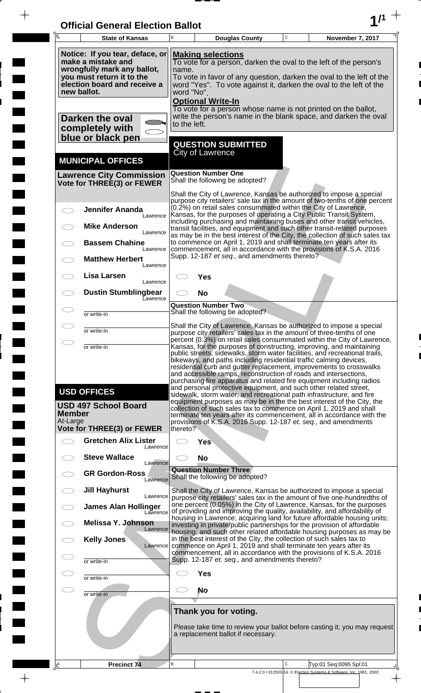| <b>Official General Election Ballot</b> |  |
|-----------------------------------------|--|
|                                         |  |

 $\overline{\phantom{a}}$ 

 $\blacksquare$ 

E

 $\blacksquare$ 

 $\frac{1}{2}$ 

 $\begin{array}{c}\n\downarrow \\
\downarrow \\
\downarrow\n\end{array}$ 

| Ā                         | <b>State of Kansas</b>                                                                                                                            | B            |                                                                 | <b>Douglas County</b>                          | $\mathbf C$ | November 7, 2017                                                                                                                                                                                                                                                                                                                                                                                                                         |
|---------------------------|---------------------------------------------------------------------------------------------------------------------------------------------------|--------------|-----------------------------------------------------------------|------------------------------------------------|-------------|------------------------------------------------------------------------------------------------------------------------------------------------------------------------------------------------------------------------------------------------------------------------------------------------------------------------------------------------------------------------------------------------------------------------------------------|
|                           | Notice: If you tear, deface, or<br>make a mistake and<br>wrongfully mark any ballot,<br>you must return it to the<br>election board and receive a | name.        | <b>Making selections</b>                                        |                                                |             | To vote for a person, darken the oval to the left of the person's<br>To vote in favor of any question, darken the oval to the left of the<br>word "Yes". To vote against it, darken the oval to the left of the                                                                                                                                                                                                                          |
|                           | new ballot.                                                                                                                                       | word "No".   | <b>Optional Write-In</b>                                        |                                                |             | To vote for a person whose name is not printed on the ballot,<br>write the person's name in the blank space, and darken the oval                                                                                                                                                                                                                                                                                                         |
|                           | Darken the oval<br>completely with<br>blue or black pen                                                                                           | to the left. | <b>QUESTION SUBMITTED</b>                                       |                                                |             |                                                                                                                                                                                                                                                                                                                                                                                                                                          |
|                           | <b>MUNICIPAL OFFICES</b>                                                                                                                          |              | <b>City of Lawrence</b>                                         |                                                |             |                                                                                                                                                                                                                                                                                                                                                                                                                                          |
|                           | <b>Lawrence City Commission</b><br>Vote for THREE(3) or FEWER                                                                                     |              | <b>Question Number One</b><br>Shall the following be adopted?   |                                                |             |                                                                                                                                                                                                                                                                                                                                                                                                                                          |
|                           | <b>Jennifer Ananda</b>                                                                                                                            |              |                                                                 |                                                |             | Shall the City of Lawrence, Kansas be authorized to impose a special<br>purpose city retailers' sale tax in the amount of two-tenths of one percent<br>(0.2%) on retail sales consummated within the City of Lawrence,                                                                                                                                                                                                                   |
|                           | Lawrence<br><b>Mike Anderson</b><br>Lawrence                                                                                                      |              |                                                                 |                                                |             | Kansas, for the purposes of operating a City Public Transit System,<br>including purchasing and maintaining buses and other transit vehicles,<br>transit facilities, and equipment and such other transit-related purposes<br>as may be in the best interest of the City, the collection of such sales tax                                                                                                                               |
|                           | <b>Bassem Chahine</b><br>Lawrence<br><b>Matthew Herbert</b>                                                                                       |              |                                                                 | Supp. 12-187 et seq., and amendments thereto?  |             | to commence on April 1, 2019 and shall terminate ten years after its<br>commencement, all in accordance with the provisions of K.S.A. 2016                                                                                                                                                                                                                                                                                               |
|                           | Lawrence<br>Lisa Larsen<br>Lawrence                                                                                                               |              | Yes                                                             |                                                |             |                                                                                                                                                                                                                                                                                                                                                                                                                                          |
|                           | <b>Dustin Stumblingbear</b><br>Eawrence                                                                                                           |              | <b>No</b><br><b>Question Number Two</b>                         |                                                |             |                                                                                                                                                                                                                                                                                                                                                                                                                                          |
|                           | or write-in                                                                                                                                       |              | Shall the following be adopted?                                 |                                                |             | Shall the City of Lawrence, Kansas be authorized to impose a special                                                                                                                                                                                                                                                                                                                                                                     |
|                           | or write-in<br>or write-in                                                                                                                        |              |                                                                 |                                                |             | purpose city retailers' sales tax in the amount of three-tenths of one<br>percent (0.3%) on retail sales consummated within the City of Lawrence,<br>Kansas, for the purposes of constructing, improving, and maintaining                                                                                                                                                                                                                |
|                           |                                                                                                                                                   |              |                                                                 |                                                |             | public streets, sidewalks, storm water facilities, and recreational trails,<br>bikeways, and paths including residential traffic calming devices,<br>residential curb and gutter replacement, improvements to crosswalks<br>and accessible ramps, reconstruction of roads and intersections,<br>purchasing fire apparatus and related fire equipment including radios                                                                    |
| <b>Member</b><br>At-Large | <b>USD OFFICES</b><br><b>USD 497 School Board</b>                                                                                                 |              |                                                                 |                                                |             | and personal protective equipment, and such other related street,<br>sidewalk, storm water, and recreational path infrastructure, and fire<br>equipment purposes as may be in the the best interest of the City, the<br>collection of such sales tax to commence on April 1, 2019 and shall<br>terminate ten years after its commencement, all in accordance with the<br>provisions of K.S.A. 2016 Supp. 12-187 et. seq., and amendments |
|                           | <b>Vote for THREE(3) or FEWER</b><br><b>Gretchen Alix Lister</b>                                                                                  | thereto?     | <b>Yes</b>                                                      |                                                |             |                                                                                                                                                                                                                                                                                                                                                                                                                                          |
|                           | Lawrence<br><b>Steve Wallace</b><br>Lawrence                                                                                                      |              | <b>No</b>                                                       |                                                |             |                                                                                                                                                                                                                                                                                                                                                                                                                                          |
|                           | <b>GR Gordon-Ross</b><br>Lawrence                                                                                                                 |              | <b>Question Number Three</b><br>Shall the following be adopted? |                                                |             |                                                                                                                                                                                                                                                                                                                                                                                                                                          |
|                           | <b>Jill Hayhurst</b><br>Lawrence<br><b>James Alan Hollinger</b>                                                                                   |              |                                                                 |                                                |             | Shall the City of Lawrence, Kansas be authorized to impose a special<br>purpose city retailers' sales tax in the amount of five one-hundredths of<br>one percent (0.05%) in the City of Lawrence, Kansas, for the purposes                                                                                                                                                                                                               |
|                           | Lawrence<br><b>Melissa Y. Johnson</b><br>Lawrence                                                                                                 |              |                                                                 |                                                |             | of providing and improving the quality, availability, and affordability of<br>housing in Lawrence; acquiring land for future affordable housing units;<br>investing in private/public partnerships for the provision of affordable                                                                                                                                                                                                       |
|                           | <b>Kelly Jones</b><br>Lawrence                                                                                                                    |              |                                                                 |                                                |             | housing; and such other related affordable housing purposes as may be<br>in the best interest of the City, the collection of such sales tax to<br>commence on April 1, 2019 and shall terminate ten years after its<br>commencement, all in accordance with the provisions of K.S.A. 2016                                                                                                                                                |
|                           | or write-in                                                                                                                                       |              |                                                                 | Supp. 12-187 et. seq., and amendments thereto? |             |                                                                                                                                                                                                                                                                                                                                                                                                                                          |
|                           | or write-in<br>or write-in                                                                                                                        |              | <b>Yes</b><br><b>No</b>                                         |                                                |             |                                                                                                                                                                                                                                                                                                                                                                                                                                          |
|                           |                                                                                                                                                   |              | Thank you for voting.                                           |                                                |             |                                                                                                                                                                                                                                                                                                                                                                                                                                          |
|                           |                                                                                                                                                   |              |                                                                 | a replacement ballot if necessary.             |             | Please take time to review your ballot before casting it; you may request                                                                                                                                                                                                                                                                                                                                                                |
| ΙÊ                        | <b>Precinct 74</b>                                                                                                                                | B            |                                                                 |                                                | C           | Typ:01 Seq:0095 Spl:01<br>7.4.2.0 / 012503-14 © Election Systems & Software, Inc. 1981, 2002                                                                                                                                                                                                                                                                                                                                             |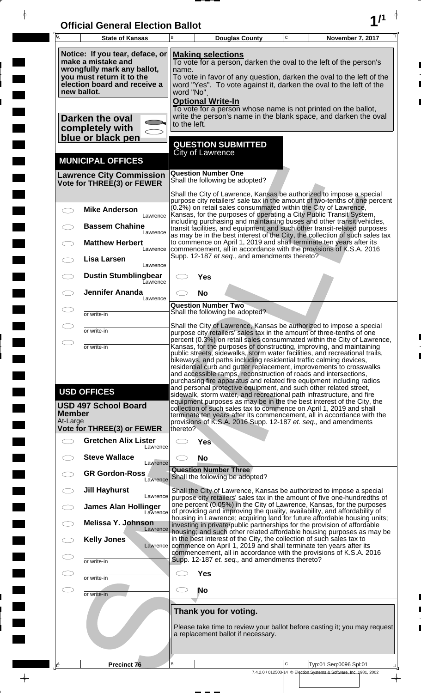| <b>Official General Election Ballot</b> |  |
|-----------------------------------------|--|
|                                         |  |

 $\overline{\phantom{a}}$ 

 $\Box$ 

 $\blacksquare$ 

 $\blacksquare$ 

 $\blacksquare$ 

 $\frac{1}{2}$ 

 $\frac{1}{\sqrt{2\pi}}$ 

| Ā                         | <b>State of Kansas</b>                                                                                                                            | B            |                                         | <b>Douglas County</b>                                       | $\mathbf C$ | November 7, 2017                                                                                                                                                                                                                                                                                                                                                                                                                                                                                                   |
|---------------------------|---------------------------------------------------------------------------------------------------------------------------------------------------|--------------|-----------------------------------------|-------------------------------------------------------------|-------------|--------------------------------------------------------------------------------------------------------------------------------------------------------------------------------------------------------------------------------------------------------------------------------------------------------------------------------------------------------------------------------------------------------------------------------------------------------------------------------------------------------------------|
|                           | Notice: If you tear, deface, or<br>make a mistake and<br>wrongfully mark any ballot,<br>you must return it to the<br>election board and receive a | name.        | <b>Making selections</b>                |                                                             |             | To vote for a person, darken the oval to the left of the person's<br>To vote in favor of any question, darken the oval to the left of the<br>word "Yes". To vote against it, darken the oval to the left of the                                                                                                                                                                                                                                                                                                    |
|                           | new ballot.<br>Darken the oval                                                                                                                    | word "No".   | <b>Optional Write-In</b>                |                                                             |             | To vote for a person whose name is not printed on the ballot,<br>write the person's name in the blank space, and darken the oval                                                                                                                                                                                                                                                                                                                                                                                   |
|                           | completely with<br>blue or black pen                                                                                                              | to the left. |                                         | <b>QUESTION SUBMITTED</b>                                   |             |                                                                                                                                                                                                                                                                                                                                                                                                                                                                                                                    |
|                           | <b>MUNICIPAL OFFICES</b>                                                                                                                          |              | <b>City of Lawrence</b>                 |                                                             |             |                                                                                                                                                                                                                                                                                                                                                                                                                                                                                                                    |
|                           | <b>Lawrence City Commission</b><br>Vote for THREE(3) or FEWER                                                                                     |              | <b>Question Number One</b>              | Shall the following be adopted?                             |             |                                                                                                                                                                                                                                                                                                                                                                                                                                                                                                                    |
|                           | <b>Mike Anderson</b><br>Lawrence                                                                                                                  |              |                                         |                                                             |             | Shall the City of Lawrence, Kansas be authorized to impose a special<br>purpose city retailers' sale tax in the amount of two-tenths of one percent<br>(0.2%) on retail sales consummated within the City of Lawrence,<br>Kansas, for the purposes of operating a City Public Transit System,                                                                                                                                                                                                                      |
|                           | <b>Bassem Chahine</b><br>Lawrence                                                                                                                 |              |                                         |                                                             |             | including purchasing and maintaining buses and other transit vehicles,<br>transit facilities, and equipment and such other transit-related purposes<br>as may be in the best interest of the City, the collection of such sales tax                                                                                                                                                                                                                                                                                |
|                           | <b>Matthew Herbert</b><br>Lawrence<br>Lisa Larsen                                                                                                 |              |                                         | Supp. 12-187 et seq., and amendments thereto?               |             | to commence on April 1, 2019 and shall terminate ten years after its<br>commencement, all in accordance with the provisions of K.S.A. 2016                                                                                                                                                                                                                                                                                                                                                                         |
|                           | Lawrence<br><b>Dustin Stumblingbear</b><br>Eawrence                                                                                               |              | Yes                                     |                                                             |             |                                                                                                                                                                                                                                                                                                                                                                                                                                                                                                                    |
|                           | <b>Jennifer Ananda</b><br>Lawrence                                                                                                                |              | <b>No</b><br><b>Question Number Two</b> |                                                             |             |                                                                                                                                                                                                                                                                                                                                                                                                                                                                                                                    |
|                           | or write-in                                                                                                                                       |              |                                         | Shall the following be adopted?                             |             | Shall the City of Lawrence, Kansas be authorized to impose a special                                                                                                                                                                                                                                                                                                                                                                                                                                               |
|                           | or write-in                                                                                                                                       |              |                                         |                                                             |             | purpose city retailers' sales tax in the amount of three-tenths of one<br>percent (0.3%) on retail sales consummated within the City of Lawrence,                                                                                                                                                                                                                                                                                                                                                                  |
|                           | or write-in                                                                                                                                       |              |                                         |                                                             |             | Kansas, for the purposes of constructing, improving, and maintaining<br>public streets, sidewalks, storm water facilities, and recreational trails,<br>bikeways, and paths including residential traffic calming devices,<br>residential curb and gutter replacement, improvements to crosswalks<br>and accessible ramps, reconstruction of roads and intersections,<br>purchasing fire apparatus and related fire equipment including radios<br>and personal protective equipment, and such other related street, |
| <b>Member</b><br>At-Large | <b>USD OFFICES</b><br><b>USD 497 School Board</b>                                                                                                 |              |                                         |                                                             |             | sidewalk, storm water, and recreational path infrastructure, and fire<br>equipment purposes as may be in the the best interest of the City, the<br>collection of such sales tax to commence on April 1, 2019 and shall<br>terminate ten years after its commencement, all in accordance with the<br>provisions of K.S.A. 2016 Supp. 12-187 et. seq., and amendments                                                                                                                                                |
|                           | <b>Vote for THREE(3) or FEWER</b><br><b>Gretchen Alix Lister</b>                                                                                  | thereto?     | <b>Yes</b>                              |                                                             |             |                                                                                                                                                                                                                                                                                                                                                                                                                                                                                                                    |
|                           | Lawrence<br><b>Steve Wallace</b><br>Lawrence                                                                                                      |              | <b>No</b>                               |                                                             |             |                                                                                                                                                                                                                                                                                                                                                                                                                                                                                                                    |
|                           | <b>GR Gordon-Ross</b><br>Lawrence                                                                                                                 |              | <b>Question Number Three</b>            | Shall the following be adopted?                             |             |                                                                                                                                                                                                                                                                                                                                                                                                                                                                                                                    |
|                           | <b>Jill Hayhurst</b><br>Lawrence<br><b>James Alan Hollinger</b>                                                                                   |              |                                         |                                                             |             | Shall the City of Lawrence, Kansas be authorized to impose a special<br>purpose city retailers' sales tax in the amount of five one-hundredths of<br>one percent (0.05%) in the City of Lawrence, Kansas, for the purposes                                                                                                                                                                                                                                                                                         |
|                           | Lawrence<br><b>Melissa Y. Johnson</b>                                                                                                             |              |                                         |                                                             |             | of providing and improving the quality, availability, and affordability of<br>housing in Lawrence; acquiring land for future affordable housing units;<br>investing in private/public partnerships for the provision of affordable                                                                                                                                                                                                                                                                                 |
|                           | Lawrence<br><b>Kelly Jones</b><br>Lawrence                                                                                                        |              |                                         |                                                             |             | housing; and such other related affordable housing purposes as may be<br>in the best interest of the City, the collection of such sales tax to<br>commence on April 1, 2019 and shall terminate ten years after its                                                                                                                                                                                                                                                                                                |
|                           | or write-in                                                                                                                                       |              |                                         | Supp. 12-187 et. seq., and amendments thereto?              |             | commencement, all in accordance with the provisions of K.S.A. 2016                                                                                                                                                                                                                                                                                                                                                                                                                                                 |
|                           | or write-in                                                                                                                                       |              | <b>Yes</b>                              |                                                             |             |                                                                                                                                                                                                                                                                                                                                                                                                                                                                                                                    |
|                           | or write-in                                                                                                                                       |              | <b>No</b>                               |                                                             |             |                                                                                                                                                                                                                                                                                                                                                                                                                                                                                                                    |
|                           |                                                                                                                                                   |              |                                         | Thank you for voting.<br>a replacement ballot if necessary. |             | Please take time to review your ballot before casting it; you may request                                                                                                                                                                                                                                                                                                                                                                                                                                          |
| ΙÊ                        | <b>Precinct 76</b>                                                                                                                                | B            |                                         |                                                             | C           | Typ:01 Seq:0096 Spl:01<br>7.4.2.0 / 012503-14 © Election Systems & Software, Inc. 1981, 2002                                                                                                                                                                                                                                                                                                                                                                                                                       |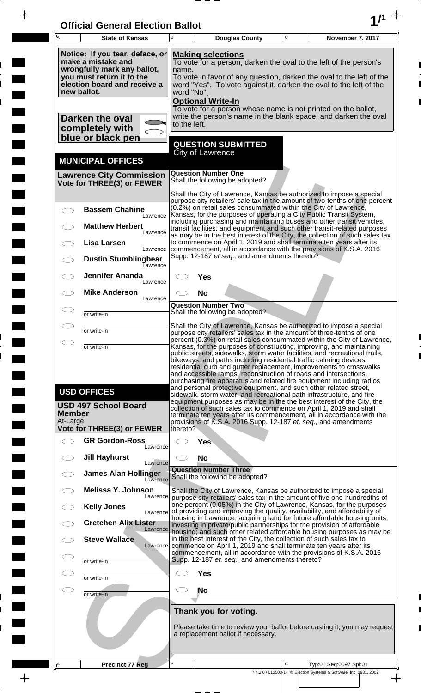| <b>Official General Election Ballot</b> |  |
|-----------------------------------------|--|
|                                         |  |

 $\overline{\phantom{a}}$ 

 $\Box$ 

 $\blacksquare$ 

 $\blacksquare$ 

 $\blacksquare$ 

 $\frac{1}{2}$ 

 $\frac{1}{\sqrt{2\pi}}$ 

| Ā                         | <b>State of Kansas</b>                                                                                                                                           | B                   |                              | <b>Douglas County</b>                          | $\mathbf C$ | November 7, 2017                                                                                                                                                                                                                                                                                                                                                                                                                                                                                                         |
|---------------------------|------------------------------------------------------------------------------------------------------------------------------------------------------------------|---------------------|------------------------------|------------------------------------------------|-------------|--------------------------------------------------------------------------------------------------------------------------------------------------------------------------------------------------------------------------------------------------------------------------------------------------------------------------------------------------------------------------------------------------------------------------------------------------------------------------------------------------------------------------|
|                           | Notice: If you tear, deface, or<br>make a mistake and<br>wrongfully mark any ballot,<br>you must return it to the<br>election board and receive a<br>new ballot. | name.<br>word "No". | <b>Making selections</b>     |                                                |             | To vote for a person, darken the oval to the left of the person's<br>To vote in favor of any question, darken the oval to the left of the<br>word "Yes". To vote against it, darken the oval to the left of the                                                                                                                                                                                                                                                                                                          |
|                           | Darken the oval<br>completely with<br>blue or black pen                                                                                                          | to the left.        | <b>Optional Write-In</b>     |                                                |             | To vote for a person whose name is not printed on the ballot,<br>write the person's name in the blank space, and darken the oval                                                                                                                                                                                                                                                                                                                                                                                         |
|                           | <b>MUNICIPAL OFFICES</b>                                                                                                                                         |                     | <b>City of Lawrence</b>      | <b>QUESTION SUBMITTED</b>                      |             |                                                                                                                                                                                                                                                                                                                                                                                                                                                                                                                          |
|                           | <b>Lawrence City Commission</b><br>Vote for THREE(3) or FEWER                                                                                                    |                     | <b>Question Number One</b>   | Shall the following be adopted?                |             |                                                                                                                                                                                                                                                                                                                                                                                                                                                                                                                          |
|                           | <b>Bassem Chahine</b><br>Lawrence                                                                                                                                |                     |                              |                                                |             | Shall the City of Lawrence, Kansas be authorized to impose a special<br>purpose city retailers' sale tax in the amount of two-tenths of one percent<br>(0.2%) on retail sales consummated within the City of Lawrence,<br>Kansas, for the purposes of operating a City Public Transit System,                                                                                                                                                                                                                            |
|                           | <b>Matthew Herbert</b><br>Lawrence<br>Lisa Larsen                                                                                                                |                     |                              |                                                |             | including purchasing and maintaining buses and other transit vehicles,<br>transit facilities, and equipment and such other transit-related purposes<br>as may be in the best interest of the City, the collection of such sales tax<br>to commence on April 1, 2019 and shall terminate ten years after its                                                                                                                                                                                                              |
|                           | Lawrence<br><b>Dustin Stumblingbear</b><br>Eawrence                                                                                                              |                     |                              | Supp. 12-187 et seq., and amendments thereto?  |             | commencement, all in accordance with the provisions of K.S.A. 2016                                                                                                                                                                                                                                                                                                                                                                                                                                                       |
|                           | <b>Jennifer Ananda</b><br>Lawrence<br><b>Mike Anderson</b>                                                                                                       |                     | Yes<br><b>No</b>             |                                                |             |                                                                                                                                                                                                                                                                                                                                                                                                                                                                                                                          |
|                           | Lawrence<br>or write-in                                                                                                                                          |                     | <b>Question Number Two</b>   | Shall the following be adopted?                |             |                                                                                                                                                                                                                                                                                                                                                                                                                                                                                                                          |
|                           | or write-in                                                                                                                                                      |                     |                              |                                                |             | Shall the City of Lawrence, Kansas be authorized to impose a special<br>purpose city retailers' sales tax in the amount of three-tenths of one                                                                                                                                                                                                                                                                                                                                                                           |
|                           | or write-in                                                                                                                                                      |                     |                              |                                                |             | percent (0.3%) on retail sales consummated within the City of Lawrence,<br>Kansas, for the purposes of constructing, improving, and maintaining<br>public streets, sidewalks, storm water facilities, and recreational trails,<br>bikeways, and paths including residential traffic calming devices,<br>residential curb and gutter replacement, improvements to crosswalks<br>and accessible ramps, reconstruction of roads and intersections,<br>purchasing fire apparatus and related fire equipment including radios |
| <b>Member</b><br>At-Large | <b>USD OFFICES</b><br><b>USD 497 School Board</b>                                                                                                                |                     |                              |                                                |             | and personal protective equipment, and such other related street,<br>sidewalk, storm water, and recreational path infrastructure, and fire<br>equipment purposes as may be in the the best interest of the City, the<br>collection of such sales tax to commence on April 1, 2019 and shall<br>terminate ten years after its commencement, all in accordance with the<br>provisions of K.S.A. 2016 Supp. 12-187 et. seq., and amendments                                                                                 |
|                           | <b>Vote for THREE(3) or FEWER</b><br><b>GR Gordon-Ross</b><br>Lawrence                                                                                           | thereto?            | Yes                          |                                                |             |                                                                                                                                                                                                                                                                                                                                                                                                                                                                                                                          |
|                           | <b>Jill Hayhurst</b><br>Lawrence                                                                                                                                 |                     | <b>No</b>                    |                                                |             |                                                                                                                                                                                                                                                                                                                                                                                                                                                                                                                          |
|                           | <b>James Alan Hollinger</b><br>Lawrence                                                                                                                          |                     | <b>Question Number Three</b> | Shall the following be adopted?                |             |                                                                                                                                                                                                                                                                                                                                                                                                                                                                                                                          |
|                           | <b>Melissa Y. Johnson</b><br>Lawrence<br><b>Kelly Jones</b><br>Lawrence                                                                                          |                     |                              |                                                |             | Shall the City of Lawrence, Kansas be authorized to impose a special<br>purpose city retailers' sales tax in the amount of five one-hundredths of<br>one percent (0.05%) in the City of Lawrence, Kansas, for the purposes<br>of providing and improving the quality, availability, and affordability of                                                                                                                                                                                                                 |
|                           | <b>Gretchen Alix Lister</b><br>Lawrence                                                                                                                          |                     |                              |                                                |             | housing in Lawrence; acquiring land for future affordable housing units;<br>investing in private/public partnerships for the provision of affordable<br>housing; and such other related affordable housing purposes as may be                                                                                                                                                                                                                                                                                            |
|                           | <b>Steve Wallace</b><br>Lawrence                                                                                                                                 |                     |                              |                                                |             | in the best interest of the City, the collection of such sales tax to<br>commence on April 1, 2019 and shall terminate ten years after its<br>commencement, all in accordance with the provisions of K.S.A. 2016                                                                                                                                                                                                                                                                                                         |
|                           | or write-in                                                                                                                                                      |                     |                              | Supp. 12-187 et. seq., and amendments thereto? |             |                                                                                                                                                                                                                                                                                                                                                                                                                                                                                                                          |
|                           | or write-in                                                                                                                                                      |                     | <b>Yes</b><br><b>No</b>      |                                                |             |                                                                                                                                                                                                                                                                                                                                                                                                                                                                                                                          |
|                           | or write-in                                                                                                                                                      |                     | Thank you for voting.        |                                                |             |                                                                                                                                                                                                                                                                                                                                                                                                                                                                                                                          |
|                           |                                                                                                                                                                  |                     |                              | a replacement ballot if necessary.             |             | Please take time to review your ballot before casting it; you may request                                                                                                                                                                                                                                                                                                                                                                                                                                                |
| ΙÊ                        | <b>Precinct 77 Reg</b>                                                                                                                                           | B                   |                              |                                                | C           | Typ:01 Seq:0097 Spl:01<br>7.4.2.0 / 012503-14 © Election Systems & Software, Inc. 1981, 2002                                                                                                                                                                                                                                                                                                                                                                                                                             |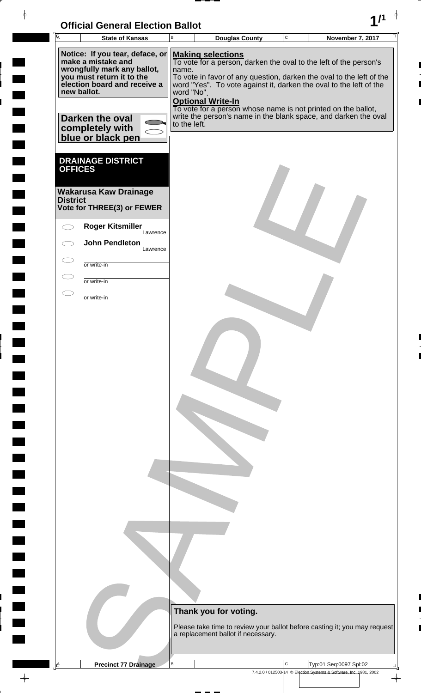# **Official General Election Ballot 1/1**

 $-\phi -$ 

 $\blacksquare$ 

 $\blacksquare$ 

 $\blacksquare$ 

| $\overline{\mathsf{A}}$ | <b>State of Kansas</b>                                                                                                                                           | $\sf B$                                                                                                                                                                                                                                                                                        | <b>Douglas County</b>                                                                                                            | $\mathtt{C}$ | November 7, 2017                                                                             |  |
|-------------------------|------------------------------------------------------------------------------------------------------------------------------------------------------------------|------------------------------------------------------------------------------------------------------------------------------------------------------------------------------------------------------------------------------------------------------------------------------------------------|----------------------------------------------------------------------------------------------------------------------------------|--------------|----------------------------------------------------------------------------------------------|--|
|                         | Notice: If you tear, deface, or<br>make a mistake and<br>wrongfully mark any ballot,<br>you must return it to the<br>election board and receive a<br>new ballot. | <b>Making selections</b><br>To vote for a person, darken the oval to the left of the person's<br>name.<br>To vote in favor of any question, darken the oval to the left of the<br>word "Yes". To vote against it, darken the oval to the left of the<br>word "No".<br><b>Optional Write-In</b> |                                                                                                                                  |              |                                                                                              |  |
|                         | Darken the oval<br>completely with<br>blue or black pen                                                                                                          | to the left.                                                                                                                                                                                                                                                                                   | To vote for a person whose name is not printed on the ballot,<br>write the person's name in the blank space, and darken the oval |              |                                                                                              |  |
| <b>OFFICES</b>          | <b>DRAINAGE DISTRICT</b>                                                                                                                                         |                                                                                                                                                                                                                                                                                                |                                                                                                                                  |              |                                                                                              |  |
| <b>District</b>         | <b>Wakarusa Kaw Drainage</b><br>Vote for THREE(3) or FEWER                                                                                                       |                                                                                                                                                                                                                                                                                                |                                                                                                                                  |              |                                                                                              |  |
|                         | <b>Roger Kitsmiller</b><br>Lawrence<br><b>John Pendleton</b>                                                                                                     |                                                                                                                                                                                                                                                                                                |                                                                                                                                  |              |                                                                                              |  |
|                         | Lawrence                                                                                                                                                         |                                                                                                                                                                                                                                                                                                |                                                                                                                                  |              |                                                                                              |  |
|                         | or write-in                                                                                                                                                      |                                                                                                                                                                                                                                                                                                |                                                                                                                                  |              |                                                                                              |  |
| T                       | or write-in<br>or write-in                                                                                                                                       |                                                                                                                                                                                                                                                                                                |                                                                                                                                  |              |                                                                                              |  |
|                         |                                                                                                                                                                  |                                                                                                                                                                                                                                                                                                |                                                                                                                                  |              |                                                                                              |  |
|                         |                                                                                                                                                                  |                                                                                                                                                                                                                                                                                                |                                                                                                                                  |              |                                                                                              |  |
|                         |                                                                                                                                                                  |                                                                                                                                                                                                                                                                                                |                                                                                                                                  |              |                                                                                              |  |
|                         |                                                                                                                                                                  |                                                                                                                                                                                                                                                                                                |                                                                                                                                  |              |                                                                                              |  |
|                         |                                                                                                                                                                  |                                                                                                                                                                                                                                                                                                |                                                                                                                                  |              |                                                                                              |  |
|                         |                                                                                                                                                                  |                                                                                                                                                                                                                                                                                                |                                                                                                                                  |              |                                                                                              |  |
|                         |                                                                                                                                                                  |                                                                                                                                                                                                                                                                                                |                                                                                                                                  |              |                                                                                              |  |
|                         |                                                                                                                                                                  |                                                                                                                                                                                                                                                                                                |                                                                                                                                  |              |                                                                                              |  |
|                         |                                                                                                                                                                  |                                                                                                                                                                                                                                                                                                |                                                                                                                                  |              |                                                                                              |  |
|                         |                                                                                                                                                                  |                                                                                                                                                                                                                                                                                                |                                                                                                                                  |              |                                                                                              |  |
|                         |                                                                                                                                                                  |                                                                                                                                                                                                                                                                                                |                                                                                                                                  |              |                                                                                              |  |
|                         |                                                                                                                                                                  |                                                                                                                                                                                                                                                                                                |                                                                                                                                  |              |                                                                                              |  |
|                         |                                                                                                                                                                  |                                                                                                                                                                                                                                                                                                |                                                                                                                                  |              |                                                                                              |  |
|                         |                                                                                                                                                                  |                                                                                                                                                                                                                                                                                                |                                                                                                                                  |              |                                                                                              |  |
|                         |                                                                                                                                                                  |                                                                                                                                                                                                                                                                                                |                                                                                                                                  |              |                                                                                              |  |
|                         |                                                                                                                                                                  |                                                                                                                                                                                                                                                                                                |                                                                                                                                  |              |                                                                                              |  |
|                         |                                                                                                                                                                  |                                                                                                                                                                                                                                                                                                | Thank you for voting.                                                                                                            |              |                                                                                              |  |
|                         |                                                                                                                                                                  |                                                                                                                                                                                                                                                                                                | Please take time to review your ballot before casting it; you may request<br>a replacement ballot if necessary.                  |              |                                                                                              |  |
|                         |                                                                                                                                                                  |                                                                                                                                                                                                                                                                                                |                                                                                                                                  |              |                                                                                              |  |
| Ŀ                       | <b>Precinct 77 Drainage</b>                                                                                                                                      | в                                                                                                                                                                                                                                                                                              |                                                                                                                                  | C            | Typ:01 Seq:0097 Spl:02<br>7.4.2.0 / 012503-14 © Election Systems & Software, Inc. 1981, 2002 |  |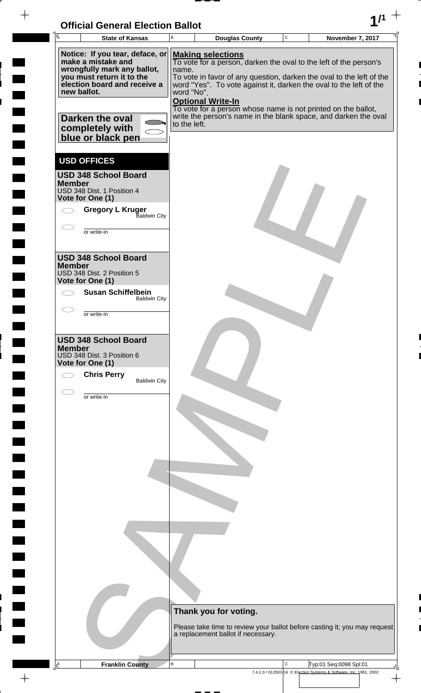

 $\frac{1}{2}$ 

 $\frac{1}{2}$ 

 $\blacksquare$ 

 $\overline{\phantom{a}}$ 

 $\ddot{\phantom{a}}$ 

 $\rightarrow$ 

|               | <b>State of Kansas</b>                                                                                                                                                                                                      | B                                   | <b>Douglas County</b>                                                                                                                                                                                                                                            | $\mathbf C$ | November 7, 2017                                                                                                                        |
|---------------|-----------------------------------------------------------------------------------------------------------------------------------------------------------------------------------------------------------------------------|-------------------------------------|------------------------------------------------------------------------------------------------------------------------------------------------------------------------------------------------------------------------------------------------------------------|-------------|-----------------------------------------------------------------------------------------------------------------------------------------|
|               | Notice: If you tear, deface, or<br>make a mistake and<br>wrongfully mark any ballot,<br>you must return it to the<br>election board and receive a<br>new ballot.<br>Darken the oval<br>completely with<br>blue or black pen | name.<br>word "No".<br>to the left. | <b>Making selections</b><br>To vote for a person, darken the oval to the left of the person's<br>word "Yes". To vote against it, darken the oval to the left of the<br><b>Optional Write-In</b><br>To vote for a person whose name is not printed on the ballot, |             | To vote in favor of any question, darken the oval to the left of the<br>write the person's name in the blank space, and darken the oval |
| <b>Member</b> | <b>USD OFFICES</b><br><b>USD 348 School Board</b><br>USD 348 Dist. 1 Position 4<br>Vote for One (1)<br><b>Gregory L Kruger</b><br>Baldwin City<br>or write-in                                                               |                                     |                                                                                                                                                                                                                                                                  |             |                                                                                                                                         |
| <b>Member</b> | <b>USD 348 School Board</b><br>USD 348 Dist. 2 Position 5<br>Vote for One (1)<br><b>Susan Schiffelbein</b><br><b>Baldwin City</b><br>or write-in                                                                            |                                     |                                                                                                                                                                                                                                                                  |             |                                                                                                                                         |
| <b>Member</b> | <b>USD 348 School Board</b><br>USD 348 Dist. 3 Position 6<br>Vote for One (1)<br><b>Chris Perry</b><br><b>Baldwin City</b>                                                                                                  |                                     |                                                                                                                                                                                                                                                                  |             |                                                                                                                                         |
|               | or write-in                                                                                                                                                                                                                 |                                     |                                                                                                                                                                                                                                                                  |             |                                                                                                                                         |
|               |                                                                                                                                                                                                                             |                                     |                                                                                                                                                                                                                                                                  |             |                                                                                                                                         |
|               |                                                                                                                                                                                                                             |                                     |                                                                                                                                                                                                                                                                  |             |                                                                                                                                         |
|               |                                                                                                                                                                                                                             |                                     |                                                                                                                                                                                                                                                                  |             |                                                                                                                                         |
|               |                                                                                                                                                                                                                             |                                     | Thank you for voting.<br>a replacement ballot if necessary.                                                                                                                                                                                                      |             | Please take time to review your ballot before casting it; you may request                                                               |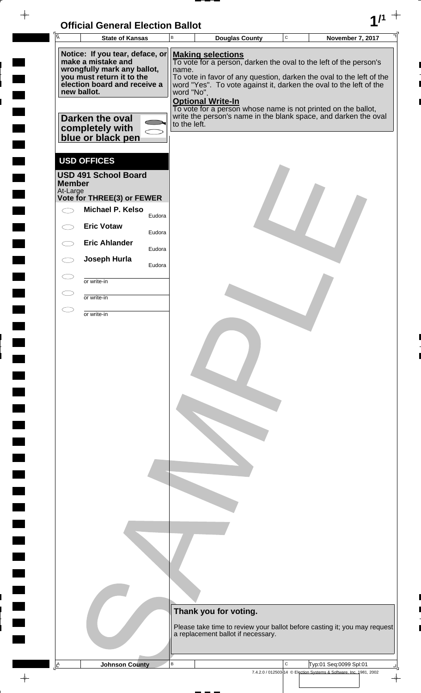| <b>Official General Election Ballot</b> |  |
|-----------------------------------------|--|
|                                         |  |

| ΓĀ |                                                                                                                                                                                                                             | <b>State of Kansas</b>                                                          |        | B | <b>Douglas County</b>                                                                                                                                                                                                                                                                                                                                                                                                                     | $\mathbf C$ | <b>November 7, 2017</b>                                            |               |
|----|-----------------------------------------------------------------------------------------------------------------------------------------------------------------------------------------------------------------------------|---------------------------------------------------------------------------------|--------|---|-------------------------------------------------------------------------------------------------------------------------------------------------------------------------------------------------------------------------------------------------------------------------------------------------------------------------------------------------------------------------------------------------------------------------------------------|-------------|--------------------------------------------------------------------|---------------|
|    | Notice: If you tear, deface, or<br>make a mistake and<br>wrongfully mark any ballot,<br>you must return it to the<br>election board and receive a<br>new ballot.<br>Darken the oval<br>completely with<br>blue or black pen |                                                                                 |        |   | <b>Making selections</b><br>To vote for a person, darken the oval to the left of the person's<br>To vote in favor of any question, darken the oval to the left of the<br>word "Yes". To vote against it, darken the oval to the left of the<br>word "No".<br><b>Optional Write-In</b><br>To vote for a person whose name is not printed on the ballot,<br>write the person's name in the blank space, and darken the oval<br>to the left. |             |                                                                    |               |
|    | <b>Member</b><br>At-Large                                                                                                                                                                                                   | <b>USD OFFICES</b><br><b>USD 491 School Board</b><br>Vote for THREE(3) or FEWER |        |   |                                                                                                                                                                                                                                                                                                                                                                                                                                           |             |                                                                    |               |
|    |                                                                                                                                                                                                                             | <b>Michael P. Kelso</b>                                                         | Eudora |   |                                                                                                                                                                                                                                                                                                                                                                                                                                           |             |                                                                    |               |
|    |                                                                                                                                                                                                                             | <b>Eric Votaw</b>                                                               |        |   |                                                                                                                                                                                                                                                                                                                                                                                                                                           |             |                                                                    |               |
|    |                                                                                                                                                                                                                             | <b>Eric Ahlander</b>                                                            | Eudora |   |                                                                                                                                                                                                                                                                                                                                                                                                                                           |             |                                                                    |               |
|    |                                                                                                                                                                                                                             | Joseph Hurla                                                                    | Eudora |   |                                                                                                                                                                                                                                                                                                                                                                                                                                           |             |                                                                    |               |
|    |                                                                                                                                                                                                                             |                                                                                 | Eudora |   |                                                                                                                                                                                                                                                                                                                                                                                                                                           |             |                                                                    |               |
|    |                                                                                                                                                                                                                             | or write-in                                                                     |        |   |                                                                                                                                                                                                                                                                                                                                                                                                                                           |             |                                                                    |               |
|    |                                                                                                                                                                                                                             | or write-in                                                                     |        |   |                                                                                                                                                                                                                                                                                                                                                                                                                                           |             |                                                                    |               |
|    |                                                                                                                                                                                                                             | or write-in                                                                     |        |   |                                                                                                                                                                                                                                                                                                                                                                                                                                           |             |                                                                    |               |
|    |                                                                                                                                                                                                                             |                                                                                 |        |   | Thank you for voting.<br>Please take time to review your ballot before casting it; you may request<br>a replacement ballot if necessary.                                                                                                                                                                                                                                                                                                  |             |                                                                    |               |
| A  |                                                                                                                                                                                                                             | <b>Johnson County</b>                                                           |        | B |                                                                                                                                                                                                                                                                                                                                                                                                                                           | $\mathsf C$ | Typ:01 Seq:0099 Spl:01                                             |               |
|    |                                                                                                                                                                                                                             |                                                                                 |        |   |                                                                                                                                                                                                                                                                                                                                                                                                                                           |             | 7.4.2.0 / 012503-14 © Election Systems & Software, Inc. 1981, 2002 | $\rightarrow$ |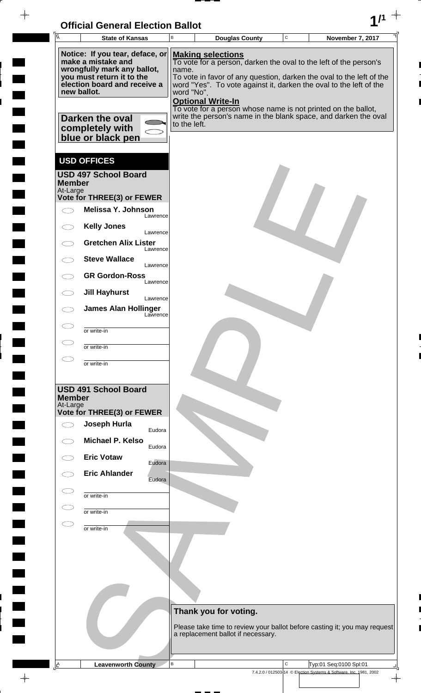

 $\overline{\phantom{a}}$ 

 $\frac{1}{2}$ 

 $\frac{1}{2}$ 

i

 $\overline{\phantom{a}}$ 

 $\overline{a}$ 

 $\frac{1}{2}$ 

 $\rightarrow$ 

| $\overline{A}$            | <b>State of Kansas</b>                                                               | $\sf B$      | <b>Douglas County</b>                                                                                                                                        | $\mathbf C$ | <b>November 7, 2017</b>                                                   |
|---------------------------|--------------------------------------------------------------------------------------|--------------|--------------------------------------------------------------------------------------------------------------------------------------------------------------|-------------|---------------------------------------------------------------------------|
|                           | Notice: If you tear, deface, or<br>make a mistake and<br>wrongfully mark any ballot, | name.        | <b>Making selections</b><br>To vote for a person, darken the oval to the left of the person's                                                                |             |                                                                           |
| new ballot.               | you must return it to the<br>election board and receive a                            | word "No".   | To vote in favor of any question, darken the oval to the left of the<br>word "Yes". To vote against it, darken the oval to the left of the                   |             |                                                                           |
|                           | Darken the oval                                                                      |              | <b>Optional Write-In</b><br>To vote for a person whose name is not printed on the ballot,<br>write the person's name in the blank space, and darken the oval |             |                                                                           |
|                           | completely with<br>blue or black pen                                                 | to the left. |                                                                                                                                                              |             |                                                                           |
|                           | <b>USD OFFICES</b>                                                                   |              |                                                                                                                                                              |             |                                                                           |
| <b>Member</b>             | <b>USD 497 School Board</b>                                                          |              |                                                                                                                                                              |             |                                                                           |
| At-Large                  | Vote for THREE(3) or FEWER                                                           |              |                                                                                                                                                              |             |                                                                           |
|                           | Melissa Y. Johnson<br>Lawrence                                                       |              |                                                                                                                                                              |             |                                                                           |
|                           | <b>Kelly Jones</b><br>Lawrence                                                       |              |                                                                                                                                                              |             |                                                                           |
|                           | <b>Gretchen Alix Lister</b><br>Lawrence                                              |              |                                                                                                                                                              |             |                                                                           |
|                           | <b>Steve Wallace</b><br>Lawrence                                                     |              |                                                                                                                                                              |             |                                                                           |
|                           | <b>GR Gordon-Ross</b><br>Lawrence                                                    |              |                                                                                                                                                              |             |                                                                           |
|                           | <b>Jill Hayhurst</b><br>Lawrence                                                     |              |                                                                                                                                                              |             |                                                                           |
|                           | <b>James Alan Hollinger</b><br>Lawrence                                              |              |                                                                                                                                                              |             |                                                                           |
|                           | or write-in                                                                          |              |                                                                                                                                                              |             |                                                                           |
|                           | or write-in                                                                          |              |                                                                                                                                                              |             |                                                                           |
|                           | or write-in                                                                          |              |                                                                                                                                                              |             |                                                                           |
| <b>Member</b><br>At-Large | <b>USD 491 School Board</b>                                                          |              |                                                                                                                                                              |             |                                                                           |
|                           | Vote for THREE(3) or FEWER<br>Joseph Hurla                                           |              |                                                                                                                                                              |             |                                                                           |
|                           | Eudora<br><b>Michael P. Kelso</b>                                                    |              |                                                                                                                                                              |             |                                                                           |
|                           | Eudora<br><b>Eric Votaw</b>                                                          |              |                                                                                                                                                              |             |                                                                           |
|                           | Eudora<br><b>Eric Ahlander</b><br>Eudora                                             |              |                                                                                                                                                              |             |                                                                           |
|                           | or write-in                                                                          |              |                                                                                                                                                              |             |                                                                           |
|                           | or write-in                                                                          |              |                                                                                                                                                              |             |                                                                           |
|                           | or write-in                                                                          |              |                                                                                                                                                              |             |                                                                           |
|                           |                                                                                      |              |                                                                                                                                                              |             |                                                                           |
|                           |                                                                                      |              |                                                                                                                                                              |             |                                                                           |
|                           |                                                                                      |              |                                                                                                                                                              |             |                                                                           |
|                           |                                                                                      |              |                                                                                                                                                              |             |                                                                           |
|                           |                                                                                      |              | Thank you for voting.                                                                                                                                        |             | Please take time to review your ballot before casting it; you may request |
|                           |                                                                                      |              | a replacement ballot if necessary.                                                                                                                           |             |                                                                           |
| <u>∣A</u>                 | <b>Leavenworth County</b>                                                            | В            |                                                                                                                                                              | $\mathsf C$ | Typ:01 Seq:0100 Spl:01                                                    |

7.4.2.0 / 012503-14 © Election Systems & Software, Inc. 1981, 2002